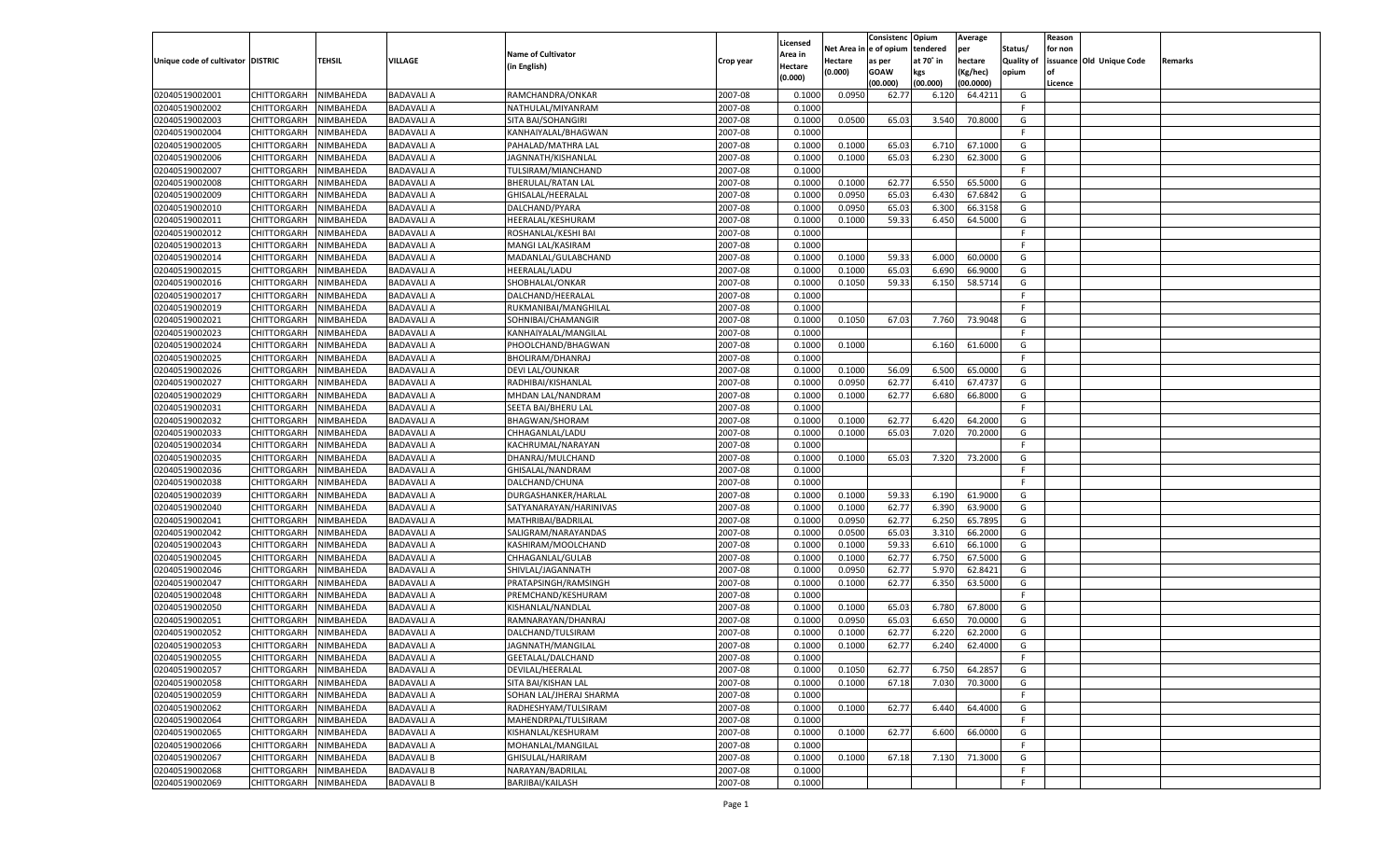|                                   |                                   |               |                   |                           |                    |                           |          | Consistenc  | Opium     | Average            |                   | Reason  |                          |         |
|-----------------------------------|-----------------------------------|---------------|-------------------|---------------------------|--------------------|---------------------------|----------|-------------|-----------|--------------------|-------------------|---------|--------------------------|---------|
|                                   |                                   |               |                   | <b>Name of Cultivator</b> |                    | Licensed                  | Net Area | e of opium  | tendered  | per                | Status/           | for non |                          |         |
| Unique code of cultivator DISTRIC |                                   | <b>TEHSIL</b> | VILLAGE           | (in English)              | Crop year          | <b>Area in</b><br>Hectare | Hectare  | as per      | at 70° in | hectare            | <b>Quality of</b> |         | issuance Old Unique Code | Remarks |
|                                   |                                   |               |                   |                           |                    | (0.000)                   | (0.000)  | <b>GOAW</b> | kgs       | (Kg/hec)           | opium             |         |                          |         |
|                                   |                                   |               |                   |                           |                    |                           |          | (00.000)    | (00.000)  | (00.0000)          |                   | Licence |                          |         |
| 02040519002001                    | CHITTORGARH                       | NIMBAHEDA     | <b>BADAVALI A</b> | RAMCHANDRA/ONKAR          | 2007-08            | 0.1000                    | 0.0950   | 62.77       | 6.120     | 64.4211            | G                 |         |                          |         |
| 02040519002002                    | CHITTORGARH                       | NIMBAHEDA     | <b>BADAVALI A</b> | NATHULAL/MIYANRAM         | 2007-08            | 0.1000                    |          |             |           |                    | F.                |         |                          |         |
| 02040519002003                    | CHITTORGARH                       | NIMBAHEDA     | <b>BADAVALI A</b> | SITA BAI/SOHANGIRI        | 2007-08            | 0.1000                    | 0.0500   | 65.03       | 3.540     | 70.8000            | G                 |         |                          |         |
| 02040519002004                    | CHITTORGARH                       | NIMBAHEDA     | <b>BADAVALI A</b> | KANHAIYALAL/BHAGWAN       | 2007-08            | 0.1000                    |          |             |           |                    | F.                |         |                          |         |
| 02040519002005                    | CHITTORGARH                       | NIMBAHEDA     | <b>BADAVALI A</b> | PAHALAD/MATHRA LAL        | 2007-08            | 0.1000                    | 0.1000   | 65.03       | 6.710     | 67.1000            | G                 |         |                          |         |
| 02040519002006                    | CHITTORGARH                       | NIMBAHEDA     | <b>BADAVALI A</b> | JAGNNATH/KISHANLAL        | 2007-08            | 0.1000                    | 0.1000   | 65.03       | 6.23      | 62.3000            | G                 |         |                          |         |
| 02040519002007                    | CHITTORGARH                       | NIMBAHEDA     | <b>BADAVALI A</b> | TULSIRAM/MIANCHAND        | 2007-08            | 0.1000                    |          |             |           |                    | F.                |         |                          |         |
| 02040519002008                    | CHITTORGARH                       | NIMBAHEDA     | <b>BADAVALI A</b> | BHERULAL/RATAN LAL        | 2007-08            | 0.1000                    | 0.1000   | 62.77       | 6.550     | 65.5000            | G                 |         |                          |         |
| 02040519002009                    | CHITTORGARH                       | NIMBAHEDA     | <b>BADAVALI A</b> | GHISALAL/HEERALAL         | 2007-08            | 0.1000                    | 0.0950   | 65.03       | 6.430     | 67.6842            | G                 |         |                          |         |
| 02040519002010                    | CHITTORGARH                       | NIMBAHEDA     | <b>BADAVALI A</b> | DALCHAND/PYARA            | 2007-08            | 0.1000                    | 0.0950   | 65.03       | 6.300     | 66.3158            | G                 |         |                          |         |
| 02040519002011                    | CHITTORGARH                       | NIMBAHEDA     | <b>BADAVALI A</b> | HEERALAL/KESHURAM         | 2007-08            | 0.1000                    | 0.1000   | 59.33       | 6.450     | 64.5000            | G                 |         |                          |         |
| 02040519002012                    | CHITTORGARH                       | NIMBAHEDA     | <b>BADAVALI A</b> | ROSHANLAL/KESHI BAI       | 2007-08            | 0.1000                    |          |             |           |                    | F.                |         |                          |         |
| 02040519002013                    | CHITTORGARH                       | NIMBAHEDA     | <b>BADAVALI A</b> | MANGI LAL/KASIRAM         | 2007-08            | 0.1000                    |          |             |           |                    | F.                |         |                          |         |
| 02040519002014                    | CHITTORGARH                       | NIMBAHEDA     | <b>BADAVALI A</b> | MADANLAL/GULABCHAND       | 2007-08            | 0.1000                    | 0.1000   | 59.33       | 6.000     | 60.0000            | G                 |         |                          |         |
| 02040519002015                    | CHITTORGARH                       | NIMBAHEDA     | <b>BADAVALI A</b> | HEERALAL/LADU             | 2007-08            | 0.1000                    | 0.1000   | 65.03       | 6.690     | 66.9000            | G                 |         |                          |         |
| 02040519002016                    | CHITTORGARH                       | NIMBAHEDA     | <b>BADAVALI A</b> | SHOBHALAL/ONKAR           | 2007-08            | 0.1000                    | 0.1050   | 59.33       | 6.150     | 58.5714            | G                 |         |                          |         |
| 02040519002017                    | CHITTORGARH                       | NIMBAHEDA     | <b>BADAVALI A</b> | DALCHAND/HEERALAL         | 2007-08            | 0.1000                    |          |             |           |                    | F                 |         |                          |         |
| 02040519002019                    | CHITTORGARH                       | NIMBAHEDA     | <b>BADAVALI A</b> | RUKMANIBAI/MANGHILAL      | 2007-08            | 0.1000                    |          |             |           |                    | F.                |         |                          |         |
| 02040519002021                    | CHITTORGARH                       | NIMBAHEDA     | <b>BADAVALI A</b> | SOHNIBAI/CHAMANGIR        | 2007-08            | 0.1000                    | 0.1050   | 67.03       | 7.760     | 73.9048            | G                 |         |                          |         |
| 02040519002023                    | CHITTORGARH                       | NIMBAHEDA     | <b>BADAVALI A</b> | KANHAIYALAL/MANGILAL      | 2007-08            | 0.1000                    |          |             |           |                    | F.                |         |                          |         |
| 02040519002024                    | CHITTORGARH                       | NIMBAHEDA     | <b>BADAVALI A</b> | PHOOLCHAND/BHAGWAN        | 2007-08            | 0.1000                    | 0.1000   |             | 6.160     | 61.6000            | G                 |         |                          |         |
| 02040519002025                    | CHITTORGARH                       | NIMBAHEDA     | <b>BADAVALI A</b> | BHOLIRAM/DHANRAJ          | 2007-08            | 0.1000                    |          |             |           |                    | F.                |         |                          |         |
| 02040519002026                    | CHITTORGARH                       | NIMBAHEDA     | <b>BADAVALI A</b> | DEVI LAL/OUNKAR           | 2007-08            | 0.1000                    | 0.1000   | 56.09       | 6.500     | 65.0000            | G                 |         |                          |         |
| 02040519002027                    | CHITTORGARH                       | NIMBAHEDA     | <b>BADAVALI A</b> | RADHIBAI/KISHANLAL        | 2007-08            | 0.1000                    | 0.0950   | 62.77       | 6.410     | 67.4737            | G                 |         |                          |         |
| 02040519002029                    | CHITTORGARH                       | NIMBAHEDA     | <b>BADAVALI A</b> | MHDAN LAL/NANDRAM         | 2007-08            | 0.1000                    | 0.1000   | 62.77       | 6.680     | 66.8000            | G                 |         |                          |         |
| 02040519002031                    | CHITTORGARH                       | NIMBAHEDA     | <b>BADAVALI A</b> | SEETA BAI/BHERU LAL       | 2007-08            | 0.1000                    |          |             |           |                    | F.                |         |                          |         |
| 02040519002032                    | CHITTORGARH                       | NIMBAHEDA     | <b>BADAVALI A</b> | <b>BHAGWAN/SHORAM</b>     | 2007-08            | 0.1000                    | 0.1000   | 62.77       | 6.420     | 64.2000            | G                 |         |                          |         |
| 02040519002033                    | CHITTORGARH                       | NIMBAHEDA     | <b>BADAVALI A</b> | CHHAGANLAL/LADU           | 2007-08            | 0.1000                    | 0.1000   | 65.03       | 7.020     | 70.2000            | G                 |         |                          |         |
| 02040519002034                    | CHITTORGARH                       | NIMBAHEDA     | <b>BADAVALI A</b> | KACHRUMAL/NARAYAN         | 2007-08            | 0.1000                    |          |             |           |                    | F                 |         |                          |         |
| 02040519002035                    | CHITTORGARH                       | NIMBAHEDA     | <b>BADAVALI A</b> | DHANRAJ/MULCHAND          | 2007-08            | 0.1000                    | 0.1000   | 65.03       | 7.320     | 73.2000            | G                 |         |                          |         |
| 02040519002036                    | CHITTORGARH                       | NIMBAHEDA     | <b>BADAVALI A</b> | GHISALAL/NANDRAM          | 2007-08            | 0.1000                    |          |             |           |                    | F.                |         |                          |         |
| 02040519002038                    | CHITTORGARH                       | NIMBAHEDA     | <b>BADAVALI A</b> | DALCHAND/CHUNA            | 2007-08            | 0.1000                    |          |             |           |                    | F.                |         |                          |         |
| 02040519002039                    | CHITTORGARH                       | NIMBAHEDA     | <b>BADAVALI A</b> | DURGASHANKER/HARLAL       | 2007-08            | 0.1000                    | 0.1000   | 59.33       | 6.190     | 61.9000            | G                 |         |                          |         |
| 02040519002040                    | CHITTORGARH                       | NIMBAHEDA     | <b>BADAVALI A</b> | SATYANARAYAN/HARINIVAS    | 2007-08            | 0.1000                    | 0.1000   | 62.77       | 6.390     | 63.9000            | G                 |         |                          |         |
| 02040519002041                    | CHITTORGARH                       | NIMBAHEDA     | <b>BADAVALI A</b> | MATHRIBAI/BADRILAL        | 2007-08            | 0.1000                    | 0.0950   | 62.77       | 6.250     | 65.7895            | G                 |         |                          |         |
| 02040519002042                    | CHITTORGARH                       | NIMBAHEDA     | <b>BADAVALI A</b> | SALIGRAM/NARAYANDAS       | 2007-08            | 0.1000                    | 0.0500   | 65.03       | 3.310     | 66.2000            | G                 |         |                          |         |
| 02040519002043                    | <b>CHITTORGARH</b>                | NIMBAHEDA     | <b>BADAVALI A</b> | KASHIRAM/MOOLCHAND        | 2007-08            | 0.1000                    | 0.1000   | 59.33       | 6.610     | 66.1000            | G                 |         |                          |         |
| 02040519002045                    | CHITTORGARH                       | NIMBAHEDA     | <b>BADAVALI A</b> | CHHAGANLAL/GULAB          | 2007-08            | 0.1000                    | 0.1000   | 62.77       | 6.750     | 67.5000            | G                 |         |                          |         |
| 02040519002046                    | CHITTORGARH                       | NIMBAHEDA     | <b>BADAVALI A</b> | SHIVLAL/JAGANNATH         | 2007-08            | 0.1000                    | 0.0950   | 62.77       | 5.970     | 62.8421            | G                 |         |                          |         |
| 02040519002047                    | CHITTORGARH                       | NIMBAHEDA     | <b>BADAVALI A</b> | PRATAPSINGH/RAMSINGH      | 2007-08            | 0.1000                    | 0.1000   | 62.77       | 6.350     | 63.5000            | G                 |         |                          |         |
| 02040519002048                    | CHITTORGARH                       | NIMBAHEDA     | <b>BADAVALI A</b> | PREMCHAND/KESHURAM        | 2007-08            | 0.1000                    |          |             |           |                    | F.                |         |                          |         |
| 02040519002050                    | CHITTORGARH                       | NIMBAHEDA     | <b>BADAVALI A</b> | KISHANLAL/NANDLAL         | 2007-08            | 0.1000                    | 0.1000   | 65.03       | 6.780     | 67.8000            | G                 |         |                          |         |
| 02040519002051                    | CHITTORGARH                       | NIMBAHEDA     | <b>BADAVALI A</b> | RAMNARAYAN/DHANRAJ        | 2007-08            | 0.1000                    | 0.0950   | 65.03       | 6.650     | 70.0000            | G                 |         |                          |         |
| 02040519002052                    | CHITTORGARH                       | NIMBAHEDA     | <b>BADAVALI A</b> | DALCHAND/TULSIRAM         | 2007-08            | 0.1000                    | 0.1000   | 62.77       | 6.22      | 62.2000            | G                 |         |                          |         |
| 02040519002053                    |                                   | NIMBAHEDA     |                   |                           | 2007-08            | 0.1000                    | 0.1000   | 62.77       | 6.240     | 62.4000            | G                 |         |                          |         |
|                                   | CHITTORGARH                       |               | <b>BADAVALI A</b> | JAGNNATH/MANGILAL         |                    |                           |          |             |           |                    | F                 |         |                          |         |
| 02040519002055                    | CHITTORGARH NIMBAHEDA             |               | <b>BADAVALI A</b> | GEETALAL/DALCHAND         | 2007-08            | 0.1000                    |          |             |           |                    |                   |         |                          |         |
| 02040519002057                    | <b>CHITTORGARH</b><br>CHITTORGARH | NIMBAHEDA     | <b>BADAVALI A</b> | DEVILAL/HEERALAL          | 2007-08            | 0.1000                    | 0.1050   | 62.77       | 6.750     | 64.2857<br>70.3000 | G                 |         |                          |         |
| 02040519002058<br>02040519002059  |                                   | NIMBAHEDA     | <b>BADAVALI A</b> | SITA BAI/KISHAN LAL       | 2007-08<br>2007-08 | 0.1000                    | 0.1000   | 67.18       | 7.030     |                    | G                 |         |                          |         |
|                                   | <b>CHITTORGARH</b>                | NIMBAHEDA     | <b>BADAVALI A</b> | SOHAN LAL/JHERAJ SHARMA   |                    | 0.1000                    |          |             |           |                    | F.                |         |                          |         |
| 02040519002062                    | <b>CHITTORGARH</b>                | NIMBAHEDA     | <b>BADAVALI A</b> | RADHESHYAM/TULSIRAM       | 2007-08            | 0.1000                    | 0.1000   | 62.77       | 6.440     | 64.4000            | G                 |         |                          |         |
| 02040519002064                    | <b>CHITTORGARH</b>                | NIMBAHEDA     | <b>BADAVALI A</b> | MAHENDRPAL/TULSIRAM       | 2007-08            | 0.1000                    |          |             |           |                    | F                 |         |                          |         |
| 02040519002065                    | <b>CHITTORGARH</b>                | NIMBAHEDA     | <b>BADAVALI A</b> | KISHANLAL/KESHURAM        | 2007-08            | 0.1000                    | 0.1000   | 62.77       | 6.600     | 66.0000            | G                 |         |                          |         |
| 02040519002066                    | <b>CHITTORGARH</b>                | NIMBAHEDA     | <b>BADAVALI A</b> | MOHANLAL/MANGILAL         | 2007-08            | 0.1000                    |          |             |           |                    | F.                |         |                          |         |
| 02040519002067                    | <b>CHITTORGARH</b>                | NIMBAHEDA     | <b>BADAVALI B</b> | GHISULAL/HARIRAM          | 2007-08            | 0.1000                    | 0.1000   | 67.18       | 7.130     | 71.3000            | G                 |         |                          |         |
| 02040519002068                    | <b>CHITTORGARH</b>                | NIMBAHEDA     | <b>BADAVALI B</b> | NARAYAN/BADRILAL          | 2007-08            | 0.1000                    |          |             |           |                    | F.                |         |                          |         |
| 02040519002069                    | CHITTORGARH                       | NIMBAHEDA     | <b>BADAVALI B</b> | BARJIBAI/KAILASH          | 2007-08            | 0.1000                    |          |             |           |                    | F.                |         |                          |         |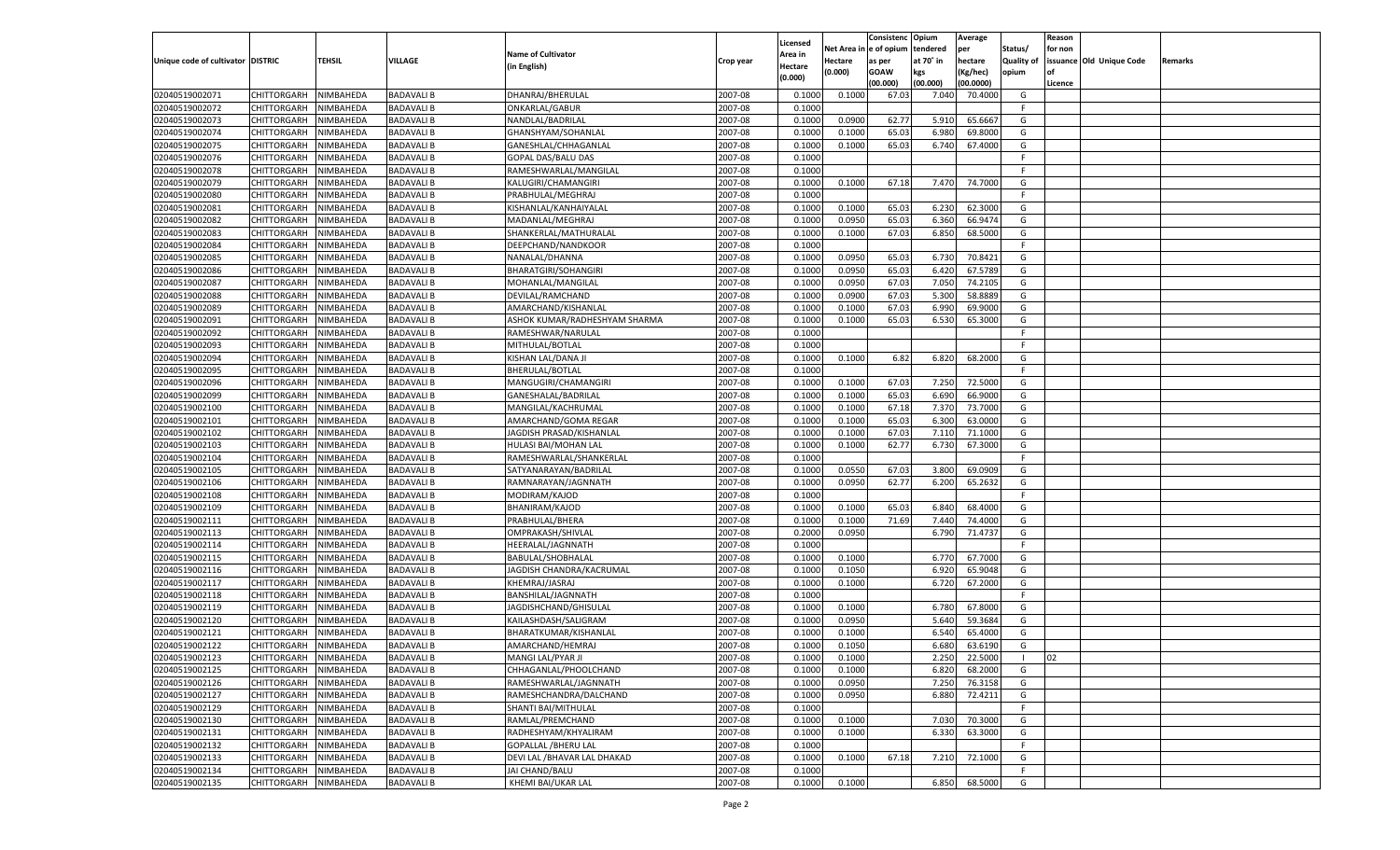|                                   |                       |               |                   |                               |           |                           |          | Consistenc  | Opium     | Average   |                   | Reason  |                          |         |
|-----------------------------------|-----------------------|---------------|-------------------|-------------------------------|-----------|---------------------------|----------|-------------|-----------|-----------|-------------------|---------|--------------------------|---------|
|                                   |                       |               |                   | <b>Name of Cultivator</b>     |           | Licensed                  | Net Area | e of opium  | tendered  | per       | Status/           | for non |                          |         |
| Unique code of cultivator DISTRIC |                       | <b>TEHSIL</b> | VILLAGE           | (in English)                  | Crop year | <b>Area in</b><br>Hectare | Hectare  | as per      | at 70° in | hectare   | <b>Quality of</b> |         | issuance Old Unique Code | Remarks |
|                                   |                       |               |                   |                               |           | (0.000)                   | (0.000)  | <b>GOAW</b> | kgs       | (Kg/hec)  | opium             |         |                          |         |
|                                   |                       |               |                   |                               |           |                           |          | (00.000)    | (00.000)  | (00.0000) |                   | Licence |                          |         |
| 02040519002071                    | CHITTORGARH           | NIMBAHEDA     | <b>BADAVALI B</b> | DHANRAJ/BHERULAL              | 2007-08   | 0.1000                    | 0.1000   | 67.03       | 7.040     | 70.4000   | G                 |         |                          |         |
| 02040519002072                    | CHITTORGARH           | NIMBAHEDA     | <b>BADAVALI B</b> | ONKARLAL/GABUR                | 2007-08   | 0.1000                    |          |             |           |           | F.                |         |                          |         |
| 02040519002073                    | CHITTORGARH           | NIMBAHEDA     | <b>BADAVALI B</b> | NANDLAL/BADRILAL              | 2007-08   | 0.1000                    | 0.0900   | 62.7        | 5.910     | 65.6667   | G                 |         |                          |         |
| 02040519002074                    | CHITTORGARH           | NIMBAHEDA     | <b>BADAVALI B</b> | GHANSHYAM/SOHANLAL            | 2007-08   | 0.1000                    | 0.1000   | 65.03       | 6.980     | 69.8000   | G                 |         |                          |         |
| 02040519002075                    | CHITTORGARH           | NIMBAHEDA     | <b>BADAVALI B</b> | GANESHLAL/CHHAGANLAL          | 2007-08   | 0.1000                    | 0.1000   | 65.03       | 6.740     | 67.4000   | G                 |         |                          |         |
| 02040519002076                    | CHITTORGARH           | NIMBAHEDA     | <b>BADAVALI B</b> | GOPAL DAS/BALU DAS            | 2007-08   | 0.1000                    |          |             |           |           | F.                |         |                          |         |
| 02040519002078                    | CHITTORGARH           | NIMBAHEDA     | <b>BADAVALI B</b> | RAMESHWARLAL/MANGILAL         | 2007-08   | 0.1000                    |          |             |           |           | F.                |         |                          |         |
| 02040519002079                    | CHITTORGARH           | NIMBAHEDA     | <b>BADAVALI B</b> | KALUGIRI/CHAMANGIRI           | 2007-08   | 0.1000                    | 0.1000   | 67.18       | 7.470     | 74.7000   | G                 |         |                          |         |
| 02040519002080                    | CHITTORGARH           | NIMBAHEDA     | <b>BADAVALI B</b> | PRABHULAL/MEGHRAJ             | 2007-08   | 0.1000                    |          |             |           |           | F.                |         |                          |         |
| 02040519002081                    | CHITTORGARH           | NIMBAHEDA     | <b>BADAVALI B</b> | KISHANLAL/KANHAIYALAL         | 2007-08   | 0.1000                    | 0.1000   | 65.03       | 6.23      | 62.3000   | G                 |         |                          |         |
| 02040519002082                    | CHITTORGARH           | NIMBAHEDA     | <b>BADAVALI B</b> | MADANLAL/MEGHRAJ              | 2007-08   | 0.1000                    | 0.0950   | 65.03       | 6.360     | 66.9474   | G                 |         |                          |         |
| 02040519002083                    | CHITTORGARH           | NIMBAHEDA     | <b>BADAVALI B</b> | SHANKERLAL/MATHURALAL         | 2007-08   | 0.1000                    | 0.1000   | 67.03       | 6.850     | 68.5000   | G                 |         |                          |         |
| 02040519002084                    | CHITTORGARH           | NIMBAHEDA     | <b>BADAVALI B</b> | DEEPCHAND/NANDKOOR            | 2007-08   | 0.1000                    |          |             |           |           | F.                |         |                          |         |
| 02040519002085                    | CHITTORGARH           | NIMBAHEDA     | <b>BADAVALI B</b> | NANALAL/DHANNA                | 2007-08   | 0.1000                    | 0.0950   | 65.03       | 6.730     | 70.8421   | G                 |         |                          |         |
| 02040519002086                    | CHITTORGARH           | NIMBAHEDA     | <b>BADAVALI B</b> | <b>BHARATGIRI/SOHANGIRI</b>   | 2007-08   | 0.1000                    | 0.0950   | 65.03       | 6.420     | 67.5789   | G                 |         |                          |         |
| 02040519002087                    | CHITTORGARH           | NIMBAHEDA     | <b>BADAVALI B</b> | MOHANLAL/MANGILAL             | 2007-08   | 0.1000                    | 0.0950   | 67.03       | 7.050     | 74.2105   | G                 |         |                          |         |
| 02040519002088                    | CHITTORGARH           | NIMBAHEDA     | <b>BADAVALI B</b> | DEVILAL/RAMCHAND              | 2007-08   | 0.1000                    | 0.0900   | 67.03       | 5.300     | 58.8889   | G                 |         |                          |         |
| 02040519002089                    | CHITTORGARH           | NIMBAHEDA     | <b>BADAVALI B</b> | AMARCHAND/KISHANLAI           | 2007-08   | 0.1000                    | 0.1000   | 67.03       | 6.990     | 69.9000   | G                 |         |                          |         |
| 02040519002091                    | CHITTORGARH           | NIMBAHEDA     | <b>BADAVALI B</b> | ASHOK KUMAR/RADHESHYAM SHARMA | 2007-08   | 0.1000                    | 0.1000   | 65.03       | 6.530     | 65.3000   | G                 |         |                          |         |
| 02040519002092                    | CHITTORGARH           | NIMBAHEDA     | <b>BADAVALI B</b> | RAMESHWAR/NARULAL             | 2007-08   | 0.1000                    |          |             |           |           | F.                |         |                          |         |
| 02040519002093                    | CHITTORGARH           | NIMBAHEDA     | <b>BADAVALI B</b> | MITHULAL/BOTLAL               | 2007-08   | 0.1000                    |          |             |           |           | F.                |         |                          |         |
| 02040519002094                    | CHITTORGARH           | NIMBAHEDA     | <b>BADAVALI B</b> | KISHAN LAL/DANA JI            | 2007-08   | 0.1000                    | 0.1000   | 6.82        | 6.820     | 68.2000   | G                 |         |                          |         |
| 02040519002095                    | CHITTORGARH           | NIMBAHEDA     | <b>BADAVALI B</b> | BHERULAL/BOTLAL               | 2007-08   | 0.1000                    |          |             |           |           | F.                |         |                          |         |
| 02040519002096                    | CHITTORGARH           | NIMBAHEDA     | <b>BADAVALI B</b> | MANGUGIRI/CHAMANGIRI          | 2007-08   | 0.1000                    | 0.1000   | 67.03       | 7.250     | 72.5000   | G                 |         |                          |         |
| 02040519002099                    | CHITTORGARH           | NIMBAHEDA     | <b>BADAVALI B</b> | GANESHALAL/BADRILAL           | 2007-08   | 0.1000                    | 0.1000   | 65.03       | 6.690     | 66.9000   | G                 |         |                          |         |
| 02040519002100                    | CHITTORGARH           | NIMBAHEDA     | <b>BADAVALI B</b> | MANGILAL/KACHRUMAL            | 2007-08   | 0.1000                    | 0.1000   | 67.18       | 7.370     | 73.7000   | G                 |         |                          |         |
| 02040519002101                    | CHITTORGARH           | NIMBAHEDA     | <b>BADAVALI B</b> | AMARCHAND/GOMA REGAR          | 2007-08   | 0.1000                    | 0.1000   | 65.03       | 6.300     | 63.0000   | G                 |         |                          |         |
| 02040519002102                    | CHITTORGARH           | NIMBAHEDA     | <b>BADAVALI B</b> | JAGDISH PRASAD/KISHANLAL      | 2007-08   | 0.1000                    | 0.1000   | 67.03       | 7.110     | 71.1000   | G                 |         |                          |         |
| 02040519002103                    | CHITTORGARH           | NIMBAHEDA     | <b>BADAVALI B</b> | HULASI BAI/MOHAN LAL          | 2007-08   | 0.1000                    | 0.1000   | 62.77       | 6.730     | 67.3000   | G                 |         |                          |         |
| 02040519002104                    | CHITTORGARH           | NIMBAHEDA     | <b>BADAVALI B</b> | RAMESHWARLAL/SHANKERLAL       | 2007-08   | 0.1000                    |          |             |           |           | F.                |         |                          |         |
| 02040519002105                    | CHITTORGARH           | NIMBAHEDA     | <b>BADAVALI B</b> | SATYANARAYAN/BADRILAL         | 2007-08   | 0.1000                    | 0.0550   | 67.03       | 3.800     | 69.0909   | G                 |         |                          |         |
| 02040519002106                    | CHITTORGARH           | NIMBAHEDA     | <b>BADAVALI B</b> | RAMNARAYAN/JAGNNATH           | 2007-08   | 0.1000                    | 0.0950   | 62.77       | 6.200     | 65.2632   | G                 |         |                          |         |
| 02040519002108                    | CHITTORGARH           | NIMBAHEDA     | <b>BADAVALI B</b> | MODIRAM/KAJOD                 | 2007-08   | 0.1000                    |          |             |           |           | F.                |         |                          |         |
| 02040519002109                    | CHITTORGARH           | NIMBAHEDA     | <b>BADAVALI B</b> | BHANIRAM/KAJOD                | 2007-08   | 0.1000                    | 0.1000   | 65.03       | 6.840     | 68.4000   | G                 |         |                          |         |
| 02040519002111                    |                       |               | <b>BADAVALI B</b> |                               | 2007-08   | 0.1000                    |          | 71.69       | 7.44      | 74.4000   | G                 |         |                          |         |
| 02040519002113                    | <b>CHITTORGARH</b>    | NIMBAHEDA     | <b>BADAVALI B</b> | PRABHULAL/BHERA               | 2007-08   |                           | 0.1000   |             | 6.790     | 71.4737   | G                 |         |                          |         |
|                                   | CHITTORGARH           | NIMBAHEDA     |                   | OMPRAKASH/SHIVLAL             | 2007-08   | 0.2000<br>0.1000          | 0.0950   |             |           |           | F.                |         |                          |         |
| 02040519002114                    | CHITTORGARH           | NIMBAHEDA     | <b>BADAVALI B</b> | HEERALAL/JAGNNATH             |           |                           |          |             |           |           |                   |         |                          |         |
| 02040519002115                    | CHITTORGARH           | NIMBAHEDA     | <b>BADAVALI B</b> | BABULAL/SHOBHALAL             | 2007-08   | 0.1000                    | 0.1000   |             | 6.770     | 67.7000   | G                 |         |                          |         |
| 02040519002116                    | <b>CHITTORGARH</b>    | NIMBAHEDA     | <b>BADAVALI B</b> | JAGDISH CHANDRA/KACRUMAL      | 2007-08   | 0.1000                    | 0.1050   |             | 6.920     | 65.9048   | G                 |         |                          |         |
| 02040519002117                    | CHITTORGARH           | NIMBAHEDA     | <b>BADAVALI B</b> | KHEMRAJ/JASRAJ                | 2007-08   | 0.1000                    | 0.1000   |             | 6.720     | 67.2000   | G                 |         |                          |         |
| 02040519002118                    | CHITTORGARH           | NIMBAHEDA     | <b>BADAVALI B</b> | BANSHILAL/JAGNNATH            | 2007-08   | 0.1000                    |          |             |           |           | F.                |         |                          |         |
| 02040519002119                    | CHITTORGARH           | NIMBAHEDA     | <b>BADAVALI B</b> | JAGDISHCHAND/GHISULAL         | 2007-08   | 0.1000                    | 0.1000   |             | 6.780     | 67.8000   | G                 |         |                          |         |
| 02040519002120                    | CHITTORGARH           | NIMBAHEDA     | <b>BADAVALI B</b> | KAILASHDASH/SALIGRAM          | 2007-08   | 0.1000                    | 0.0950   |             | 5.64      | 59.3684   | G                 |         |                          |         |
| 02040519002121                    | CHITTORGARH           | NIMBAHEDA     | <b>BADAVALI B</b> | BHARATKUMAR/KISHANLAL         | 2007-08   | 0.1000                    | 0.1000   |             | 6.54      | 65.4000   | G                 |         |                          |         |
| 02040519002122                    | CHITTORGARH           | NIMBAHEDA     | <b>BADAVALI B</b> | AMARCHAND/HEMRAJ              | 2007-08   | 0.1000                    | 0.1050   |             | 6.680     | 63.6190   | G                 |         |                          |         |
| 02040519002123                    | CHITTORGARH NIMBAHEDA |               | <b>BADAVALIB</b>  | MANGI LAL/PYAR JI             | 2007-08   | 0.1000                    | 0.1000   |             | 2.250     | 22.5000   |                   | 02      |                          |         |
| 02040519002125                    | <b>CHITTORGARH</b>    | NIMBAHEDA     | <b>BADAVALI B</b> | CHHAGANLAL/PHOOLCHAND         | 2007-08   | 0.1000                    | 0.1000   |             | 6.820     | 68.2000   | G                 |         |                          |         |
| 02040519002126                    | <b>CHITTORGARH</b>    | NIMBAHEDA     | <b>BADAVALI B</b> | RAMESHWARLAL/JAGNNATH         | 2007-08   | 0.1000                    | 0.0950   |             | 7.250     | 76.3158   | G                 |         |                          |         |
| 02040519002127                    | <b>CHITTORGARH</b>    | NIMBAHEDA     | <b>BADAVALI B</b> | RAMESHCHANDRA/DALCHAND        | 2007-08   | 0.1000                    | 0.0950   |             | 6.880     | 72.4211   | G                 |         |                          |         |
| 02040519002129                    | <b>CHITTORGARH</b>    | NIMBAHEDA     | <b>BADAVALI B</b> | SHANTI BAI/MITHULAL           | 2007-08   | 0.1000                    |          |             |           |           | F.                |         |                          |         |
| 02040519002130                    | <b>CHITTORGARH</b>    | NIMBAHEDA     | <b>BADAVALI B</b> | RAMLAL/PREMCHAND              | 2007-08   | 0.1000                    | 0.1000   |             | 7.030     | 70.3000   | G                 |         |                          |         |
| 02040519002131                    | <b>CHITTORGARH</b>    | NIMBAHEDA     | <b>BADAVALI B</b> | RADHESHYAM/KHYALIRAM          | 2007-08   | 0.1000                    | 0.1000   |             | 6.330     | 63.3000   | G                 |         |                          |         |
| 02040519002132                    | <b>CHITTORGARH</b>    | NIMBAHEDA     | <b>BADAVALI B</b> | <b>GOPALLAL /BHERU LAL</b>    | 2007-08   | 0.1000                    |          |             |           |           | F                 |         |                          |         |
| 02040519002133                    | <b>CHITTORGARH</b>    | NIMBAHEDA     | <b>BADAVALI B</b> | DEVI LAL / BHAVAR LAL DHAKAD  | 2007-08   | 0.1000                    | 0.1000   | 67.18       | 7.210     | 72.1000   | G                 |         |                          |         |
| 02040519002134                    | <b>CHITTORGARH</b>    | NIMBAHEDA     | <b>BADAVALI B</b> | JAI CHAND/BALU                | 2007-08   | 0.1000                    |          |             |           |           | F.                |         |                          |         |
| 02040519002135                    | <b>CHITTORGARH</b>    | NIMBAHEDA     | <b>BADAVALI B</b> | KHEMI BAI/UKAR LAL            | 2007-08   | 0.1000                    | 0.1000   |             | 6.850     | 68.5000   | G                 |         |                          |         |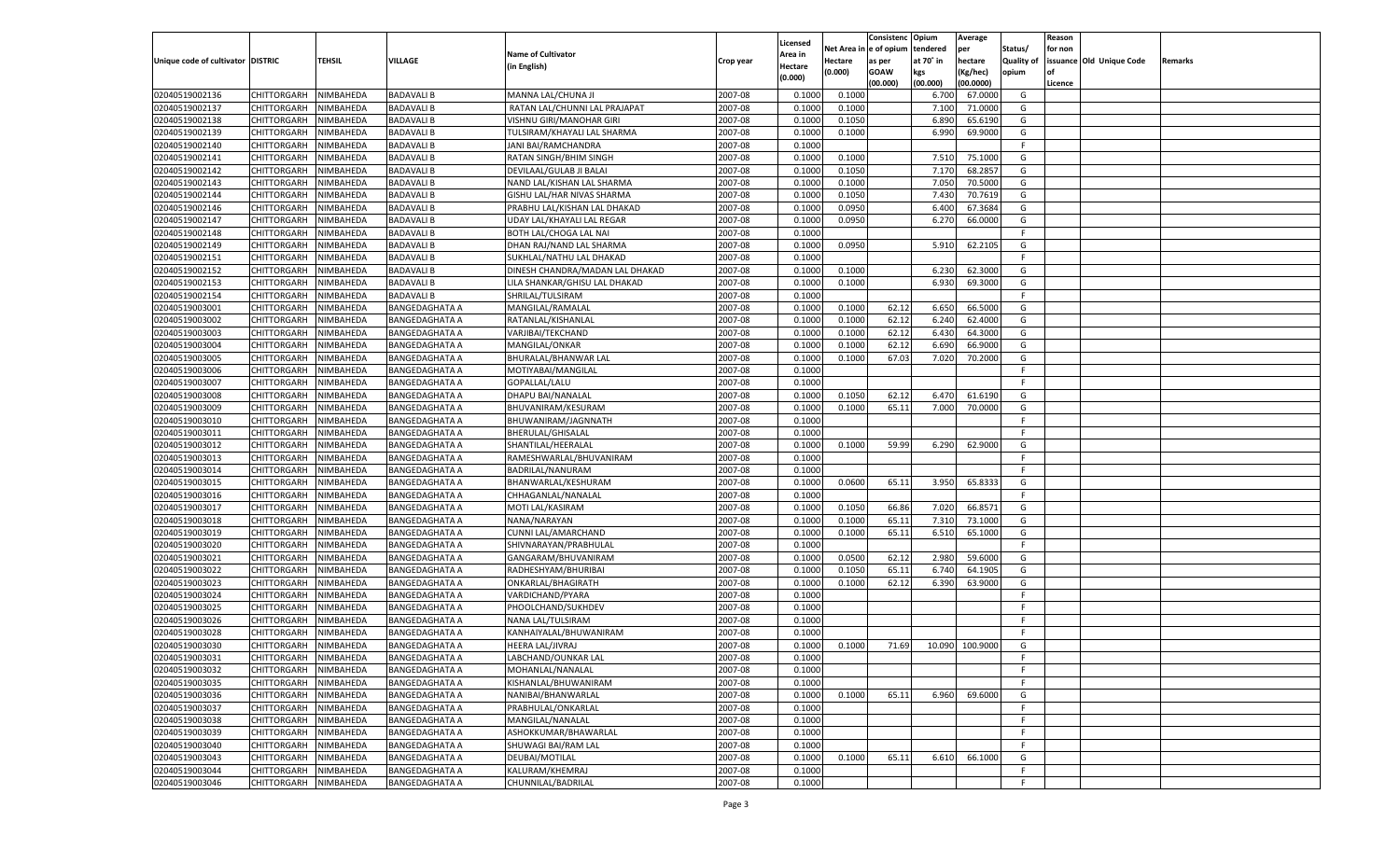|                                   |                       |               |                       |                                 |           |                     |         | Consistenc             | Opium     | Average         |                   | Reason  |                          |         |
|-----------------------------------|-----------------------|---------------|-----------------------|---------------------------------|-----------|---------------------|---------|------------------------|-----------|-----------------|-------------------|---------|--------------------------|---------|
|                                   |                       |               |                       | <b>Name of Cultivator</b>       |           | Licensed<br>Area in |         | Net Area in e of opium | tendered  | per             | Status/           | for non |                          |         |
| Unique code of cultivator DISTRIC |                       | <b>TEHSIL</b> | VILLAGE               | (in English)                    | Crop year | Hectare             | Hectare | as per                 | at 70° in | hectare         | <b>Quality of</b> |         | issuance Old Unique Code | Remarks |
|                                   |                       |               |                       |                                 |           | (0.000)             | (0.000) | <b>GOAW</b>            | kgs       | (Kg/hec)        | opium             |         |                          |         |
|                                   |                       |               |                       |                                 |           |                     |         | (00.000)               | (00.000)  | (00.0000)       |                   | Licence |                          |         |
| 02040519002136                    | CHITTORGARH           | NIMBAHEDA     | <b>BADAVALI B</b>     | MANNA LAL/CHUNA JI              | 2007-08   | 0.1000              | 0.1000  |                        | 6.700     | 67.0000         | G                 |         |                          |         |
| 02040519002137                    | CHITTORGARH           | NIMBAHEDA     | <b>BADAVALI B</b>     | RATAN LAL/CHUNNI LAL PRAJAPAT   | 2007-08   | 0.1000              | 0.1000  |                        | 7.100     | 71.0000         | G                 |         |                          |         |
| 02040519002138                    | CHITTORGARH           | NIMBAHEDA     | <b>BADAVALI B</b>     | VISHNU GIRI/MANOHAR GIRI        | 2007-08   | 0.1000              | 0.1050  |                        | 6.890     | 65.6190         | G                 |         |                          |         |
| 02040519002139                    | CHITTORGARH           | NIMBAHEDA     | <b>BADAVALI B</b>     | TULSIRAM/KHAYALI LAL SHARMA     | 2007-08   | 0.1000              | 0.1000  |                        | 6.990     | 69.9000         | G                 |         |                          |         |
| 02040519002140                    | CHITTORGARH           | NIMBAHEDA     | <b>BADAVALI B</b>     | JANI BAI/RAMCHANDRA             | 2007-08   | 0.1000              |         |                        |           |                 | F                 |         |                          |         |
| 02040519002141                    | CHITTORGARH           | NIMBAHEDA     | BADAVALI B            | RATAN SINGH/BHIM SINGH          | 2007-08   | 0.1000              | 0.1000  |                        | 7.510     | 75.1000         | G                 |         |                          |         |
| 02040519002142                    | CHITTORGARH           | NIMBAHEDA     | <b>BADAVALI B</b>     | DEVILAAL/GULAB JI BALAI         | 2007-08   | 0.1000              | 0.1050  |                        | 7.170     | 68.2857         | G                 |         |                          |         |
| 02040519002143                    | CHITTORGARH           | NIMBAHEDA     | <b>BADAVALI B</b>     | NAND LAL/KISHAN LAL SHARMA      | 2007-08   | 0.1000              | 0.1000  |                        | 7.050     | 70.5000         | G                 |         |                          |         |
| 02040519002144                    | CHITTORGARH           | NIMBAHEDA     | <b>BADAVALI B</b>     | GISHU LAL/HAR NIVAS SHARMA      | 2007-08   | 0.1000              | 0.1050  |                        | 7.430     | 70.7619         | G                 |         |                          |         |
| 02040519002146                    | CHITTORGARH           | NIMBAHEDA     | <b>BADAVALI B</b>     | PRABHU LAL/KISHAN LAL DHAKAD    | 2007-08   | 0.1000              | 0.0950  |                        | 6.400     | 67.3684         | G                 |         |                          |         |
| 02040519002147                    | CHITTORGARH           | NIMBAHEDA     | <b>BADAVALI B</b>     | UDAY LAL/KHAYALI LAL REGAR      | 2007-08   | 0.1000              | 0.0950  |                        | 6.270     | 66.0000         | G                 |         |                          |         |
| 02040519002148                    | CHITTORGARH           | NIMBAHEDA     | BADAVALI B            | BOTH LAL/CHOGA LAL NAI          | 2007-08   | 0.1000              |         |                        |           |                 | F.                |         |                          |         |
| 02040519002149                    | CHITTORGARH           | NIMBAHEDA     | <b>BADAVALI B</b>     | DHAN RAJ/NAND LAL SHARMA        | 2007-08   | 0.1000              | 0.0950  |                        | 5.910     | 62.2105         | G                 |         |                          |         |
| 02040519002151                    | CHITTORGARH           | NIMBAHEDA     | <b>BADAVALI B</b>     | SUKHLAL/NATHU LAL DHAKAD        | 2007-08   | 0.1000              |         |                        |           |                 | F                 |         |                          |         |
| 02040519002152                    | CHITTORGARH           | NIMBAHEDA     | <b>BADAVALI B</b>     | DINESH CHANDRA/MADAN LAL DHAKAD | 2007-08   | 0.1000              | 0.1000  |                        | 6.230     | 62.3000         | G                 |         |                          |         |
| 02040519002153                    | CHITTORGARH           | NIMBAHEDA     | BADAVALI B            | LILA SHANKAR/GHISU LAL DHAKAD   | 2007-08   | 0.1000              | 0.1000  |                        | 6.930     | 69.3000         | G                 |         |                          |         |
| 02040519002154                    | CHITTORGARH           | NIMBAHEDA     | BADAVALI B            | SHRILAL/TULSIRAM                | 2007-08   | 0.1000              |         |                        |           |                 | F                 |         |                          |         |
| 02040519003001                    | CHITTORGARH           | NIMBAHEDA     | BANGEDAGHATA A        | MANGILAL/RAMALAL                | 2007-08   | 0.1000              | 0.1000  | 62.12                  | 6.650     | 66.5000         | G                 |         |                          |         |
| 02040519003002                    | CHITTORGARH           | NIMBAHEDA     | BANGEDAGHATA A        | RATANLAL/KISHANLAL              | 2007-08   | 0.1000              | 0.1000  | 62.12                  | 6.240     | 62.4000         | G                 |         |                          |         |
| 02040519003003                    | CHITTORGARH           | NIMBAHEDA     | BANGEDAGHATA A        | VARJIBAI/TEKCHAND               | 2007-08   | 0.1000              | 0.1000  | 62.12                  | 6.430     | 64.3000         | G                 |         |                          |         |
| 02040519003004                    | CHITTORGARH           | NIMBAHEDA     | <b>BANGEDAGHATA A</b> | MANGILAL/ONKAR                  | 2007-08   | 0.1000              | 0.1000  | 62.12                  | 6.690     | 66.9000         | G                 |         |                          |         |
| 02040519003005                    | CHITTORGARH           | NIMBAHEDA     | <b>BANGEDAGHATA A</b> | BHURALAL/BHANWAR LAL            | 2007-08   | 0.1000              | 0.1000  | 67.03                  | 7.020     | 70.2000         | G                 |         |                          |         |
| 02040519003006                    | CHITTORGARH           | NIMBAHEDA     | BANGEDAGHATA A        | MOTIYABAI/MANGILAL              | 2007-08   | 0.1000              |         |                        |           |                 | F                 |         |                          |         |
| 02040519003007                    | CHITTORGARH           | NIMBAHEDA     | BANGEDAGHATA A        | GOPALLAL/LALU                   | 2007-08   | 0.1000              |         |                        |           |                 | F.                |         |                          |         |
| 02040519003008                    | CHITTORGARH           | NIMBAHEDA     | BANGEDAGHATA A        | DHAPU BAI/NANALAL               | 2007-08   | 0.1000              | 0.1050  | 62.12                  | 6.470     | 61.6190         | G                 |         |                          |         |
| 02040519003009                    | CHITTORGARH           | NIMBAHEDA     | <b>BANGEDAGHATA A</b> | BHUVANIRAM/KESURAM              | 2007-08   | 0.1000              | 0.1000  | 65.11                  | 7.000     | 70.0000         | G                 |         |                          |         |
| 02040519003010                    | CHITTORGARH           | NIMBAHEDA     | <b>BANGEDAGHATA A</b> | BHUWANIRAM/JAGNNATH             | 2007-08   | 0.1000              |         |                        |           |                 | F                 |         |                          |         |
| 02040519003011                    | CHITTORGARH           | NIMBAHEDA     | <b>BANGEDAGHATA A</b> | BHERULAL/GHISALAL               | 2007-08   | 0.1000              |         |                        |           |                 | F.                |         |                          |         |
| 02040519003012                    | CHITTORGARH           | NIMBAHEDA     | <b>BANGEDAGHATA A</b> | SHANTILAL/HEERALAL              | 2007-08   | 0.1000              | 0.1000  | 59.99                  | 6.290     | 62.9000         | G                 |         |                          |         |
| 02040519003013                    | CHITTORGARH           | NIMBAHEDA     | <b>BANGEDAGHATA A</b> | RAMESHWARLAL/BHUVANIRAM         | 2007-08   | 0.1000              |         |                        |           |                 | F.                |         |                          |         |
| 02040519003014                    | <b>CHITTORGARH</b>    | NIMBAHEDA     | <b>BANGEDAGHATA A</b> | BADRILAL/NANURAM                | 2007-08   | 0.1000              |         |                        |           |                 | F.                |         |                          |         |
| 02040519003015                    | <b>CHITTORGARH</b>    | NIMBAHEDA     | <b>BANGEDAGHATA A</b> | BHANWARLAL/KESHURAM             | 2007-08   | 0.1000              | 0.0600  | 65.11                  | 3.950     | 65.8333         | G                 |         |                          |         |
| 02040519003016                    | <b>CHITTORGARH</b>    | NIMBAHEDA     | <b>BANGEDAGHATA A</b> | CHHAGANLAL/NANALAL              | 2007-08   | 0.1000              |         |                        |           |                 | F.                |         |                          |         |
| 02040519003017                    | <b>CHITTORGARH</b>    | NIMBAHEDA     | <b>BANGEDAGHATA A</b> | MOTI LAL/KASIRAM                | 2007-08   | 0.1000              | 0.1050  | 66.86                  | 7.020     | 66.8571         | G                 |         |                          |         |
| 02040519003018                    |                       | NIMBAHEDA     |                       |                                 | 2007-08   | 0.1000              | 0.1000  | 65.11                  | 7.310     | 73.1000         | G                 |         |                          |         |
|                                   | <b>CHITTORGARH</b>    |               | <b>BANGEDAGHATA A</b> | NANA/NARAYAN                    |           |                     |         |                        |           |                 |                   |         |                          |         |
| 02040519003019                    | CHITTORGARH           | NIMBAHEDA     | <b>BANGEDAGHATA A</b> | CUNNI LAL/AMARCHAND             | 2007-08   | 0.1000<br>0.1000    | 0.1000  | 65.11                  | 6.510     | 65.1000         | G<br>F.           |         |                          |         |
| 02040519003020                    | <b>CHITTORGARH</b>    | NIMBAHEDA     | <b>BANGEDAGHATA A</b> | SHIVNARAYAN/PRABHULAL           | 2007-08   |                     |         |                        |           |                 |                   |         |                          |         |
| 02040519003021                    | <b>CHITTORGARH</b>    | NIMBAHEDA     | <b>BANGEDAGHATA A</b> | GANGARAM/BHUVANIRAM             | 2007-08   | 0.1000              | 0.0500  | 62.12                  | 2.980     | 59.6000         | G                 |         |                          |         |
| 02040519003022                    | <b>CHITTORGARH</b>    | NIMBAHEDA     | <b>BANGEDAGHATA A</b> | RADHESHYAM/BHURIBAI             | 2007-08   | 0.1000              | 0.1050  | 65.11                  | 6.740     | 64.1905         | G                 |         |                          |         |
| 02040519003023                    | CHITTORGARH           | NIMBAHEDA     | <b>BANGEDAGHATA A</b> | ONKARLAL/BHAGIRATH              | 2007-08   | 0.1000              | 0.1000  | 62.12                  | 6.390     | 63.9000         | G                 |         |                          |         |
| 02040519003024                    | <b>CHITTORGARH</b>    | NIMBAHEDA     | <b>BANGEDAGHATA A</b> | VARDICHAND/PYARA                | 2007-08   | 0.1000              |         |                        |           |                 | F                 |         |                          |         |
| 02040519003025                    | <b>CHITTORGARH</b>    | NIMBAHEDA     | <b>BANGEDAGHATA A</b> | PHOOLCHAND/SUKHDEV              | 2007-08   | 0.1000              |         |                        |           |                 | F.                |         |                          |         |
| 02040519003026                    | <b>CHITTORGARH</b>    | NIMBAHEDA     | <b>BANGEDAGHATA A</b> | NANA LAL/TULSIRAM               | 2007-08   | 0.1000              |         |                        |           |                 | F.                |         |                          |         |
| 02040519003028                    | CHITTORGARH           | NIMBAHEDA     | <b>BANGEDAGHATA A</b> | KANHAIYALAL/BHUWANIRAM          | 2007-08   | 0.1000              |         |                        |           |                 | F.                |         |                          |         |
| 02040519003030                    | CHITTORGARH           | NIMBAHEDA     | <b>BANGEDAGHATA A</b> | HEERA LAL/JIVRAJ                | 2007-08   | 0.1000              | 0.1000  | 71.69                  |           | 10.090 100.9000 | G                 |         |                          |         |
| 02040519003031                    | CHITTORGARH NIMBAHEDA |               | <b>BANGEDAGHATA A</b> | LABCHAND/OUNKAR LAL             | 2007-08   | 0.1000              |         |                        |           |                 |                   |         |                          |         |
| 02040519003032                    | <b>CHITTORGARH</b>    | NIMBAHEDA     | <b>BANGEDAGHATA A</b> | MOHANLAL/NANALAL                | 2007-08   | 0.1000              |         |                        |           |                 | F.                |         |                          |         |
| 02040519003035                    | <b>CHITTORGARH</b>    | NIMBAHEDA     | <b>BANGEDAGHATA A</b> | KISHANLAL/BHUWANIRAM            | 2007-08   | 0.1000              |         |                        |           |                 | F.                |         |                          |         |
| 02040519003036                    | <b>CHITTORGARH</b>    | NIMBAHEDA     | <b>BANGEDAGHATA A</b> | NANIBAI/BHANWARLAL              | 2007-08   | 0.1000              | 0.1000  | 65.11                  | 6.960     | 69.6000         | G                 |         |                          |         |
| 02040519003037                    | <b>CHITTORGARH</b>    | NIMBAHEDA     | <b>BANGEDAGHATA A</b> | PRABHULAL/ONKARLAL              | 2007-08   | 0.1000              |         |                        |           |                 | F                 |         |                          |         |
| 02040519003038                    | <b>CHITTORGARH</b>    | NIMBAHEDA     | <b>BANGEDAGHATA A</b> | MANGILAL/NANALAL                | 2007-08   | 0.1000              |         |                        |           |                 | F.                |         |                          |         |
| 02040519003039                    | <b>CHITTORGARH</b>    | NIMBAHEDA     | <b>BANGEDAGHATA A</b> | ASHOKKUMAR/BHAWARLAL            | 2007-08   | 0.1000              |         |                        |           |                 | F.                |         |                          |         |
| 02040519003040                    | <b>CHITTORGARH</b>    | NIMBAHEDA     | <b>BANGEDAGHATA A</b> | SHUWAGI BAI/RAM LAL             | 2007-08   | 0.1000              |         |                        |           |                 | F.                |         |                          |         |
| 02040519003043                    | <b>CHITTORGARH</b>    | NIMBAHEDA     | <b>BANGEDAGHATA A</b> | DEUBAI/MOTILAL                  | 2007-08   | 0.1000              | 0.1000  | 65.11                  | 6.610     | 66.1000         | G                 |         |                          |         |
| 02040519003044                    | <b>CHITTORGARH</b>    | NIMBAHEDA     | <b>BANGEDAGHATA A</b> | KALURAM/KHEMRAJ                 | 2007-08   | 0.1000              |         |                        |           |                 | F.                |         |                          |         |
| 02040519003046                    | <b>CHITTORGARH</b>    | NIMBAHEDA     | <b>BANGEDAGHATA A</b> | CHUNNILAL/BADRILAL              | 2007-08   | 0.1000              |         |                        |           |                 | F.                |         |                          |         |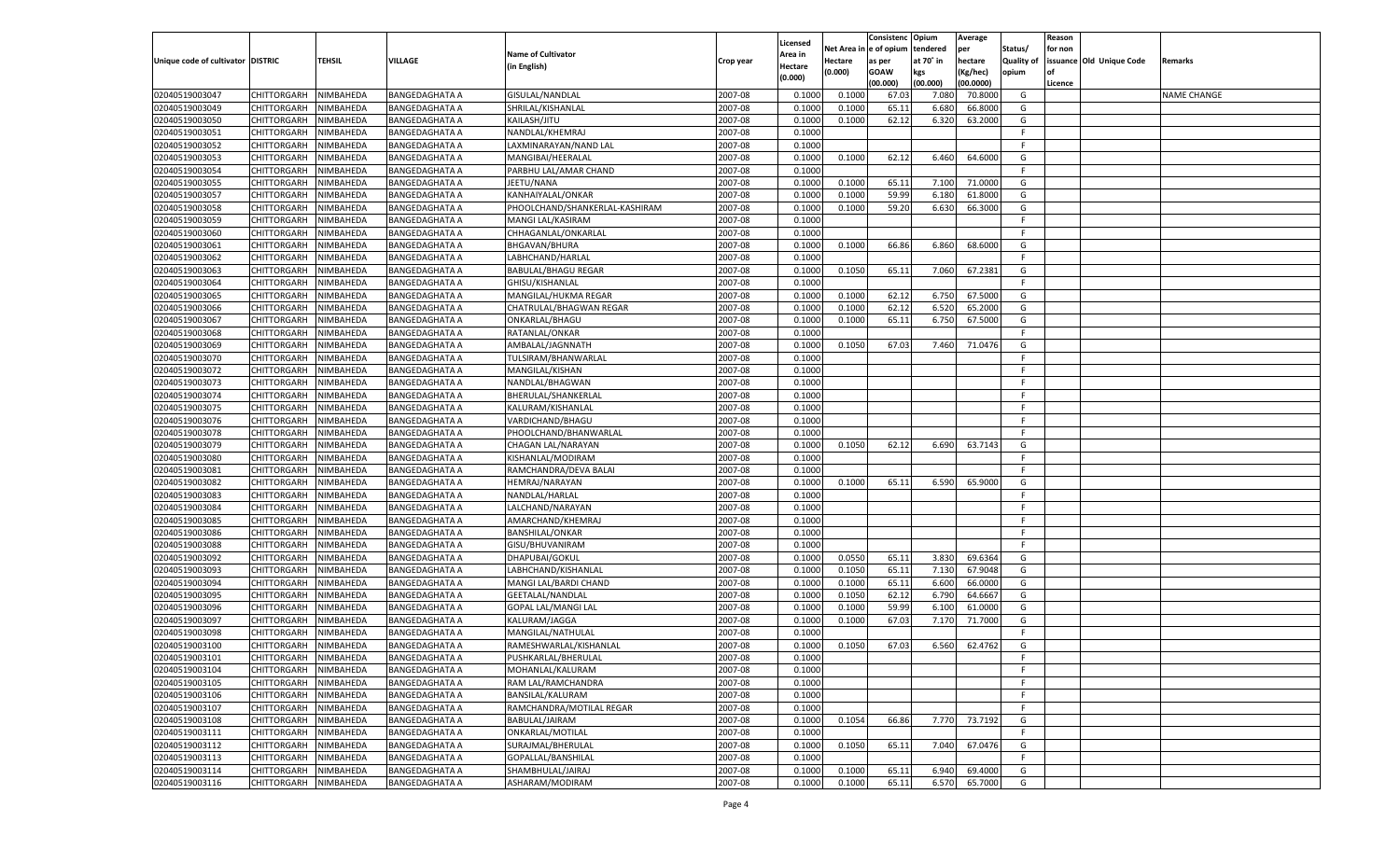|                                   |                       |               |                       |                                |           |                           |          | Consistenc  | Opium     | Average   |                   | Reason  |                          |                    |
|-----------------------------------|-----------------------|---------------|-----------------------|--------------------------------|-----------|---------------------------|----------|-------------|-----------|-----------|-------------------|---------|--------------------------|--------------------|
|                                   |                       |               |                       | <b>Name of Cultivator</b>      |           | Licensed                  | Net Area | e of opium  | tendered  | per       | Status/           | for non |                          |                    |
| Unique code of cultivator DISTRIC |                       | <b>TEHSIL</b> | VILLAGE               | (in English)                   | Crop year | <b>Area in</b><br>Hectare | Hectare  | as per      | at 70° in | hectare   | <b>Quality of</b> |         | issuance Old Unique Code | Remarks            |
|                                   |                       |               |                       |                                |           | (0.000)                   | (0.000)  | <b>GOAW</b> | kgs       | (Kg/hec)  | opium             |         |                          |                    |
|                                   |                       |               |                       |                                |           |                           |          | (00.000)    | (00.000)  | (00.0000) |                   | Licence |                          |                    |
| 02040519003047                    | CHITTORGARH           | NIMBAHEDA     | <b>BANGEDAGHATA A</b> | GISULAL/NANDLAL                | 2007-08   | 0.1000                    | 0.1000   | 67.03       | 7.08      | 70.8000   | G                 |         |                          | <b>NAME CHANGE</b> |
| 02040519003049                    | CHITTORGARH           | NIMBAHEDA     | BANGEDAGHATA A        | SHRILAL/KISHANLAL              | 2007-08   | 0.1000                    | 0.1000   | 65.11       | 6.680     | 66.8000   | G                 |         |                          |                    |
| 02040519003050                    | CHITTORGARH           | NIMBAHEDA     | <b>BANGEDAGHATA A</b> | KAILASH/JITU                   | 2007-08   | 0.1000                    | 0.1000   | 62.12       | 6.320     | 63.2000   | G                 |         |                          |                    |
| 02040519003051                    | CHITTORGARH           | NIMBAHEDA     | <b>BANGEDAGHATA A</b> | NANDLAL/KHEMRAJ                | 2007-08   | 0.1000                    |          |             |           |           | F.                |         |                          |                    |
| 02040519003052                    | CHITTORGARH           | NIMBAHEDA     | <b>BANGEDAGHATA A</b> | LAXMINARAYAN/NAND LAL          | 2007-08   | 0.1000                    |          |             |           |           | F.                |         |                          |                    |
| 02040519003053                    | CHITTORGARH           | NIMBAHEDA     | BANGEDAGHATA A        | MANGIBAI/HEERALAL              | 2007-08   | 0.1000                    | 0.1000   | 62.12       | 6.460     | 64.6000   | G                 |         |                          |                    |
| 02040519003054                    | CHITTORGARH           | NIMBAHEDA     | <b>BANGEDAGHATA A</b> | PARBHU LAL/AMAR CHAND          | 2007-08   | 0.1000                    |          |             |           |           | F.                |         |                          |                    |
| 02040519003055                    | CHITTORGARH           | NIMBAHEDA     | <b>BANGEDAGHATA A</b> | JEETU/NANA                     | 2007-08   | 0.1000                    | 0.1000   | 65.11       | 7.100     | 71.0000   | G                 |         |                          |                    |
| 02040519003057                    | CHITTORGARH           | NIMBAHEDA     | <b>BANGEDAGHATA A</b> | KANHAIYALAL/ONKAR              | 2007-08   | 0.1000                    | 0.1000   | 59.99       | 6.180     | 61.8000   | G                 |         |                          |                    |
| 02040519003058                    | CHITTORGARH           | NIMBAHEDA     | BANGEDAGHATA A        | PHOOLCHAND/SHANKERLAL-KASHIRAM | 2007-08   | 0.1000                    | 0.1000   | 59.20       | 6.630     | 66.3000   | G                 |         |                          |                    |
| 02040519003059                    | CHITTORGARH           | NIMBAHEDA     | <b>BANGEDAGHATA A</b> | MANGI LAL/KASIRAM              | 2007-08   | 0.1000                    |          |             |           |           | F.                |         |                          |                    |
| 02040519003060                    | CHITTORGARH           | NIMBAHEDA     | <b>BANGEDAGHATA A</b> | CHHAGANLAL/ONKARLAL            | 2007-08   | 0.1000                    |          |             |           |           | F.                |         |                          |                    |
| 02040519003061                    | CHITTORGARH           | NIMBAHEDA     | <b>BANGEDAGHATA A</b> | <b>BHGAVAN/BHURA</b>           | 2007-08   | 0.1000                    | 0.1000   | 66.86       | 6.860     | 68.6000   | G                 |         |                          |                    |
| 02040519003062                    | CHITTORGARH           | NIMBAHEDA     | BANGEDAGHATA A        | LABHCHAND/HARLAL               | 2007-08   | 0.1000                    |          |             |           |           | F.                |         |                          |                    |
| 02040519003063                    | CHITTORGARH           | NIMBAHEDA     | <b>BANGEDAGHATA A</b> | <b>BABULAL/BHAGU REGAR</b>     | 2007-08   | 0.1000                    | 0.1050   | 65.11       | 7.060     | 67.2381   | G                 |         |                          |                    |
| 02040519003064                    | CHITTORGARH           | NIMBAHEDA     | BANGEDAGHATA A        | GHISU/KISHANLAL                | 2007-08   | 0.1000                    |          |             |           |           | F.                |         |                          |                    |
| 02040519003065                    | CHITTORGARH           | NIMBAHEDA     | <b>BANGEDAGHATA A</b> | MANGILAL/HUKMA REGAR           | 2007-08   | 0.1000                    | 0.1000   | 62.12       | 6.750     | 67.5000   | G                 |         |                          |                    |
| 02040519003066                    | CHITTORGARH           | NIMBAHEDA     | <b>BANGEDAGHATA A</b> | CHATRULAL/BHAGWAN REGAR        | 2007-08   | 0.1000                    | 0.1000   | 62.12       | 6.520     | 65.2000   | G                 |         |                          |                    |
| 02040519003067                    | CHITTORGARH           | NIMBAHEDA     | <b>BANGEDAGHATA A</b> | ONKARLAL/BHAGU                 | 2007-08   | 0.1000                    | 0.1000   | 65.11       | 6.750     | 67.5000   | G                 |         |                          |                    |
| 02040519003068                    | CHITTORGARH           | NIMBAHEDA     | <b>BANGEDAGHATA A</b> | RATANLAL/ONKAR                 | 2007-08   | 0.1000                    |          |             |           |           | F.                |         |                          |                    |
| 02040519003069                    | CHITTORGARH           | NIMBAHEDA     | <b>BANGEDAGHATA A</b> | AMBALAL/JAGNNATH               | 2007-08   | 0.1000                    | 0.1050   | 67.03       | 7.460     | 71.0476   | G                 |         |                          |                    |
| 02040519003070                    | CHITTORGARH           | NIMBAHEDA     | <b>BANGEDAGHATA A</b> | TULSIRAM/BHANWARLAL            | 2007-08   | 0.1000                    |          |             |           |           | F.                |         |                          |                    |
| 02040519003072                    | CHITTORGARH           | NIMBAHEDA     | <b>BANGEDAGHATA A</b> | MANGILAL/KISHAN                | 2007-08   | 0.1000                    |          |             |           |           | F.                |         |                          |                    |
| 02040519003073                    | CHITTORGARH           | NIMBAHEDA     | <b>BANGEDAGHATA A</b> | NANDLAL/BHAGWAN                | 2007-08   | 0.1000                    |          |             |           |           | F.                |         |                          |                    |
| 02040519003074                    | CHITTORGARH           | NIMBAHEDA     | <b>BANGEDAGHATA A</b> | BHERULAL/SHANKERLAL            | 2007-08   | 0.1000                    |          |             |           |           | F.                |         |                          |                    |
| 02040519003075                    | CHITTORGARH           | NIMBAHEDA     | <b>BANGEDAGHATA A</b> | KALURAM/KISHANLAL              | 2007-08   | 0.1000                    |          |             |           |           | F.                |         |                          |                    |
| 02040519003076                    | CHITTORGARH           | NIMBAHEDA     | <b>BANGEDAGHATA A</b> | VARDICHAND/BHAGU               | 2007-08   | 0.1000                    |          |             |           |           | F.                |         |                          |                    |
| 02040519003078                    | CHITTORGARH           | NIMBAHEDA     | <b>BANGEDAGHATA A</b> | PHOOLCHAND/BHANWARLAL          | 2007-08   | 0.1000                    |          |             |           |           | F.                |         |                          |                    |
| 02040519003079                    | CHITTORGARH           | NIMBAHEDA     |                       |                                | 2007-08   | 0.1000                    | 0.1050   | 62.12       |           | 63.7143   | G                 |         |                          |                    |
|                                   |                       |               | <b>BANGEDAGHATA A</b> | CHAGAN LAL/NARAYAN             |           |                           |          |             | 6.690     |           | F.                |         |                          |                    |
| 02040519003080                    | CHITTORGARH           | NIMBAHEDA     | <b>BANGEDAGHATA A</b> | KISHANLAL/MODIRAM              | 2007-08   | 0.1000                    |          |             |           |           |                   |         |                          |                    |
| 02040519003081                    | CHITTORGARH           | NIMBAHEDA     | <b>BANGEDAGHATA A</b> | RAMCHANDRA/DEVA BALAI          | 2007-08   | 0.1000                    |          |             |           |           | F.                |         |                          |                    |
| 02040519003082                    | CHITTORGARH           | NIMBAHEDA     | <b>BANGEDAGHATA A</b> | HEMRAJ/NARAYAN                 | 2007-08   | 0.1000                    | 0.1000   | 65.11       | 6.590     | 65.9000   | G                 |         |                          |                    |
| 02040519003083                    | CHITTORGARH           | NIMBAHEDA     | <b>BANGEDAGHATA A</b> | NANDLAL/HARLAL                 | 2007-08   | 0.1000                    |          |             |           |           | F.                |         |                          |                    |
| 02040519003084                    | CHITTORGARH           | NIMBAHEDA     | <b>BANGEDAGHATA A</b> | LALCHAND/NARAYAN               | 2007-08   | 0.1000                    |          |             |           |           | F.                |         |                          |                    |
| 02040519003085                    | CHITTORGARH           | NIMBAHEDA     | <b>BANGEDAGHATA A</b> | AMARCHAND/KHEMRAJ              | 2007-08   | 0.1000                    |          |             |           |           | F.                |         |                          |                    |
| 02040519003086                    | CHITTORGARH           | NIMBAHEDA     | <b>BANGEDAGHATA A</b> | <b>BANSHILAL/ONKAR</b>         | 2007-08   | 0.1000                    |          |             |           |           | F.                |         |                          |                    |
| 02040519003088                    | CHITTORGARH           | NIMBAHEDA     | <b>BANGEDAGHATA A</b> | GISU/BHUVANIRAM                | 2007-08   | 0.1000                    |          |             |           |           | F.                |         |                          |                    |
| 02040519003092                    | CHITTORGARH           | NIMBAHEDA     | <b>BANGEDAGHATA A</b> | DHAPUBAI/GOKUL                 | 2007-08   | 0.1000                    | 0.0550   | 65.11       | 3.830     | 69.6364   | G                 |         |                          |                    |
| 02040519003093                    | CHITTORGARH           | NIMBAHEDA     | <b>BANGEDAGHATA A</b> | LABHCHAND/KISHANLAL            | 2007-08   | 0.1000                    | 0.1050   | 65.11       | 7.13(     | 67.9048   | G                 |         |                          |                    |
| 02040519003094                    | CHITTORGARH           | NIMBAHEDA     | BANGEDAGHATA A        | MANGI LAL/BARDI CHAND          | 2007-08   | 0.1000                    | 0.1000   | 65.11       | 6.600     | 66.0000   | G                 |         |                          |                    |
| 02040519003095                    | CHITTORGARH           | NIMBAHEDA     | <b>BANGEDAGHATA A</b> | GEETALAL/NANDLAL               | 2007-08   | 0.1000                    | 0.1050   | 62.12       | 6.790     | 64.6667   | G                 |         |                          |                    |
| 02040519003096                    | CHITTORGARH           | NIMBAHEDA     | <b>BANGEDAGHATA A</b> | <b>GOPAL LAL/MANGI LAL</b>     | 2007-08   | 0.1000                    | 0.1000   | 59.99       | 6.100     | 61.0000   | G                 |         |                          |                    |
| 02040519003097                    | CHITTORGARH           | NIMBAHEDA     | <b>BANGEDAGHATA A</b> | KALURAM/JAGGA                  | 2007-08   | 0.1000                    | 0.1000   | 67.03       | 7.170     | 71.7000   | G                 |         |                          |                    |
| 02040519003098                    | CHITTORGARH           | NIMBAHEDA     | BANGEDAGHATA A        | MANGILAL/NATHULAL              | 2007-08   | 0.1000                    |          |             |           |           | F.                |         |                          |                    |
| 02040519003100                    | CHITTORGARH           | NIMBAHEDA     | <b>BANGEDAGHATA A</b> | RAMESHWARLAL/KISHANLAL         | 2007-08   | 0.1000                    | 0.1050   | 67.03       | 6.560     | 62.4762   | G                 |         |                          |                    |
| 02040519003101                    | CHITTORGARH NIMBAHEDA |               | <b>BANGEDAGHATA A</b> | PUSHKARLAL/BHERULAL            | 2007-08   | 0.1000                    |          |             |           |           | F                 |         |                          |                    |
| 02040519003104                    | <b>CHITTORGARH</b>    | NIMBAHEDA     | <b>BANGEDAGHATA A</b> | MOHANLAL/KALURAM               | 2007-08   | 0.1000                    |          |             |           |           | -F                |         |                          |                    |
| 02040519003105                    | CHITTORGARH           | NIMBAHEDA     | <b>BANGEDAGHATA A</b> | RAM LAL/RAMCHANDRA             | 2007-08   | 0.1000                    |          |             |           |           | F.                |         |                          |                    |
| 02040519003106                    | <b>CHITTORGARH</b>    | NIMBAHEDA     | <b>BANGEDAGHATA A</b> | BANSILAL/KALURAM               | 2007-08   | 0.1000                    |          |             |           |           | F.                |         |                          |                    |
| 02040519003107                    | <b>CHITTORGARH</b>    | NIMBAHEDA     | <b>BANGEDAGHATA A</b> | RAMCHANDRA/MOTILAL REGAR       | 2007-08   | 0.1000                    |          |             |           |           | F.                |         |                          |                    |
| 02040519003108                    | <b>CHITTORGARH</b>    | NIMBAHEDA     | <b>BANGEDAGHATA A</b> | BABULAL/JAIRAM                 | 2007-08   | 0.1000                    | 0.1054   | 66.86       | 7.770     | 73.7192   | G                 |         |                          |                    |
| 02040519003111                    | <b>CHITTORGARH</b>    | NIMBAHEDA     | <b>BANGEDAGHATA A</b> | ONKARLAL/MOTILAL               | 2007-08   | 0.1000                    |          |             |           |           | F.                |         |                          |                    |
| 02040519003112                    | <b>CHITTORGARH</b>    | NIMBAHEDA     | <b>BANGEDAGHATA A</b> | SURAJMAL/BHERULAL              | 2007-08   | 0.1000                    | 0.1050   | 65.11       | 7.040     | 67.0476   | G                 |         |                          |                    |
| 02040519003113                    | <b>CHITTORGARH</b>    | NIMBAHEDA     | <b>BANGEDAGHATA A</b> | GOPALLAL/BANSHILAL             | 2007-08   | 0.1000                    |          |             |           |           | F.                |         |                          |                    |
| 02040519003114                    | <b>CHITTORGARH</b>    | NIMBAHEDA     | <b>BANGEDAGHATA A</b> | SHAMBHULAL/JAIRAJ              | 2007-08   | 0.1000                    | 0.1000   | 65.11       | 6.940     | 69.4000   | G                 |         |                          |                    |
| 02040519003116                    | <b>CHITTORGARH</b>    | NIMBAHEDA     | <b>BANGEDAGHATA A</b> | ASHARAM/MODIRAM                | 2007-08   | 0.1000                    | 0.1000   | 65.11       | 6.570     | 65.7000   | G                 |         |                          |                    |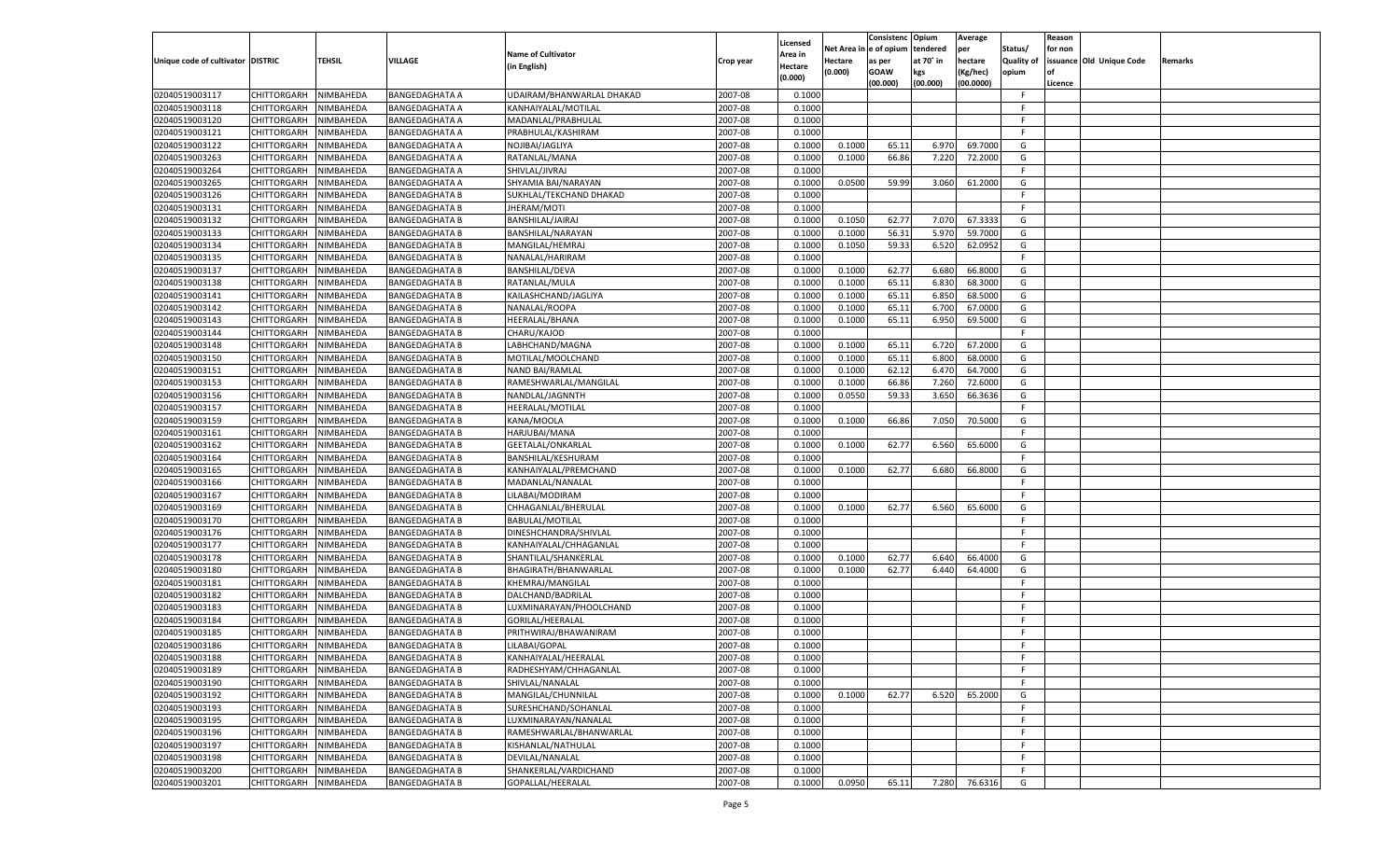|                                   |                       |                        |                       |                           |           |                     |            | Consistenc    | Opium     | Average   |            | Reason  |                          |         |
|-----------------------------------|-----------------------|------------------------|-----------------------|---------------------------|-----------|---------------------|------------|---------------|-----------|-----------|------------|---------|--------------------------|---------|
|                                   |                       |                        |                       | <b>Name of Cultivator</b> |           | Licensed<br>Area in | Net Area i | n  e of opium | tendered  | per       | Status/    | for non |                          |         |
| Unique code of cultivator DISTRIC |                       | TEHSIL                 | <b>VILLAGE</b>        | (in English)              | Crop year | Hectare             | Hectare    | as per        | at 70° in | hectare   | Quality of |         | issuance Old Unique Code | Remarks |
|                                   |                       |                        |                       |                           |           | (0.000)             | (0.000)    | <b>GOAW</b>   | kgs       | (Kg/hec)  | opium      |         |                          |         |
|                                   |                       |                        |                       |                           |           |                     |            | (00.000)      | (00.000)  | (00.0000) |            | Licence |                          |         |
| 02040519003117                    | CHITTORGARH           | NIMBAHEDA              | <b>BANGEDAGHATA A</b> | UDAIRAM/BHANWARLAL DHAKAD | 2007-08   | 0.1000              |            |               |           |           | F.         |         |                          |         |
| 02040519003118                    | CHITTORGARH           | NIMBAHEDA              | <b>BANGEDAGHATA A</b> | KANHAIYALAL/MOTILAL       | 2007-08   | 0.1000              |            |               |           |           | E          |         |                          |         |
| 02040519003120                    | CHITTORGARH           | NIMBAHEDA              | <b>BANGEDAGHATA A</b> | MADANLAL/PRABHULAL        | 2007-08   | 0.1000              |            |               |           |           | F.         |         |                          |         |
| 02040519003121                    | CHITTORGARH           | NIMBAHEDA              | <b>BANGEDAGHATA A</b> | PRABHULAL/KASHIRAM        | 2007-08   | 0.1000              |            |               |           |           | E          |         |                          |         |
| 02040519003122                    | CHITTORGARH           | NIMBAHEDA              | <b>BANGEDAGHATA A</b> | NOJIBAI/JAGLIYA           | 2007-08   | 0.1000              | 0.1000     | 65.11         | 6.970     | 69.7000   | G          |         |                          |         |
| 02040519003263                    | CHITTORGARH           | NIMBAHEDA              | <b>BANGEDAGHATA A</b> | RATANLAL/MANA             | 2007-08   | 0.1000              | 0.1000     | 66.86         | 7.220     | 72.2000   | G          |         |                          |         |
| 02040519003264                    | CHITTORGARH           | NIMBAHEDA              | <b>BANGEDAGHATA A</b> | SHIVLAL/JIVRAJ            | 2007-08   | 0.1000              |            |               |           |           | F.         |         |                          |         |
| 02040519003265                    | CHITTORGARH           | NIMBAHEDA              | <b>BANGEDAGHATA A</b> | SHYAMIA BAI/NARAYAN       | 2007-08   | 0.1000              | 0.0500     | 59.99         | 3.060     | 61.2000   | G          |         |                          |         |
| 02040519003126                    | CHITTORGARH           | NIMBAHEDA              | <b>BANGEDAGHATA B</b> | SUKHLAL/TEKCHAND DHAKAD   | 2007-08   | 0.1000              |            |               |           |           | F.         |         |                          |         |
| 02040519003131                    | CHITTORGARH           | NIMBAHEDA              | <b>BANGEDAGHATA B</b> | JHERAM/MOTI               | 2007-08   | 0.1000              |            |               |           |           | E          |         |                          |         |
| 02040519003132                    | CHITTORGARH           | NIMBAHEDA              | <b>BANGEDAGHATA B</b> | BANSHILAL/JAIRAJ          | 2007-08   | 0.1000              | 0.1050     | 62.77         | 7.070     | 67.3333   | G          |         |                          |         |
| 02040519003133                    | CHITTORGARH           | NIMBAHEDA              | <b>BANGEDAGHATA B</b> | BANSHILAL/NARAYAN         | 2007-08   | 0.1000              | 0.1000     | 56.31         | 5.970     | 59.7000   | G          |         |                          |         |
| 02040519003134                    | CHITTORGARH           | NIMBAHEDA              | <b>BANGEDAGHATA B</b> | MANGILAL/HEMRAJ           | 2007-08   | 0.1000              | 0.1050     | 59.33         | 6.520     | 62.0952   | G          |         |                          |         |
| 02040519003135                    | CHITTORGARH           | NIMBAHEDA              | <b>BANGEDAGHATA B</b> | NANALAL/HARIRAM           | 2007-08   | 0.1000              |            |               |           |           | F.         |         |                          |         |
| 02040519003137                    | CHITTORGARH           | NIMBAHEDA              | <b>BANGEDAGHATA B</b> | <b>BANSHILAL/DEVA</b>     | 2007-08   | 0.1000              | 0.1000     | 62.77         | 6.680     | 66.8000   | G          |         |                          |         |
| 02040519003138                    | CHITTORGARH           | NIMBAHEDA              | <b>BANGEDAGHATA B</b> | RATANLAL/MULA             | 2007-08   | 0.1000              | 0.1000     | 65.11         | 6.830     | 68.3000   | G          |         |                          |         |
| 02040519003141                    | CHITTORGARH           | NIMBAHEDA              | <b>BANGEDAGHATA B</b> | KAILASHCHAND/JAGLIYA      | 2007-08   | 0.1000              | 0.1000     | 65.11         | 6.850     | 68.5000   | G          |         |                          |         |
| 02040519003142                    | CHITTORGARH           | NIMBAHEDA              | <b>BANGEDAGHATA B</b> | NANALAL/ROOPA             | 2007-08   | 0.1000              | 0.1000     | 65.11         | 6.700     | 67.0000   | G          |         |                          |         |
| 02040519003143                    | CHITTORGARH           | NIMBAHEDA              | <b>BANGEDAGHATA B</b> | HEERALAL/BHANA            | 2007-08   | 0.1000              | 0.1000     | 65.11         | 6.950     | 69.5000   | G          |         |                          |         |
| 02040519003144                    | CHITTORGARH           | NIMBAHEDA              | <b>BANGEDAGHATA B</b> | CHARU/KAJOD               | 2007-08   | 0.1000              |            |               |           |           | F.         |         |                          |         |
| 02040519003148                    | CHITTORGARH           | NIMBAHEDA              | <b>BANGEDAGHATA B</b> | LABHCHAND/MAGNA           | 2007-08   | 0.1000              | 0.1000     | 65.11         | 6.720     | 67.2000   | G          |         |                          |         |
| 02040519003150                    | CHITTORGARH           | NIMBAHEDA              | <b>BANGEDAGHATA B</b> | MOTILAL/MOOLCHAND         | 2007-08   | 0.1000              | 0.1000     | 65.11         | 6.800     | 68.0000   | G          |         |                          |         |
| 02040519003151                    | CHITTORGARH           | NIMBAHEDA              | <b>BANGEDAGHATA B</b> | <b>NAND BAI/RAMLAL</b>    | 2007-08   | 0.1000              | 0.1000     | 62.12         | 6.470     | 64.7000   | G          |         |                          |         |
| 02040519003153                    | CHITTORGARH           | NIMBAHEDA              | <b>BANGEDAGHATA B</b> | RAMESHWARLAL/MANGILAL     | 2007-08   | 0.1000              | 0.1000     | 66.86         | 7.260     | 72.6000   | G          |         |                          |         |
| 02040519003156                    | CHITTORGARH           | NIMBAHEDA              | <b>BANGEDAGHATA B</b> | NANDLAL/JAGNNTH           | 2007-08   | 0.1000              | 0.0550     | 59.33         | 3.650     | 66.3636   | G          |         |                          |         |
| 02040519003157                    | CHITTORGARH           | NIMBAHEDA              | <b>BANGEDAGHATA B</b> | HEERALAL/MOTILAL          | 2007-08   | 0.1000              |            |               |           |           | F.         |         |                          |         |
| 02040519003159                    | CHITTORGARH           | NIMBAHEDA              | <b>BANGEDAGHATA B</b> | KANA/MOOLA                | 2007-08   | 0.1000              | 0.1000     | 66.86         | 7.050     | 70.5000   | G          |         |                          |         |
| 02040519003161                    | CHITTORGARH           | NIMBAHEDA              | <b>BANGEDAGHATA B</b> | HARJUBAI/MANA             | 2007-08   | 0.1000              |            |               |           |           | F.         |         |                          |         |
| 02040519003162                    | CHITTORGARH           | NIMBAHEDA              | <b>BANGEDAGHATA B</b> | GEETALAL/ONKARLAL         | 2007-08   | 0.1000              | 0.1000     | 62.77         | 6.560     | 65.6000   | G          |         |                          |         |
| 02040519003164                    | CHITTORGARH           | NIMBAHEDA              | <b>BANGEDAGHATA B</b> | BANSHILAL/KESHURAM        | 2007-08   | 0.1000              |            |               |           |           | F.         |         |                          |         |
| 02040519003165                    | CHITTORGARH           | NIMBAHEDA              | <b>BANGEDAGHATA B</b> | KANHAIYALAL/PREMCHAND     | 2007-08   | 0.1000              | 0.1000     | 62.77         | 6.680     | 66.8000   | G          |         |                          |         |
| 02040519003166                    | CHITTORGARH           | NIMBAHEDA              | <b>BANGEDAGHATA B</b> | MADANLAL/NANALAI          | 2007-08   | 0.1000              |            |               |           |           | F          |         |                          |         |
| 02040519003167                    | CHITTORGARH           | NIMBAHEDA              | <b>BANGEDAGHATA B</b> | LILABAI/MODIRAM           | 2007-08   | 0.1000              |            |               |           |           | E          |         |                          |         |
| 02040519003169                    | CHITTORGARH           | NIMBAHEDA              | <b>BANGEDAGHATA B</b> | CHHAGANLAL/BHERULAL       | 2007-08   | 0.1000              | 0.1000     | 62.77         | 6.560     | 65.6000   | G          |         |                          |         |
| 02040519003170                    | CHITTORGARH           | NIMBAHEDA              | <b>BANGEDAGHATA B</b> | <b>BABULAL/MOTILAL</b>    | 2007-08   | 0.1000              |            |               |           |           | F.         |         |                          |         |
| 02040519003176                    | CHITTORGARH           | NIMBAHEDA              | <b>BANGEDAGHATA B</b> | DINESHCHANDRA/SHIVLAL     | 2007-08   | 0.1000              |            |               |           |           | F          |         |                          |         |
| 02040519003177                    | CHITTORGARH           | NIMBAHEDA              | <b>BANGEDAGHATA B</b> | KANHAIYALAL/CHHAGANLAI    | 2007-08   | 0.1000              |            |               |           |           | E          |         |                          |         |
| 02040519003178                    | CHITTORGARH           | NIMBAHEDA              | <b>BANGEDAGHATA B</b> | SHANTILAL/SHANKERLAL      | 2007-08   | 0.1000              | 0.1000     | 62.77         | 6.640     | 66.4000   | G          |         |                          |         |
| 02040519003180                    | CHITTORGARH           | NIMBAHEDA              | <b>BANGEDAGHATA B</b> | BHAGIRATH/BHANWARLAL      | 2007-08   | 0.1000              | 0.1000     | 62.77         | 6.440     | 64.4000   | G          |         |                          |         |
| 02040519003181                    | CHITTORGARH           | NIMBAHEDA              | <b>BANGEDAGHATA B</b> | KHEMRAJ/MANGILAL          | 2007-08   | 0.1000              |            |               |           |           | F          |         |                          |         |
| 02040519003182                    | CHITTORGARH           | NIMBAHEDA              | <b>BANGEDAGHATA B</b> | DALCHAND/BADRILAL         | 2007-08   | 0.1000              |            |               |           |           | F          |         |                          |         |
| 02040519003183                    | CHITTORGARH           | NIMBAHEDA              | <b>BANGEDAGHATA B</b> | LUXMINARAYAN/PHOOLCHAND   | 2007-08   | 0.1000              |            |               |           |           | F          |         |                          |         |
| 02040519003184                    | CHITTORGARH           | NIMBAHEDA              | <b>BANGEDAGHATA B</b> | GORILAL/HEERALAL          | 2007-08   | 0.1000              |            |               |           |           | E          |         |                          |         |
| 02040519003185                    |                       |                        |                       |                           | 2007-08   | 0.1000              |            |               |           |           | F          |         |                          |         |
|                                   | CHITTORGARH           | NIMBAHEDA<br>NIMBAHEDA | <b>BANGEDAGHATA B</b> | PRITHWIRAJ/BHAWANIRAM     | 2007-08   |                     |            |               |           |           | F.         |         |                          |         |
| 02040519003186                    | CHITTORGARH           |                        | <b>BANGEDAGHATA B</b> | LILABAI/GOPAL             |           | 0.1000              |            |               |           |           | F          |         |                          |         |
| 02040519003188                    | CHITTORGARH NIMBAHEDA |                        | <b>BANGEDAGHATA B</b> | KANHAIYALAL/HEERALAL      | 2007-08   | 0.1000              |            |               |           |           |            |         |                          |         |
| 02040519003189                    | <b>CHITTORGARH</b>    | <b>NIMBAHEDA</b>       | <b>BANGEDAGHATA B</b> | RADHESHYAM/CHHAGANLAL     | 2007-08   | 0.1000              |            |               |           |           | F.         |         |                          |         |
| 02040519003190                    | CHITTORGARH           | NIMBAHEDA              | <b>BANGEDAGHATA B</b> | SHIVLAL/NANALAL           | 2007-08   | 0.1000              |            |               |           |           | F.         |         |                          |         |
| 02040519003192                    | CHITTORGARH           | NIMBAHEDA              | <b>BANGEDAGHATA B</b> | MANGILAL/CHUNNILAL        | 2007-08   | 0.1000              | 0.1000     | 62.77         | 6.520     | 65.2000   | G          |         |                          |         |
| 02040519003193                    | <b>CHITTORGARH</b>    | NIMBAHEDA              | <b>BANGEDAGHATA B</b> | SURESHCHAND/SOHANLAL      | 2007-08   | 0.1000              |            |               |           |           | F.         |         |                          |         |
| 02040519003195                    | <b>CHITTORGARH</b>    | NIMBAHEDA              | <b>BANGEDAGHATA B</b> | LUXMINARAYAN/NANALAL      | 2007-08   | 0.1000              |            |               |           |           | F.         |         |                          |         |
| 02040519003196                    | <b>CHITTORGARH</b>    | NIMBAHEDA              | <b>BANGEDAGHATA B</b> | RAMESHWARLAL/BHANWARLAL   | 2007-08   | 0.1000              |            |               |           |           | F.         |         |                          |         |
| 02040519003197                    | CHITTORGARH           | NIMBAHEDA              | <b>BANGEDAGHATA B</b> | KISHANLAL/NATHULAL        | 2007-08   | 0.1000              |            |               |           |           | F.         |         |                          |         |
| 02040519003198                    | <b>CHITTORGARH</b>    | NIMBAHEDA              | <b>BANGEDAGHATA B</b> | DEVILAL/NANALAL           | 2007-08   | 0.1000              |            |               |           |           | F.         |         |                          |         |
| 02040519003200                    | <b>CHITTORGARH</b>    | NIMBAHEDA              | <b>BANGEDAGHATA B</b> | SHANKERLAL/VARDICHAND     | 2007-08   | 0.1000              |            |               |           |           | F.         |         |                          |         |
| 02040519003201                    | <b>CHITTORGARH</b>    | NIMBAHEDA              | <b>BANGEDAGHATA B</b> | GOPALLAL/HEERALAL         | 2007-08   | 0.1000              | 0.0950     | 65.11         | 7.280     | 76.6316   | G          |         |                          |         |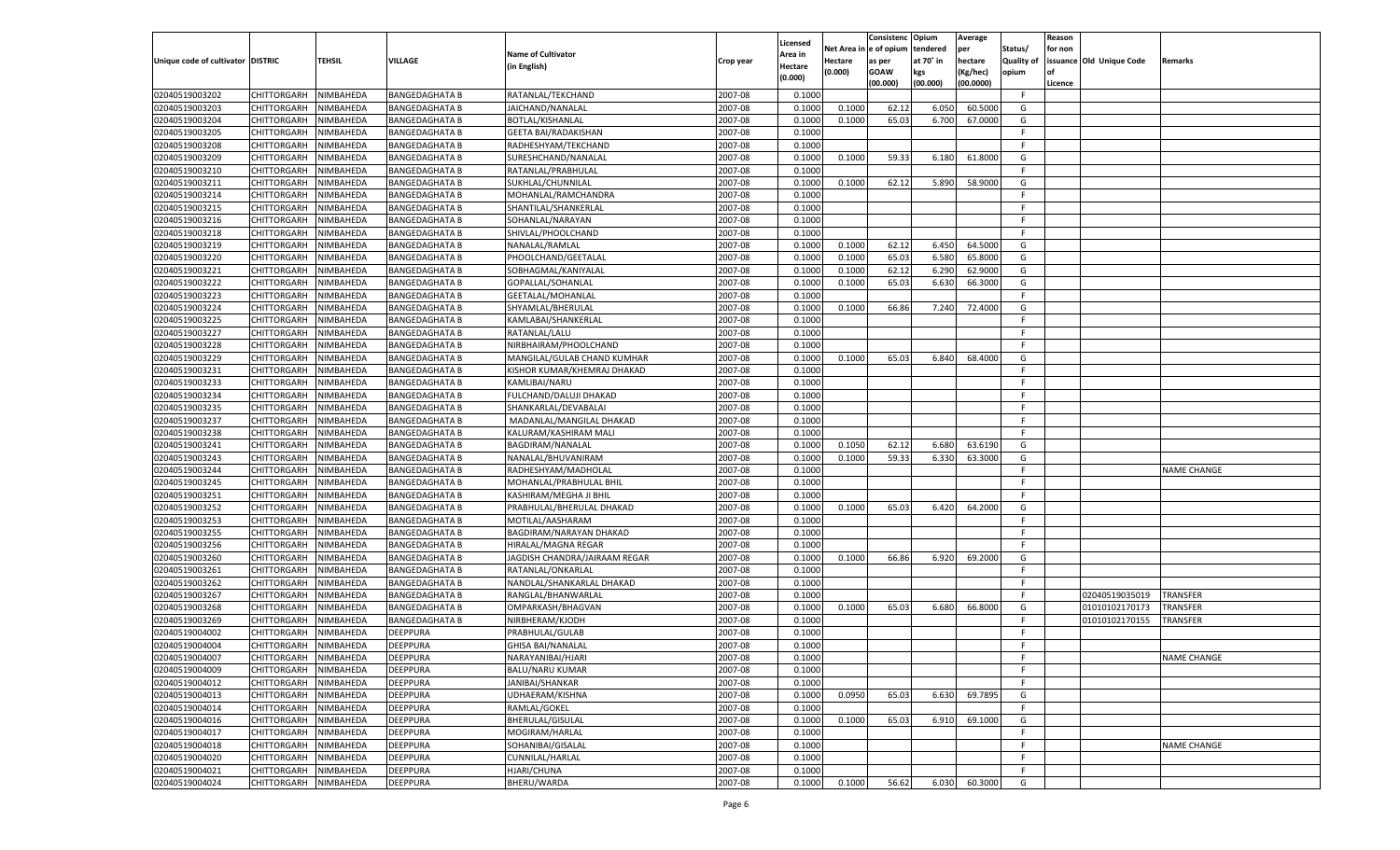|                                   |                       |               |                       |                               |           |                           |          | Consistenc  | Opium     | Average   |                   | Reason  |                          |                    |
|-----------------------------------|-----------------------|---------------|-----------------------|-------------------------------|-----------|---------------------------|----------|-------------|-----------|-----------|-------------------|---------|--------------------------|--------------------|
|                                   |                       |               |                       | <b>Name of Cultivator</b>     |           | Licensed                  | Net Area | e of opium  | tendered  | per       | Status/           | for non |                          |                    |
| Unique code of cultivator DISTRIC |                       | <b>TEHSIL</b> | VILLAGE               | (in English)                  | Crop year | <b>Area in</b><br>Hectare | Hectare  | as per      | at 70˚ in | hectare   | <b>Quality of</b> |         | issuance Old Unique Code | Remarks            |
|                                   |                       |               |                       |                               |           | (0.000)                   | (0.000)  | <b>GOAW</b> | kgs       | (Kg/hec)  | opium             |         |                          |                    |
|                                   |                       |               |                       |                               |           |                           |          | (00.000)    | (00.000)  | (00.0000) |                   | Licence |                          |                    |
| 02040519003202                    | CHITTORGARH           | NIMBAHEDA     | <b>BANGEDAGHATA B</b> | RATANLAL/TEKCHAND             | 2007-08   | 0.1000                    |          |             |           |           | F                 |         |                          |                    |
| 02040519003203                    | CHITTORGARH           | NIMBAHEDA     | <b>BANGEDAGHATA B</b> | JAICHAND/NANALAL              | 2007-08   | 0.1000                    | 0.1000   | 62.12       | 6.050     | 60.5000   | G                 |         |                          |                    |
| 02040519003204                    | CHITTORGARH           | NIMBAHEDA     | <b>BANGEDAGHATA B</b> | BOTLAL/KISHANLAL              | 2007-08   | 0.1000                    | 0.1000   | 65.03       | 6.700     | 67.0000   | G                 |         |                          |                    |
| 02040519003205                    | CHITTORGARH           | NIMBAHEDA     | <b>BANGEDAGHATA B</b> | <b>GEETA BAI/RADAKISHAN</b>   | 2007-08   | 0.1000                    |          |             |           |           | F.                |         |                          |                    |
| 02040519003208                    | CHITTORGARH           | NIMBAHEDA     | <b>BANGEDAGHATA B</b> | RADHESHYAM/TEKCHAND           | 2007-08   | 0.1000                    |          |             |           |           | F.                |         |                          |                    |
| 02040519003209                    | CHITTORGARH           | NIMBAHEDA     | <b>BANGEDAGHATA B</b> | SURESHCHAND/NANALAL           | 2007-08   | 0.1000                    | 0.1000   | 59.33       | 6.180     | 61.8000   | G                 |         |                          |                    |
| 02040519003210                    | CHITTORGARH           | NIMBAHEDA     | <b>BANGEDAGHATA B</b> | RATANLAL/PRABHULAL            | 2007-08   | 0.1000                    |          |             |           |           | F.                |         |                          |                    |
| 02040519003211                    | CHITTORGARH           | NIMBAHEDA     | <b>BANGEDAGHATA B</b> | SUKHLAL/CHUNNILAL             | 2007-08   | 0.1000                    | 0.1000   | 62.12       | 5.890     | 58.9000   | G                 |         |                          |                    |
| 02040519003214                    | CHITTORGARH           | NIMBAHEDA     | <b>BANGEDAGHATA B</b> | MOHANLAL/RAMCHANDRA           | 2007-08   | 0.1000                    |          |             |           |           | F                 |         |                          |                    |
| 02040519003215                    | CHITTORGARH           | NIMBAHEDA     | <b>BANGEDAGHATA B</b> | SHANTILAL/SHANKERLAL          | 2007-08   | 0.1000                    |          |             |           |           | F.                |         |                          |                    |
| 02040519003216                    | CHITTORGARH           | NIMBAHEDA     | <b>BANGEDAGHATA B</b> | SOHANLAL/NARAYAN              | 2007-08   | 0.1000                    |          |             |           |           | F.                |         |                          |                    |
| 02040519003218                    | CHITTORGARH           | NIMBAHEDA     | <b>BANGEDAGHATA B</b> | SHIVLAL/PHOOLCHAND            | 2007-08   | 0.1000                    |          |             |           |           | F.                |         |                          |                    |
| 02040519003219                    | CHITTORGARH           | NIMBAHEDA     | <b>BANGEDAGHATA B</b> | NANALAL/RAMLAL                | 2007-08   | 0.1000                    | 0.1000   | 62.12       | 6.450     | 64.5000   | G                 |         |                          |                    |
| 02040519003220                    | CHITTORGARH           | NIMBAHEDA     | <b>BANGEDAGHATA B</b> | PHOOLCHAND/GEETALAL           | 2007-08   | 0.1000                    | 0.1000   | 65.03       | 6.580     | 65.8000   | G                 |         |                          |                    |
| 02040519003221                    | CHITTORGARH           | NIMBAHEDA     | <b>BANGEDAGHATA B</b> | SOBHAGMAL/KANIYALAL           | 2007-08   | 0.1000                    | 0.1000   | 62.12       | 6.290     | 62.9000   | G                 |         |                          |                    |
| 02040519003222                    | CHITTORGARH           | NIMBAHEDA     | <b>BANGEDAGHATA B</b> | GOPALLAL/SOHANLAL             | 2007-08   | 0.1000                    | 0.1000   | 65.03       | 6.630     | 66.3000   | G                 |         |                          |                    |
| 02040519003223                    | CHITTORGARH           | NIMBAHEDA     | <b>BANGEDAGHATA B</b> | GEETALAL/MOHANLAL             | 2007-08   | 0.1000                    |          |             |           |           | F.                |         |                          |                    |
| 02040519003224                    | CHITTORGARH           | NIMBAHEDA     | <b>BANGEDAGHATA B</b> | SHYAMLAL/BHERULAL             | 2007-08   | 0.1000                    | 0.1000   | 66.86       | 7.240     | 72.4000   | G                 |         |                          |                    |
| 02040519003225                    | CHITTORGARH           | NIMBAHEDA     | <b>BANGEDAGHATA B</b> | KAMLABAI/SHANKERLAL           | 2007-08   | 0.1000                    |          |             |           |           | F.                |         |                          |                    |
| 02040519003227                    | CHITTORGARH           | NIMBAHEDA     | <b>BANGEDAGHATA B</b> | RATANLAL/LALU                 | 2007-08   | 0.1000                    |          |             |           |           | F.                |         |                          |                    |
| 02040519003228                    | CHITTORGARH           | NIMBAHEDA     | <b>BANGEDAGHATA B</b> | NIRBHAIRAM/PHOOLCHAND         | 2007-08   | 0.1000                    |          |             |           |           | F.                |         |                          |                    |
| 02040519003229                    | CHITTORGARH           | NIMBAHEDA     | <b>BANGEDAGHATA B</b> | MANGILAL/GULAB CHAND KUMHAR   | 2007-08   | 0.1000                    | 0.1000   | 65.03       | 6.840     | 68.4000   | G                 |         |                          |                    |
| 02040519003231                    | CHITTORGARH           | NIMBAHEDA     | <b>BANGEDAGHATA B</b> | KISHOR KUMAR/KHEMRAJ DHAKAD   | 2007-08   | 0.1000                    |          |             |           |           | F.                |         |                          |                    |
| 02040519003233                    | CHITTORGARH           | NIMBAHEDA     | <b>BANGEDAGHATA B</b> | KAMLIBAI/NARU                 | 2007-08   | 0.1000                    |          |             |           |           | F.                |         |                          |                    |
| 02040519003234                    | CHITTORGARH           | NIMBAHEDA     | <b>BANGEDAGHATA B</b> | FULCHAND/DALUJI DHAKAD        | 2007-08   | 0.1000                    |          |             |           |           | F.                |         |                          |                    |
| 02040519003235                    | CHITTORGARH           | NIMBAHEDA     | <b>BANGEDAGHATA B</b> | SHANKARLAL/DEVABALAI          | 2007-08   | 0.1000                    |          |             |           |           | F.                |         |                          |                    |
| 02040519003237                    | CHITTORGARH           | NIMBAHEDA     | <b>BANGEDAGHATA B</b> | MADANLAL/MANGILAL DHAKAD      | 2007-08   | 0.1000                    |          |             |           |           | F.                |         |                          |                    |
| 02040519003238                    | CHITTORGARH           | NIMBAHEDA     | <b>BANGEDAGHATA B</b> | KALURAM/KASHIRAM MALI         | 2007-08   | 0.1000                    |          |             |           |           | F.                |         |                          |                    |
| 02040519003241                    | CHITTORGARH           | NIMBAHEDA     | <b>BANGEDAGHATA B</b> | BAGDIRAM/NANALAL              | 2007-08   | 0.1000                    | 0.1050   | 62.12       | 6.680     | 63.6190   | G                 |         |                          |                    |
| 02040519003243                    | CHITTORGARH           | NIMBAHEDA     | <b>BANGEDAGHATA B</b> | NANALAL/BHUVANIRAM            | 2007-08   | 0.1000                    | 0.1000   | 59.33       | 6.330     | 63.3000   | G                 |         |                          |                    |
| 02040519003244                    | CHITTORGARH           | NIMBAHEDA     | <b>BANGEDAGHATA B</b> | RADHESHYAM/MADHOLAL           | 2007-08   | 0.1000                    |          |             |           |           | F.                |         |                          | <b>NAME CHANGE</b> |
| 02040519003245                    | CHITTORGARH           | NIMBAHEDA     | <b>BANGEDAGHATA B</b> | MOHANLAL/PRABHULAL BHIL       | 2007-08   | 0.1000                    |          |             |           |           | F                 |         |                          |                    |
| 02040519003251                    | <b>CHITTORGARH</b>    | NIMBAHEDA     | <b>BANGEDAGHATA B</b> | KASHIRAM/MEGHA JI BHIL        | 2007-08   | 0.1000                    |          |             |           |           | F.                |         |                          |                    |
| 02040519003252                    | CHITTORGARH           | NIMBAHEDA     | <b>BANGEDAGHATA B</b> | PRABHULAL/BHERULAL DHAKAD     | 2007-08   | 0.1000                    | 0.1000   | 65.03       | 6.420     | 64.2000   | G                 |         |                          |                    |
| 02040519003253                    | <b>CHITTORGARH</b>    | NIMBAHEDA     | <b>BANGEDAGHATA B</b> | MOTILAL/AASHARAM              | 2007-08   | 0.1000                    |          |             |           |           | F.                |         |                          |                    |
| 02040519003255                    | CHITTORGARH           | NIMBAHEDA     | <b>BANGEDAGHATA B</b> | BAGDIRAM/NARAYAN DHAKAD       | 2007-08   | 0.1000                    |          |             |           |           | F                 |         |                          |                    |
| 02040519003256                    |                       | NIMBAHEDA     |                       |                               | 2007-08   | 0.1000                    |          |             |           |           | F.                |         |                          |                    |
|                                   | CHITTORGARH           |               | <b>BANGEDAGHATA B</b> | HIRALAL/MAGNA REGAR           |           |                           |          |             |           | 69.2000   |                   |         |                          |                    |
| 02040519003260                    | CHITTORGARH           | NIMBAHEDA     | <b>BANGEDAGHATA B</b> | JAGDISH CHANDRA/JAIRAAM REGAR | 2007-08   | 0.1000                    | 0.1000   | 66.86       | 6.920     |           | G                 |         |                          |                    |
| 02040519003261                    | <b>CHITTORGARH</b>    | NIMBAHEDA     | <b>BANGEDAGHATA B</b> | RATANLAL/ONKARLAL             | 2007-08   | 0.1000                    |          |             |           |           | F.                |         |                          |                    |
| 02040519003262                    | CHITTORGARH           | NIMBAHEDA     | <b>BANGEDAGHATA B</b> | NANDLAL/SHANKARLAL DHAKAD     | 2007-08   | 0.1000                    |          |             |           |           | F                 |         |                          |                    |
| 02040519003267                    | <b>CHITTORGARH</b>    | NIMBAHEDA     | <b>BANGEDAGHATA B</b> | RANGLAL/BHANWARLAL            | 2007-08   | 0.1000                    |          |             |           |           | F.                |         | 02040519035019           | <b>TRANSFER</b>    |
| 02040519003268                    | CHITTORGARH           | NIMBAHEDA     | <b>BANGEDAGHATA B</b> | OMPARKASH/BHAGVAN             | 2007-08   | 0.1000                    | 0.1000   | 65.03       | 6.680     | 66.8000   | G                 |         | 01010102170173           | TRANSFER           |
| 02040519003269                    | CHITTORGARH           | NIMBAHEDA     | <b>BANGEDAGHATA B</b> | NIRBHERAM/KJODH               | 2007-08   | 0.1000                    |          |             |           |           | F.                |         | 01010102170155           | <b>TRANSFER</b>    |
| 02040519004002                    | CHITTORGARH           | NIMBAHEDA     | <b>DEEPPURA</b>       | PRABHULAL/GULAB               | 2007-08   | 0.1000                    |          |             |           |           | F                 |         |                          |                    |
| 02040519004004                    | CHITTORGARH           | NIMBAHEDA     | <b>DEEPPURA</b>       | <b>GHISA BAI/NANALAL</b>      | 2007-08   | 0.1000                    |          |             |           |           | F.                |         |                          |                    |
| 02040519004007                    | CHITTORGARH NIMBAHEDA |               | <b>DEEPPURA</b>       | NARAYANIBAI/HJARI             | 2007-08   | 0.1000                    |          |             |           |           | F.                |         |                          | <b>NAME CHANGE</b> |
| 02040519004009                    | CHITTORGARH           | NIMBAHEDA     | <b>DEEPPURA</b>       | <b>BALU/NARU KUMAR</b>        | 2007-08   | 0.1000                    |          |             |           |           | -F                |         |                          |                    |
| 02040519004012                    | CHITTORGARH           | NIMBAHEDA     | <b>DEEPPURA</b>       | JANIBAI/SHANKAR               | 2007-08   | 0.1000                    |          |             |           |           | F.                |         |                          |                    |
| 02040519004013                    | <b>CHITTORGARH</b>    | NIMBAHEDA     | <b>DEEPPURA</b>       | UDHAERAM/KISHNA               | 2007-08   | 0.1000                    | 0.0950   | 65.03       | 6.630     | 69.7895   | G                 |         |                          |                    |
| 02040519004014                    | <b>CHITTORGARH</b>    | NIMBAHEDA     | <b>DEEPPURA</b>       | RAMLAL/GOKEL                  | 2007-08   | 0.1000                    |          |             |           |           | F.                |         |                          |                    |
| 02040519004016                    | <b>CHITTORGARH</b>    | NIMBAHEDA     | <b>DEEPPURA</b>       | BHERULAL/GISULAL              | 2007-08   | 0.1000                    | 0.1000   | 65.03       | 6.910     | 69.1000   | G                 |         |                          |                    |
| 02040519004017                    | CHITTORGARH           | NIMBAHEDA     | <b>DEEPPURA</b>       | MOGIRAM/HARLAL                | 2007-08   | 0.1000                    |          |             |           |           | F.                |         |                          |                    |
| 02040519004018                    | <b>CHITTORGARH</b>    | NIMBAHEDA     | <b>DEEPPURA</b>       | SOHANIBAI/GISALAL             | 2007-08   | 0.1000                    |          |             |           |           | F                 |         |                          | <b>NAME CHANGE</b> |
| 02040519004020                    | <b>CHITTORGARH</b>    | NIMBAHEDA     | <b>DEEPPURA</b>       | CUNNILAL/HARLAL               | 2007-08   | 0.1000                    |          |             |           |           | F.                |         |                          |                    |
| 02040519004021                    | <b>CHITTORGARH</b>    | NIMBAHEDA     | <b>DEEPPURA</b>       | HJARI/CHUNA                   | 2007-08   | 0.1000                    |          |             |           |           | F                 |         |                          |                    |
| 02040519004024                    | CHITTORGARH           | NIMBAHEDA     | <b>DEEPPURA</b>       | BHERU/WARDA                   | 2007-08   | 0.1000                    | 0.1000   | 56.62       | 6.030     | 60.3000   | G                 |         |                          |                    |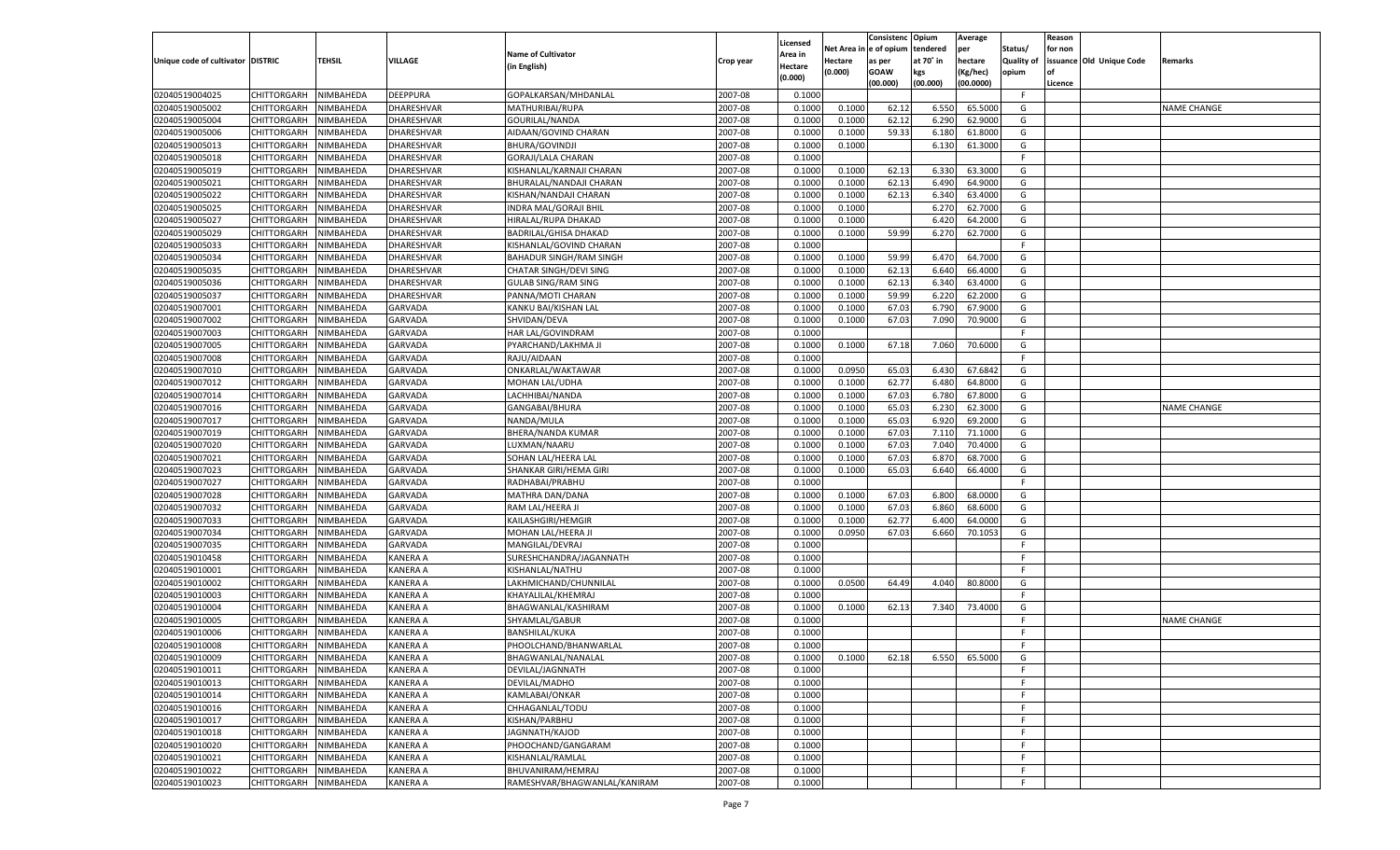|                                   |                       |                        |                 |                                           |           |                     |          | Consistenc  | Opium     | Average   |                   | Reason  |                          |                    |
|-----------------------------------|-----------------------|------------------------|-----------------|-------------------------------------------|-----------|---------------------|----------|-------------|-----------|-----------|-------------------|---------|--------------------------|--------------------|
|                                   |                       |                        |                 | <b>Name of Cultivator</b>                 |           | Licensed<br>\rea in | Net Area | e of opium  | tendered  | per       | Status/           | for non |                          |                    |
| Unique code of cultivator DISTRIC |                       | <b>TEHSIL</b>          | VILLAGE         | (in English)                              | Crop year | Hectare             | Hectare  | as per      | at 70˚ in | hectare   | <b>Quality of</b> |         | issuance Old Unique Code | Remarks            |
|                                   |                       |                        |                 |                                           |           | (0.000)             | (0.000)  | <b>GOAW</b> | kgs       | (Kg/hec)  | opium             |         |                          |                    |
|                                   |                       |                        |                 |                                           |           |                     |          | (00.000)    | (00.000)  | (00.0000) |                   | Licence |                          |                    |
| 02040519004025                    | CHITTORGARH           | NIMBAHEDA              | <b>DEEPPURA</b> | GOPALKARSAN/MHDANLAL                      | 2007-08   | 0.1000              |          |             |           |           | F                 |         |                          |                    |
| 02040519005002                    | CHITTORGARH           | NIMBAHEDA              | DHARESHVAR      | MATHURIBAI/RUPA                           | 2007-08   | 0.1000              | 0.1000   | 62.12       | 6.550     | 65.5000   | G                 |         |                          | <b>NAME CHANGE</b> |
| 02040519005004                    | CHITTORGARH           | NIMBAHEDA              | DHARESHVAR      | GOURILAL/NANDA                            | 2007-08   | 0.1000              | 0.1000   | 62.12       | 6.290     | 62.9000   | G                 |         |                          |                    |
| 02040519005006                    | CHITTORGARH           | NIMBAHEDA              | DHARESHVAR      | AIDAAN/GOVIND CHARAN                      | 2007-08   | 0.1000              | 0.1000   | 59.33       | 6.180     | 61.8000   | G                 |         |                          |                    |
| 02040519005013                    | CHITTORGARH           | NIMBAHEDA              | DHARESHVAR      | BHURA/GOVINDJI                            | 2007-08   | 0.1000              | 0.1000   |             | 6.130     | 61.3000   | G                 |         |                          |                    |
| 02040519005018                    | CHITTORGARH           | NIMBAHEDA              | DHARESHVAR      | GORAJI/LALA CHARAN                        | 2007-08   | 0.1000              |          |             |           |           | F.                |         |                          |                    |
| 02040519005019                    | CHITTORGARH           | NIMBAHEDA              | DHARESHVAR      | KISHANLAL/KARNAJI CHARAN                  | 2007-08   | 0.1000              | 0.1000   | 62.13       | 6.330     | 63.3000   | G                 |         |                          |                    |
| 02040519005021                    | CHITTORGARH           | NIMBAHEDA              | DHARESHVAR      | BHURALAL/NANDAJI CHARAN                   | 2007-08   | 0.1000              | 0.1000   | 62.13       | 6.490     | 64.9000   | G                 |         |                          |                    |
| 02040519005022                    | CHITTORGARH           | NIMBAHEDA              | DHARESHVAR      | KISHAN/NANDAJI CHARAN                     | 2007-08   | 0.1000              | 0.1000   | 62.13       | 6.340     | 63.4000   | G                 |         |                          |                    |
| 02040519005025                    | CHITTORGARH           | NIMBAHEDA              | DHARESHVAR      | INDRA MAL/GORAJI BHIL                     | 2007-08   | 0.1000              | 0.1000   |             | 6.27      | 62.7000   | G                 |         |                          |                    |
| 02040519005027                    | CHITTORGARH           | NIMBAHEDA              | DHARESHVAR      | HIRALAL/RUPA DHAKAD                       | 2007-08   | 0.1000              | 0.1000   |             | 6.420     | 64.2000   | G                 |         |                          |                    |
| 02040519005029                    | CHITTORGARH           | NIMBAHEDA              | DHARESHVAR      | BADRILAL/GHISA DHAKAD                     | 2007-08   | 0.1000              | 0.1000   | 59.99       | 6.27      | 62.7000   | G                 |         |                          |                    |
| 02040519005033                    | CHITTORGARH           | NIMBAHEDA              | DHARESHVAR      | KISHANLAL/GOVIND CHARAN                   | 2007-08   | 0.1000              |          |             |           |           | F.                |         |                          |                    |
| 02040519005034                    | CHITTORGARH           | NIMBAHEDA              | DHARESHVAR      | <b>BAHADUR SINGH/RAM SINGH</b>            | 2007-08   | 0.1000              | 0.1000   | 59.99       | 6.470     | 64.7000   | G                 |         |                          |                    |
| 02040519005035                    | CHITTORGARH           | NIMBAHEDA              | DHARESHVAR      | CHATAR SINGH/DEVI SING                    | 2007-08   | 0.1000              | 0.1000   | 62.13       | 6.640     | 66.4000   | G                 |         |                          |                    |
| 02040519005036                    | CHITTORGARH           | NIMBAHEDA              | DHARESHVAR      | <b>GULAB SING/RAM SING</b>                | 2007-08   | 0.1000              | 0.1000   | 62.13       | 6.340     | 63.4000   | G                 |         |                          |                    |
| 02040519005037                    | CHITTORGARH           | NIMBAHEDA              | DHARESHVAR      | PANNA/MOTI CHARAN                         | 2007-08   | 0.1000              | 0.1000   | 59.99       | 6.220     | 62.2000   | G                 |         |                          |                    |
| 02040519007001                    | CHITTORGARH           | NIMBAHEDA              | <b>GARVADA</b>  | KANKU BAI/KISHAN LAL                      | 2007-08   | 0.1000              | 0.1000   | 67.03       | 6.790     | 67.9000   | G                 |         |                          |                    |
| 02040519007002                    | CHITTORGARH           | NIMBAHEDA              | GARVADA         | SHVIDAN/DEVA                              | 2007-08   | 0.1000              | 0.1000   | 67.03       | 7.090     | 70.9000   | G                 |         |                          |                    |
| 02040519007003                    | CHITTORGARH           | NIMBAHEDA              | <b>GARVADA</b>  | HAR LAL/GOVINDRAM                         | 2007-08   | 0.1000              |          |             |           |           | F.                |         |                          |                    |
| 02040519007005                    | CHITTORGARH           | NIMBAHEDA              | GARVADA         | PYARCHAND/LAKHMA JI                       | 2007-08   | 0.1000              | 0.1000   | 67.18       | 7.060     | 70.6000   | G                 |         |                          |                    |
| 02040519007008                    | CHITTORGARH           | NIMBAHEDA              | GARVADA         | RAJU/AIDAAN                               | 2007-08   | 0.1000              |          |             |           |           | F.                |         |                          |                    |
| 02040519007010                    | CHITTORGARH           | NIMBAHEDA              | GARVADA         | ONKARLAL/WAKTAWAR                         | 2007-08   | 0.1000              | 0.0950   | 65.03       | 6.430     | 67.6842   | G                 |         |                          |                    |
| 02040519007012                    | CHITTORGARH           | NIMBAHEDA              | <b>GARVADA</b>  | MOHAN LAL/UDHA                            | 2007-08   | 0.1000              | 0.1000   | 62.77       | 6.480     | 64.8000   | G                 |         |                          |                    |
| 02040519007014                    | CHITTORGARH           | NIMBAHEDA              | GARVADA         | LACHHIBAI/NANDA                           | 2007-08   | 0.1000              | 0.1000   | 67.03       | 6.780     | 67.8000   | G                 |         |                          |                    |
| 02040519007016                    | CHITTORGARH           | NIMBAHEDA              | GARVADA         | GANGABAI/BHURA                            | 2007-08   | 0.1000              | 0.1000   | 65.03       | 6.230     | 62.3000   | G                 |         |                          | <b>NAME CHANGE</b> |
| 02040519007017                    | CHITTORGARH           | NIMBAHEDA              | GARVADA         | NANDA/MULA                                | 2007-08   | 0.1000              | 0.1000   | 65.03       | 6.920     | 69.2000   | G                 |         |                          |                    |
| 02040519007019                    | CHITTORGARH           | NIMBAHEDA              | <b>GARVADA</b>  | BHERA/NANDA KUMAR                         | 2007-08   | 0.1000              | 0.1000   | 67.03       | 7.110     | 71.1000   | G                 |         |                          |                    |
| 02040519007020                    | CHITTORGARH           | NIMBAHEDA              | GARVADA         | LUXMAN/NAARU                              | 2007-08   | 0.1000              | 0.1000   | 67.03       | 7.040     | 70.4000   | G                 |         |                          |                    |
| 02040519007021                    | CHITTORGARH           | NIMBAHEDA              | GARVADA         | SOHAN LAL/HEERA LAL                       | 2007-08   | 0.1000              | 0.1000   | 67.03       | 6.870     | 68.7000   | G                 |         |                          |                    |
| 02040519007023                    | CHITTORGARH           | NIMBAHEDA              | GARVADA         | SHANKAR GIRI/HEMA GIRI                    | 2007-08   | 0.1000              | 0.1000   | 65.03       | 6.640     | 66.4000   | G                 |         |                          |                    |
| 02040519007027                    | CHITTORGARH           | NIMBAHEDA              | <b>GARVADA</b>  | RADHABAI/PRABHU                           | 2007-08   | 0.1000              |          |             |           |           | F                 |         |                          |                    |
| 02040519007028                    | <b>CHITTORGARH</b>    | NIMBAHEDA              | GARVADA         | MATHRA DAN/DANA                           | 2007-08   | 0.1000              | 0.1000   | 67.03       | 6.800     | 68.0000   | G                 |         |                          |                    |
| 02040519007032                    | CHITTORGARH           | NIMBAHEDA              | GARVADA         | RAM LAL/HEERA JI                          | 2007-08   | 0.1000              | 0.1000   | 67.03       | 6.860     | 68.6000   | G                 |         |                          |                    |
| 02040519007033                    | <b>CHITTORGARH</b>    | NIMBAHEDA              | GARVADA         | KAILASHGIRI/HEMGIR                        | 2007-08   | 0.1000              | 0.1000   | 62.77       | 6.400     | 64.0000   | G                 |         |                          |                    |
| 02040519007034                    | CHITTORGARH           | NIMBAHEDA              | <b>GARVADA</b>  | MOHAN LAL/HEERA J                         | 2007-08   | 0.1000              | 0.0950   | 67.03       | 6.660     | 70.1053   | G                 |         |                          |                    |
| 02040519007035                    | CHITTORGARH           | NIMBAHEDA              | GARVADA         | MANGILAL/DEVRAJ                           | 2007-08   | 0.1000              |          |             |           |           | F.                |         |                          |                    |
| 02040519010458                    | CHITTORGARH           | NIMBAHEDA              | KANERA A        | SURESHCHANDRA/JAGANNATH                   | 2007-08   | 0.1000              |          |             |           |           | F                 |         |                          |                    |
| 02040519010001                    |                       | NIMBAHEDA              | KANERA A        |                                           | 2007-08   | 0.1000              |          |             |           |           | F.                |         |                          |                    |
| 02040519010002                    | <b>CHITTORGARH</b>    |                        | KANERA A        | KISHANLAL/NATHU                           | 2007-08   | 0.1000              | 0.0500   | 64.49       | 4.040     | 80.8000   | G                 |         |                          |                    |
|                                   | CHITTORGARH           | NIMBAHEDA              |                 | LAKHMICHAND/CHUNNILAL                     | 2007-08   | 0.1000              |          |             |           |           | F.                |         |                          |                    |
| 02040519010003                    | <b>CHITTORGARH</b>    | NIMBAHEDA              | KANERA A        | KHAYALILAL/KHEMRAJ<br>BHAGWANLAL/KASHIRAM |           |                     |          |             |           | 73.4000   |                   |         |                          |                    |
| 02040519010004                    | CHITTORGARH           | NIMBAHEDA<br>NIMBAHEDA | KANERA A        |                                           | 2007-08   | 0.1000              | 0.1000   | 62.13       | 7.340     |           | G<br>F.           |         |                          |                    |
| 02040519010005                    | CHITTORGARH           |                        | KANERA A        | SHYAMLAL/GABUR                            | 2007-08   | 0.1000              |          |             |           |           |                   |         |                          | <b>NAME CHANGE</b> |
| 02040519010006                    | CHITTORGARH           | NIMBAHEDA              | KANERA A        | BANSHILAL/KUKA                            | 2007-08   | 0.1000              |          |             |           |           | F                 |         |                          |                    |
| 02040519010008                    | CHITTORGARH           | NIMBAHEDA              | KANERA A        | PHOOLCHAND/BHANWARLAL                     | 2007-08   | 0.1000              |          |             |           |           | F                 |         |                          |                    |
| 02040519010009                    | CHITTORGARH NIMBAHEDA |                        | <b>KANERA A</b> | BHAGWANLAL/NANALAL                        | 2007-08   | 0.1000              | 0.1000   | 62.18       | 6.550     | 65.5000   | G                 |         |                          |                    |
| 02040519010011                    | <b>CHITTORGARH</b>    | NIMBAHEDA              | <b>KANERA A</b> | DEVILAL/JAGNNATH                          | 2007-08   | 0.1000              |          |             |           |           | -F                |         |                          |                    |
| 02040519010013                    | CHITTORGARH           | NIMBAHEDA              | <b>KANERA A</b> | DEVILAL/MADHO                             | 2007-08   | 0.1000              |          |             |           |           | F.                |         |                          |                    |
| 02040519010014                    | <b>CHITTORGARH</b>    | NIMBAHEDA              | <b>KANERA A</b> | KAMLABAI/ONKAR                            | 2007-08   | 0.1000              |          |             |           |           | F.                |         |                          |                    |
| 02040519010016                    | <b>CHITTORGARH</b>    | NIMBAHEDA              | <b>KANERA A</b> | CHHAGANLAL/TODU                           | 2007-08   | 0.1000              |          |             |           |           | F.                |         |                          |                    |
| 02040519010017                    | <b>CHITTORGARH</b>    | NIMBAHEDA              | <b>KANERA A</b> | KISHAN/PARBHU                             | 2007-08   | 0.1000              |          |             |           |           | F                 |         |                          |                    |
| 02040519010018                    | <b>CHITTORGARH</b>    | NIMBAHEDA              | <b>KANERA A</b> | JAGNNATH/KAJOD                            | 2007-08   | 0.1000              |          |             |           |           | F                 |         |                          |                    |
| 02040519010020                    | <b>CHITTORGARH</b>    | NIMBAHEDA              | <b>KANERA A</b> | PHOOCHAND/GANGARAM                        | 2007-08   | 0.1000              |          |             |           |           | F.                |         |                          |                    |
| 02040519010021                    | <b>CHITTORGARH</b>    | NIMBAHEDA              | KANERA A        | KISHANLAL/RAMLAL                          | 2007-08   | 0.1000              |          |             |           |           | F.                |         |                          |                    |
| 02040519010022                    | <b>CHITTORGARH</b>    | NIMBAHEDA              | <b>KANERA A</b> | BHUVANIRAM/HEMRAJ                         | 2007-08   | 0.1000              |          |             |           |           | F.                |         |                          |                    |
| 02040519010023                    | CHITTORGARH           | NIMBAHEDA              | <b>KANERA A</b> | RAMESHVAR/BHAGWANLAL/KANIRAM              | 2007-08   | 0.1000              |          |             |           |           | F.                |         |                          |                    |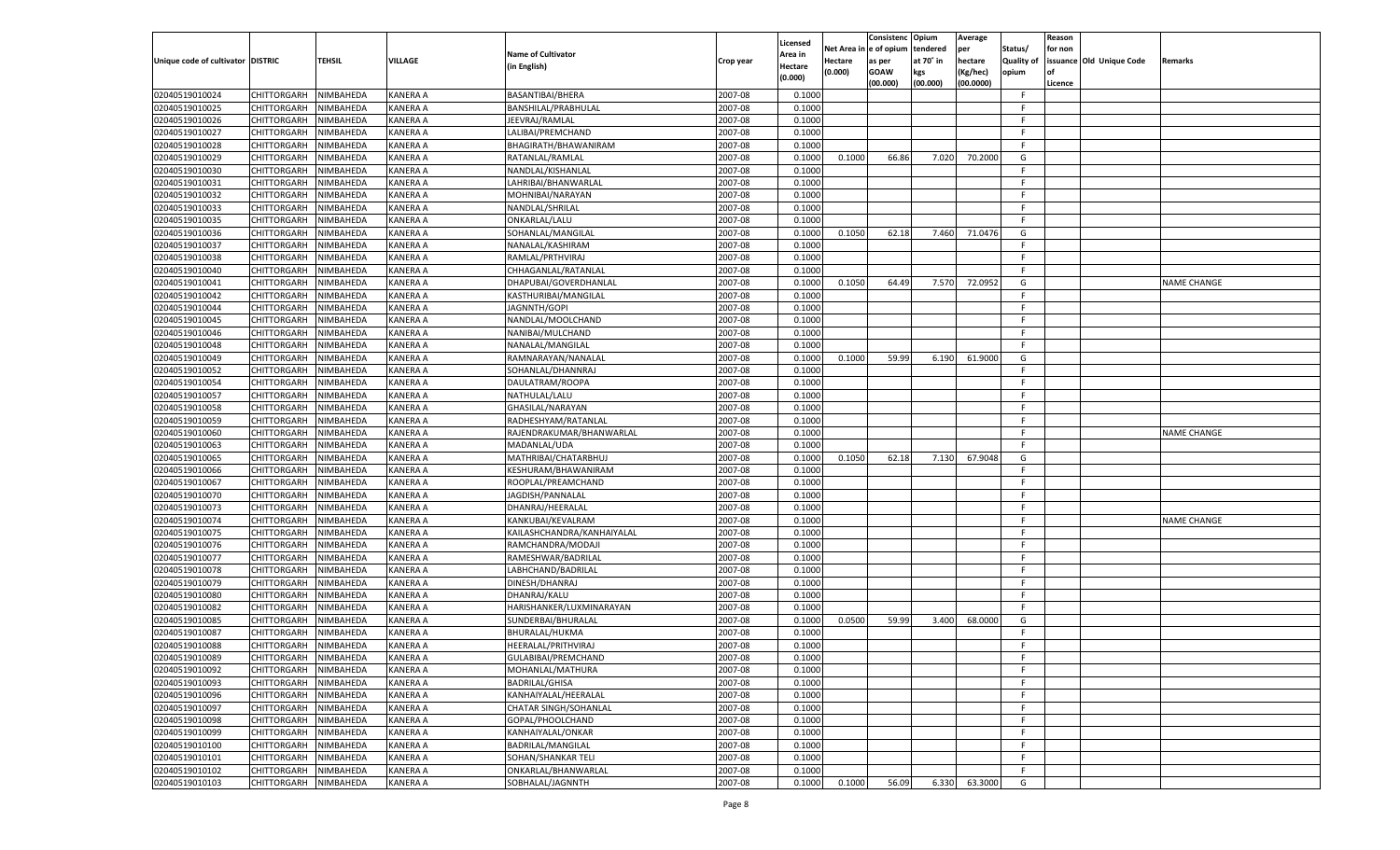|                                   |                                          |                        |                 |                            |           |                     |          | Consistenc  | Opium     | Average   |                   | Reason  |                          |                    |
|-----------------------------------|------------------------------------------|------------------------|-----------------|----------------------------|-----------|---------------------|----------|-------------|-----------|-----------|-------------------|---------|--------------------------|--------------------|
|                                   |                                          |                        |                 | <b>Name of Cultivator</b>  |           | Licensed<br>\rea in | Net Area | e of opium  | tendered  | per       | Status/           | for non |                          |                    |
| Unique code of cultivator DISTRIC |                                          | <b>TEHSIL</b>          | VILLAGE         | (in English)               | Crop year | Hectare             | Hectare  | as per      | at 70˚ in | hectare   | <b>Quality of</b> |         | issuance Old Unique Code | Remarks            |
|                                   |                                          |                        |                 |                            |           | (0.000)             | (0.000)  | <b>GOAW</b> | kgs       | (Kg/hec)  | opium             |         |                          |                    |
|                                   |                                          |                        |                 |                            |           |                     |          | (00.000)    | (00.000)  | (00.0000) |                   | Licence |                          |                    |
| 02040519010024                    | CHITTORGARH                              | NIMBAHEDA              | <b>KANERA A</b> | BASANTIBAI/BHERA           | 2007-08   | 0.1000              |          |             |           |           | F.                |         |                          |                    |
| 02040519010025                    | CHITTORGARH                              | NIMBAHEDA              | KANERA A        | BANSHILAL/PRABHULAL        | 2007-08   | 0.1000              |          |             |           |           | F.                |         |                          |                    |
| 02040519010026                    | CHITTORGARH                              | NIMBAHEDA              | KANERA A        | JEEVRAJ/RAMLAL             | 2007-08   | 0.1000              |          |             |           |           | F.                |         |                          |                    |
| 02040519010027                    | CHITTORGARH                              | NIMBAHEDA              | KANERA A        | LALIBAI/PREMCHAND          | 2007-08   | 0.1000              |          |             |           |           | F.                |         |                          |                    |
| 02040519010028                    | CHITTORGARH                              | NIMBAHEDA              | KANERA A        | BHAGIRATH/BHAWANIRAM       | 2007-08   | 0.1000              |          |             |           |           | F.                |         |                          |                    |
| 02040519010029                    | CHITTORGARH                              | NIMBAHEDA              | KANERA A        | RATANLAL/RAMLAL            | 2007-08   | 0.1000              | 0.1000   | 66.86       | 7.020     | 70.2000   | G                 |         |                          |                    |
| 02040519010030                    | CHITTORGARH                              | NIMBAHEDA              | KANERA A        | NANDLAL/KISHANLAI          | 2007-08   | 0.1000              |          |             |           |           | F.                |         |                          |                    |
| 02040519010031                    | CHITTORGARH                              | NIMBAHEDA              | KANERA A        | LAHRIBAI/BHANWARLAL        | 2007-08   | 0.1000              |          |             |           |           | F.                |         |                          |                    |
| 02040519010032                    | CHITTORGARH                              | NIMBAHEDA              | KANERA A        | MOHNIBAI/NARAYAN           | 2007-08   | 0.1000              |          |             |           |           | F.                |         |                          |                    |
| 02040519010033                    | CHITTORGARH                              | NIMBAHEDA              | KANERA A        | NANDLAL/SHRILAL            | 2007-08   | 0.1000              |          |             |           |           | F.                |         |                          |                    |
| 02040519010035                    | CHITTORGARH                              | NIMBAHEDA              | KANERA A        | ONKARLAL/LALU              | 2007-08   | 0.1000              |          |             |           |           | F.                |         |                          |                    |
| 02040519010036                    | CHITTORGARH                              | NIMBAHEDA              | KANERA A        | SOHANLAL/MANGILAL          | 2007-08   | 0.1000              | 0.1050   | 62.18       | 7.460     | 71.0476   | G                 |         |                          |                    |
| 02040519010037                    | CHITTORGARH                              | NIMBAHEDA              | KANERA A        | NANALAL/KASHIRAM           | 2007-08   | 0.1000              |          |             |           |           | F.                |         |                          |                    |
| 02040519010038                    | CHITTORGARH                              | NIMBAHEDA              | KANERA A        | RAMLAL/PRTHVIRAJ           | 2007-08   | 0.1000              |          |             |           |           | F.                |         |                          |                    |
| 02040519010040                    | CHITTORGARH                              | NIMBAHEDA              | KANERA A        | CHHAGANLAL/RATANLAL        | 2007-08   | 0.1000              |          |             |           |           | F.                |         |                          |                    |
| 02040519010041                    | CHITTORGARH                              | NIMBAHEDA              | KANERA A        | DHAPUBAI/GOVERDHANLAL      | 2007-08   | 0.1000              | 0.1050   | 64.49       | 7.570     | 72.0952   | G                 |         |                          | <b>NAME CHANGE</b> |
| 02040519010042                    | CHITTORGARH                              | NIMBAHEDA              | KANERA A        | KASTHURIBAI/MANGILAI       | 2007-08   | 0.1000              |          |             |           |           | F.                |         |                          |                    |
| 02040519010044                    | CHITTORGARH                              | NIMBAHEDA              | KANERA A        | JAGNNTH/GOPI               | 2007-08   | 0.1000              |          |             |           |           | F.                |         |                          |                    |
| 02040519010045                    | CHITTORGARH                              | NIMBAHEDA              | KANERA A        | NANDLAL/MOOLCHAND          | 2007-08   | 0.1000              |          |             |           |           | F.                |         |                          |                    |
| 02040519010046                    | CHITTORGARH                              | NIMBAHEDA              | KANERA A        | NANIBAI/MULCHAND           | 2007-08   | 0.1000              |          |             |           |           | F.                |         |                          |                    |
| 02040519010048                    | CHITTORGARH                              | NIMBAHEDA              | KANERA A        | NANALAL/MANGILAL           | 2007-08   | 0.1000              |          |             |           |           | F.                |         |                          |                    |
| 02040519010049                    | CHITTORGARH                              | NIMBAHEDA              | KANERA A        | RAMNARAYAN/NANALAI         | 2007-08   | 0.1000              | 0.1000   | 59.99       | 6.190     | 61.9000   | G                 |         |                          |                    |
| 02040519010052                    | <b>CHITTORGARH</b>                       | NIMBAHEDA              | KANERA A        | SOHANLAL/DHANNRAJ          | 2007-08   | 0.1000              |          |             |           |           | F.                |         |                          |                    |
| 02040519010054                    | CHITTORGARH                              | NIMBAHEDA              | KANERA A        | DAULATRAM/ROOPA            | 2007-08   | 0.1000              |          |             |           |           | F.                |         |                          |                    |
| 02040519010057                    | CHITTORGARH                              | NIMBAHEDA              | KANERA A        | NATHULAL/LALU              | 2007-08   | 0.1000              |          |             |           |           | F.                |         |                          |                    |
| 02040519010058                    | CHITTORGARH                              | NIMBAHEDA              | KANERA A        | GHASILAL/NARAYAN           | 2007-08   | 0.1000              |          |             |           |           | F.                |         |                          |                    |
| 02040519010059                    | CHITTORGARH                              | NIMBAHEDA              | KANERA A        | RADHESHYAM/RATANLAL        | 2007-08   | 0.1000              |          |             |           |           | F.                |         |                          |                    |
| 02040519010060                    | CHITTORGARH                              | NIMBAHEDA              | KANERA A        | RAJENDRAKUMAR/BHANWARLAL   | 2007-08   | 0.1000              |          |             |           |           | F.                |         |                          | <b>NAME CHANGE</b> |
| 02040519010063                    | CHITTORGARH                              | NIMBAHEDA              | KANERA A        | MADANLAL/UDA               | 2007-08   | 0.1000              |          |             |           |           | F.                |         |                          |                    |
| 02040519010065                    | CHITTORGARH                              | NIMBAHEDA              | KANERA A        | MATHRIBAI/CHATARBHUJ       | 2007-08   | 0.1000              | 0.1050   | 62.18       | 7.130     | 67.9048   | G                 |         |                          |                    |
| 02040519010066                    | CHITTORGARH                              | NIMBAHEDA              | KANERA A        | KESHURAM/BHAWANIRAM        | 2007-08   | 0.1000              |          |             |           |           | F.                |         |                          |                    |
| 02040519010067                    | CHITTORGARH                              | NIMBAHEDA              | KANERA A        | ROOPLAL/PREAMCHAND         | 2007-08   | 0.1000              |          |             |           |           | F                 |         |                          |                    |
| 02040519010070                    | CHITTORGARH                              | NIMBAHEDA              | KANERA A        | JAGDISH/PANNALAL           | 2007-08   | 0.1000              |          |             |           |           | F.                |         |                          |                    |
| 02040519010073                    | CHITTORGARH                              | NIMBAHEDA              | KANERA A        | DHANRAJ/HEERALAL           | 2007-08   | 0.1000              |          |             |           |           | F.                |         |                          |                    |
| 02040519010074                    | <b>CHITTORGARH</b>                       | NIMBAHEDA              | KANERA A        | KANKUBAI/KEVALRAM          | 2007-08   | 0.1000              |          |             |           |           | F.                |         |                          | <b>NAME CHANGE</b> |
| 02040519010075                    | CHITTORGARH                              | NIMBAHEDA              | KANERA A        | KAILASHCHANDRA/KANHAIYALAL | 2007-08   | 0.1000              |          |             |           |           | F                 |         |                          |                    |
| 02040519010076                    | CHITTORGARH                              | NIMBAHEDA              | KANERA A        | RAMCHANDRA/MODAJI          | 2007-08   | 0.1000              |          |             |           |           | F                 |         |                          |                    |
| 02040519010077                    | CHITTORGARH                              | NIMBAHEDA              | KANERA A        | RAMESHWAR/BADRILAL         | 2007-08   | 0.1000              |          |             |           |           | F                 |         |                          |                    |
| 02040519010078                    | CHITTORGARH                              | NIMBAHEDA              | KANERA A        | LABHCHAND/BADRILAL         | 2007-08   | 0.1000              |          |             |           |           | F.                |         |                          |                    |
| 02040519010079                    | CHITTORGARH                              | NIMBAHEDA              | KANERA A        | DINESH/DHANRAJ             | 2007-08   | 0.1000              |          |             |           |           | F                 |         |                          |                    |
| 02040519010080                    | CHITTORGARH                              | NIMBAHEDA              | KANERA A        | DHANRAJ/KALU               | 2007-08   | 0.1000              |          |             |           |           | F                 |         |                          |                    |
| 02040519010082                    | CHITTORGARH                              | NIMBAHEDA              | KANERA A        | HARISHANKER/LUXMINARAYAN   | 2007-08   | 0.1000              |          |             |           |           | F                 |         |                          |                    |
| 02040519010085                    | CHITTORGARH                              | NIMBAHEDA              | KANERA A        | SUNDERBAI/BHURALAL         | 2007-08   | 0.1000              | 0.0500   | 59.99       | 3.400     | 68.0000   | G                 |         |                          |                    |
| 02040519010087                    | CHITTORGARH                              | NIMBAHEDA              | KANERA A        | BHURALAL/HUKMA             | 2007-08   | 0.1000              |          |             |           |           | F                 |         |                          |                    |
| 02040519010088                    | CHITTORGARH                              | NIMBAHEDA              | KANERA A        | HEERALAL/PRITHVIRAJ        | 2007-08   | 0.1000              |          |             |           |           | F                 |         |                          |                    |
| 02040519010089                    | CHITTORGARH NIMBAHEDA                    |                        | <b>KANERA A</b> | GULABIBAI/PREMCHAND        | 2007-08   | 0.1000              |          |             |           |           | F                 |         |                          |                    |
| 02040519010092                    | <b>CHITTORGARH</b>                       | NIMBAHEDA              | <b>KANERA A</b> | MOHANLAL/MATHURA           | 2007-08   | 0.1000              |          |             |           |           | F.                |         |                          |                    |
| 02040519010093                    | CHITTORGARH                              | NIMBAHEDA              | <b>KANERA A</b> | <b>BADRILAL/GHISA</b>      | 2007-08   | 0.1000              |          |             |           |           | F.                |         |                          |                    |
| 02040519010096                    | <b>CHITTORGARH</b>                       | NIMBAHEDA              | <b>KANERA A</b> | KANHAIYALAL/HEERALAL       | 2007-08   | 0.1000              |          |             |           |           | F.                |         |                          |                    |
| 02040519010097                    | <b>CHITTORGARH</b>                       | NIMBAHEDA              | <b>KANERA A</b> | CHATAR SINGH/SOHANLAL      | 2007-08   | 0.1000              |          |             |           |           | F.                |         |                          |                    |
| 02040519010098                    | <b>CHITTORGARH</b>                       | NIMBAHEDA              | <b>KANERA A</b> | GOPAL/PHOOLCHAND           | 2007-08   | 0.1000              |          |             |           |           | F                 |         |                          |                    |
| 02040519010099                    | <b>CHITTORGARH</b>                       | NIMBAHEDA              | <b>KANERA A</b> | KANHAIYALAL/ONKAR          | 2007-08   | 0.1000              |          |             |           |           | F.                |         |                          |                    |
|                                   |                                          | NIMBAHEDA              | <b>KANERA A</b> |                            | 2007-08   | 0.1000              |          |             |           |           | F.                |         |                          |                    |
| 02040519010100                    | <b>CHITTORGARH</b><br><b>CHITTORGARH</b> |                        |                 | BADRILAL/MANGILAL          |           |                     |          |             |           |           | F.                |         |                          |                    |
| 02040519010101                    |                                          | NIMBAHEDA<br>NIMBAHEDA | KANERA A        | SOHAN/SHANKAR TELI         | 2007-08   | 0.1000              |          |             |           |           |                   |         |                          |                    |
| 02040519010102                    | <b>CHITTORGARH</b>                       |                        | <b>KANERA A</b> | ONKARLAL/BHANWARLAL        | 2007-08   | 0.1000              |          |             |           |           | F.                |         |                          |                    |
| 02040519010103                    | <b>CHITTORGARH</b>                       | NIMBAHEDA              | <b>KANERA A</b> | SOBHALAL/JAGNNTH           | 2007-08   | 0.1000              | 0.1000   | 56.09       | 6.330     | 63.3000   | G                 |         |                          |                    |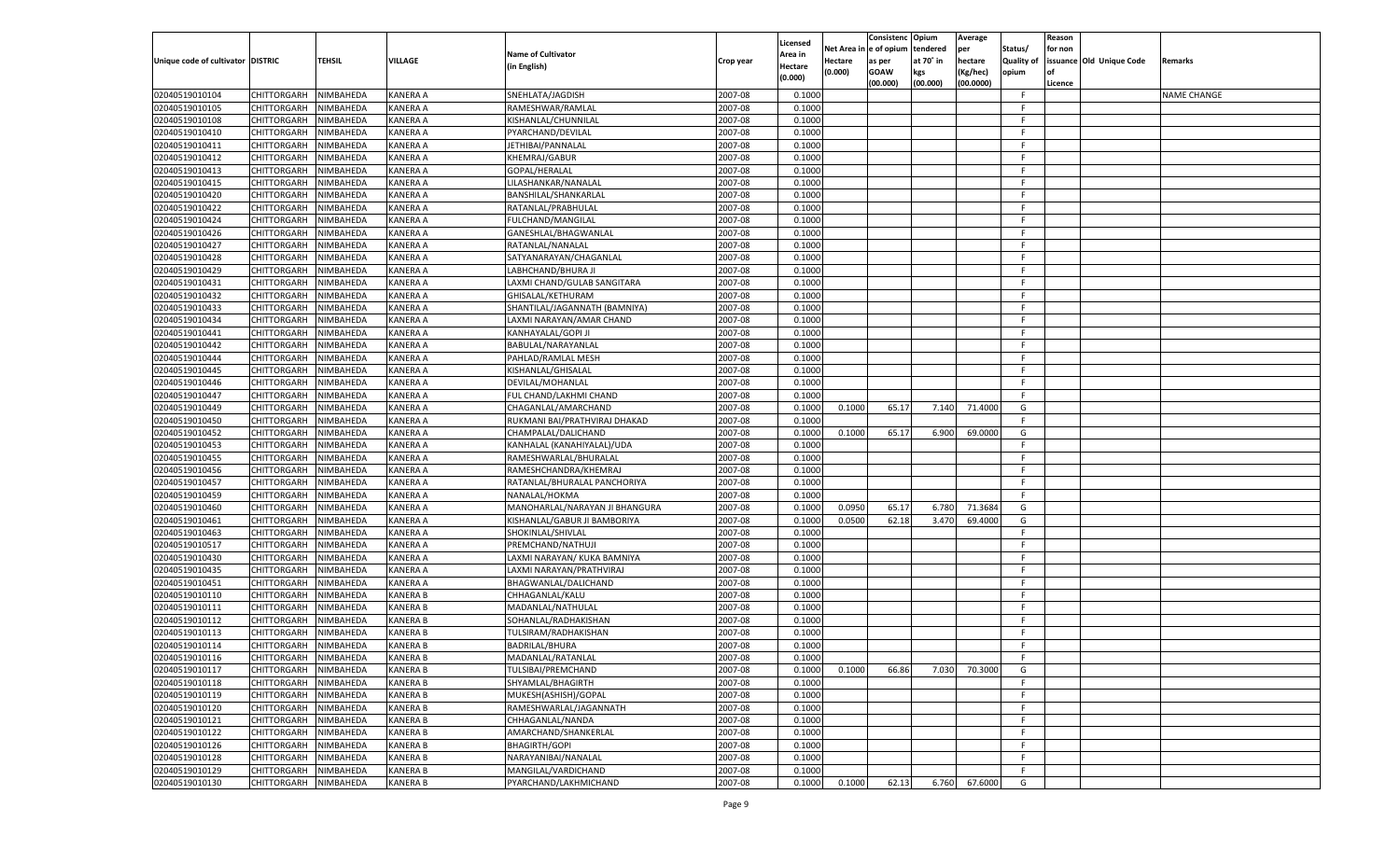|                                   |                       |                  |                 |                                |           |                     |         | Consistenc             | Opium     | Average   |            | Reason  |                          |                    |
|-----------------------------------|-----------------------|------------------|-----------------|--------------------------------|-----------|---------------------|---------|------------------------|-----------|-----------|------------|---------|--------------------------|--------------------|
|                                   |                       |                  |                 | <b>Name of Cultivator</b>      |           | Licensed<br>Area in |         | Net Area in e of opium | tendered  | per       | Status/    | for non |                          |                    |
| Unique code of cultivator DISTRIC |                       | <b>TEHSIL</b>    | VILLAGE         | (in English)                   | Crop year | Hectare             | Hectare | as per                 | at 70° in | hectare   | Quality of |         | issuance Old Unique Code | Remarks            |
|                                   |                       |                  |                 |                                |           | (0.000)             | (0.000) | <b>GOAW</b>            | kgs       | Kg/hec)   | opium      |         |                          |                    |
|                                   |                       |                  |                 |                                |           |                     |         | (00.000)               | (00.000)  | (00.0000) |            | Licence |                          |                    |
| 02040519010104                    | CHITTORGARH           | NIMBAHEDA        | <b>KANERA A</b> | SNEHLATA/JAGDISH               | 2007-08   | 0.1000              |         |                        |           |           | F.         |         |                          | <b>NAME CHANGE</b> |
| 02040519010105                    | <b>CHITTORGARH</b>    | NIMBAHEDA        | <b>KANERA A</b> | RAMESHWAR/RAMLAL               | 2007-08   | 0.1000              |         |                        |           |           | F.         |         |                          |                    |
| 02040519010108                    | <b>CHITTORGARH</b>    | NIMBAHEDA        | <b>KANERA A</b> | KISHANLAL/CHUNNILAL            | 2007-08   | 0.1000              |         |                        |           |           | F.         |         |                          |                    |
| 02040519010410                    | <b>CHITTORGARH</b>    | NIMBAHEDA        | <b>KANERA A</b> | PYARCHAND/DEVILAL              | 2007-08   | 0.1000              |         |                        |           |           | F.         |         |                          |                    |
| 02040519010411                    | <b>CHITTORGARH</b>    | NIMBAHEDA        | <b>KANERA A</b> | JETHIBAI/PANNALAL              | 2007-08   | 0.1000              |         |                        |           |           | F.         |         |                          |                    |
| 02040519010412                    | <b>CHITTORGARH</b>    | NIMBAHEDA        | <b>KANERA A</b> | KHEMRAJ/GABUR                  | 2007-08   | 0.1000              |         |                        |           |           | F.         |         |                          |                    |
| 02040519010413                    | <b>CHITTORGARH</b>    | NIMBAHEDA        | <b>KANERA A</b> | GOPAL/HERALAL                  | 2007-08   | 0.1000              |         |                        |           |           | F.         |         |                          |                    |
| 02040519010415                    | <b>CHITTORGARH</b>    | NIMBAHEDA        | <b>KANERA A</b> | LILASHANKAR/NANALAL            | 2007-08   | 0.1000              |         |                        |           |           | F.         |         |                          |                    |
| 02040519010420                    | <b>CHITTORGARH</b>    | NIMBAHEDA        | <b>KANERA A</b> | BANSHILAL/SHANKARLAL           | 2007-08   | 0.1000              |         |                        |           |           | F.         |         |                          |                    |
| 02040519010422                    | <b>CHITTORGARH</b>    | NIMBAHEDA        | <b>KANERA A</b> | RATANLAL/PRABHULAL             | 2007-08   | 0.1000              |         |                        |           |           | F.         |         |                          |                    |
| 02040519010424                    | <b>CHITTORGARH</b>    | NIMBAHEDA        | <b>KANERA A</b> | FULCHAND/MANGILAL              | 2007-08   | 0.1000              |         |                        |           |           | F.         |         |                          |                    |
| 02040519010426                    | <b>CHITTORGARH</b>    | NIMBAHEDA        | <b>KANERA A</b> | GANESHLAL/BHAGWANLAL           | 2007-08   | 0.1000              |         |                        |           |           | F.         |         |                          |                    |
| 02040519010427                    | <b>CHITTORGARH</b>    | NIMBAHEDA        | <b>KANERA A</b> | RATANLAL/NANALAL               | 2007-08   | 0.1000              |         |                        |           |           | F.         |         |                          |                    |
| 02040519010428                    | <b>CHITTORGARH</b>    | NIMBAHEDA        | <b>KANERA A</b> | SATYANARAYAN/CHAGANLAL         | 2007-08   | 0.1000              |         |                        |           |           | F.         |         |                          |                    |
| 02040519010429                    | <b>CHITTORGARH</b>    | NIMBAHEDA        | <b>KANERA A</b> | LABHCHAND/BHURA JI             | 2007-08   | 0.1000              |         |                        |           |           | F.         |         |                          |                    |
| 02040519010431                    | CHITTORGARH           | NIMBAHEDA        | <b>KANERA A</b> | LAXMI CHAND/GULAB SANGITARA    | 2007-08   | 0.1000              |         |                        |           |           | F          |         |                          |                    |
| 02040519010432                    | <b>CHITTORGARH</b>    | NIMBAHEDA        | <b>KANERA A</b> | GHISALAL/KETHURAM              | 2007-08   | 0.1000              |         |                        |           |           | F.         |         |                          |                    |
| 02040519010433                    | CHITTORGARH           | NIMBAHEDA        | <b>KANERA A</b> | SHANTILAL/JAGANNATH (BAMNIYA)  | 2007-08   | 0.1000              |         |                        |           |           | F.         |         |                          |                    |
| 02040519010434                    | <b>CHITTORGARH</b>    | NIMBAHEDA        | <b>KANERA A</b> | LAXMI NARAYAN/AMAR CHAND       | 2007-08   | 0.1000              |         |                        |           |           | F.         |         |                          |                    |
| 02040519010441                    | CHITTORGARH           | NIMBAHEDA        | <b>KANERA A</b> | KANHAYALAL/GOPI JI             | 2007-08   | 0.1000              |         |                        |           |           | F          |         |                          |                    |
| 02040519010442                    | <b>CHITTORGARH</b>    | NIMBAHEDA        | <b>KANERA A</b> | BABULAL/NARAYANLAL             | 2007-08   | 0.1000              |         |                        |           |           | F.         |         |                          |                    |
|                                   |                       |                  |                 |                                |           |                     |         |                        |           |           | F.         |         |                          |                    |
| 02040519010444                    | <b>CHITTORGARH</b>    | NIMBAHEDA        | <b>KANERA A</b> | PAHLAD/RAMLAL MESH             | 2007-08   | 0.1000              |         |                        |           |           | F.         |         |                          |                    |
| 02040519010445                    | <b>CHITTORGARH</b>    | NIMBAHEDA        | <b>KANERA A</b> | KISHANLAL/GHISALAL             | 2007-08   | 0.1000              |         |                        |           |           |            |         |                          |                    |
| 02040519010446                    | CHITTORGARH           | NIMBAHEDA        | <b>KANERA A</b> | DEVILAL/MOHANLAL               | 2007-08   | 0.1000              |         |                        |           |           | F          |         |                          |                    |
| 02040519010447                    | <b>CHITTORGARH</b>    | NIMBAHEDA        | <b>KANERA A</b> | FUL CHAND/LAKHMI CHAND         | 2007-08   | 0.1000              |         |                        |           |           | F.         |         |                          |                    |
| 02040519010449                    | <b>CHITTORGARH</b>    | NIMBAHEDA        | <b>KANERA A</b> | CHAGANLAL/AMARCHAND            | 2007-08   | 0.1000              | 0.1000  | 65.17                  | 7.140     | 71.4000   | G          |         |                          |                    |
| 02040519010450                    | <b>CHITTORGARH</b>    | NIMBAHEDA        | <b>KANERA A</b> | RUKMANI BAI/PRATHVIRAJ DHAKAD  | 2007-08   | 0.1000              |         |                        |           |           | F.         |         |                          |                    |
| 02040519010452                    | CHITTORGARH           | NIMBAHEDA        | <b>KANERA A</b> | CHAMPALAL/DALICHAND            | 2007-08   | 0.1000              | 0.1000  | 65.17                  | 6.900     | 69.0000   | G          |         |                          |                    |
| 02040519010453                    | CHITTORGARH           | NIMBAHEDA        | <b>KANERA A</b> | KANHALAL (KANAHIYALAL)/UDA     | 2007-08   | 0.1000              |         |                        |           |           | F.         |         |                          |                    |
| 02040519010455                    | CHITTORGARH           | NIMBAHEDA        | <b>KANERA A</b> | RAMESHWARLAL/BHURALAL          | 2007-08   | 0.1000              |         |                        |           |           | F.         |         |                          |                    |
| 02040519010456                    | <b>CHITTORGARH</b>    | NIMBAHEDA        | <b>KANERA A</b> | RAMESHCHANDRA/KHEMRAJ          | 2007-08   | 0.1000              |         |                        |           |           | F.         |         |                          |                    |
| 02040519010457                    | CHITTORGARH           | NIMBAHEDA        | <b>KANERA A</b> | RATANLAL/BHURALAL PANCHORIYA   | 2007-08   | 0.1000              |         |                        |           |           | F.         |         |                          |                    |
| 02040519010459                    | <b>CHITTORGARH</b>    | NIMBAHEDA        | <b>KANERA A</b> | NANALAL/HOKMA                  | 2007-08   | 0.1000              |         |                        |           |           | F.         |         |                          |                    |
| 02040519010460                    | CHITTORGARH           | NIMBAHEDA        | <b>KANERA A</b> | MANOHARLAL/NARAYAN JI BHANGURA | 2007-08   | 0.1000              | 0.0950  | 65.17                  | 6.780     | 71.3684   | G          |         |                          |                    |
| 02040519010461                    | <b>CHITTORGARH</b>    | NIMBAHEDA        | <b>KANERA A</b> | KISHANLAL/GABUR JI BAMBORIYA   | 2007-08   | 0.1000              | 0.0500  | 62.18                  | 3.470     | 69.4000   | G          |         |                          |                    |
| 02040519010463                    | CHITTORGARH           | NIMBAHEDA        | <b>KANERA A</b> | SHOKINLAL/SHIVLAL              | 2007-08   | 0.1000              |         |                        |           |           | F          |         |                          |                    |
| 02040519010517                    | <b>CHITTORGARH</b>    | NIMBAHEDA        | <b>KANERA A</b> | PREMCHAND/NATHUJI              | 2007-08   | 0.1000              |         |                        |           |           | F.         |         |                          |                    |
| 02040519010430                    | CHITTORGARH           | <b>NIMBAHEDA</b> | <b>KANERA A</b> | LAXMI NARAYAN/ KUKA BAMNIYA    | 2007-08   | 0.1000              |         |                        |           |           | F.         |         |                          |                    |
| 02040519010435                    | <b>CHITTORGARH</b>    | NIMBAHEDA        | <b>KANERA A</b> | LAXMI NARAYAN/PRATHVIRAJ       | 2007-08   | 0.1000              |         |                        |           |           | F.         |         |                          |                    |
| 02040519010451                    | CHITTORGARH           | NIMBAHEDA        | <b>KANERA A</b> | BHAGWANLAL/DALICHAND           | 2007-08   | 0.1000              |         |                        |           |           | F          |         |                          |                    |
| 02040519010110                    | <b>CHITTORGARH</b>    | NIMBAHEDA        | <b>KANERA B</b> | CHHAGANLAL/KALU                | 2007-08   | 0.1000              |         |                        |           |           | F.         |         |                          |                    |
| 02040519010111                    | <b>CHITTORGARH</b>    | NIMBAHEDA        | <b>KANERA B</b> | MADANLAL/NATHULAL              | 2007-08   | 0.1000              |         |                        |           |           | F.         |         |                          |                    |
| 02040519010112                    | <b>CHITTORGARH</b>    | NIMBAHEDA        | <b>KANERA B</b> | SOHANLAL/RADHAKISHAN           | 2007-08   | 0.1000              |         |                        |           |           | F.         |         |                          |                    |
| 02040519010113                    | CHITTORGARH           | NIMBAHEDA        | <b>KANERA B</b> | TULSIRAM/RADHAKISHAN           | 2007-08   | 0.1000              |         |                        |           |           | F          |         |                          |                    |
| 02040519010114                    | <b>CHITTORGARH</b>    | NIMBAHEDA        | <b>KANERA B</b> | BADRILAL/BHURA                 | 2007-08   | 0.1000              |         |                        |           |           | F          |         |                          |                    |
| 02040519010116                    | CHITTORGARH NIMBAHEDA |                  | <b>KANERA B</b> | MADANLAL/RATANLAL              | 2007-08   | 0.1000              |         |                        |           |           |            |         |                          |                    |
| 02040519010117                    | CHITTORGARH           | NIMBAHEDA        | <b>KANERA B</b> | TULSIBAI/PREMCHAND             | 2007-08   | 0.1000              | 0.1000  | 66.86                  | 7.030     | 70.3000   | G          |         |                          |                    |
| 02040519010118                    | <b>CHITTORGARH</b>    | NIMBAHEDA        | <b>KANERA B</b> | SHYAMLAL/BHAGIRTH              | 2007-08   | 0.1000              |         |                        |           |           | F.         |         |                          |                    |
| 02040519010119                    | <b>CHITTORGARH</b>    | NIMBAHEDA        | <b>KANERA B</b> | MUKESH(ASHISH)/GOPAL           | 2007-08   | 0.1000              |         |                        |           |           | F          |         |                          |                    |
| 02040519010120                    | <b>CHITTORGARH</b>    | NIMBAHEDA        | <b>KANERA B</b> | RAMESHWARLAL/JAGANNATH         | 2007-08   | 0.1000              |         |                        |           |           | F          |         |                          |                    |
| 02040519010121                    | <b>CHITTORGARH</b>    | NIMBAHEDA        | <b>KANERA B</b> | CHHAGANLAL/NANDA               | 2007-08   | 0.1000              |         |                        |           |           | F.         |         |                          |                    |
| 02040519010122                    |                       |                  |                 |                                |           | 0.1000              |         |                        |           |           | F.         |         |                          |                    |
|                                   | <b>CHITTORGARH</b>    | NIMBAHEDA        | <b>KANERA B</b> | AMARCHAND/SHANKERLAL           | 2007-08   |                     |         |                        |           |           |            |         |                          |                    |
| 02040519010126                    | CHITTORGARH           | NIMBAHEDA        | <b>KANERA B</b> | BHAGIRTH/GOPI                  | 2007-08   | 0.1000              |         |                        |           |           | F          |         |                          |                    |
| 02040519010128                    | <b>CHITTORGARH</b>    | NIMBAHEDA        | <b>KANERA B</b> | NARAYANIBAI/NANALAL            | 2007-08   | 0.1000              |         |                        |           |           | F          |         |                          |                    |
| 02040519010129                    | <b>CHITTORGARH</b>    | NIMBAHEDA        | <b>KANERA B</b> | MANGILAL/VARDICHAND            | 2007-08   | 0.1000              |         |                        |           |           | F.         |         |                          |                    |
| 02040519010130                    | CHITTORGARH           | NIMBAHEDA        | <b>KANERA B</b> | PYARCHAND/LAKHMICHAND          | 2007-08   | 0.1000              | 0.1000  | 62.13                  | 6.760     | 67.6000   | G          |         |                          |                    |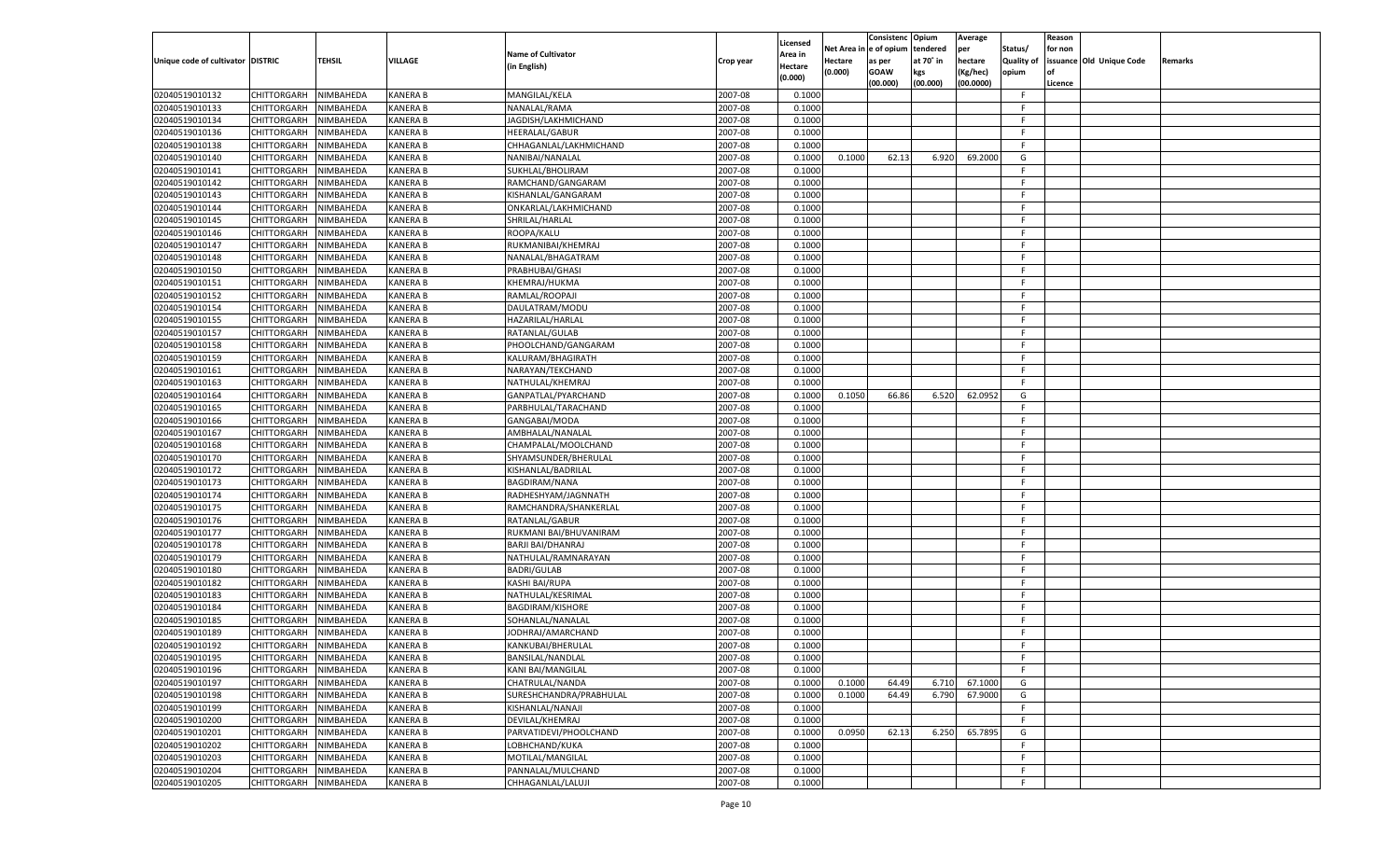|                                   |                       |               |                 |                           |           |                    |            | Consistenc Opium |           | Average   |                   | Reason  |                          |                |
|-----------------------------------|-----------------------|---------------|-----------------|---------------------------|-----------|--------------------|------------|------------------|-----------|-----------|-------------------|---------|--------------------------|----------------|
|                                   |                       |               |                 | <b>Name of Cultivator</b> |           | Licensed           | Net Area i | n  e of opium    | tendered  | per       | Status/           | for non |                          |                |
| Unique code of cultivator DISTRIC |                       | <b>TEHSIL</b> | VILLAGE         |                           | Crop year | \rea in            | Hectare    | as per           | at 70° in | hectare   | <b>Quality of</b> |         | issuance Old Unique Code | <b>Remarks</b> |
|                                   |                       |               |                 | (in English)              |           | Hectare<br>(0.000) | (0.000)    | <b>GOAW</b>      | kgs       | (Kg/hec)  | opium             |         |                          |                |
|                                   |                       |               |                 |                           |           |                    |            | (00.000)         | (00.000)  | (00.0000) |                   | Licence |                          |                |
| 02040519010132                    | CHITTORGARH           | NIMBAHEDA     | <b>KANERA B</b> | MANGILAL/KELA             | 2007-08   | 0.1000             |            |                  |           |           | -F.               |         |                          |                |
| 02040519010133                    | CHITTORGARH           | NIMBAHEDA     | KANERA B        | NANALAL/RAMA              | 2007-08   | 0.1000             |            |                  |           |           | F.                |         |                          |                |
| 02040519010134                    | CHITTORGARH           | NIMBAHEDA     | <b>KANERA B</b> | JAGDISH/LAKHMICHAND       | 2007-08   | 0.1000             |            |                  |           |           | F.                |         |                          |                |
| 02040519010136                    | CHITTORGARH           | NIMBAHEDA     | KANERA B        | <b>HEERALAL/GABUR</b>     | 2007-08   | 0.1000             |            |                  |           |           | F.                |         |                          |                |
| 02040519010138                    | CHITTORGARH           | NIMBAHEDA     | KANERA B        | CHHAGANLAL/LAKHMICHAND    | 2007-08   | 0.1000             |            |                  |           |           | F.                |         |                          |                |
| 02040519010140                    | CHITTORGARH           | NIMBAHEDA     | KANERA B        | NANIBAI/NANALAL           | 2007-08   | 0.1000             | 0.1000     | 62.13            | 6.920     | 69,2000   | G                 |         |                          |                |
| 02040519010141                    | CHITTORGARH           | NIMBAHEDA     | <b>KANERA B</b> | SUKHLAL/BHOLIRAM          | 2007-08   | 0.1000             |            |                  |           |           | F                 |         |                          |                |
| 02040519010142                    | CHITTORGARH           | NIMBAHEDA     | <b>KANERA B</b> | RAMCHAND/GANGARAM         | 2007-08   | 0.1000             |            |                  |           |           | F.                |         |                          |                |
| 02040519010143                    | CHITTORGARH           | NIMBAHEDA     | KANERA B        | KISHANLAL/GANGARAM        | 2007-08   | 0.1000             |            |                  |           |           | F.                |         |                          |                |
| 02040519010144                    | CHITTORGARH           | NIMBAHEDA     | KANERA B        | ONKARLAL/LAKHMICHAND      | 2007-08   | 0.1000             |            |                  |           |           | F.                |         |                          |                |
| 02040519010145                    | CHITTORGARH           | NIMBAHEDA     | <b>KANERA B</b> | SHRILAL/HARLAL            | 2007-08   | 0.1000             |            |                  |           |           | F.                |         |                          |                |
| 02040519010146                    | CHITTORGARH           | NIMBAHEDA     | <b>KANERA B</b> | ROOPA/KALU                | 2007-08   | 0.1000             |            |                  |           |           | F.                |         |                          |                |
| 02040519010147                    | CHITTORGARH           | NIMBAHEDA     | KANERA B        | RUKMANIBAI/KHEMRAJ        | 2007-08   | 0.1000             |            |                  |           |           | F.                |         |                          |                |
| 02040519010148                    | CHITTORGARH           | NIMBAHEDA     | KANERA B        | NANALAL/BHAGATRAM         | 2007-08   | 0.1000             |            |                  |           |           | F.                |         |                          |                |
| 02040519010150                    | CHITTORGARH           | NIMBAHEDA     | KANERA B        | PRABHUBAI/GHASI           | 2007-08   | 0.1000             |            |                  |           |           | F.                |         |                          |                |
| 02040519010151                    | CHITTORGARH           | NIMBAHEDA     | KANERA B        | KHEMRAJ/HUKMA             | 2007-08   | 0.1000             |            |                  |           |           | -F                |         |                          |                |
| 02040519010152                    | CHITTORGARH           | NIMBAHEDA     | KANERA B        | RAMLAL/ROOPAJI            | 2007-08   | 0.1000             |            |                  |           |           | F.                |         |                          |                |
| 02040519010154                    | CHITTORGARH           | NIMBAHEDA     | KANERA B        | DAULATRAM/MODU            | 2007-08   | 0.1000             |            |                  |           |           | F.                |         |                          |                |
| 02040519010155                    | CHITTORGARH           | NIMBAHEDA     | KANERA B        | HAZARILAL/HARLAL          | 2007-08   | 0.1000             |            |                  |           |           | F.                |         |                          |                |
| 02040519010157                    | CHITTORGARH           | NIMBAHEDA     | KANERA B        | RATANLAL/GULAB            | 2007-08   | 0.1000             |            |                  |           |           | -F                |         |                          |                |
| 02040519010158                    | CHITTORGARH           | NIMBAHEDA     | KANERA B        | PHOOLCHAND/GANGARAM       | 2007-08   | 0.1000             |            |                  |           |           | F.                |         |                          |                |
| 02040519010159                    | CHITTORGARH           | NIMBAHEDA     | KANERA B        | KALURAM/BHAGIRATH         | 2007-08   | 0.1000             |            |                  |           |           | F.                |         |                          |                |
| 02040519010161                    | CHITTORGARH           | NIMBAHEDA     | KANERA B        | NARAYAN/TEKCHAND          | 2007-08   | 0.1000             |            |                  |           |           | F.                |         |                          |                |
| 02040519010163                    | CHITTORGARH           | NIMBAHEDA     | KANERA B        | NATHULAL/KHEMRAJ          | 2007-08   | 0.1000             |            |                  |           |           | F.                |         |                          |                |
| 02040519010164                    | CHITTORGARH           | NIMBAHEDA     | KANERA B        | GANPATLAL/PYARCHAND       | 2007-08   | 0.1000             | 0.1050     | 66.86            | 6.520     | 62.0952   | G                 |         |                          |                |
| 02040519010165                    | CHITTORGARH           | NIMBAHEDA     | KANERA B        | PARBHULAL/TARACHAND       | 2007-08   | 0.1000             |            |                  |           |           | F.                |         |                          |                |
| 02040519010166                    | CHITTORGARH           | NIMBAHEDA     | KANERA B        | GANGABAI/MODA             | 2007-08   | 0.1000             |            |                  |           |           | F.                |         |                          |                |
| 02040519010167                    | CHITTORGARH           | NIMBAHEDA     | KANERA B        | AMBHALAL/NANALAL          | 2007-08   | 0.1000             |            |                  |           |           | F.                |         |                          |                |
| 02040519010168                    | CHITTORGARH           | NIMBAHEDA     | KANERA B        | CHAMPALAL/MOOLCHAND       | 2007-08   | 0.1000             |            |                  |           |           | F.                |         |                          |                |
| 02040519010170                    | CHITTORGARH           | NIMBAHEDA     | KANERA B        | SHYAMSUNDER/BHERULAL      | 2007-08   | 0.1000             |            |                  |           |           | F.                |         |                          |                |
| 02040519010172                    | CHITTORGARH           | NIMBAHEDA     | KANERA B        | KISHANLAL/BADRILAL        | 2007-08   | 0.1000             |            |                  |           |           | F.                |         |                          |                |
| 02040519010173                    | CHITTORGARH           | NIMBAHEDA     | KANERA B        | <b>BAGDIRAM/NANA</b>      | 2007-08   | 0.1000             |            |                  |           |           | F.                |         |                          |                |
|                                   |                       |               | KANERA B        |                           | 2007-08   | 0.1000             |            |                  |           |           | F.                |         |                          |                |
| 02040519010174                    | CHITTORGARH           | NIMBAHEDA     |                 | RADHESHYAM/JAGNNATH       |           |                    |            |                  |           |           | F.                |         |                          |                |
| 02040519010175                    | CHITTORGARH           | NIMBAHEDA     | KANERA B        | RAMCHANDRA/SHANKERLAL     | 2007-08   | 0.1000             |            |                  |           |           | F.                |         |                          |                |
| 02040519010176                    | CHITTORGARH           | NIMBAHEDA     | KANERA B        | RATANLAL/GABUR            | 2007-08   | 0.1000             |            |                  |           |           | F.                |         |                          |                |
| 02040519010177                    | CHITTORGARH           | NIMBAHEDA     | KANERA B        | RUKMANI BAI/BHUVANIRAM    | 2007-08   | 0.1000             |            |                  |           |           |                   |         |                          |                |
| 02040519010178                    | CHITTORGARH           | NIMBAHEDA     | KANERA B        | BARJI BAI/DHANRAJ         | 2007-08   | 0.1000             |            |                  |           |           | F.                |         |                          |                |
| 02040519010179                    | CHITTORGARH           | NIMBAHEDA     | KANERA B        | NATHULAL/RAMNARAYAN       | 2007-08   | 0.1000             |            |                  |           |           | F.                |         |                          |                |
| 02040519010180                    | CHITTORGARH           | NIMBAHEDA     | KANERA B        | <b>BADRI/GULAB</b>        | 2007-08   | 0.1000             |            |                  |           |           | F.                |         |                          |                |
| 02040519010182                    | CHITTORGARH           | NIMBAHEDA     | KANERA B        | KASHI BAI/RUPA            | 2007-08   | 0.1000             |            |                  |           |           | F.                |         |                          |                |
| 02040519010183                    | CHITTORGARH           | NIMBAHEDA     | KANERA B        | NATHULAL/KESRIMAL         | 2007-08   | 0.1000             |            |                  |           |           | F.                |         |                          |                |
| 02040519010184                    | CHITTORGARH           | NIMBAHEDA     | KANERA B        | <b>BAGDIRAM/KISHORE</b>   | 2007-08   | 0.1000             |            |                  |           |           | F.                |         |                          |                |
| 02040519010185                    | CHITTORGARH           | NIMBAHEDA     | KANERA B        | SOHANLAL/NANALAL          | 2007-08   | 0.1000             |            |                  |           |           | F.                |         |                          |                |
| 02040519010189                    | CHITTORGARH           | NIMBAHEDA     | KANERA B        | JODHRAJ/AMARCHAND         | 2007-08   | 0.1000             |            |                  |           |           | F.                |         |                          |                |
| 02040519010192                    | CHITTORGARH           | NIMBAHEDA     | KANERA B        | KANKUBAI/BHERULAL         | 2007-08   | 0.1000             |            |                  |           |           | F.                |         |                          |                |
| 02040519010195                    | CHITTORGARH NIMBAHEDA |               | <b>KANERA B</b> | BANSILAL/NANDLAL          | 2007-08   | 0.1000             |            |                  |           |           | F.                |         |                          |                |
| 02040519010196                    | CHITTORGARH           | NIMBAHEDA     | <b>KANERA B</b> | <b>KANI BAI/MANGILAL</b>  | 2007-08   | 0.1000             |            |                  |           |           | F.                |         |                          |                |
| 02040519010197                    | CHITTORGARH           | NIMBAHEDA     | KANERA B        | CHATRULAL/NANDA           | 2007-08   | 0.1000             | 0.1000     | 64.49            | 6.710     | 67.1000   | G                 |         |                          |                |
| 02040519010198                    | <b>CHITTORGARH</b>    | NIMBAHEDA     | <b>KANERA B</b> | SURESHCHANDRA/PRABHULAL   | 2007-08   | 0.1000             | 0.1000     | 64.49            | 6.790     | 67.9000   | G                 |         |                          |                |
| 02040519010199                    | <b>CHITTORGARH</b>    | NIMBAHEDA     | <b>KANERA B</b> | KISHANLAL/NANAJI          | 2007-08   | 0.1000             |            |                  |           |           | F.                |         |                          |                |
| 02040519010200                    | CHITTORGARH           | NIMBAHEDA     | <b>KANERA B</b> | DEVILAL/KHEMRAJ           | 2007-08   | 0.1000             |            |                  |           |           | F.                |         |                          |                |
| 02040519010201                    | CHITTORGARH           | NIMBAHEDA     | KANERA B        | PARVATIDEVI/PHOOLCHAND    | 2007-08   | 0.1000             | 0.0950     | 62.13            | 6.250     | 65.7895   | G                 |         |                          |                |
| 02040519010202                    | <b>CHITTORGARH</b>    | NIMBAHEDA     | KANERA B        | LOBHCHAND/KUKA            | 2007-08   | 0.1000             |            |                  |           |           | F                 |         |                          |                |
| 02040519010203                    | <b>CHITTORGARH</b>    | NIMBAHEDA     | KANERA B        | MOTILAL/MANGILAL          | 2007-08   | 0.1000             |            |                  |           |           | F.                |         |                          |                |
| 02040519010204                    | CHITTORGARH           | NIMBAHEDA     | <b>KANERA B</b> | PANNALAL/MULCHAND         | 2007-08   | 0.1000             |            |                  |           |           | F                 |         |                          |                |
| 02040519010205                    | CHITTORGARH           | NIMBAHEDA     | <b>KANERA B</b> | CHHAGANLAL/LALUJI         | 2007-08   | 0.1000             |            |                  |           |           | F.                |         |                          |                |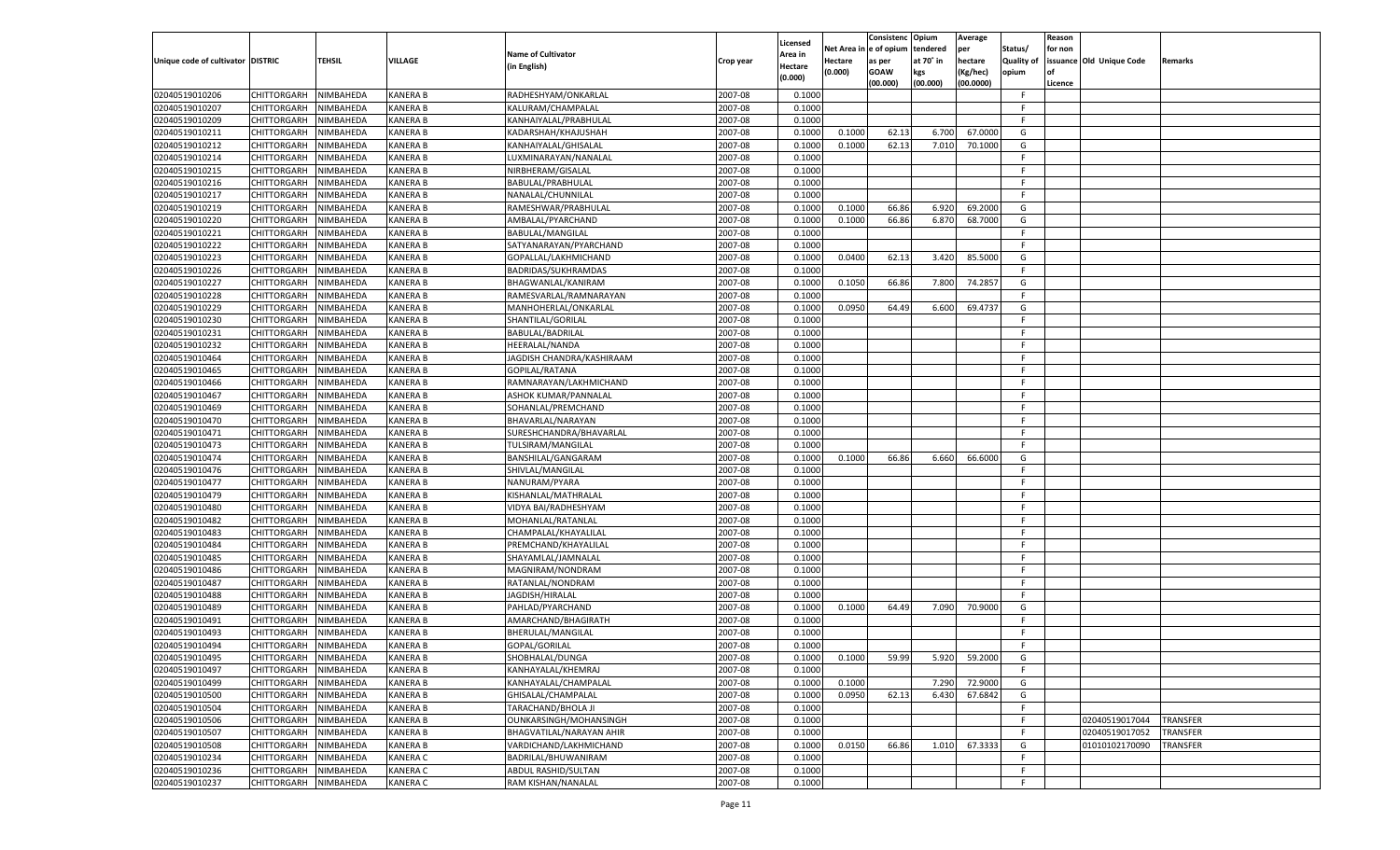|                                   |                       |                        |                                    |                                              |                    |                     |            | Consistenc  | Opium     | Average       |            | Reason  |                          |                 |
|-----------------------------------|-----------------------|------------------------|------------------------------------|----------------------------------------------|--------------------|---------------------|------------|-------------|-----------|---------------|------------|---------|--------------------------|-----------------|
|                                   |                       |                        |                                    | <b>Name of Cultivator</b>                    |                    | Licensed<br>Area in | Net Area i | le of opium | tendered  | per           | Status/    | for non |                          |                 |
| Unique code of cultivator DISTRIC |                       | TEHSIL                 | <b>VILLAGE</b>                     | (in English)                                 | Crop year          | Hectare             | Hectare    | as per      | at 70° in | hectare       | Quality of |         | issuance Old Unique Code | Remarks         |
|                                   |                       |                        |                                    |                                              |                    | (0.000)             | (0.000)    | <b>GOAW</b> | kgs       | (Kg/hec)      | opium      |         |                          |                 |
|                                   |                       |                        |                                    |                                              |                    |                     |            | (00.000)    | (00.000)  | (00.0000)     |            | Licence |                          |                 |
| 02040519010206                    | CHITTORGARH           | NIMBAHEDA              | <b>KANERA B</b>                    | RADHESHYAM/ONKARLAL                          | 2007-08            | 0.1000              |            |             |           |               | F.         |         |                          |                 |
| 02040519010207                    | CHITTORGARH           | NIMBAHEDA              | <b>KANERA B</b>                    | KALURAM/CHAMPALAL                            | 2007-08            | 0.1000              |            |             |           |               | E          |         |                          |                 |
| 02040519010209                    | CHITTORGARH           | NIMBAHEDA              | <b>KANERA B</b>                    | KANHAIYALAL/PRABHULAL                        | 2007-08            | 0.1000              |            |             |           |               | F.         |         |                          |                 |
| 02040519010211                    | CHITTORGARH           | NIMBAHEDA              | <b>KANERA B</b>                    | KADARSHAH/KHAJUSHAH                          | 2007-08            | 0.1000              | 0.1000     | 62.13       | 6.700     | 67.0000       | G          |         |                          |                 |
| 02040519010212                    | CHITTORGARH           | NIMBAHEDA              | <b>KANERA B</b>                    | KANHAIYALAL/GHISALAL                         | 2007-08            | 0.1000              | 0.1000     | 62.13       | 7.010     | 70.1000       | G          |         |                          |                 |
| 02040519010214                    | CHITTORGARH           | NIMBAHEDA              | <b>KANERA B</b>                    | LUXMINARAYAN/NANALAL                         | 2007-08            | 0.1000              |            |             |           |               | F.         |         |                          |                 |
| 02040519010215                    | CHITTORGARH           | NIMBAHEDA              | <b>KANERA B</b>                    | NIRBHERAM/GISALAL                            | 2007-08            | 0.1000              |            |             |           |               | F.         |         |                          |                 |
| 02040519010216                    | CHITTORGARH           | NIMBAHEDA              | <b>KANERA B</b>                    | BABULAL/PRABHULAL                            | 2007-08            | 0.1000              |            |             |           |               | E          |         |                          |                 |
| 02040519010217                    | CHITTORGARH           | NIMBAHEDA              | <b>KANERA B</b>                    | NANALAL/CHUNNILAL                            | 2007-08            | 0.1000              |            |             |           |               | F.         |         |                          |                 |
| 02040519010219                    | CHITTORGARH           | NIMBAHEDA              | <b>KANERA B</b>                    | RAMESHWAR/PRABHULAL                          | 2007-08            | 0.1000              | 0.1000     | 66.86       | 6.920     | 69.2000       | G          |         |                          |                 |
| 02040519010220                    | CHITTORGARH           | NIMBAHEDA              | <b>KANERA B</b>                    | AMBALAL/PYARCHAND                            | 2007-08            | 0.1000              | 0.1000     | 66.86       | 6.870     | 68.7000       | G          |         |                          |                 |
| 02040519010221                    | CHITTORGARH           | NIMBAHEDA              | <b>KANERA B</b>                    | <b>BABULAL/MANGILAL</b>                      | 2007-08            | 0.1000              |            |             |           |               | F.         |         |                          |                 |
| 02040519010222                    | CHITTORGARH           | NIMBAHEDA              | <b>KANERA B</b>                    | SATYANARAYAN/PYARCHAND                       | 2007-08            | 0.1000              |            |             |           |               | F.         |         |                          |                 |
| 02040519010223                    | CHITTORGARH           | NIMBAHEDA              | KANERA B                           | GOPALLAL/LAKHMICHAND                         | 2007-08            | 0.1000              | 0.0400     | 62.13       | 3.420     | 85.5000       | G          |         |                          |                 |
| 02040519010226                    | CHITTORGARH           | NIMBAHEDA              | <b>KANERA B</b>                    | BADRIDAS/SUKHRAMDAS                          | 2007-08            | 0.1000              |            |             |           |               | F.         |         |                          |                 |
| 02040519010227                    | CHITTORGARH           | NIMBAHEDA              | KANERA B                           | BHAGWANLAL/KANIRAM                           | 2007-08            | 0.1000              | 0.1050     | 66.86       | 7.800     | 74.2857       | G          |         |                          |                 |
| 02040519010228                    | CHITTORGARH           | NIMBAHEDA              | KANERA B                           | RAMESVARLAL/RAMNARAYAN                       | 2007-08            | 0.1000              |            |             |           |               | F.         |         |                          |                 |
| 02040519010229                    | CHITTORGARH           | NIMBAHEDA              | KANERA B                           | MANHOHERLAL/ONKARLAL                         | 2007-08            | 0.1000              | 0.0950     | 64.49       | 6.600     | 69.4737       | G          |         |                          |                 |
| 02040519010230                    | CHITTORGARH           | NIMBAHEDA              | <b>KANERA B</b>                    | SHANTILAL/GORILAL                            | 2007-08            | 0.1000              |            |             |           |               | F.         |         |                          |                 |
| 02040519010231                    | CHITTORGARH           | NIMBAHEDA              | KANERA B                           | <b>BABULAL/BADRILAL</b>                      | 2007-08            | 0.1000              |            |             |           |               | F.         |         |                          |                 |
| 02040519010232                    | CHITTORGARH           | NIMBAHEDA              | KANERA B                           | HEERALAL/NANDA                               | 2007-08            | 0.1000              |            |             |           |               | F.         |         |                          |                 |
| 02040519010464                    | CHITTORGARH           | NIMBAHEDA              | KANERA B                           | JAGDISH CHANDRA/KASHIRAAM                    | 2007-08            | 0.1000              |            |             |           |               | E          |         |                          |                 |
| 02040519010465                    | CHITTORGARH           | NIMBAHEDA              | KANERA B                           | <b>GOPILAL/RATANA</b>                        | 2007-08            | 0.1000              |            |             |           |               | F.         |         |                          |                 |
| 02040519010466                    | CHITTORGARH           | NIMBAHEDA              | KANERA B                           | RAMNARAYAN/LAKHMICHAND                       | 2007-08            | 0.1000              |            |             |           |               | F.         |         |                          |                 |
| 02040519010467                    | CHITTORGARH           | NIMBAHEDA              | KANERA B                           | ASHOK KUMAR/PANNALAI                         | 2007-08            | 0.1000              |            |             |           |               | F.         |         |                          |                 |
| 02040519010469                    | CHITTORGARH           | NIMBAHEDA              | KANERA B                           | SOHANLAL/PREMCHAND                           | 2007-08            | 0.1000              |            |             |           |               | F.         |         |                          |                 |
| 02040519010470                    | CHITTORGARH           | NIMBAHEDA              | KANERA B                           | BHAVARLAL/NARAYAN                            | 2007-08            | 0.1000              |            |             |           |               | F.         |         |                          |                 |
| 02040519010471                    | CHITTORGARH           | NIMBAHEDA              | KANERA B                           | SURESHCHANDRA/BHAVARLAL                      | 2007-08            | 0.1000              |            |             |           |               | F.         |         |                          |                 |
| 02040519010473                    | CHITTORGARH           | NIMBAHEDA              | KANERA B                           | TULSIRAM/MANGILAL                            | 2007-08            | 0.1000              |            |             |           |               | F.         |         |                          |                 |
| 02040519010474                    | CHITTORGARH           | NIMBAHEDA              | <b>KANERA B</b>                    | BANSHILAL/GANGARAM                           | 2007-08            | 0.1000              | 0.1000     | 66.86       | 6.660     | 66.6000       | G          |         |                          |                 |
| 02040519010476                    | CHITTORGARH           | NIMBAHEDA              | <b>KANERA B</b>                    | SHIVLAL/MANGILAL                             | 2007-08            | 0.1000              |            |             |           |               | F.         |         |                          |                 |
| 02040519010477                    | CHITTORGARH           | NIMBAHEDA              | <b>KANERA B</b>                    | NANURAM/PYARA                                | 2007-08            | 0.1000              |            |             |           |               | F          |         |                          |                 |
| 02040519010479                    | CHITTORGARH           | NIMBAHEDA              | <b>KANERA B</b>                    | KISHANLAL/MATHRALAL                          | 2007-08            | 0.1000              |            |             |           |               | E          |         |                          |                 |
| 02040519010480                    | CHITTORGARH           | NIMBAHEDA              | <b>KANERA B</b>                    | VIDYA BAI/RADHESHYAM                         | 2007-08            | 0.1000              |            |             |           |               | F          |         |                          |                 |
| 02040519010482                    |                       | NIMBAHEDA              | <b>KANERA B</b>                    |                                              | 2007-08            | 0.1000              |            |             |           |               | E          |         |                          |                 |
|                                   | CHITTORGARH           |                        |                                    | MOHANLAL/RATANLAL                            |                    |                     |            |             |           |               | F          |         |                          |                 |
| 02040519010483                    | CHITTORGARH           | NIMBAHEDA<br>NIMBAHEDA | <b>KANERA B</b><br><b>KANERA B</b> | CHAMPALAL/KHAYALILAL<br>PREMCHAND/KHAYALILAL | 2007-08<br>2007-08 | 0.1000              |            |             |           |               | F          |         |                          |                 |
| 02040519010484                    | CHITTORGARH           |                        |                                    |                                              |                    | 0.1000              |            |             |           |               | F          |         |                          |                 |
| 02040519010485                    | CHITTORGARH           | NIMBAHEDA              | <b>KANERA B</b>                    | SHAYAMLAL/JAMNALAL                           | 2007-08            | 0.1000              |            |             |           |               | E          |         |                          |                 |
| 02040519010486                    | CHITTORGARH           | NIMBAHEDA              | <b>KANERA B</b>                    | MAGNIRAM/NONDRAM                             | 2007-08            | 0.1000              |            |             |           |               |            |         |                          |                 |
| 02040519010487                    | CHITTORGARH           | NIMBAHEDA              | <b>KANERA B</b>                    | RATANLAL/NONDRAM                             | 2007-08            | 0.1000              |            |             |           |               | F          |         |                          |                 |
| 02040519010488                    | CHITTORGARH           | NIMBAHEDA              | <b>KANERA B</b>                    | JAGDISH/HIRALAL                              | 2007-08            | 0.1000              |            |             |           |               | F.         |         |                          |                 |
| 02040519010489                    | CHITTORGARH           | NIMBAHEDA              | <b>KANERA B</b>                    | PAHLAD/PYARCHAND                             | 2007-08            | 0.1000              | 0.1000     | 64.49       | 7.090     | 70.9000       | G          |         |                          |                 |
| 02040519010491                    | CHITTORGARH           | NIMBAHEDA              | <b>KANERA B</b>                    | AMARCHAND/BHAGIRATH                          | 2007-08            | 0.1000              |            |             |           |               | F.         |         |                          |                 |
| 02040519010493                    | CHITTORGARH           | NIMBAHEDA              | KANERA B                           | BHERULAL/MANGILAL                            | 2007-08            | 0.1000              |            |             |           |               | F          |         |                          |                 |
| 02040519010494                    | CHITTORGARH           | NIMBAHEDA              | <b>KANERA B</b>                    | GOPAL/GORILAL                                | 2007-08            | 0.1000              |            |             |           |               | F.         |         |                          |                 |
| 02040519010495                    | CHITTORGARH NIMBAHEDA |                        | <b>KANERA B</b>                    | SHOBHALAL/DUNGA                              | 2007-08            | 0.1000              | 0.1000     | 59.99       |           | 5.920 59.2000 | G          |         |                          |                 |
| 02040519010497                    | <b>CHITTORGARH</b>    | NIMBAHEDA              | <b>KANERA B</b>                    | KANHAYALAL/KHEMRAJ                           | 2007-08            | 0.1000              |            |             |           |               | -F         |         |                          |                 |
| 02040519010499                    | CHITTORGARH           | NIMBAHEDA              | <b>KANERA B</b>                    | KANHAYALAL/CHAMPALAL                         | 2007-08            | 0.1000              | 0.1000     |             | 7.290     | 72.9000       | G          |         |                          |                 |
| 02040519010500                    | CHITTORGARH           | NIMBAHEDA              | <b>KANERA B</b>                    | GHISALAL/CHAMPALAL                           | 2007-08            | 0.1000              | 0.0950     | 62.13       | 6.430     | 67.6842       | G          |         |                          |                 |
| 02040519010504                    | <b>CHITTORGARH</b>    | NIMBAHEDA              | <b>KANERA B</b>                    | TARACHAND/BHOLA JI                           | 2007-08            | 0.1000              |            |             |           |               | F.         |         |                          |                 |
| 02040519010506                    | CHITTORGARH           | NIMBAHEDA              | <b>KANERA B</b>                    | OUNKARSINGH/MOHANSINGH                       | 2007-08            | 0.1000              |            |             |           |               | F.         |         | 02040519017044           | <b>TRANSFER</b> |
| 02040519010507                    | CHITTORGARH           | NIMBAHEDA              | <b>KANERA B</b>                    | BHAGVATILAL/NARAYAN AHIR                     | 2007-08            | 0.1000              |            |             |           |               | F.         |         | 02040519017052           | <b>TRANSFER</b> |
| 02040519010508                    | CHITTORGARH           | NIMBAHEDA              | <b>KANERA B</b>                    | VARDICHAND/LAKHMICHAND                       | 2007-08            | 0.1000              | 0.0150     | 66.86       | 1.010     | 67.3333       | G          |         | 01010102170090           | TRANSFER        |
| 02040519010234                    | <b>CHITTORGARH</b>    | NIMBAHEDA              | <b>KANERA C</b>                    | BADRILAL/BHUWANIRAM                          | 2007-08            | 0.1000              |            |             |           |               | F.         |         |                          |                 |
| 02040519010236                    | <b>CHITTORGARH</b>    | NIMBAHEDA              | <b>KANERA C</b>                    | ABDUL RASHID/SULTAN                          | 2007-08            | 0.1000              |            |             |           |               | F.         |         |                          |                 |
| 02040519010237                    | CHITTORGARH           | NIMBAHEDA              | <b>KANERA C</b>                    | RAM KISHAN/NANALAL                           | 2007-08            | 0.1000              |            |             |           |               | F.         |         |                          |                 |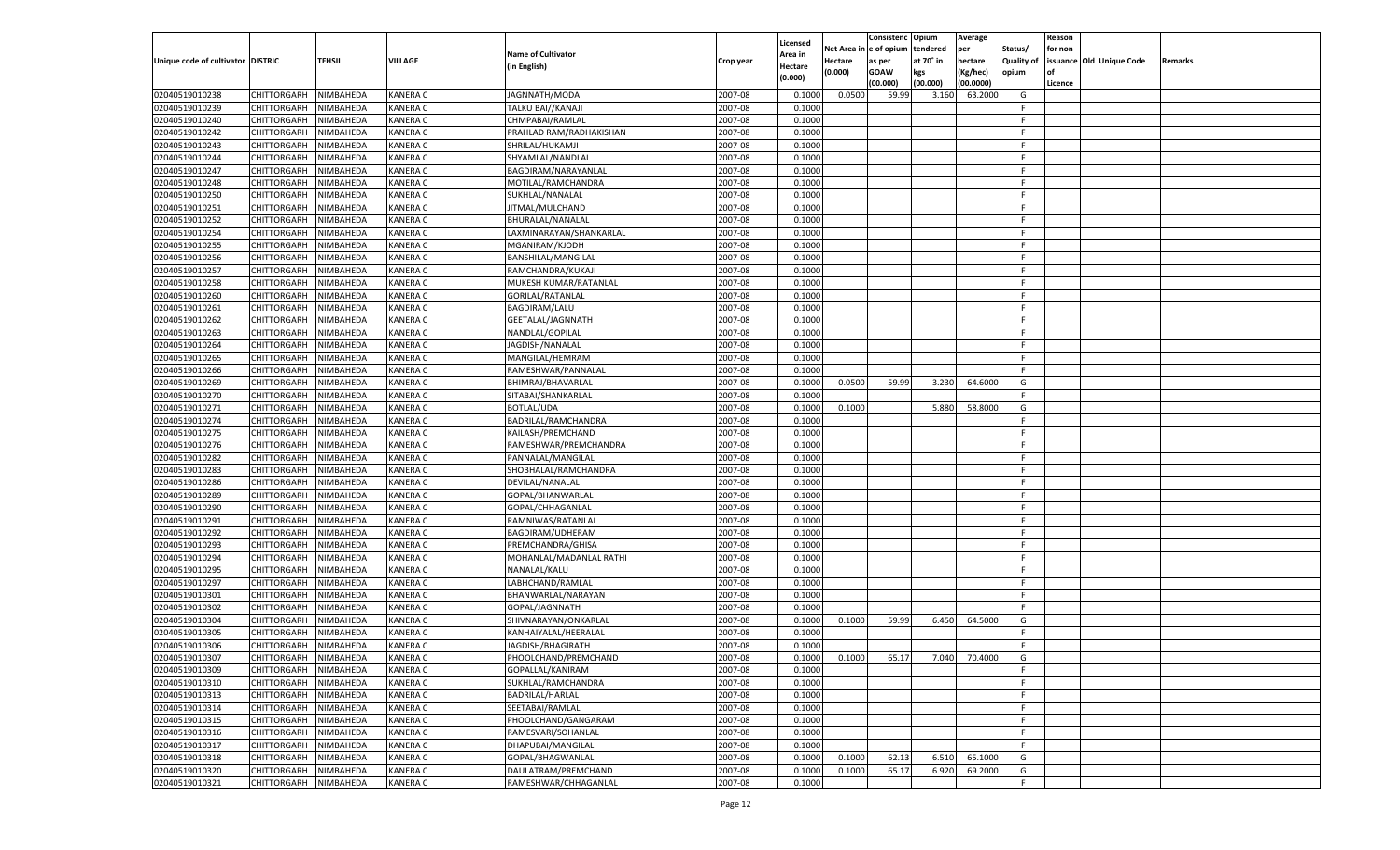|                                   |                       |                        |                      |                           |                    |                     |         | Consistenc             | Opium     | Average       |                   | Reason  |                          |         |
|-----------------------------------|-----------------------|------------------------|----------------------|---------------------------|--------------------|---------------------|---------|------------------------|-----------|---------------|-------------------|---------|--------------------------|---------|
|                                   |                       |                        |                      | <b>Name of Cultivator</b> |                    | Licensed<br>Area in |         | Net Area in e of opium | tendered  | per           | Status/           | for non |                          |         |
| Unique code of cultivator DISTRIC |                       | <b>TEHSIL</b>          | VILLAGE              | (in English)              | Crop year          | Hectare             | Hectare | as per                 | at 70° in | hectare       | <b>Quality of</b> |         | issuance Old Unique Code | Remarks |
|                                   |                       |                        |                      |                           |                    | (0.000)             | (0.000) | <b>GOAW</b>            | kgs       | (Kg/hec)      | opium             |         |                          |         |
|                                   |                       |                        |                      |                           |                    |                     |         | (00.000)               | (00.000)  | (00.0000)     |                   | Licence |                          |         |
| 02040519010238                    | CHITTORGARH           | NIMBAHEDA              | KANERA C             | JAGNNATH/MODA             | 2007-08            | 0.1000              | 0.0500  | 59.99                  | 3.160     | 63.2000       | G                 |         |                          |         |
| 02040519010239                    | CHITTORGARH           | NIMBAHEDA              | KANERA C             | TALKU BAI//KANAJI         | 2007-08            | 0.1000              |         |                        |           |               | F.                |         |                          |         |
| 02040519010240                    | CHITTORGARH           | NIMBAHEDA              | KANERA C             | CHMPABAI/RAMLAL           | 2007-08            | 0.1000              |         |                        |           |               | F.                |         |                          |         |
| 02040519010242                    | CHITTORGARH           | NIMBAHEDA              | <b>KANERA C</b>      | PRAHLAD RAM/RADHAKISHAN   | 2007-08            | 0.1000              |         |                        |           |               | F.                |         |                          |         |
| 02040519010243                    | CHITTORGARH           | NIMBAHEDA              | KANERA C             | SHRILAL/HUKAMJI           | 2007-08            | 0.1000              |         |                        |           |               | F.                |         |                          |         |
| 02040519010244                    | CHITTORGARH           | NIMBAHEDA              | KANERA C             | SHYAMLAL/NANDLAL          | 2007-08            | 0.1000              |         |                        |           |               | F.                |         |                          |         |
| 02040519010247                    | CHITTORGARH           | NIMBAHEDA              | KANERA C             | BAGDIRAM/NARAYANLAL       | 2007-08            | 0.1000              |         |                        |           |               | F.                |         |                          |         |
| 02040519010248                    | CHITTORGARH           | NIMBAHEDA              | <b>KANERA C</b>      | MOTILAL/RAMCHANDRA        | 2007-08            | 0.1000              |         |                        |           |               | F.                |         |                          |         |
| 02040519010250                    | CHITTORGARH           | NIMBAHEDA              | KANERA C             | SUKHLAL/NANALAL           | 2007-08            | 0.1000              |         |                        |           |               | F.                |         |                          |         |
| 02040519010251                    | CHITTORGARH           | NIMBAHEDA              | KANERA C             | JITMAL/MULCHAND           | 2007-08            | 0.1000              |         |                        |           |               | F.                |         |                          |         |
| 02040519010252                    | CHITTORGARH           | NIMBAHEDA              | KANERA C             | BHURALAL/NANALAL          | 2007-08            | 0.1000              |         |                        |           |               | F.                |         |                          |         |
| 02040519010254                    | CHITTORGARH           | NIMBAHEDA              | KANERA C             | LAXMINARAYAN/SHANKARLAL   | 2007-08            | 0.1000              |         |                        |           |               | F.                |         |                          |         |
| 02040519010255                    | CHITTORGARH           | NIMBAHEDA              | KANERA C             | MGANIRAM/KJODH            | 2007-08            | 0.1000              |         |                        |           |               | F.                |         |                          |         |
| 02040519010256                    | CHITTORGARH           | NIMBAHEDA              | KANERA C             | BANSHILAL/MANGILAI        | 2007-08            | 0.1000              |         |                        |           |               | F.                |         |                          |         |
| 02040519010257                    | CHITTORGARH           | NIMBAHEDA              | KANERA C             | RAMCHANDRA/KUKAJI         | 2007-08            | 0.1000              |         |                        |           |               | F.                |         |                          |         |
| 02040519010258                    | CHITTORGARH           | NIMBAHEDA              | KANERA C             | MUKESH KUMAR/RATANLAL     | 2007-08            | 0.1000              |         |                        |           |               | F.                |         |                          |         |
| 02040519010260                    | CHITTORGARH           | NIMBAHEDA              | KANERA C             | GORILAL/RATANLAL          | 2007-08            | 0.1000              |         |                        |           |               | F.                |         |                          |         |
| 02040519010261                    | CHITTORGARH           | NIMBAHEDA              | KANERA C             | <b>BAGDIRAM/LALU</b>      | 2007-08            | 0.1000              |         |                        |           |               | F.                |         |                          |         |
| 02040519010262                    | CHITTORGARH           | NIMBAHEDA              | KANERA C             | GEETALAL/JAGNNATH         | 2007-08            | 0.1000              |         |                        |           |               | F.                |         |                          |         |
| 02040519010263                    | CHITTORGARH           | NIMBAHEDA              | KANERA C             | NANDLAL/GOPILAI           | 2007-08            | 0.1000              |         |                        |           |               | F.                |         |                          |         |
| 02040519010264                    | CHITTORGARH           | NIMBAHEDA              | KANERA C             | JAGDISH/NANALAL           | 2007-08            | 0.1000              |         |                        |           |               | F.                |         |                          |         |
| 02040519010265                    | CHITTORGARH           | NIMBAHEDA              | KANERA C             | MANGILAL/HEMRAM           | 2007-08            | 0.1000              |         |                        |           |               | F.                |         |                          |         |
| 02040519010266                    | CHITTORGARH           | NIMBAHEDA              | KANERA C             | RAMESHWAR/PANNALAL        | 2007-08            | 0.1000              |         |                        |           |               | F.                |         |                          |         |
| 02040519010269                    | CHITTORGARH           | NIMBAHEDA              | KANERA C             | BHIMRAJ/BHAVARLAL         | 2007-08            | 0.1000              | 0.0500  | 59.99                  | 3.230     | 64.6000       | G                 |         |                          |         |
| 02040519010270                    | CHITTORGARH           | NIMBAHEDA              | KANERA C             | SITABAI/SHANKARLAL        | 2007-08            | 0.1000              |         |                        |           |               | F.                |         |                          |         |
| 02040519010271                    | CHITTORGARH           | NIMBAHEDA              | KANERA C             | <b>BOTLAL/UDA</b>         | 2007-08            | 0.1000              | 0.1000  |                        | 5.880     | 58.8000       | G                 |         |                          |         |
| 02040519010274                    | CHITTORGARH           | NIMBAHEDA              | KANERA C             | BADRILAL/RAMCHANDRA       | 2007-08            | 0.1000              |         |                        |           |               | F                 |         |                          |         |
| 02040519010275                    | CHITTORGARH           | NIMBAHEDA              | KANERA C             | KAILASH/PREMCHAND         | 2007-08            | 0.1000              |         |                        |           |               | F.                |         |                          |         |
| 02040519010276                    | CHITTORGARH           | NIMBAHEDA              | KANERA C             | RAMESHWAR/PREMCHANDRA     | 2007-08            | 0.1000              |         |                        |           |               | F.                |         |                          |         |
| 02040519010282                    | CHITTORGARH           | NIMBAHEDA              | KANERA C             | PANNALAL/MANGILAL         | 2007-08            | 0.1000              |         |                        |           |               | F.                |         |                          |         |
| 02040519010283                    | <b>CHITTORGARH</b>    | NIMBAHEDA              | KANERA C             | SHOBHALAL/RAMCHANDRA      | 2007-08            | 0.1000              |         |                        |           |               | F                 |         |                          |         |
| 02040519010286                    | <b>CHITTORGARH</b>    | NIMBAHEDA              | KANERA C             | DEVILAL/NANALAL           | 2007-08            | 0.1000              |         |                        |           |               | F.                |         |                          |         |
| 02040519010289                    | <b>CHITTORGARH</b>    | NIMBAHEDA              | KANERA C             | GOPAL/BHANWARLAL          | 2007-08            | 0.1000              |         |                        |           |               | F.                |         |                          |         |
| 02040519010290                    | CHITTORGARH           | NIMBAHEDA              | KANERA C             | GOPAL/CHHAGANLAL          | 2007-08            | 0.1000              |         |                        |           |               | F.                |         |                          |         |
| 02040519010291                    |                       | NIMBAHEDA              | KANERA C             |                           | 2007-08            | 0.1000              |         |                        |           |               | F.                |         |                          |         |
|                                   | <b>CHITTORGARH</b>    |                        |                      | RAMNIWAS/RATANLAL         |                    |                     |         |                        |           |               | F                 |         |                          |         |
| 02040519010292                    | CHITTORGARH           | NIMBAHEDA<br>NIMBAHEDA | KANERA C<br>KANERA C | BAGDIRAM/UDHERAM          | 2007-08<br>2007-08 | 0.1000              |         |                        |           |               | F.                |         |                          |         |
| 02040519010293                    | <b>CHITTORGARH</b>    |                        |                      | PREMCHANDRA/GHISA         |                    | 0.1000              |         |                        |           |               | F.                |         |                          |         |
| 02040519010294                    | <b>CHITTORGARH</b>    | NIMBAHEDA              | KANERA C             | MOHANLAL/MADANLAL RATHI   | 2007-08            | 0.1000              |         |                        |           |               | F.                |         |                          |         |
| 02040519010295                    | <b>CHITTORGARH</b>    | NIMBAHEDA              | KANERA C             | NANALAL/KALU              | 2007-08            | 0.1000              |         |                        |           |               |                   |         |                          |         |
| 02040519010297                    | CHITTORGARH           | NIMBAHEDA              | KANERA C             | LABHCHAND/RAMLAL          | 2007-08            | 0.1000              |         |                        |           |               | F<br>F.           |         |                          |         |
| 02040519010301                    | <b>CHITTORGARH</b>    | NIMBAHEDA              | KANERA C             | BHANWARLAL/NARAYAN        | 2007-08            | 0.1000              |         |                        |           |               |                   |         |                          |         |
| 02040519010302                    | <b>CHITTORGARH</b>    | NIMBAHEDA              | KANERA C             | GOPAL/JAGNNATH            | 2007-08            | 0.1000              |         |                        |           |               | F.                |         |                          |         |
| 02040519010304                    | <b>CHITTORGARH</b>    | NIMBAHEDA              | KANERA C             | SHIVNARAYAN/ONKARLAL      | 2007-08            | 0.1000              | 0.1000  | 59.99                  | 6.450     | 64.5000       | G                 |         |                          |         |
| 02040519010305                    | CHITTORGARH           | NIMBAHEDA              | KANERA C             | KANHAIYALAL/HEERALAI      | 2007-08            | 0.1000              |         |                        |           |               | F.                |         |                          |         |
| 02040519010306                    | CHITTORGARH           | NIMBAHEDA              | KANERA C             | JAGDISH/BHAGIRATH         | 2007-08            | 0.1000              |         |                        |           |               | F                 |         |                          |         |
| 02040519010307                    | CHITTORGARH NIMBAHEDA |                        | <b>KANERA C</b>      | PHOOLCHAND/PREMCHAND      | 2007-08            | 0.1000              | 0.1000  | 65.17                  |           | 7.040 70.4000 | G                 |         |                          |         |
| 02040519010309                    | <b>CHITTORGARH</b>    | NIMBAHEDA              | <b>KANERA C</b>      | GOPALLAL/KANIRAM          | 2007-08            | 0.1000              |         |                        |           |               | F.                |         |                          |         |
| 02040519010310                    | <b>CHITTORGARH</b>    | NIMBAHEDA              | KANERA C             | SUKHLAL/RAMCHANDRA        | 2007-08            | 0.1000              |         |                        |           |               | F.                |         |                          |         |
| 02040519010313                    | <b>CHITTORGARH</b>    | <b>NIMBAHEDA</b>       | KANERA C             | <b>BADRILAL/HARLAL</b>    | 2007-08            | 0.1000              |         |                        |           |               | F.                |         |                          |         |
| 02040519010314                    | <b>CHITTORGARH</b>    | NIMBAHEDA              | KANERA C             | SEETABAI/RAMLAL           | 2007-08            | 0.1000              |         |                        |           |               | F                 |         |                          |         |
| 02040519010315                    | <b>CHITTORGARH</b>    | NIMBAHEDA              | KANERA C             | PHOOLCHAND/GANGARAM       | 2007-08            | 0.1000              |         |                        |           |               | F.                |         |                          |         |
| 02040519010316                    | <b>CHITTORGARH</b>    | NIMBAHEDA              | KANERA C             | RAMESVARI/SOHANLAL        | 2007-08            | 0.1000              |         |                        |           |               | F.                |         |                          |         |
| 02040519010317                    | <b>CHITTORGARH</b>    | NIMBAHEDA              | KANERA C             | DHAPUBAI/MANGILAL         | 2007-08            | 0.1000              |         |                        |           |               | F.                |         |                          |         |
| 02040519010318                    | <b>CHITTORGARH</b>    | NIMBAHEDA              | KANERA C             | GOPAL/BHAGWANLAL          | 2007-08            | 0.1000              | 0.1000  | 62.13                  | 6.510     | 65.1000       | G                 |         |                          |         |
| 02040519010320                    | <b>CHITTORGARH</b>    | NIMBAHEDA              | KANERA C             | DAULATRAM/PREMCHAND       | 2007-08            | 0.1000              | 0.1000  | 65.17                  | 6.920     | 69.2000       | G                 |         |                          |         |
| 02040519010321                    | <b>CHITTORGARH</b>    | NIMBAHEDA              | KANERA C             | RAMESHWAR/CHHAGANLAL      | 2007-08            | 0.1000              |         |                        |           |               | F.                |         |                          |         |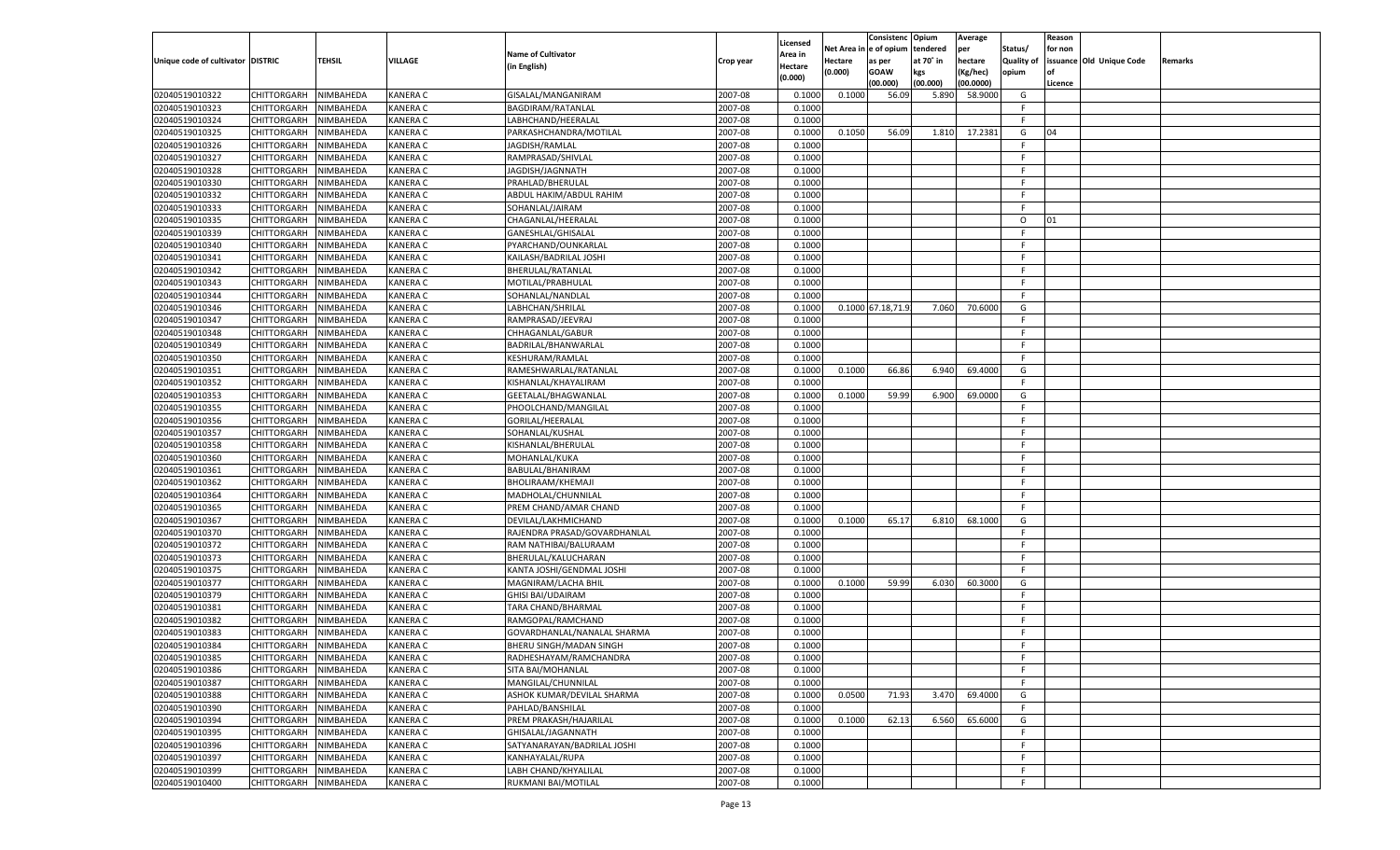|                                   |                                          |               |                 |                              |           |                    |          | Consistenc       | Opium     | Average   |                   | Reason  |                          |         |
|-----------------------------------|------------------------------------------|---------------|-----------------|------------------------------|-----------|--------------------|----------|------------------|-----------|-----------|-------------------|---------|--------------------------|---------|
|                                   |                                          |               |                 | <b>Name of Cultivator</b>    |           | Licensed           | Net Area | le of opium      | tendered  | per       | Status/           | for non |                          |         |
| Unique code of cultivator DISTRIC |                                          | <b>TEHSIL</b> | VILLAGE         | (in English)                 | Crop year | \rea in<br>Hectare | Hectare  | as per           | at 70° in | hectare   | <b>Quality of</b> |         | issuance Old Unique Code | Remarks |
|                                   |                                          |               |                 |                              |           | (0.000)            | (0.000)  | <b>GOAW</b>      | kgs       | (Kg/hec)  | opium             |         |                          |         |
|                                   |                                          |               |                 |                              |           |                    |          | (00.000)         | (00.000)  | (00.0000) |                   | Licence |                          |         |
| 02040519010322                    | CHITTORGARH                              | NIMBAHEDA     | <b>KANERA C</b> | GISALAL/MANGANIRAM           | 2007-08   | 0.1000             | 0.1000   | 56.09            | 5.890     | 58.9000   | G                 |         |                          |         |
| 02040519010323                    | CHITTORGARH                              | NIMBAHEDA     | <b>KANERA C</b> | BAGDIRAM/RATANLAL            | 2007-08   | 0.1000             |          |                  |           |           | F.                |         |                          |         |
| 02040519010324                    | CHITTORGARH                              | NIMBAHEDA     | KANERA C        | LABHCHAND/HEERALAL           | 2007-08   | 0.1000             |          |                  |           |           | F.                |         |                          |         |
| 02040519010325                    | CHITTORGARH                              | NIMBAHEDA     | KANERA C        | PARKASHCHANDRA/MOTILAL       | 2007-08   | 0.1000             | 0.1050   | 56.09            | 1.810     | 17.2381   | G                 | 04      |                          |         |
| 02040519010326                    | CHITTORGARH                              | NIMBAHEDA     | KANERA C        | JAGDISH/RAMLAL               | 2007-08   | 0.1000             |          |                  |           |           | F.                |         |                          |         |
| 02040519010327                    | CHITTORGARH                              | NIMBAHEDA     | KANERA C        | RAMPRASAD/SHIVLAL            | 2007-08   | 0.1000             |          |                  |           |           | F.                |         |                          |         |
| 02040519010328                    | CHITTORGARH                              | NIMBAHEDA     | KANERA C        | JAGDISH/JAGNNATH             | 2007-08   | 0.1000             |          |                  |           |           | F.                |         |                          |         |
| 02040519010330                    | CHITTORGARH                              | NIMBAHEDA     | KANERA C        | PRAHLAD/BHERULAL             | 2007-08   | 0.1000             |          |                  |           |           | E                 |         |                          |         |
| 02040519010332                    | CHITTORGARH                              | NIMBAHEDA     | KANERA C        | ABDUL HAKIM/ABDUL RAHIM      | 2007-08   | 0.1000             |          |                  |           |           | F.                |         |                          |         |
| 02040519010333                    | CHITTORGARH                              | NIMBAHEDA     | KANERA C        | SOHANLAL/JAIRAM              | 2007-08   | 0.1000             |          |                  |           |           | E                 |         |                          |         |
| 02040519010335                    | CHITTORGARH                              | NIMBAHEDA     | KANERA C        | CHAGANLAL/HEERALAL           | 2007-08   | 0.1000             |          |                  |           |           | $\circ$           | 01      |                          |         |
| 02040519010339                    | CHITTORGARH                              | NIMBAHEDA     | KANERA C        | GANESHLAL/GHISALAL           | 2007-08   | 0.1000             |          |                  |           |           | E                 |         |                          |         |
| 02040519010340                    | CHITTORGARH                              | NIMBAHEDA     | KANERA C        | PYARCHAND/OUNKARLAI          | 2007-08   | 0.1000             |          |                  |           |           | F.                |         |                          |         |
| 02040519010341                    | CHITTORGARH                              | NIMBAHEDA     | KANERA C        | KAILASH/BADRILAL JOSHI       | 2007-08   | 0.1000             |          |                  |           |           | F.                |         |                          |         |
| 02040519010342                    | CHITTORGARH                              | NIMBAHEDA     | KANERA C        | BHERULAL/RATANLAL            | 2007-08   | 0.1000             |          |                  |           |           | F.                |         |                          |         |
| 02040519010343                    | CHITTORGARH                              | NIMBAHEDA     | KANERA C        | MOTILAL/PRABHULAL            | 2007-08   | 0.1000             |          |                  |           |           | F.                |         |                          |         |
| 02040519010344                    | CHITTORGARH                              | NIMBAHEDA     | KANERA C        | SOHANLAL/NANDLAL             | 2007-08   | 0.1000             |          |                  |           |           | F.                |         |                          |         |
| 02040519010346                    | CHITTORGARH                              | NIMBAHEDA     | KANERA C        | LABHCHAN/SHRILAL             | 2007-08   | 0.1000             |          | 0.1000 67.18,71. | 7.060     | 70.6000   | G                 |         |                          |         |
| 02040519010347                    | CHITTORGARH                              | NIMBAHEDA     | KANERA C        | RAMPRASAD/JEEVRAJ            | 2007-08   | 0.1000             |          |                  |           |           | F.                |         |                          |         |
| 02040519010348                    | CHITTORGARH                              | NIMBAHEDA     | KANERA C        | CHHAGANLAL/GABUR             | 2007-08   | 0.1000             |          |                  |           |           | F.                |         |                          |         |
| 02040519010349                    | CHITTORGARH                              | NIMBAHEDA     | KANERA C        | BADRILAL/BHANWARLAL          | 2007-08   | 0.1000             |          |                  |           |           | F.                |         |                          |         |
| 02040519010350                    | CHITTORGARH                              | NIMBAHEDA     | KANERA C        | KESHURAM/RAMLAL              | 2007-08   | 0.1000             |          |                  |           |           | F.                |         |                          |         |
| 02040519010351                    | CHITTORGARH                              | NIMBAHEDA     | KANERA C        | RAMESHWARLAL/RATANLAL        | 2007-08   | 0.1000             | 0.1000   | 66.86            | 6.940     | 69.4000   | G                 |         |                          |         |
| 02040519010352                    | CHITTORGARH                              | NIMBAHEDA     | KANERA C        | KISHANLAL/KHAYALIRAM         | 2007-08   | 0.1000             |          |                  |           |           | F.                |         |                          |         |
| 02040519010353                    | CHITTORGARH                              | NIMBAHEDA     | KANERA C        | GEETALAL/BHAGWANLAI          | 2007-08   | 0.1000             | 0.1000   | 59.99            | 6.900     | 69.0000   | G                 |         |                          |         |
| 02040519010355                    | CHITTORGARH                              | NIMBAHEDA     | KANERA C        | PHOOLCHAND/MANGILAL          | 2007-08   | 0.1000             |          |                  |           |           | F.                |         |                          |         |
| 02040519010356                    | CHITTORGARH                              | NIMBAHEDA     | KANERA C        | GORILAL/HEERALAL             | 2007-08   | 0.1000             |          |                  |           |           | F.                |         |                          |         |
| 02040519010357                    | CHITTORGARH                              | NIMBAHEDA     | KANERA C        | SOHANLAL/KUSHAL              | 2007-08   | 0.1000             |          |                  |           |           | E                 |         |                          |         |
| 02040519010358                    | CHITTORGARH                              | NIMBAHEDA     | KANERA C        | KISHANLAL/BHERULAL           | 2007-08   | 0.1000             |          |                  |           |           | F.                |         |                          |         |
| 02040519010360                    | CHITTORGARH                              | NIMBAHEDA     | KANERA C        | MOHANLAL/KUKA                | 2007-08   | 0.1000             |          |                  |           |           | F                 |         |                          |         |
| 02040519010361                    | CHITTORGARH                              | NIMBAHEDA     | KANERA C        | BABULAL/BHANIRAM             | 2007-08   | 0.1000             |          |                  |           |           | F                 |         |                          |         |
| 02040519010362                    | CHITTORGARH                              | NIMBAHEDA     | KANERA C        | BHOLIRAAM/KHEMAJI            | 2007-08   | 0.1000             |          |                  |           |           | F                 |         |                          |         |
| 02040519010364                    | <b>CHITTORGARH</b>                       | NIMBAHEDA     | KANERA C        | MADHOLAL/CHUNNILAL           | 2007-08   | 0.1000             |          |                  |           |           | F.                |         |                          |         |
| 02040519010365                    | CHITTORGARH                              | NIMBAHEDA     | KANERA C        | PREM CHAND/AMAR CHAND        | 2007-08   | 0.1000             |          |                  |           |           | F.                |         |                          |         |
| 02040519010367                    | <b>CHITTORGARH</b>                       | NIMBAHEDA     | KANERA C        | DEVILAL/LAKHMICHAND          | 2007-08   | 0.1000             | 0.1000   | 65.17            | 6.810     | 68.1000   | G                 |         |                          |         |
| 02040519010370                    | CHITTORGARH                              | NIMBAHEDA     | KANERA C        | RAJENDRA PRASAD/GOVARDHANLAL | 2007-08   | 0.1000             |          |                  |           |           | F.                |         |                          |         |
| 02040519010372                    | <b>CHITTORGARH</b>                       | NIMBAHEDA     | KANERA C        | RAM NATHIBAI/BALURAAM        | 2007-08   | 0.1000             |          |                  |           |           | F                 |         |                          |         |
| 02040519010373                    | CHITTORGARH                              | NIMBAHEDA     | KANERA C        | BHERULAL/KALUCHARAN          | 2007-08   | 0.1000             |          |                  |           |           | F.                |         |                          |         |
| 02040519010375                    | <b>CHITTORGARH</b>                       | NIMBAHEDA     | KANERA C        | KANTA JOSHI/GENDMAL JOSHI    | 2007-08   | 0.1000             |          |                  |           |           | F.                |         |                          |         |
| 02040519010377                    | CHITTORGARH                              | NIMBAHEDA     | KANERA C        | MAGNIRAM/LACHA BHIL          | 2007-08   | 0.1000             | 0.1000   | 59.99            | 6.030     | 60.3000   | G                 |         |                          |         |
| 02040519010379                    | <b>CHITTORGARH</b>                       | NIMBAHEDA     | KANERA C        | <b>GHISI BAI/UDAIRAM</b>     | 2007-08   | 0.1000             |          |                  |           |           | F.                |         |                          |         |
| 02040519010381                    | CHITTORGARH                              | NIMBAHEDA     | KANERA C        | TARA CHAND/BHARMAL           | 2007-08   | 0.1000             |          |                  |           |           | F.                |         |                          |         |
| 02040519010382                    | CHITTORGARH                              | NIMBAHEDA     | KANERA C        | RAMGOPAL/RAMCHAND            | 2007-08   | 0.1000             |          |                  |           |           | E                 |         |                          |         |
| 02040519010383                    | CHITTORGARH                              | NIMBAHEDA     | KANERA C        | GOVARDHANLAL/NANALAL SHARMA  | 2007-08   | 0.1000             |          |                  |           |           | F                 |         |                          |         |
| 02040519010384                    | CHITTORGARH                              | NIMBAHEDA     | KANERA C        | BHERU SINGH/MADAN SINGH      | 2007-08   | 0.1000             |          |                  |           |           | F.                |         |                          |         |
| 02040519010385                    | CHITTORGARH NIMBAHEDA                    |               | <b>KANERA C</b> | RADHESHAYAM/RAMCHANDRA       | 2007-08   | 0.1000             |          |                  |           |           | F                 |         |                          |         |
| 02040519010386                    | <b>CHITTORGARH</b>                       | NIMBAHEDA     | <b>KANERA C</b> | SITA BAI/MOHANLAL            | 2007-08   | 0.1000             |          |                  |           |           | -F                |         |                          |         |
| 02040519010387                    | CHITTORGARH                              | NIMBAHEDA     | <b>KANERA C</b> | MANGILAL/CHUNNILAL           | 2007-08   | 0.1000             |          |                  |           |           | F.                |         |                          |         |
| 02040519010388                    | <b>CHITTORGARH</b>                       | NIMBAHEDA     | <b>KANERA C</b> | ASHOK KUMAR/DEVILAL SHARMA   | 2007-08   | 0.1000             | 0.0500   | 71.93            | 3.470     | 69.4000   | G                 |         |                          |         |
| 02040519010390                    | <b>CHITTORGARH</b>                       | NIMBAHEDA     | <b>KANERA C</b> | PAHLAD/BANSHILAL             | 2007-08   | 0.1000             |          |                  |           |           | F.                |         |                          |         |
| 02040519010394                    | <b>CHITTORGARH</b>                       | NIMBAHEDA     | <b>KANERA C</b> | PREM PRAKASH/HAJARILAL       | 2007-08   | 0.1000             | 0.1000   | 62.13            |           | 65.6000   | G                 |         |                          |         |
| 02040519010395                    | <b>CHITTORGARH</b>                       | NIMBAHEDA     | <b>KANERA C</b> | GHISALAL/JAGANNATH           | 2007-08   | 0.1000             |          |                  | 6.560     |           | F.                |         |                          |         |
|                                   |                                          |               | <b>KANERA C</b> |                              | 2007-08   | 0.1000             |          |                  |           |           | F.                |         |                          |         |
| 02040519010396                    | <b>CHITTORGARH</b><br><b>CHITTORGARH</b> | NIMBAHEDA     |                 | SATYANARAYAN/BADRILAL JOSHI  |           | 0.1000             |          |                  |           |           | F.                |         |                          |         |
| 02040519010397                    |                                          | NIMBAHEDA     | <b>KANERA C</b> | KANHAYALAL/RUPA              | 2007-08   |                    |          |                  |           |           |                   |         |                          |         |
| 02040519010399                    | <b>CHITTORGARH</b>                       | NIMBAHEDA     | <b>KANERA C</b> | LABH CHAND/KHYALILAL         | 2007-08   | 0.1000             |          |                  |           |           | F.                |         |                          |         |
| 02040519010400                    | CHITTORGARH                              | NIMBAHEDA     | <b>KANERA C</b> | RUKMANI BAI/MOTILAL          | 2007-08   | 0.1000             |          |                  |           |           | F.                |         |                          |         |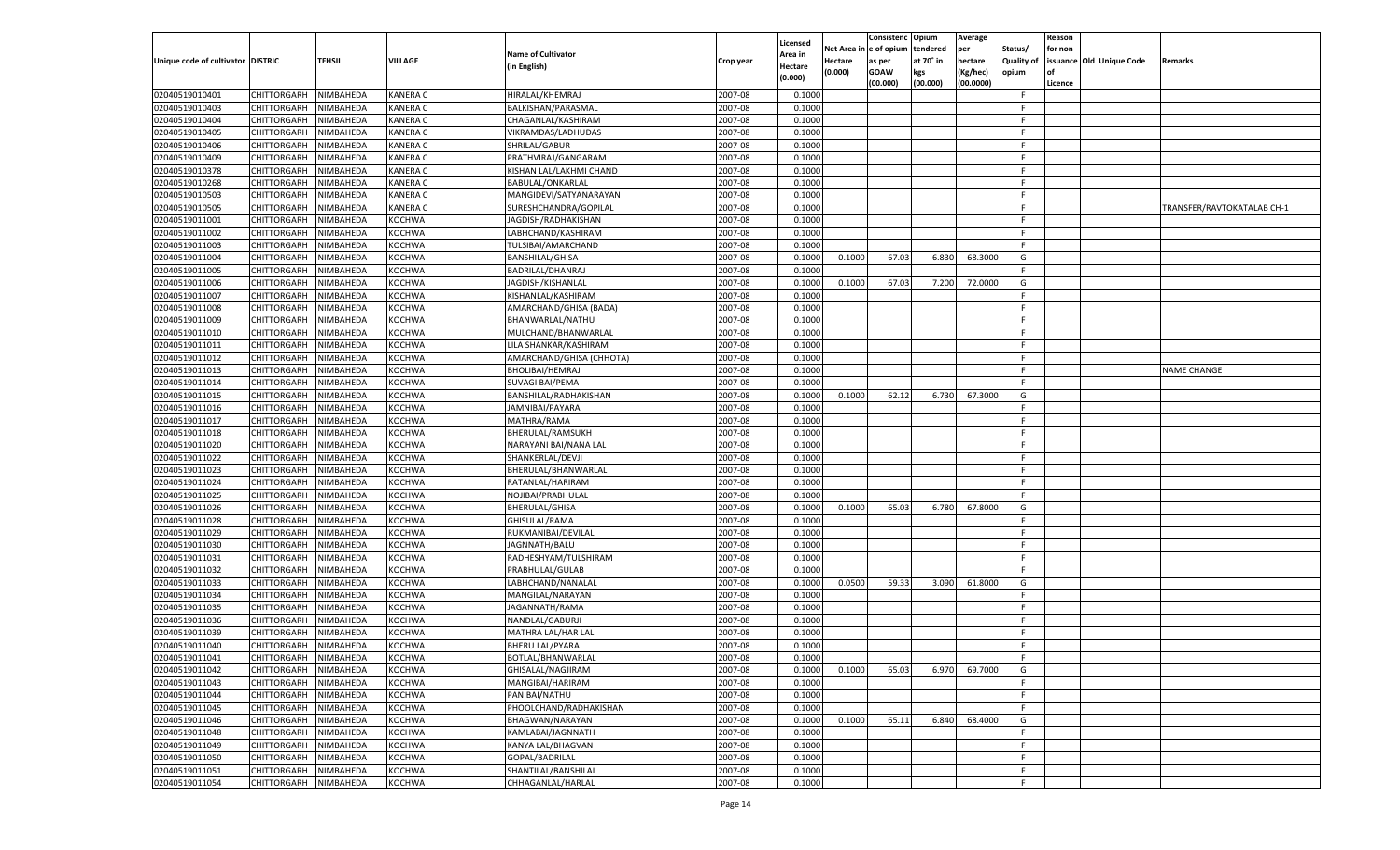|                                   |                    |           |                 |                           |           |                    |         | Consistenc Opium       |           | Average   |            | Reason  |                          |                            |
|-----------------------------------|--------------------|-----------|-----------------|---------------------------|-----------|--------------------|---------|------------------------|-----------|-----------|------------|---------|--------------------------|----------------------------|
|                                   |                    |           |                 | <b>Name of Cultivator</b> |           | Licensed           |         | Net Area in e of opium | tendered  | per       | Status/    | for non |                          |                            |
| Unique code of cultivator DISTRIC |                    | TEHSIL    | VILLAGE         |                           | Crop year | Area in            | Hectare | as per                 | at 70° in | hectare   | Quality of |         | issuance Old Unique Code | <b>Remarks</b>             |
|                                   |                    |           |                 | (in English)              |           | Hectare<br>(0.000) | (0.000) | <b>GOAW</b>            | kgs       | (Kg/hec)  | opium      |         |                          |                            |
|                                   |                    |           |                 |                           |           |                    |         | (00.000)               | (00.000)  | (00.0000) |            | Licence |                          |                            |
| 02040519010401                    | CHITTORGARH        | NIMBAHEDA | <b>KANERA C</b> | HIRALAL/KHEMRAJ           | 2007-08   | 0.1000             |         |                        |           |           | -F.        |         |                          |                            |
| 02040519010403                    | CHITTORGARH        | NIMBAHEDA | <b>KANERA C</b> | BALKISHAN/PARASMAL        | 2007-08   | 0.1000             |         |                        |           |           | F          |         |                          |                            |
| 02040519010404                    | CHITTORGARH        | NIMBAHEDA | <b>KANERA C</b> | CHAGANLAL/KASHIRAM        | 2007-08   | 0.1000             |         |                        |           |           | F.         |         |                          |                            |
| 02040519010405                    | CHITTORGARH        | NIMBAHEDA | <b>KANERA C</b> | VIKRAMDAS/LADHUDAS        | 2007-08   | 0.1000             |         |                        |           |           | F.         |         |                          |                            |
| 02040519010406                    | CHITTORGARH        | NIMBAHEDA | <b>KANERA C</b> | SHRILAL/GABUR             | 2007-08   | 0.1000             |         |                        |           |           | F.         |         |                          |                            |
| 02040519010409                    | CHITTORGARH        | NIMBAHEDA | <b>KANERA C</b> | PRATHVIRAJ/GANGARAM       | 2007-08   | 0.1000             |         |                        |           |           | -F         |         |                          |                            |
| 02040519010378                    | CHITTORGARH        | NIMBAHEDA | <b>KANERA C</b> | KISHAN LAL/LAKHMI CHAND   | 2007-08   | 0.1000             |         |                        |           |           | F.         |         |                          |                            |
| 02040519010268                    | CHITTORGARH        | NIMBAHEDA | <b>KANERA C</b> | BABULAL/ONKARLAL          | 2007-08   | 0.1000             |         |                        |           |           | F.         |         |                          |                            |
| 02040519010503                    | CHITTORGARH        | NIMBAHEDA | <b>KANERA C</b> | MANGIDEVI/SATYANARAYAN    | 2007-08   | 0.1000             |         |                        |           |           | F.         |         |                          |                            |
| 02040519010505                    | CHITTORGARH        | NIMBAHEDA | <b>KANERA C</b> | SURESHCHANDRA/GOPILAL     | 2007-08   | 0.1000             |         |                        |           |           | -F         |         |                          | TRANSFER/RAVTOKATALAB CH-1 |
| 02040519011001                    | CHITTORGARH        | NIMBAHEDA | <b>KOCHWA</b>   | JAGDISH/RADHAKISHAN       | 2007-08   | 0.1000             |         |                        |           |           | F.         |         |                          |                            |
| 02040519011002                    | CHITTORGARH        | NIMBAHEDA | <b>KOCHWA</b>   | LABHCHAND/KASHIRAM        | 2007-08   | 0.1000             |         |                        |           |           | F.         |         |                          |                            |
|                                   |                    |           | <b>KOCHWA</b>   |                           | 2007-08   |                    |         |                        |           |           | F.         |         |                          |                            |
| 02040519011003                    | CHITTORGARH        | NIMBAHEDA |                 | TULSIBAI/AMARCHAND        |           | 0.1000             |         |                        |           |           |            |         |                          |                            |
| 02040519011004                    | CHITTORGARH        | NIMBAHEDA | KOCHWA          | <b>BANSHILAL/GHISA</b>    | 2007-08   | 0.1000             | 0.1000  | 67.03                  | 6.830     | 68.3000   | G          |         |                          |                            |
| 02040519011005                    | CHITTORGARH        | NIMBAHEDA | KOCHWA          | BADRILAL/DHANRAJ          | 2007-08   | 0.1000             |         |                        |           |           | F.         |         |                          |                            |
| 02040519011006                    | CHITTORGARH        | NIMBAHEDA | KOCHWA          | JAGDISH/KISHANLAL         | 2007-08   | 0.1000             | 0.1000  | 67.03                  | 7.200     | 72.0000   | G          |         |                          |                            |
| 02040519011007                    | CHITTORGARH        | NIMBAHEDA | <b>KOCHWA</b>   | KISHANLAL/KASHIRAM        | 2007-08   | 0.1000             |         |                        |           |           | F.         |         |                          |                            |
| 02040519011008                    | CHITTORGARH        | NIMBAHEDA | KOCHWA          | AMARCHAND/GHISA (BADA)    | 2007-08   | 0.1000             |         |                        |           |           | E          |         |                          |                            |
| 02040519011009                    | CHITTORGARH        | NIMBAHEDA | KOCHWA          | BHANWARLAL/NATHU          | 2007-08   | 0.1000             |         |                        |           |           | F.         |         |                          |                            |
| 02040519011010                    | CHITTORGARH        | NIMBAHEDA | KOCHWA          | MULCHAND/BHANWARLAL       | 2007-08   | 0.1000             |         |                        |           |           | -F         |         |                          |                            |
| 02040519011011                    | CHITTORGARH        | NIMBAHEDA | <b>KOCHWA</b>   | LILA SHANKAR/KASHIRAM     | 2007-08   | 0.1000             |         |                        |           |           | F.         |         |                          |                            |
| 02040519011012                    | CHITTORGARH        | NIMBAHEDA | KOCHWA          | AMARCHAND/GHISA (CHHOTA)  | 2007-08   | 0.1000             |         |                        |           |           | -F         |         |                          |                            |
| 02040519011013                    | CHITTORGARH        | NIMBAHEDA | KOCHWA          | BHOLIBAI/HEMRAJ           | 2007-08   | 0.1000             |         |                        |           |           | F.         |         |                          | <b>NAME CHANGE</b>         |
| 02040519011014                    | CHITTORGARH        | NIMBAHEDA | KOCHWA          | <b>SUVAGI BAI/PEMA</b>    | 2007-08   | 0.1000             |         |                        |           |           | -F         |         |                          |                            |
| 02040519011015                    | CHITTORGARH        | NIMBAHEDA | <b>KOCHWA</b>   | BANSHILAL/RADHAKISHAN     | 2007-08   | 0.1000             | 0.1000  | 62.12                  | 6.730     | 67.3000   | G          |         |                          |                            |
| 02040519011016                    | CHITTORGARH        | NIMBAHEDA | KOCHWA          | JAMNIBAI/PAYARA           | 2007-08   | 0.100              |         |                        |           |           | -F         |         |                          |                            |
| 02040519011017                    | CHITTORGARH        | NIMBAHEDA | KOCHWA          | MATHRA/RAMA               | 2007-08   | 0.1000             |         |                        |           |           | F.         |         |                          |                            |
|                                   |                    |           |                 |                           |           |                    |         |                        |           |           | -F         |         |                          |                            |
| 02040519011018                    | CHITTORGARH        | NIMBAHEDA | KOCHWA          | BHERULAL/RAMSUKH          | 2007-08   | 0.1000             |         |                        |           |           |            |         |                          |                            |
| 02040519011020                    | CHITTORGARH        | NIMBAHEDA | <b>KOCHWA</b>   | NARAYANI BAI/NANA LAL     | 2007-08   | 0.1000             |         |                        |           |           | F.         |         |                          |                            |
| 02040519011022                    | CHITTORGARH        | NIMBAHEDA | KOCHWA          | SHANKERLAL/DEVJI          | 2007-08   | 0.1000             |         |                        |           |           | -F         |         |                          |                            |
| 02040519011023                    | CHITTORGARH        | NIMBAHEDA | <b>KOCHWA</b>   | BHERULAL/BHANWARLAL       | 2007-08   | 0.1000             |         |                        |           |           | F.         |         |                          |                            |
| 02040519011024                    | CHITTORGARH        | NIMBAHEDA | <b>KOCHWA</b>   | RATANLAL/HARIRAM          | 2007-08   | 0.1000             |         |                        |           |           | -F         |         |                          |                            |
| 02040519011025                    | CHITTORGARH        | NIMBAHEDA | <b>KOCHWA</b>   | NOJIBAI/PRABHULAL         | 2007-08   | 0.1000             |         |                        |           |           | F.         |         |                          |                            |
| 02040519011026                    | CHITTORGARH        | NIMBAHEDA | <b>KOCHWA</b>   | <b>BHERULAL/GHISA</b>     | 2007-08   | 0.1000             | 0.1000  | 65.03                  | 6.780     | 67.8000   | G          |         |                          |                            |
| 02040519011028                    | CHITTORGARH        | NIMBAHEDA | <b>KOCHWA</b>   | GHISULAL/RAMA             | 2007-08   | 0.1000             |         |                        |           |           | F.         |         |                          |                            |
| 02040519011029                    | CHITTORGARH        | NIMBAHEDA | <b>KOCHWA</b>   | RUKMANIBAI/DEVILAL        | 2007-08   | 0.1000             |         |                        |           |           | -F         |         |                          |                            |
| 02040519011030                    | CHITTORGARH        | NIMBAHEDA | <b>KOCHWA</b>   | JAGNNATH/BALU             | 2007-08   | 0.1000             |         |                        |           |           | F.         |         |                          |                            |
| 02040519011031                    | CHITTORGARH        | NIMBAHEDA | <b>KOCHWA</b>   | RADHESHYAM/TULSHIRAM      | 2007-08   | 0.1000             |         |                        |           |           | -F         |         |                          |                            |
| 02040519011032                    | CHITTORGARH        | NIMBAHEDA | <b>KOCHWA</b>   | PRABHULAL/GULAB           | 2007-08   | 0.1000             |         |                        |           |           | F.         |         |                          |                            |
| 02040519011033                    | CHITTORGARH        | NIMBAHEDA | <b>KOCHWA</b>   | LABHCHAND/NANALAL         | 2007-08   | 0.1000             | 0.0500  | 59.33                  | 3.090     | 61.8000   | G          |         |                          |                            |
| 02040519011034                    | CHITTORGARH        | NIMBAHEDA | <b>KOCHWA</b>   | MANGILAL/NARAYAN          | 2007-08   | 0.1000             |         |                        |           |           | F.         |         |                          |                            |
| 02040519011035                    | CHITTORGARH        | NIMBAHEDA | <b>KOCHWA</b>   | JAGANNATH/RAMA            | 2007-08   | 0.1000             |         |                        |           |           | E          |         |                          |                            |
| 02040519011036                    | CHITTORGARH        | NIMBAHEDA | <b>KOCHWA</b>   | NANDLAL/GABURJI           | 2007-08   | 0.1000             |         |                        |           |           | E          |         |                          |                            |
| 02040519011039                    | CHITTORGARH        | NIMBAHEDA | KOCHWA          | MATHRA LAL/HAR LAL        | 2007-08   | 0.1000             |         |                        |           |           | -F         |         |                          |                            |
| 02040519011040                    | CHITTORGARH        | NIMBAHEDA | <b>KOCHWA</b>   | <b>BHERU LAL/PYARA</b>    | 2007-08   | 0.1000             |         |                        |           |           | F.         |         |                          |                            |
|                                   |                    |           |                 |                           |           |                    |         |                        |           |           | -F         |         |                          |                            |
| 02040519011041                    | CHITTORGARH        | NIMBAHEDA | <b>KOCHWA</b>   | BOTLAL/BHANWARLAL         | 2007-08   | 0.1000             |         |                        |           |           |            |         |                          |                            |
| 02040519011042                    | <b>CHITTORGARH</b> | NIMBAHEDA | <b>KOCHWA</b>   | GHISALAL/NAGJIRAM         | 2007-08   | 0.1000             | 0.1000  | 65.03                  | 6.970     | 69.7000   | G          |         |                          |                            |
| 02040519011043                    | <b>CHITTORGARH</b> | NIMBAHEDA | KOCHWA          | MANGIBAI/HARIRAM          | 2007-08   | 0.1000             |         |                        |           |           | F.         |         |                          |                            |
| 02040519011044                    | <b>CHITTORGARH</b> | NIMBAHEDA | KOCHWA          | PANIBAI/NATHU             | 2007-08   | 0.1000             |         |                        |           |           | F.         |         |                          |                            |
| 02040519011045                    | <b>CHITTORGARH</b> | NIMBAHEDA | <b>KOCHWA</b>   | PHOOLCHAND/RADHAKISHAN    | 2007-08   | 0.1000             |         |                        |           |           | F.         |         |                          |                            |
| 02040519011046                    | <b>CHITTORGARH</b> | NIMBAHEDA | KOCHWA          | BHAGWAN/NARAYAN           | 2007-08   | 0.1000             | 0.1000  | 65.11                  | 6.840     | 68.4000   | G          |         |                          |                            |
| 02040519011048                    | CHITTORGARH        | NIMBAHEDA | KOCHWA          | KAMLABAI/JAGNNATH         | 2007-08   | 0.1000             |         |                        |           |           | F.         |         |                          |                            |
| 02040519011049                    | <b>CHITTORGARH</b> | NIMBAHEDA | <b>KOCHWA</b>   | KANYA LAL/BHAGVAN         | 2007-08   | 0.1000             |         |                        |           |           | F.         |         |                          |                            |
| 02040519011050                    | <b>CHITTORGARH</b> | NIMBAHEDA | KOCHWA          | GOPAL/BADRILAL            | 2007-08   | 0.1000             |         |                        |           |           | F.         |         |                          |                            |
| 02040519011051                    | <b>CHITTORGARH</b> | NIMBAHEDA | <b>KOCHWA</b>   | SHANTILAL/BANSHILAL       | 2007-08   | 0.1000             |         |                        |           |           | F          |         |                          |                            |
| 02040519011054                    | <b>CHITTORGARH</b> | NIMBAHEDA | <b>KOCHWA</b>   | CHHAGANLAL/HARLAL         | 2007-08   | 0.1000             |         |                        |           |           | F.         |         |                          |                            |
|                                   |                    |           |                 |                           |           |                    |         |                        |           |           |            |         |                          |                            |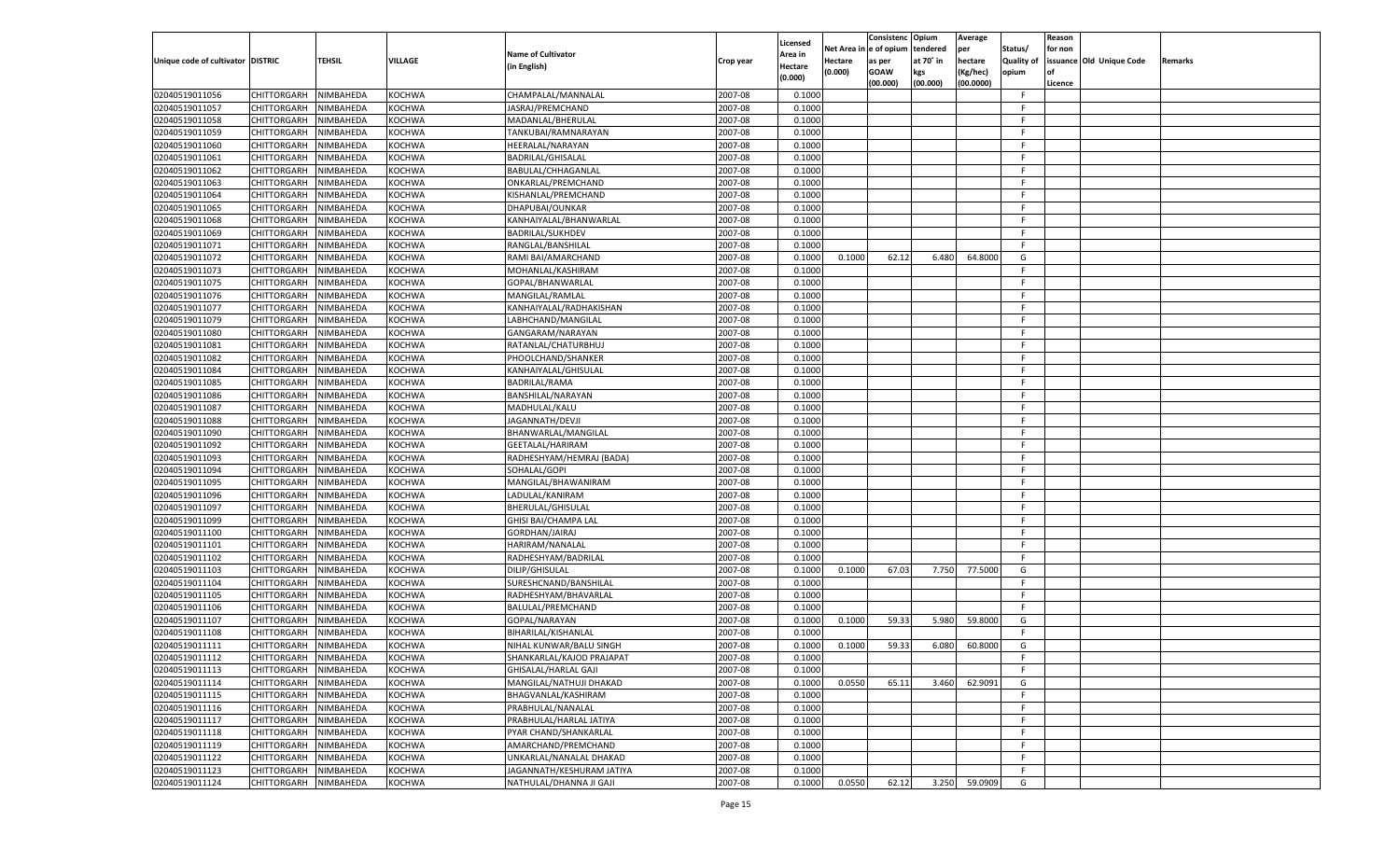|                                   |                       |               |               |                           |           |                    |          | Consistenc  | Opium     | Average   |                   | Reason  |                          |         |
|-----------------------------------|-----------------------|---------------|---------------|---------------------------|-----------|--------------------|----------|-------------|-----------|-----------|-------------------|---------|--------------------------|---------|
|                                   |                       |               |               | <b>Name of Cultivator</b> |           | Licensed           | Net Area | e of opium  | tendered  | per       | Status/           | for non |                          |         |
| Unique code of cultivator DISTRIC |                       | <b>TEHSIL</b> | VILLAGE       |                           | Crop year | <b>Area in</b>     | Hectare  | as per      | at 70° in | hectare   | <b>Quality of</b> |         | issuance Old Unique Code | Remarks |
|                                   |                       |               |               | (in English)              |           | Hectare<br>(0.000) | (0.000)  | <b>GOAW</b> | kgs       | (Kg/hec)  | opium             |         |                          |         |
|                                   |                       |               |               |                           |           |                    |          | (00.000)    | (00.000)  | (00.0000) |                   | Licence |                          |         |
| 02040519011056                    | CHITTORGARH           | NIMBAHEDA     | KOCHWA        | CHAMPALAL/MANNALAL        | 2007-08   | 0.1000             |          |             |           |           | F.                |         |                          |         |
| 02040519011057                    | CHITTORGARH           | NIMBAHEDA     | KOCHWA        | JASRAJ/PREMCHAND          | 2007-08   | 0.1000             |          |             |           |           | E                 |         |                          |         |
| 02040519011058                    | CHITTORGARH           | NIMBAHEDA     | KOCHWA        | MADANLAL/BHERULAL         | 2007-08   | 0.1000             |          |             |           |           | F.                |         |                          |         |
| 02040519011059                    | CHITTORGARH           | NIMBAHEDA     | KOCHWA        | TANKUBAI/RAMNARAYAN       | 2007-08   | 0.1000             |          |             |           |           | E                 |         |                          |         |
| 02040519011060                    | CHITTORGARH           | NIMBAHEDA     | KOCHWA        | HEERALAL/NARAYAN          | 2007-08   | 0.1000             |          |             |           |           | F.                |         |                          |         |
| 02040519011061                    | CHITTORGARH           | NIMBAHEDA     | KOCHWA        | BADRILAL/GHISALAL         | 2007-08   | 0.1000             |          |             |           |           | E                 |         |                          |         |
| 02040519011062                    | CHITTORGARH           | NIMBAHEDA     | KOCHWA        | BABULAL/CHHAGANLAL        | 2007-08   | 0.1000             |          |             |           |           | F.                |         |                          |         |
| 02040519011063                    | CHITTORGARH           | NIMBAHEDA     | KOCHWA        | ONKARLAL/PREMCHAND        | 2007-08   | 0.1000             |          |             |           |           | E                 |         |                          |         |
| 02040519011064                    | CHITTORGARH           | NIMBAHEDA     | KOCHWA        | KISHANLAL/PREMCHAND       | 2007-08   | 0.1000             |          |             |           |           | F.                |         |                          |         |
| 02040519011065                    | CHITTORGARH           | NIMBAHEDA     | KOCHWA        | DHAPUBAI/OUNKAR           | 2007-08   | 0.1000             |          |             |           |           | E                 |         |                          |         |
| 02040519011068                    | CHITTORGARH           | NIMBAHEDA     | KOCHWA        | KANHAIYALAL/BHANWARLAL    | 2007-08   | 0.1000             |          |             |           |           | F.                |         |                          |         |
| 02040519011069                    | CHITTORGARH           | NIMBAHEDA     | KOCHWA        | <b>BADRILAL/SUKHDEV</b>   | 2007-08   | 0.1000             |          |             |           |           | E                 |         |                          |         |
| 02040519011071                    | CHITTORGARH           | NIMBAHEDA     | KOCHWA        | RANGLAL/BANSHILAL         | 2007-08   | 0.1000             |          |             |           |           | F.                |         |                          |         |
| 02040519011072                    | CHITTORGARH           | NIMBAHEDA     | KOCHWA        | RAMI BAI/AMARCHAND        | 2007-08   | 0.1000             | 0.1000   | 62.12       | 6.480     | 64.8000   | G                 |         |                          |         |
| 02040519011073                    | CHITTORGARH           | NIMBAHEDA     | KOCHWA        | MOHANLAL/KASHIRAM         | 2007-08   | 0.1000             |          |             |           |           | F.                |         |                          |         |
| 02040519011075                    | CHITTORGARH           | NIMBAHEDA     | KOCHWA        | GOPAL/BHANWARLAL          | 2007-08   | 0.1000             |          |             |           |           | F.                |         |                          |         |
| 02040519011076                    | CHITTORGARH           | NIMBAHEDA     | KOCHWA        | MANGILAL/RAMLAL           | 2007-08   | 0.1000             |          |             |           |           | F.                |         |                          |         |
| 02040519011077                    | CHITTORGARH           | NIMBAHEDA     | KOCHWA        | KANHAIYALAL/RADHAKISHAN   | 2007-08   | 0.1000             |          |             |           |           | F.                |         |                          |         |
| 02040519011079                    | CHITTORGARH           | NIMBAHEDA     | KOCHWA        | LABHCHAND/MANGILAL        | 2007-08   | 0.1000             |          |             |           |           | E                 |         |                          |         |
| 02040519011080                    | CHITTORGARH           | NIMBAHEDA     | KOCHWA        | GANGARAM/NARAYAN          | 2007-08   | 0.1000             |          |             |           |           | E                 |         |                          |         |
| 02040519011081                    | CHITTORGARH           | NIMBAHEDA     | KOCHWA        | RATANLAL/CHATURBHUJ       | 2007-08   | 0.1000             |          |             |           |           | F.                |         |                          |         |
| 02040519011082                    | CHITTORGARH           | NIMBAHEDA     | KOCHWA        | PHOOLCHAND/SHANKER        | 2007-08   | 0.1000             |          |             |           |           | F.                |         |                          |         |
| 02040519011084                    | CHITTORGARH           | NIMBAHEDA     | KOCHWA        | KANHAIYALAL/GHISULAL      | 2007-08   | 0.1000             |          |             |           |           | E                 |         |                          |         |
| 02040519011085                    | CHITTORGARH           | NIMBAHEDA     | KOCHWA        | BADRILAL/RAMA             | 2007-08   | 0.1000             |          |             |           |           | E                 |         |                          |         |
| 02040519011086                    | CHITTORGARH           | NIMBAHEDA     | KOCHWA        | BANSHILAL/NARAYAN         | 2007-08   | 0.1000             |          |             |           |           | F.                |         |                          |         |
| 02040519011087                    | CHITTORGARH           | NIMBAHEDA     | KOCHWA        | MADHULAL/KALU             | 2007-08   | 0.1000             |          |             |           |           | F.                |         |                          |         |
| 02040519011088                    | CHITTORGARH           | NIMBAHEDA     | KOCHWA        | JAGANNATH/DEVJI           | 2007-08   | 0.1000             |          |             |           |           | E                 |         |                          |         |
| 02040519011090                    | CHITTORGARH           | NIMBAHEDA     | KOCHWA        | BHANWARLAL/MANGILAL       | 2007-08   | 0.1000             |          |             |           |           | E                 |         |                          |         |
| 02040519011092                    | CHITTORGARH           | NIMBAHEDA     | KOCHWA        | GEETALAL/HARIRAM          | 2007-08   | 0.1000             |          |             |           |           | F.                |         |                          |         |
| 02040519011093                    | CHITTORGARH           | NIMBAHEDA     | KOCHWA        | RADHESHYAM/HEMRAJ (BADA)  | 2007-08   | 0.1000             |          |             |           |           | F                 |         |                          |         |
| 02040519011094                    |                       | NIMBAHEDA     | KOCHWA        | SOHALAL/GOPI              | 2007-08   | 0.1000             |          |             |           |           | F                 |         |                          |         |
|                                   | CHITTORGARH           |               |               |                           |           |                    |          |             |           |           | F                 |         |                          |         |
| 02040519011095                    | CHITTORGARH           | NIMBAHEDA     | KOCHWA        | MANGILAL/BHAWANIRAM       | 2007-08   | 0.1000             |          |             |           |           | F                 |         |                          |         |
| 02040519011096                    | CHITTORGARH           | NIMBAHEDA     | KOCHWA        | LADULAL/KANIRAM           | 2007-08   | 0.1000             |          |             |           |           |                   |         |                          |         |
| 02040519011097                    | CHITTORGARH           | NIMBAHEDA     | KOCHWA        | BHERULAL/GHISULAL         | 2007-08   | 0.1000             |          |             |           |           | F                 |         |                          |         |
| 02040519011099                    | CHITTORGARH           | NIMBAHEDA     | KOCHWA        | GHISI BAI/CHAMPA LAL      | 2007-08   | 0.1000             |          |             |           |           | F                 |         |                          |         |
| 02040519011100                    | CHITTORGARH           | NIMBAHEDA     | KOCHWA        | GORDHAN/JAIRAJ            | 2007-08   | 0.1000             |          |             |           |           | F                 |         |                          |         |
| 02040519011101                    | <b>CHITTORGARH</b>    | NIMBAHEDA     | KOCHWA        | HARIRAM/NANALAL           | 2007-08   | 0.1000             |          |             |           |           | F.                |         |                          |         |
| 02040519011102                    | CHITTORGARH           | NIMBAHEDA     | KOCHWA        | RADHESHYAM/BADRILAL       | 2007-08   | 0.1000             |          |             |           |           | F.                |         |                          |         |
| 02040519011103                    | <b>CHITTORGARH</b>    | NIMBAHEDA     | KOCHWA        | DILIP/GHISULAL            | 2007-08   | 0.1000             | 0.1000   | 67.03       | 7.750     | 77.5000   | G                 |         |                          |         |
| 02040519011104                    | CHITTORGARH           | NIMBAHEDA     | KOCHWA        | SURESHCNAND/BANSHILAL     | 2007-08   | 0.1000             |          |             |           |           | F                 |         |                          |         |
| 02040519011105                    | CHITTORGARH           | NIMBAHEDA     | KOCHWA        | RADHESHYAM/BHAVARLAL      | 2007-08   | 0.1000             |          |             |           |           | F.                |         |                          |         |
| 02040519011106                    | CHITTORGARH           | NIMBAHEDA     | KOCHWA        | BALULAL/PREMCHAND         | 2007-08   | 0.1000             |          |             |           |           | F.                |         |                          |         |
| 02040519011107                    | CHITTORGARH           | NIMBAHEDA     | KOCHWA        | GOPAL/NARAYAN             | 2007-08   | 0.1000             | 0.1000   | 59.33       | 5.980     | 59.8000   | G                 |         |                          |         |
| 02040519011108                    | CHITTORGARH           | NIMBAHEDA     | KOCHWA        | BIHARILAL/KISHANLAL       | 2007-08   | 0.1000             |          |             |           |           | F.                |         |                          |         |
| 02040519011111                    | CHITTORGARH           | NIMBAHEDA     | KOCHWA        | NIHAL KUNWAR/BALU SINGH   | 2007-08   | 0.1000             | 0.1000   | 59.33       | 6.080     | 60.8000   | G                 |         |                          |         |
| 02040519011112                    | CHITTORGARH NIMBAHEDA |               | <b>KOCHWA</b> | SHANKARLAL/KAJOD PRAJAPAT | 2007-08   | 0.1000             |          |             |           |           | F                 |         |                          |         |
| 02040519011113                    | <b>CHITTORGARH</b>    | NIMBAHEDA     | <b>KOCHWA</b> | GHISALAL/HARLAL GAJI      | 2007-08   | 0.1000             |          |             |           |           | -F                |         |                          |         |
| 02040519011114                    | CHITTORGARH           | NIMBAHEDA     | <b>KOCHWA</b> | MANGILAL/NATHUJI DHAKAD   | 2007-08   | 0.1000             | 0.0550   | 65.11       | 3.460     | 62.9091   | G                 |         |                          |         |
| 02040519011115                    | <b>CHITTORGARH</b>    | NIMBAHEDA     | <b>KOCHWA</b> | BHAGVANLAL/KASHIRAM       | 2007-08   | 0.1000             |          |             |           |           | F.                |         |                          |         |
| 02040519011116                    | <b>CHITTORGARH</b>    | NIMBAHEDA     | <b>KOCHWA</b> | PRABHULAL/NANALAL         | 2007-08   | 0.1000             |          |             |           |           | F.                |         |                          |         |
| 02040519011117                    | <b>CHITTORGARH</b>    | NIMBAHEDA     | <b>KOCHWA</b> | PRABHULAL/HARLAL JATIYA   | 2007-08   | 0.1000             |          |             |           |           | F                 |         |                          |         |
| 02040519011118                    | <b>CHITTORGARH</b>    | NIMBAHEDA     | <b>KOCHWA</b> | PYAR CHAND/SHANKARLAL     | 2007-08   | 0.1000             |          |             |           |           | F.                |         |                          |         |
| 02040519011119                    | <b>CHITTORGARH</b>    | NIMBAHEDA     | <b>KOCHWA</b> | AMARCHAND/PREMCHAND       | 2007-08   | 0.1000             |          |             |           |           | F.                |         |                          |         |
| 02040519011122                    | <b>CHITTORGARH</b>    | NIMBAHEDA     | KOCHWA        | UNKARLAL/NANALAL DHAKAD   | 2007-08   | 0.1000             |          |             |           |           | F.                |         |                          |         |
| 02040519011123                    | <b>CHITTORGARH</b>    | NIMBAHEDA     | <b>KOCHWA</b> | JAGANNATH/KESHURAM JATIYA | 2007-08   | 0.1000             |          |             |           |           | F.                |         |                          |         |
| 02040519011124                    | <b>CHITTORGARH</b>    | NIMBAHEDA     | <b>KOCHWA</b> | NATHULAL/DHANNA JI GAJI   | 2007-08   | 0.1000             | 0.0550   | 62.12       | 3.250     | 59.0909   | G                 |         |                          |         |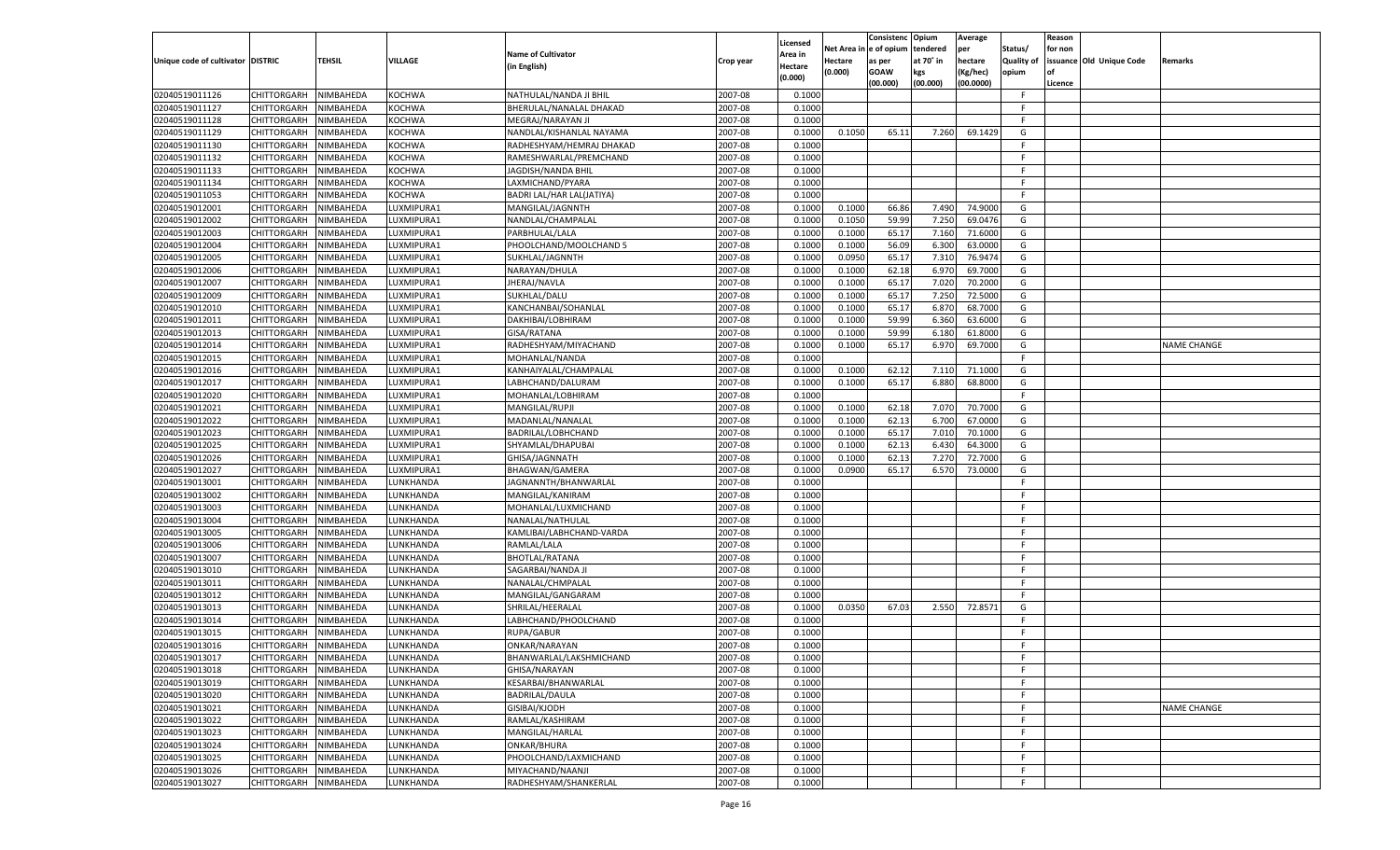|                                   |                       |               |               |                           |           | Licensed         |            | Consistenc Opium |           | Average   |                   | Reason  |                          |                    |
|-----------------------------------|-----------------------|---------------|---------------|---------------------------|-----------|------------------|------------|------------------|-----------|-----------|-------------------|---------|--------------------------|--------------------|
|                                   |                       |               |               | <b>Name of Cultivator</b> |           | \rea in          | Net Area i | n  e of opium    | tendered  | per       | Status/           | for non |                          |                    |
| Unique code of cultivator DISTRIC |                       | <b>TEHSIL</b> | VILLAGE       | (in English)              | Crop year | Hectare          | Hectare    | as per           | at 70° in | hectare   | <b>Quality of</b> |         | issuance Old Unique Code | <b>Remarks</b>     |
|                                   |                       |               |               |                           |           | (0.000)          | (0.000)    | <b>GOAW</b>      | kgs       | (Kg/hec)  | opium             |         |                          |                    |
|                                   |                       |               |               |                           |           |                  |            | (00.000)         | (00.000)  | (00.0000) |                   | Licence |                          |                    |
| 02040519011126                    | CHITTORGARH           | NIMBAHEDA     | <b>KOCHWA</b> | NATHULAL/NANDA JI BHIL    | 2007-08   | 0.1000           |            |                  |           |           | -F.               |         |                          |                    |
| 02040519011127                    | CHITTORGARH           | NIMBAHEDA     | KOCHWA        | BHERULAL/NANALAL DHAKAD   | 2007-08   | 0.1000           |            |                  |           |           | F.                |         |                          |                    |
| 02040519011128                    | CHITTORGARH           | NIMBAHEDA     | <b>KOCHWA</b> | MEGRAJ/NARAYAN JI         | 2007-08   | 0.1000           |            |                  |           |           | F.                |         |                          |                    |
| 02040519011129                    | CHITTORGARH           | NIMBAHEDA     | KOCHWA        | NANDLAL/KISHANLAL NAYAMA  | 2007-08   | 0.1000           | 0.1050     | 65.11            | 7.260     | 69.1429   | G                 |         |                          |                    |
| 02040519011130                    | CHITTORGARH           | NIMBAHEDA     | KOCHWA        | RADHESHYAM/HEMRAJ DHAKAD  | 2007-08   | 0.1000           |            |                  |           |           | F                 |         |                          |                    |
| 02040519011132                    | CHITTORGARH           | NIMBAHEDA     | KOCHWA        | RAMESHWARLAL/PREMCHAND    | 2007-08   | 0.1000           |            |                  |           |           | F.                |         |                          |                    |
| 02040519011133                    | CHITTORGARH           | NIMBAHEDA     | <b>KOCHWA</b> | JAGDISH/NANDA BHIL        | 2007-08   | 0.1000           |            |                  |           |           | F.                |         |                          |                    |
| 02040519011134                    | CHITTORGARH           | NIMBAHEDA     | KOCHWA        | LAXMICHAND/PYARA          | 2007-08   | 0.1000           |            |                  |           |           | F.                |         |                          |                    |
| 02040519011053                    | CHITTORGARH           | NIMBAHEDA     | <b>KOCHWA</b> | BADRI LAL/HAR LAL(JATIYA) | 2007-08   | 0.1000           |            |                  |           |           | F                 |         |                          |                    |
| 02040519012001                    | CHITTORGARH           | NIMBAHEDA     | LUXMIPURA1    | MANGILAL/JAGNNTH          | 2007-08   | 0.1000           | 0.1000     | 66.86            | 7.490     | 74.9000   | G                 |         |                          |                    |
| 02040519012002                    | CHITTORGARH           | NIMBAHEDA     | LUXMIPURA1    | NANDLAL/CHAMPALAL         | 2007-08   | 0.1000           | 0.1050     | 59.99            | 7.250     | 69.0476   | G                 |         |                          |                    |
| 02040519012003                    | CHITTORGARH           | NIMBAHEDA     | LUXMIPURA1    | PARBHULAL/LALA            | 2007-08   | 0.1000           | 0.1000     | 65.17            | 7.160     | 71.6000   | G                 |         |                          |                    |
| 02040519012004                    | CHITTORGARH           | NIMBAHEDA     | LUXMIPURA1    | PHOOLCHAND/MOOLCHAND 5    | 2007-08   | 0.1000           | 0.1000     | 56.09            | 6.300     | 63.0000   | G                 |         |                          |                    |
| 02040519012005                    | CHITTORGARH           | NIMBAHEDA     | LUXMIPURA1    | SUKHLAL/JAGNNTH           | 2007-08   | 0.1000           | 0.0950     | 65.17            | 7.310     | 76.9474   | G                 |         |                          |                    |
| 02040519012006                    | CHITTORGARH           | NIMBAHEDA     | LUXMIPURA1    | NARAYAN/DHULA             | 2007-08   | 0.1000           | 0.1000     | 62.18            | 6.970     | 69.7000   | G                 |         |                          |                    |
| 02040519012007                    | CHITTORGARH           | NIMBAHEDA     | LUXMIPURA1    | JHERAJ/NAVLA              | 2007-08   | 0.1000           | 0.1000     | 65.17            | 7.020     | 70.2000   | G                 |         |                          |                    |
| 02040519012009                    | CHITTORGARH           | NIMBAHEDA     | LUXMIPURA1    | SUKHLAL/DALU              | 2007-08   | 0.1000           | 0.1000     | 65.17            | 7.250     | 72.5000   | G                 |         |                          |                    |
| 02040519012010                    | CHITTORGARH           | NIMBAHEDA     | LUXMIPURA1    | KANCHANBAI/SOHANLAL       | 2007-08   | 0.1000           | 0.1000     | 65.17            | 6.87      | 68.7000   | G                 |         |                          |                    |
| 02040519012011                    | CHITTORGARH           | NIMBAHEDA     | LUXMIPURA1    | DAKHIBAI/LOBHIRAM         | 2007-08   | 0.1000           | 0.1000     | 59.99            | 6.360     | 63.6000   | G                 |         |                          |                    |
| 02040519012013                    | CHITTORGARH           | NIMBAHEDA     | LUXMIPURA1    | GISA/RATANA               | 2007-08   | 0.1000           | 0.1000     | 59.99            | 6.180     | 61.8000   | G                 |         |                          |                    |
| 02040519012014                    | CHITTORGARH           | NIMBAHEDA     | LUXMIPURA1    | RADHESHYAM/MIYACHAND      | 2007-08   | 0.1000           | 0.1000     | 65.17            | 6.970     | 69.7000   | G                 |         |                          | <b>NAME CHANGE</b> |
| 02040519012015                    | CHITTORGARH           | NIMBAHEDA     | LUXMIPURA1    | MOHANLAL/NANDA            | 2007-08   | 0.1000           |            |                  |           |           | F.                |         |                          |                    |
| 02040519012016                    | CHITTORGARH           | NIMBAHEDA     | LUXMIPURA1    | KANHAIYALAL/CHAMPALAL     | 2007-08   | 0.1000           | 0.1000     | 62.12            | 7.11(     | 71.1000   | G                 |         |                          |                    |
| 02040519012017                    | CHITTORGARH           | NIMBAHEDA     | LUXMIPURA1    | LABHCHAND/DALURAM         | 2007-08   | 0.1000           | 0.1000     | 65.17            | 6.880     | 68.8000   | G                 |         |                          |                    |
| 02040519012020                    | CHITTORGARH           | NIMBAHEDA     | LUXMIPURA1    | MOHANLAL/LOBHIRAM         | 2007-08   | 0.1000           |            |                  |           |           | F.                |         |                          |                    |
| 02040519012021                    | CHITTORGARH           | NIMBAHEDA     | LUXMIPURA1    | MANGILAL/RUPJI            | 2007-08   | 0.1000           | 0.1000     | 62.18            | 7.070     | 70.7000   | G                 |         |                          |                    |
| 02040519012022                    | CHITTORGARH           | NIMBAHEDA     | LUXMIPURA1    | MADANLAL/NANALAL          | 2007-08   | 0.1000           | 0.1000     | 62.13            | 6.700     | 67.0000   | G                 |         |                          |                    |
| 02040519012023                    | CHITTORGARH           | NIMBAHEDA     | LUXMIPURA1    | BADRILAL/LOBHCHAND        | 2007-08   | 0.1000           | 0.1000     | 65.17            | 7.010     | 70.1000   | G                 |         |                          |                    |
| 02040519012025                    | CHITTORGARH           | NIMBAHEDA     | LUXMIPURA1    | SHYAMLAL/DHAPUBAI         | 2007-08   | 0.1000           | 0.1000     | 62.13            | 6.430     | 64.3000   | G                 |         |                          |                    |
| 02040519012026                    | CHITTORGARH           | NIMBAHEDA     | LUXMIPURA1    | GHISA/JAGNNATH            | 2007-08   | 0.1000           | 0.1000     | 62.13            | 7.27      | 72.7000   | G                 |         |                          |                    |
| 02040519012027                    | CHITTORGARH           | NIMBAHEDA     | LUXMIPURA1    | BHAGWAN/GAMERA            | 2007-08   | 0.1000           | 0.0900     | 65.17            | 6.570     | 73.0000   | G                 |         |                          |                    |
| 02040519013001                    | CHITTORGARH           | NIMBAHEDA     | LUNKHANDA     | JAGNANNTH/BHANWARLAL      | 2007-08   | 0.1000           |            |                  |           |           | F.                |         |                          |                    |
| 02040519013002                    | CHITTORGARH           | NIMBAHEDA     | LUNKHANDA     | MANGILAL/KANIRAM          | 2007-08   | 0.1000           |            |                  |           |           | F.                |         |                          |                    |
| 02040519013003                    | CHITTORGARH           | NIMBAHEDA     | LUNKHANDA     | MOHANLAL/LUXMICHAND       | 2007-08   | 0.1000           |            |                  |           |           | F.                |         |                          |                    |
| 02040519013004                    | CHITTORGARH           | NIMBAHEDA     | LUNKHANDA     | NANALAL/NATHULAL          | 2007-08   | 0.1000           |            |                  |           |           | F.                |         |                          |                    |
| 02040519013005                    | CHITTORGARH           | NIMBAHEDA     | LUNKHANDA     | KAMLIBAI/LABHCHAND-VARDA  | 2007-08   | 0.1000           |            |                  |           |           | F.                |         |                          |                    |
| 02040519013006                    | CHITTORGARH           | NIMBAHEDA     | LUNKHANDA     | RAMLAL/LALA               | 2007-08   | 0.1000           |            |                  |           |           | F.                |         |                          |                    |
| 02040519013007                    | CHITTORGARH           | NIMBAHEDA     | LUNKHANDA     | <b>BHOTLAL/RATANA</b>     | 2007-08   | 0.1000           |            |                  |           |           | F.                |         |                          |                    |
| 02040519013010                    | CHITTORGARH           | NIMBAHEDA     | LUNKHANDA     | SAGARBAI/NANDA JI         | 2007-08   | 0.1000           |            |                  |           |           | F.                |         |                          |                    |
| 02040519013011                    | CHITTORGARH           | NIMBAHEDA     | LUNKHANDA     | NANALAL/CHMPALAL          | 2007-08   | 0.1000           |            |                  |           |           | -F.               |         |                          |                    |
| 02040519013012                    | CHITTORGARH           | NIMBAHEDA     | LUNKHANDA     | MANGILAL/GANGARAM         | 2007-08   | 0.1000           |            |                  |           |           | F.                |         |                          |                    |
| 02040519013013                    | CHITTORGARH           | NIMBAHEDA     | LUNKHANDA     | SHRILAL/HEERALAL          | 2007-08   | 0.1000           | 0.0350     | 67.03            | 2.550     | 72.8571   | G                 |         |                          |                    |
| 02040519013014                    | CHITTORGARH           | NIMBAHEDA     | LUNKHANDA     | LABHCHAND/PHOOLCHAND      | 2007-08   | 0.1000           |            |                  |           |           | F.                |         |                          |                    |
| 02040519013015                    | CHITTORGARH           | NIMBAHEDA     | LUNKHANDA     | RUPA/GABUR                | 2007-08   |                  |            |                  |           |           | F.                |         |                          |                    |
| 02040519013016                    | CHITTORGARH           | NIMBAHEDA     | LUNKHANDA     | ONKAR/NARAYAN             | 2007-08   | 0.1000<br>0.1000 |            |                  |           |           | F.                |         |                          |                    |
|                                   |                       |               |               |                           |           |                  |            |                  |           |           | F.                |         |                          |                    |
| 02040519013017                    | CHITTORGARH NIMBAHEDA |               | LUNKHANDA     | BHANWARLAL/LAKSHMICHAND   | 2007-08   | 0.1000           |            |                  |           |           |                   |         |                          |                    |
| 02040519013018                    | CHITTORGARH           | NIMBAHEDA     | LUNKHANDA     | GHISA/NARAYAN             | 2007-08   | 0.1000           |            |                  |           |           | F<br>F.           |         |                          |                    |
| 02040519013019                    | CHITTORGARH           | NIMBAHEDA     | LUNKHANDA     | KESARBAI/BHANWARLAL       | 2007-08   | 0.1000           |            |                  |           |           | F.                |         |                          |                    |
| 02040519013020                    | CHITTORGARH           | NIMBAHEDA     | LUNKHANDA     | BADRILAL/DAULA            | 2007-08   | 0.1000           |            |                  |           |           |                   |         |                          |                    |
| 02040519013021                    | CHITTORGARH           | NIMBAHEDA     | LUNKHANDA     | GISIBAI/KJODH             | 2007-08   | 0.1000           |            |                  |           |           | F.                |         |                          | <b>NAME CHANGE</b> |
| 02040519013022                    | CHITTORGARH           | NIMBAHEDA     | LUNKHANDA     | RAMLAL/KASHIRAM           | 2007-08   | 0.1000           |            |                  |           |           | F                 |         |                          |                    |
| 02040519013023                    | CHITTORGARH           | NIMBAHEDA     | LUNKHANDA     | MANGILAL/HARLAL           | 2007-08   | 0.1000           |            |                  |           |           | F.                |         |                          |                    |
| 02040519013024                    | CHITTORGARH           | NIMBAHEDA     | LUNKHANDA     | ONKAR/BHURA               | 2007-08   | 0.1000           |            |                  |           |           | F.                |         |                          |                    |
| 02040519013025                    | CHITTORGARH           | NIMBAHEDA     | LUNKHANDA     | PHOOLCHAND/LAXMICHAND     | 2007-08   | 0.1000           |            |                  |           |           | F.                |         |                          |                    |
| 02040519013026                    | CHITTORGARH           | NIMBAHEDA     | LUNKHANDA     | MIYACHAND/NAANJI          | 2007-08   | 0.1000           |            |                  |           |           | F                 |         |                          |                    |
| 02040519013027                    | CHITTORGARH           | NIMBAHEDA     | LUNKHANDA     | RADHESHYAM/SHANKERLAL     | 2007-08   | 0.1000           |            |                  |           |           | F.                |         |                          |                    |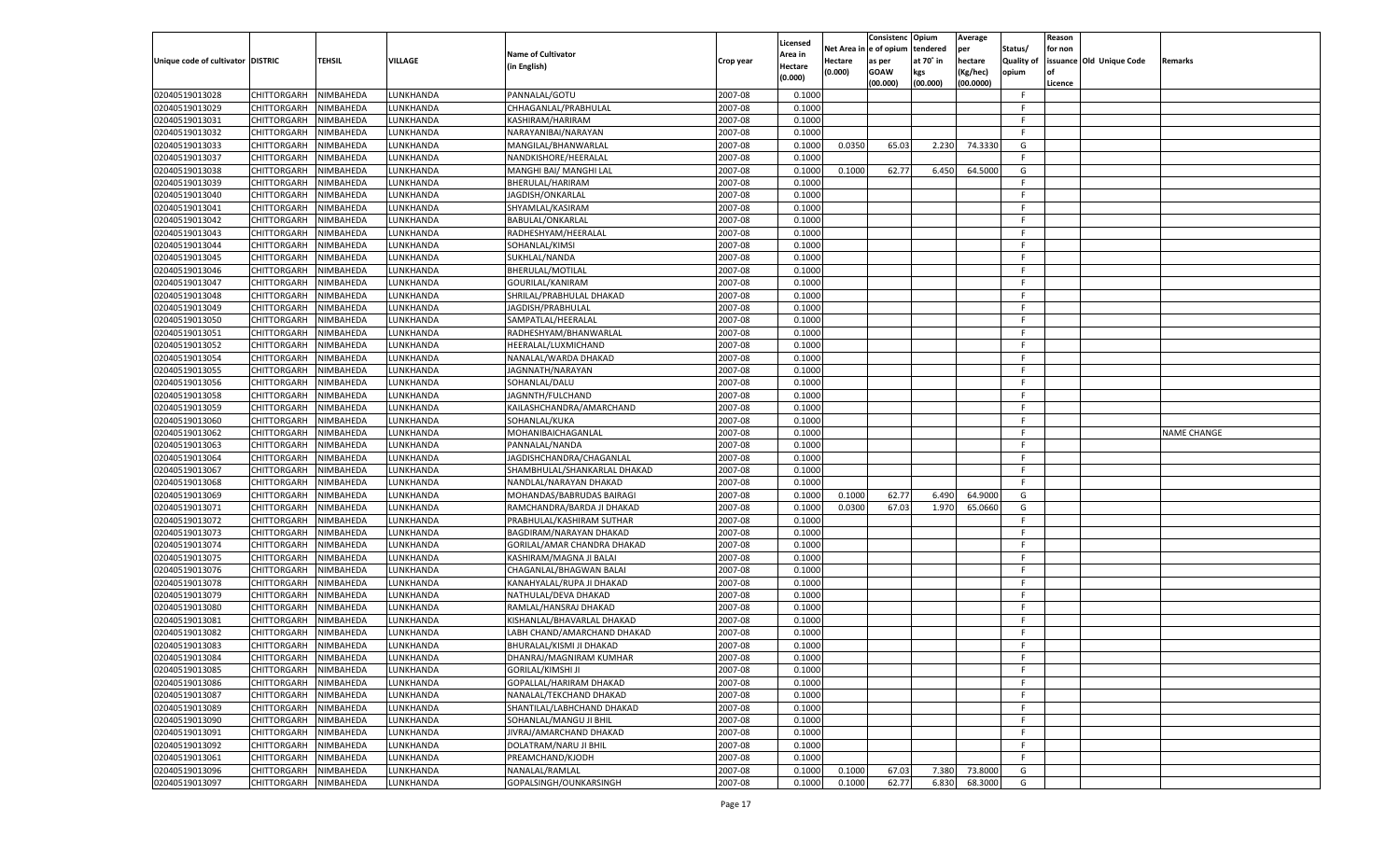|                                   |                       |               |                 |                                                    |                    |                     |          | Consistenc  | Opium     | Average   |                   | Reason  |                          |                    |
|-----------------------------------|-----------------------|---------------|-----------------|----------------------------------------------------|--------------------|---------------------|----------|-------------|-----------|-----------|-------------------|---------|--------------------------|--------------------|
|                                   |                       |               |                 | <b>Name of Cultivator</b>                          |                    | Licensed<br>\rea in | Net Area | e of opium  | tendered  | per       | Status/           | for non |                          |                    |
| Unique code of cultivator DISTRIC |                       | <b>TEHSIL</b> | VILLAGE         | (in English)                                       | Crop year          | Hectare             | Hectare  | as per      | at 70˚ in | hectare   | <b>Quality of</b> |         | issuance Old Unique Code | Remarks            |
|                                   |                       |               |                 |                                                    |                    | (0.000)             | (0.000)  | <b>GOAW</b> | kgs       | (Kg/hec)  | opium             |         |                          |                    |
|                                   |                       |               |                 |                                                    |                    |                     |          | (00.000)    | (00.000)  | (00.0000) |                   | Licence |                          |                    |
| 02040519013028                    | CHITTORGARH           | NIMBAHEDA     | LUNKHANDA       | PANNALAL/GOTU                                      | 2007-08            | 0.1000              |          |             |           |           | F.                |         |                          |                    |
| 02040519013029                    | CHITTORGARH           | NIMBAHEDA     | LUNKHANDA       | CHHAGANLAL/PRABHULAL                               | 2007-08            | 0.1000              |          |             |           |           | F.                |         |                          |                    |
| 02040519013031                    | CHITTORGARH           | NIMBAHEDA     | LUNKHANDA       | KASHIRAM/HARIRAM                                   | 2007-08            | 0.1000              |          |             |           |           | F.                |         |                          |                    |
| 02040519013032                    | CHITTORGARH           | NIMBAHEDA     | LUNKHANDA       | NARAYANIBAI/NARAYAN                                | 2007-08            | 0.1000              |          |             |           |           | F.                |         |                          |                    |
| 02040519013033                    | CHITTORGARH           | NIMBAHEDA     | LUNKHANDA       | MANGILAL/BHANWARLAL                                | 2007-08            | 0.1000              | 0.0350   | 65.03       | 2.230     | 74.3330   | G                 |         |                          |                    |
| 02040519013037                    | CHITTORGARH           | NIMBAHEDA     | <b>UNKHANDA</b> | NANDKISHORE/HEERALAL                               | 2007-08            | 0.1000              |          |             |           |           | F.                |         |                          |                    |
| 02040519013038                    | CHITTORGARH           | NIMBAHEDA     | LUNKHANDA       | MANGHI BAI/ MANGHI LAL                             | 2007-08            | 0.1000              | 0.1000   | 62.77       | 6.450     | 64.5000   | G                 |         |                          |                    |
| 02040519013039                    | CHITTORGARH           | NIMBAHEDA     | LUNKHANDA       | BHERULAL/HARIRAM                                   | 2007-08            | 0.1000              |          |             |           |           | F.                |         |                          |                    |
| 02040519013040                    | CHITTORGARH           | NIMBAHEDA     | LUNKHANDA       | JAGDISH/ONKARLAL                                   | 2007-08            | 0.1000              |          |             |           |           | F.                |         |                          |                    |
| 02040519013041                    | CHITTORGARH           | NIMBAHEDA     | <b>UNKHANDA</b> | SHYAMLAL/KASIRAM                                   | 2007-08            | 0.1000              |          |             |           |           | F.                |         |                          |                    |
| 02040519013042                    | CHITTORGARH           | NIMBAHEDA     | LUNKHANDA       | BABULAL/ONKARLAL                                   | 2007-08            | 0.1000              |          |             |           |           | F.                |         |                          |                    |
| 02040519013043                    | CHITTORGARH           | NIMBAHEDA     | LUNKHANDA       | RADHESHYAM/HEERALAL                                | 2007-08            | 0.1000              |          |             |           |           | F.                |         |                          |                    |
| 02040519013044                    | CHITTORGARH           | NIMBAHEDA     | LUNKHANDA       | SOHANLAL/KIMSI                                     | 2007-08            | 0.1000              |          |             |           |           | F.                |         |                          |                    |
| 02040519013045                    | CHITTORGARH           | NIMBAHEDA     | <b>UNKHANDA</b> | SUKHLAL/NANDA                                      | 2007-08            | 0.1000              |          |             |           |           | F.                |         |                          |                    |
| 02040519013046                    | CHITTORGARH           | NIMBAHEDA     | <b>UNKHANDA</b> | BHERULAL/MOTILAL                                   | 2007-08            | 0.1000              |          |             |           |           | F.                |         |                          |                    |
| 02040519013047                    | CHITTORGARH           | NIMBAHEDA     | <b>UNKHANDA</b> | GOURILAL/KANIRAM                                   | 2007-08            | 0.1000              |          |             |           |           | F.                |         |                          |                    |
| 02040519013048                    | CHITTORGARH           | NIMBAHEDA     | <b>UNKHANDA</b> | SHRILAL/PRABHULAL DHAKAD                           | 2007-08            | 0.1000              |          |             |           |           | F.                |         |                          |                    |
| 02040519013049                    | CHITTORGARH           | NIMBAHEDA     | <b>UNKHANDA</b> | JAGDISH/PRABHULAL                                  | 2007-08            | 0.1000              |          |             |           |           | F.                |         |                          |                    |
| 02040519013050                    | CHITTORGARH           | NIMBAHEDA     | <b>UNKHANDA</b> | SAMPATLAL/HEERALAI                                 | 2007-08            | 0.1000              |          |             |           |           | F.                |         |                          |                    |
| 02040519013051                    | CHITTORGARH           | NIMBAHEDA     | <b>UNKHANDA</b> | RADHESHYAM/BHANWARLAL                              | 2007-08            | 0.1000              |          |             |           |           | F.                |         |                          |                    |
| 02040519013052                    | CHITTORGARH           | NIMBAHEDA     | <b>UNKHANDA</b> | HEERALAL/LUXMICHAND                                | 2007-08            | 0.1000              |          |             |           |           | F.                |         |                          |                    |
| 02040519013054                    | CHITTORGARH           | NIMBAHEDA     | <b>UNKHANDA</b> | NANALAL/WARDA DHAKAD                               | 2007-08            | 0.1000              |          |             |           |           | F.                |         |                          |                    |
| 02040519013055                    | CHITTORGARH           | NIMBAHEDA     | <b>UNKHANDA</b> | JAGNNATH/NARAYAN                                   | 2007-08            | 0.1000              |          |             |           |           | F.                |         |                          |                    |
| 02040519013056                    | CHITTORGARH           | NIMBAHEDA     | <b>UNKHANDA</b> | SOHANLAL/DALU                                      | 2007-08            | 0.1000              |          |             |           |           | F.                |         |                          |                    |
| 02040519013058                    | CHITTORGARH           | NIMBAHEDA     | <b>UNKHANDA</b> | JAGNNTH/FULCHAND                                   | 2007-08            | 0.1000              |          |             |           |           | F.                |         |                          |                    |
| 02040519013059                    | CHITTORGARH           | NIMBAHEDA     | <b>UNKHANDA</b> | KAILASHCHANDRA/AMARCHAND                           | 2007-08            | 0.1000              |          |             |           |           | F.                |         |                          |                    |
| 02040519013060                    | CHITTORGARH           | NIMBAHEDA     | <b>UNKHANDA</b> | SOHANLAL/KUKA                                      | 2007-08            | 0.1000              |          |             |           |           | F.                |         |                          |                    |
| 02040519013062                    | CHITTORGARH           | NIMBAHEDA     | <b>UNKHANDA</b> | MOHANIBAICHAGANLAL                                 | 2007-08            | 0.1000              |          |             |           |           | F.                |         |                          | <b>NAME CHANGE</b> |
| 02040519013063                    | CHITTORGARH           | NIMBAHEDA     | <b>UNKHANDA</b> | PANNALAL/NANDA                                     | 2007-08            | 0.1000              |          |             |           |           | F.                |         |                          |                    |
| 02040519013064                    | CHITTORGARH           | NIMBAHEDA     | LUNKHANDA       | JAGDISHCHANDRA/CHAGANLAL                           | 2007-08            | 0.1000              |          |             |           |           | F.                |         |                          |                    |
| 02040519013067                    | CHITTORGARH           | NIMBAHEDA     | LUNKHANDA       | SHAMBHULAL/SHANKARLAL DHAKAD                       | 2007-08            | 0.1000              |          |             |           |           | F.                |         |                          |                    |
| 02040519013068                    | CHITTORGARH           | NIMBAHEDA     | LUNKHANDA       | NANDLAL/NARAYAN DHAKAD                             | 2007-08            | 0.1000              |          |             |           |           | F.                |         |                          |                    |
| 02040519013069                    | CHITTORGARH           | NIMBAHEDA     | LUNKHANDA       | MOHANDAS/BABRUDAS BAIRAGI                          | 2007-08            | 0.1000              | 0.1000   | 62.77       | 6.490     | 64.9000   | G                 |         |                          |                    |
| 02040519013071                    | CHITTORGARH           | NIMBAHEDA     | LUNKHANDA       | RAMCHANDRA/BARDA JI DHAKAD                         | 2007-08            | 0.1000              | 0.0300   | 67.03       | 1.970     | 65.0660   | G                 |         |                          |                    |
| 02040519013072                    | CHITTORGARH           | NIMBAHEDA     | LUNKHANDA       | PRABHULAL/KASHIRAM SUTHAR                          | 2007-08            | 0.1000              |          |             |           |           | F.                |         |                          |                    |
| 02040519013073                    | CHITTORGARH           | NIMBAHEDA     | LUNKHANDA       | BAGDIRAM/NARAYAN DHAKAD                            | 2007-08            | 0.1000              |          |             |           |           | F                 |         |                          |                    |
| 02040519013074                    | CHITTORGARH           | NIMBAHEDA     | LUNKHANDA       | GORILAL/AMAR CHANDRA DHAKAD                        | 2007-08            | 0.1000              |          |             |           |           | F                 |         |                          |                    |
| 02040519013075                    | CHITTORGARH           | NIMBAHEDA     | LUNKHANDA       | KASHIRAM/MAGNA JI BALAI                            | 2007-08            | 0.1000              |          |             |           |           | F                 |         |                          |                    |
| 02040519013076                    | CHITTORGARH           | NIMBAHEDA     | LUNKHANDA       | CHAGANLAL/BHAGWAN BALAI                            | 2007-08            | 0.1000              |          |             |           |           | F.                |         |                          |                    |
| 02040519013078                    | CHITTORGARH           | NIMBAHEDA     | LUNKHANDA       | KANAHYALAL/RUPA JI DHAKAD                          | 2007-08            | 0.1000              |          |             |           |           | F                 |         |                          |                    |
| 02040519013079                    | CHITTORGARH           | NIMBAHEDA     | LUNKHANDA       | NATHULAL/DEVA DHAKAD                               | 2007-08            | 0.1000              |          |             |           |           | F                 |         |                          |                    |
| 02040519013080                    | CHITTORGARH           | NIMBAHEDA     | LUNKHANDA       | RAMLAL/HANSRAJ DHAKAD                              | 2007-08            | 0.1000              |          |             |           |           | F                 |         |                          |                    |
| 02040519013081                    | CHITTORGARH           | NIMBAHEDA     | LUNKHANDA       | KISHANLAL/BHAVARLAL DHAKAD                         | 2007-08            | 0.1000              |          |             |           |           | F.                |         |                          |                    |
| 02040519013082                    | CHITTORGARH           | NIMBAHEDA     | LUNKHANDA       | LABH CHAND/AMARCHAND DHAKAD                        | 2007-08            | 0.1000              |          |             |           |           | F                 |         |                          |                    |
| 02040519013083                    | CHITTORGARH           | NIMBAHEDA     | LUNKHANDA       | BHURALAL/KISMI JI DHAKAD                           | 2007-08            | 0.1000              |          |             |           |           | F.                |         |                          |                    |
| 02040519013084                    | CHITTORGARH NIMBAHEDA |               | LUNKHANDA       | DHANRAJ/MAGNIRAM KUMHAR                            | 2007-08            | 0.1000              |          |             |           |           | F                 |         |                          |                    |
| 02040519013085                    |                       | NIMBAHEDA     | LUNKHANDA       | <b>GORILAL/KIMSHI JI</b>                           | 2007-08            | 0.1000              |          |             |           |           | F.                |         |                          |                    |
|                                   | <b>CHITTORGARH</b>    |               |                 |                                                    |                    |                     |          |             |           |           |                   |         |                          |                    |
| 02040519013086<br>02040519013087  | CHITTORGARH           | NIMBAHEDA     | LUNKHANDA       | GOPALLAL/HARIRAM DHAKAD<br>NANALAL/TEKCHAND DHAKAD | 2007-08<br>2007-08 | 0.1000              |          |             |           |           | F.                |         |                          |                    |
|                                   | <b>CHITTORGARH</b>    | NIMBAHEDA     | LUNKHANDA       |                                                    |                    | 0.1000              |          |             |           |           | F.                |         |                          |                    |
| 02040519013089                    | <b>CHITTORGARH</b>    | NIMBAHEDA     | LUNKHANDA       | SHANTILAL/LABHCHAND DHAKAD                         | 2007-08            | 0.1000              |          |             |           |           | F.                |         |                          |                    |
| 02040519013090                    | <b>CHITTORGARH</b>    | NIMBAHEDA     | LUNKHANDA       | SOHANLAL/MANGU JI BHIL                             | 2007-08            | 0.1000              |          |             |           |           | F.                |         |                          |                    |
| 02040519013091                    | <b>CHITTORGARH</b>    | NIMBAHEDA     | LUNKHANDA       | JIVRAJ/AMARCHAND DHAKAD                            | 2007-08            | 0.1000              |          |             |           |           | F                 |         |                          |                    |
| 02040519013092                    | <b>CHITTORGARH</b>    | NIMBAHEDA     | LUNKHANDA       | DOLATRAM/NARU JI BHIL                              | 2007-08            | 0.1000              |          |             |           |           | F.                |         |                          |                    |
| 02040519013061                    | <b>CHITTORGARH</b>    | NIMBAHEDA     | LUNKHANDA       | PREAMCHAND/KJODH                                   | 2007-08            | 0.1000              |          |             |           |           | F.                |         |                          |                    |
| 02040519013096                    | <b>CHITTORGARH</b>    | NIMBAHEDA     | LUNKHANDA       | NANALAL/RAMLAL                                     | 2007-08            | 0.1000              | 0.1000   | 67.03       | 7.380     | 73.8000   | G                 |         |                          |                    |
| 02040519013097                    | CHITTORGARH           | NIMBAHEDA     | LUNKHANDA       | GOPALSINGH/OUNKARSINGH                             | 2007-08            | 0.1000              | 0.1000   | 62.77       | 6.830     | 68.3000   | G                 |         |                          |                    |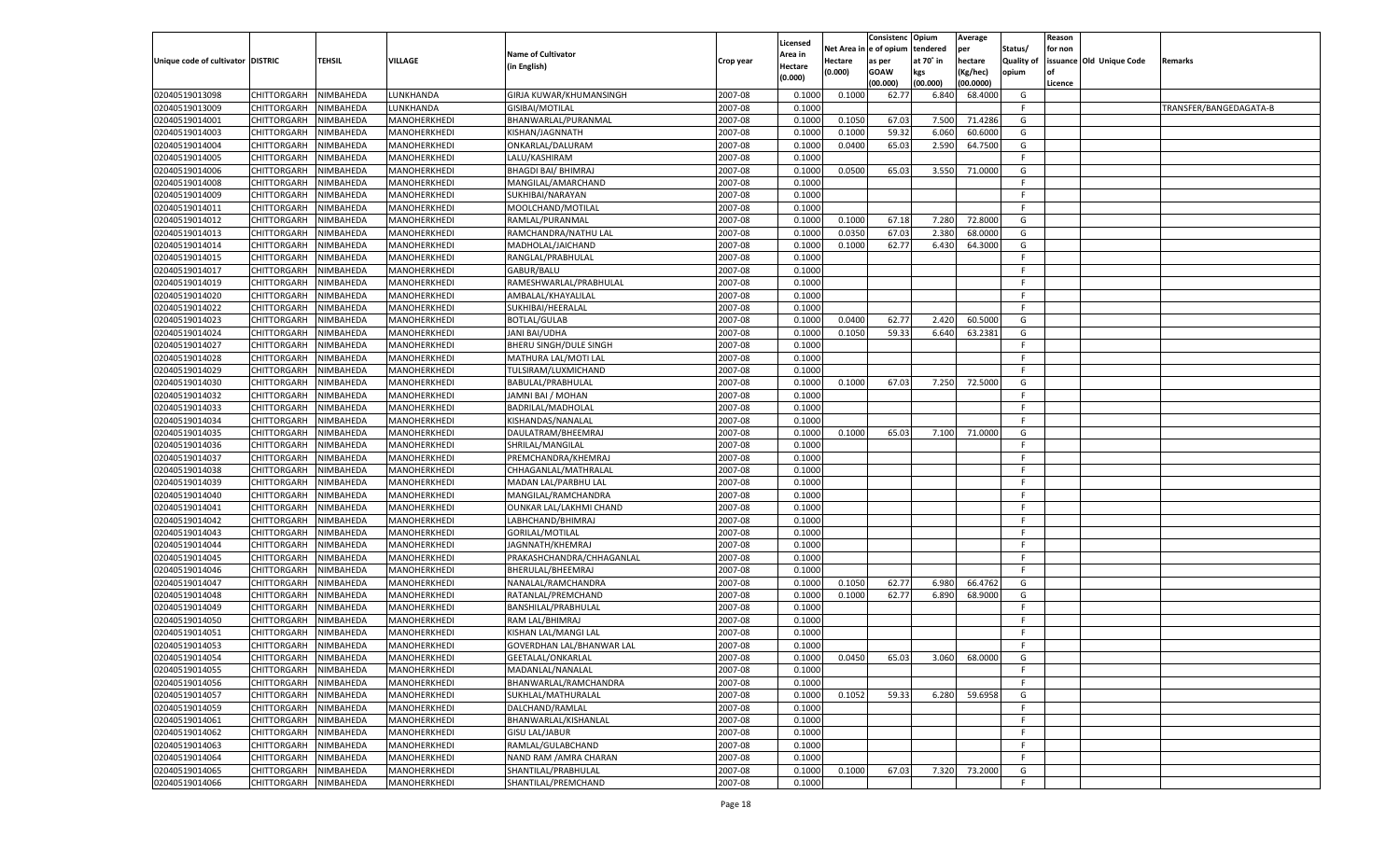|                                   |                       |                        |                              |                                          |           |                     |             | Consistenc    | Opium     | Average   |                   | Reason  |                          |                        |
|-----------------------------------|-----------------------|------------------------|------------------------------|------------------------------------------|-----------|---------------------|-------------|---------------|-----------|-----------|-------------------|---------|--------------------------|------------------------|
|                                   |                       |                        |                              | <b>Name of Cultivator</b>                |           | Licensed<br>Area in | Net Area iı | n  e of opium | tendered  | per       | Status/           | for non |                          |                        |
| Unique code of cultivator DISTRIC |                       | TEHSIL                 | <b>VILLAGE</b>               | (in English)                             | Crop year | Hectare             | Hectare     | as per        | at 70° in | hectare   | <b>Quality of</b> |         | issuance Old Unique Code | Remarks                |
|                                   |                       |                        |                              |                                          |           | (0.000)             | (0.000)     | <b>GOAW</b>   | kgs       | (Kg/hec)  | opium             |         |                          |                        |
|                                   |                       |                        |                              |                                          |           |                     |             | (00.000)      | (00.000)  | (00.0000) |                   | Licence |                          |                        |
| 02040519013098                    | CHITTORGARH           | NIMBAHEDA              | LUNKHANDA                    | GIRJA KUWAR/KHUMANSINGH                  | 2007-08   | 0.1000              | 0.1000      | 62.77         | 6.840     | 68.4000   | G                 |         |                          |                        |
| 02040519013009                    | CHITTORGARH           | NIMBAHEDA              | LUNKHANDA                    | <b>GISIBAI/MOTILAL</b>                   | 2007-08   | 0.1000              |             |               |           |           | E                 |         |                          | TRANSFER/BANGEDAGATA-B |
| 02040519014001                    | CHITTORGARH           | NIMBAHEDA              | MANOHERKHEDI                 | BHANWARLAL/PURANMAL                      | 2007-08   | 0.1000              | 0.1050      | 67.03         | 7.500     | 71.4286   | G                 |         |                          |                        |
| 02040519014003                    | CHITTORGARH           | NIMBAHEDA              | MANOHERKHEDI                 | KISHAN/JAGNNATH                          | 2007-08   | 0.1000              | 0.1000      | 59.32         | 6.060     | 60.6000   | G                 |         |                          |                        |
| 02040519014004                    | CHITTORGARH           | NIMBAHEDA              | MANOHERKHEDI                 | ONKARLAL/DALURAM                         | 2007-08   | 0.1000              | 0.0400      | 65.03         | 2.590     | 64.7500   | G                 |         |                          |                        |
| 02040519014005                    | CHITTORGARH           | NIMBAHEDA              | MANOHERKHEDI                 | LALU/KASHIRAM                            | 2007-08   | 0.1000              |             |               |           |           | F.                |         |                          |                        |
| 02040519014006                    | CHITTORGARH           | NIMBAHEDA              | MANOHERKHEDI                 | <b>BHAGDI BAI/ BHIMRAJ</b>               | 2007-08   | 0.1000              | 0.0500      | 65.03         | 3.550     | 71.0000   | G                 |         |                          |                        |
| 02040519014008                    | CHITTORGARH           | NIMBAHEDA              | MANOHERKHEDI                 | MANGILAL/AMARCHAND                       | 2007-08   | 0.1000              |             |               |           |           | E                 |         |                          |                        |
| 02040519014009                    | CHITTORGARH           | NIMBAHEDA              | MANOHERKHEDI                 | SUKHIBAI/NARAYAN                         | 2007-08   | 0.1000              |             |               |           |           | F.                |         |                          |                        |
| 02040519014011                    | CHITTORGARH           | NIMBAHEDA              | MANOHERKHEDI                 | MOOLCHAND/MOTILAL                        | 2007-08   | 0.1000              |             |               |           |           | -F                |         |                          |                        |
| 02040519014012                    | CHITTORGARH           | NIMBAHEDA              | MANOHERKHEDI                 | RAMLAL/PURANMAL                          | 2007-08   | 0.1000              | 0.1000      | 67.18         | 7.280     | 72.8000   | G                 |         |                          |                        |
| 02040519014013                    | CHITTORGARH           | NIMBAHEDA              | MANOHERKHEDI                 | RAMCHANDRA/NATHU LAL                     | 2007-08   | 0.1000              | 0.0350      | 67.03         | 2.380     | 68.0000   | G                 |         |                          |                        |
| 02040519014014                    | CHITTORGARH           | NIMBAHEDA              | MANOHERKHEDI                 | MADHOLAL/JAICHAND                        | 2007-08   | 0.1000              | 0.1000      | 62.77         | 6.430     | 64.3000   | G                 |         |                          |                        |
| 02040519014015                    | CHITTORGARH           | NIMBAHEDA              | MANOHERKHEDI                 | RANGLAL/PRABHULAL                        | 2007-08   | 0.1000              |             |               |           |           | F.                |         |                          |                        |
| 02040519014017                    | CHITTORGARH           | NIMBAHEDA              | MANOHERKHEDI                 | GABUR/BALU                               | 2007-08   | 0.1000              |             |               |           |           | F.                |         |                          |                        |
| 02040519014019                    | CHITTORGARH           | NIMBAHEDA              | MANOHERKHEDI                 | RAMESHWARLAL/PRABHULAL                   | 2007-08   | 0.1000              |             |               |           |           | F.                |         |                          |                        |
| 02040519014020                    | CHITTORGARH           | NIMBAHEDA              | MANOHERKHEDI                 | AMBALAL/KHAYALILAI                       | 2007-08   | 0.1000              |             |               |           |           | F.                |         |                          |                        |
| 02040519014022                    | CHITTORGARH           | NIMBAHEDA              | MANOHERKHEDI                 | SUKHIBAI/HEERALAL                        | 2007-08   | 0.1000              |             |               |           |           | F.                |         |                          |                        |
| 02040519014023                    | CHITTORGARH           | NIMBAHEDA              | MANOHERKHEDI                 | <b>BOTLAL/GULAB</b>                      | 2007-08   | 0.1000              | 0.0400      | 62.77         | 2.420     | 60.5000   | G                 |         |                          |                        |
| 02040519014024                    | CHITTORGARH           | NIMBAHEDA              | MANOHERKHEDI                 | JANI BAI/UDHA                            | 2007-08   | 0.1000              | 0.1050      | 59.33         | 6.640     | 63.2381   | G                 |         |                          |                        |
| 02040519014027                    | CHITTORGARH           | NIMBAHEDA              | MANOHERKHEDI                 | BHERU SINGH/DULE SINGH                   | 2007-08   | 0.1000              |             |               |           |           | F.                |         |                          |                        |
| 02040519014028                    | CHITTORGARH           | NIMBAHEDA              | MANOHERKHEDI                 | MATHURA LAL/MOTI LAL                     | 2007-08   | 0.1000              |             |               |           |           | F.                |         |                          |                        |
| 02040519014029                    | CHITTORGARH           | NIMBAHEDA              | MANOHERKHEDI                 | TULSIRAM/LUXMICHAND                      | 2007-08   | 0.1000              |             |               |           |           | F.                |         |                          |                        |
| 02040519014030                    | CHITTORGARH           | NIMBAHEDA              | MANOHERKHEDI                 | BABULAL/PRABHULAL                        | 2007-08   | 0.1000              | 0.1000      | 67.03         | 7.250     | 72.5000   | G                 |         |                          |                        |
| 02040519014032                    | CHITTORGARH           | NIMBAHEDA              | MANOHERKHEDI                 | JAMNI BAI / MOHAN                        | 2007-08   | 0.1000              |             |               |           |           | F.                |         |                          |                        |
| 02040519014033                    | CHITTORGARH           | NIMBAHEDA              | MANOHERKHEDI                 | BADRILAL/MADHOLAL                        | 2007-08   | 0.1000              |             |               |           |           | F.                |         |                          |                        |
| 02040519014034                    | CHITTORGARH           | NIMBAHEDA              | MANOHERKHEDI                 | KISHANDAS/NANALAL                        | 2007-08   | 0.1000              |             |               |           |           | F.                |         |                          |                        |
| 02040519014035                    | CHITTORGARH           | NIMBAHEDA              | MANOHERKHEDI                 | DAULATRAM/BHEEMRAJ                       | 2007-08   | 0.1000              | 0.1000      | 65.03         | 7.100     | 71.0000   | G                 |         |                          |                        |
| 02040519014036                    | CHITTORGARH           | NIMBAHEDA              | MANOHERKHEDI                 | SHRILAL/MANGILAL                         | 2007-08   | 0.1000              |             |               |           |           | F.                |         |                          |                        |
| 02040519014037                    | CHITTORGARH           | NIMBAHEDA              | MANOHERKHEDI                 | PREMCHANDRA/KHEMRAJ                      | 2007-08   | 0.1000              |             |               |           |           | F.                |         |                          |                        |
| 02040519014038                    | CHITTORGARH           | NIMBAHEDA              | MANOHERKHEDI                 | CHHAGANLAL/MATHRALAL                     | 2007-08   | 0.1000              |             |               |           |           | E                 |         |                          |                        |
| 02040519014039                    | CHITTORGARH           | NIMBAHEDA              | MANOHERKHEDI                 | MADAN LAL/PARBHU LAL                     | 2007-08   | 0.1000              |             |               |           |           | F                 |         |                          |                        |
| 02040519014040                    | CHITTORGARH           | NIMBAHEDA              | MANOHERKHEDI                 | MANGILAL/RAMCHANDRA                      | 2007-08   | 0.1000              |             |               |           |           | F                 |         |                          |                        |
| 02040519014041                    | CHITTORGARH           | NIMBAHEDA              | MANOHERKHEDI                 | OUNKAR LAL/LAKHMI CHAND                  | 2007-08   | 0.1000              |             |               |           |           | F                 |         |                          |                        |
| 02040519014042                    | CHITTORGARH           | NIMBAHEDA              | MANOHERKHEDI                 | LABHCHAND/BHIMRAJ                        | 2007-08   | 0.1000              |             |               |           |           | E                 |         |                          |                        |
| 02040519014043                    | CHITTORGARH           | NIMBAHEDA              | MANOHERKHEDI                 | <b>GORILAL/MOTILAL</b>                   | 2007-08   | 0.1000              |             |               |           |           | F                 |         |                          |                        |
| 02040519014044                    | CHITTORGARH           | NIMBAHEDA              | MANOHERKHEDI                 | JAGNNATH/KHEMRAJ                         | 2007-08   | 0.1000              |             |               |           |           | F                 |         |                          |                        |
| 02040519014045                    | CHITTORGARH           | NIMBAHEDA              | MANOHERKHEDI                 | PRAKASHCHANDRA/CHHAGANLAL                | 2007-08   | 0.1000              |             |               |           |           | F.                |         |                          |                        |
| 02040519014046                    | CHITTORGARH           | NIMBAHEDA              | MANOHERKHEDI                 | BHERULAL/BHEEMRAJ                        | 2007-08   | 0.1000              |             |               |           |           | E                 |         |                          |                        |
| 02040519014047                    |                       |                        |                              |                                          | 2007-08   | 0.1000              | 0.1050      | 62.77         | 6.980     | 66.4762   | G                 |         |                          |                        |
| 02040519014048                    | CHITTORGARH           | NIMBAHEDA<br>NIMBAHEDA | MANOHERKHEDI<br>MANOHERKHEDI | NANALAL/RAMCHANDRA<br>RATANLAL/PREMCHAND | 2007-08   | 0.1000              | 0.1000      | 62.77         |           | 68.9000   | G                 |         |                          |                        |
| 02040519014049                    | CHITTORGARH           |                        |                              |                                          | 2007-08   | 0.1000              |             |               | 6.890     |           | F.                |         |                          |                        |
| 02040519014050                    | CHITTORGARH           | NIMBAHEDA              | MANOHERKHEDI                 | BANSHILAL/PRABHULAL                      |           |                     |             |               |           |           | E                 |         |                          |                        |
|                                   | CHITTORGARH           | NIMBAHEDA              | MANOHERKHEDI                 | RAM LAL/BHIMRAJ                          | 2007-08   | 0.1000              |             |               |           |           | F                 |         |                          |                        |
| 02040519014051                    | CHITTORGARH           | NIMBAHEDA              | MANOHERKHEDI                 | KISHAN LAL/MANGI LAL                     | 2007-08   | 0.1000              |             |               |           |           |                   |         |                          |                        |
| 02040519014053                    | CHITTORGARH           | NIMBAHEDA              | MANOHERKHEDI                 | GOVERDHAN LAL/BHANWAR LAL                | 2007-08   | 0.1000              |             |               |           |           | F.                |         |                          |                        |
| 02040519014054                    | CHITTORGARH NIMBAHEDA |                        | MANOHERKHEDI                 | GEETALAL/ONKARLAL                        | 2007-08   | 0.1000              | 0.0450      | 65.03         | 3.060     | 68.0000   | G                 |         |                          |                        |
| 02040519014055                    | <b>CHITTORGARH</b>    | NIMBAHEDA              | MANOHERKHEDI                 | MADANLAL/NANALAL                         | 2007-08   | 0.1000              |             |               |           |           | -F                |         |                          |                        |
| 02040519014056                    | CHITTORGARH           | NIMBAHEDA              | MANOHERKHEDI                 | BHANWARLAL/RAMCHANDRA                    | 2007-08   | 0.1000              |             |               |           |           | F.                |         |                          |                        |
| 02040519014057                    | <b>CHITTORGARH</b>    | NIMBAHEDA              | MANOHERKHEDI                 | SUKHLAL/MATHURALAL                       | 2007-08   | 0.1000              | 0.1052      | 59.33         | 6.280     | 59.6958   | G                 |         |                          |                        |
| 02040519014059                    | <b>CHITTORGARH</b>    | NIMBAHEDA              | MANOHERKHEDI                 | DALCHAND/RAMLAL                          | 2007-08   | 0.1000              |             |               |           |           | F.                |         |                          |                        |
| 02040519014061                    | CHITTORGARH           | NIMBAHEDA              | MANOHERKHEDI                 | BHANWARLAL/KISHANLAL                     | 2007-08   | 0.1000              |             |               |           |           | F                 |         |                          |                        |
| 02040519014062                    | <b>CHITTORGARH</b>    | NIMBAHEDA              | MANOHERKHEDI                 | <b>GISU LAL/JABUR</b>                    | 2007-08   | 0.1000              |             |               |           |           | F.                |         |                          |                        |
| 02040519014063                    | CHITTORGARH           | NIMBAHEDA              | MANOHERKHEDI                 | RAMLAL/GULABCHAND                        | 2007-08   | 0.1000              |             |               |           |           | F.                |         |                          |                        |
| 02040519014064                    | CHITTORGARH           | NIMBAHEDA              | MANOHERKHEDI                 | NAND RAM / AMRA CHARAN                   | 2007-08   | 0.1000              |             |               |           |           | F.                |         |                          |                        |
| 02040519014065                    | <b>CHITTORGARH</b>    | NIMBAHEDA              | MANOHERKHEDI                 | SHANTILAL/PRABHULAL                      | 2007-08   | 0.1000              | 0.1000      | 67.03         | 7.320     | 73.2000   | G                 |         |                          |                        |
| 02040519014066                    | <b>CHITTORGARH</b>    | NIMBAHEDA              | MANOHERKHEDI                 | SHANTILAL/PREMCHAND                      | 2007-08   | 0.1000              |             |               |           |           | F.                |         |                          |                        |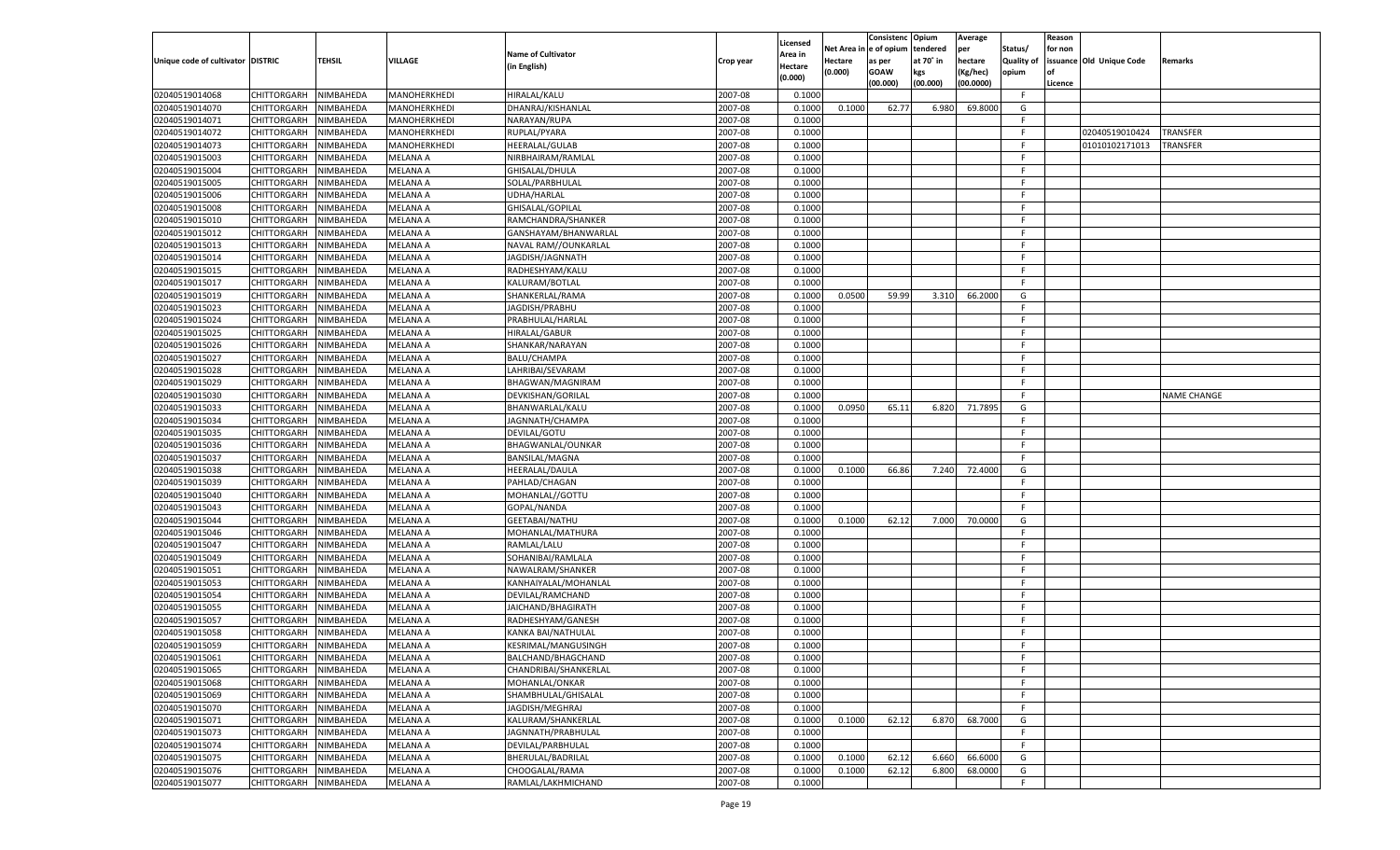|                                   |                       |               |                 |                           |           |                    |          | Consistenc  | Opium     | Average   |                   | Reason  |                          |                    |
|-----------------------------------|-----------------------|---------------|-----------------|---------------------------|-----------|--------------------|----------|-------------|-----------|-----------|-------------------|---------|--------------------------|--------------------|
|                                   |                       |               |                 | <b>Name of Cultivator</b> |           | Licensed           | Net Area | e of opium  | tendered  | per       | Status/           | for non |                          |                    |
| Unique code of cultivator DISTRIC |                       | <b>TEHSIL</b> | VILLAGE         | (in English)              | Crop year | \rea in<br>Hectare | Hectare  | as per      | at 70° in | hectare   | <b>Quality of</b> |         | issuance Old Unique Code | Remarks            |
|                                   |                       |               |                 |                           |           | (0.000)            | (0.000)  | <b>GOAW</b> | kgs       | (Kg/hec)  | opium             |         |                          |                    |
|                                   |                       |               |                 |                           |           |                    |          | (00.000)    | (00.000)  | (00.0000) |                   | Licence |                          |                    |
| 02040519014068                    | CHITTORGARH           | NIMBAHEDA     | MANOHERKHEDI    | <b>HIRALAL/KALU</b>       | 2007-08   | 0.1000             |          |             |           |           | F.                |         |                          |                    |
| 02040519014070                    | CHITTORGARH           | NIMBAHEDA     | MANOHERKHEDI    | DHANRAJ/KISHANLAL         | 2007-08   | 0.1000             | 0.1000   | 62.77       | 6.980     | 69.8000   | G                 |         |                          |                    |
| 02040519014071                    | CHITTORGARH           | NIMBAHEDA     | MANOHERKHEDI    | NARAYAN/RUPA              | 2007-08   | 0.1000             |          |             |           |           | F.                |         |                          |                    |
| 02040519014072                    | CHITTORGARH           | NIMBAHEDA     | MANOHERKHEDI    | RUPLAL/PYARA              | 2007-08   | 0.1000             |          |             |           |           | F.                |         | 02040519010424           | TRANSFER           |
| 02040519014073                    | CHITTORGARH           | NIMBAHEDA     | MANOHERKHEDI    | HEERALAL/GULAB            | 2007-08   | 0.1000             |          |             |           |           | F.                |         | 01010102171013           | TRANSFER           |
| 02040519015003                    | CHITTORGARH           | NIMBAHEDA     | MELANA A        | NIRBHAIRAM/RAMLAL         | 2007-08   | 0.1000             |          |             |           |           | F.                |         |                          |                    |
| 02040519015004                    | CHITTORGARH           | NIMBAHEDA     | <b>MELANA A</b> | GHISALAL/DHULA            | 2007-08   | 0.1000             |          |             |           |           | F.                |         |                          |                    |
| 02040519015005                    | CHITTORGARH           | NIMBAHEDA     | MELANA A        | SOLAL/PARBHULAL           | 2007-08   | 0.1000             |          |             |           |           | F.                |         |                          |                    |
| 02040519015006                    | CHITTORGARH           | NIMBAHEDA     | MELANA A        | UDHA/HARLAL               | 2007-08   | 0.1000             |          |             |           |           | F.                |         |                          |                    |
| 02040519015008                    | CHITTORGARH           | NIMBAHEDA     | MELANA A        | GHISALAL/GOPILAL          | 2007-08   | 0.1000             |          |             |           |           | F.                |         |                          |                    |
| 02040519015010                    | CHITTORGARH           | NIMBAHEDA     | MELANA A        | RAMCHANDRA/SHANKER        | 2007-08   | 0.1000             |          |             |           |           | F.                |         |                          |                    |
| 02040519015012                    | CHITTORGARH           | NIMBAHEDA     | MELANA A        | GANSHAYAM/BHANWARLAL      | 2007-08   | 0.1000             |          |             |           |           | F.                |         |                          |                    |
| 02040519015013                    | CHITTORGARH           | NIMBAHEDA     | MELANA A        | NAVAL RAM//OUNKARLAL      | 2007-08   | 0.1000             |          |             |           |           | F.                |         |                          |                    |
| 02040519015014                    | CHITTORGARH           | NIMBAHEDA     | MELANA A        | JAGDISH/JAGNNATH          | 2007-08   | 0.1000             |          |             |           |           | F.                |         |                          |                    |
| 02040519015015                    | CHITTORGARH           | NIMBAHEDA     | <b>MELANA A</b> | RADHESHYAM/KALU           | 2007-08   | 0.1000             |          |             |           |           | F.                |         |                          |                    |
| 02040519015017                    | CHITTORGARH           | NIMBAHEDA     | MELANA A        | KALURAM/BOTLAL            | 2007-08   | 0.1000             |          |             |           |           | F.                |         |                          |                    |
| 02040519015019                    | CHITTORGARH           | NIMBAHEDA     | <b>MELANA A</b> | SHANKERLAL/RAMA           | 2007-08   | 0.1000             | 0.0500   | 59.99       | 3.310     | 66.2000   | G                 |         |                          |                    |
| 02040519015023                    | CHITTORGARH           | NIMBAHEDA     | MELANA A        | JAGDISH/PRABHU            | 2007-08   | 0.1000             |          |             |           |           | F.                |         |                          |                    |
| 02040519015024                    | CHITTORGARH           | NIMBAHEDA     | MELANA A        | PRABHULAL/HARLAL          | 2007-08   | 0.1000             |          |             |           |           | F.                |         |                          |                    |
| 02040519015025                    | CHITTORGARH           | NIMBAHEDA     | MELANA A        | HIRALAL/GABUR             | 2007-08   | 0.1000             |          |             |           |           | F.                |         |                          |                    |
| 02040519015026                    | CHITTORGARH           | NIMBAHEDA     | <b>MELANA A</b> | SHANKAR/NARAYAN           | 2007-08   | 0.1000             |          |             |           |           | F.                |         |                          |                    |
| 02040519015027                    | CHITTORGARH           | NIMBAHEDA     | MELANA A        | <b>BALU/CHAMPA</b>        | 2007-08   | 0.1000             |          |             |           |           | F.                |         |                          |                    |
| 02040519015028                    | CHITTORGARH           | NIMBAHEDA     | MELANA A        | LAHRIBAI/SEVARAM          | 2007-08   | 0.1000             |          |             |           |           | F.                |         |                          |                    |
| 02040519015029                    | CHITTORGARH           | NIMBAHEDA     | MELANA A        | BHAGWAN/MAGNIRAM          | 2007-08   | 0.1000             |          |             |           |           | F.                |         |                          |                    |
| 02040519015030                    | CHITTORGARH           | NIMBAHEDA     | <b>MELANA A</b> | DEVKISHAN/GORILAI         | 2007-08   | 0.1000             |          |             |           |           | F.                |         |                          | <b>NAME CHANGE</b> |
| 02040519015033                    | CHITTORGARH           | NIMBAHEDA     | MELANA A        | BHANWARLAL/KALU           | 2007-08   | 0.1000             | 0.0950   | 65.11       | 6.820     | 71.7895   | G                 |         |                          |                    |
| 02040519015034                    | CHITTORGARH           | NIMBAHEDA     | <b>MELANA A</b> | JAGNNATH/CHAMPA           | 2007-08   | 0.1000             |          |             |           |           | F.                |         |                          |                    |
| 02040519015035                    | CHITTORGARH           | NIMBAHEDA     | MELANA A        | DEVILAL/GOTU              | 2007-08   | 0.1000             |          |             |           |           | F.                |         |                          |                    |
| 02040519015036                    | CHITTORGARH           | NIMBAHEDA     | <b>MELANA A</b> | BHAGWANLAL/OUNKAR         | 2007-08   | 0.1000             |          |             |           |           | F.                |         |                          |                    |
| 02040519015037                    | CHITTORGARH           | NIMBAHEDA     | MELANA A        | <b>BANSILAL/MAGNA</b>     | 2007-08   | 0.1000             |          |             |           |           | F.                |         |                          |                    |
| 02040519015038                    | CHITTORGARH           | NIMBAHEDA     | <b>MELANA A</b> | HEERALAL/DAULA            | 2007-08   | 0.1000             | 0.1000   | 66.86       | 7.240     | 72.4000   | G                 |         |                          |                    |
| 02040519015039                    | CHITTORGARH           | NIMBAHEDA     | MELANA A        | PAHLAD/CHAGAN             | 2007-08   | 0.1000             |          |             |           |           | F.                |         |                          |                    |
| 02040519015040                    | CHITTORGARH           | NIMBAHEDA     | <b>MELANA A</b> | MOHANLAL//GOTTU           | 2007-08   | 0.1000             |          |             |           |           | F                 |         |                          |                    |
| 02040519015043                    | CHITTORGARH           | NIMBAHEDA     | MELANA A        | GOPAL/NANDA               | 2007-08   | 0.1000             |          |             |           |           | F.                |         |                          |                    |
| 02040519015044                    | CHITTORGARH           | NIMBAHEDA     | <b>MELANA A</b> | GEETABAI/NATHU            | 2007-08   | 0.1000             | 0.1000   | 62.12       | 7.000     | 70.0000   | G                 |         |                          |                    |
| 02040519015046                    | CHITTORGARH           | NIMBAHEDA     | MELANA A        | MOHANLAL/MATHURA          | 2007-08   | 0.1000             |          |             |           |           | F                 |         |                          |                    |
| 02040519015047                    | CHITTORGARH           | NIMBAHEDA     | <b>MELANA A</b> | RAMLAL/LALU               | 2007-08   | 0.1000             |          |             |           |           | F                 |         |                          |                    |
| 02040519015049                    | CHITTORGARH           | NIMBAHEDA     | MELANA A        | SOHANIBAI/RAMLALA         | 2007-08   | 0.1000             |          |             |           |           | F                 |         |                          |                    |
| 02040519015051                    | CHITTORGARH           | NIMBAHEDA     | <b>MELANA A</b> | NAWALRAM/SHANKER          | 2007-08   | 0.1000             |          |             |           |           | F.                |         |                          |                    |
| 02040519015053                    | CHITTORGARH           | NIMBAHEDA     | MELANA A        | KANHAIYALAL/MOHANLAL      | 2007-08   | 0.1000             |          |             |           |           | F                 |         |                          |                    |
| 02040519015054                    | CHITTORGARH           | NIMBAHEDA     | <b>MELANA A</b> | DEVILAL/RAMCHAND          | 2007-08   | 0.1000             |          |             |           |           | F                 |         |                          |                    |
| 02040519015055                    | CHITTORGARH           | NIMBAHEDA     | MELANA A        | JAICHAND/BHAGIRATH        | 2007-08   | 0.1000             |          |             |           |           | F                 |         |                          |                    |
| 02040519015057                    | CHITTORGARH           | NIMBAHEDA     | <b>MELANA A</b> | RADHESHYAM/GANESH         | 2007-08   | 0.1000             |          |             |           |           | F.                |         |                          |                    |
| 02040519015058                    | CHITTORGARH           | NIMBAHEDA     | MELANA A        | KANKA BAI/NATHULAL        | 2007-08   | 0.1000             |          |             |           |           | F                 |         |                          |                    |
| 02040519015059                    |                       | NIMBAHEDA     | MELANA A        |                           | 2007-08   | 0.1000             |          |             |           |           | F.                |         |                          |                    |
|                                   | CHITTORGARH           |               |                 | KESRIMAL/MANGUSINGH       |           |                    |          |             |           |           | F                 |         |                          |                    |
| 02040519015061                    | CHITTORGARH NIMBAHEDA |               | <b>MELANA A</b> | BALCHAND/BHAGCHAND        | 2007-08   | 0.1000             |          |             |           |           |                   |         |                          |                    |
| 02040519015065                    | <b>CHITTORGARH</b>    | NIMBAHEDA     | <b>MELANA A</b> | CHANDRIBAI/SHANKERLAL     | 2007-08   | 0.1000             |          |             |           |           | F.                |         |                          |                    |
| 02040519015068                    | CHITTORGARH           | NIMBAHEDA     | MELANA A        | MOHANLAL/ONKAR            | 2007-08   | 0.1000             |          |             |           |           | F.                |         |                          |                    |
| 02040519015069                    | <b>CHITTORGARH</b>    | NIMBAHEDA     | <b>MELANA A</b> | SHAMBHULAL/GHISALAL       | 2007-08   | 0.1000             |          |             |           |           | F.                |         |                          |                    |
| 02040519015070                    | <b>CHITTORGARH</b>    | NIMBAHEDA     | MELANA A        | JAGDISH/MEGHRAJ           | 2007-08   | 0.1000             |          |             |           |           | F.                |         |                          |                    |
| 02040519015071                    | <b>CHITTORGARH</b>    | NIMBAHEDA     | <b>MELANA A</b> | KALURAM/SHANKERLAL        | 2007-08   | 0.1000             | 0.1000   | 62.12       | 6.870     | 68.7000   | G                 |         |                          |                    |
| 02040519015073                    | <b>CHITTORGARH</b>    | NIMBAHEDA     | MELANA A        | JAGNNATH/PRABHULAL        | 2007-08   | 0.1000             |          |             |           |           | F.                |         |                          |                    |
| 02040519015074                    | <b>CHITTORGARH</b>    | NIMBAHEDA     | <b>MELANA A</b> | DEVILAL/PARBHULAL         | 2007-08   | 0.1000             |          |             |           |           | F.                |         |                          |                    |
| 02040519015075                    | <b>CHITTORGARH</b>    | NIMBAHEDA     | <b>MELANA A</b> | BHERULAL/BADRILAL         | 2007-08   | 0.1000             | 0.1000   | 62.12       | 6.660     | 66.6000   | G                 |         |                          |                    |
| 02040519015076                    | <b>CHITTORGARH</b>    | NIMBAHEDA     | <b>MELANA A</b> | CHOOGALAL/RAMA            | 2007-08   | 0.1000             | 0.1000   | 62.12       | 6.800     | 68.0000   | G                 |         |                          |                    |
| 02040519015077                    | <b>CHITTORGARH</b>    | NIMBAHEDA     | <b>MELANA A</b> | RAMLAL/LAKHMICHAND        | 2007-08   | 0.1000             |          |             |           |           | F.                |         |                          |                    |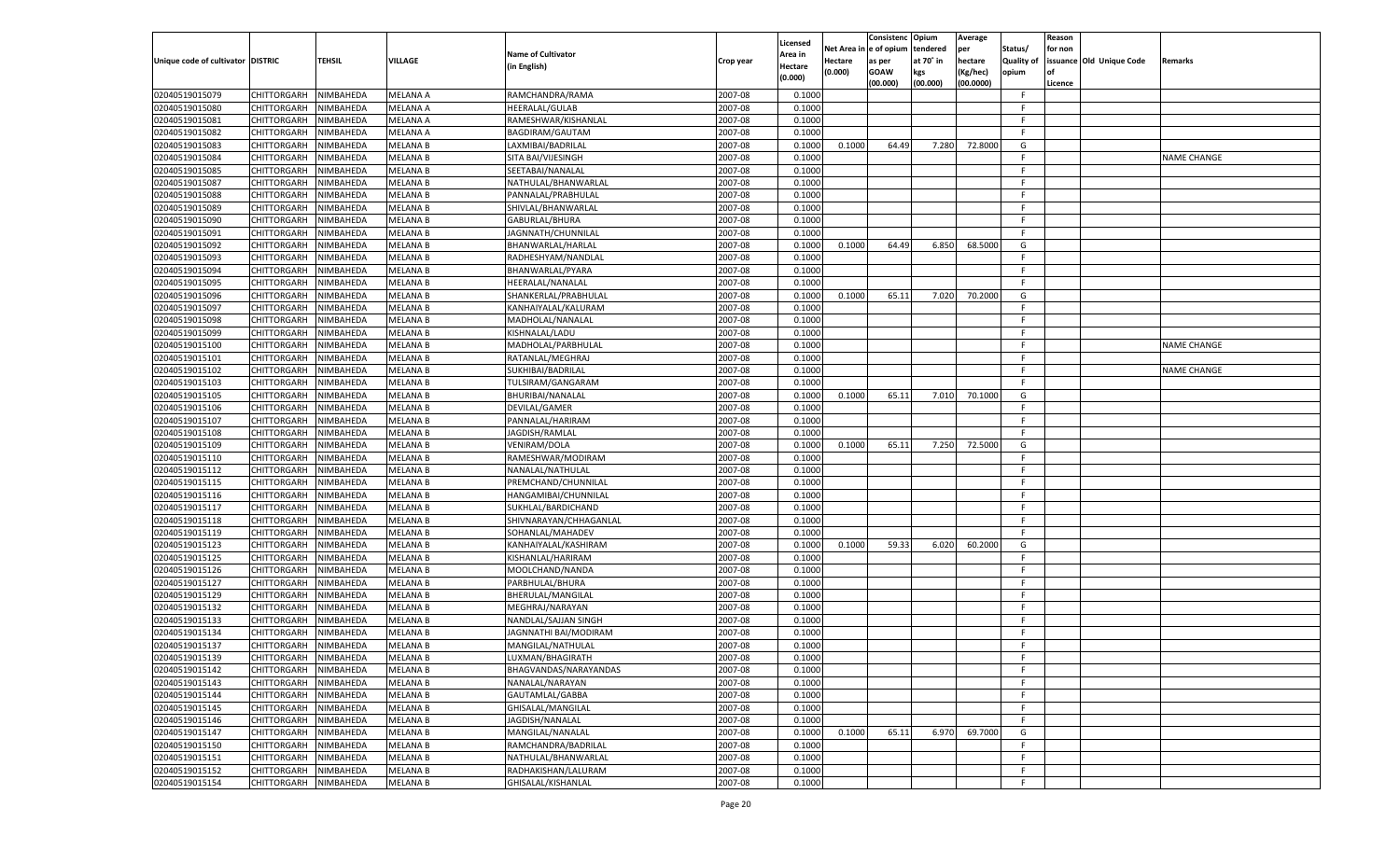|                                   |                            |               |                 |                           |                    |                    |            | Consistenc Opium |           | Average   |                   | Reason  |                          |                    |
|-----------------------------------|----------------------------|---------------|-----------------|---------------------------|--------------------|--------------------|------------|------------------|-----------|-----------|-------------------|---------|--------------------------|--------------------|
|                                   |                            |               |                 | <b>Name of Cultivator</b> |                    | Licensed           | Net Area i | n  e of opium    | tendered  | per       | Status/           | for non |                          |                    |
| Unique code of cultivator DISTRIC |                            | <b>TEHSIL</b> | VILLAGE         |                           | Crop year          | \rea in            | Hectare    | as per           | at 70° in | hectare   | <b>Quality of</b> |         | issuance Old Unique Code | <b>Remarks</b>     |
|                                   |                            |               |                 | (in English)              |                    | Hectare<br>(0.000) | (0.000)    | <b>GOAW</b>      | kgs       | (Kg/hec)  | opium             |         |                          |                    |
|                                   |                            |               |                 |                           |                    |                    |            | (00.000)         | (00.000)  | (00.0000) |                   | Licence |                          |                    |
| 02040519015079                    | CHITTORGARH                | NIMBAHEDA     | <b>MELANA A</b> | RAMCHANDRA/RAMA           | 2007-08            | 0.1000             |            |                  |           |           | -F.               |         |                          |                    |
| 02040519015080                    | CHITTORGARH                | NIMBAHEDA     | MELANA A        | <b>HEERALAL/GULAB</b>     | 2007-08            | 0.1000             |            |                  |           |           | F.                |         |                          |                    |
| 02040519015081                    | CHITTORGARH                | NIMBAHEDA     | <b>MELANA A</b> | RAMESHWAR/KISHANLAL       | 2007-08            | 0.1000             |            |                  |           |           | F.                |         |                          |                    |
| 02040519015082                    | CHITTORGARH                | NIMBAHEDA     | MELANA A        | BAGDIRAM/GAUTAM           | 2007-08            | 0.1000             |            |                  |           |           | -F.               |         |                          |                    |
| 02040519015083                    | CHITTORGARH                | NIMBAHEDA     | <b>MELANA B</b> | LAXMIBAI/BADRILAL         | 2007-08            | 0.1000             | 0.1000     | 64.49            | 7.280     | 72.8000   | G                 |         |                          |                    |
| 02040519015084                    | CHITTORGARH                | NIMBAHEDA     | MELANA B        | SITA BAI/VIJESINGH        | 2007-08            | 0.1000             |            |                  |           |           | F.                |         |                          | <b>NAME CHANGE</b> |
| 02040519015085                    | CHITTORGARH                | NIMBAHEDA     | <b>MELANA B</b> | SEETABAI/NANALAL          | 2007-08            | 0.1000             |            |                  |           |           | F.                |         |                          |                    |
| 02040519015087                    | CHITTORGARH                | NIMBAHEDA     | MELANA B        | NATHULAL/BHANWARLAL       | 2007-08            | 0.1000             |            |                  |           |           | F.                |         |                          |                    |
| 02040519015088                    | CHITTORGARH                | NIMBAHEDA     | <b>MELANA B</b> | PANNALAL/PRABHULAL        | 2007-08            | 0.1000             |            |                  |           |           | F.                |         |                          |                    |
| 02040519015089                    | CHITTORGARH                | NIMBAHEDA     | <b>MELANA B</b> | SHIVLAL/BHANWARLAL        | 2007-08            | 0.1000             |            |                  |           |           | F.                |         |                          |                    |
| 02040519015090                    | CHITTORGARH                | NIMBAHEDA     | <b>MELANA B</b> | GABURLAL/BHURA            | 2007-08            | 0.1000             |            |                  |           |           | F.                |         |                          |                    |
| 02040519015091                    | CHITTORGARH                | NIMBAHEDA     | MELANA B        | JAGNNATH/CHUNNILAL        | 2007-08            | 0.1000             |            |                  |           |           | -F.               |         |                          |                    |
| 02040519015092                    | CHITTORGARH                | NIMBAHEDA     | <b>MELANA B</b> | BHANWARLAL/HARLAL         | 2007-08            | 0.1000             | 0.1000     | 64.49            | 6.850     | 68.5000   | G                 |         |                          |                    |
| 02040519015093                    | CHITTORGARH                | NIMBAHEDA     | MELANA B        | RADHESHYAM/NANDLAL        | 2007-08            | 0.1000             |            |                  |           |           | F.                |         |                          |                    |
| 02040519015094                    | CHITTORGARH                | NIMBAHEDA     | <b>MELANA B</b> | BHANWARLAL/PYARA          | 2007-08            | 0.1000             |            |                  |           |           | F.                |         |                          |                    |
| 02040519015095                    | CHITTORGARH                | NIMBAHEDA     | MELANA B        | HEERALAL/NANALAL          | 2007-08            | 0.1000             |            |                  |           |           | -F                |         |                          |                    |
| 02040519015096                    | CHITTORGARH                | NIMBAHEDA     | <b>MELANA B</b> | SHANKERLAL/PRABHULAL      | 2007-08            | 0.1000             | 0.1000     | 65.11            | 7.020     | 70.2000   | G                 |         |                          |                    |
| 02040519015097                    | CHITTORGARH                | NIMBAHEDA     | MELANA B        | KANHAIYALAL/KALURAM       | 2007-08            | 0.1000             |            |                  |           |           | F.                |         |                          |                    |
| 02040519015098                    | CHITTORGARH                | NIMBAHEDA     | <b>MELANA B</b> | MADHOLAL/NANALAL          | 2007-08            | 0.1000             |            |                  |           |           | F.                |         |                          |                    |
| 02040519015099                    | CHITTORGARH                | NIMBAHEDA     | MELANA B        | KISHNALAL/LADU            | 2007-08            | 0.1000             |            |                  |           |           | -F                |         |                          |                    |
| 02040519015100                    | CHITTORGARH                | NIMBAHEDA     | <b>MELANA B</b> | MADHOLAL/PARBHULAL        | 2007-08            | 0.1000             |            |                  |           |           | F.                |         |                          | <b>NAME CHANGE</b> |
| 02040519015101                    | CHITTORGARH                | NIMBAHEDA     | MELANA B        | RATANLAL/MEGHRAJ          | 2007-08            | 0.1000             |            |                  |           |           | F.                |         |                          |                    |
| 02040519015102                    | CHITTORGARH                | NIMBAHEDA     | <b>MELANA B</b> | SUKHIBAI/BADRILAL         | 2007-08            | 0.1000             |            |                  |           |           | F.                |         |                          | <b>NAME CHANGE</b> |
|                                   |                            | NIMBAHEDA     |                 |                           |                    | 0.1000             |            |                  |           |           | F.                |         |                          |                    |
| 02040519015103                    | CHITTORGARH<br>CHITTORGARH |               | MELANA B        | TULSIRAM/GANGARAM         | 2007-08<br>2007-08 |                    |            |                  |           | 70.1000   |                   |         |                          |                    |
| 02040519015105                    |                            | NIMBAHEDA     | <b>MELANA B</b> | BHURIBAI/NANALAL          |                    | 0.1000             | 0.1000     | 65.11            | 7.010     |           | G<br>F.           |         |                          |                    |
| 02040519015106<br>02040519015107  | CHITTORGARH                | NIMBAHEDA     | MELANA B        | DEVILAL/GAMER             | 2007-08            | 0.1000             |            |                  |           |           | F.                |         |                          |                    |
|                                   | CHITTORGARH                | NIMBAHEDA     | MELANA B        | PANNALAL/HARIRAM          | 2007-08            | 0.1000             |            |                  |           |           | F.                |         |                          |                    |
| 02040519015108                    | CHITTORGARH                | NIMBAHEDA     | MELANA B        | JAGDISH/RAMLAL            | 2007-08            | 0.1000             |            |                  |           |           |                   |         |                          |                    |
| 02040519015109                    | CHITTORGARH                | NIMBAHEDA     | <b>MELANA B</b> | VENIRAM/DOLA              | 2007-08            | 0.1000             | 0.1000     | 65.11            | 7.250     | 72.5000   | G                 |         |                          |                    |
| 02040519015110                    | CHITTORGARH                | NIMBAHEDA     | MELANA B        | RAMESHWAR/MODIRAM         | 2007-08            | 0.1000             |            |                  |           |           | F.                |         |                          |                    |
| 02040519015112                    | CHITTORGARH                | NIMBAHEDA     | MELANA B        | NANALAL/NATHULAL          | 2007-08            | 0.1000             |            |                  |           |           | F.                |         |                          |                    |
| 02040519015115                    | CHITTORGARH                | NIMBAHEDA     | MELANA B        | PREMCHAND/CHUNNILAL       | 2007-08            | 0.1000             |            |                  |           |           | F.                |         |                          |                    |
| 02040519015116                    | CHITTORGARH                | NIMBAHEDA     | <b>MELANA B</b> | HANGAMIBAI/CHUNNILAL      | 2007-08            | 0.1000             |            |                  |           |           | F.                |         |                          |                    |
| 02040519015117                    | CHITTORGARH                | NIMBAHEDA     | MELANA B        | SUKHLAL/BARDICHAND        | 2007-08            | 0.1000             |            |                  |           |           | F.                |         |                          |                    |
| 02040519015118                    | CHITTORGARH                | NIMBAHEDA     | <b>MELANA B</b> | SHIVNARAYAN/CHHAGANLAL    | 2007-08            | 0.1000             |            |                  |           |           | F.                |         |                          |                    |
| 02040519015119                    | CHITTORGARH                | NIMBAHEDA     | MELANA B        | SOHANLAL/MAHADEV          | 2007-08            | 0.1000             |            |                  |           |           | F.                |         |                          |                    |
| 02040519015123                    | CHITTORGARH                | NIMBAHEDA     | <b>MELANA B</b> | KANHAIYALAL/KASHIRAM      | 2007-08            | 0.1000             | 0.1000     | 59.33            | 6.020     | 60.2000   | G                 |         |                          |                    |
| 02040519015125                    | CHITTORGARH                | NIMBAHEDA     | MELANA B        | KISHANLAL/HARIRAM         | 2007-08            | 0.1000             |            |                  |           |           | F.                |         |                          |                    |
| 02040519015126                    | CHITTORGARH                | NIMBAHEDA     | <b>MELANA B</b> | MOOLCHAND/NANDA           | 2007-08            | 0.1000             |            |                  |           |           | F.                |         |                          |                    |
| 02040519015127                    | CHITTORGARH                | NIMBAHEDA     | MELANA B        | PARBHULAL/BHURA           | 2007-08            | 0.1000             |            |                  |           |           | F.                |         |                          |                    |
| 02040519015129                    | CHITTORGARH                | NIMBAHEDA     | <b>MELANA B</b> | BHERULAL/MANGILAL         | 2007-08            | 0.1000             |            |                  |           |           | F.                |         |                          |                    |
| 02040519015132                    | CHITTORGARH                | NIMBAHEDA     | MELANA B        | MEGHRAJ/NARAYAN           | 2007-08            | 0.1000             |            |                  |           |           | F.                |         |                          |                    |
| 02040519015133                    | CHITTORGARH                | NIMBAHEDA     | MELANA B        | NANDLAL/SAJJAN SINGH      | 2007-08            | 0.1000             |            |                  |           |           | F.                |         |                          |                    |
| 02040519015134                    | CHITTORGARH                | NIMBAHEDA     | MELANA B        | JAGNNATHI BAI/MODIRAM     | 2007-08            | 0.1000             |            |                  |           |           | F.                |         |                          |                    |
| 02040519015137                    | CHITTORGARH                | NIMBAHEDA     | <b>MELANA B</b> | MANGILAL/NATHULAL         | 2007-08            | 0.1000             |            |                  |           |           | F.                |         |                          |                    |
| 02040519015139                    | CHITTORGARH NIMBAHEDA      |               | <b>MELANA B</b> | LUXMAN/BHAGIRATH          | 2007-08            | 0.1000             |            |                  |           |           | F.                |         |                          |                    |
| 02040519015142                    | CHITTORGARH                | NIMBAHEDA     | <b>MELANA B</b> | BHAGVANDAS/NARAYANDAS     | 2007-08            | 0.1000             |            |                  |           |           | F                 |         |                          |                    |
| 02040519015143                    | CHITTORGARH                | NIMBAHEDA     | <b>MELANA B</b> | NANALAL/NARAYAN           | 2007-08            | 0.1000             |            |                  |           |           | F.                |         |                          |                    |
| 02040519015144                    | <b>CHITTORGARH</b>         | NIMBAHEDA     | <b>MELANA B</b> | GAUTAMLAL/GABBA           | 2007-08            | 0.1000             |            |                  |           |           | F.                |         |                          |                    |
| 02040519015145                    | CHITTORGARH                | NIMBAHEDA     | <b>MELANA B</b> | GHISALAL/MANGILAL         | 2007-08            | 0.1000             |            |                  |           |           | F.                |         |                          |                    |
| 02040519015146                    | CHITTORGARH                | NIMBAHEDA     | <b>MELANA B</b> | JAGDISH/NANALAL           | 2007-08            | 0.1000             |            |                  |           |           | F.                |         |                          |                    |
| 02040519015147                    | CHITTORGARH                | NIMBAHEDA     | MELANA B        | MANGILAL/NANALAL          | 2007-08            | 0.1000             | 0.1000     | 65.11            | 6.970     | 69.7000   | G                 |         |                          |                    |
| 02040519015150                    | <b>CHITTORGARH</b>         | NIMBAHEDA     | <b>MELANA B</b> | RAMCHANDRA/BADRILAL       | 2007-08            | 0.1000             |            |                  |           |           | F                 |         |                          |                    |
| 02040519015151                    | <b>CHITTORGARH</b>         | NIMBAHEDA     | <b>MELANA B</b> | NATHULAL/BHANWARLAL       | 2007-08            | 0.1000             |            |                  |           |           | F.                |         |                          |                    |
| 02040519015152                    | CHITTORGARH                | NIMBAHEDA     | <b>MELANA B</b> | RADHAKISHAN/LALURAM       | 2007-08            | 0.1000             |            |                  |           |           | F                 |         |                          |                    |
| 02040519015154                    | CHITTORGARH                | NIMBAHEDA     | <b>MELANA B</b> | GHISALAL/KISHANLAL        | 2007-08            | 0.1000             |            |                  |           |           | F.                |         |                          |                    |
|                                   |                            |               |                 |                           |                    |                    |            |                  |           |           |                   |         |                          |                    |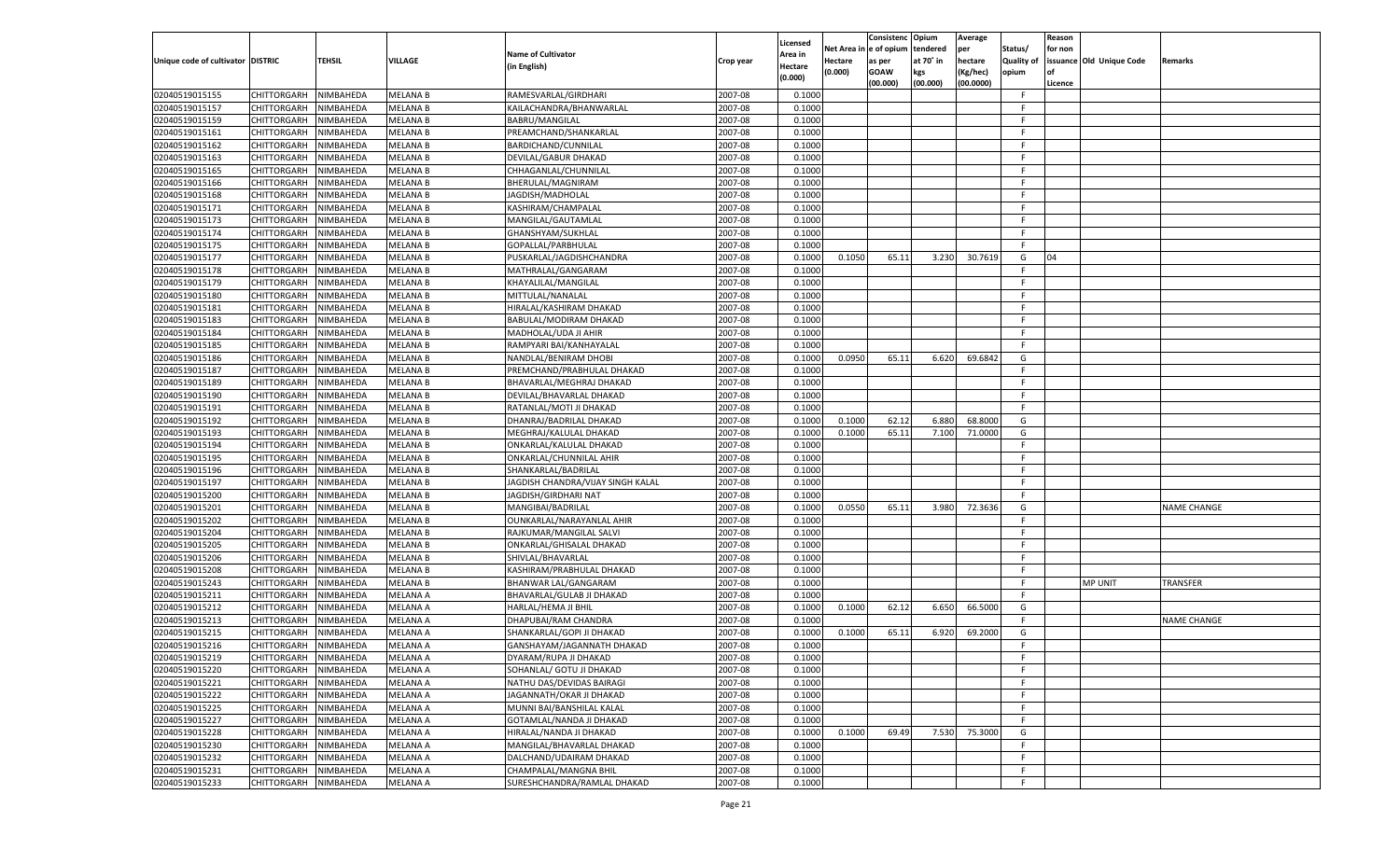|                                   |                       |               |                 |                                   |           |                     |          | Consistenc  | Opium     | Average   |                   | Reason  |                          |                    |
|-----------------------------------|-----------------------|---------------|-----------------|-----------------------------------|-----------|---------------------|----------|-------------|-----------|-----------|-------------------|---------|--------------------------|--------------------|
|                                   |                       |               |                 | <b>Name of Cultivator</b>         |           | Licensed<br>\rea in | Net Area | e of opium  | tendered  | per       | Status/           | for non |                          |                    |
| Unique code of cultivator DISTRIC |                       | <b>TEHSIL</b> | VILLAGE         | (in English)                      | Crop year | Hectare             | Hectare  | as per      | at 70˚ in | hectare   | <b>Quality of</b> |         | issuance Old Unique Code | Remarks            |
|                                   |                       |               |                 |                                   |           | (0.000)             | (0.000)  | <b>GOAW</b> | kgs       | (Kg/hec)  | opium             |         |                          |                    |
|                                   |                       |               |                 |                                   |           |                     |          | (00.000)    | (00.000)  | (00.0000) |                   | Licence |                          |                    |
| 02040519015155                    | CHITTORGARH           | NIMBAHEDA     | <b>MELANA B</b> | RAMESVARLAL/GIRDHARI              | 2007-08   | 0.1000              |          |             |           |           | F.                |         |                          |                    |
| 02040519015157                    | CHITTORGARH           | NIMBAHEDA     | <b>MELANA B</b> | KAILACHANDRA/BHANWARLAL           | 2007-08   | 0.1000              |          |             |           |           | F.                |         |                          |                    |
| 02040519015159                    | CHITTORGARH           | NIMBAHEDA     | <b>MELANA B</b> | BABRU/MANGILAL                    | 2007-08   | 0.1000              |          |             |           |           | F.                |         |                          |                    |
| 02040519015161                    | CHITTORGARH           | NIMBAHEDA     | MELANA B        | PREAMCHAND/SHANKARLAL             | 2007-08   | 0.1000              |          |             |           |           | F.                |         |                          |                    |
| 02040519015162                    | CHITTORGARH           | NIMBAHEDA     | <b>MELANA B</b> | BARDICHAND/CUNNILAL               | 2007-08   | 0.1000              |          |             |           |           | F.                |         |                          |                    |
| 02040519015163                    | CHITTORGARH           | NIMBAHEDA     | MELANA B        | DEVILAL/GABUR DHAKAD              | 2007-08   | 0.1000              |          |             |           |           | F.                |         |                          |                    |
| 02040519015165                    | CHITTORGARH           | NIMBAHEDA     | <b>MELANA B</b> | CHHAGANLAL/CHUNNILAL              | 2007-08   | 0.1000              |          |             |           |           | F.                |         |                          |                    |
| 02040519015166                    | CHITTORGARH           | NIMBAHEDA     | MELANA B        | BHERULAL/MAGNIRAM                 | 2007-08   | 0.1000              |          |             |           |           | F.                |         |                          |                    |
| 02040519015168                    | CHITTORGARH           | NIMBAHEDA     | <b>MELANA B</b> | JAGDISH/MADHOLAL                  | 2007-08   | 0.1000              |          |             |           |           | F.                |         |                          |                    |
| 02040519015171                    | CHITTORGARH           | NIMBAHEDA     | MELANA B        | KASHIRAM/CHAMPALAL                | 2007-08   | 0.1000              |          |             |           |           | F.                |         |                          |                    |
| 02040519015173                    | CHITTORGARH           | NIMBAHEDA     | MELANA B        | MANGILAL/GAUTAMLAL                | 2007-08   | 0.1000              |          |             |           |           | F.                |         |                          |                    |
| 02040519015174                    | CHITTORGARH           | NIMBAHEDA     | MELANA B        | GHANSHYAM/SUKHLAL                 | 2007-08   | 0.1000              |          |             |           |           | F.                |         |                          |                    |
| 02040519015175                    | CHITTORGARH           | NIMBAHEDA     | <b>MELANA B</b> | GOPALLAL/PARBHULAL                | 2007-08   | 0.1000              |          |             |           |           | F.                |         |                          |                    |
| 02040519015177                    | CHITTORGARH           | NIMBAHEDA     | <b>MELANA B</b> | PUSKARLAL/JAGDISHCHANDRA          | 2007-08   | 0.1000              | 0.1050   | 65.11       | 3.230     | 30.7619   | G                 | 04      |                          |                    |
| 02040519015178                    | CHITTORGARH           | NIMBAHEDA     | <b>MELANA B</b> | MATHRALAL/GANGARAM                | 2007-08   | 0.1000              |          |             |           |           | F.                |         |                          |                    |
| 02040519015179                    | CHITTORGARH           | NIMBAHEDA     | <b>MELANA B</b> | KHAYALILAL/MANGILAL               | 2007-08   | 0.1000              |          |             |           |           | F.                |         |                          |                    |
| 02040519015180                    | CHITTORGARH           | NIMBAHEDA     | <b>MELANA B</b> | MITTULAL/NANALAL                  | 2007-08   | 0.1000              |          |             |           |           | F.                |         |                          |                    |
| 02040519015181                    | CHITTORGARH           | NIMBAHEDA     | MELANA B        | HIRALAL/KASHIRAM DHAKAD           | 2007-08   | 0.1000              |          |             |           |           | F.                |         |                          |                    |
| 02040519015183                    | CHITTORGARH           | NIMBAHEDA     | <b>MELANA B</b> | BABULAL/MODIRAM DHAKAD            | 2007-08   | 0.1000              |          |             |           |           | F.                |         |                          |                    |
| 02040519015184                    | CHITTORGARH           | NIMBAHEDA     | <b>MELANA B</b> | MADHOLAL/UDA JI AHIR              | 2007-08   | 0.1000              |          |             |           |           | F.                |         |                          |                    |
| 02040519015185                    | CHITTORGARH           | NIMBAHEDA     | <b>MELANA B</b> | RAMPYARI BAI/KANHAYALAI           | 2007-08   | 0.1000              |          |             |           |           | F.                |         |                          |                    |
| 02040519015186                    | CHITTORGARH           | NIMBAHEDA     | <b>MELANA B</b> | NANDLAL/BENIRAM DHOBI             | 2007-08   | 0.1000              | 0.0950   | 65.11       | 6.620     | 69.6842   | G                 |         |                          |                    |
| 02040519015187                    | CHITTORGARH           | NIMBAHEDA     | <b>MELANA B</b> | PREMCHAND/PRABHULAL DHAKAD        | 2007-08   | 0.1000              |          |             |           |           | F.                |         |                          |                    |
| 02040519015189                    | CHITTORGARH           | NIMBAHEDA     | <b>MELANA B</b> | BHAVARLAL/MEGHRAJ DHAKAD          | 2007-08   | 0.1000              |          |             |           |           | F.                |         |                          |                    |
| 02040519015190                    | CHITTORGARH           | NIMBAHEDA     | <b>MELANA B</b> | DEVILAL/BHAVARLAL DHAKAD          | 2007-08   | 0.1000              |          |             |           |           | F.                |         |                          |                    |
| 02040519015191                    | CHITTORGARH           | NIMBAHEDA     | <b>MELANA B</b> | RATANLAL/MOTI JI DHAKAD           | 2007-08   | 0.1000              |          |             |           |           | F.                |         |                          |                    |
| 02040519015192                    | CHITTORGARH           | NIMBAHEDA     | <b>MELANA B</b> | DHANRAJ/BADRILAL DHAKAD           | 2007-08   | 0.1000              | 0.1000   | 62.12       | 6.880     | 68.8000   | G                 |         |                          |                    |
| 02040519015193                    | CHITTORGARH           | NIMBAHEDA     | <b>MELANA B</b> | MEGHRAJ/KALULAL DHAKAD            | 2007-08   | 0.1000              | 0.1000   | 65.11       | 7.100     | 71.0000   | G                 |         |                          |                    |
| 02040519015194                    | CHITTORGARH           | NIMBAHEDA     | <b>MELANA B</b> | ONKARLAL/KALULAL DHAKAD           | 2007-08   | 0.1000              |          |             |           |           | F.                |         |                          |                    |
| 02040519015195                    | CHITTORGARH           | NIMBAHEDA     | MELANA B        | ONKARLAL/CHUNNILAL AHIR           | 2007-08   | 0.1000              |          |             |           |           | F                 |         |                          |                    |
| 02040519015196                    | CHITTORGARH           | NIMBAHEDA     | <b>MELANA B</b> | SHANKARLAL/BADRILAL               | 2007-08   | 0.1000              |          |             |           |           | F.                |         |                          |                    |
| 02040519015197                    | CHITTORGARH           | NIMBAHEDA     | <b>MELANA B</b> | JAGDISH CHANDRA/VIJAY SINGH KALAL | 2007-08   | 0.1000              |          |             |           |           | F                 |         |                          |                    |
| 02040519015200                    | <b>CHITTORGARH</b>    | NIMBAHEDA     | <b>MELANA B</b> | JAGDISH/GIRDHARI NAT              | 2007-08   | 0.1000              |          |             |           |           | F.                |         |                          |                    |
| 02040519015201                    |                       | NIMBAHEDA     | <b>MELANA B</b> |                                   | 2007-08   | 0.1000              | 0.0550   | 65.11       | 3.980     | 72.3636   | G                 |         |                          | <b>NAME CHANGE</b> |
|                                   | CHITTORGARH           | NIMBAHEDA     | <b>MELANA B</b> | MANGIBAI/BADRILAL                 | 2007-08   | 0.1000              |          |             |           |           | F.                |         |                          |                    |
| 02040519015202                    | <b>CHITTORGARH</b>    |               |                 | OUNKARLAL/NARAYANLAL AHIR         |           |                     |          |             |           |           | F                 |         |                          |                    |
| 02040519015204                    | CHITTORGARH           | NIMBAHEDA     | <b>MELANA B</b> | RAJKUMAR/MANGILAL SALVI           | 2007-08   | 0.1000              |          |             |           |           |                   |         |                          |                    |
| 02040519015205                    | <b>CHITTORGARH</b>    | NIMBAHEDA     | <b>MELANA B</b> | ONKARLAL/GHISALAL DHAKAD          | 2007-08   | 0.1000              |          |             |           |           | F                 |         |                          |                    |
| 02040519015206                    | CHITTORGARH           | NIMBAHEDA     | MELANA B        | SHIVLAL/BHAVARLAL                 | 2007-08   | 0.1000              |          |             |           |           | F                 |         |                          |                    |
| 02040519015208                    | <b>CHITTORGARH</b>    | NIMBAHEDA     | <b>MELANA B</b> | KASHIRAM/PRABHULAL DHAKAD         | 2007-08   | 0.1000              |          |             |           |           | F.                |         |                          |                    |
| 02040519015243                    | CHITTORGARH           | NIMBAHEDA     | <b>MELANA B</b> | BHANWAR LAL/GANGARAM              | 2007-08   | 0.1000              |          |             |           |           | F                 |         | <b>MP UNIT</b>           | TRANSFER           |
| 02040519015211                    | <b>CHITTORGARH</b>    | NIMBAHEDA     | <b>MELANA A</b> | BHAVARLAL/GULAB JI DHAKAD         | 2007-08   | 0.1000              |          |             |           |           | F.                |         |                          |                    |
| 02040519015212                    | CHITTORGARH           | NIMBAHEDA     | MELANA A        | HARLAL/HEMA JI BHIL               | 2007-08   | 0.1000              | 0.1000   | 62.12       | 6.650     | 66.5000   | G                 |         |                          |                    |
| 02040519015213                    | CHITTORGARH           | NIMBAHEDA     | <b>MELANA A</b> | DHAPUBAI/RAM CHANDRA              | 2007-08   | 0.1000              |          |             |           |           | F.                |         |                          | <b>NAME CHANGE</b> |
| 02040519015215                    | CHITTORGARH           | NIMBAHEDA     | MELANA A        | SHANKARLAL/GOPI JI DHAKAD         | 2007-08   | 0.1000              | 0.1000   | 65.11       | 6.920     | 69.2000   | G                 |         |                          |                    |
| 02040519015216                    | CHITTORGARH           | NIMBAHEDA     | <b>MELANA A</b> | GANSHAYAM/JAGANNATH DHAKAD        | 2007-08   | 0.1000              |          |             |           |           | F.                |         |                          |                    |
| 02040519015219                    | CHITTORGARH NIMBAHEDA |               | <b>MELANA A</b> | DYARAM/RUPA JI DHAKAD             | 2007-08   | 0.1000              |          |             |           |           | F.                |         |                          |                    |
| 02040519015220                    | <b>CHITTORGARH</b>    | NIMBAHEDA     | <b>MELANA A</b> | SOHANLAL/ GOTU JI DHAKAD          | 2007-08   | 0.1000              |          |             |           |           | F.                |         |                          |                    |
| 02040519015221                    | CHITTORGARH           | NIMBAHEDA     | <b>MELANA A</b> | NATHU DAS/DEVIDAS BAIRAGI         | 2007-08   | 0.1000              |          |             |           |           | F.                |         |                          |                    |
| 02040519015222                    | <b>CHITTORGARH</b>    | NIMBAHEDA     | <b>MELANA A</b> | JAGANNATH/OKAR JI DHAKAD          | 2007-08   | 0.1000              |          |             |           |           | F.                |         |                          |                    |
| 02040519015225                    | <b>CHITTORGARH</b>    | NIMBAHEDA     | <b>MELANA A</b> | MUNNI BAI/BANSHILAL KALAL         | 2007-08   | 0.1000              |          |             |           |           | F.                |         |                          |                    |
| 02040519015227                    | <b>CHITTORGARH</b>    | NIMBAHEDA     | <b>MELANA A</b> | GOTAMLAL/NANDA JI DHAKAD          | 2007-08   | 0.1000              |          |             |           |           | F.                |         |                          |                    |
| 02040519015228                    | <b>CHITTORGARH</b>    | NIMBAHEDA     | <b>MELANA A</b> | HIRALAL/NANDA JI DHAKAD           | 2007-08   | 0.1000              | 0.1000   | 69.49       | 7.530     | 75.3000   | G                 |         |                          |                    |
| 02040519015230                    | <b>CHITTORGARH</b>    | NIMBAHEDA     | <b>MELANA A</b> | MANGILAL/BHAVARLAL DHAKAD         | 2007-08   | 0.1000              |          |             |           |           | F.                |         |                          |                    |
| 02040519015232                    | <b>CHITTORGARH</b>    | NIMBAHEDA     | <b>MELANA A</b> | DALCHAND/UDAIRAM DHAKAD           | 2007-08   | 0.1000              |          |             |           |           | F                 |         |                          |                    |
| 02040519015231                    | <b>CHITTORGARH</b>    | NIMBAHEDA     | <b>MELANA A</b> | CHAMPALAL/MANGNA BHIL             | 2007-08   | 0.1000              |          |             |           |           | F.                |         |                          |                    |
| 02040519015233                    | <b>CHITTORGARH</b>    | NIMBAHEDA     | <b>MELANA A</b> | SURESHCHANDRA/RAMLAL DHAKAD       | 2007-08   | 0.1000              |          |             |           |           | F.                |         |                          |                    |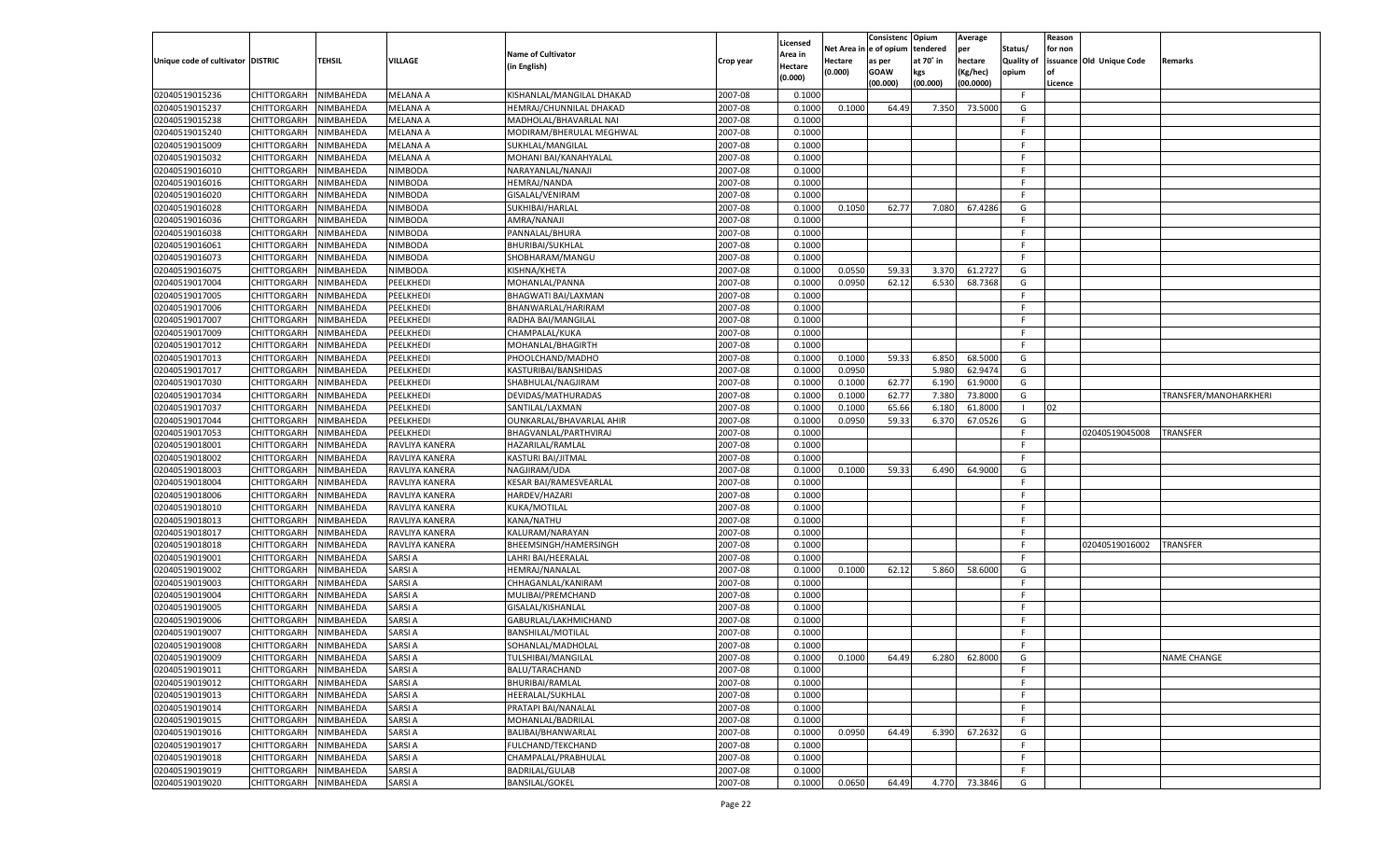| Net Area i<br>n  e of opium<br>tendered<br>per<br>Status/<br>for non<br><b>Name of Cultivator</b><br>Area in<br>issuance Old Unique Code<br>Unique code of cultivator DISTRIC<br>TEHSIL<br><b>VILLAGE</b><br>at 70° in<br>hectare<br><b>Quality of</b><br>Hectare<br>Remarks<br>Crop year<br>as per<br>(in English)<br>Hectare<br>(0.000)<br><b>GOAW</b><br>kgs<br>(Kg/hec)<br>opium<br>(0.000)<br>(00.000)<br>(00.000)<br>(00.0000)<br>Licence<br>02040519015236<br>CHITTORGARH<br>NIMBAHEDA<br><b>MELANA A</b><br>KISHANLAL/MANGILAL DHAKAD<br>2007-08<br>0.1000<br>F<br>02040519015237<br>2007-08<br>64.49<br>73.5000<br>CHITTORGARH<br>NIMBAHEDA<br>MELANA A<br>HEMRAJ/CHUNNILAL DHAKAD<br>0.1000<br>0.1000<br>7.350<br>G<br>02040519015238<br>MELANA A<br>2007-08<br>CHITTORGARH<br>NIMBAHEDA<br>MADHOLAL/BHAVARLAL NAI<br>0.1000<br>F.<br>02040519015240<br>2007-08<br>CHITTORGARH<br>NIMBAHEDA<br>MELANA A<br>MODIRAM/BHERULAL MEGHWAL<br>0.1000<br>E<br>02040519015009<br>NIMBAHEDA<br>MELANA A<br>2007-08<br>CHITTORGARH<br>SUKHLAL/MANGILAL<br>0.1000<br>F.<br>02040519015032<br>2007-08<br>CHITTORGARH<br>NIMBAHEDA<br>MELANA A<br>MOHANI BAI/KANAHYALAL<br>0.1000<br>-F<br>02040519016010<br>NIMBODA<br>2007-08<br>CHITTORGARH<br>NIMBAHEDA<br>NARAYANLAL/NANAJI<br>0.1000<br>F.<br>02040519016016<br>2007-08<br>CHITTORGARH<br>NIMBAHEDA<br>NIMBODA<br><b>HEMRAJ/NANDA</b><br>0.1000<br>E<br>2007-08<br>02040519016020<br>NIMBAHEDA<br>NIMBODA<br>CHITTORGARH<br>GISALAL/VENIRAM<br>0.1000<br>F.<br>02040519016028<br>2007-08<br>62.77<br>CHITTORGARH<br>NIMBAHEDA<br>NIMBODA<br>SUKHIBAI/HARLAL<br>0.1000<br>0.1050<br>7.080<br>67.4286<br>G<br>02040519016036<br>NIMBODA<br>2007-08<br>CHITTORGARH<br>NIMBAHEDA<br>AMRA/NANAJI<br>0.1000<br>F.<br>02040519016038<br>2007-08<br>CHITTORGARH<br>NIMBAHEDA<br>NIMBODA<br>PANNALAL/BHURA<br>0.1000<br>E<br>2007-08<br>02040519016061<br>NIMBAHEDA<br>NIMBODA<br>CHITTORGARH<br><b>BHURIBAI/SUKHLAL</b><br>0.1000<br>F.<br>02040519016073<br>CHITTORGARH<br>NIMBODA<br>2007-08<br>NIMBAHEDA<br>SHOBHARAM/MANGU<br>0.1000<br>F.<br>02040519016075<br>CHITTORGARH<br>NIMBAHEDA<br><b>NIMBODA</b><br>KISHNA/KHETA<br>2007-08<br>0.0550<br>59.33<br>61.2727<br>0.1000<br>3.370<br>G<br>02040519017004<br>CHITTORGARH<br>PEELKHEDI<br>2007-08<br>0.0950<br>62.12<br>6.530<br>68.7368<br>NIMBAHEDA<br>MOHANLAL/PANNA<br>0.1000<br>G<br>02040519017005<br>CHITTORGARH<br>NIMBAHEDA<br>PEELKHEDI<br><b>BHAGWATI BAI/LAXMAN</b><br>2007-08<br>0.1000<br>F.<br>02040519017006<br>CHITTORGARH<br>PEELKHEDI<br>BHANWARLAL/HARIRAM<br>2007-08<br>NIMBAHEDA<br>0.1000<br>F.<br>02040519017007<br>CHITTORGARH<br>NIMBAHEDA<br>PEELKHEDI<br>2007-08<br>RADHA BAI/MANGILAL<br>0.1000<br>F.<br>02040519017009<br>CHITTORGARH<br>PEELKHEDI<br>CHAMPALAL/KUKA<br>2007-08<br>NIMBAHEDA<br>0.1000<br>F.<br>02040519017012<br>CHITTORGARH<br>NIMBAHEDA<br>PEELKHEDI<br>2007-08<br>0.1000<br>F.<br>MOHANLAL/BHAGIRTH<br>02040519017013<br>CHITTORGARH<br>PEELKHEDI<br>2007-08<br>0.1000<br>59.33<br>6.850<br>68.5000<br>NIMBAHEDA<br>PHOOLCHAND/MADHO<br>0.1000<br>G<br>02040519017017<br>CHITTORGARH<br>NIMBAHEDA<br>PEELKHEDI<br>2007-08<br>0.1000<br>0.0950<br>5.980<br>62.9474<br>KASTURIBAI/BANSHIDAS<br>G<br>02040519017030<br>CHITTORGARH<br>PEELKHEDI<br>2007-08<br>0.1000<br>62.77<br>6.190<br>61.9000<br>NIMBAHEDA<br>SHABHULAL/NAGJIRAM<br>0.1000<br>G<br>02040519017034<br>CHITTORGARH<br>NIMBAHEDA<br>PEELKHEDI<br>DEVIDAS/MATHURADAS<br>2007-08<br>0.1000<br>62.77<br>7.380<br>73.8000<br>G<br>0.1000<br>TRANSFER/MANOHARKHERI<br>02040519017037<br>CHITTORGARH<br>PEELKHEDI<br>2007-08<br>NIMBAHEDA<br>SANTILAL/LAXMAN<br>0.1000<br>0.1000<br>65.66<br>6.180<br>61.8000<br>$\blacksquare$<br>02<br>02040519017044<br>CHITTORGARH<br>NIMBAHEDA<br>PEELKHEDI<br>2007-08<br>0.1000<br>0.0950<br>59.33<br>67.0526<br>OUNKARLAL/BHAVARLAL AHIR<br>6.370<br>G<br>02040519017053<br>CHITTORGARH<br>PEELKHEDI<br>2007-08<br>NIMBAHEDA<br>BHAGVANLAL/PARTHVIRAJ<br>0.1000<br>F.<br>02040519045008<br>TRANSFER<br>02040519018001<br>CHITTORGARH<br>NIMBAHEDA<br>RAVLIYA KANERA<br>HAZARILAL/RAMLAL<br>2007-08<br>F.<br>0.1000<br>02040519018002<br>CHITTORGARH<br>2007-08<br>NIMBAHEDA<br>RAVLIYA KANERA<br>KASTURI BAI/JITMAL<br>0.1000<br>E<br>02040519018003<br>NIMBAHEDA<br>2007-08<br>0.1000<br>59.33<br>64.9000<br>CHITTORGARH<br>RAVLIYA KANERA<br>NAGJIRAM/UDA<br>0.1000<br>6.490<br>G<br>02040519018004<br>CHITTORGARH<br><b>KESAR BAI/RAMESVEARLAL</b><br>2007-08<br>NIMBAHEDA<br>RAVLIYA KANERA<br>0.1000<br>F.<br>02040519018006<br>CHITTORGARH<br>NIMBAHEDA<br>HARDEV/HAZARI<br>2007-08<br>RAVLIYA KANERA<br>0.1000<br>E<br>02040519018010<br>2007-08<br>CHITTORGARH<br>NIMBAHEDA<br>RAVLIYA KANERA<br>KUKA/MOTILAL<br>0.1000<br>F<br>02040519018013<br>NIMBAHEDA<br>KANA/NATHU<br>2007-08<br>CHITTORGARH<br>RAVLIYA KANERA<br>0.1000<br>E<br>02040519018017<br>2007-08<br>CHITTORGARH<br>NIMBAHEDA<br>RAVLIYA KANERA<br>KALURAM/NARAYAN<br>0.1000<br>F<br>02040519018018<br>CHITTORGARH<br>NIMBAHEDA<br>RAVLIYA KANERA<br>2007-08<br>BHEEMSINGH/HAMERSINGH<br>0.1000<br>F<br>02040519016002<br><b>TRANSFER</b><br>02040519019001<br>2007-08<br>CHITTORGARH<br>NIMBAHEDA<br>SARSI A<br>LAHRI BAI/HEERALAI<br>0.1000<br>F<br>02040519019002<br>NIMBAHEDA<br><b>SARSIA</b><br><b>HEMRAJ/NANALAL</b><br>2007-08<br>58.6000<br>CHITTORGARH<br>0.1000<br>0.1000<br>62.12<br>5.860<br>G<br>02040519019003<br><b>SARSIA</b><br>CHHAGANLAL/KANIRAM<br>2007-08<br>CHITTORGARH<br>NIMBAHEDA<br>0.1000<br>F.<br>02040519019004<br>CHITTORGARH<br>NIMBAHEDA<br><b>SARSIA</b><br>2007-08<br>MULIBAI/PREMCHAND<br>0.1000<br>F<br>02040519019005<br>SARSI A<br>2007-08<br>CHITTORGARH<br>NIMBAHEDA<br>GISALAL/KISHANLAL<br>0.1000<br>F<br>02040519019006<br><b>SARSIA</b><br>2007-08<br>CHITTORGARH<br>NIMBAHEDA<br>GABURLAL/LAKHMICHAND<br>0.1000<br>E<br>02040519019007<br><b>SARSIA</b><br>2007-08<br>CHITTORGARH<br>NIMBAHEDA<br><b>BANSHILAL/MOTILAL</b><br>0.1000<br>F<br>02040519019008<br>NIMBAHEDA<br><b>SARSIA</b><br>2007-08<br>CHITTORGARH<br>SOHANLAL/MADHOLAL<br>0.1000<br>F.<br>CHITTORGARH NIMBAHEDA<br><b>SARSIA</b><br>TULSHIBAI/MANGILAL<br>2007-08<br>0.1000<br>0.1000<br>64.49<br>6.280 62.8000<br>G<br><b>NAME CHANGE</b><br>2007-08<br>CHITTORGARH<br>NIMBAHEDA<br><b>SARSIA</b><br>BALU/TARACHAND<br>0.1000<br>F.<br>CHITTORGARH<br>NIMBAHEDA<br><b>SARSIA</b><br>BHURIBAI/RAMLAL<br>2007-08<br>0.1000<br>F.<br><b>SARSIA</b><br>2007-08<br>CHITTORGARH<br>NIMBAHEDA<br>HEERALAL/SUKHLAL<br>0.1000<br>F.<br>CHITTORGARH<br>NIMBAHEDA<br><b>SARSIA</b><br>PRATAPI BAI/NANALAL<br>2007-08<br>0.1000<br>F.<br><b>SARSIA</b><br>CHITTORGARH<br>NIMBAHEDA<br>MOHANLAL/BADRILAL<br>2007-08<br>0.1000<br>F.<br><b>CHITTORGARH</b><br>NIMBAHEDA<br><b>SARSIA</b><br>BALIBAI/BHANWARLAL<br>2007-08<br>0.1000<br>0.0950<br>64.49<br>6.390<br>67.2632<br>G<br><b>SARSIA</b><br>2007-08<br>02040519019017<br>CHITTORGARH<br>NIMBAHEDA<br>FULCHAND/TEKCHAND<br>0.1000<br>F<br><b>CHITTORGARH</b><br>NIMBAHEDA<br><b>SARSIA</b><br>CHAMPALAL/PRABHULAL<br>2007-08<br>0.1000<br>F.<br>02040519019019<br><b>CHITTORGARH</b><br>NIMBAHEDA<br><b>SARSIA</b><br>BADRILAL/GULAB<br>2007-08<br>0.1000<br>F.<br>CHITTORGARH<br>NIMBAHEDA<br><b>SARSIA</b><br><b>BANSILAL/GOKEL</b><br>2007-08<br>0.1000<br>0.0650<br>64.49<br>4.770 73.3846<br>G |                |  |  |          | Consistenc | Opium | Average | Reason |  |
|-----------------------------------------------------------------------------------------------------------------------------------------------------------------------------------------------------------------------------------------------------------------------------------------------------------------------------------------------------------------------------------------------------------------------------------------------------------------------------------------------------------------------------------------------------------------------------------------------------------------------------------------------------------------------------------------------------------------------------------------------------------------------------------------------------------------------------------------------------------------------------------------------------------------------------------------------------------------------------------------------------------------------------------------------------------------------------------------------------------------------------------------------------------------------------------------------------------------------------------------------------------------------------------------------------------------------------------------------------------------------------------------------------------------------------------------------------------------------------------------------------------------------------------------------------------------------------------------------------------------------------------------------------------------------------------------------------------------------------------------------------------------------------------------------------------------------------------------------------------------------------------------------------------------------------------------------------------------------------------------------------------------------------------------------------------------------------------------------------------------------------------------------------------------------------------------------------------------------------------------------------------------------------------------------------------------------------------------------------------------------------------------------------------------------------------------------------------------------------------------------------------------------------------------------------------------------------------------------------------------------------------------------------------------------------------------------------------------------------------------------------------------------------------------------------------------------------------------------------------------------------------------------------------------------------------------------------------------------------------------------------------------------------------------------------------------------------------------------------------------------------------------------------------------------------------------------------------------------------------------------------------------------------------------------------------------------------------------------------------------------------------------------------------------------------------------------------------------------------------------------------------------------------------------------------------------------------------------------------------------------------------------------------------------------------------------------------------------------------------------------------------------------------------------------------------------------------------------------------------------------------------------------------------------------------------------------------------------------------------------------------------------------------------------------------------------------------------------------------------------------------------------------------------------------------------------------------------------------------------------------------------------------------------------------------------------------------------------------------------------------------------------------------------------------------------------------------------------------------------------------------------------------------------------------------------------------------------------------------------------------------------------------------------------------------------------------------------------------------------------------------------------------------------------------------------------------------------------------------------------------------------------------------------------------------------------------------------------------------------------------------------------------------------------------------------------------------------------------------------------------------------------------------------------------------------------------------------------------------------------------------------------------------------------------------------------------------------------------------------------------------------------------------------------------------------------------------------------------------------------------------------------------------------------------------------------------------------------------------------------------------------------------------------------------------------------------------------------------------------------------------------------------------------------------------------------------------------------------------------------------------------------------------------------------------------------------------------------------------------------------------------------------------------------------------------------------------------------------------------------------------------------------------------------------------------------------------------------------------------------------------------------------------------------------------------------------------------------------------------------------------------------------------------------------------------------------------------------------------------------------------------------------------------------------------------------------------------------------------------------------------------------------------------------------------------------------------------------------------------------------------------------------------------------------------------------------------------------------------------------------------------------------------------------------------------------------------------------------------------------------------------------------------------------------------------------------------------------------------------------------------------------------------------------------------------------------------------------------------------------------------------------------------------------------------------------------------------------------------------------------------------------|----------------|--|--|----------|------------|-------|---------|--------|--|
|                                                                                                                                                                                                                                                                                                                                                                                                                                                                                                                                                                                                                                                                                                                                                                                                                                                                                                                                                                                                                                                                                                                                                                                                                                                                                                                                                                                                                                                                                                                                                                                                                                                                                                                                                                                                                                                                                                                                                                                                                                                                                                                                                                                                                                                                                                                                                                                                                                                                                                                                                                                                                                                                                                                                                                                                                                                                                                                                                                                                                                                                                                                                                                                                                                                                                                                                                                                                                                                                                                                                                                                                                                                                                                                                                                                                                                                                                                                                                                                                                                                                                                                                                                                                                                                                                                                                                                                                                                                                                                                                                                                                                                                                                                                                                                                                                                                                                                                                                                                                                                                                                                                                                                                                                                                                                                                                                                                                                                                                                                                                                                                                                                                                                                                                                                                                                                                                                                                                                                                                                                                                                                                                                                                                                                                                                                                                                                                                                                                                                                                                                                                                                                                                                                                                                                                                                                                                                                                                                                                                                                                                                                                                                                                                                                                                                                                                                                                         |                |  |  | Licensed |            |       |         |        |  |
|                                                                                                                                                                                                                                                                                                                                                                                                                                                                                                                                                                                                                                                                                                                                                                                                                                                                                                                                                                                                                                                                                                                                                                                                                                                                                                                                                                                                                                                                                                                                                                                                                                                                                                                                                                                                                                                                                                                                                                                                                                                                                                                                                                                                                                                                                                                                                                                                                                                                                                                                                                                                                                                                                                                                                                                                                                                                                                                                                                                                                                                                                                                                                                                                                                                                                                                                                                                                                                                                                                                                                                                                                                                                                                                                                                                                                                                                                                                                                                                                                                                                                                                                                                                                                                                                                                                                                                                                                                                                                                                                                                                                                                                                                                                                                                                                                                                                                                                                                                                                                                                                                                                                                                                                                                                                                                                                                                                                                                                                                                                                                                                                                                                                                                                                                                                                                                                                                                                                                                                                                                                                                                                                                                                                                                                                                                                                                                                                                                                                                                                                                                                                                                                                                                                                                                                                                                                                                                                                                                                                                                                                                                                                                                                                                                                                                                                                                                                         |                |  |  |          |            |       |         |        |  |
|                                                                                                                                                                                                                                                                                                                                                                                                                                                                                                                                                                                                                                                                                                                                                                                                                                                                                                                                                                                                                                                                                                                                                                                                                                                                                                                                                                                                                                                                                                                                                                                                                                                                                                                                                                                                                                                                                                                                                                                                                                                                                                                                                                                                                                                                                                                                                                                                                                                                                                                                                                                                                                                                                                                                                                                                                                                                                                                                                                                                                                                                                                                                                                                                                                                                                                                                                                                                                                                                                                                                                                                                                                                                                                                                                                                                                                                                                                                                                                                                                                                                                                                                                                                                                                                                                                                                                                                                                                                                                                                                                                                                                                                                                                                                                                                                                                                                                                                                                                                                                                                                                                                                                                                                                                                                                                                                                                                                                                                                                                                                                                                                                                                                                                                                                                                                                                                                                                                                                                                                                                                                                                                                                                                                                                                                                                                                                                                                                                                                                                                                                                                                                                                                                                                                                                                                                                                                                                                                                                                                                                                                                                                                                                                                                                                                                                                                                                                         |                |  |  |          |            |       |         |        |  |
|                                                                                                                                                                                                                                                                                                                                                                                                                                                                                                                                                                                                                                                                                                                                                                                                                                                                                                                                                                                                                                                                                                                                                                                                                                                                                                                                                                                                                                                                                                                                                                                                                                                                                                                                                                                                                                                                                                                                                                                                                                                                                                                                                                                                                                                                                                                                                                                                                                                                                                                                                                                                                                                                                                                                                                                                                                                                                                                                                                                                                                                                                                                                                                                                                                                                                                                                                                                                                                                                                                                                                                                                                                                                                                                                                                                                                                                                                                                                                                                                                                                                                                                                                                                                                                                                                                                                                                                                                                                                                                                                                                                                                                                                                                                                                                                                                                                                                                                                                                                                                                                                                                                                                                                                                                                                                                                                                                                                                                                                                                                                                                                                                                                                                                                                                                                                                                                                                                                                                                                                                                                                                                                                                                                                                                                                                                                                                                                                                                                                                                                                                                                                                                                                                                                                                                                                                                                                                                                                                                                                                                                                                                                                                                                                                                                                                                                                                                                         |                |  |  |          |            |       |         |        |  |
|                                                                                                                                                                                                                                                                                                                                                                                                                                                                                                                                                                                                                                                                                                                                                                                                                                                                                                                                                                                                                                                                                                                                                                                                                                                                                                                                                                                                                                                                                                                                                                                                                                                                                                                                                                                                                                                                                                                                                                                                                                                                                                                                                                                                                                                                                                                                                                                                                                                                                                                                                                                                                                                                                                                                                                                                                                                                                                                                                                                                                                                                                                                                                                                                                                                                                                                                                                                                                                                                                                                                                                                                                                                                                                                                                                                                                                                                                                                                                                                                                                                                                                                                                                                                                                                                                                                                                                                                                                                                                                                                                                                                                                                                                                                                                                                                                                                                                                                                                                                                                                                                                                                                                                                                                                                                                                                                                                                                                                                                                                                                                                                                                                                                                                                                                                                                                                                                                                                                                                                                                                                                                                                                                                                                                                                                                                                                                                                                                                                                                                                                                                                                                                                                                                                                                                                                                                                                                                                                                                                                                                                                                                                                                                                                                                                                                                                                                                                         |                |  |  |          |            |       |         |        |  |
|                                                                                                                                                                                                                                                                                                                                                                                                                                                                                                                                                                                                                                                                                                                                                                                                                                                                                                                                                                                                                                                                                                                                                                                                                                                                                                                                                                                                                                                                                                                                                                                                                                                                                                                                                                                                                                                                                                                                                                                                                                                                                                                                                                                                                                                                                                                                                                                                                                                                                                                                                                                                                                                                                                                                                                                                                                                                                                                                                                                                                                                                                                                                                                                                                                                                                                                                                                                                                                                                                                                                                                                                                                                                                                                                                                                                                                                                                                                                                                                                                                                                                                                                                                                                                                                                                                                                                                                                                                                                                                                                                                                                                                                                                                                                                                                                                                                                                                                                                                                                                                                                                                                                                                                                                                                                                                                                                                                                                                                                                                                                                                                                                                                                                                                                                                                                                                                                                                                                                                                                                                                                                                                                                                                                                                                                                                                                                                                                                                                                                                                                                                                                                                                                                                                                                                                                                                                                                                                                                                                                                                                                                                                                                                                                                                                                                                                                                                                         |                |  |  |          |            |       |         |        |  |
|                                                                                                                                                                                                                                                                                                                                                                                                                                                                                                                                                                                                                                                                                                                                                                                                                                                                                                                                                                                                                                                                                                                                                                                                                                                                                                                                                                                                                                                                                                                                                                                                                                                                                                                                                                                                                                                                                                                                                                                                                                                                                                                                                                                                                                                                                                                                                                                                                                                                                                                                                                                                                                                                                                                                                                                                                                                                                                                                                                                                                                                                                                                                                                                                                                                                                                                                                                                                                                                                                                                                                                                                                                                                                                                                                                                                                                                                                                                                                                                                                                                                                                                                                                                                                                                                                                                                                                                                                                                                                                                                                                                                                                                                                                                                                                                                                                                                                                                                                                                                                                                                                                                                                                                                                                                                                                                                                                                                                                                                                                                                                                                                                                                                                                                                                                                                                                                                                                                                                                                                                                                                                                                                                                                                                                                                                                                                                                                                                                                                                                                                                                                                                                                                                                                                                                                                                                                                                                                                                                                                                                                                                                                                                                                                                                                                                                                                                                                         |                |  |  |          |            |       |         |        |  |
|                                                                                                                                                                                                                                                                                                                                                                                                                                                                                                                                                                                                                                                                                                                                                                                                                                                                                                                                                                                                                                                                                                                                                                                                                                                                                                                                                                                                                                                                                                                                                                                                                                                                                                                                                                                                                                                                                                                                                                                                                                                                                                                                                                                                                                                                                                                                                                                                                                                                                                                                                                                                                                                                                                                                                                                                                                                                                                                                                                                                                                                                                                                                                                                                                                                                                                                                                                                                                                                                                                                                                                                                                                                                                                                                                                                                                                                                                                                                                                                                                                                                                                                                                                                                                                                                                                                                                                                                                                                                                                                                                                                                                                                                                                                                                                                                                                                                                                                                                                                                                                                                                                                                                                                                                                                                                                                                                                                                                                                                                                                                                                                                                                                                                                                                                                                                                                                                                                                                                                                                                                                                                                                                                                                                                                                                                                                                                                                                                                                                                                                                                                                                                                                                                                                                                                                                                                                                                                                                                                                                                                                                                                                                                                                                                                                                                                                                                                                         |                |  |  |          |            |       |         |        |  |
|                                                                                                                                                                                                                                                                                                                                                                                                                                                                                                                                                                                                                                                                                                                                                                                                                                                                                                                                                                                                                                                                                                                                                                                                                                                                                                                                                                                                                                                                                                                                                                                                                                                                                                                                                                                                                                                                                                                                                                                                                                                                                                                                                                                                                                                                                                                                                                                                                                                                                                                                                                                                                                                                                                                                                                                                                                                                                                                                                                                                                                                                                                                                                                                                                                                                                                                                                                                                                                                                                                                                                                                                                                                                                                                                                                                                                                                                                                                                                                                                                                                                                                                                                                                                                                                                                                                                                                                                                                                                                                                                                                                                                                                                                                                                                                                                                                                                                                                                                                                                                                                                                                                                                                                                                                                                                                                                                                                                                                                                                                                                                                                                                                                                                                                                                                                                                                                                                                                                                                                                                                                                                                                                                                                                                                                                                                                                                                                                                                                                                                                                                                                                                                                                                                                                                                                                                                                                                                                                                                                                                                                                                                                                                                                                                                                                                                                                                                                         |                |  |  |          |            |       |         |        |  |
|                                                                                                                                                                                                                                                                                                                                                                                                                                                                                                                                                                                                                                                                                                                                                                                                                                                                                                                                                                                                                                                                                                                                                                                                                                                                                                                                                                                                                                                                                                                                                                                                                                                                                                                                                                                                                                                                                                                                                                                                                                                                                                                                                                                                                                                                                                                                                                                                                                                                                                                                                                                                                                                                                                                                                                                                                                                                                                                                                                                                                                                                                                                                                                                                                                                                                                                                                                                                                                                                                                                                                                                                                                                                                                                                                                                                                                                                                                                                                                                                                                                                                                                                                                                                                                                                                                                                                                                                                                                                                                                                                                                                                                                                                                                                                                                                                                                                                                                                                                                                                                                                                                                                                                                                                                                                                                                                                                                                                                                                                                                                                                                                                                                                                                                                                                                                                                                                                                                                                                                                                                                                                                                                                                                                                                                                                                                                                                                                                                                                                                                                                                                                                                                                                                                                                                                                                                                                                                                                                                                                                                                                                                                                                                                                                                                                                                                                                                                         |                |  |  |          |            |       |         |        |  |
|                                                                                                                                                                                                                                                                                                                                                                                                                                                                                                                                                                                                                                                                                                                                                                                                                                                                                                                                                                                                                                                                                                                                                                                                                                                                                                                                                                                                                                                                                                                                                                                                                                                                                                                                                                                                                                                                                                                                                                                                                                                                                                                                                                                                                                                                                                                                                                                                                                                                                                                                                                                                                                                                                                                                                                                                                                                                                                                                                                                                                                                                                                                                                                                                                                                                                                                                                                                                                                                                                                                                                                                                                                                                                                                                                                                                                                                                                                                                                                                                                                                                                                                                                                                                                                                                                                                                                                                                                                                                                                                                                                                                                                                                                                                                                                                                                                                                                                                                                                                                                                                                                                                                                                                                                                                                                                                                                                                                                                                                                                                                                                                                                                                                                                                                                                                                                                                                                                                                                                                                                                                                                                                                                                                                                                                                                                                                                                                                                                                                                                                                                                                                                                                                                                                                                                                                                                                                                                                                                                                                                                                                                                                                                                                                                                                                                                                                                                                         |                |  |  |          |            |       |         |        |  |
|                                                                                                                                                                                                                                                                                                                                                                                                                                                                                                                                                                                                                                                                                                                                                                                                                                                                                                                                                                                                                                                                                                                                                                                                                                                                                                                                                                                                                                                                                                                                                                                                                                                                                                                                                                                                                                                                                                                                                                                                                                                                                                                                                                                                                                                                                                                                                                                                                                                                                                                                                                                                                                                                                                                                                                                                                                                                                                                                                                                                                                                                                                                                                                                                                                                                                                                                                                                                                                                                                                                                                                                                                                                                                                                                                                                                                                                                                                                                                                                                                                                                                                                                                                                                                                                                                                                                                                                                                                                                                                                                                                                                                                                                                                                                                                                                                                                                                                                                                                                                                                                                                                                                                                                                                                                                                                                                                                                                                                                                                                                                                                                                                                                                                                                                                                                                                                                                                                                                                                                                                                                                                                                                                                                                                                                                                                                                                                                                                                                                                                                                                                                                                                                                                                                                                                                                                                                                                                                                                                                                                                                                                                                                                                                                                                                                                                                                                                                         |                |  |  |          |            |       |         |        |  |
|                                                                                                                                                                                                                                                                                                                                                                                                                                                                                                                                                                                                                                                                                                                                                                                                                                                                                                                                                                                                                                                                                                                                                                                                                                                                                                                                                                                                                                                                                                                                                                                                                                                                                                                                                                                                                                                                                                                                                                                                                                                                                                                                                                                                                                                                                                                                                                                                                                                                                                                                                                                                                                                                                                                                                                                                                                                                                                                                                                                                                                                                                                                                                                                                                                                                                                                                                                                                                                                                                                                                                                                                                                                                                                                                                                                                                                                                                                                                                                                                                                                                                                                                                                                                                                                                                                                                                                                                                                                                                                                                                                                                                                                                                                                                                                                                                                                                                                                                                                                                                                                                                                                                                                                                                                                                                                                                                                                                                                                                                                                                                                                                                                                                                                                                                                                                                                                                                                                                                                                                                                                                                                                                                                                                                                                                                                                                                                                                                                                                                                                                                                                                                                                                                                                                                                                                                                                                                                                                                                                                                                                                                                                                                                                                                                                                                                                                                                                         |                |  |  |          |            |       |         |        |  |
|                                                                                                                                                                                                                                                                                                                                                                                                                                                                                                                                                                                                                                                                                                                                                                                                                                                                                                                                                                                                                                                                                                                                                                                                                                                                                                                                                                                                                                                                                                                                                                                                                                                                                                                                                                                                                                                                                                                                                                                                                                                                                                                                                                                                                                                                                                                                                                                                                                                                                                                                                                                                                                                                                                                                                                                                                                                                                                                                                                                                                                                                                                                                                                                                                                                                                                                                                                                                                                                                                                                                                                                                                                                                                                                                                                                                                                                                                                                                                                                                                                                                                                                                                                                                                                                                                                                                                                                                                                                                                                                                                                                                                                                                                                                                                                                                                                                                                                                                                                                                                                                                                                                                                                                                                                                                                                                                                                                                                                                                                                                                                                                                                                                                                                                                                                                                                                                                                                                                                                                                                                                                                                                                                                                                                                                                                                                                                                                                                                                                                                                                                                                                                                                                                                                                                                                                                                                                                                                                                                                                                                                                                                                                                                                                                                                                                                                                                                                         |                |  |  |          |            |       |         |        |  |
|                                                                                                                                                                                                                                                                                                                                                                                                                                                                                                                                                                                                                                                                                                                                                                                                                                                                                                                                                                                                                                                                                                                                                                                                                                                                                                                                                                                                                                                                                                                                                                                                                                                                                                                                                                                                                                                                                                                                                                                                                                                                                                                                                                                                                                                                                                                                                                                                                                                                                                                                                                                                                                                                                                                                                                                                                                                                                                                                                                                                                                                                                                                                                                                                                                                                                                                                                                                                                                                                                                                                                                                                                                                                                                                                                                                                                                                                                                                                                                                                                                                                                                                                                                                                                                                                                                                                                                                                                                                                                                                                                                                                                                                                                                                                                                                                                                                                                                                                                                                                                                                                                                                                                                                                                                                                                                                                                                                                                                                                                                                                                                                                                                                                                                                                                                                                                                                                                                                                                                                                                                                                                                                                                                                                                                                                                                                                                                                                                                                                                                                                                                                                                                                                                                                                                                                                                                                                                                                                                                                                                                                                                                                                                                                                                                                                                                                                                                                         |                |  |  |          |            |       |         |        |  |
|                                                                                                                                                                                                                                                                                                                                                                                                                                                                                                                                                                                                                                                                                                                                                                                                                                                                                                                                                                                                                                                                                                                                                                                                                                                                                                                                                                                                                                                                                                                                                                                                                                                                                                                                                                                                                                                                                                                                                                                                                                                                                                                                                                                                                                                                                                                                                                                                                                                                                                                                                                                                                                                                                                                                                                                                                                                                                                                                                                                                                                                                                                                                                                                                                                                                                                                                                                                                                                                                                                                                                                                                                                                                                                                                                                                                                                                                                                                                                                                                                                                                                                                                                                                                                                                                                                                                                                                                                                                                                                                                                                                                                                                                                                                                                                                                                                                                                                                                                                                                                                                                                                                                                                                                                                                                                                                                                                                                                                                                                                                                                                                                                                                                                                                                                                                                                                                                                                                                                                                                                                                                                                                                                                                                                                                                                                                                                                                                                                                                                                                                                                                                                                                                                                                                                                                                                                                                                                                                                                                                                                                                                                                                                                                                                                                                                                                                                                                         |                |  |  |          |            |       |         |        |  |
|                                                                                                                                                                                                                                                                                                                                                                                                                                                                                                                                                                                                                                                                                                                                                                                                                                                                                                                                                                                                                                                                                                                                                                                                                                                                                                                                                                                                                                                                                                                                                                                                                                                                                                                                                                                                                                                                                                                                                                                                                                                                                                                                                                                                                                                                                                                                                                                                                                                                                                                                                                                                                                                                                                                                                                                                                                                                                                                                                                                                                                                                                                                                                                                                                                                                                                                                                                                                                                                                                                                                                                                                                                                                                                                                                                                                                                                                                                                                                                                                                                                                                                                                                                                                                                                                                                                                                                                                                                                                                                                                                                                                                                                                                                                                                                                                                                                                                                                                                                                                                                                                                                                                                                                                                                                                                                                                                                                                                                                                                                                                                                                                                                                                                                                                                                                                                                                                                                                                                                                                                                                                                                                                                                                                                                                                                                                                                                                                                                                                                                                                                                                                                                                                                                                                                                                                                                                                                                                                                                                                                                                                                                                                                                                                                                                                                                                                                                                         |                |  |  |          |            |       |         |        |  |
|                                                                                                                                                                                                                                                                                                                                                                                                                                                                                                                                                                                                                                                                                                                                                                                                                                                                                                                                                                                                                                                                                                                                                                                                                                                                                                                                                                                                                                                                                                                                                                                                                                                                                                                                                                                                                                                                                                                                                                                                                                                                                                                                                                                                                                                                                                                                                                                                                                                                                                                                                                                                                                                                                                                                                                                                                                                                                                                                                                                                                                                                                                                                                                                                                                                                                                                                                                                                                                                                                                                                                                                                                                                                                                                                                                                                                                                                                                                                                                                                                                                                                                                                                                                                                                                                                                                                                                                                                                                                                                                                                                                                                                                                                                                                                                                                                                                                                                                                                                                                                                                                                                                                                                                                                                                                                                                                                                                                                                                                                                                                                                                                                                                                                                                                                                                                                                                                                                                                                                                                                                                                                                                                                                                                                                                                                                                                                                                                                                                                                                                                                                                                                                                                                                                                                                                                                                                                                                                                                                                                                                                                                                                                                                                                                                                                                                                                                                                         |                |  |  |          |            |       |         |        |  |
|                                                                                                                                                                                                                                                                                                                                                                                                                                                                                                                                                                                                                                                                                                                                                                                                                                                                                                                                                                                                                                                                                                                                                                                                                                                                                                                                                                                                                                                                                                                                                                                                                                                                                                                                                                                                                                                                                                                                                                                                                                                                                                                                                                                                                                                                                                                                                                                                                                                                                                                                                                                                                                                                                                                                                                                                                                                                                                                                                                                                                                                                                                                                                                                                                                                                                                                                                                                                                                                                                                                                                                                                                                                                                                                                                                                                                                                                                                                                                                                                                                                                                                                                                                                                                                                                                                                                                                                                                                                                                                                                                                                                                                                                                                                                                                                                                                                                                                                                                                                                                                                                                                                                                                                                                                                                                                                                                                                                                                                                                                                                                                                                                                                                                                                                                                                                                                                                                                                                                                                                                                                                                                                                                                                                                                                                                                                                                                                                                                                                                                                                                                                                                                                                                                                                                                                                                                                                                                                                                                                                                                                                                                                                                                                                                                                                                                                                                                                         |                |  |  |          |            |       |         |        |  |
|                                                                                                                                                                                                                                                                                                                                                                                                                                                                                                                                                                                                                                                                                                                                                                                                                                                                                                                                                                                                                                                                                                                                                                                                                                                                                                                                                                                                                                                                                                                                                                                                                                                                                                                                                                                                                                                                                                                                                                                                                                                                                                                                                                                                                                                                                                                                                                                                                                                                                                                                                                                                                                                                                                                                                                                                                                                                                                                                                                                                                                                                                                                                                                                                                                                                                                                                                                                                                                                                                                                                                                                                                                                                                                                                                                                                                                                                                                                                                                                                                                                                                                                                                                                                                                                                                                                                                                                                                                                                                                                                                                                                                                                                                                                                                                                                                                                                                                                                                                                                                                                                                                                                                                                                                                                                                                                                                                                                                                                                                                                                                                                                                                                                                                                                                                                                                                                                                                                                                                                                                                                                                                                                                                                                                                                                                                                                                                                                                                                                                                                                                                                                                                                                                                                                                                                                                                                                                                                                                                                                                                                                                                                                                                                                                                                                                                                                                                                         |                |  |  |          |            |       |         |        |  |
|                                                                                                                                                                                                                                                                                                                                                                                                                                                                                                                                                                                                                                                                                                                                                                                                                                                                                                                                                                                                                                                                                                                                                                                                                                                                                                                                                                                                                                                                                                                                                                                                                                                                                                                                                                                                                                                                                                                                                                                                                                                                                                                                                                                                                                                                                                                                                                                                                                                                                                                                                                                                                                                                                                                                                                                                                                                                                                                                                                                                                                                                                                                                                                                                                                                                                                                                                                                                                                                                                                                                                                                                                                                                                                                                                                                                                                                                                                                                                                                                                                                                                                                                                                                                                                                                                                                                                                                                                                                                                                                                                                                                                                                                                                                                                                                                                                                                                                                                                                                                                                                                                                                                                                                                                                                                                                                                                                                                                                                                                                                                                                                                                                                                                                                                                                                                                                                                                                                                                                                                                                                                                                                                                                                                                                                                                                                                                                                                                                                                                                                                                                                                                                                                                                                                                                                                                                                                                                                                                                                                                                                                                                                                                                                                                                                                                                                                                                                         |                |  |  |          |            |       |         |        |  |
|                                                                                                                                                                                                                                                                                                                                                                                                                                                                                                                                                                                                                                                                                                                                                                                                                                                                                                                                                                                                                                                                                                                                                                                                                                                                                                                                                                                                                                                                                                                                                                                                                                                                                                                                                                                                                                                                                                                                                                                                                                                                                                                                                                                                                                                                                                                                                                                                                                                                                                                                                                                                                                                                                                                                                                                                                                                                                                                                                                                                                                                                                                                                                                                                                                                                                                                                                                                                                                                                                                                                                                                                                                                                                                                                                                                                                                                                                                                                                                                                                                                                                                                                                                                                                                                                                                                                                                                                                                                                                                                                                                                                                                                                                                                                                                                                                                                                                                                                                                                                                                                                                                                                                                                                                                                                                                                                                                                                                                                                                                                                                                                                                                                                                                                                                                                                                                                                                                                                                                                                                                                                                                                                                                                                                                                                                                                                                                                                                                                                                                                                                                                                                                                                                                                                                                                                                                                                                                                                                                                                                                                                                                                                                                                                                                                                                                                                                                                         |                |  |  |          |            |       |         |        |  |
|                                                                                                                                                                                                                                                                                                                                                                                                                                                                                                                                                                                                                                                                                                                                                                                                                                                                                                                                                                                                                                                                                                                                                                                                                                                                                                                                                                                                                                                                                                                                                                                                                                                                                                                                                                                                                                                                                                                                                                                                                                                                                                                                                                                                                                                                                                                                                                                                                                                                                                                                                                                                                                                                                                                                                                                                                                                                                                                                                                                                                                                                                                                                                                                                                                                                                                                                                                                                                                                                                                                                                                                                                                                                                                                                                                                                                                                                                                                                                                                                                                                                                                                                                                                                                                                                                                                                                                                                                                                                                                                                                                                                                                                                                                                                                                                                                                                                                                                                                                                                                                                                                                                                                                                                                                                                                                                                                                                                                                                                                                                                                                                                                                                                                                                                                                                                                                                                                                                                                                                                                                                                                                                                                                                                                                                                                                                                                                                                                                                                                                                                                                                                                                                                                                                                                                                                                                                                                                                                                                                                                                                                                                                                                                                                                                                                                                                                                                                         |                |  |  |          |            |       |         |        |  |
|                                                                                                                                                                                                                                                                                                                                                                                                                                                                                                                                                                                                                                                                                                                                                                                                                                                                                                                                                                                                                                                                                                                                                                                                                                                                                                                                                                                                                                                                                                                                                                                                                                                                                                                                                                                                                                                                                                                                                                                                                                                                                                                                                                                                                                                                                                                                                                                                                                                                                                                                                                                                                                                                                                                                                                                                                                                                                                                                                                                                                                                                                                                                                                                                                                                                                                                                                                                                                                                                                                                                                                                                                                                                                                                                                                                                                                                                                                                                                                                                                                                                                                                                                                                                                                                                                                                                                                                                                                                                                                                                                                                                                                                                                                                                                                                                                                                                                                                                                                                                                                                                                                                                                                                                                                                                                                                                                                                                                                                                                                                                                                                                                                                                                                                                                                                                                                                                                                                                                                                                                                                                                                                                                                                                                                                                                                                                                                                                                                                                                                                                                                                                                                                                                                                                                                                                                                                                                                                                                                                                                                                                                                                                                                                                                                                                                                                                                                                         |                |  |  |          |            |       |         |        |  |
|                                                                                                                                                                                                                                                                                                                                                                                                                                                                                                                                                                                                                                                                                                                                                                                                                                                                                                                                                                                                                                                                                                                                                                                                                                                                                                                                                                                                                                                                                                                                                                                                                                                                                                                                                                                                                                                                                                                                                                                                                                                                                                                                                                                                                                                                                                                                                                                                                                                                                                                                                                                                                                                                                                                                                                                                                                                                                                                                                                                                                                                                                                                                                                                                                                                                                                                                                                                                                                                                                                                                                                                                                                                                                                                                                                                                                                                                                                                                                                                                                                                                                                                                                                                                                                                                                                                                                                                                                                                                                                                                                                                                                                                                                                                                                                                                                                                                                                                                                                                                                                                                                                                                                                                                                                                                                                                                                                                                                                                                                                                                                                                                                                                                                                                                                                                                                                                                                                                                                                                                                                                                                                                                                                                                                                                                                                                                                                                                                                                                                                                                                                                                                                                                                                                                                                                                                                                                                                                                                                                                                                                                                                                                                                                                                                                                                                                                                                                         |                |  |  |          |            |       |         |        |  |
|                                                                                                                                                                                                                                                                                                                                                                                                                                                                                                                                                                                                                                                                                                                                                                                                                                                                                                                                                                                                                                                                                                                                                                                                                                                                                                                                                                                                                                                                                                                                                                                                                                                                                                                                                                                                                                                                                                                                                                                                                                                                                                                                                                                                                                                                                                                                                                                                                                                                                                                                                                                                                                                                                                                                                                                                                                                                                                                                                                                                                                                                                                                                                                                                                                                                                                                                                                                                                                                                                                                                                                                                                                                                                                                                                                                                                                                                                                                                                                                                                                                                                                                                                                                                                                                                                                                                                                                                                                                                                                                                                                                                                                                                                                                                                                                                                                                                                                                                                                                                                                                                                                                                                                                                                                                                                                                                                                                                                                                                                                                                                                                                                                                                                                                                                                                                                                                                                                                                                                                                                                                                                                                                                                                                                                                                                                                                                                                                                                                                                                                                                                                                                                                                                                                                                                                                                                                                                                                                                                                                                                                                                                                                                                                                                                                                                                                                                                                         |                |  |  |          |            |       |         |        |  |
|                                                                                                                                                                                                                                                                                                                                                                                                                                                                                                                                                                                                                                                                                                                                                                                                                                                                                                                                                                                                                                                                                                                                                                                                                                                                                                                                                                                                                                                                                                                                                                                                                                                                                                                                                                                                                                                                                                                                                                                                                                                                                                                                                                                                                                                                                                                                                                                                                                                                                                                                                                                                                                                                                                                                                                                                                                                                                                                                                                                                                                                                                                                                                                                                                                                                                                                                                                                                                                                                                                                                                                                                                                                                                                                                                                                                                                                                                                                                                                                                                                                                                                                                                                                                                                                                                                                                                                                                                                                                                                                                                                                                                                                                                                                                                                                                                                                                                                                                                                                                                                                                                                                                                                                                                                                                                                                                                                                                                                                                                                                                                                                                                                                                                                                                                                                                                                                                                                                                                                                                                                                                                                                                                                                                                                                                                                                                                                                                                                                                                                                                                                                                                                                                                                                                                                                                                                                                                                                                                                                                                                                                                                                                                                                                                                                                                                                                                                                         |                |  |  |          |            |       |         |        |  |
|                                                                                                                                                                                                                                                                                                                                                                                                                                                                                                                                                                                                                                                                                                                                                                                                                                                                                                                                                                                                                                                                                                                                                                                                                                                                                                                                                                                                                                                                                                                                                                                                                                                                                                                                                                                                                                                                                                                                                                                                                                                                                                                                                                                                                                                                                                                                                                                                                                                                                                                                                                                                                                                                                                                                                                                                                                                                                                                                                                                                                                                                                                                                                                                                                                                                                                                                                                                                                                                                                                                                                                                                                                                                                                                                                                                                                                                                                                                                                                                                                                                                                                                                                                                                                                                                                                                                                                                                                                                                                                                                                                                                                                                                                                                                                                                                                                                                                                                                                                                                                                                                                                                                                                                                                                                                                                                                                                                                                                                                                                                                                                                                                                                                                                                                                                                                                                                                                                                                                                                                                                                                                                                                                                                                                                                                                                                                                                                                                                                                                                                                                                                                                                                                                                                                                                                                                                                                                                                                                                                                                                                                                                                                                                                                                                                                                                                                                                                         |                |  |  |          |            |       |         |        |  |
|                                                                                                                                                                                                                                                                                                                                                                                                                                                                                                                                                                                                                                                                                                                                                                                                                                                                                                                                                                                                                                                                                                                                                                                                                                                                                                                                                                                                                                                                                                                                                                                                                                                                                                                                                                                                                                                                                                                                                                                                                                                                                                                                                                                                                                                                                                                                                                                                                                                                                                                                                                                                                                                                                                                                                                                                                                                                                                                                                                                                                                                                                                                                                                                                                                                                                                                                                                                                                                                                                                                                                                                                                                                                                                                                                                                                                                                                                                                                                                                                                                                                                                                                                                                                                                                                                                                                                                                                                                                                                                                                                                                                                                                                                                                                                                                                                                                                                                                                                                                                                                                                                                                                                                                                                                                                                                                                                                                                                                                                                                                                                                                                                                                                                                                                                                                                                                                                                                                                                                                                                                                                                                                                                                                                                                                                                                                                                                                                                                                                                                                                                                                                                                                                                                                                                                                                                                                                                                                                                                                                                                                                                                                                                                                                                                                                                                                                                                                         |                |  |  |          |            |       |         |        |  |
|                                                                                                                                                                                                                                                                                                                                                                                                                                                                                                                                                                                                                                                                                                                                                                                                                                                                                                                                                                                                                                                                                                                                                                                                                                                                                                                                                                                                                                                                                                                                                                                                                                                                                                                                                                                                                                                                                                                                                                                                                                                                                                                                                                                                                                                                                                                                                                                                                                                                                                                                                                                                                                                                                                                                                                                                                                                                                                                                                                                                                                                                                                                                                                                                                                                                                                                                                                                                                                                                                                                                                                                                                                                                                                                                                                                                                                                                                                                                                                                                                                                                                                                                                                                                                                                                                                                                                                                                                                                                                                                                                                                                                                                                                                                                                                                                                                                                                                                                                                                                                                                                                                                                                                                                                                                                                                                                                                                                                                                                                                                                                                                                                                                                                                                                                                                                                                                                                                                                                                                                                                                                                                                                                                                                                                                                                                                                                                                                                                                                                                                                                                                                                                                                                                                                                                                                                                                                                                                                                                                                                                                                                                                                                                                                                                                                                                                                                                                         |                |  |  |          |            |       |         |        |  |
|                                                                                                                                                                                                                                                                                                                                                                                                                                                                                                                                                                                                                                                                                                                                                                                                                                                                                                                                                                                                                                                                                                                                                                                                                                                                                                                                                                                                                                                                                                                                                                                                                                                                                                                                                                                                                                                                                                                                                                                                                                                                                                                                                                                                                                                                                                                                                                                                                                                                                                                                                                                                                                                                                                                                                                                                                                                                                                                                                                                                                                                                                                                                                                                                                                                                                                                                                                                                                                                                                                                                                                                                                                                                                                                                                                                                                                                                                                                                                                                                                                                                                                                                                                                                                                                                                                                                                                                                                                                                                                                                                                                                                                                                                                                                                                                                                                                                                                                                                                                                                                                                                                                                                                                                                                                                                                                                                                                                                                                                                                                                                                                                                                                                                                                                                                                                                                                                                                                                                                                                                                                                                                                                                                                                                                                                                                                                                                                                                                                                                                                                                                                                                                                                                                                                                                                                                                                                                                                                                                                                                                                                                                                                                                                                                                                                                                                                                                                         |                |  |  |          |            |       |         |        |  |
|                                                                                                                                                                                                                                                                                                                                                                                                                                                                                                                                                                                                                                                                                                                                                                                                                                                                                                                                                                                                                                                                                                                                                                                                                                                                                                                                                                                                                                                                                                                                                                                                                                                                                                                                                                                                                                                                                                                                                                                                                                                                                                                                                                                                                                                                                                                                                                                                                                                                                                                                                                                                                                                                                                                                                                                                                                                                                                                                                                                                                                                                                                                                                                                                                                                                                                                                                                                                                                                                                                                                                                                                                                                                                                                                                                                                                                                                                                                                                                                                                                                                                                                                                                                                                                                                                                                                                                                                                                                                                                                                                                                                                                                                                                                                                                                                                                                                                                                                                                                                                                                                                                                                                                                                                                                                                                                                                                                                                                                                                                                                                                                                                                                                                                                                                                                                                                                                                                                                                                                                                                                                                                                                                                                                                                                                                                                                                                                                                                                                                                                                                                                                                                                                                                                                                                                                                                                                                                                                                                                                                                                                                                                                                                                                                                                                                                                                                                                         |                |  |  |          |            |       |         |        |  |
|                                                                                                                                                                                                                                                                                                                                                                                                                                                                                                                                                                                                                                                                                                                                                                                                                                                                                                                                                                                                                                                                                                                                                                                                                                                                                                                                                                                                                                                                                                                                                                                                                                                                                                                                                                                                                                                                                                                                                                                                                                                                                                                                                                                                                                                                                                                                                                                                                                                                                                                                                                                                                                                                                                                                                                                                                                                                                                                                                                                                                                                                                                                                                                                                                                                                                                                                                                                                                                                                                                                                                                                                                                                                                                                                                                                                                                                                                                                                                                                                                                                                                                                                                                                                                                                                                                                                                                                                                                                                                                                                                                                                                                                                                                                                                                                                                                                                                                                                                                                                                                                                                                                                                                                                                                                                                                                                                                                                                                                                                                                                                                                                                                                                                                                                                                                                                                                                                                                                                                                                                                                                                                                                                                                                                                                                                                                                                                                                                                                                                                                                                                                                                                                                                                                                                                                                                                                                                                                                                                                                                                                                                                                                                                                                                                                                                                                                                                                         |                |  |  |          |            |       |         |        |  |
|                                                                                                                                                                                                                                                                                                                                                                                                                                                                                                                                                                                                                                                                                                                                                                                                                                                                                                                                                                                                                                                                                                                                                                                                                                                                                                                                                                                                                                                                                                                                                                                                                                                                                                                                                                                                                                                                                                                                                                                                                                                                                                                                                                                                                                                                                                                                                                                                                                                                                                                                                                                                                                                                                                                                                                                                                                                                                                                                                                                                                                                                                                                                                                                                                                                                                                                                                                                                                                                                                                                                                                                                                                                                                                                                                                                                                                                                                                                                                                                                                                                                                                                                                                                                                                                                                                                                                                                                                                                                                                                                                                                                                                                                                                                                                                                                                                                                                                                                                                                                                                                                                                                                                                                                                                                                                                                                                                                                                                                                                                                                                                                                                                                                                                                                                                                                                                                                                                                                                                                                                                                                                                                                                                                                                                                                                                                                                                                                                                                                                                                                                                                                                                                                                                                                                                                                                                                                                                                                                                                                                                                                                                                                                                                                                                                                                                                                                                                         |                |  |  |          |            |       |         |        |  |
|                                                                                                                                                                                                                                                                                                                                                                                                                                                                                                                                                                                                                                                                                                                                                                                                                                                                                                                                                                                                                                                                                                                                                                                                                                                                                                                                                                                                                                                                                                                                                                                                                                                                                                                                                                                                                                                                                                                                                                                                                                                                                                                                                                                                                                                                                                                                                                                                                                                                                                                                                                                                                                                                                                                                                                                                                                                                                                                                                                                                                                                                                                                                                                                                                                                                                                                                                                                                                                                                                                                                                                                                                                                                                                                                                                                                                                                                                                                                                                                                                                                                                                                                                                                                                                                                                                                                                                                                                                                                                                                                                                                                                                                                                                                                                                                                                                                                                                                                                                                                                                                                                                                                                                                                                                                                                                                                                                                                                                                                                                                                                                                                                                                                                                                                                                                                                                                                                                                                                                                                                                                                                                                                                                                                                                                                                                                                                                                                                                                                                                                                                                                                                                                                                                                                                                                                                                                                                                                                                                                                                                                                                                                                                                                                                                                                                                                                                                                         |                |  |  |          |            |       |         |        |  |
|                                                                                                                                                                                                                                                                                                                                                                                                                                                                                                                                                                                                                                                                                                                                                                                                                                                                                                                                                                                                                                                                                                                                                                                                                                                                                                                                                                                                                                                                                                                                                                                                                                                                                                                                                                                                                                                                                                                                                                                                                                                                                                                                                                                                                                                                                                                                                                                                                                                                                                                                                                                                                                                                                                                                                                                                                                                                                                                                                                                                                                                                                                                                                                                                                                                                                                                                                                                                                                                                                                                                                                                                                                                                                                                                                                                                                                                                                                                                                                                                                                                                                                                                                                                                                                                                                                                                                                                                                                                                                                                                                                                                                                                                                                                                                                                                                                                                                                                                                                                                                                                                                                                                                                                                                                                                                                                                                                                                                                                                                                                                                                                                                                                                                                                                                                                                                                                                                                                                                                                                                                                                                                                                                                                                                                                                                                                                                                                                                                                                                                                                                                                                                                                                                                                                                                                                                                                                                                                                                                                                                                                                                                                                                                                                                                                                                                                                                                                         |                |  |  |          |            |       |         |        |  |
|                                                                                                                                                                                                                                                                                                                                                                                                                                                                                                                                                                                                                                                                                                                                                                                                                                                                                                                                                                                                                                                                                                                                                                                                                                                                                                                                                                                                                                                                                                                                                                                                                                                                                                                                                                                                                                                                                                                                                                                                                                                                                                                                                                                                                                                                                                                                                                                                                                                                                                                                                                                                                                                                                                                                                                                                                                                                                                                                                                                                                                                                                                                                                                                                                                                                                                                                                                                                                                                                                                                                                                                                                                                                                                                                                                                                                                                                                                                                                                                                                                                                                                                                                                                                                                                                                                                                                                                                                                                                                                                                                                                                                                                                                                                                                                                                                                                                                                                                                                                                                                                                                                                                                                                                                                                                                                                                                                                                                                                                                                                                                                                                                                                                                                                                                                                                                                                                                                                                                                                                                                                                                                                                                                                                                                                                                                                                                                                                                                                                                                                                                                                                                                                                                                                                                                                                                                                                                                                                                                                                                                                                                                                                                                                                                                                                                                                                                                                         |                |  |  |          |            |       |         |        |  |
|                                                                                                                                                                                                                                                                                                                                                                                                                                                                                                                                                                                                                                                                                                                                                                                                                                                                                                                                                                                                                                                                                                                                                                                                                                                                                                                                                                                                                                                                                                                                                                                                                                                                                                                                                                                                                                                                                                                                                                                                                                                                                                                                                                                                                                                                                                                                                                                                                                                                                                                                                                                                                                                                                                                                                                                                                                                                                                                                                                                                                                                                                                                                                                                                                                                                                                                                                                                                                                                                                                                                                                                                                                                                                                                                                                                                                                                                                                                                                                                                                                                                                                                                                                                                                                                                                                                                                                                                                                                                                                                                                                                                                                                                                                                                                                                                                                                                                                                                                                                                                                                                                                                                                                                                                                                                                                                                                                                                                                                                                                                                                                                                                                                                                                                                                                                                                                                                                                                                                                                                                                                                                                                                                                                                                                                                                                                                                                                                                                                                                                                                                                                                                                                                                                                                                                                                                                                                                                                                                                                                                                                                                                                                                                                                                                                                                                                                                                                         |                |  |  |          |            |       |         |        |  |
|                                                                                                                                                                                                                                                                                                                                                                                                                                                                                                                                                                                                                                                                                                                                                                                                                                                                                                                                                                                                                                                                                                                                                                                                                                                                                                                                                                                                                                                                                                                                                                                                                                                                                                                                                                                                                                                                                                                                                                                                                                                                                                                                                                                                                                                                                                                                                                                                                                                                                                                                                                                                                                                                                                                                                                                                                                                                                                                                                                                                                                                                                                                                                                                                                                                                                                                                                                                                                                                                                                                                                                                                                                                                                                                                                                                                                                                                                                                                                                                                                                                                                                                                                                                                                                                                                                                                                                                                                                                                                                                                                                                                                                                                                                                                                                                                                                                                                                                                                                                                                                                                                                                                                                                                                                                                                                                                                                                                                                                                                                                                                                                                                                                                                                                                                                                                                                                                                                                                                                                                                                                                                                                                                                                                                                                                                                                                                                                                                                                                                                                                                                                                                                                                                                                                                                                                                                                                                                                                                                                                                                                                                                                                                                                                                                                                                                                                                                                         |                |  |  |          |            |       |         |        |  |
|                                                                                                                                                                                                                                                                                                                                                                                                                                                                                                                                                                                                                                                                                                                                                                                                                                                                                                                                                                                                                                                                                                                                                                                                                                                                                                                                                                                                                                                                                                                                                                                                                                                                                                                                                                                                                                                                                                                                                                                                                                                                                                                                                                                                                                                                                                                                                                                                                                                                                                                                                                                                                                                                                                                                                                                                                                                                                                                                                                                                                                                                                                                                                                                                                                                                                                                                                                                                                                                                                                                                                                                                                                                                                                                                                                                                                                                                                                                                                                                                                                                                                                                                                                                                                                                                                                                                                                                                                                                                                                                                                                                                                                                                                                                                                                                                                                                                                                                                                                                                                                                                                                                                                                                                                                                                                                                                                                                                                                                                                                                                                                                                                                                                                                                                                                                                                                                                                                                                                                                                                                                                                                                                                                                                                                                                                                                                                                                                                                                                                                                                                                                                                                                                                                                                                                                                                                                                                                                                                                                                                                                                                                                                                                                                                                                                                                                                                                                         |                |  |  |          |            |       |         |        |  |
|                                                                                                                                                                                                                                                                                                                                                                                                                                                                                                                                                                                                                                                                                                                                                                                                                                                                                                                                                                                                                                                                                                                                                                                                                                                                                                                                                                                                                                                                                                                                                                                                                                                                                                                                                                                                                                                                                                                                                                                                                                                                                                                                                                                                                                                                                                                                                                                                                                                                                                                                                                                                                                                                                                                                                                                                                                                                                                                                                                                                                                                                                                                                                                                                                                                                                                                                                                                                                                                                                                                                                                                                                                                                                                                                                                                                                                                                                                                                                                                                                                                                                                                                                                                                                                                                                                                                                                                                                                                                                                                                                                                                                                                                                                                                                                                                                                                                                                                                                                                                                                                                                                                                                                                                                                                                                                                                                                                                                                                                                                                                                                                                                                                                                                                                                                                                                                                                                                                                                                                                                                                                                                                                                                                                                                                                                                                                                                                                                                                                                                                                                                                                                                                                                                                                                                                                                                                                                                                                                                                                                                                                                                                                                                                                                                                                                                                                                                                         |                |  |  |          |            |       |         |        |  |
|                                                                                                                                                                                                                                                                                                                                                                                                                                                                                                                                                                                                                                                                                                                                                                                                                                                                                                                                                                                                                                                                                                                                                                                                                                                                                                                                                                                                                                                                                                                                                                                                                                                                                                                                                                                                                                                                                                                                                                                                                                                                                                                                                                                                                                                                                                                                                                                                                                                                                                                                                                                                                                                                                                                                                                                                                                                                                                                                                                                                                                                                                                                                                                                                                                                                                                                                                                                                                                                                                                                                                                                                                                                                                                                                                                                                                                                                                                                                                                                                                                                                                                                                                                                                                                                                                                                                                                                                                                                                                                                                                                                                                                                                                                                                                                                                                                                                                                                                                                                                                                                                                                                                                                                                                                                                                                                                                                                                                                                                                                                                                                                                                                                                                                                                                                                                                                                                                                                                                                                                                                                                                                                                                                                                                                                                                                                                                                                                                                                                                                                                                                                                                                                                                                                                                                                                                                                                                                                                                                                                                                                                                                                                                                                                                                                                                                                                                                                         |                |  |  |          |            |       |         |        |  |
|                                                                                                                                                                                                                                                                                                                                                                                                                                                                                                                                                                                                                                                                                                                                                                                                                                                                                                                                                                                                                                                                                                                                                                                                                                                                                                                                                                                                                                                                                                                                                                                                                                                                                                                                                                                                                                                                                                                                                                                                                                                                                                                                                                                                                                                                                                                                                                                                                                                                                                                                                                                                                                                                                                                                                                                                                                                                                                                                                                                                                                                                                                                                                                                                                                                                                                                                                                                                                                                                                                                                                                                                                                                                                                                                                                                                                                                                                                                                                                                                                                                                                                                                                                                                                                                                                                                                                                                                                                                                                                                                                                                                                                                                                                                                                                                                                                                                                                                                                                                                                                                                                                                                                                                                                                                                                                                                                                                                                                                                                                                                                                                                                                                                                                                                                                                                                                                                                                                                                                                                                                                                                                                                                                                                                                                                                                                                                                                                                                                                                                                                                                                                                                                                                                                                                                                                                                                                                                                                                                                                                                                                                                                                                                                                                                                                                                                                                                                         |                |  |  |          |            |       |         |        |  |
|                                                                                                                                                                                                                                                                                                                                                                                                                                                                                                                                                                                                                                                                                                                                                                                                                                                                                                                                                                                                                                                                                                                                                                                                                                                                                                                                                                                                                                                                                                                                                                                                                                                                                                                                                                                                                                                                                                                                                                                                                                                                                                                                                                                                                                                                                                                                                                                                                                                                                                                                                                                                                                                                                                                                                                                                                                                                                                                                                                                                                                                                                                                                                                                                                                                                                                                                                                                                                                                                                                                                                                                                                                                                                                                                                                                                                                                                                                                                                                                                                                                                                                                                                                                                                                                                                                                                                                                                                                                                                                                                                                                                                                                                                                                                                                                                                                                                                                                                                                                                                                                                                                                                                                                                                                                                                                                                                                                                                                                                                                                                                                                                                                                                                                                                                                                                                                                                                                                                                                                                                                                                                                                                                                                                                                                                                                                                                                                                                                                                                                                                                                                                                                                                                                                                                                                                                                                                                                                                                                                                                                                                                                                                                                                                                                                                                                                                                                                         |                |  |  |          |            |       |         |        |  |
|                                                                                                                                                                                                                                                                                                                                                                                                                                                                                                                                                                                                                                                                                                                                                                                                                                                                                                                                                                                                                                                                                                                                                                                                                                                                                                                                                                                                                                                                                                                                                                                                                                                                                                                                                                                                                                                                                                                                                                                                                                                                                                                                                                                                                                                                                                                                                                                                                                                                                                                                                                                                                                                                                                                                                                                                                                                                                                                                                                                                                                                                                                                                                                                                                                                                                                                                                                                                                                                                                                                                                                                                                                                                                                                                                                                                                                                                                                                                                                                                                                                                                                                                                                                                                                                                                                                                                                                                                                                                                                                                                                                                                                                                                                                                                                                                                                                                                                                                                                                                                                                                                                                                                                                                                                                                                                                                                                                                                                                                                                                                                                                                                                                                                                                                                                                                                                                                                                                                                                                                                                                                                                                                                                                                                                                                                                                                                                                                                                                                                                                                                                                                                                                                                                                                                                                                                                                                                                                                                                                                                                                                                                                                                                                                                                                                                                                                                                                         |                |  |  |          |            |       |         |        |  |
|                                                                                                                                                                                                                                                                                                                                                                                                                                                                                                                                                                                                                                                                                                                                                                                                                                                                                                                                                                                                                                                                                                                                                                                                                                                                                                                                                                                                                                                                                                                                                                                                                                                                                                                                                                                                                                                                                                                                                                                                                                                                                                                                                                                                                                                                                                                                                                                                                                                                                                                                                                                                                                                                                                                                                                                                                                                                                                                                                                                                                                                                                                                                                                                                                                                                                                                                                                                                                                                                                                                                                                                                                                                                                                                                                                                                                                                                                                                                                                                                                                                                                                                                                                                                                                                                                                                                                                                                                                                                                                                                                                                                                                                                                                                                                                                                                                                                                                                                                                                                                                                                                                                                                                                                                                                                                                                                                                                                                                                                                                                                                                                                                                                                                                                                                                                                                                                                                                                                                                                                                                                                                                                                                                                                                                                                                                                                                                                                                                                                                                                                                                                                                                                                                                                                                                                                                                                                                                                                                                                                                                                                                                                                                                                                                                                                                                                                                                                         |                |  |  |          |            |       |         |        |  |
|                                                                                                                                                                                                                                                                                                                                                                                                                                                                                                                                                                                                                                                                                                                                                                                                                                                                                                                                                                                                                                                                                                                                                                                                                                                                                                                                                                                                                                                                                                                                                                                                                                                                                                                                                                                                                                                                                                                                                                                                                                                                                                                                                                                                                                                                                                                                                                                                                                                                                                                                                                                                                                                                                                                                                                                                                                                                                                                                                                                                                                                                                                                                                                                                                                                                                                                                                                                                                                                                                                                                                                                                                                                                                                                                                                                                                                                                                                                                                                                                                                                                                                                                                                                                                                                                                                                                                                                                                                                                                                                                                                                                                                                                                                                                                                                                                                                                                                                                                                                                                                                                                                                                                                                                                                                                                                                                                                                                                                                                                                                                                                                                                                                                                                                                                                                                                                                                                                                                                                                                                                                                                                                                                                                                                                                                                                                                                                                                                                                                                                                                                                                                                                                                                                                                                                                                                                                                                                                                                                                                                                                                                                                                                                                                                                                                                                                                                                                         |                |  |  |          |            |       |         |        |  |
|                                                                                                                                                                                                                                                                                                                                                                                                                                                                                                                                                                                                                                                                                                                                                                                                                                                                                                                                                                                                                                                                                                                                                                                                                                                                                                                                                                                                                                                                                                                                                                                                                                                                                                                                                                                                                                                                                                                                                                                                                                                                                                                                                                                                                                                                                                                                                                                                                                                                                                                                                                                                                                                                                                                                                                                                                                                                                                                                                                                                                                                                                                                                                                                                                                                                                                                                                                                                                                                                                                                                                                                                                                                                                                                                                                                                                                                                                                                                                                                                                                                                                                                                                                                                                                                                                                                                                                                                                                                                                                                                                                                                                                                                                                                                                                                                                                                                                                                                                                                                                                                                                                                                                                                                                                                                                                                                                                                                                                                                                                                                                                                                                                                                                                                                                                                                                                                                                                                                                                                                                                                                                                                                                                                                                                                                                                                                                                                                                                                                                                                                                                                                                                                                                                                                                                                                                                                                                                                                                                                                                                                                                                                                                                                                                                                                                                                                                                                         |                |  |  |          |            |       |         |        |  |
|                                                                                                                                                                                                                                                                                                                                                                                                                                                                                                                                                                                                                                                                                                                                                                                                                                                                                                                                                                                                                                                                                                                                                                                                                                                                                                                                                                                                                                                                                                                                                                                                                                                                                                                                                                                                                                                                                                                                                                                                                                                                                                                                                                                                                                                                                                                                                                                                                                                                                                                                                                                                                                                                                                                                                                                                                                                                                                                                                                                                                                                                                                                                                                                                                                                                                                                                                                                                                                                                                                                                                                                                                                                                                                                                                                                                                                                                                                                                                                                                                                                                                                                                                                                                                                                                                                                                                                                                                                                                                                                                                                                                                                                                                                                                                                                                                                                                                                                                                                                                                                                                                                                                                                                                                                                                                                                                                                                                                                                                                                                                                                                                                                                                                                                                                                                                                                                                                                                                                                                                                                                                                                                                                                                                                                                                                                                                                                                                                                                                                                                                                                                                                                                                                                                                                                                                                                                                                                                                                                                                                                                                                                                                                                                                                                                                                                                                                                                         |                |  |  |          |            |       |         |        |  |
|                                                                                                                                                                                                                                                                                                                                                                                                                                                                                                                                                                                                                                                                                                                                                                                                                                                                                                                                                                                                                                                                                                                                                                                                                                                                                                                                                                                                                                                                                                                                                                                                                                                                                                                                                                                                                                                                                                                                                                                                                                                                                                                                                                                                                                                                                                                                                                                                                                                                                                                                                                                                                                                                                                                                                                                                                                                                                                                                                                                                                                                                                                                                                                                                                                                                                                                                                                                                                                                                                                                                                                                                                                                                                                                                                                                                                                                                                                                                                                                                                                                                                                                                                                                                                                                                                                                                                                                                                                                                                                                                                                                                                                                                                                                                                                                                                                                                                                                                                                                                                                                                                                                                                                                                                                                                                                                                                                                                                                                                                                                                                                                                                                                                                                                                                                                                                                                                                                                                                                                                                                                                                                                                                                                                                                                                                                                                                                                                                                                                                                                                                                                                                                                                                                                                                                                                                                                                                                                                                                                                                                                                                                                                                                                                                                                                                                                                                                                         |                |  |  |          |            |       |         |        |  |
|                                                                                                                                                                                                                                                                                                                                                                                                                                                                                                                                                                                                                                                                                                                                                                                                                                                                                                                                                                                                                                                                                                                                                                                                                                                                                                                                                                                                                                                                                                                                                                                                                                                                                                                                                                                                                                                                                                                                                                                                                                                                                                                                                                                                                                                                                                                                                                                                                                                                                                                                                                                                                                                                                                                                                                                                                                                                                                                                                                                                                                                                                                                                                                                                                                                                                                                                                                                                                                                                                                                                                                                                                                                                                                                                                                                                                                                                                                                                                                                                                                                                                                                                                                                                                                                                                                                                                                                                                                                                                                                                                                                                                                                                                                                                                                                                                                                                                                                                                                                                                                                                                                                                                                                                                                                                                                                                                                                                                                                                                                                                                                                                                                                                                                                                                                                                                                                                                                                                                                                                                                                                                                                                                                                                                                                                                                                                                                                                                                                                                                                                                                                                                                                                                                                                                                                                                                                                                                                                                                                                                                                                                                                                                                                                                                                                                                                                                                                         | 02040519019009 |  |  |          |            |       |         |        |  |
|                                                                                                                                                                                                                                                                                                                                                                                                                                                                                                                                                                                                                                                                                                                                                                                                                                                                                                                                                                                                                                                                                                                                                                                                                                                                                                                                                                                                                                                                                                                                                                                                                                                                                                                                                                                                                                                                                                                                                                                                                                                                                                                                                                                                                                                                                                                                                                                                                                                                                                                                                                                                                                                                                                                                                                                                                                                                                                                                                                                                                                                                                                                                                                                                                                                                                                                                                                                                                                                                                                                                                                                                                                                                                                                                                                                                                                                                                                                                                                                                                                                                                                                                                                                                                                                                                                                                                                                                                                                                                                                                                                                                                                                                                                                                                                                                                                                                                                                                                                                                                                                                                                                                                                                                                                                                                                                                                                                                                                                                                                                                                                                                                                                                                                                                                                                                                                                                                                                                                                                                                                                                                                                                                                                                                                                                                                                                                                                                                                                                                                                                                                                                                                                                                                                                                                                                                                                                                                                                                                                                                                                                                                                                                                                                                                                                                                                                                                                         | 02040519019011 |  |  |          |            |       |         |        |  |
|                                                                                                                                                                                                                                                                                                                                                                                                                                                                                                                                                                                                                                                                                                                                                                                                                                                                                                                                                                                                                                                                                                                                                                                                                                                                                                                                                                                                                                                                                                                                                                                                                                                                                                                                                                                                                                                                                                                                                                                                                                                                                                                                                                                                                                                                                                                                                                                                                                                                                                                                                                                                                                                                                                                                                                                                                                                                                                                                                                                                                                                                                                                                                                                                                                                                                                                                                                                                                                                                                                                                                                                                                                                                                                                                                                                                                                                                                                                                                                                                                                                                                                                                                                                                                                                                                                                                                                                                                                                                                                                                                                                                                                                                                                                                                                                                                                                                                                                                                                                                                                                                                                                                                                                                                                                                                                                                                                                                                                                                                                                                                                                                                                                                                                                                                                                                                                                                                                                                                                                                                                                                                                                                                                                                                                                                                                                                                                                                                                                                                                                                                                                                                                                                                                                                                                                                                                                                                                                                                                                                                                                                                                                                                                                                                                                                                                                                                                                         | 02040519019012 |  |  |          |            |       |         |        |  |
|                                                                                                                                                                                                                                                                                                                                                                                                                                                                                                                                                                                                                                                                                                                                                                                                                                                                                                                                                                                                                                                                                                                                                                                                                                                                                                                                                                                                                                                                                                                                                                                                                                                                                                                                                                                                                                                                                                                                                                                                                                                                                                                                                                                                                                                                                                                                                                                                                                                                                                                                                                                                                                                                                                                                                                                                                                                                                                                                                                                                                                                                                                                                                                                                                                                                                                                                                                                                                                                                                                                                                                                                                                                                                                                                                                                                                                                                                                                                                                                                                                                                                                                                                                                                                                                                                                                                                                                                                                                                                                                                                                                                                                                                                                                                                                                                                                                                                                                                                                                                                                                                                                                                                                                                                                                                                                                                                                                                                                                                                                                                                                                                                                                                                                                                                                                                                                                                                                                                                                                                                                                                                                                                                                                                                                                                                                                                                                                                                                                                                                                                                                                                                                                                                                                                                                                                                                                                                                                                                                                                                                                                                                                                                                                                                                                                                                                                                                                         | 02040519019013 |  |  |          |            |       |         |        |  |
|                                                                                                                                                                                                                                                                                                                                                                                                                                                                                                                                                                                                                                                                                                                                                                                                                                                                                                                                                                                                                                                                                                                                                                                                                                                                                                                                                                                                                                                                                                                                                                                                                                                                                                                                                                                                                                                                                                                                                                                                                                                                                                                                                                                                                                                                                                                                                                                                                                                                                                                                                                                                                                                                                                                                                                                                                                                                                                                                                                                                                                                                                                                                                                                                                                                                                                                                                                                                                                                                                                                                                                                                                                                                                                                                                                                                                                                                                                                                                                                                                                                                                                                                                                                                                                                                                                                                                                                                                                                                                                                                                                                                                                                                                                                                                                                                                                                                                                                                                                                                                                                                                                                                                                                                                                                                                                                                                                                                                                                                                                                                                                                                                                                                                                                                                                                                                                                                                                                                                                                                                                                                                                                                                                                                                                                                                                                                                                                                                                                                                                                                                                                                                                                                                                                                                                                                                                                                                                                                                                                                                                                                                                                                                                                                                                                                                                                                                                                         | 02040519019014 |  |  |          |            |       |         |        |  |
|                                                                                                                                                                                                                                                                                                                                                                                                                                                                                                                                                                                                                                                                                                                                                                                                                                                                                                                                                                                                                                                                                                                                                                                                                                                                                                                                                                                                                                                                                                                                                                                                                                                                                                                                                                                                                                                                                                                                                                                                                                                                                                                                                                                                                                                                                                                                                                                                                                                                                                                                                                                                                                                                                                                                                                                                                                                                                                                                                                                                                                                                                                                                                                                                                                                                                                                                                                                                                                                                                                                                                                                                                                                                                                                                                                                                                                                                                                                                                                                                                                                                                                                                                                                                                                                                                                                                                                                                                                                                                                                                                                                                                                                                                                                                                                                                                                                                                                                                                                                                                                                                                                                                                                                                                                                                                                                                                                                                                                                                                                                                                                                                                                                                                                                                                                                                                                                                                                                                                                                                                                                                                                                                                                                                                                                                                                                                                                                                                                                                                                                                                                                                                                                                                                                                                                                                                                                                                                                                                                                                                                                                                                                                                                                                                                                                                                                                                                                         | 02040519019015 |  |  |          |            |       |         |        |  |
|                                                                                                                                                                                                                                                                                                                                                                                                                                                                                                                                                                                                                                                                                                                                                                                                                                                                                                                                                                                                                                                                                                                                                                                                                                                                                                                                                                                                                                                                                                                                                                                                                                                                                                                                                                                                                                                                                                                                                                                                                                                                                                                                                                                                                                                                                                                                                                                                                                                                                                                                                                                                                                                                                                                                                                                                                                                                                                                                                                                                                                                                                                                                                                                                                                                                                                                                                                                                                                                                                                                                                                                                                                                                                                                                                                                                                                                                                                                                                                                                                                                                                                                                                                                                                                                                                                                                                                                                                                                                                                                                                                                                                                                                                                                                                                                                                                                                                                                                                                                                                                                                                                                                                                                                                                                                                                                                                                                                                                                                                                                                                                                                                                                                                                                                                                                                                                                                                                                                                                                                                                                                                                                                                                                                                                                                                                                                                                                                                                                                                                                                                                                                                                                                                                                                                                                                                                                                                                                                                                                                                                                                                                                                                                                                                                                                                                                                                                                         | 02040519019016 |  |  |          |            |       |         |        |  |
|                                                                                                                                                                                                                                                                                                                                                                                                                                                                                                                                                                                                                                                                                                                                                                                                                                                                                                                                                                                                                                                                                                                                                                                                                                                                                                                                                                                                                                                                                                                                                                                                                                                                                                                                                                                                                                                                                                                                                                                                                                                                                                                                                                                                                                                                                                                                                                                                                                                                                                                                                                                                                                                                                                                                                                                                                                                                                                                                                                                                                                                                                                                                                                                                                                                                                                                                                                                                                                                                                                                                                                                                                                                                                                                                                                                                                                                                                                                                                                                                                                                                                                                                                                                                                                                                                                                                                                                                                                                                                                                                                                                                                                                                                                                                                                                                                                                                                                                                                                                                                                                                                                                                                                                                                                                                                                                                                                                                                                                                                                                                                                                                                                                                                                                                                                                                                                                                                                                                                                                                                                                                                                                                                                                                                                                                                                                                                                                                                                                                                                                                                                                                                                                                                                                                                                                                                                                                                                                                                                                                                                                                                                                                                                                                                                                                                                                                                                                         |                |  |  |          |            |       |         |        |  |
|                                                                                                                                                                                                                                                                                                                                                                                                                                                                                                                                                                                                                                                                                                                                                                                                                                                                                                                                                                                                                                                                                                                                                                                                                                                                                                                                                                                                                                                                                                                                                                                                                                                                                                                                                                                                                                                                                                                                                                                                                                                                                                                                                                                                                                                                                                                                                                                                                                                                                                                                                                                                                                                                                                                                                                                                                                                                                                                                                                                                                                                                                                                                                                                                                                                                                                                                                                                                                                                                                                                                                                                                                                                                                                                                                                                                                                                                                                                                                                                                                                                                                                                                                                                                                                                                                                                                                                                                                                                                                                                                                                                                                                                                                                                                                                                                                                                                                                                                                                                                                                                                                                                                                                                                                                                                                                                                                                                                                                                                                                                                                                                                                                                                                                                                                                                                                                                                                                                                                                                                                                                                                                                                                                                                                                                                                                                                                                                                                                                                                                                                                                                                                                                                                                                                                                                                                                                                                                                                                                                                                                                                                                                                                                                                                                                                                                                                                                                         | 02040519019018 |  |  |          |            |       |         |        |  |
|                                                                                                                                                                                                                                                                                                                                                                                                                                                                                                                                                                                                                                                                                                                                                                                                                                                                                                                                                                                                                                                                                                                                                                                                                                                                                                                                                                                                                                                                                                                                                                                                                                                                                                                                                                                                                                                                                                                                                                                                                                                                                                                                                                                                                                                                                                                                                                                                                                                                                                                                                                                                                                                                                                                                                                                                                                                                                                                                                                                                                                                                                                                                                                                                                                                                                                                                                                                                                                                                                                                                                                                                                                                                                                                                                                                                                                                                                                                                                                                                                                                                                                                                                                                                                                                                                                                                                                                                                                                                                                                                                                                                                                                                                                                                                                                                                                                                                                                                                                                                                                                                                                                                                                                                                                                                                                                                                                                                                                                                                                                                                                                                                                                                                                                                                                                                                                                                                                                                                                                                                                                                                                                                                                                                                                                                                                                                                                                                                                                                                                                                                                                                                                                                                                                                                                                                                                                                                                                                                                                                                                                                                                                                                                                                                                                                                                                                                                                         |                |  |  |          |            |       |         |        |  |
|                                                                                                                                                                                                                                                                                                                                                                                                                                                                                                                                                                                                                                                                                                                                                                                                                                                                                                                                                                                                                                                                                                                                                                                                                                                                                                                                                                                                                                                                                                                                                                                                                                                                                                                                                                                                                                                                                                                                                                                                                                                                                                                                                                                                                                                                                                                                                                                                                                                                                                                                                                                                                                                                                                                                                                                                                                                                                                                                                                                                                                                                                                                                                                                                                                                                                                                                                                                                                                                                                                                                                                                                                                                                                                                                                                                                                                                                                                                                                                                                                                                                                                                                                                                                                                                                                                                                                                                                                                                                                                                                                                                                                                                                                                                                                                                                                                                                                                                                                                                                                                                                                                                                                                                                                                                                                                                                                                                                                                                                                                                                                                                                                                                                                                                                                                                                                                                                                                                                                                                                                                                                                                                                                                                                                                                                                                                                                                                                                                                                                                                                                                                                                                                                                                                                                                                                                                                                                                                                                                                                                                                                                                                                                                                                                                                                                                                                                                                         | 02040519019020 |  |  |          |            |       |         |        |  |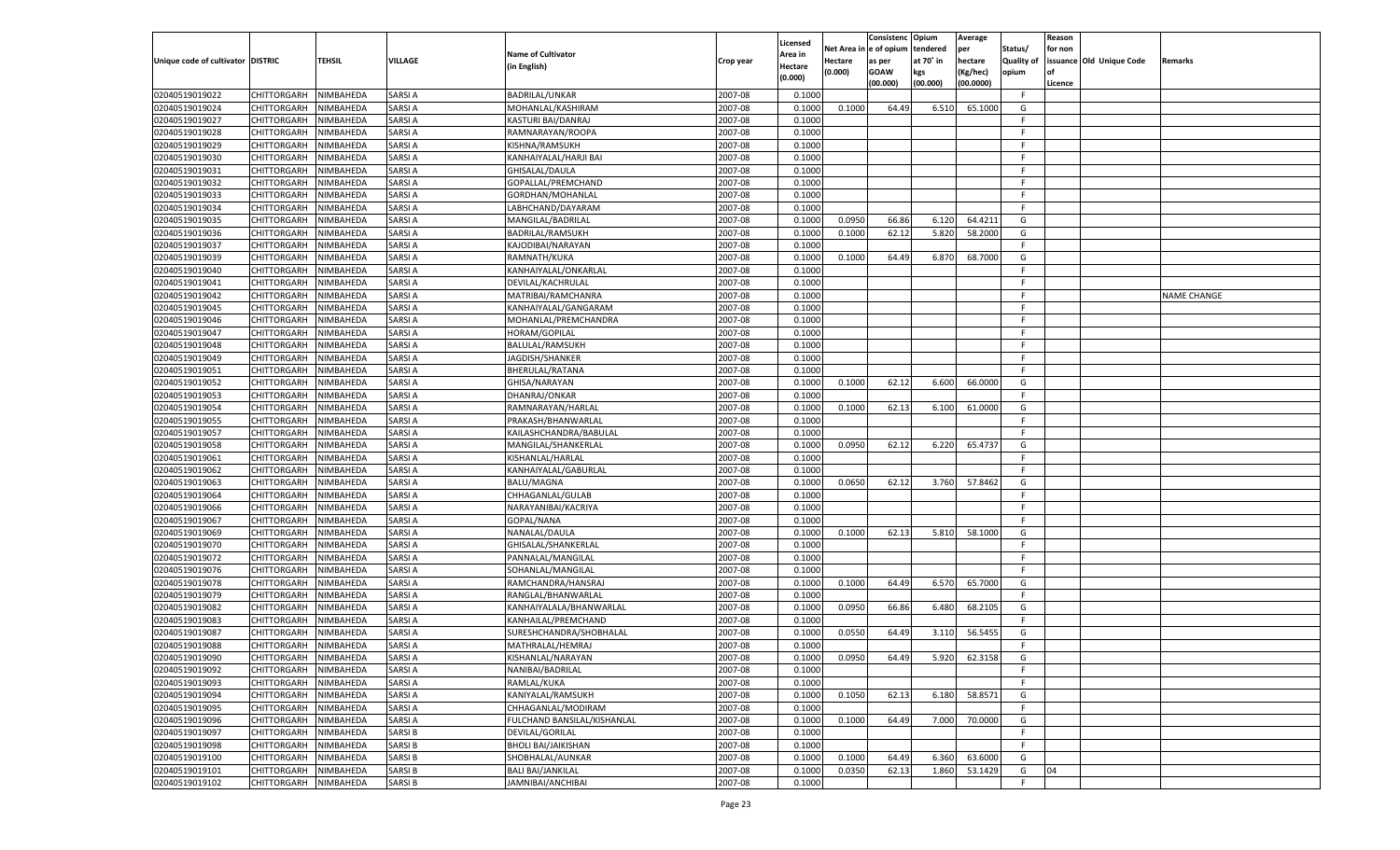|                                   |                       |               |               |                             |           |                    |          | Consistenc  | Opium     | Average   |                   | Reason  |                          |                    |
|-----------------------------------|-----------------------|---------------|---------------|-----------------------------|-----------|--------------------|----------|-------------|-----------|-----------|-------------------|---------|--------------------------|--------------------|
|                                   |                       |               |               | <b>Name of Cultivator</b>   |           | Licensed           | Net Area | e of opium  | tendered  | per       | Status/           | for non |                          |                    |
| Unique code of cultivator DISTRIC |                       | <b>TEHSIL</b> | VILLAGE       | (in English)                | Crop year | \rea in<br>Hectare | Hectare  | as per      | at 70° in | hectare   | <b>Quality of</b> |         | issuance Old Unique Code | Remarks            |
|                                   |                       |               |               |                             |           | (0.000)            | (0.000)  | <b>GOAW</b> | kgs       | (Kg/hec)  | opium             |         |                          |                    |
|                                   |                       |               |               |                             |           |                    |          | (00.000)    | (00.000)  | (00.0000) |                   | Licence |                          |                    |
| 02040519019022                    | CHITTORGARH           | NIMBAHEDA     | SARSI A       | BADRILAL/UNKAR              | 2007-08   | 0.1000             |          |             |           |           | F                 |         |                          |                    |
| 02040519019024                    | CHITTORGARH           | NIMBAHEDA     | SARSI A       | MOHANLAL/KASHIRAM           | 2007-08   | 0.1000             | 0.1000   | 64.49       | 6.510     | 65.1000   | G                 |         |                          |                    |
| 02040519019027                    | CHITTORGARH           | NIMBAHEDA     | SARSI A       | KASTURI BAI/DANRAJ          | 2007-08   | 0.1000             |          |             |           |           | F.                |         |                          |                    |
| 02040519019028                    | CHITTORGARH           | NIMBAHEDA     | SARSI A       | RAMNARAYAN/ROOPA            | 2007-08   | 0.1000             |          |             |           |           | F.                |         |                          |                    |
| 02040519019029                    | CHITTORGARH           | NIMBAHEDA     | SARSI A       | KISHNA/RAMSUKH              | 2007-08   | 0.1000             |          |             |           |           | F.                |         |                          |                    |
| 02040519019030                    | CHITTORGARH           | NIMBAHEDA     | SARSI A       | KANHAIYALAL/HARJI BAI       | 2007-08   | 0.1000             |          |             |           |           | F.                |         |                          |                    |
| 02040519019031                    | CHITTORGARH           | NIMBAHEDA     | SARSI A       | GHISALAL/DAULA              | 2007-08   | 0.1000             |          |             |           |           | F.                |         |                          |                    |
| 02040519019032                    | CHITTORGARH           | NIMBAHEDA     | SARSI A       | GOPALLAL/PREMCHAND          | 2007-08   | 0.1000             |          |             |           |           | F.                |         |                          |                    |
| 02040519019033                    | CHITTORGARH           | NIMBAHEDA     | SARSI A       | GORDHAN/MOHANLAL            | 2007-08   | 0.1000             |          |             |           |           | F.                |         |                          |                    |
| 02040519019034                    | CHITTORGARH           | NIMBAHEDA     | SARSI A       | LABHCHAND/DAYARAM           | 2007-08   | 0.1000             |          |             |           |           | F.                |         |                          |                    |
| 02040519019035                    | CHITTORGARH           | NIMBAHEDA     | SARSI A       | MANGILAL/BADRILAL           | 2007-08   | 0.1000             | 0.0950   | 66.86       | 6.120     | 64.4211   | G                 |         |                          |                    |
| 02040519019036                    | CHITTORGARH           | NIMBAHEDA     | SARSI A       | BADRILAL/RAMSUKH            | 2007-08   | 0.1000             | 0.1000   | 62.12       | 5.820     | 58.2000   | G                 |         |                          |                    |
| 02040519019037                    | CHITTORGARH           | NIMBAHEDA     | SARSI A       | KAJODIBAI/NARAYAN           | 2007-08   | 0.1000             |          |             |           |           | F.                |         |                          |                    |
| 02040519019039                    | CHITTORGARH           | NIMBAHEDA     | SARSI A       | RAMNATH/KUKA                | 2007-08   | 0.1000             | 0.1000   | 64.49       | 6.870     | 68.7000   | G                 |         |                          |                    |
| 02040519019040                    | CHITTORGARH           | NIMBAHEDA     | SARSI A       | KANHAIYALAL/ONKARLAL        | 2007-08   | 0.1000             |          |             |           |           | F.                |         |                          |                    |
| 02040519019041                    | CHITTORGARH           | NIMBAHEDA     | SARSI A       | DEVILAL/KACHRULAL           | 2007-08   | 0.1000             |          |             |           |           | F.                |         |                          |                    |
| 02040519019042                    | CHITTORGARH           | NIMBAHEDA     | SARSI A       | MATRIBAI/RAMCHANRA          | 2007-08   | 0.1000             |          |             |           |           | F.                |         |                          | <b>NAME CHANGE</b> |
| 02040519019045                    | CHITTORGARH           | NIMBAHEDA     | SARSI A       | KANHAIYALAL/GANGARAM        | 2007-08   | 0.1000             |          |             |           |           | F.                |         |                          |                    |
| 02040519019046                    | CHITTORGARH           | NIMBAHEDA     | SARSI A       | MOHANLAL/PREMCHANDRA        | 2007-08   | 0.1000             |          |             |           |           | F.                |         |                          |                    |
| 02040519019047                    | CHITTORGARH           | NIMBAHEDA     | SARSI A       | HORAM/GOPILAL               | 2007-08   | 0.1000             |          |             |           |           | F.                |         |                          |                    |
| 02040519019048                    | CHITTORGARH           | NIMBAHEDA     | SARSI A       | BALULAL/RAMSUKH             | 2007-08   | 0.1000             |          |             |           |           | F.                |         |                          |                    |
| 02040519019049                    | CHITTORGARH           | NIMBAHEDA     | SARSI A       | JAGDISH/SHANKER             | 2007-08   | 0.1000             |          |             |           |           | F.                |         |                          |                    |
| 02040519019051                    | CHITTORGARH           | NIMBAHEDA     | SARSI A       | BHERULAL/RATANA             | 2007-08   | 0.1000             |          |             |           |           | F.                |         |                          |                    |
| 02040519019052                    | CHITTORGARH           | NIMBAHEDA     | SARSI A       | GHISA/NARAYAN               | 2007-08   | 0.1000             | 0.1000   | 62.12       | 6.600     | 66.0000   | G                 |         |                          |                    |
| 02040519019053                    | CHITTORGARH           | NIMBAHEDA     | SARSI A       | DHANRAJ/ONKAR               | 2007-08   | 0.1000             |          |             |           |           | F.                |         |                          |                    |
| 02040519019054                    | CHITTORGARH           | NIMBAHEDA     | SARSI A       | RAMNARAYAN/HARLAL           | 2007-08   | 0.1000             | 0.1000   | 62.13       | 6.100     | 61.0000   | G                 |         |                          |                    |
| 02040519019055                    | CHITTORGARH           | NIMBAHEDA     | SARSI A       | PRAKASH/BHANWARLAL          | 2007-08   | 0.1000             |          |             |           |           | F.                |         |                          |                    |
| 02040519019057                    | CHITTORGARH           | NIMBAHEDA     | SARSI A       | KAILASHCHANDRA/BABULAL      | 2007-08   | 0.1000             |          |             |           |           | F.                |         |                          |                    |
| 02040519019058                    | CHITTORGARH           | NIMBAHEDA     | SARSI A       | MANGILAL/SHANKERLAL         | 2007-08   | 0.1000             | 0.0950   | 62.12       | 6.220     | 65.4737   | G                 |         |                          |                    |
| 02040519019061                    | CHITTORGARH           | NIMBAHEDA     | SARSI A       | KISHANLAL/HARLAL            | 2007-08   | 0.1000             |          |             |           |           | F.                |         |                          |                    |
| 02040519019062                    | CHITTORGARH           | NIMBAHEDA     | SARSI A       | KANHAIYALAL/GABURLAL        | 2007-08   | 0.1000             |          |             |           |           | F.                |         |                          |                    |
| 02040519019063                    | CHITTORGARH           | NIMBAHEDA     | SARSI A       | <b>BALU/MAGNA</b>           | 2007-08   | 0.1000             | 0.0650   | 62.12       | 3.760     | 57.8462   | G                 |         |                          |                    |
| 02040519019064                    | CHITTORGARH           | NIMBAHEDA     | SARSI A       | CHHAGANLAL/GULAB            | 2007-08   | 0.1000             |          |             |           |           | F.                |         |                          |                    |
| 02040519019066                    | CHITTORGARH           | NIMBAHEDA     | SARSI A       | NARAYANIBAI/KACRIYA         | 2007-08   | 0.1000             |          |             |           |           | F.                |         |                          |                    |
| 02040519019067                    | CHITTORGARH           | NIMBAHEDA     | SARSI A       | GOPAL/NANA                  | 2007-08   | 0.1000             |          |             |           |           | F.                |         |                          |                    |
| 02040519019069                    | CHITTORGARH           | NIMBAHEDA     | SARSI A       | NANALAL/DAULA               | 2007-08   | 0.1000             | 0.1000   | 62.13       | 5.810     | 58.1000   | G                 |         |                          |                    |
| 02040519019070                    | CHITTORGARH           | NIMBAHEDA     | SARSI A       | GHISALAL/SHANKERLAL         | 2007-08   | 0.1000             |          |             |           |           | F.                |         |                          |                    |
| 02040519019072                    | CHITTORGARH           | NIMBAHEDA     | SARSI A       | PANNALAL/MANGILAL           | 2007-08   | 0.1000             |          |             |           |           | F.                |         |                          |                    |
| 02040519019076                    | CHITTORGARH           | NIMBAHEDA     | SARSI A       | SOHANLAL/MANGILAL           | 2007-08   | 0.1000             |          |             |           |           | F.                |         |                          |                    |
| 02040519019078                    | CHITTORGARH           | NIMBAHEDA     | SARSI A       | RAMCHANDRA/HANSRAJ          | 2007-08   | 0.1000             | 0.1000   | 64.49       | 6.570     | 65.7000   | G                 |         |                          |                    |
| 02040519019079                    | CHITTORGARH           | NIMBAHEDA     | SARSI A       | RANGLAL/BHANWARLAL          | 2007-08   | 0.1000             |          |             |           |           | F.                |         |                          |                    |
| 02040519019082                    | CHITTORGARH           | NIMBAHEDA     | SARSI A       | KANHAIYALALA/BHANWARLAL     | 2007-08   | 0.1000             | 0.0950   | 66.86       | 6.480     | 68.2105   | G                 |         |                          |                    |
| 02040519019083                    | CHITTORGARH           | NIMBAHEDA     | SARSI A       | KANHAILAL/PREMCHAND         | 2007-08   | 0.1000             |          |             |           |           | F.                |         |                          |                    |
| 02040519019087                    | CHITTORGARH           | NIMBAHEDA     | SARSI A       | SURESHCHANDRA/SHOBHALAL     | 2007-08   | 0.1000             | 0.0550   | 64.49       | 3.110     | 56.545    | G                 |         |                          |                    |
| 02040519019088                    | CHITTORGARH           | NIMBAHEDA     | SARSI A       | MATHRALAL/HEMRAJ            | 2007-08   | 0.1000             |          |             |           |           | F.                |         |                          |                    |
| 02040519019090                    | CHITTORGARH NIMBAHEDA |               | <b>SARSIA</b> | KISHANLAL/NARAYAN           | 2007-08   | 0.1000             | 0.0950   | 64.49       | 5.920     | 62.3158   | G                 |         |                          |                    |
| 02040519019092                    | <b>CHITTORGARH</b>    | NIMBAHEDA     | <b>SARSIA</b> | NANIBAI/BADRILAL            | 2007-08   | 0.1000             |          |             |           |           | -F                |         |                          |                    |
| 02040519019093                    | CHITTORGARH           | NIMBAHEDA     | <b>SARSIA</b> | RAMLAL/KUKA                 | 2007-08   | 0.1000             |          |             |           |           | F.                |         |                          |                    |
| 02040519019094                    | <b>CHITTORGARH</b>    | NIMBAHEDA     | <b>SARSIA</b> | KANIYALAL/RAMSUKH           | 2007-08   | 0.1000             | 0.1050   | 62.13       | 6.180     | 58.8571   | G                 |         |                          |                    |
| 02040519019095                    | <b>CHITTORGARH</b>    | NIMBAHEDA     | <b>SARSIA</b> | CHHAGANLAL/MODIRAM          | 2007-08   | 0.1000             |          |             |           |           | F.                |         |                          |                    |
| 02040519019096                    | <b>CHITTORGARH</b>    | NIMBAHEDA     | <b>SARSIA</b> | FULCHAND BANSILAL/KISHANLAL | 2007-08   | 0.1000             | 0.1000   | 64.49       | 7.000     | 70.0000   | G                 |         |                          |                    |
| 02040519019097                    | <b>CHITTORGARH</b>    | NIMBAHEDA     | <b>SARSIB</b> | DEVILAL/GORILAL             | 2007-08   | 0.1000             |          |             |           |           | F.                |         |                          |                    |
|                                   |                       |               | <b>SARSIB</b> | <b>BHOLI BAI/JAIKISHAN</b>  | 2007-08   | 0.1000             |          |             |           |           | F.                |         |                          |                    |
| 02040519019098                    | <b>CHITTORGARH</b>    | NIMBAHEDA     | <b>SARSIB</b> |                             |           |                    | 0.1000   | 64.49       |           | 63.6000   |                   |         |                          |                    |
| 02040519019100                    | <b>CHITTORGARH</b>    | NIMBAHEDA     |               | SHOBHALAL/AUNKAR            | 2007-08   | 0.1000             |          |             | 6.360     |           | G                 |         |                          |                    |
| 02040519019101                    | <b>CHITTORGARH</b>    | NIMBAHEDA     | <b>SARSIB</b> | <b>BALI BAI/JANKILAL</b>    | 2007-08   | 0.1000             | 0.0350   | 62.13       | 1.860     | 53.1429   | G                 | 04      |                          |                    |
| 02040519019102                    | <b>CHITTORGARH</b>    | NIMBAHEDA     | <b>SARSIB</b> | JAMNIBAI/ANCHIBAI           | 2007-08   | 0.1000             |          |             |           |           | F.                |         |                          |                    |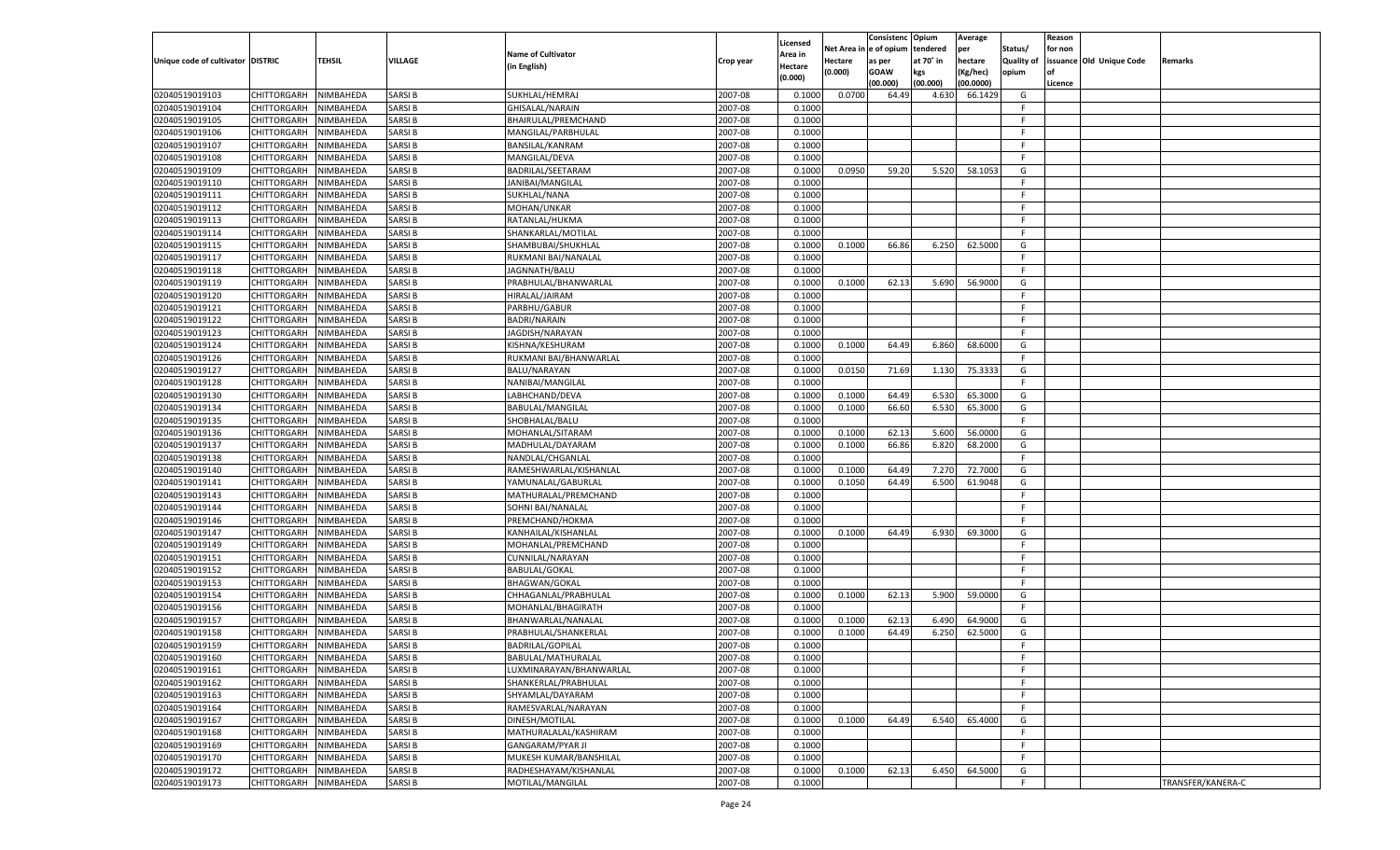|                                   |                       |               |               |                           |           |                           |          | Consistenc  | Opium     | Average   |                   | Reason  |                          |                   |
|-----------------------------------|-----------------------|---------------|---------------|---------------------------|-----------|---------------------------|----------|-------------|-----------|-----------|-------------------|---------|--------------------------|-------------------|
|                                   |                       |               |               | <b>Name of Cultivator</b> |           | Licensed                  | Net Area | e of opium  | tendered  | per       | Status/           | for non |                          |                   |
| Unique code of cultivator DISTRIC |                       | <b>TEHSIL</b> | VILLAGE       | (in English)              | Crop year | <b>Area in</b><br>Hectare | Hectare  | as per      | at 70° in | hectare   | <b>Quality of</b> |         | issuance Old Unique Code | Remarks           |
|                                   |                       |               |               |                           |           | (0.000)                   | (0.000)  | <b>GOAW</b> | kgs       | (Kg/hec)  | opium             |         |                          |                   |
|                                   |                       |               |               |                           |           |                           |          | (00.000)    | (00.000)  | (00.0000) |                   | Licence |                          |                   |
| 02040519019103                    | CHITTORGARH           | NIMBAHEDA     | SARSI B       | SUKHLAL/HEMRAJ            | 2007-08   | 0.1000                    | 0.0700   | 64.49       | 4.630     | 66.1429   | G                 |         |                          |                   |
| 02040519019104                    | CHITTORGARH           | NIMBAHEDA     | SARSI B       | GHISALAL/NARAIN           | 2007-08   | 0.1000                    |          |             |           |           | F.                |         |                          |                   |
| 02040519019105                    | CHITTORGARH           | NIMBAHEDA     | SARSI B       | BHAIRULAL/PREMCHAND       | 2007-08   | 0.1000                    |          |             |           |           | F.                |         |                          |                   |
| 02040519019106                    | CHITTORGARH           | NIMBAHEDA     | SARSI B       | MANGILAL/PARBHULAL        | 2007-08   | 0.1000                    |          |             |           |           | F.                |         |                          |                   |
| 02040519019107                    | CHITTORGARH           | NIMBAHEDA     | SARSI B       | <b>BANSILAL/KANRAM</b>    | 2007-08   | 0.1000                    |          |             |           |           | F.                |         |                          |                   |
| 02040519019108                    | CHITTORGARH           | NIMBAHEDA     | SARSI B       | MANGILAL/DEVA             | 2007-08   | 0.1000                    |          |             |           |           | F.                |         |                          |                   |
| 02040519019109                    | CHITTORGARH           | NIMBAHEDA     | SARSI B       | BADRILAL/SEETARAM         | 2007-08   | 0.1000                    | 0.0950   | 59.20       | 5.520     | 58.105    | G                 |         |                          |                   |
| 02040519019110                    | CHITTORGARH           | NIMBAHEDA     | SARSI B       | JANIBAI/MANGILAL          | 2007-08   | 0.1000                    |          |             |           |           | F.                |         |                          |                   |
| 02040519019111                    | CHITTORGARH           | NIMBAHEDA     | SARSI B       | SUKHLAL/NANA              | 2007-08   | 0.1000                    |          |             |           |           | F.                |         |                          |                   |
| 02040519019112                    | CHITTORGARH           | NIMBAHEDA     | SARSI B       | MOHAN/UNKAR               | 2007-08   | 0.1000                    |          |             |           |           | F.                |         |                          |                   |
| 02040519019113                    | CHITTORGARH           | NIMBAHEDA     | SARSI B       | RATANLAL/HUKMA            | 2007-08   | 0.1000                    |          |             |           |           | F.                |         |                          |                   |
| 02040519019114                    | CHITTORGARH           | NIMBAHEDA     | SARSI B       | SHANKARLAL/MOTILAL        | 2007-08   | 0.1000                    |          |             |           |           | F.                |         |                          |                   |
| 02040519019115                    | CHITTORGARH           | NIMBAHEDA     | SARSI B       | SHAMBUBAI/SHUKHLAL        | 2007-08   | 0.1000                    | 0.1000   | 66.86       | 6.250     | 62.5000   | G                 |         |                          |                   |
| 02040519019117                    | CHITTORGARH           | NIMBAHEDA     | SARSI B       | RUKMANI BAI/NANALAL       | 2007-08   | 0.1000                    |          |             |           |           | F.                |         |                          |                   |
| 02040519019118                    | CHITTORGARH           | NIMBAHEDA     | SARSI B       | JAGNNATH/BALU             | 2007-08   | 0.1000                    |          |             |           |           | F.                |         |                          |                   |
| 02040519019119                    | CHITTORGARH           | NIMBAHEDA     | SARSI B       | PRABHULAL/BHANWARLAL      | 2007-08   | 0.1000                    | 0.1000   | 62.13       | 5.690     | 56.9000   | G                 |         |                          |                   |
| 02040519019120                    | CHITTORGARH           | NIMBAHEDA     | SARSI B       | HIRALAL/JAIRAM            | 2007-08   | 0.1000                    |          |             |           |           | F                 |         |                          |                   |
| 02040519019121                    | CHITTORGARH           | NIMBAHEDA     | SARSI B       | PARBHU/GABUR              | 2007-08   | 0.1000                    |          |             |           |           | F.                |         |                          |                   |
| 02040519019122                    | CHITTORGARH           | NIMBAHEDA     | SARSI B       | <b>BADRI/NARAIN</b>       | 2007-08   | 0.1000                    |          |             |           |           | F.                |         |                          |                   |
| 02040519019123                    | CHITTORGARH           | NIMBAHEDA     | SARSI B       | JAGDISH/NARAYAN           | 2007-08   | 0.1000                    |          |             |           |           | F.                |         |                          |                   |
| 02040519019124                    | CHITTORGARH           | NIMBAHEDA     | SARSI B       | KISHNA/KESHURAM           | 2007-08   | 0.1000                    | 0.1000   | 64.49       | 6.860     | 68.6000   | G                 |         |                          |                   |
| 02040519019126                    | CHITTORGARH           | NIMBAHEDA     | SARSI B       | RUKMANI BAI/BHANWARLAI    | 2007-08   | 0.1000                    |          |             |           |           | F.                |         |                          |                   |
| 02040519019127                    | CHITTORGARH           | NIMBAHEDA     | SARSI B       | BALU/NARAYAN              | 2007-08   | 0.1000                    | 0.0150   | 71.69       | 1.130     | 75.3333   | G                 |         |                          |                   |
| 02040519019128                    | CHITTORGARH           | NIMBAHEDA     | SARSI B       | NANIBAI/MANGILAL          | 2007-08   | 0.1000                    |          |             |           |           | F.                |         |                          |                   |
| 02040519019130                    | CHITTORGARH           | NIMBAHEDA     | SARSI B       | LABHCHAND/DEVA            | 2007-08   | 0.1000                    | 0.1000   | 64.49       | 6.530     | 65.3000   | G                 |         |                          |                   |
| 02040519019134                    | CHITTORGARH           | NIMBAHEDA     | SARSI B       | <b>BABULAL/MANGILAL</b>   | 2007-08   | 0.1000                    | 0.1000   | 66.60       | 6.530     | 65.3000   | G                 |         |                          |                   |
| 02040519019135                    | CHITTORGARH           | NIMBAHEDA     | SARSI B       | SHOBHALAL/BALU            | 2007-08   | 0.1000                    |          |             |           |           | F                 |         |                          |                   |
| 02040519019136                    | CHITTORGARH           | NIMBAHEDA     | SARSI B       | MOHANLAL/SITARAM          | 2007-08   | 0.1000                    | 0.1000   | 62.13       | 5.600     | 56.0000   | G                 |         |                          |                   |
| 02040519019137                    | CHITTORGARH           | NIMBAHEDA     | SARSI B       | MADHULAL/DAYARAM          | 2007-08   | 0.1000                    | 0.1000   | 66.86       | 6.820     | 68.2000   | G                 |         |                          |                   |
| 02040519019138                    | CHITTORGARH           | NIMBAHEDA     | SARSI B       | NANDLAL/CHGANLAL          | 2007-08   | 0.1000                    |          |             |           |           | F.                |         |                          |                   |
| 02040519019140                    |                       | NIMBAHEDA     | SARSI B       |                           | 2007-08   | 0.1000                    | 0.1000   | 64.49       | 7.270     | 72.7000   | G                 |         |                          |                   |
|                                   | CHITTORGARH           |               | SARSI B       | RAMESHWARLAL/KISHANLAL    |           |                           |          | 64.49       | 6.500     | 61.9048   |                   |         |                          |                   |
| 02040519019141                    | CHITTORGARH           | NIMBAHEDA     |               | YAMUNALAL/GABURLAL        | 2007-08   | 0.1000                    | 0.1050   |             |           |           | G                 |         |                          |                   |
| 02040519019143                    | CHITTORGARH           | NIMBAHEDA     | SARSI B       | MATHURALAL/PREMCHAND      | 2007-08   | 0.1000                    |          |             |           |           | F.                |         |                          |                   |
| 02040519019144                    | CHITTORGARH           | NIMBAHEDA     | SARSI B       | SOHNI BAI/NANALAL         | 2007-08   | 0.1000                    |          |             |           |           | F.                |         |                          |                   |
| 02040519019146                    | <b>CHITTORGARH</b>    | NIMBAHEDA     | SARSI B       | PREMCHAND/HOKMA           | 2007-08   | 0.1000                    |          |             |           |           | F.                |         |                          |                   |
| 02040519019147                    | CHITTORGARH           | NIMBAHEDA     | SARSI B       | KANHAILAL/KISHANLAL       | 2007-08   | 0.1000                    | 0.1000   | 64.49       | 6.930     | 69.3000   | G                 |         |                          |                   |
| 02040519019149                    | <b>CHITTORGARH</b>    | NIMBAHEDA     | SARSI B       | MOHANLAL/PREMCHAND        | 2007-08   | 0.1000                    |          |             |           |           | F.                |         |                          |                   |
| 02040519019151                    | CHITTORGARH           | NIMBAHEDA     | SARSI B       | CUNNILAL/NARAYAN          | 2007-08   | 0.1000                    |          |             |           |           | F.                |         |                          |                   |
| 02040519019152                    | CHITTORGARH           | NIMBAHEDA     | SARSI B       | <b>BABULAL/GOKAL</b>      | 2007-08   | 0.1000                    |          |             |           |           | F.                |         |                          |                   |
| 02040519019153                    | CHITTORGARH           | NIMBAHEDA     | SARSI B       | <b>BHAGWAN/GOKAL</b>      | 2007-08   | 0.1000                    |          |             |           |           | F.                |         |                          |                   |
| 02040519019154                    | CHITTORGARH           | NIMBAHEDA     | SARSI B       | CHHAGANLAL/PRABHULAL      | 2007-08   | 0.1000                    | 0.1000   | 62.13       | 5.900     | 59.0000   | G                 |         |                          |                   |
| 02040519019156                    | CHITTORGARH           | NIMBAHEDA     | SARSI B       | MOHANLAL/BHAGIRATH        | 2007-08   | 0.1000                    |          |             |           |           | F.                |         |                          |                   |
| 02040519019157                    | CHITTORGARH           | NIMBAHEDA     | SARSI B       | BHANWARLAL/NANALAL        | 2007-08   | 0.1000                    | 0.1000   | 62.13       | 6.490     | 64.9000   | G                 |         |                          |                   |
| 02040519019158                    | CHITTORGARH           | NIMBAHEDA     | SARSI B       | PRABHULAL/SHANKERLAL      | 2007-08   | 0.1000                    | 0.1000   | 64.49       | 6.250     | 62.5000   | G                 |         |                          |                   |
| 02040519019159                    | CHITTORGARH           | NIMBAHEDA     | SARSI B       | <b>BADRILAL/GOPILAL</b>   | 2007-08   | 0.1000                    |          |             |           |           | F.                |         |                          |                   |
| 02040519019160                    | CHITTORGARH NIMBAHEDA |               | <b>SARSIB</b> | BABULAL/MATHURALAL        | 2007-08   | 0.1000                    |          |             |           |           | F.                |         |                          |                   |
| 02040519019161                    | <b>CHITTORGARH</b>    | NIMBAHEDA     | <b>SARSIB</b> | LUXMINARAYAN/BHANWARLAL   | 2007-08   | 0.1000                    |          |             |           |           | F.                |         |                          |                   |
| 02040519019162                    | CHITTORGARH           | NIMBAHEDA     | <b>SARSIB</b> | SHANKERLAL/PRABHULAL      | 2007-08   | 0.1000                    |          |             |           |           | F.                |         |                          |                   |
| 02040519019163                    | <b>CHITTORGARH</b>    | NIMBAHEDA     | <b>SARSIB</b> | SHYAMLAL/DAYARAM          | 2007-08   | 0.1000                    |          |             |           |           | F.                |         |                          |                   |
| 02040519019164                    | <b>CHITTORGARH</b>    | NIMBAHEDA     | SARSI B       | RAMESVARLAL/NARAYAN       | 2007-08   | 0.1000                    |          |             |           |           | F.                |         |                          |                   |
| 02040519019167                    | <b>CHITTORGARH</b>    | NIMBAHEDA     | <b>SARSIB</b> | DINESH/MOTILAL            | 2007-08   | 0.1000                    | 0.1000   | 64.49       | 6.540     | 65.4000   | G                 |         |                          |                   |
| 02040519019168                    | <b>CHITTORGARH</b>    | NIMBAHEDA     | <b>SARSIB</b> | MATHURALALAL/KASHIRAM     | 2007-08   | 0.1000                    |          |             |           |           | F.                |         |                          |                   |
| 02040519019169                    | <b>CHITTORGARH</b>    | NIMBAHEDA     | <b>SARSIB</b> | <b>GANGARAM/PYAR JI</b>   | 2007-08   | 0.1000                    |          |             |           |           | F.                |         |                          |                   |
| 02040519019170                    | <b>CHITTORGARH</b>    | NIMBAHEDA     | SARSI B       | MUKESH KUMAR/BANSHILAL    | 2007-08   | 0.1000                    |          |             |           |           | F.                |         |                          |                   |
| 02040519019172                    | <b>CHITTORGARH</b>    | NIMBAHEDA     | <b>SARSIB</b> | RADHESHAYAM/KISHANLAL     | 2007-08   | 0.1000                    | 0.1000   | 62.13       | 6.450     | 64.5000   | G                 |         |                          |                   |
| 02040519019173                    | <b>CHITTORGARH</b>    | NIMBAHEDA     | <b>SARSIB</b> | MOTILAL/MANGILAL          | 2007-08   | 0.1000                    |          |             |           |           | F.                |         |                          | TRANSFER/KANERA-C |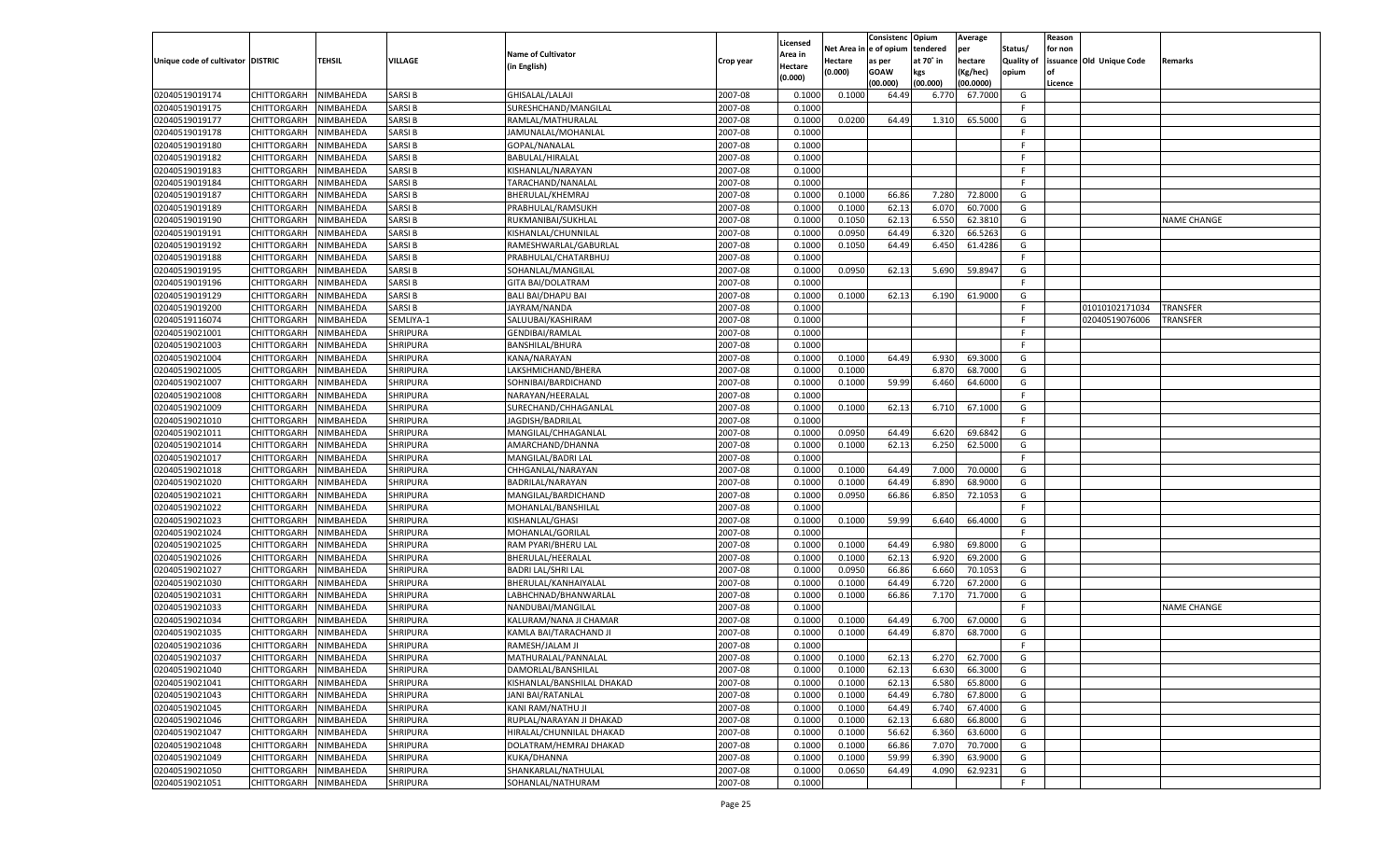|                                   |                       |                        |                 |                            |           |                     |            | Consistenc    | Opium          | Average   |                   | Reason  |                          |                    |
|-----------------------------------|-----------------------|------------------------|-----------------|----------------------------|-----------|---------------------|------------|---------------|----------------|-----------|-------------------|---------|--------------------------|--------------------|
|                                   |                       |                        |                 | <b>Name of Cultivator</b>  |           | Licensed<br>Area in | Net Area i | n  e of opium | tendered       | per       | Status/           | for non |                          |                    |
| Unique code of cultivator DISTRIC |                       | TEHSIL                 | <b>VILLAGE</b>  | (in English)               | Crop year | Hectare             | Hectare    | as per        | at 70° in      | hectare   | <b>Quality of</b> |         | issuance Old Unique Code | Remarks            |
|                                   |                       |                        |                 |                            |           | (0.000)             | (0.000)    | <b>GOAW</b>   | kgs            | (Kg/hec)  | opium             |         |                          |                    |
|                                   |                       |                        |                 |                            |           |                     |            | (00.000)      | (00.000)       | (00.0000) |                   | Licence |                          |                    |
| 02040519019174                    | CHITTORGARH           | NIMBAHEDA              | <b>SARSIB</b>   | GHISALAL/LALAJI            | 2007-08   | 0.100               | 0.1000     | 64.49         | 6.770          | 67.7000   | G                 |         |                          |                    |
| 02040519019175                    | CHITTORGARH           | NIMBAHEDA              | <b>SARSIB</b>   | SURESHCHAND/MANGILAL       | 2007-08   | 0.100               |            |               |                |           | E                 |         |                          |                    |
| 02040519019177                    | CHITTORGARH           | NIMBAHEDA              | <b>SARSIB</b>   | RAMLAL/MATHURALAL          | 2007-08   | 0.1000              | 0.0200     | 64.49         | 1.310          | 65.5000   | G                 |         |                          |                    |
| 02040519019178                    | CHITTORGARH           | NIMBAHEDA              | <b>SARSIB</b>   | JAMUNALAL/MOHANLAL         | 2007-08   | 0.1000              |            |               |                |           | E                 |         |                          |                    |
| 02040519019180                    | CHITTORGARH           | NIMBAHEDA              | <b>SARSIB</b>   | GOPAL/NANALAL              | 2007-08   | 0.1000              |            |               |                |           | F.                |         |                          |                    |
| 02040519019182                    | CHITTORGARH           | NIMBAHEDA              | SARSI B         | BABULAL/HIRALAL            | 2007-08   | 0.1000              |            |               |                |           | -F                |         |                          |                    |
| 02040519019183                    | CHITTORGARH           | NIMBAHEDA              | <b>SARSIB</b>   | KISHANLAL/NARAYAN          | 2007-08   | 0.1000              |            |               |                |           | E                 |         |                          |                    |
| 02040519019184                    | CHITTORGARH           | NIMBAHEDA              | <b>SARSIB</b>   | TARACHAND/NANALAL          | 2007-08   | 0.1000              |            |               |                |           | E                 |         |                          |                    |
| 02040519019187                    | CHITTORGARH           | NIMBAHEDA              | <b>SARSIB</b>   | BHERULAL/KHEMRAJ           | 2007-08   | 0.1000              | 0.1000     | 66.86         | 7.280          | 72.8000   | G                 |         |                          |                    |
| 02040519019189                    | CHITTORGARH           | NIMBAHEDA              | SARSI B         | PRABHULAL/RAMSUKH          | 2007-08   | 0.1000              | 0.1000     | 62.13         | 6.070          | 60.7000   | G                 |         |                          |                    |
| 02040519019190                    | CHITTORGARH           | NIMBAHEDA              | <b>SARSIB</b>   | RUKMANIBAI/SUKHLAL         | 2007-08   | 0.1000              | 0.1050     | 62.13         | 6.550          | 62.3810   | G                 |         |                          | NAME CHANGE        |
| 02040519019191                    | CHITTORGARH           | NIMBAHEDA              | <b>SARSIB</b>   | KISHANLAL/CHUNNILAL        | 2007-08   | 0.1000              | 0.0950     | 64.49         | 6.320          | 66.5263   | G                 |         |                          |                    |
| 02040519019192                    | CHITTORGARH           | NIMBAHEDA              | <b>SARSIB</b>   | RAMESHWARLAL/GABURLAI      | 2007-08   | 0.1000              | 0.1050     | 64.49         | 6.450          | 61.4286   | G                 |         |                          |                    |
| 02040519019188                    | CHITTORGARH           | NIMBAHEDA              | <b>SARSIB</b>   | PRABHULAL/CHATARBHUJ       | 2007-08   | 0.1000              |            |               |                |           | F.                |         |                          |                    |
| 02040519019195                    | CHITTORGARH           | NIMBAHEDA              | <b>SARSIB</b>   | SOHANLAL/MANGILAI          | 2007-08   | 0.1000              | 0.0950     | 62.13         | 5.690          | 59.8947   | G                 |         |                          |                    |
| 02040519019196                    | CHITTORGARH           | NIMBAHEDA              | <b>SARSIB</b>   | <b>GITA BAI/DOLATRAM</b>   | 2007-08   | 0.1000              |            |               |                |           | F.                |         |                          |                    |
| 02040519019129                    | CHITTORGARH           | NIMBAHEDA              | <b>SARSIB</b>   | <b>BALI BAI/DHAPU BAI</b>  | 2007-08   | 0.1000              | 0.1000     | 62.13         | 6.190          | 61.9000   | G                 |         |                          |                    |
| 02040519019200                    | CHITTORGARH           | NIMBAHEDA              | <b>SARSIB</b>   | JAYRAM/NANDA               | 2007-08   | 0.1000              |            |               |                |           | F.                |         | 01010102171034           | TRANSFER           |
| 02040519116074                    | CHITTORGARH           | NIMBAHEDA              | SEMLIYA-1       | SALUUBAI/KASHIRAM          | 2007-08   | 0.1000              |            |               |                |           | E                 |         | 02040519076006           | TRANSFER           |
| 02040519021001                    | CHITTORGARH           | NIMBAHEDA              | <b>SHRIPURA</b> | <b>GENDIBAI/RAMLAL</b>     | 2007-08   | 0.1000              |            |               |                |           | E                 |         |                          |                    |
| 02040519021003                    | CHITTORGARH           | NIMBAHEDA              | <b>SHRIPURA</b> | <b>BANSHILAL/BHURA</b>     | 2007-08   | 0.1000              |            |               |                |           | F.                |         |                          |                    |
| 02040519021004                    | CHITTORGARH           | NIMBAHEDA              | SHRIPURA        | KANA/NARAYAN               | 2007-08   | 0.1000              | 0.1000     | 64.49         | 6.930          | 69.3000   | G                 |         |                          |                    |
| 02040519021005                    | CHITTORGARH           | NIMBAHEDA              | <b>SHRIPURA</b> | LAKSHMICHAND/BHERA         | 2007-08   | 0.1000              | 0.1000     |               | 6.870          | 68.7000   | G                 |         |                          |                    |
| 02040519021007                    | CHITTORGARH           | NIMBAHEDA              | SHRIPURA        | SOHNIBAI/BARDICHAND        | 2007-08   | 0.1000              | 0.1000     | 59.99         | 6.460          | 64.6000   | G                 |         |                          |                    |
| 02040519021008                    | CHITTORGARH           | NIMBAHEDA              | <b>SHRIPURA</b> | NARAYAN/HEERALAL           | 2007-08   | 0.1000              |            |               |                |           | F.                |         |                          |                    |
| 02040519021009                    | CHITTORGARH           | NIMBAHEDA              | SHRIPURA        | SURECHAND/CHHAGANLAL       | 2007-08   | 0.1000              | 0.1000     | 62.13         | 6.710          | 67.1000   | G                 |         |                          |                    |
| 02040519021010                    | CHITTORGARH           | NIMBAHEDA              | <b>SHRIPURA</b> | JAGDISH/BADRILAL           | 2007-08   | 0.1000              |            |               |                |           | F.                |         |                          |                    |
| 02040519021011                    | CHITTORGARH           | NIMBAHEDA              | SHRIPURA        | MANGILAL/CHHAGANLAI        | 2007-08   | 0.1000              | 0.0950     | 64.49         | 6.620          | 69.6842   | G                 |         |                          |                    |
| 02040519021014                    | CHITTORGARH           | NIMBAHEDA              | <b>SHRIPURA</b> | AMARCHAND/DHANNA           | 2007-08   | 0.1000              | 0.1000     | 62.13         | 6.250          | 62.5000   | G                 |         |                          |                    |
| 02040519021017                    | CHITTORGARH           | NIMBAHEDA              | <b>SHRIPURA</b> | MANGILAL/BADRI LAL         | 2007-08   | 0.1000              |            |               |                |           | F.                |         |                          |                    |
| 02040519021018                    | CHITTORGARH           | NIMBAHEDA              | <b>SHRIPURA</b> | CHHGANLAL/NARAYAN          | 2007-08   | 0.1000              | 0.1000     | 64.49         | 7.000          | 70.0000   | G                 |         |                          |                    |
| 02040519021020                    | CHITTORGARH           | NIMBAHEDA              | <b>SHRIPURA</b> | BADRILAL/NARAYAN           | 2007-08   | 0.1000              | 0.1000     | 64.49         | 6.890          | 68.9000   | G                 |         |                          |                    |
| 02040519021021                    | CHITTORGARH           | NIMBAHEDA              | <b>SHRIPURA</b> | MANGILAL/BARDICHAND        | 2007-08   | 0.1000              | 0.0950     | 66.86         | 6.850          | 72.1053   | G                 |         |                          |                    |
| 02040519021022                    | CHITTORGARH           | NIMBAHEDA              | <b>SHRIPURA</b> | MOHANLAL/BANSHILAL         | 2007-08   | 0.1000              |            |               |                |           | F                 |         |                          |                    |
| 02040519021023                    | CHITTORGARH           | NIMBAHEDA              | <b>SHRIPURA</b> | KISHANLAL/GHASI            | 2007-08   | 0.1000              | 0.1000     | 59.99         | 6.640          | 66.4000   | G                 |         |                          |                    |
| 02040519021024                    | CHITTORGARH           | NIMBAHEDA              | <b>SHRIPURA</b> | MOHANLAL/GORILAL           | 2007-08   | 0.1000              |            |               |                |           | F                 |         |                          |                    |
| 02040519021025                    | CHITTORGARH           | NIMBAHEDA              | <b>SHRIPURA</b> | RAM PYARI/BHERU LAL        | 2007-08   | 0.1000              | 0.1000     | 64.49         | 6.980          | 69.8000   | G                 |         |                          |                    |
| 02040519021026                    | CHITTORGARH           | NIMBAHEDA              | <b>SHRIPURA</b> | BHERULAL/HEERALAL          | 2007-08   | 0.1000              | 0.1000     | 62.13         | 6.920          | 69.2000   | G                 |         |                          |                    |
| 02040519021027                    | CHITTORGARH           | NIMBAHEDA              | <b>SHRIPURA</b> | <b>BADRI LAL/SHRI LAL</b>  | 2007-08   | 0.1000              | 0.0950     | 66.86         | 6.660          | 70.105    | G                 |         |                          |                    |
| 02040519021030                    | CHITTORGARH           | NIMBAHEDA              | <b>SHRIPURA</b> | BHERULAL/KANHAIYALAL       | 2007-08   | 0.1000              | 0.1000     | 64.49         | 6.720          | 67.2000   | G                 |         |                          |                    |
| 02040519021031                    | CHITTORGARH           | NIMBAHEDA              | <b>SHRIPURA</b> | LABHCHNAD/BHANWARLAL       | 2007-08   | 0.1000              | 0.1000     | 66.86         | 7.170          | 71.7000   | G                 |         |                          |                    |
| 02040519021033                    | CHITTORGARH           | NIMBAHEDA              | <b>SHRIPURA</b> | NANDUBAI/MANGILAL          | 2007-08   | 0.1000              |            |               |                |           | F                 |         |                          | <b>NAME CHANGE</b> |
| 02040519021034                    | CHITTORGARH           | NIMBAHEDA              | <b>SHRIPURA</b> | KALURAM/NANA JI CHAMAR     | 2007-08   | 0.1000              | 0.1000     | 64.49         | 6.700          | 67.0000   | G                 |         |                          |                    |
| 02040519021035                    | CHITTORGARH           | NIMBAHEDA              | <b>SHRIPURA</b> | KAMLA BAI/TARACHAND JI     | 2007-08   | 0.1000              | 0.1000     | 64.49         | 6.870          | 68.7000   | G                 |         |                          |                    |
| 02040519021036                    | CHITTORGARH           | NIMBAHEDA              | <b>SHRIPURA</b> | RAMESH/JALAM JI            | 2007-08   | 0.1000              |            |               |                |           | F.                |         |                          |                    |
| 02040519021037                    | CHITTORGARH NIMBAHEDA |                        | <b>SHRIPURA</b> | MATHURALAL/PANNALAL        | 2007-08   | 0.1000              | 0.1000     | 62.13         | 6.270          | 62.7000   | G                 |         |                          |                    |
| 02040519021040                    | <b>CHITTORGARH</b>    | NIMBAHEDA              | <b>SHRIPURA</b> | DAMORLAL/BANSHILAL         | 2007-08   | 0.1000              | 0.1000     | 62.13         | 6.630          | 66.3000   | G                 |         |                          |                    |
| 02040519021041                    | CHITTORGARH           | NIMBAHEDA              | <b>SHRIPURA</b> | KISHANLAL/BANSHILAL DHAKAD | 2007-08   | 0.1000              | 0.1000     | 62.13         | 6.580          | 65.8000   | G                 |         |                          |                    |
| 02040519021043                    | CHITTORGARH           | NIMBAHEDA              | <b>SHRIPURA</b> | JANI BAI/RATANLAL          | 2007-08   |                     | 0.1000     | 64.49         |                | 67.8000   | G                 |         |                          |                    |
| 02040519021045                    | <b>CHITTORGARH</b>    | NIMBAHEDA              | <b>SHRIPURA</b> | KANI RAM/NATHU JI          | 2007-08   | 0.1000<br>0.1000    | 0.1000     | 64.49         | 6.780<br>6.740 | 67.4000   | G                 |         |                          |                    |
| 02040519021046                    | CHITTORGARH           | NIMBAHEDA              | <b>SHRIPURA</b> | RUPLAL/NARAYAN JI DHAKAD   | 2007-08   | 0.1000              | 0.1000     | 62.13         | 6.680          | 66.8000   | G                 |         |                          |                    |
| 02040519021047                    | <b>CHITTORGARH</b>    |                        | <b>SHRIPURA</b> | HIRALAL/CHUNNILAL DHAKAD   | 2007-08   |                     | 0.1000     | 56.62         | 6.360          | 63.6000   | G                 |         |                          |                    |
|                                   |                       | NIMBAHEDA<br>NIMBAHEDA | <b>SHRIPURA</b> |                            | 2007-08   | 0.1000              | 0.1000     |               |                | 70.7000   |                   |         |                          |                    |
| 02040519021048                    | CHITTORGARH           |                        |                 | DOLATRAM/HEMRAJ DHAKAD     |           | 0.1000              |            | 66.86         | 7.070          |           | G                 |         |                          |                    |
| 02040519021049                    | CHITTORGARH           | NIMBAHEDA              | <b>SHRIPURA</b> | KUKA/DHANNA                | 2007-08   | 0.1000              | 0.1000     | 59.99         | 6.390          | 63.9000   | G                 |         |                          |                    |
| 02040519021050                    | <b>CHITTORGARH</b>    | NIMBAHEDA              | <b>SHRIPURA</b> | SHANKARLAL/NATHULAL        | 2007-08   | 0.1000              | 0.0650     | 64.49         | 4.090          | 62.9231   | G                 |         |                          |                    |
| 02040519021051                    | <b>CHITTORGARH</b>    | NIMBAHEDA              | <b>SHRIPURA</b> | SOHANLAL/NATHURAM          | 2007-08   | 0.1000              |            |               |                |           | F.                |         |                          |                    |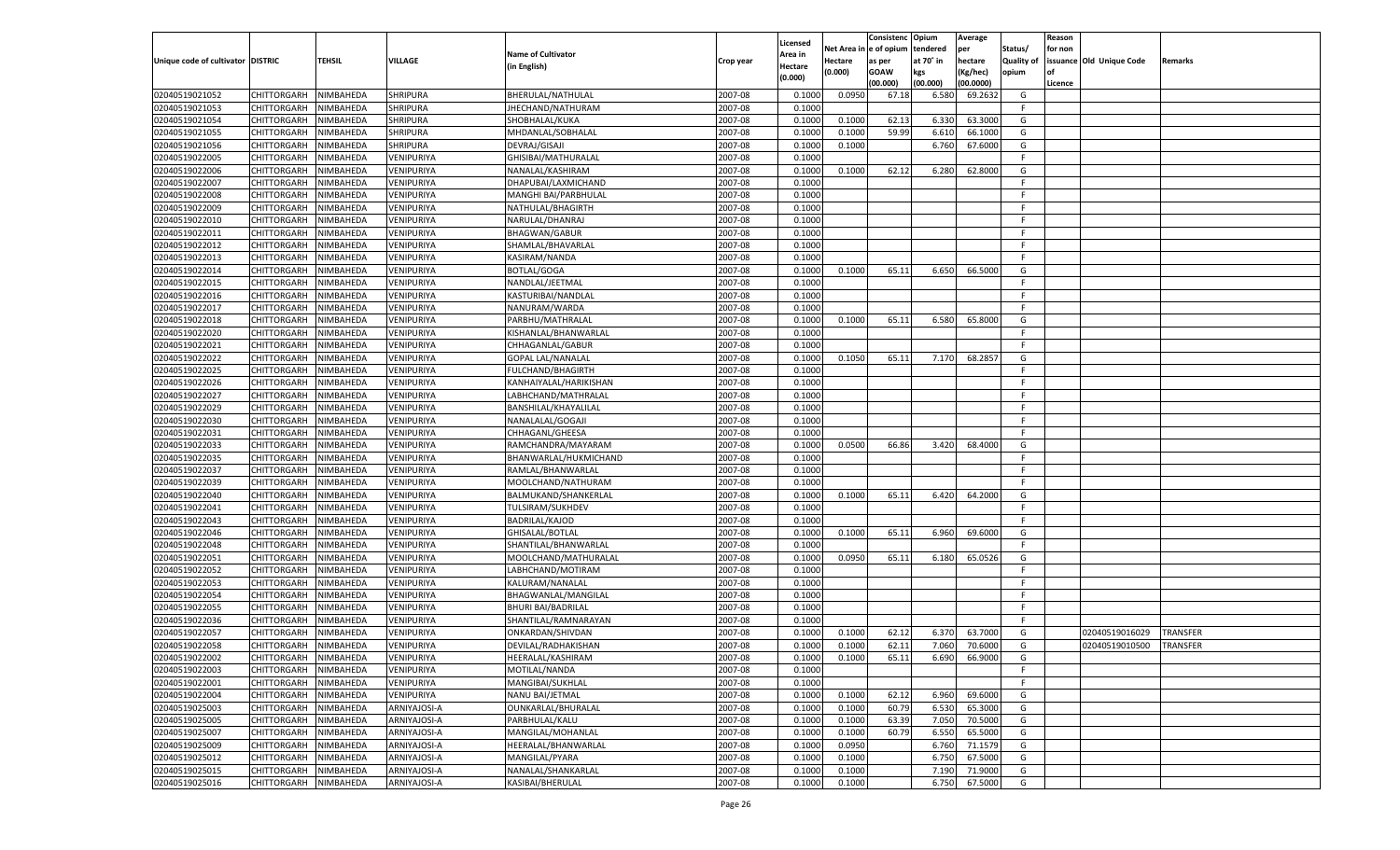|                                   |                                      |               |                 |                           |           |                           |          | Consistenc  | Opium     | Average   |                   | Reason  |                          |                 |
|-----------------------------------|--------------------------------------|---------------|-----------------|---------------------------|-----------|---------------------------|----------|-------------|-----------|-----------|-------------------|---------|--------------------------|-----------------|
|                                   |                                      |               |                 | <b>Name of Cultivator</b> |           | Licensed                  | Net Area | e of opium  | tendered  | per       | Status/           | for non |                          |                 |
| Unique code of cultivator DISTRIC |                                      | <b>TEHSIL</b> | VILLAGE         | (in English)              | Crop year | <b>Area in</b><br>Hectare | Hectare  | as per      | at 70° in | hectare   | <b>Quality of</b> |         | issuance Old Unique Code | Remarks         |
|                                   |                                      |               |                 |                           |           | (0.000)                   | (0.000)  | <b>GOAW</b> | kgs       | (Kg/hec)  | opium             |         |                          |                 |
|                                   |                                      |               |                 |                           |           |                           |          | (00.000)    | (00.000)  | (00.0000) |                   | Licence |                          |                 |
| 02040519021052                    | CHITTORGARH                          | NIMBAHEDA     | <b>SHRIPURA</b> | BHERULAL/NATHULAL         | 2007-08   | 0.1000                    | 0.0950   | 67.18       | 6.580     | 69.2632   | G                 |         |                          |                 |
| 02040519021053                    | CHITTORGARH                          | NIMBAHEDA     | SHRIPURA        | JHECHAND/NATHURAM         | 2007-08   | 0.1000                    |          |             |           |           | F.                |         |                          |                 |
| 02040519021054                    | CHITTORGARH                          | NIMBAHEDA     | <b>SHRIPURA</b> | SHOBHALAL/KUKA            | 2007-08   | 0.1000                    | 0.1000   | 62.13       | 6.330     | 63.3000   | G                 |         |                          |                 |
| 02040519021055                    | CHITTORGARH                          | NIMBAHEDA     | SHRIPURA        | MHDANLAL/SOBHALAL         | 2007-08   | 0.1000                    | 0.1000   | 59.99       | 6.610     | 66.1000   | G                 |         |                          |                 |
| 02040519021056                    | CHITTORGARH                          | NIMBAHEDA     | SHRIPURA        | DEVRAJ/GISAJI             | 2007-08   | 0.1000                    | 0.1000   |             | 6.760     | 67.6000   | G                 |         |                          |                 |
| 02040519022005                    | CHITTORGARH                          | NIMBAHEDA     | VENIPURIYA      | GHISIBAI/MATHURALAL       | 2007-08   | 0.1000                    |          |             |           |           | F.                |         |                          |                 |
| 02040519022006                    | CHITTORGARH                          | NIMBAHEDA     | VENIPURIYA      | NANALAL/KASHIRAM          | 2007-08   | 0.1000                    | 0.1000   | 62.12       | 6.280     | 62.8000   | G                 |         |                          |                 |
| 02040519022007                    | CHITTORGARH                          | NIMBAHEDA     | VENIPURIYA      | DHAPUBAI/LAXMICHAND       | 2007-08   | 0.1000                    |          |             |           |           | F.                |         |                          |                 |
| 02040519022008                    | CHITTORGARH                          | NIMBAHEDA     | VENIPURIYA      | MANGHI BAI/PARBHULAL      | 2007-08   | 0.1000                    |          |             |           |           | F.                |         |                          |                 |
| 02040519022009                    | CHITTORGARH                          | NIMBAHEDA     | VENIPURIYA      | NATHULAL/BHAGIRTH         | 2007-08   | 0.1000                    |          |             |           |           | F.                |         |                          |                 |
| 02040519022010                    | CHITTORGARH                          | NIMBAHEDA     | VENIPURIYA      | NARULAL/DHANRAJ           | 2007-08   | 0.1000                    |          |             |           |           | F.                |         |                          |                 |
| 02040519022011                    | CHITTORGARH                          | NIMBAHEDA     | VENIPURIYA      | <b>BHAGWAN/GABUR</b>      | 2007-08   | 0.1000                    |          |             |           |           | F.                |         |                          |                 |
| 02040519022012                    | CHITTORGARH                          | NIMBAHEDA     | VENIPURIYA      | SHAMLAL/BHAVARLAL         | 2007-08   | 0.1000                    |          |             |           |           | F.                |         |                          |                 |
| 02040519022013                    | CHITTORGARH                          | NIMBAHEDA     | VENIPURIYA      | KASIRAM/NANDA             | 2007-08   | 0.1000                    |          |             |           |           | F.                |         |                          |                 |
| 02040519022014                    | CHITTORGARH                          | NIMBAHEDA     | VENIPURIYA      | <b>BOTLAL/GOGA</b>        | 2007-08   | 0.1000                    | 0.1000   | 65.11       | 6.650     | 66.5000   | G                 |         |                          |                 |
| 02040519022015                    | CHITTORGARH                          | NIMBAHEDA     | VENIPURIYA      | NANDLAL/JEETMAL           | 2007-08   | 0.1000                    |          |             |           |           | F.                |         |                          |                 |
| 02040519022016                    | CHITTORGARH                          | NIMBAHEDA     | VENIPURIYA      | KASTURIBAI/NANDLAL        | 2007-08   | 0.1000                    |          |             |           |           | F.                |         |                          |                 |
| 02040519022017                    | CHITTORGARH                          | NIMBAHEDA     | VENIPURIYA      | NANURAM/WARDA             | 2007-08   | 0.1000                    |          |             |           |           | F.                |         |                          |                 |
| 02040519022018                    | CHITTORGARH                          | NIMBAHEDA     | VENIPURIYA      | PARBHU/MATHRALAL          | 2007-08   | 0.1000                    | 0.1000   | 65.11       | 6.580     | 65.8000   | G                 |         |                          |                 |
| 02040519022020                    | CHITTORGARH                          | NIMBAHEDA     | VENIPURIYA      | KISHANLAL/BHANWARLAL      | 2007-08   | 0.1000                    |          |             |           |           | F.                |         |                          |                 |
| 02040519022021                    | CHITTORGARH                          | NIMBAHEDA     | VENIPURIYA      | CHHAGANLAL/GABUR          | 2007-08   | 0.1000                    |          |             |           |           | F.                |         |                          |                 |
| 02040519022022                    | CHITTORGARH                          | NIMBAHEDA     | VENIPURIYA      | <b>GOPAL LAL/NANALAL</b>  | 2007-08   | 0.1000                    | 0.1050   | 65.11       | 7.170     | 68.2857   | G                 |         |                          |                 |
| 02040519022025                    | CHITTORGARH                          | NIMBAHEDA     | VENIPURIYA      | <b>FULCHAND/BHAGIRTH</b>  | 2007-08   | 0.1000                    |          |             |           |           | F.                |         |                          |                 |
| 02040519022026                    | CHITTORGARH                          | NIMBAHEDA     | VENIPURIYA      | KANHAIYALAL/HARIKISHAN    | 2007-08   | 0.1000                    |          |             |           |           | F.                |         |                          |                 |
| 02040519022027                    | CHITTORGARH                          | NIMBAHEDA     | VENIPURIYA      | LABHCHAND/MATHRALAI       | 2007-08   | 0.1000                    |          |             |           |           | F.                |         |                          |                 |
| 02040519022029                    | CHITTORGARH                          | NIMBAHEDA     | VENIPURIYA      | BANSHILAL/KHAYALILAL      | 2007-08   | 0.1000                    |          |             |           |           | F.                |         |                          |                 |
| 02040519022030                    | CHITTORGARH                          | NIMBAHEDA     | VENIPURIYA      | NANALALAL/GOGAJI          | 2007-08   | 0.1000                    |          |             |           |           | F.                |         |                          |                 |
| 02040519022031                    | CHITTORGARH                          | NIMBAHEDA     | VENIPURIYA      | CHHAGANL/GHEESA           | 2007-08   | 0.1000                    |          |             |           |           | F.                |         |                          |                 |
| 02040519022033                    | CHITTORGARH                          | NIMBAHEDA     | VENIPURIYA      | RAMCHANDRA/MAYARAM        | 2007-08   | 0.1000                    | 0.0500   | 66.86       | 3.420     | 68.4000   | G                 |         |                          |                 |
| 02040519022035                    | CHITTORGARH                          | NIMBAHEDA     | VENIPURIYA      | BHANWARLAL/HUKMICHAND     | 2007-08   | 0.1000                    |          |             |           |           | F.                |         |                          |                 |
| 02040519022037                    | CHITTORGARH                          | NIMBAHEDA     | VENIPURIYA      | RAMLAL/BHANWARLAL         | 2007-08   | 0.1000                    |          |             |           |           | F.                |         |                          |                 |
| 02040519022039                    | CHITTORGARH                          | NIMBAHEDA     | VENIPURIYA      | MOOLCHAND/NATHURAM        | 2007-08   | 0.1000                    |          |             |           |           | F.                |         |                          |                 |
| 02040519022040                    | CHITTORGARH                          | NIMBAHEDA     | VENIPURIYA      | BALMUKAND/SHANKERLAL      | 2007-08   | 0.1000                    | 0.1000   | 65.11       | 6.420     | 64.2000   | G                 |         |                          |                 |
| 02040519022041                    | CHITTORGARH                          | NIMBAHEDA     | VENIPURIYA      | TULSIRAM/SUKHDEV          | 2007-08   | 0.1000                    |          |             |           |           | F.                |         |                          |                 |
| 02040519022043                    | CHITTORGARH                          | NIMBAHEDA     | VENIPURIYA      | <b>BADRILAL/KAJOD</b>     | 2007-08   | 0.1000                    |          |             |           |           | F.                |         |                          |                 |
| 02040519022046                    | CHITTORGARH                          | NIMBAHEDA     | VENIPURIYA      | GHISALAL/BOTLAL           | 2007-08   | 0.1000                    | 0.1000   | 65.11       | 6.960     | 69.6000   | G                 |         |                          |                 |
| 02040519022048                    | CHITTORGARH                          | NIMBAHEDA     | VENIPURIYA      | SHANTILAL/BHANWARLAL      | 2007-08   | 0.1000                    |          |             |           |           | F.                |         |                          |                 |
| 02040519022051                    | CHITTORGARH                          | NIMBAHEDA     | VENIPURIYA      | MOOLCHAND/MATHURALAL      | 2007-08   | 0.1000                    | 0.0950   | 65.11       | 6.180     | 65.0526   | G                 |         |                          |                 |
| 02040519022052                    | CHITTORGARH                          | NIMBAHEDA     | VENIPURIYA      | LABHCHAND/MOTIRAM         | 2007-08   | 0.1000                    |          |             |           |           | F.                |         |                          |                 |
| 02040519022053                    | CHITTORGARH                          | NIMBAHEDA     | VENIPURIYA      | KALURAM/NANALAL           | 2007-08   | 0.1000                    |          |             |           |           | F                 |         |                          |                 |
| 02040519022054                    | CHITTORGARH                          | NIMBAHEDA     | VENIPURIYA      | BHAGWANLAL/MANGILAL       | 2007-08   | 0.1000                    |          |             |           |           | F                 |         |                          |                 |
| 02040519022055                    | CHITTORGARH                          | NIMBAHEDA     | VENIPURIYA      | <b>BHURI BAI/BADRILAL</b> | 2007-08   | 0.1000                    |          |             |           |           | F.                |         |                          |                 |
| 02040519022036                    | CHITTORGARH                          | NIMBAHEDA     | VENIPURIYA      | SHANTILAL/RAMNARAYAN      | 2007-08   | 0.1000                    |          |             |           |           | F.                |         |                          |                 |
| 02040519022057                    | CHITTORGARH                          | NIMBAHEDA     | VENIPURIYA      | ONKARDAN/SHIVDAN          | 2007-08   | 0.1000                    | 0.1000   | 62.12       | 6.370     | 63.7000   | G                 |         | 02040519016029           | <b>TRANSFER</b> |
| 02040519022058                    |                                      | NIMBAHEDA     | VENIPURIYA      |                           | 2007-08   | 0.1000                    | 0.1000   | 62.11       | 7.060     | 70.6000   | G                 |         |                          | <b>TRANSFER</b> |
|                                   | CHITTORGARH<br>CHITTORGARH NIMBAHEDA |               |                 | DEVILAL/RADHAKISHAN       |           |                           |          |             |           |           |                   |         | 02040519010500           |                 |
| 02040519022002                    |                                      |               | VENIPURIYA      | HEERALAL/KASHIRAM         | 2007-08   | 0.1000                    | 0.1000   | 65.11       | 6.690     | 66.9000   | G                 |         |                          |                 |
| 02040519022003                    | <b>CHITTORGARH</b><br>CHITTORGARH    | NIMBAHEDA     | VENIPURIYA      | MOTILAL/NANDA             | 2007-08   | 0.1000                    |          |             |           |           | -F<br>F.          |         |                          |                 |
| 02040519022001                    |                                      | NIMBAHEDA     | VENIPURIYA      | MANGIBAI/SUKHLAL          | 2007-08   | 0.1000                    |          |             |           |           |                   |         |                          |                 |
| 02040519022004                    | <b>CHITTORGARH</b>                   | NIMBAHEDA     | VENIPURIYA      | NANU BAI/JETMAL           | 2007-08   | 0.1000                    | 0.1000   | 62.12       | 6.960     | 69.6000   | G                 |         |                          |                 |
| 02040519025003                    | <b>CHITTORGARH</b>                   | NIMBAHEDA     | ARNIYAJOSI-A    | OUNKARLAL/BHURALAL        | 2007-08   | 0.1000                    | 0.1000   | 60.79       | 6.530     | 65.3000   | G                 |         |                          |                 |
| 02040519025005                    | <b>CHITTORGARH</b>                   | NIMBAHEDA     | ARNIYAJOSI-A    | PARBHULAL/KALU            | 2007-08   | 0.1000                    | 0.1000   | 63.39       | 7.050     | 70.5000   | G                 |         |                          |                 |
| 02040519025007                    | <b>CHITTORGARH</b>                   | NIMBAHEDA     | ARNIYAJOSI-A    | MANGILAL/MOHANLAL         | 2007-08   | 0.1000                    | 0.1000   | 60.79       | 6.550     | 65.5000   | G                 |         |                          |                 |
| 02040519025009                    | <b>CHITTORGARH</b>                   | NIMBAHEDA     | ARNIYAJOSI-A    | HEERALAL/BHANWARLAL       | 2007-08   | 0.1000                    | 0.0950   |             | 6.760     | 71.1579   | G                 |         |                          |                 |
| 02040519025012                    | <b>CHITTORGARH</b>                   | NIMBAHEDA     | ARNIYAJOSI-A    | MANGILAL/PYARA            | 2007-08   | 0.1000                    | 0.1000   |             | 6.750     | 67.5000   | G                 |         |                          |                 |
| 02040519025015                    | <b>CHITTORGARH</b>                   | NIMBAHEDA     | ARNIYAJOSI-A    | NANALAL/SHANKARLAL        | 2007-08   | 0.1000                    | 0.1000   |             | 7.190     | 71.9000   | G                 |         |                          |                 |
| 02040519025016                    | <b>CHITTORGARH</b>                   | NIMBAHEDA     | ARNIYAJOSI-A    | KASIBAI/BHERULAL          | 2007-08   | 0.1000                    | 0.1000   |             | 6.750     | 67.5000   | G                 |         |                          |                 |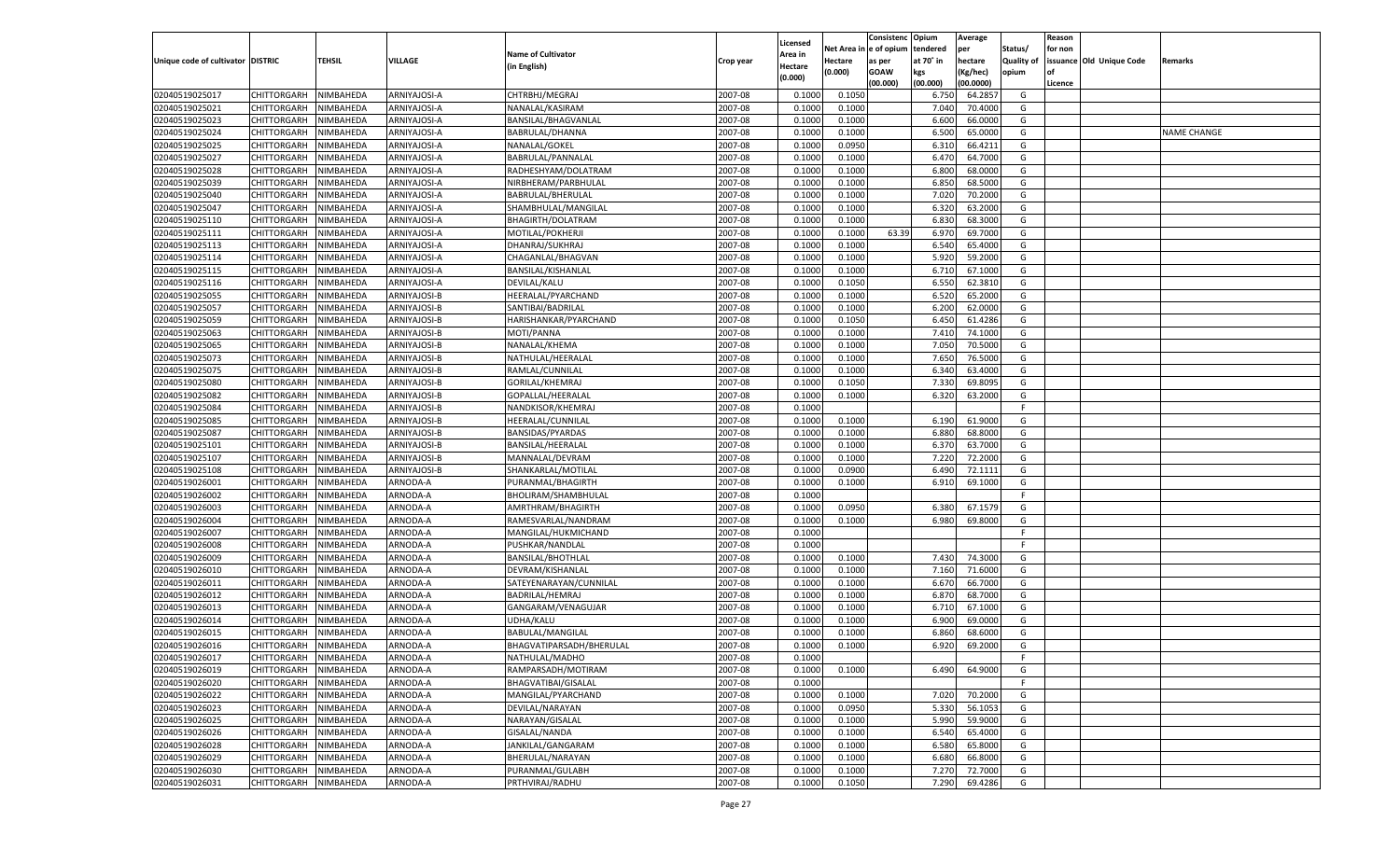|                                   |                       |           |                |                           |           |                    |             | Consistenc    | Opium     | Average   |            | Reason  |                          |             |
|-----------------------------------|-----------------------|-----------|----------------|---------------------------|-----------|--------------------|-------------|---------------|-----------|-----------|------------|---------|--------------------------|-------------|
|                                   |                       |           |                |                           |           | Licensed           | Net Area iı | n  e of opium | tendered  | per       | Status/    | for non |                          |             |
| Unique code of cultivator DISTRIC |                       | TEHSIL    | <b>VILLAGE</b> | <b>Name of Cultivator</b> | Crop year | Area in            | Hectare     | as per        | at 70° in | hectare   | Quality of |         | issuance Old Unique Code | Remarks     |
|                                   |                       |           |                | (in English)              |           | Hectare<br>(0.000) | (0.000)     | <b>GOAW</b>   | kgs       | (Kg/hec)  | opium      |         |                          |             |
|                                   |                       |           |                |                           |           |                    |             | (00.000)      | (00.000)  | (00.0000) |            | Licence |                          |             |
| 02040519025017                    | CHITTORGARH           | NIMBAHEDA | ARNIYAJOSI-A   | CHTRBHJ/MEGRAJ            | 2007-08   | 0.1000             | 0.1050      |               | 6.750     | 64.2857   | G          |         |                          |             |
| 02040519025021                    | CHITTORGARH           | NIMBAHEDA | ARNIYAJOSI-A   | NANALAL/KASIRAM           | 2007-08   | 0.1000             | 0.1000      |               | 7.040     | 70.4000   | G          |         |                          |             |
| 02040519025023                    | CHITTORGARH           | NIMBAHEDA | ARNIYAJOSI-A   | BANSILAL/BHAGVANLAL       | 2007-08   | 0.1000             | 0.1000      |               | 6.600     | 66.0000   | G          |         |                          |             |
| 02040519025024                    | CHITTORGARH           | NIMBAHEDA | ARNIYAJOSI-A   | BABRULAL/DHANNA           | 2007-08   | 0.1000             | 0.1000      |               | 6.500     | 65.0000   | G          |         |                          | NAME CHANGE |
| 02040519025025                    | CHITTORGARH           | NIMBAHEDA | ARNIYAJOSI-A   | NANALAL/GOKEL             | 2007-08   | 0.1000             | 0.0950      |               | 6.310     | 66.4211   | G          |         |                          |             |
| 02040519025027                    | CHITTORGARH           | NIMBAHEDA | ARNIYAJOSI-A   | BABRULAL/PANNALAL         | 2007-08   | 0.1000             | 0.1000      |               | 6.470     | 64.7000   | G          |         |                          |             |
| 02040519025028                    | CHITTORGARH           | NIMBAHEDA | ARNIYAJOSI-A   | RADHESHYAM/DOLATRAM       | 2007-08   | 0.1000             | 0.1000      |               | 6.800     | 68.0000   | G          |         |                          |             |
| 02040519025039                    | CHITTORGARH           | NIMBAHEDA | ARNIYAJOSI-A   | NIRBHERAM/PARBHULAL       | 2007-08   | 0.1000             | 0.1000      |               | 6.850     | 68.5000   | G          |         |                          |             |
| 02040519025040                    | CHITTORGARH           | NIMBAHEDA | ARNIYAJOSI-A   | BABRULAL/BHERULAL         | 2007-08   | 0.1000             | 0.1000      |               | 7.020     | 70.2000   | G          |         |                          |             |
| 02040519025047                    | CHITTORGARH           | NIMBAHEDA | ARNIYAJOSI-A   | SHAMBHULAL/MANGILAL       | 2007-08   | 0.1000             | 0.1000      |               | 6.320     | 63.2000   | G          |         |                          |             |
| 02040519025110                    | CHITTORGARH           | NIMBAHEDA | ARNIYAJOSI-A   | BHAGIRTH/DOLATRAM         | 2007-08   | 0.1000             | 0.1000      |               | 6.830     | 68.3000   | G          |         |                          |             |
| 02040519025111                    | CHITTORGARH           | NIMBAHEDA | ARNIYAJOSI-A   | MOTILAL/POKHERJI          | 2007-08   | 0.1000             | 0.1000      | 63.39         | 6.970     | 69.7000   | G          |         |                          |             |
| 02040519025113                    | CHITTORGARH           | NIMBAHEDA | ARNIYAJOSI-A   | DHANRAJ/SUKHRAJ           | 2007-08   | 0.1000             | 0.1000      |               | 6.540     | 65.4000   | G          |         |                          |             |
| 02040519025114                    | CHITTORGARH           | NIMBAHEDA | ARNIYAJOSI-A   | CHAGANLAL/BHAGVAN         | 2007-08   | 0.1000             | 0.1000      |               | 5.920     | 59.2000   | G          |         |                          |             |
| 02040519025115                    | CHITTORGARH           | NIMBAHEDA | ARNIYAJOSI-A   | BANSILAL/KISHANLAL        | 2007-08   | 0.1000             | 0.1000      |               | 6.710     | 67.1000   | G          |         |                          |             |
| 02040519025116                    | CHITTORGARH           | NIMBAHEDA | ARNIYAJOSI-A   | DEVILAL/KALU              | 2007-08   | 0.1000             | 0.1050      |               | 6.550     | 62.3810   | G          |         |                          |             |
| 02040519025055                    | CHITTORGARH           | NIMBAHEDA | ARNIYAJOSI-B   | HEERALAL/PYARCHAND        | 2007-08   | 0.1000             | 0.1000      |               | 6.520     | 65.2000   | G          |         |                          |             |
| 02040519025057                    | CHITTORGARH           | NIMBAHEDA | ARNIYAJOSI-B   | SANTIBAI/BADRILAL         | 2007-08   | 0.1000             | 0.1000      |               | 6.200     | 62.0000   | G          |         |                          |             |
| 02040519025059                    | CHITTORGARH           | NIMBAHEDA | ARNIYAJOSI-B   | HARISHANKAR/PYARCHAND     | 2007-08   | 0.1000             | 0.1050      |               | 6.450     | 61.4286   | G          |         |                          |             |
| 02040519025063                    | CHITTORGARH           | NIMBAHEDA | ARNIYAJOSI-B   | MOTI/PANNA                | 2007-08   | 0.1000             | 0.1000      |               | 7.410     | 74.1000   | G          |         |                          |             |
| 02040519025065                    | CHITTORGARH           | NIMBAHEDA | ARNIYAJOSI-B   | NANALAL/KHEMA             | 2007-08   | 0.1000             | 0.1000      |               | 7.050     | 70.5000   | G          |         |                          |             |
| 02040519025073                    | CHITTORGARH           | NIMBAHEDA | ARNIYAJOSI-B   | NATHULAL/HEERALAI         | 2007-08   | 0.1000             | 0.1000      |               | 7.650     | 76.5000   | G          |         |                          |             |
| 02040519025075                    | CHITTORGARH           | NIMBAHEDA | ARNIYAJOSI-B   | RAMLAL/CUNNILAL           | 2007-08   | 0.1000             | 0.1000      |               | 6.340     | 63.4000   | G          |         |                          |             |
| 02040519025080                    | CHITTORGARH           | NIMBAHEDA | ARNIYAJOSI-B   | GORILAL/KHEMRAJ           | 2007-08   | 0.1000             | 0.1050      |               | 7.330     | 69.8095   | G          |         |                          |             |
| 02040519025082                    | CHITTORGARH           | NIMBAHEDA | ARNIYAJOSI-B   | GOPALLAL/HEERALAI         | 2007-08   | 0.1000             | 0.1000      |               | 6.320     | 63.2000   | G          |         |                          |             |
| 02040519025084                    | CHITTORGARH           | NIMBAHEDA | ARNIYAJOSI-B   | NANDKISOR/KHEMRAJ         | 2007-08   | 0.1000             |             |               |           |           | F.         |         |                          |             |
| 02040519025085                    | CHITTORGARH           | NIMBAHEDA | ARNIYAJOSI-B   | HEERALAL/CUNNILAL         | 2007-08   | 0.1000             | 0.1000      |               | 6.190     | 61.9000   | G          |         |                          |             |
| 02040519025087                    | CHITTORGARH           | NIMBAHEDA | ARNIYAJOSI-B   | <b>BANSIDAS/PYARDAS</b>   | 2007-08   | 0.1000             | 0.1000      |               | 6.880     | 68.8000   | G          |         |                          |             |
| 02040519025101                    | CHITTORGARH           | NIMBAHEDA | ARNIYAJOSI-B   | BANSILAL/HEERALAI         | 2007-08   | 0.1000             | 0.1000      |               | 6.370     | 63.7000   | G          |         |                          |             |
| 02040519025107                    | CHITTORGARH           | NIMBAHEDA | ARNIYAJOSI-B   | MANNALAL/DEVRAM           | 2007-08   | 0.1000             | 0.1000      |               | 7.220     | 72.2000   | G          |         |                          |             |
| 02040519025108                    |                       | NIMBAHEDA | ARNIYAJOSI-B   |                           | 2007-08   | 0.1000             | 0.0900      |               | 6.490     | 72.1111   | G          |         |                          |             |
|                                   | CHITTORGARH           |           |                | SHANKARLAL/MOTILAL        |           |                    |             |               | 6.910     |           |            |         |                          |             |
| 02040519026001                    | CHITTORGARH           | NIMBAHEDA | ARNODA-A       | PURANMAL/BHAGIRTH         | 2007-08   | 0.1000             | 0.1000      |               |           | 69.1000   | G          |         |                          |             |
| 02040519026002                    | CHITTORGARH           | NIMBAHEDA | ARNODA-A       | BHOLIRAM/SHAMBHULAI       | 2007-08   | 0.1000             |             |               |           |           | F.         |         |                          |             |
| 02040519026003                    | CHITTORGARH           | NIMBAHEDA | ARNODA-A       | AMRTHRAM/BHAGIRTH         | 2007-08   | 0.1000             | 0.0950      |               | 6.380     | 67.1579   | G          |         |                          |             |
| 02040519026004                    | CHITTORGARH           | NIMBAHEDA | ARNODA-A       | RAMESVARLAL/NANDRAM       | 2007-08   | 0.1000             | 0.1000      |               | 6.980     | 69.8000   | G          |         |                          |             |
| 02040519026007                    | CHITTORGARH           | NIMBAHEDA | ARNODA-A       | MANGILAL/HUKMICHAND       | 2007-08   | 0.1000             |             |               |           |           | F          |         |                          |             |
| 02040519026008                    | CHITTORGARH           | NIMBAHEDA | ARNODA-A       | PUSHKAR/NANDLAL           | 2007-08   | 0.1000             |             |               |           |           | E          |         |                          |             |
| 02040519026009                    | CHITTORGARH           | NIMBAHEDA | ARNODA-A       | <b>BANSILAL/BHOTHLAL</b>  | 2007-08   | 0.1000             | 0.1000      |               | 7.430     | 74.3000   | G          |         |                          |             |
| 02040519026010                    | CHITTORGARH           | NIMBAHEDA | ARNODA-A       | DEVRAM/KISHANLAL          | 2007-08   | 0.1000             | 0.1000      |               | 7.160     | 71.6000   | G          |         |                          |             |
| 02040519026011                    | CHITTORGARH           | NIMBAHEDA | ARNODA-A       | SATEYENARAYAN/CUNNILAL    | 2007-08   | 0.1000             | 0.1000      |               | 6.670     | 66.7000   | G          |         |                          |             |
| 02040519026012                    | CHITTORGARH           | NIMBAHEDA | ARNODA-A       | BADRILAL/HEMRAJ           | 2007-08   | 0.1000             | 0.1000      |               | 6.870     | 68.7000   | G          |         |                          |             |
| 02040519026013                    | CHITTORGARH           | NIMBAHEDA | ARNODA-A       | GANGARAM/VENAGUJAR        | 2007-08   | 0.1000             | 0.1000      |               | 6.710     | 67.1000   | G          |         |                          |             |
| 02040519026014                    | CHITTORGARH           | NIMBAHEDA | ARNODA-A       | <b>UDHA/KALU</b>          | 2007-08   | 0.1000             | 0.1000      |               | 6.900     | 69.0000   | G          |         |                          |             |
| 02040519026015                    | CHITTORGARH           | NIMBAHEDA | ARNODA-A       | <b>BABULAL/MANGILAL</b>   | 2007-08   | 0.1000             | 0.1000      |               | 6.860     | 68.6000   | G          |         |                          |             |
| 02040519026016                    | CHITTORGARH           | NIMBAHEDA | ARNODA-A       | BHAGVATIPARSADH/BHERULAL  | 2007-08   | 0.1000             | 0.1000      |               | 6.920     | 69.2000   | G          |         |                          |             |
| 02040519026017                    | CHITTORGARH NIMBAHEDA |           | ARNODA-A       | NATHULAL/MADHO            | 2007-08   | 0.1000             |             |               |           |           |            |         |                          |             |
| 02040519026019                    | <b>CHITTORGARH</b>    | NIMBAHEDA | ARNODA-A       | RAMPARSADH/MOTIRAM        | 2007-08   | 0.1000             | 0.1000      |               | 6.490     | 64.9000   | G          |         |                          |             |
| 02040519026020                    | CHITTORGARH           | NIMBAHEDA | ARNODA-A       | BHAGVATIBAI/GISALAL       | 2007-08   | 0.1000             |             |               |           |           | F          |         |                          |             |
| 02040519026022                    | CHITTORGARH           | NIMBAHEDA | ARNODA-A       | MANGILAL/PYARCHAND        | 2007-08   | 0.1000             | 0.1000      |               | 7.020     | 70.2000   | G          |         |                          |             |
| 02040519026023                    | CHITTORGARH           | NIMBAHEDA | ARNODA-A       | DEVILAL/NARAYAN           | 2007-08   | 0.1000             | 0.0950      |               | 5.330     | 56.1053   | G          |         |                          |             |
| 02040519026025                    | CHITTORGARH           | NIMBAHEDA | ARNODA-A       | NARAYAN/GISALAL           | 2007-08   | 0.1000             | 0.1000      |               | 5.990     | 59.9000   | G          |         |                          |             |
| 02040519026026                    | <b>CHITTORGARH</b>    | NIMBAHEDA | ARNODA-A       | GISALAL/NANDA             | 2007-08   | 0.1000             | 0.1000      |               | 6.540     | 65.4000   | G          |         |                          |             |
| 02040519026028                    | CHITTORGARH           | NIMBAHEDA | ARNODA-A       | JANKILAL/GANGARAM         | 2007-08   | 0.1000             | 0.1000      |               | 6.580     | 65.8000   | G          |         |                          |             |
| 02040519026029                    | CHITTORGARH           | NIMBAHEDA | ARNODA-A       | BHERULAL/NARAYAN          | 2007-08   | 0.1000             | 0.1000      |               | 6.680     | 66.8000   | G          |         |                          |             |
| 02040519026030                    | CHITTORGARH           | NIMBAHEDA | ARNODA-A       | PURANMAL/GULABH           | 2007-08   | 0.1000             | 0.1000      |               | 7.270     | 72.7000   | G          |         |                          |             |
| 02040519026031                    | <b>CHITTORGARH</b>    | NIMBAHEDA | ARNODA-A       | PRTHVIRAJ/RADHU           | 2007-08   | 0.1000             | 0.1050      |               | 7.290     | 69.4286   | G          |         |                          |             |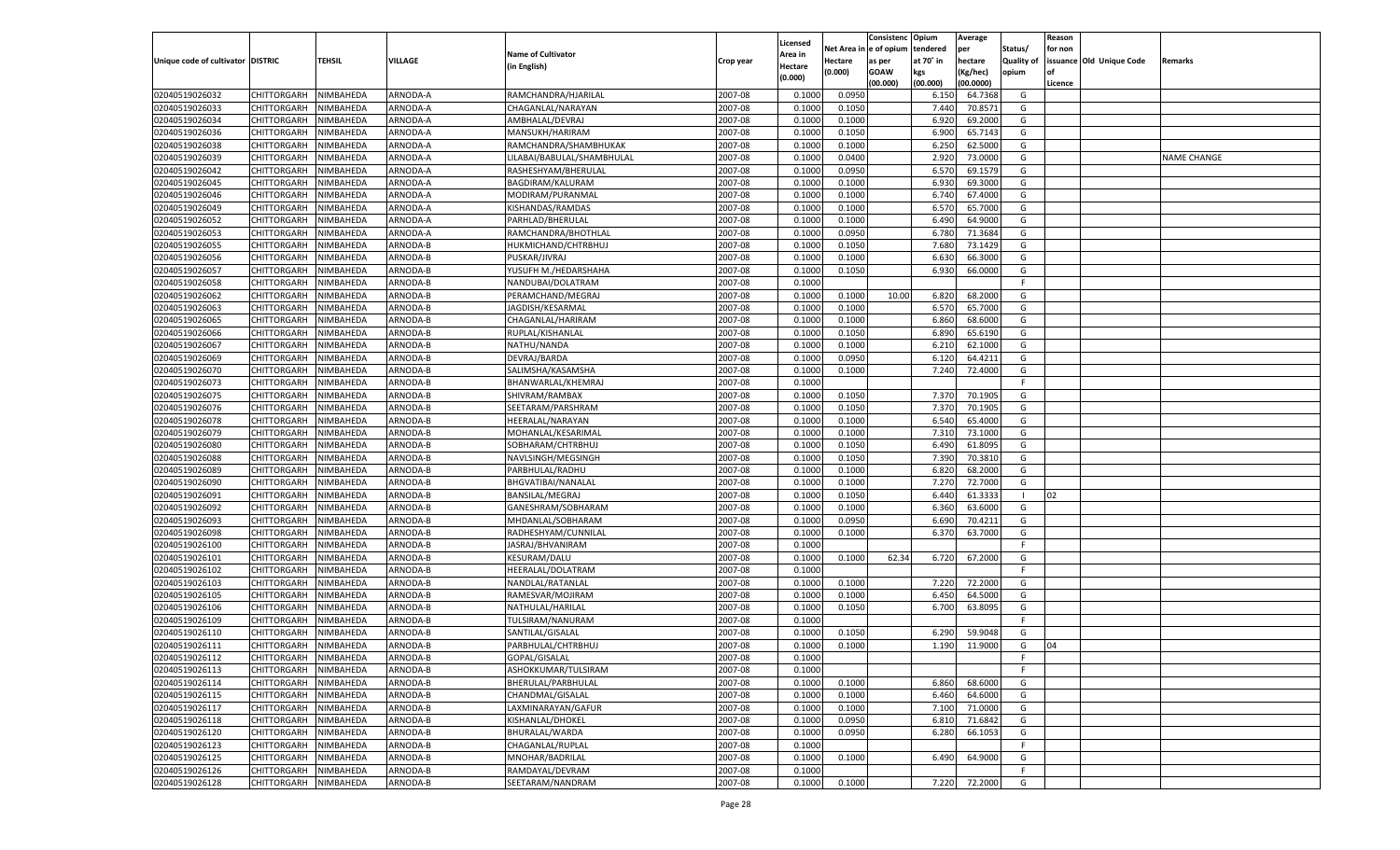|                                   |                       |                        |          |                            |           |                           |          | Consistenc  | Opium     | Average   |                   | Reason  |                          |                    |
|-----------------------------------|-----------------------|------------------------|----------|----------------------------|-----------|---------------------------|----------|-------------|-----------|-----------|-------------------|---------|--------------------------|--------------------|
|                                   |                       |                        |          | <b>Name of Cultivator</b>  |           | Licensed                  | Net Area | e of opium  | tendered  | per       | Status/           | for non |                          |                    |
| Unique code of cultivator DISTRIC |                       | <b>TEHSIL</b>          | VILLAGE  | (in English)               | Crop year | <b>Area in</b><br>Hectare | Hectare  | as per      | at 70° in | hectare   | <b>Quality of</b> |         | issuance Old Unique Code | Remarks            |
|                                   |                       |                        |          |                            |           | (0.000)                   | (0.000)  | <b>GOAW</b> | kgs       | (Kg/hec)  | opium             |         |                          |                    |
|                                   |                       |                        |          |                            |           |                           |          | (00.000)    | (00.000)  | (00.0000) |                   | Licence |                          |                    |
| 02040519026032                    | CHITTORGARH           | NIMBAHEDA              | ARNODA-A | RAMCHANDRA/HJARILAL        | 2007-08   | 0.1000                    | 0.0950   |             | 6.15      | 64.7368   | G                 |         |                          |                    |
| 02040519026033                    | CHITTORGARH           | NIMBAHEDA              | ARNODA-A | CHAGANLAL/NARAYAN          | 2007-08   | 0.1000                    | 0.1050   |             | 7.440     | 70.8571   | G                 |         |                          |                    |
| 02040519026034                    | CHITTORGARH           | NIMBAHEDA              | ARNODA-A | AMBHALAL/DEVRAJ            | 2007-08   | 0.1000                    | 0.1000   |             | 6.920     | 69.2000   | G                 |         |                          |                    |
| 02040519026036                    | CHITTORGARH           | NIMBAHEDA              | ARNODA-A | MANSUKH/HARIRAM            | 2007-08   | 0.1000                    | 0.1050   |             | 6.900     | 65.7143   | G                 |         |                          |                    |
| 02040519026038                    | CHITTORGARH           | NIMBAHEDA              | ARNODA-A | RAMCHANDRA/SHAMBHUKAK      | 2007-08   | 0.1000                    | 0.1000   |             | 6.250     | 62.5000   | G                 |         |                          |                    |
| 02040519026039                    | CHITTORGARH           | NIMBAHEDA              | ARNODA-A | LILABAI/BABULAL/SHAMBHULAL | 2007-08   | 0.1000                    | 0.0400   |             | 2.920     | 73.0000   | G                 |         |                          | <b>NAME CHANGE</b> |
| 02040519026042                    | CHITTORGARH           | NIMBAHEDA              | ARNODA-A | RASHESHYAM/BHERULAL        | 2007-08   | 0.1000                    | 0.0950   |             | 6.570     | 69.1579   | G                 |         |                          |                    |
| 02040519026045                    | CHITTORGARH           | NIMBAHEDA              | ARNODA-A | BAGDIRAM/KALURAM           | 2007-08   | 0.1000                    | 0.1000   |             | 6.930     | 69.3000   | G                 |         |                          |                    |
| 02040519026046                    | CHITTORGARH           | NIMBAHEDA              | ARNODA-A | MODIRAM/PURANMAL           | 2007-08   | 0.1000                    | 0.1000   |             | 6.740     | 67.4000   | G                 |         |                          |                    |
| 02040519026049                    | CHITTORGARH           | NIMBAHEDA              | ARNODA-A | KISHANDAS/RAMDAS           | 2007-08   | 0.1000                    | 0.1000   |             | 6.570     | 65.7000   | G                 |         |                          |                    |
| 02040519026052                    | CHITTORGARH           | NIMBAHEDA              | ARNODA-A | PARHLAD/BHERULAL           | 2007-08   | 0.1000                    | 0.1000   |             | 6.490     | 64.9000   | G                 |         |                          |                    |
| 02040519026053                    | CHITTORGARH           | NIMBAHEDA              | ARNODA-A | RAMCHANDRA/BHOTHLAL        | 2007-08   | 0.1000                    | 0.0950   |             | 6.78      | 71.3684   | G                 |         |                          |                    |
| 02040519026055                    | CHITTORGARH           | NIMBAHEDA              | ARNODA-B | HUKMICHAND/CHTRBHUJ        | 2007-08   | 0.1000                    | 0.1050   |             | 7.680     | 73.1429   | G                 |         |                          |                    |
| 02040519026056                    | CHITTORGARH           | NIMBAHEDA              | ARNODA-B | PUSKAR/JIVRAJ              | 2007-08   | 0.1000                    | 0.1000   |             | 6.630     | 66.3000   | G                 |         |                          |                    |
| 02040519026057                    | CHITTORGARH           | NIMBAHEDA              | ARNODA-B | YUSUFH M./HEDARSHAHA       | 2007-08   | 0.1000                    | 0.1050   |             | 6.930     | 66.0000   | G                 |         |                          |                    |
| 02040519026058                    | CHITTORGARH           | NIMBAHEDA              | ARNODA-B | NANDUBAI/DOLATRAM          | 2007-08   | 0.1000                    |          |             |           |           | F.                |         |                          |                    |
| 02040519026062                    | CHITTORGARH           | NIMBAHEDA              | ARNODA-B | PERAMCHAND/MEGRAJ          | 2007-08   | 0.1000                    | 0.1000   | 10.00       | 6.820     | 68.2000   | G                 |         |                          |                    |
| 02040519026063                    | CHITTORGARH           | NIMBAHEDA              | ARNODA-B | JAGDISH/KESARMAL           | 2007-08   | 0.1000                    | 0.1000   |             | 6.570     | 65.7000   | G                 |         |                          |                    |
| 02040519026065                    | CHITTORGARH           | NIMBAHEDA              | ARNODA-B | CHAGANLAL/HARIRAM          | 2007-08   | 0.1000                    | 0.1000   |             | 6.860     | 68.6000   | G                 |         |                          |                    |
| 02040519026066                    | CHITTORGARH           | NIMBAHEDA              | ARNODA-B | RUPLAL/KISHANLAL           | 2007-08   | 0.1000                    | 0.1050   |             | 6.890     | 65.6190   | G                 |         |                          |                    |
| 02040519026067                    | CHITTORGARH           | NIMBAHEDA              | ARNODA-B | NATHU/NANDA                | 2007-08   | 0.1000                    | 0.1000   |             | 6.210     | 62.1000   | G                 |         |                          |                    |
| 02040519026069                    | CHITTORGARH           | NIMBAHEDA              | ARNODA-B | DEVRAJ/BARDA               | 2007-08   | 0.1000                    | 0.0950   |             | 6.120     | 64.4211   | G                 |         |                          |                    |
| 02040519026070                    | CHITTORGARH           | NIMBAHEDA              | ARNODA-B | SALIMSHA/KASAMSHA          | 2007-08   | 0.1000                    | 0.1000   |             | 7.240     | 72.4000   | G                 |         |                          |                    |
| 02040519026073                    | CHITTORGARH           | NIMBAHEDA              | ARNODA-B | BHANWARLAL/KHEMRAJ         | 2007-08   | 0.1000                    |          |             |           |           | F.                |         |                          |                    |
| 02040519026075                    | CHITTORGARH           | NIMBAHEDA              | ARNODA-B | SHIVRAM/RAMBAX             | 2007-08   | 0.1000                    | 0.1050   |             | 7.370     | 70.1905   | G                 |         |                          |                    |
| 02040519026076                    | CHITTORGARH           | NIMBAHEDA              | ARNODA-B | SEETARAM/PARSHRAM          | 2007-08   | 0.1000                    | 0.1050   |             | 7.370     | 70.1905   | G                 |         |                          |                    |
| 02040519026078                    | CHITTORGARH           | NIMBAHEDA              | ARNODA-B | HEERALAL/NARAYAN           | 2007-08   | 0.1000                    | 0.1000   |             | 6.540     | 65.4000   | G                 |         |                          |                    |
| 02040519026079                    | CHITTORGARH           | NIMBAHEDA              | ARNODA-B | MOHANLAL/KESARIMAL         | 2007-08   | 0.1000                    | 0.1000   |             | 7.310     | 73.1000   | G                 |         |                          |                    |
| 02040519026080                    | CHITTORGARH           | NIMBAHEDA              | ARNODA-B | SOBHARAM/CHTRBHUJ          | 2007-08   | 0.1000                    | 0.1050   |             | 6.490     | 61.8095   | G                 |         |                          |                    |
| 02040519026088                    | CHITTORGARH           | NIMBAHEDA              | ARNODA-B | NAVLSINGH/MEGSINGH         | 2007-08   | 0.1000                    | 0.1050   |             | 7.390     | 70.3810   | G                 |         |                          |                    |
| 02040519026089                    | CHITTORGARH           | NIMBAHEDA              | ARNODA-B | PARBHULAL/RADHU            | 2007-08   | 0.1000                    | 0.1000   |             | 6.820     | 68.2000   | G                 |         |                          |                    |
| 02040519026090                    | CHITTORGARH           | NIMBAHEDA              | ARNODA-B | BHGVATIBAI/NANALAL         | 2007-08   | 0.1000                    | 0.1000   |             | 7.27      | 72.7000   | G                 |         |                          |                    |
| 02040519026091                    | CHITTORGARH           | NIMBAHEDA              | ARNODA-B | BANSILAL/MEGRAJ            | 2007-08   | 0.1000                    | 0.1050   |             | 6.44      | 61.3333   | - 1               | 02      |                          |                    |
| 02040519026092                    | CHITTORGARH           | NIMBAHEDA              | ARNODA-B | GANESHRAM/SOBHARAM         | 2007-08   | 0.1000                    | 0.1000   |             | 6.360     | 63.6000   | G                 |         |                          |                    |
| 02040519026093                    | CHITTORGARH           | NIMBAHEDA              | ARNODA-B | MHDANLAL/SOBHARAM          | 2007-08   | 0.1000                    | 0.0950   |             | 6.690     | 70.4211   | G                 |         |                          |                    |
| 02040519026098                    | CHITTORGARH           | NIMBAHEDA              | ARNODA-B | RADHESHYAM/CUNNILAL        | 2007-08   | 0.1000                    | 0.1000   |             | 6.370     | 63.7000   | G                 |         |                          |                    |
| 02040519026100                    | CHITTORGARH           | NIMBAHEDA              | ARNODA-B | JASRAJ/BHVANIRAM           | 2007-08   | 0.1000                    |          |             |           |           | F.                |         |                          |                    |
| 02040519026101                    | CHITTORGARH           | NIMBAHEDA              | ARNODA-B | <b>KESURAM/DALU</b>        | 2007-08   | 0.1000                    | 0.1000   | 62.34       | 6.720     | 67.2000   | G                 |         |                          |                    |
| 02040519026102                    | CHITTORGARH           | NIMBAHEDA              | ARNODA-B | HEERALAL/DOLATRAM          | 2007-08   | 0.1000                    |          |             |           |           | F.                |         |                          |                    |
| 02040519026103                    |                       |                        | ARNODA-B | NANDLAL/RATANLAI           | 2007-08   | 0.1000                    | 0.1000   |             | 7.220     | 72.2000   | G                 |         |                          |                    |
| 02040519026105                    | CHITTORGARH           | NIMBAHEDA<br>NIMBAHEDA | ARNODA-B | RAMESVAR/MOJIRAM           | 2007-08   | 0.1000                    | 0.1000   |             | 6.450     | 64.5000   | G                 |         |                          |                    |
| 02040519026106                    | CHITTORGARH           |                        | ARNODA-B |                            | 2007-08   |                           |          |             |           |           |                   |         |                          |                    |
|                                   | CHITTORGARH           | NIMBAHEDA              | ARNODA-B | NATHULAL/HARILAL           |           | 0.1000                    | 0.1050   |             | 6.700     | 63.8095   | G<br>F.           |         |                          |                    |
| 02040519026109                    | CHITTORGARH           | NIMBAHEDA              |          | TULSIRAM/NANURAM           | 2007-08   | 0.1000                    |          |             |           |           |                   |         |                          |                    |
| 02040519026110                    | CHITTORGARH           | NIMBAHEDA              | ARNODA-B | SANTILAL/GISALAL           | 2007-08   | 0.1000                    | 0.1050   |             | 6.290     | 59.9048   | G                 |         |                          |                    |
| 02040519026111                    | CHITTORGARH           | NIMBAHEDA              | ARNODA-B | PARBHULAL/CHTRBHUJ         | 2007-08   | 0.1000                    | 0.1000   |             | 1.190     | 11.9000   | G                 | 04      |                          |                    |
| 02040519026112                    | CHITTORGARH NIMBAHEDA |                        | ARNODA-B | GOPAL/GISALAL              | 2007-08   | 0.1000                    |          |             |           |           | F                 |         |                          |                    |
| 02040519026113                    | <b>CHITTORGARH</b>    | NIMBAHEDA              | ARNODA-B | ASHOKKUMAR/TULSIRAM        | 2007-08   | 0.1000                    |          |             |           |           | -F                |         |                          |                    |
| 02040519026114                    | CHITTORGARH           | NIMBAHEDA              | ARNODA-B | BHERULAL/PARBHULAL         | 2007-08   | 0.1000                    | 0.1000   |             | 6.860     | 68.6000   | G                 |         |                          |                    |
| 02040519026115                    | <b>CHITTORGARH</b>    | NIMBAHEDA              | ARNODA-B | CHANDMAL/GISALAL           | 2007-08   | 0.1000                    | 0.1000   |             | 6.460     | 64.6000   | G                 |         |                          |                    |
| 02040519026117                    | <b>CHITTORGARH</b>    | NIMBAHEDA              | ARNODA-B | LAXMINARAYAN/GAFUR         | 2007-08   | 0.1000                    | 0.1000   |             | 7.100     | 71.0000   | G                 |         |                          |                    |
| 02040519026118                    | <b>CHITTORGARH</b>    | NIMBAHEDA              | ARNODA-B | KISHANLAL/DHOKEL           | 2007-08   | 0.1000                    | 0.0950   |             | 6.810     | 71.6842   | G                 |         |                          |                    |
| 02040519026120                    | <b>CHITTORGARH</b>    | NIMBAHEDA              | ARNODA-B | BHURALAL/WARDA             | 2007-08   | 0.1000                    | 0.0950   |             | 6.280     | 66.1053   | G                 |         |                          |                    |
| 02040519026123                    | <b>CHITTORGARH</b>    | NIMBAHEDA              | ARNODA-B | CHAGANLAL/RUPLAL           | 2007-08   | 0.1000                    |          |             |           |           | F                 |         |                          |                    |
| 02040519026125                    | <b>CHITTORGARH</b>    | NIMBAHEDA              | ARNODA-B | MNOHAR/BADRILAL            | 2007-08   | 0.1000                    | 0.1000   |             | 6.490     | 64.9000   | G                 |         |                          |                    |
| 02040519026126                    | <b>CHITTORGARH</b>    | NIMBAHEDA              | ARNODA-B | RAMDAYAL/DEVRAM            | 2007-08   | 0.1000                    |          |             |           |           | F                 |         |                          |                    |
| 02040519026128                    | <b>CHITTORGARH</b>    | NIMBAHEDA              | ARNODA-B | SEETARAM/NANDRAM           | 2007-08   | 0.1000                    | 0.1000   |             | 7.220     | 72.2000   | G                 |         |                          |                    |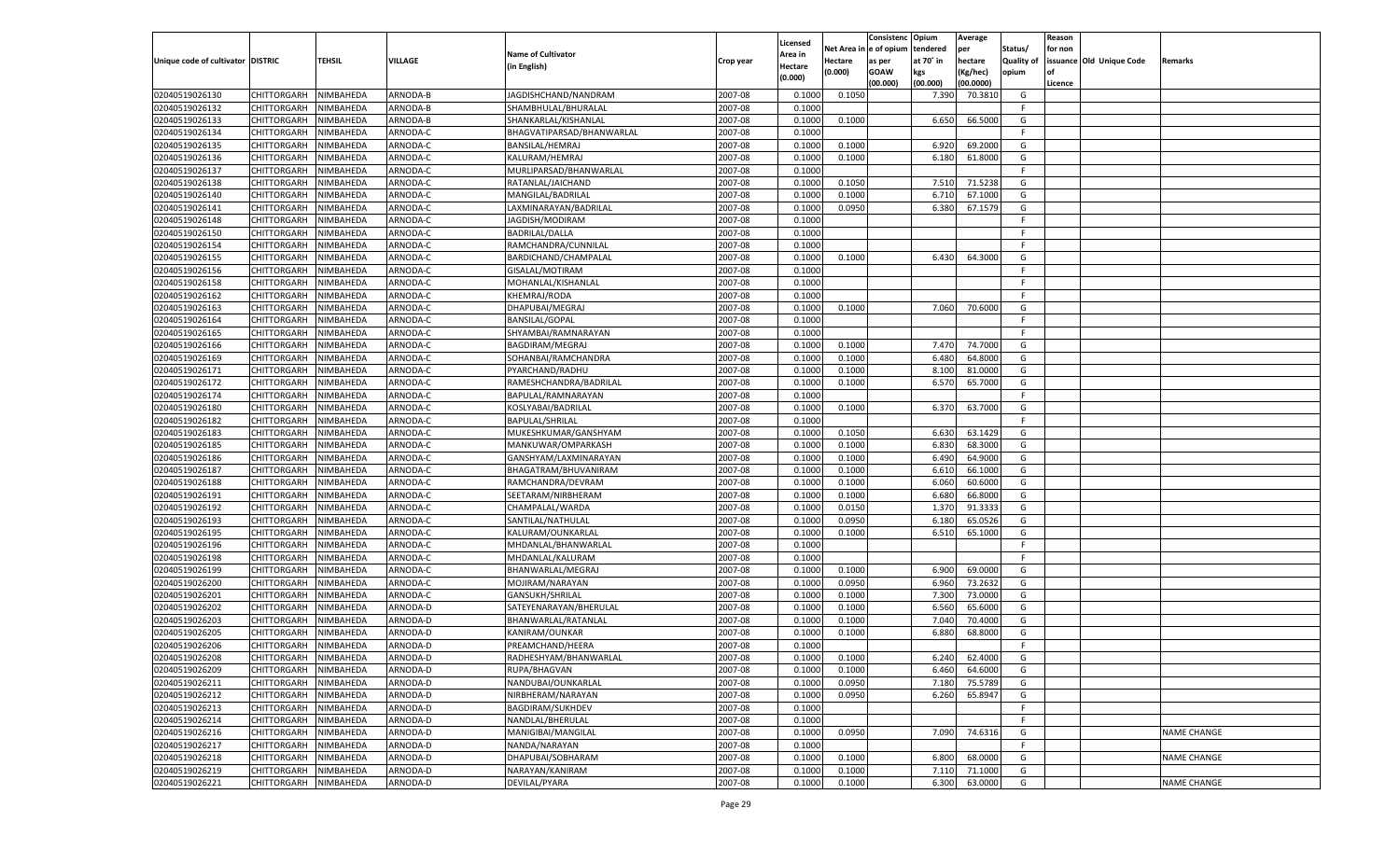|                                   |                    |           |          |                           |           |                    |         | Consistenc Opium       |           | Average   |                   | Reason  |                          |                    |
|-----------------------------------|--------------------|-----------|----------|---------------------------|-----------|--------------------|---------|------------------------|-----------|-----------|-------------------|---------|--------------------------|--------------------|
|                                   |                    |           |          | <b>Name of Cultivator</b> |           | Licensed           |         | Net Area in e of opium | tendered  | per       | Status/           | for non |                          |                    |
| Unique code of cultivator DISTRIC |                    | TEHSIL    | VILLAGE  |                           | Crop year | Area in            | Hectare | as per                 | at 70° in | hectare   | <b>Quality of</b> |         | issuance Old Unique Code | <b>Remarks</b>     |
|                                   |                    |           |          | (in English)              |           | Hectare<br>(0.000) | (0.000) | <b>GOAW</b>            | kgs       | (Kg/hec)  | opium             |         |                          |                    |
|                                   |                    |           |          |                           |           |                    |         | (00.000)               | (00.000)  | (00.0000) |                   | Licence |                          |                    |
| 02040519026130                    | CHITTORGARH        | NIMBAHEDA | ARNODA-B | JAGDISHCHAND/NANDRAM      | 2007-08   | 0.1000             | 0.1050  |                        | 7.390     | 70.3810   | G                 |         |                          |                    |
| 02040519026132                    | CHITTORGARH        | NIMBAHEDA | ARNODA-B | SHAMBHULAL/BHURALAL       | 2007-08   | 0.1000             |         |                        |           |           | F.                |         |                          |                    |
| 02040519026133                    | CHITTORGARH        | NIMBAHEDA | ARNODA-B | SHANKARLAL/KISHANLAL      | 2007-08   | 0.1000             | 0.1000  |                        | 6.650     | 66.5000   | G                 |         |                          |                    |
| 02040519026134                    | CHITTORGARH        | NIMBAHEDA | ARNODA-C | BHAGVATIPARSAD/BHANWARLAL | 2007-08   | 0.1000             |         |                        |           |           | F.                |         |                          |                    |
| 02040519026135                    | CHITTORGARH        | NIMBAHEDA | ARNODA-C | BANSILAL/HEMRAJ           | 2007-08   | 0.1000             | 0.1000  |                        | 6.920     | 69.2000   | G                 |         |                          |                    |
| 02040519026136                    | CHITTORGARH        | NIMBAHEDA | ARNODA-C | KALURAM/HEMRAJ            | 2007-08   | 0.1000             | 0.1000  |                        | 6.180     | 61.8000   | G                 |         |                          |                    |
| 02040519026137                    | CHITTORGARH        | NIMBAHEDA | ARNODA-C | MURLIPARSAD/BHANWARLAL    | 2007-08   | 0.1000             |         |                        |           |           | F.                |         |                          |                    |
| 02040519026138                    | CHITTORGARH        | NIMBAHEDA | ARNODA-C | RATANLAL/JAICHAND         | 2007-08   | 0.1000             | 0.1050  |                        | 7.510     | 71.5238   | G                 |         |                          |                    |
| 02040519026140                    | CHITTORGARH        | NIMBAHEDA | ARNODA-C | MANGILAL/BADRILAL         | 2007-08   | 0.1000             | 0.1000  |                        | 6.710     | 67.1000   | G                 |         |                          |                    |
| 02040519026141                    | CHITTORGARH        | NIMBAHEDA | ARNODA-C | LAXMINARAYAN/BADRILAL     | 2007-08   | 0.1000             | 0.0950  |                        | 6.380     | 67.1579   | G                 |         |                          |                    |
| 02040519026148                    | CHITTORGARH        | NIMBAHEDA | ARNODA-C | JAGDISH/MODIRAM           | 2007-08   | 0.1000             |         |                        |           |           | F.                |         |                          |                    |
| 02040519026150                    | CHITTORGARH        | NIMBAHEDA | ARNODA-C | <b>BADRILAL/DALLA</b>     | 2007-08   | 0.1000             |         |                        |           |           | F.                |         |                          |                    |
| 02040519026154                    | CHITTORGARH        | NIMBAHEDA | ARNODA-C | RAMCHANDRA/CUNNILAL       | 2007-08   | 0.1000             |         |                        |           |           | F.                |         |                          |                    |
| 02040519026155                    | CHITTORGARH        | NIMBAHEDA | ARNODA-C | BARDICHAND/CHAMPALAL      | 2007-08   | 0.1000             | 0.1000  |                        | 6.430     | 64.3000   | G                 |         |                          |                    |
| 02040519026156                    | CHITTORGARH        | NIMBAHEDA | ARNODA-C | GISALAL/MOTIRAM           | 2007-08   | 0.1000             |         |                        |           |           | F.                |         |                          |                    |
| 02040519026158                    | CHITTORGARH        | NIMBAHEDA | ARNODA-C | MOHANLAL/KISHANLAL        | 2007-08   | 0.1000             |         |                        |           |           | -F                |         |                          |                    |
| 02040519026162                    | CHITTORGARH        | NIMBAHEDA | ARNODA-C | KHEMRAJ/RODA              | 2007-08   | 0.1000             |         |                        |           |           | F.                |         |                          |                    |
| 02040519026163                    | CHITTORGARH        | NIMBAHEDA | ARNODA-C | DHAPUBAI/MEGRAJ           | 2007-08   | 0.1000             | 0.1000  |                        | 7.060     | 70.6000   | G                 |         |                          |                    |
| 02040519026164                    | CHITTORGARH        | NIMBAHEDA | ARNODA-C | <b>BANSILAL/GOPAL</b>     | 2007-08   | 0.1000             |         |                        |           |           | F.                |         |                          |                    |
| 02040519026165                    | CHITTORGARH        | NIMBAHEDA | ARNODA-C | SHYAMBAI/RAMNARAYAN       | 2007-08   | 0.1000             |         |                        |           |           | -F                |         |                          |                    |
| 02040519026166                    | CHITTORGARH        | NIMBAHEDA | ARNODA-C | BAGDIRAM/MEGRAJ           | 2007-08   | 0.1000             | 0.1000  |                        | 7.470     | 74.7000   | G                 |         |                          |                    |
| 02040519026169                    | CHITTORGARH        | NIMBAHEDA | ARNODA-C | SOHANBAI/RAMCHANDRA       | 2007-08   | 0.100              | 0.1000  |                        | 6.480     | 64.8000   | G                 |         |                          |                    |
| 02040519026171                    | CHITTORGARH        | NIMBAHEDA | ARNODA-C | PYARCHAND/RADHU           | 2007-08   | 0.1000             | 0.1000  |                        | 8.100     | 81.0000   | G                 |         |                          |                    |
| 02040519026172                    |                    |           |          |                           | 2007-08   | 0.1000             | 0.1000  |                        | 6.570     |           | G                 |         |                          |                    |
|                                   | CHITTORGARH        | NIMBAHEDA | ARNODA-C | RAMESHCHANDRA/BADRILAL    | 2007-08   |                    |         |                        |           | 65.7000   | F.                |         |                          |                    |
| 02040519026174                    | CHITTORGARH        | NIMBAHEDA | ARNODA-C | BAPULAL/RAMNARAYAN        |           | 0.1000             |         |                        |           |           |                   |         |                          |                    |
| 02040519026180<br>02040519026182  | CHITTORGARH        | NIMBAHEDA | ARNODA-C | KOSLYABAI/BADRILAL        | 2007-08   | 0.1000             | 0.1000  |                        | 6.370     | 63.7000   | G<br>F.           |         |                          |                    |
|                                   | CHITTORGARH        | NIMBAHEDA | ARNODA-C | <b>BAPULAL/SHRILAL</b>    | 2007-08   | 0.1000             |         |                        |           |           |                   |         |                          |                    |
| 02040519026183                    | CHITTORGARH        | NIMBAHEDA | ARNODA-C | MUKESHKUMAR/GANSHYAM      | 2007-08   | 0.1000             | 0.1050  |                        | 6.630     | 63.1429   | G                 |         |                          |                    |
| 02040519026185                    | CHITTORGARH        | NIMBAHEDA | ARNODA-C | MANKUWAR/OMPARKASH        | 2007-08   | 0.1000             | 0.1000  |                        | 6.830     | 68.3000   | G                 |         |                          |                    |
| 02040519026186                    | CHITTORGARH        | NIMBAHEDA | ARNODA-C | GANSHYAM/LAXMINARAYAN     | 2007-08   | 0.1000             | 0.1000  |                        | 6.490     | 64.9000   | G                 |         |                          |                    |
| 02040519026187                    | CHITTORGARH        | NIMBAHEDA | ARNODA-C | BHAGATRAM/BHUVANIRAM      | 2007-08   | 0.1000             | 0.1000  |                        | 6.610     | 66.1000   | G                 |         |                          |                    |
| 02040519026188                    | CHITTORGARH        | NIMBAHEDA | ARNODA-C | RAMCHANDRA/DEVRAM         | 2007-08   | 0.1000             | 0.1000  |                        | 6.060     | 60.6000   | G                 |         |                          |                    |
| 02040519026191                    | CHITTORGARH        | NIMBAHEDA | ARNODA-C | SEETARAM/NIRBHERAM        | 2007-08   | 0.1000             | 0.1000  |                        | 6.680     | 66.8000   | G                 |         |                          |                    |
| 02040519026192                    | CHITTORGARH        | NIMBAHEDA | ARNODA-C | CHAMPALAL/WARDA           | 2007-08   | 0.1000             | 0.0150  |                        | 1.370     | 91.3333   | G                 |         |                          |                    |
| 02040519026193                    | CHITTORGARH        | NIMBAHEDA | ARNODA-C | SANTILAL/NATHULAL         | 2007-08   | 0.1000             | 0.0950  |                        | 6.180     | 65.0526   | G                 |         |                          |                    |
| 02040519026195                    | CHITTORGARH        | NIMBAHEDA | ARNODA-C | KALURAM/OUNKARLAL         | 2007-08   | 0.1000             | 0.1000  |                        | 6.510     | 65.1000   | G                 |         |                          |                    |
| 02040519026196                    | CHITTORGARH        | NIMBAHEDA | ARNODA-C | MHDANLAL/BHANWARLAL       | 2007-08   | 0.1000             |         |                        |           |           | F.                |         |                          |                    |
| 02040519026198                    | CHITTORGARH        | NIMBAHEDA | ARNODA-C | MHDANLAL/KALURAM          | 2007-08   | 0.1000             |         |                        |           |           | F.                |         |                          |                    |
| 02040519026199                    | CHITTORGARH        | NIMBAHEDA | ARNODA-C | BHANWARLAL/MEGRAJ         | 2007-08   | 0.1000             | 0.1000  |                        | 6.900     | 69.0000   | G                 |         |                          |                    |
| 02040519026200                    | CHITTORGARH        | NIMBAHEDA | ARNODA-C | MOJIRAM/NARAYAN           | 2007-08   | 0.1000             | 0.0950  |                        | 6.960     | 73.2632   | G                 |         |                          |                    |
| 02040519026201                    | CHITTORGARH        | NIMBAHEDA | ARNODA-C | GANSUKH/SHRILAL           | 2007-08   | 0.1000             | 0.1000  |                        | 7.300     | 73.0000   | G                 |         |                          |                    |
| 02040519026202                    | CHITTORGARH        | NIMBAHEDA | ARNODA-D | SATEYENARAYAN/BHERULAI    | 2007-08   | 0.1000             | 0.1000  |                        | 6.560     | 65.6000   | G                 |         |                          |                    |
| 02040519026203                    | CHITTORGARH        | NIMBAHEDA | ARNODA-D | BHANWARLAL/RATANLAL       | 2007-08   | 0.1000             | 0.1000  |                        | 7.040     | 70.4000   | G                 |         |                          |                    |
| 02040519026205                    | CHITTORGARH        | NIMBAHEDA | ARNODA-D | KANIRAM/OUNKAR            | 2007-08   | 0.1000             | 0.1000  |                        | 6.880     | 68.8000   | G                 |         |                          |                    |
| 02040519026206                    | CHITTORGARH        | NIMBAHEDA | ARNODA-D | PREAMCHAND/HEERA          | 2007-08   | 0.1000             |         |                        |           |           | F.                |         |                          |                    |
| 02040519026208                    | <b>CHITTORGARH</b> | NIMBAHEDA | ARNODA-D | RADHESHYAM/BHANWARLAL     | 2007-08   | 0.1000             | 0.1000  |                        | 6.240     | 62.4000   | G                 |         |                          |                    |
| 02040519026209                    | <b>CHITTORGARH</b> | NIMBAHEDA | ARNODA-D | RUPA/BHAGVAN              | 2007-08   | 0.1000             | 0.1000  |                        | 6.460     | 64.6000   | G                 |         |                          |                    |
| 02040519026211                    | <b>CHITTORGARH</b> | NIMBAHEDA | ARNODA-D | NANDUBAI/OUNKARLAL        | 2007-08   | 0.1000             | 0.0950  |                        | 7.180     | 75.5789   | G                 |         |                          |                    |
| 02040519026212                    | CHITTORGARH        | NIMBAHEDA | ARNODA-D | NIRBHERAM/NARAYAN         | 2007-08   | 0.1000             | 0.0950  |                        | 6.260     | 65.8947   | G                 |         |                          |                    |
| 02040519026213                    | CHITTORGARH        | NIMBAHEDA | ARNODA-D | BAGDIRAM/SUKHDEV          | 2007-08   | 0.1000             |         |                        |           |           | F.                |         |                          |                    |
| 02040519026214                    | CHITTORGARH        | NIMBAHEDA | ARNODA-D | NANDLAL/BHERULAL          | 2007-08   | 0.1000             |         |                        |           |           | F                 |         |                          |                    |
| 02040519026216                    | <b>CHITTORGARH</b> | NIMBAHEDA | ARNODA-D | MANIGIBAI/MANGILAL        | 2007-08   | 0.1000             | 0.0950  |                        | 7.090     | 74.6316   | G                 |         |                          | NAME CHANGE        |
| 02040519026217                    | CHITTORGARH        | NIMBAHEDA | ARNODA-D | NANDA/NARAYAN             | 2007-08   | 0.1000             |         |                        |           |           | F.                |         |                          |                    |
| 02040519026218                    | CHITTORGARH        | NIMBAHEDA | ARNODA-D | DHAPUBAI/SOBHARAM         | 2007-08   | 0.1000             | 0.1000  |                        | 6.800     | 68.0000   | G                 |         |                          | <b>NAME CHANGE</b> |
| 02040519026219                    | CHITTORGARH        | NIMBAHEDA | ARNODA-D | NARAYAN/KANIRAM           | 2007-08   | 0.1000             | 0.1000  |                        | 7.110     | 71.1000   | G                 |         |                          |                    |
| 02040519026221                    | <b>CHITTORGARH</b> | NIMBAHEDA | ARNODA-D | DEVILAL/PYARA             | 2007-08   | 0.1000             | 0.1000  |                        | 6.300     | 63.0000   | G                 |         |                          | <b>NAME CHANGE</b> |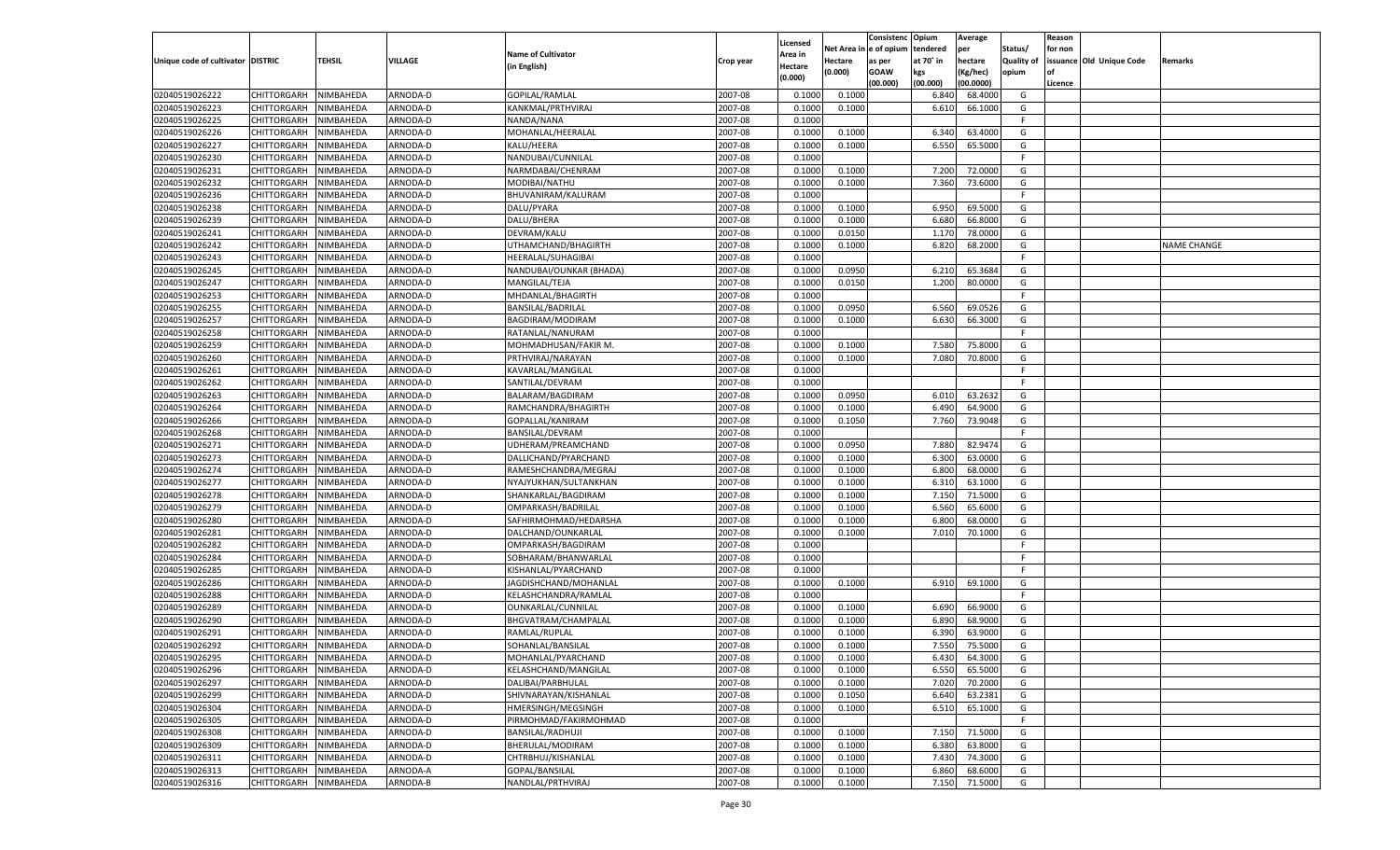|                                   |                       |           |                      |                                           |           |                     |             | Consistenc    | Opium          | Average            |                   | Reason  |                          |                    |
|-----------------------------------|-----------------------|-----------|----------------------|-------------------------------------------|-----------|---------------------|-------------|---------------|----------------|--------------------|-------------------|---------|--------------------------|--------------------|
|                                   |                       |           |                      | <b>Name of Cultivator</b>                 |           | Licensed<br>Area in | Net Area iı | n  e of opium | tendered       | per                | Status/           | for non |                          |                    |
| Unique code of cultivator DISTRIC |                       | TEHSIL    | VILLAGE              | (in English)                              | Crop year | Hectare             | Hectare     | as per        | at 70° in      | hectare            | <b>Quality of</b> |         | issuance Old Unique Code | Remarks            |
|                                   |                       |           |                      |                                           |           | (0.000)             | (0.000)     | <b>GOAW</b>   | kgs            | (Kg/hec)           | opium             |         |                          |                    |
|                                   |                       |           |                      |                                           |           |                     |             | (00.000)      | (00.000)       | (00.0000)          |                   | Licence |                          |                    |
| 02040519026222                    | CHITTORGARH           | NIMBAHEDA | ARNODA-D             | GOPILAL/RAMLAL                            | 2007-08   | 0.100               | 0.1000      |               | 6.840          | 68.4000            | G                 |         |                          |                    |
| 02040519026223                    | CHITTORGARH           | NIMBAHEDA | ARNODA-D             | KANKMAL/PRTHVIRAJ                         | 2007-08   | 0.1000              | 0.1000      |               | 6.610          | 66.1000            | G                 |         |                          |                    |
| 02040519026225                    | CHITTORGARH           | NIMBAHEDA | ARNODA-D             | NANDA/NANA                                | 2007-08   | 0.1000              |             |               |                |                    | F.                |         |                          |                    |
| 02040519026226                    | CHITTORGARH           | NIMBAHEDA | ARNODA-D             | MOHANLAL/HEERALAL                         | 2007-08   | 0.1000              | 0.1000      |               | 6.340          | 63.4000            | G                 |         |                          |                    |
| 02040519026227                    | CHITTORGARH           | NIMBAHEDA | ARNODA-D             | KALU/HEERA                                | 2007-08   | 0.1000              | 0.1000      |               | 6.550          | 65.5000            | G                 |         |                          |                    |
| 02040519026230                    | CHITTORGARH           | NIMBAHEDA | ARNODA-D             | NANDUBAI/CUNNILAL                         | 2007-08   | 0.1000              |             |               |                |                    | F.                |         |                          |                    |
| 02040519026231                    | CHITTORGARH           | NIMBAHEDA | ARNODA-D             | NARMDABAI/CHENRAM                         | 2007-08   | 0.1000              | 0.1000      |               | 7.200          | 72.0000            | G                 |         |                          |                    |
| 02040519026232                    | CHITTORGARH           | NIMBAHEDA | ARNODA-D             | MODIBAI/NATHU                             | 2007-08   | 0.1000              | 0.1000      |               | 7.360          | 73.6000            | G                 |         |                          |                    |
| 02040519026236                    | CHITTORGARH           | NIMBAHEDA | ARNODA-D             | BHUVANIRAM/KALURAM                        | 2007-08   | 0.1000              |             |               |                |                    | F.                |         |                          |                    |
| 02040519026238                    | CHITTORGARH           | NIMBAHEDA | ARNODA-D             | DALU/PYARA                                | 2007-08   | 0.1000              | 0.1000      |               | 6.950          | 69.5000            | G                 |         |                          |                    |
| 02040519026239                    | CHITTORGARH           | NIMBAHEDA | ARNODA-D             | DALU/BHERA                                | 2007-08   | 0.1000              | 0.1000      |               | 6.680          | 66.8000            | G                 |         |                          |                    |
| 02040519026241                    | CHITTORGARH           | NIMBAHEDA | ARNODA-D             | DEVRAM/KALU                               | 2007-08   | 0.1000              | 0.0150      |               | 1.170          | 78.0000            | G                 |         |                          |                    |
| 02040519026242                    | CHITTORGARH           | NIMBAHEDA | ARNODA-D             | UTHAMCHAND/BHAGIRTH                       | 2007-08   | 0.1000              | 0.1000      |               | 6.820          | 68.2000            | G                 |         |                          | <b>NAME CHANGE</b> |
| 02040519026243                    | CHITTORGARH           | NIMBAHEDA | ARNODA-D             | HEERALAL/SUHAGIBAI                        | 2007-08   | 0.1000              |             |               |                |                    | F.                |         |                          |                    |
| 02040519026245                    | CHITTORGARH           | NIMBAHEDA | ARNODA-D             | NANDUBAI/OUNKAR (BHADA)                   | 2007-08   | 0.1000              | 0.0950      |               | 6.210          | 65.3684            | G                 |         |                          |                    |
| 02040519026247                    | CHITTORGARH           | NIMBAHEDA | ARNODA-D             | MANGILAL/TEJA                             | 2007-08   | 0.1000              | 0.0150      |               | 1.200          | 80.0000            | G                 |         |                          |                    |
| 02040519026253                    | CHITTORGARH           | NIMBAHEDA | ARNODA-D             | MHDANLAL/BHAGIRTH                         | 2007-08   | 0.1000              |             |               |                |                    | F.                |         |                          |                    |
| 02040519026255                    | CHITTORGARH           | NIMBAHEDA | ARNODA-D             | BANSILAL/BADRILAL                         | 2007-08   | 0.1000              | 0.0950      |               | 6.560          | 69.0526            | G                 |         |                          |                    |
| 02040519026257                    | CHITTORGARH           | NIMBAHEDA | ARNODA-D             | BAGDIRAM/MODIRAM                          | 2007-08   | 0.1000              | 0.1000      |               | 6.630          | 66.3000            | G                 |         |                          |                    |
| 02040519026258                    | CHITTORGARH           | NIMBAHEDA | ARNODA-D             | RATANLAL/NANURAM                          | 2007-08   | 0.1000              |             |               |                |                    | F.                |         |                          |                    |
| 02040519026259                    | CHITTORGARH           | NIMBAHEDA | ARNODA-D             | MOHMADHUSAN/FAKIR M.                      | 2007-08   | 0.1000              | 0.1000      |               | 7.580          | 75.8000            | G                 |         |                          |                    |
| 02040519026260                    | CHITTORGARH           | NIMBAHEDA | ARNODA-D             | PRTHVIRAJ/NARAYAN                         | 2007-08   | 0.1000              | 0.1000      |               | 7.080          | 70.8000            | G                 |         |                          |                    |
| 02040519026261                    | CHITTORGARH           | NIMBAHEDA | ARNODA-D             | KAVARLAL/MANGILAI                         | 2007-08   | 0.1000              |             |               |                |                    | F.                |         |                          |                    |
| 02040519026262                    | CHITTORGARH           | NIMBAHEDA | ARNODA-D             | SANTILAL/DEVRAM                           | 2007-08   | 0.1000              |             |               |                |                    | F.                |         |                          |                    |
| 02040519026263                    | CHITTORGARH           | NIMBAHEDA | ARNODA-D             | BALARAM/BAGDIRAM                          | 2007-08   | 0.1000              | 0.0950      |               | 6.010          | 63.2632            | G                 |         |                          |                    |
| 02040519026264                    | CHITTORGARH           | NIMBAHEDA | ARNODA-D             | RAMCHANDRA/BHAGIRTH                       | 2007-08   | 0.1000              | 0.1000      |               | 6.490          | 64.9000            | G                 |         |                          |                    |
| 02040519026266                    | CHITTORGARH           | NIMBAHEDA | ARNODA-D             | GOPALLAL/KANIRAM                          | 2007-08   | 0.1000              | 0.1050      |               | 7.760          | 73.9048            | G                 |         |                          |                    |
| 02040519026268                    | CHITTORGARH           | NIMBAHEDA | ARNODA-D             | <b>BANSILAL/DEVRAM</b>                    | 2007-08   | 0.1000              |             |               |                |                    | F.                |         |                          |                    |
| 02040519026271                    | CHITTORGARH           | NIMBAHEDA | ARNODA-D             | UDHERAM/PREAMCHAND                        | 2007-08   | 0.1000              | 0.0950      |               | 7.880          | 82.9474            | G                 |         |                          |                    |
| 02040519026273                    | CHITTORGARH           | NIMBAHEDA | ARNODA-D             | DALLICHAND/PYARCHAND                      | 2007-08   | 0.1000              | 0.1000      |               | 6.300          | 63.0000            | G                 |         |                          |                    |
| 02040519026274                    | CHITTORGARH           | NIMBAHEDA | ARNODA-D             | RAMESHCHANDRA/MEGRAJ                      | 2007-08   | 0.1000              | 0.1000      |               | 6.800          | 68.0000            | G                 |         |                          |                    |
| 02040519026277                    | CHITTORGARH           | NIMBAHEDA | ARNODA-D             | NYAJYUKHAN/SULTANKHAN                     | 2007-08   | 0.1000              | 0.1000      |               | 6.310          | 63.1000            | G                 |         |                          |                    |
| 02040519026278                    | CHITTORGARH           | NIMBAHEDA | ARNODA-D             | SHANKARLAL/BAGDIRAM                       | 2007-08   | 0.1000              | 0.1000      |               | 7.150          | 71.5000            | G                 |         |                          |                    |
| 02040519026279                    | CHITTORGARH           | NIMBAHEDA | ARNODA-D             | OMPARKASH/BADRILAL                        | 2007-08   | 0.1000              | 0.1000      |               | 6.560          | 65.6000            | G                 |         |                          |                    |
| 02040519026280                    | CHITTORGARH           | NIMBAHEDA | ARNODA-D             | SAFHIRMOHMAD/HEDARSHA                     | 2007-08   | 0.1000              | 0.1000      |               | 6.800          | 68.0000            | G                 |         |                          |                    |
| 02040519026281                    | CHITTORGARH           | NIMBAHEDA | ARNODA-D             | DALCHAND/OUNKARLAL                        | 2007-08   | 0.1000              | 0.1000      |               | 7.010          | 70.1000            | G                 |         |                          |                    |
| 02040519026282                    | CHITTORGARH           | NIMBAHEDA | ARNODA-D             | OMPARKASH/BAGDIRAM                        | 2007-08   | 0.1000              |             |               |                |                    | F.                |         |                          |                    |
| 02040519026284                    | CHITTORGARH           | NIMBAHEDA | ARNODA-D             | SOBHARAM/BHANWARLAL                       | 2007-08   | 0.1000              |             |               |                |                    | F                 |         |                          |                    |
| 02040519026285                    | CHITTORGARH           | NIMBAHEDA | ARNODA-D             | KISHANLAL/PYARCHAND                       | 2007-08   | 0.1000              |             |               |                |                    | E                 |         |                          |                    |
| 02040519026286                    | CHITTORGARH           | NIMBAHEDA | ARNODA-D             | JAGDISHCHAND/MOHANLAL                     | 2007-08   | 0.1000              | 0.1000      |               | 6.910          | 69.1000            | G                 |         |                          |                    |
| 02040519026288                    | CHITTORGARH           | NIMBAHEDA | ARNODA-D             | KELASHCHANDRA/RAMLAI                      | 2007-08   | 0.1000              |             |               |                |                    | F.                |         |                          |                    |
| 02040519026289                    |                       |           |                      |                                           | 2007-08   | 0.1000              |             |               |                | 66.9000            | G                 |         |                          |                    |
|                                   | CHITTORGARH           | NIMBAHEDA | ARNODA-D<br>ARNODA-D | OUNKARLAL/CUNNILAL<br>BHGVATRAM/CHAMPALAI |           |                     | 0.1000      |               | 6.690          |                    |                   |         |                          |                    |
| 02040519026290                    | CHITTORGARH           | NIMBAHEDA |                      |                                           | 2007-08   | 0.1000              | 0.1000      |               | 6.890          | 68.9000            | G                 |         |                          |                    |
| 02040519026291                    | CHITTORGARH           | NIMBAHEDA | ARNODA-D             | RAMLAL/RUPLAL                             | 2007-08   | 0.1000              | 0.1000      |               | 6.390<br>7.550 | 63.9000<br>75.5000 | G                 |         |                          |                    |
| 02040519026292                    | CHITTORGARH           | NIMBAHEDA | ARNODA-D             | SOHANLAL/BANSILAL                         | 2007-08   | 0.1000              | 0.1000      |               |                |                    | G                 |         |                          |                    |
| 02040519026295                    | CHITTORGARH NIMBAHEDA |           | ARNODA-D             | MOHANLAL/PYARCHAND                        | 2007-08   | 0.1000              | 0.1000      |               | 6.430          | 64.3000            | G                 |         |                          |                    |
| 02040519026296                    | <b>CHITTORGARH</b>    | NIMBAHEDA | ARNODA-D             | KELASHCHAND/MANGILAL                      | 2007-08   | 0.1000              | 0.1000      |               | 6.550          | 65.5000            | G                 |         |                          |                    |
| 02040519026297                    | CHITTORGARH           | NIMBAHEDA | ARNODA-D             | DALIBAI/PARBHULAL                         | 2007-08   | 0.1000              | 0.1000      |               | 7.020          | 70.2000            | G                 |         |                          |                    |
| 02040519026299                    | <b>CHITTORGARH</b>    | NIMBAHEDA | ARNODA-D             | SHIVNARAYAN/KISHANLAL                     | 2007-08   | 0.1000              | 0.1050      |               | 6.640          | 63.2381            | G                 |         |                          |                    |
| 02040519026304                    | <b>CHITTORGARH</b>    | NIMBAHEDA | ARNODA-D             | HMERSINGH/MEGSINGH                        | 2007-08   | 0.1000              | 0.1000      |               | 6.510          | 65.1000            | G                 |         |                          |                    |
| 02040519026305                    | CHITTORGARH           | NIMBAHEDA | ARNODA-D             | PIRMOHMAD/FAKIRMOHMAD                     | 2007-08   | 0.1000              |             |               |                |                    | F                 |         |                          |                    |
| 02040519026308                    | <b>CHITTORGARH</b>    | NIMBAHEDA | ARNODA-D             | BANSILAL/RADHUJI                          | 2007-08   | 0.1000              | 0.1000      |               | 7.150          | 71.5000            | G                 |         |                          |                    |
| 02040519026309                    | CHITTORGARH           | NIMBAHEDA | ARNODA-D             | BHERULAL/MODIRAM                          | 2007-08   | 0.1000              | 0.1000      |               | 6.380          | 63.8000            | G                 |         |                          |                    |
| 02040519026311                    | <b>CHITTORGARH</b>    | NIMBAHEDA | ARNODA-D             | CHTRBHUJ/KISHANLAL                        | 2007-08   | 0.1000              | 0.1000      |               | 7.430          | 74.3000            | G                 |         |                          |                    |
| 02040519026313                    | <b>CHITTORGARH</b>    | NIMBAHEDA | ARNODA-A             | GOPAL/BANSILAL                            | 2007-08   | 0.1000              | 0.1000      |               | 6.860          | 68.6000            | G                 |         |                          |                    |
| 02040519026316                    | <b>CHITTORGARH</b>    | NIMBAHEDA | ARNODA-B             | NANDLAL/PRTHVIRAJ                         | 2007-08   | 0.1000              | 0.1000      |               | 7.150          | 71.5000            | G                 |         |                          |                    |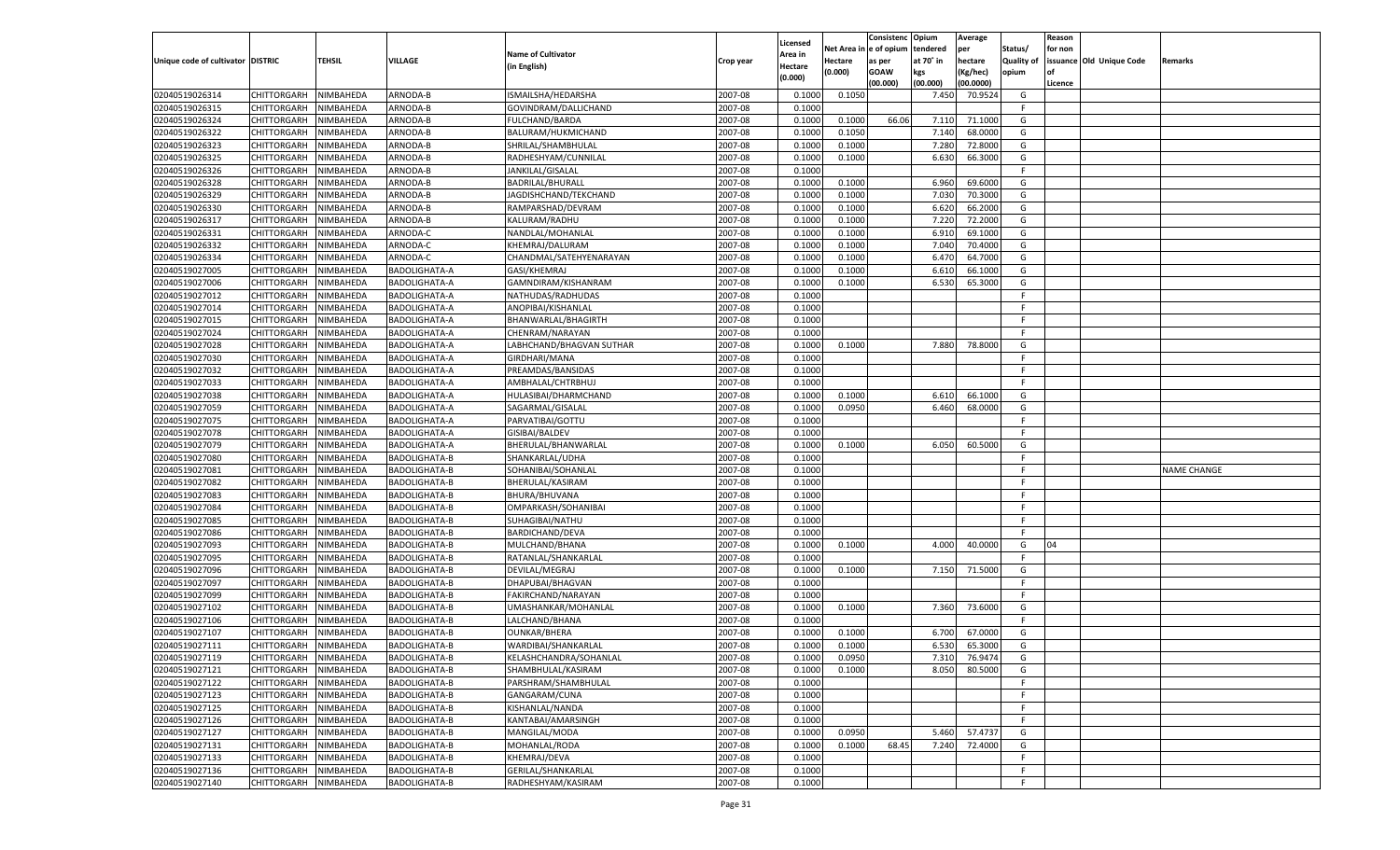|                                   |                                   |           |                      |                                       |           |                     |             | Consistenc    | Opium     | Average   |                   | Reason  |                          |                    |
|-----------------------------------|-----------------------------------|-----------|----------------------|---------------------------------------|-----------|---------------------|-------------|---------------|-----------|-----------|-------------------|---------|--------------------------|--------------------|
|                                   |                                   |           |                      | <b>Name of Cultivator</b>             |           | Licensed<br>Area in | Net Area iı | n  e of opium | tendered  | per       | Status/           | for non |                          |                    |
| Unique code of cultivator DISTRIC |                                   | TEHSIL    | <b>VILLAGE</b>       | (in English)                          | Crop year | Hectare             | Hectare     | as per        | at 70° in | hectare   | <b>Quality of</b> |         | issuance Old Unique Code | Remarks            |
|                                   |                                   |           |                      |                                       |           | (0.000)             | (0.000)     | <b>GOAW</b>   | kgs       | (Kg/hec)  | opium             |         |                          |                    |
|                                   |                                   |           |                      |                                       |           |                     |             | (00.000)      | (00.000)  | (00.0000) |                   | Licence |                          |                    |
| 02040519026314                    | CHITTORGARH                       | NIMBAHEDA | ARNODA-B             | ISMAILSHA/HEDARSHA                    | 2007-08   | 0.1000              | 0.1050      |               | 7.450     | 70.9524   | G                 |         |                          |                    |
| 02040519026315                    | CHITTORGARH                       | NIMBAHEDA | ARNODA-B             | GOVINDRAM/DALLICHAND                  | 2007-08   | 0.1000              |             |               |           |           | F.                |         |                          |                    |
| 02040519026324                    | CHITTORGARH                       | NIMBAHEDA | ARNODA-B             | FULCHAND/BARDA                        | 2007-08   | 0.1000              | 0.1000      | 66.06         | 7.11(     | 71.1000   | G                 |         |                          |                    |
| 02040519026322                    | CHITTORGARH                       | NIMBAHEDA | ARNODA-B             | BALURAM/HUKMICHAND                    | 2007-08   | 0.1000              | 0.1050      |               | 7.140     | 68.0000   | G                 |         |                          |                    |
| 02040519026323                    | CHITTORGARH                       | NIMBAHEDA | ARNODA-B             | SHRILAL/SHAMBHULAL                    | 2007-08   | 0.1000              | 0.1000      |               | 7.280     | 72.8000   | G                 |         |                          |                    |
| 02040519026325                    | CHITTORGARH                       | NIMBAHEDA | ARNODA-B             | RADHESHYAM/CUNNILAL                   | 2007-08   | 0.1000              | 0.1000      |               | 6.630     | 66.3000   | G                 |         |                          |                    |
| 02040519026326                    | CHITTORGARH                       | NIMBAHEDA | ARNODA-B             | JANKILAL/GISALAL                      | 2007-08   | 0.1000              |             |               |           |           | F.                |         |                          |                    |
| 02040519026328                    | CHITTORGARH                       | NIMBAHEDA | ARNODA-B             | BADRILAL/BHURALI                      | 2007-08   | 0.1000              | 0.1000      |               | 6.960     | 69.6000   | G                 |         |                          |                    |
| 02040519026329                    | CHITTORGARH                       | NIMBAHEDA | ARNODA-B             | JAGDISHCHAND/TEKCHAND                 | 2007-08   | 0.1000              | 0.1000      |               | 7.030     | 70.3000   | G                 |         |                          |                    |
| 02040519026330                    | CHITTORGARH                       | NIMBAHEDA | ARNODA-B             | RAMPARSHAD/DEVRAM                     | 2007-08   | 0.1000              | 0.1000      |               | 6.620     | 66.2000   | G                 |         |                          |                    |
| 02040519026317                    | CHITTORGARH                       | NIMBAHEDA | ARNODA-B             | KALURAM/RADHU                         | 2007-08   | 0.1000              | 0.1000      |               | 7.220     | 72.2000   | G                 |         |                          |                    |
| 02040519026331                    | CHITTORGARH                       | NIMBAHEDA | ARNODA-C             | NANDLAL/MOHANLAL                      | 2007-08   | 0.1000              | 0.1000      |               | 6.910     | 69.1000   | G                 |         |                          |                    |
| 02040519026332                    | CHITTORGARH                       | NIMBAHEDA | ARNODA-C             | KHEMRAJ/DALURAM                       | 2007-08   | 0.1000              | 0.1000      |               | 7.040     | 70.4000   | G                 |         |                          |                    |
| 02040519026334                    | CHITTORGARH                       | NIMBAHEDA | ARNODA-C             | CHANDMAL/SATEHYENARAYAN               | 2007-08   | 0.1000              | 0.1000      |               | 6.470     | 64.7000   | G                 |         |                          |                    |
| 02040519027005                    | CHITTORGARH                       | NIMBAHEDA | <b>BADOLIGHATA-A</b> | GASI/KHEMRAJ                          | 2007-08   | 0.1000              | 0.1000      |               | 6.610     | 66.1000   | G                 |         |                          |                    |
| 02040519027006                    | CHITTORGARH                       | NIMBAHEDA | BADOLIGHATA-A        | GAMNDIRAM/KISHANRAM                   | 2007-08   | 0.1000              | 0.1000      |               | 6.530     | 65.3000   | G                 |         |                          |                    |
| 02040519027012                    | CHITTORGARH                       | NIMBAHEDA | BADOLIGHATA-A        | NATHUDAS/RADHUDAS                     | 2007-08   | 0.1000              |             |               |           |           | F.                |         |                          |                    |
| 02040519027014                    | CHITTORGARH                       | NIMBAHEDA | BADOLIGHATA-A        | ANOPIBAI/KISHANLAL                    | 2007-08   | 0.1000              |             |               |           |           | F.                |         |                          |                    |
| 02040519027015                    | CHITTORGARH                       | NIMBAHEDA | <b>BADOLIGHATA-A</b> | BHANWARLAL/BHAGIRTH                   | 2007-08   | 0.1000              |             |               |           |           | F.                |         |                          |                    |
| 02040519027024                    | CHITTORGARH                       | NIMBAHEDA | BADOLIGHATA-A        | CHENRAM/NARAYAN                       | 2007-08   | 0.1000              |             |               |           |           | F.                |         |                          |                    |
| 02040519027028                    | CHITTORGARH                       | NIMBAHEDA | <b>BADOLIGHATA-A</b> | LABHCHAND/BHAGVAN SUTHAR              | 2007-08   | 0.1000              | 0.1000      |               | 7.880     | 78.8000   | G                 |         |                          |                    |
| 02040519027030                    | CHITTORGARH                       | NIMBAHEDA | BADOLIGHATA-A        | GIRDHARI/MANA                         | 2007-08   | 0.1000              |             |               |           |           | F.                |         |                          |                    |
| 02040519027032                    | CHITTORGARH                       | NIMBAHEDA | <b>BADOLIGHATA-A</b> | PREAMDAS/BANSIDAS                     | 2007-08   | 0.1000              |             |               |           |           | F.                |         |                          |                    |
| 02040519027033                    | CHITTORGARH                       | NIMBAHEDA | BADOLIGHATA-A        | AMBHALAL/CHTRBHUJ                     | 2007-08   | 0.1000              |             |               |           |           | F.                |         |                          |                    |
| 02040519027038                    | CHITTORGARH                       | NIMBAHEDA | <b>BADOLIGHATA-A</b> | HULASIBAI/DHARMCHAND                  | 2007-08   | 0.1000              | 0.1000      |               | 6.610     | 66.1000   | G                 |         |                          |                    |
| 02040519027059                    | CHITTORGARH                       | NIMBAHEDA | BADOLIGHATA-A        | SAGARMAL/GISALAL                      | 2007-08   | 0.1000              | 0.0950      |               | 6.460     | 68.0000   | G                 |         |                          |                    |
| 02040519027075                    | CHITTORGARH                       | NIMBAHEDA | <b>BADOLIGHATA-A</b> | PARVATIBAI/GOTTU                      | 2007-08   | 0.1000              |             |               |           |           | F.                |         |                          |                    |
| 02040519027078                    | CHITTORGARH                       | NIMBAHEDA | BADOLIGHATA-A        | GISIBAI/BALDEV                        | 2007-08   | 0.1000              |             |               |           |           | F.                |         |                          |                    |
| 02040519027079                    | CHITTORGARH                       | NIMBAHEDA | <b>BADOLIGHATA-A</b> | BHERULAL/BHANWARLAL                   | 2007-08   | 0.1000              | 0.1000      |               | 6.050     | 60.5000   | G                 |         |                          |                    |
| 02040519027080                    | CHITTORGARH                       | NIMBAHEDA | <b>BADOLIGHATA-B</b> | SHANKARLAL/UDHA                       | 2007-08   | 0.1000              |             |               |           |           | F.                |         |                          |                    |
| 02040519027081                    | CHITTORGARH                       | NIMBAHEDA | <b>BADOLIGHATA-B</b> | SOHANIBAI/SOHANLAI                    | 2007-08   | 0.1000              |             |               |           |           | F                 |         |                          | <b>NAME CHANGE</b> |
| 02040519027082                    | CHITTORGARH                       | NIMBAHEDA | <b>BADOLIGHATA-B</b> | BHERULAL/KASIRAM                      | 2007-08   | 0.1000              |             |               |           |           | F                 |         |                          |                    |
| 02040519027083                    | CHITTORGARH                       | NIMBAHEDA | <b>BADOLIGHATA-B</b> | BHURA/BHUVANA                         | 2007-08   | 0.1000              |             |               |           |           | F                 |         |                          |                    |
| 02040519027084                    | CHITTORGARH                       | NIMBAHEDA | <b>BADOLIGHATA-B</b> | OMPARKASH/SOHANIBAI                   | 2007-08   | 0.1000              |             |               |           |           | F.                |         |                          |                    |
| 02040519027085                    | CHITTORGARH                       | NIMBAHEDA | <b>BADOLIGHATA-B</b> | SUHAGIBAI/NATHU                       | 2007-08   | 0.1000              |             |               |           |           | E                 |         |                          |                    |
| 02040519027086                    | CHITTORGARH                       | NIMBAHEDA | <b>BADOLIGHATA-B</b> | BARDICHAND/DEVA                       | 2007-08   | 0.1000              |             |               |           |           | F                 |         |                          |                    |
| 02040519027093                    | CHITTORGARH                       | NIMBAHEDA | <b>BADOLIGHATA-B</b> | MULCHAND/BHANA                        | 2007-08   | 0.1000              | 0.1000      |               | 4.000     | 40.0000   | G                 | 04      |                          |                    |
| 02040519027095                    | CHITTORGARH                       | NIMBAHEDA | <b>BADOLIGHATA-B</b> | RATANLAL/SHANKARLAL                   | 2007-08   | 0.1000              |             |               |           |           | F                 |         |                          |                    |
| 02040519027096                    | CHITTORGARH                       | NIMBAHEDA | <b>BADOLIGHATA-B</b> | DEVILAL/MEGRAJ                        | 2007-08   | 0.1000              | 0.1000      |               | 7.150     | 71.5000   | G                 |         |                          |                    |
| 02040519027097                    | CHITTORGARH                       | NIMBAHEDA | <b>BADOLIGHATA-B</b> | DHAPUBAI/BHAGVAN                      | 2007-08   | 0.1000              |             |               |           |           | F                 |         |                          |                    |
| 02040519027099                    | CHITTORGARH                       | NIMBAHEDA | <b>BADOLIGHATA-B</b> | FAKIRCHAND/NARAYAN                    | 2007-08   | 0.1000              |             |               |           |           | F.                |         |                          |                    |
| 02040519027102                    | CHITTORGARH                       | NIMBAHEDA | <b>BADOLIGHATA-B</b> | UMASHANKAR/MOHANLAL                   | 2007-08   | 0.1000              | 0.1000      |               | 7.360     | 73.6000   | G                 |         |                          |                    |
| 02040519027106                    | CHITTORGARH                       | NIMBAHEDA | <b>BADOLIGHATA-B</b> | LALCHAND/BHANA                        | 2007-08   | 0.1000              |             |               |           |           | F.                |         |                          |                    |
| 02040519027107                    | CHITTORGARH                       | NIMBAHEDA | <b>BADOLIGHATA-B</b> | <b>OUNKAR/BHERA</b>                   | 2007-08   | 0.1000              | 0.1000      |               | 6.700     | 67.0000   | G                 |         |                          |                    |
| 02040519027111                    | CHITTORGARH                       | NIMBAHEDA | <b>BADOLIGHATA-B</b> | WARDIBAI/SHANKARLAL                   | 2007-08   | 0.1000              | 0.1000      |               | 6.530     | 65.3000   | G                 |         |                          |                    |
| 02040519027119                    | CHITTORGARH NIMBAHEDA             |           | BADOLIGHATA-B        | KELASHCHANDRA/SOHANLAL                | 2007-08   | 0.1000              | 0.0950      |               | 7.310     | 76.9474   | G                 |         |                          |                    |
| 02040519027121                    |                                   | NIMBAHEDA | BADOLIGHATA-B        | SHAMBHULAL/KASIRAM                    | 2007-08   | 0.1000              | 0.1000      |               | 8.050     | 80.5000   | G                 |         |                          |                    |
| 02040519027122                    | <b>CHITTORGARH</b><br>CHITTORGARH | NIMBAHEDA | <b>BADOLIGHATA-B</b> | PARSHRAM/SHAMBHULAL                   | 2007-08   | 0.1000              |             |               |           |           | F.                |         |                          |                    |
|                                   |                                   |           |                      |                                       |           |                     |             |               |           |           |                   |         |                          |                    |
| 02040519027123                    | CHITTORGARH                       | NIMBAHEDA | BADOLIGHATA-B        | GANGARAM/CUNA                         | 2007-08   | 0.1000              |             |               |           |           | F.<br>F.          |         |                          |                    |
| 02040519027125                    | CHITTORGARH                       | NIMBAHEDA | BADOLIGHATA-B        | KISHANLAL/NANDA<br>KANTABAI/AMARSINGH | 2007-08   | 0.1000              |             |               |           |           |                   |         |                          |                    |
| 02040519027126                    | CHITTORGARH                       | NIMBAHEDA | BADOLIGHATA-B        |                                       | 2007-08   | 0.1000              |             |               |           |           | F.                |         |                          |                    |
| 02040519027127                    | CHITTORGARH                       | NIMBAHEDA | BADOLIGHATA-B        | MANGILAL/MODA                         | 2007-08   | 0.1000              | 0.0950      |               | 5.460     | 57.4737   | G                 |         |                          |                    |
| 02040519027131                    | <b>CHITTORGARH</b>                | NIMBAHEDA | BADOLIGHATA-B        | MOHANLAL/RODA                         | 2007-08   | 0.1000              | 0.1000      | 68.45         | 7.240     | 72.4000   | G                 |         |                          |                    |
| 02040519027133                    | CHITTORGARH                       | NIMBAHEDA | BADOLIGHATA-B        | KHEMRAJ/DEVA                          | 2007-08   | 0.1000              |             |               |           |           | F.                |         |                          |                    |
| 02040519027136                    | <b>CHITTORGARH</b>                | NIMBAHEDA | BADOLIGHATA-B        | GERILAL/SHANKARLAL                    | 2007-08   | 0.1000              |             |               |           |           | F.                |         |                          |                    |
| 02040519027140                    | <b>CHITTORGARH</b>                | NIMBAHEDA | <b>BADOLIGHATA-B</b> | RADHESHYAM/KASIRAM                    | 2007-08   | 0.1000              |             |               |           |           | F.                |         |                          |                    |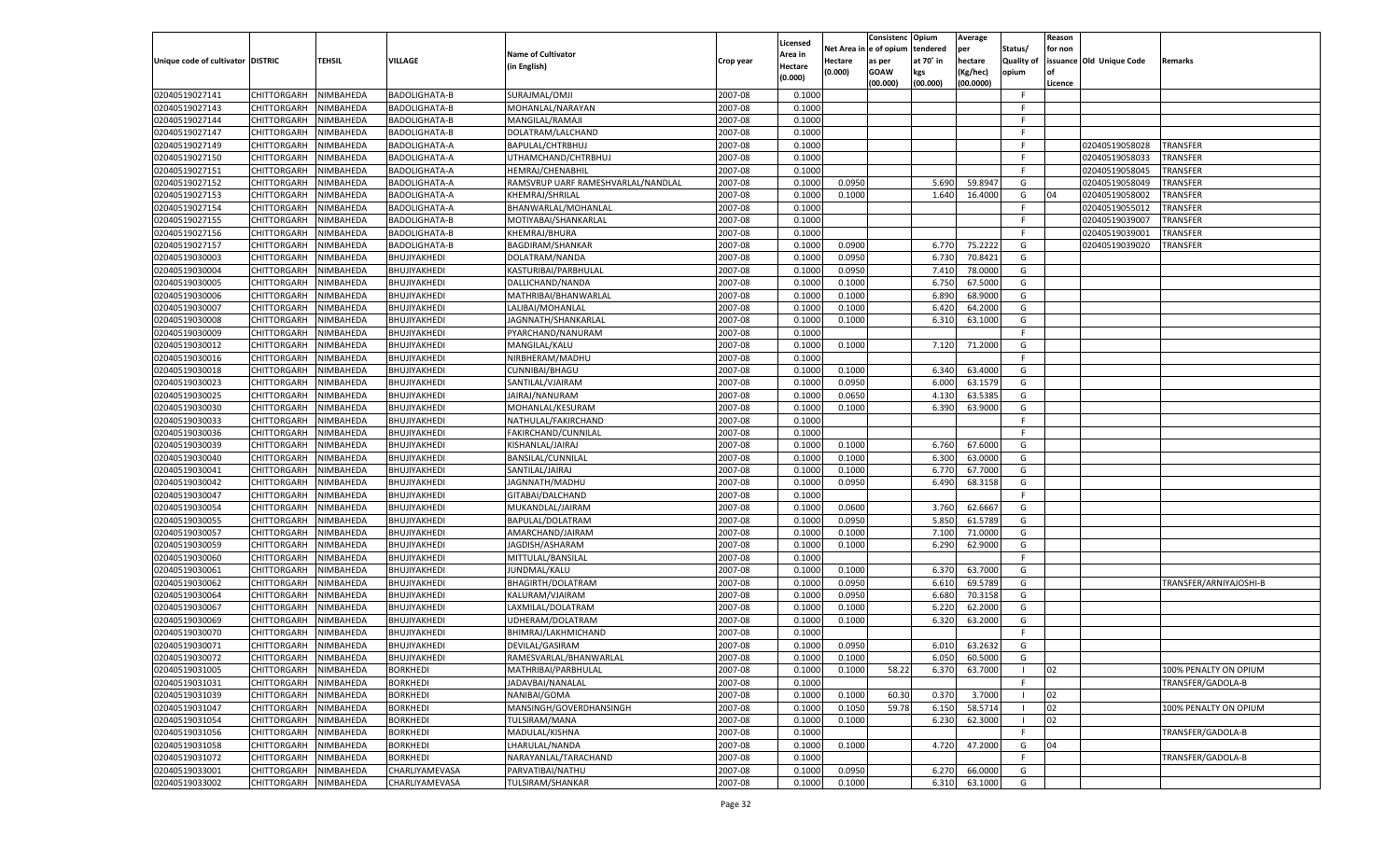|                                   |                    |               |                      |                                    |                    | Licensed         |                        | Consistenc  | Opium          | Average   |                   | Reason  |                          |                        |
|-----------------------------------|--------------------|---------------|----------------------|------------------------------------|--------------------|------------------|------------------------|-------------|----------------|-----------|-------------------|---------|--------------------------|------------------------|
|                                   |                    |               |                      | Name of Cultivator                 |                    | Area in          | Net Area in e of opium |             | tendered       | per       | Status/           | for non |                          |                        |
| Unique code of cultivator DISTRIC |                    | <b>TEHSIL</b> | VILLAGE              | (in English)                       | Crop year          | Hectare          | Hectare                | as per      | at 70° in      | hectare   | <b>Quality of</b> |         | issuance Old Unique Code | <b>Remarks</b>         |
|                                   |                    |               |                      |                                    |                    | (0.000)          | (0.000)                | <b>GOAW</b> | kgs            | (Kg/hec)  | opium             |         |                          |                        |
|                                   |                    |               |                      |                                    |                    |                  |                        | (00.000)    | (00.000)       | (00.0000) |                   | Licence |                          |                        |
| 02040519027141                    | <b>CHITTORGARH</b> | NIMBAHEDA     | <b>BADOLIGHATA-B</b> | SURAJMAL/OMJI                      | 2007-08            | 0.1000           |                        |             |                |           | - F               |         |                          |                        |
| 02040519027143                    | CHITTORGARH        | NIMBAHEDA     | <b>BADOLIGHATA-B</b> | MOHANLAL/NARAYAN                   | 2007-08            | 0.1000           |                        |             |                |           | F.                |         |                          |                        |
| 02040519027144                    | <b>CHITTORGARH</b> | NIMBAHEDA     | <b>BADOLIGHATA-B</b> | MANGILAL/RAMAJI                    | 2007-08            | 0.1000           |                        |             |                |           | F.                |         |                          |                        |
| 02040519027147                    | <b>CHITTORGARH</b> | NIMBAHEDA     | BADOLIGHATA-B        | DOLATRAM/LALCHAND                  | 2007-08            | 0.1000           |                        |             |                |           | F.                |         |                          |                        |
| 02040519027149                    | <b>CHITTORGARH</b> | NIMBAHEDA     | <b>BADOLIGHATA-A</b> | BAPULAL/CHTRBHUJ                   | 2007-08            | 0.1000           |                        |             |                |           | F.                |         | 02040519058028           | TRANSFER               |
| 02040519027150                    | CHITTORGARH        | NIMBAHEDA     | BADOLIGHATA-A        | UTHAMCHAND/CHTRBHUJ                | 2007-08            | 0.1000           |                        |             |                |           | -F                |         | 02040519058033           | TRANSFER               |
| 02040519027151                    | CHITTORGARH        | NIMBAHEDA     | <b>BADOLIGHATA-A</b> | <b>HEMRAJ/CHENABHIL</b>            | 2007-08            | 0.1000           |                        |             |                |           | F.                |         | 02040519058045           | TRANSFER               |
| 02040519027152                    | CHITTORGARH        | NIMBAHEDA     | <b>BADOLIGHATA-A</b> | RAMSVRUP UARF RAMESHVARLAL/NANDLAL | 2007-08            | 0.1000           | 0.0950                 |             | 5.690          | 59.8947   | G                 |         | 02040519058049           | TRANSFER               |
| 02040519027153                    | <b>CHITTORGARH</b> | NIMBAHEDA     | <b>BADOLIGHATA-A</b> | KHEMRAJ/SHRILAL                    | 2007-08            | 0.1000           | 0.1000                 |             | 1.640          | 16.4000   | G                 | 04      | 02040519058002           | TRANSFER               |
| 02040519027154                    | CHITTORGARH        | NIMBAHEDA     | BADOLIGHATA-A        | BHANWARLAL/MOHANLAL                | 2007-08            | 0.1000           |                        |             |                |           | F.                |         | 02040519055012           | TRANSFER               |
| 02040519027155                    | CHITTORGARH        | NIMBAHEDA     | <b>BADOLIGHATA-B</b> | MOTIYABAI/SHANKARLAL               | 2007-08            | 0.1000           |                        |             |                |           | F.                |         | 02040519039007           | TRANSFER               |
| 02040519027156                    | <b>CHITTORGARH</b> | NIMBAHEDA     | <b>BADOLIGHATA-B</b> | KHEMRAJ/BHURA                      | 2007-08            | 0.1000           |                        |             |                |           | F.                |         | 02040519039001           | TRANSFER               |
| 02040519027157                    | <b>CHITTORGARH</b> | NIMBAHEDA     | <b>BADOLIGHATA-B</b> | <b>BAGDIRAM/SHANKAR</b>            | 2007-08            | 0.1000           | 0.0900                 |             | 6.770          | 75.2222   | G                 |         | 02040519039020           | TRANSFER               |
| 02040519030003                    | CHITTORGARH        | NIMBAHEDA     | BHUJIYAKHEDI         | DOLATRAM/NANDA                     | 2007-08            | 0.1000           | 0.0950                 |             | 6.730          | 70.8421   | G                 |         |                          |                        |
| 02040519030004                    | CHITTORGARH        | NIMBAHEDA     | BHUJIYAKHEDI         | KASTURIBAI/PARBHULAL               | 2007-08            | 0.1000           | 0.0950                 |             | 7.410          | 78.0000   | G                 |         |                          |                        |
| 02040519030005                    | CHITTORGARH        | NIMBAHEDA     | BHUJIYAKHEDI         | DALLICHAND/NANDA                   | 2007-08            | 0.1000           | 0.1000                 |             | 6.750          | 67.5000   | G                 |         |                          |                        |
| 02040519030006                    | <b>CHITTORGARH</b> | NIMBAHEDA     | BHUJIYAKHEDI         | MATHRIBAI/BHANWARLAL               | 2007-08            | 0.1000           | 0.1000                 |             | 6.890          | 68.9000   | G                 |         |                          |                        |
| 02040519030007                    | CHITTORGARH        | NIMBAHEDA     | BHUJIYAKHEDI         | LALIBAI/MOHANLAL                   | 2007-08            | 0.1000           | 0.1000                 |             | 6.420          | 64.2000   | G                 |         |                          |                        |
| 02040519030008                    | CHITTORGARH        | NIMBAHEDA     | BHUJIYAKHEDI         | JAGNNATH/SHANKARLAL                | 2007-08            | 0.1000           | 0.1000                 |             | 6.310          | 63.1000   | G                 |         |                          |                        |
| 02040519030009                    | CHITTORGARH        | NIMBAHEDA     | BHUJIYAKHEDI         | PYARCHAND/NANURAM                  | 2007-08            | 0.1000           |                        |             |                |           | F.                |         |                          |                        |
| 02040519030012                    | <b>CHITTORGARH</b> | NIMBAHEDA     | BHUJIYAKHEDI         | MANGILAL/KALU                      | 2007-08            | 0.1000           | 0.1000                 |             | 7.120          | 71.2000   | G                 |         |                          |                        |
| 02040519030016                    | CHITTORGARH        | NIMBAHEDA     | BHUJIYAKHEDI         | NIRBHERAM/MADHU                    | 2007-08            | 0.1000           |                        |             |                |           | F.                |         |                          |                        |
| 02040519030018                    | CHITTORGARH        | NIMBAHEDA     | BHUJIYAKHEDI         | CUNNIBAI/BHAGU                     | 2007-08            | 0.1000           | 0.1000                 |             | 6.340          | 63.4000   | G                 |         |                          |                        |
| 02040519030023                    | CHITTORGARH        | NIMBAHEDA     | BHUJIYAKHEDI         | SANTILAL/VJAIRAM                   | 2007-08            | 0.1000           | 0.0950                 |             | 6.000          | 63.1579   | G                 |         |                          |                        |
| 02040519030025                    | <b>CHITTORGARH</b> | NIMBAHEDA     | BHUJIYAKHEDI         | JAIRAJ/NANURAM                     | 2007-08            | 0.1000           | 0.0650                 |             | 4.130          | 63.5385   | G                 |         |                          |                        |
| 02040519030030                    | CHITTORGARH        | NIMBAHEDA     | BHUJIYAKHEDI         | MOHANLAL/KESURAM                   | 2007-08            | 0.1000           | 0.1000                 |             | 6.390          | 63.9000   | G                 |         |                          |                        |
| 02040519030033                    | CHITTORGARH        | NIMBAHEDA     | BHUJIYAKHEDI         | NATHULAL/FAKIRCHAND                | 2007-08            | 0.1000           |                        |             |                |           | F.                |         |                          |                        |
| 02040519030036                    | CHITTORGARH        | NIMBAHEDA     | BHUJIYAKHEDI         | FAKIRCHAND/CUNNILAL                | 2007-08            | 0.1000           |                        |             |                |           | F.                |         |                          |                        |
| 02040519030039                    | <b>CHITTORGARH</b> | NIMBAHEDA     | BHUJIYAKHEDI         | KISHANLAL/JAIRAJ                   | 2007-08            | 0.1000           | 0.1000                 |             | 6.760          | 67.6000   | G                 |         |                          |                        |
| 02040519030040                    | CHITTORGARH        | NIMBAHEDA     | BHUJIYAKHEDI         | BANSILAL/CUNNILAL                  | 2007-08            | 0.1000           | 0.1000                 |             | 6.300          | 63.0000   | G                 |         |                          |                        |
| 02040519030041                    | <b>CHITTORGARH</b> | NIMBAHEDA     | BHUJIYAKHEDI         | SANTILAL/JAIRAJ                    | 2007-08            | 0.1000           | 0.1000                 |             | 6.770          | 67.7000   | G                 |         |                          |                        |
| 02040519030042                    | CHITTORGARH        | NIMBAHEDA     | BHUJIYAKHEDI         | JAGNNATH/MADHU                     | 2007-08            | 0.1000           | 0.0950                 |             | 6.490          | 68.3158   | G                 |         |                          |                        |
| 02040519030047                    | <b>CHITTORGARH</b> | NIMBAHEDA     | BHUJIYAKHEDI         | GITABAI/DALCHAND                   | 2007-08            | 0.1000           |                        |             |                |           | F                 |         |                          |                        |
| 02040519030054                    | CHITTORGARH        | NIMBAHEDA     | BHUJIYAKHEDI         | MUKANDLAL/JAIRAM                   | 2007-08            | 0.1000           | 0.0600                 |             | 3.760          | 62.6667   | G                 |         |                          |                        |
| 02040519030055                    | <b>CHITTORGARH</b> | NIMBAHEDA     | BHUJIYAKHEDI         | BAPULAL/DOLATRAM                   | 2007-08            | 0.1000           | 0.0950                 |             | 5.850          | 61.5789   | G                 |         |                          |                        |
| 02040519030057                    | CHITTORGARH        | NIMBAHEDA     | BHUJIYAKHEDI         | AMARCHAND/JAIRAM                   | 2007-08            | 0.1000           | 0.1000                 |             | 7.100          | 71.0000   | G                 |         |                          |                        |
| 02040519030059                    | CHITTORGARH        | NIMBAHEDA     | BHUJIYAKHEDI         | JAGDISH/ASHARAM                    | 2007-08            | 0.1000           | 0.1000                 |             | 6.290          | 62.9000   | G                 |         |                          |                        |
| 02040519030060                    | CHITTORGARH        | NIMBAHEDA     | BHUJIYAKHEDI         | MITTULAL/BANSILAL                  | 2007-08            | 0.1000           |                        |             |                |           | F.                |         |                          |                        |
| 02040519030061                    |                    |               |                      |                                    | 2007-08            |                  |                        |             |                | 63.7000   | G                 |         |                          |                        |
| 02040519030062                    | <b>CHITTORGARH</b> | NIMBAHEDA     | BHUJIYAKHEDI         | JUNDMAL/KALU                       |                    | 0.1000           | 0.1000                 |             | 6.370          |           |                   |         |                          |                        |
|                                   | CHITTORGARH        | NIMBAHEDA     | BHUJIYAKHEDI         | BHAGIRTH/DOLATRAM                  | 2007-08<br>2007-08 | 0.1000<br>0.1000 | 0.0950                 |             | 6.610<br>6.680 | 69.5789   | G<br>G            |         |                          | TRANSFER/ARNIYAJOSHI-B |
| 02040519030064                    | <b>CHITTORGARH</b> | NIMBAHEDA     | BHUJIYAKHEDI         | KALURAM/VJAIRAM                    |                    |                  | 0.0950                 |             |                | 70.3158   |                   |         |                          |                        |
| 02040519030067                    | CHITTORGARH        | NIMBAHEDA     | BHUJIYAKHEDI         | LAXMILAL/DOLATRAM                  | 2007-08            | 0.1000           | 0.1000                 |             | 6.220          | 62.2000   | G                 |         |                          |                        |
| 02040519030069                    | CHITTORGARH        | NIMBAHEDA     | BHUJIYAKHEDI         | UDHERAM/DOLATRAM                   | 2007-08            | 0.1000           | 0.1000                 |             | 6.320          | 63.2000   | G                 |         |                          |                        |
| 02040519030070                    | CHITTORGARH        | NIMBAHEDA     | BHUJIYAKHEDI         | BHIMRAJ/LAKHMICHAND                | 2007-08            | 0.1000           |                        |             |                |           | F.                |         |                          |                        |
| 02040519030071                    | CHITTORGARH        | NIMBAHEDA     | BHUJIYAKHEDI         | DEVILAL/GASIRAM                    | 2007-08            | 0.1000           | 0.0950                 |             | 6.010          | 63.2632   | G                 |         |                          |                        |
| 02040519030072                    | CHITTORGARH        | NIMBAHEDA     | BHUJIYAKHEDI         | RAMESVARLAL/BHANWARLAL             | 2007-08            | 0.1000           | 0.1000                 |             | 6.050          | 60.5000   | G                 |         |                          |                        |
| 02040519031005                    | CHITTORGARH        | NIMBAHEDA     | <b>BORKHEDI</b>      | MATHRIBAI/PARBHULAL                | 2007-08            | 0.1000           | 0.1000                 | 58.22       | 6.370          | 63.7000   | $\blacksquare$    | 02      |                          | 100% PENALTY ON OPIUM  |
| 02040519031031                    | <b>CHITTORGARH</b> | NIMBAHEDA     | <b>BORKHEDI</b>      | JADAVBAI/NANALAL                   | 2007-08            | 0.1000           |                        |             |                |           | -F                |         |                          | TRANSFER/GADOLA-B      |
| 02040519031039                    | <b>CHITTORGARH</b> | NIMBAHEDA     | <b>BORKHEDI</b>      | NANIBAI/GOMA                       | 2007-08            | 0.1000           | 0.1000                 | 60.30       | 0.370          | 3.7000    |                   | 02      |                          |                        |
| 02040519031047                    | <b>CHITTORGARH</b> | NIMBAHEDA     | <b>BORKHEDI</b>      | MANSINGH/GOVERDHANSINGH            | 2007-08            | 0.1000           | 0.1050                 | 59.78       | 6.150          | 58.5714   |                   | 02      |                          | 100% PENALTY ON OPIUM  |
| 02040519031054                    | <b>CHITTORGARH</b> | NIMBAHEDA     | <b>BORKHEDI</b>      | TULSIRAM/MANA                      | 2007-08            | 0.1000           | 0.1000                 |             | 6.230          | 62.3000   | - 1               | 02      |                          |                        |
| 02040519031056                    | <b>CHITTORGARH</b> | NIMBAHEDA     | <b>BORKHEDI</b>      | MADULAL/KISHNA                     | 2007-08            | 0.1000           |                        |             |                |           | -F                |         |                          | TRANSFER/GADOLA-B      |
| 02040519031058                    | <b>CHITTORGARH</b> | NIMBAHEDA     | <b>BORKHEDI</b>      | LHARULAL/NANDA                     | 2007-08            | 0.1000           | 0.1000                 |             | 4.720          | 47.2000   | G                 | 04      |                          |                        |
| 02040519031072                    | <b>CHITTORGARH</b> | NIMBAHEDA     | <b>BORKHEDI</b>      | NARAYANLAL/TARACHAND               | 2007-08            | 0.1000           |                        |             |                |           | E                 |         |                          | TRANSFER/GADOLA-B      |
| 02040519033001                    | <b>CHITTORGARH</b> | NIMBAHEDA     | CHARLIYAMEVASA       | PARVATIBAI/NATHU                   | 2007-08            | 0.1000           | 0.0950                 |             | 6.270          | 66.0000   | G                 |         |                          |                        |
| 02040519033002                    | <b>CHITTORGARH</b> | NIMBAHEDA     | CHARLIYAMEVASA       | TULSIRAM/SHANKAR                   | 2007-08            | 0.1000           | 0.1000                 |             | 6.310          | 63.1000   | G                 |         |                          |                        |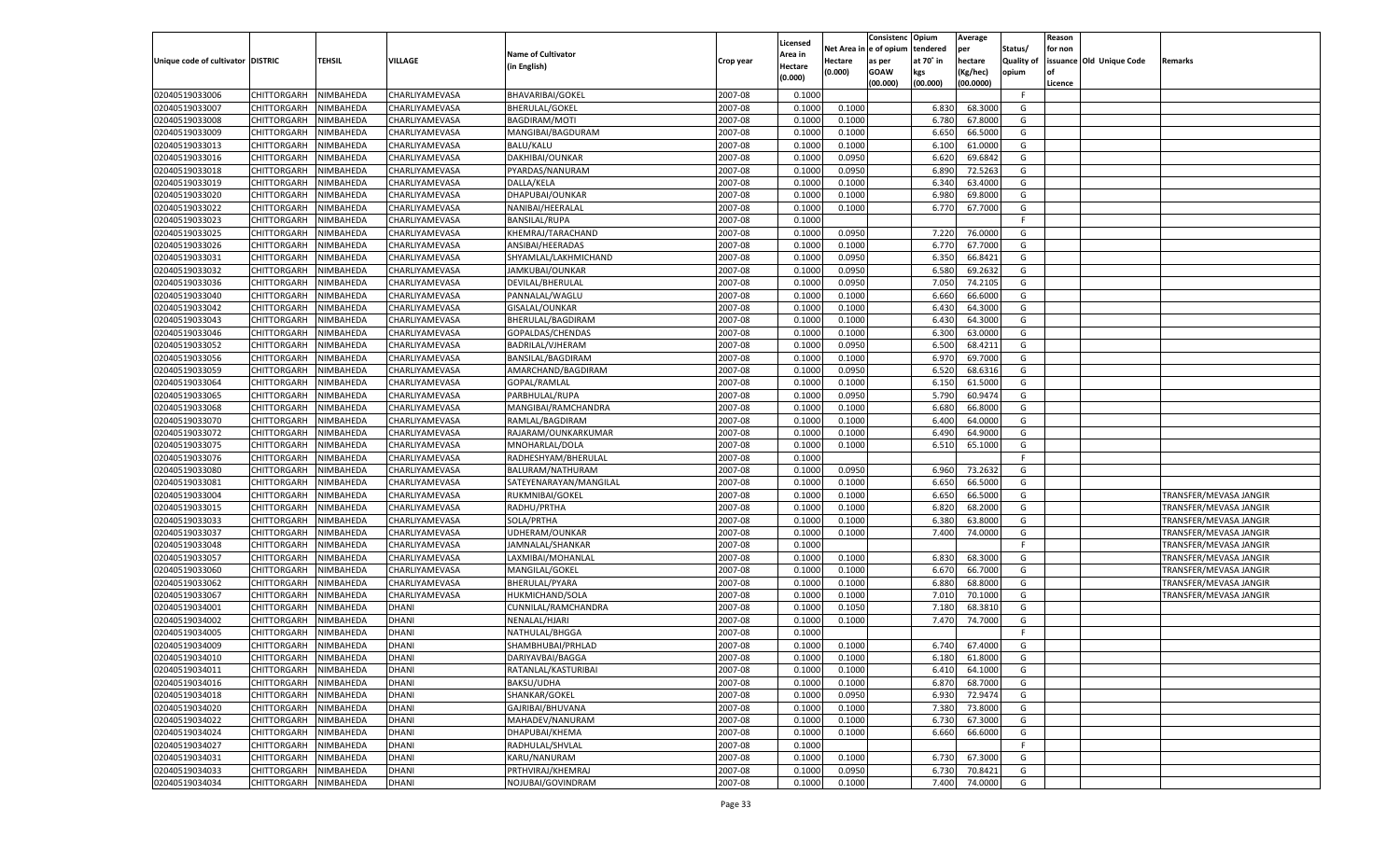|                                   |                       |                        |                                  |                                               |           | Licensed |                        | Consistenc  | Opium     | Average            |                   | Reason  |                          |                        |
|-----------------------------------|-----------------------|------------------------|----------------------------------|-----------------------------------------------|-----------|----------|------------------------|-------------|-----------|--------------------|-------------------|---------|--------------------------|------------------------|
|                                   |                       |                        |                                  | <b>Name of Cultivator</b>                     |           | Area in  | Net Area in e of opium |             | tendered  | per                | Status/           | for non |                          |                        |
| Unique code of cultivator DISTRIC |                       | <b>TEHSIL</b>          | <b>VILLAGE</b>                   | (in English)                                  | Crop year | Hectare  | Hectare                | as per      | at 70° in | hectare            | <b>Quality of</b> |         | issuance Old Unique Code | Remarks                |
|                                   |                       |                        |                                  |                                               |           | (0.000)  | (0.000)                | <b>GOAW</b> | kgs       | (Kg/hec)           | opium             |         |                          |                        |
| 02040519033006                    | CHITTORGARH           |                        | CHARLIYAMEVASA                   | <b>BHAVARIBAI/GOKEL</b>                       | 2007-08   | 0.1000   |                        | (00.000)    | (00.000)  | (00.0000)          | F.                | Licence |                          |                        |
| 02040519033007                    | CHITTORGARH           | NIMBAHEDA              |                                  |                                               | 2007-08   | 0.1000   |                        |             | 6.830     |                    | G                 |         |                          |                        |
| 02040519033008                    | <b>CHITTORGARH</b>    | NIMBAHEDA<br>NIMBAHEDA | CHARLIYAMEVASA<br>CHARLIYAMEVASA | <b>BHERULAL/GOKEL</b><br><b>BAGDIRAM/MOTI</b> | 2007-08   | 0.1000   | 0.1000<br>0.1000       |             | 6.780     | 68.3000<br>67.8000 | G                 |         |                          |                        |
| 02040519033009                    |                       |                        | CHARLIYAMEVASA                   | MANGIBAI/BAGDURAM                             | 2007-08   | 0.1000   |                        |             | 6.650     | 66.5000            | G                 |         |                          |                        |
|                                   | CHITTORGARH           | NIMBAHEDA              |                                  |                                               |           |          | 0.1000                 |             |           |                    |                   |         |                          |                        |
| 02040519033013                    | CHITTORGARH           | NIMBAHEDA              | CHARLIYAMEVASA                   | BALU/KALU                                     | 2007-08   | 0.1000   | 0.1000                 |             | 6.100     | 61.0000            | G                 |         |                          |                        |
| 02040519033016                    | CHITTORGARH           | NIMBAHEDA              | CHARLIYAMEVASA                   | DAKHIBAI/OUNKAR                               | 2007-08   | 0.1000   | 0.0950                 |             | 6.620     | 69.6842            | G                 |         |                          |                        |
| 02040519033018                    | <b>CHITTORGARH</b>    | NIMBAHEDA              | CHARLIYAMEVASA                   | PYARDAS/NANURAM                               | 2007-08   | 0.1000   | 0.0950                 |             | 6.890     | 72.5263            | G                 |         |                          |                        |
| 02040519033019                    | CHITTORGARH           | NIMBAHEDA              | CHARLIYAMEVASA                   | DALLA/KELA                                    | 2007-08   | 0.1000   | 0.1000                 |             | 6.340     | 63.4000            | G                 |         |                          |                        |
| 02040519033020                    | CHITTORGARH           | NIMBAHEDA              | CHARLIYAMEVASA                   | DHAPUBAI/OUNKAR                               | 2007-08   | 0.1000   | 0.1000                 |             | 6.980     | 69.8000            | G                 |         |                          |                        |
| 02040519033022                    | CHITTORGARH           | NIMBAHEDA              | CHARLIYAMEVASA                   | NANIBAI/HEERALAL                              | 2007-08   | 0.1000   | 0.1000                 |             | 6.770     | 67.7000            | G                 |         |                          |                        |
| 02040519033023                    | <b>CHITTORGARH</b>    | NIMBAHEDA              | CHARLIYAMEVASA                   | <b>BANSILAL/RUPA</b>                          | 2007-08   | 0.1000   |                        |             |           |                    | F.                |         |                          |                        |
| 02040519033025                    | CHITTORGARH           | NIMBAHEDA              | CHARLIYAMEVASA                   | KHEMRAJ/TARACHAND                             | 2007-08   | 0.1000   | 0.0950                 |             | 7.220     | 76.0000            | G                 |         |                          |                        |
| 02040519033026                    | CHITTORGARH           | NIMBAHEDA              | CHARLIYAMEVASA                   | ANSIBAI/HEERADAS                              | 2007-08   | 0.1000   | 0.1000                 |             | 6.770     | 67.7000            | G                 |         |                          |                        |
| 02040519033031                    | CHITTORGARH           | NIMBAHEDA              | CHARLIYAMEVASA                   | SHYAMLAL/LAKHMICHAND                          | 2007-08   | 0.1000   | 0.0950                 |             | 6.350     | 66.8421            | G                 |         |                          |                        |
| 02040519033032                    | CHITTORGARH           | NIMBAHEDA              | CHARLIYAMEVASA                   | JAMKUBAI/OUNKAR                               | 2007-08   | 0.1000   | 0.0950                 |             | 6.580     | 69.2632            | G                 |         |                          |                        |
| 02040519033036                    | CHITTORGARH           | NIMBAHEDA              | CHARLIYAMEVASA                   | DEVILAL/BHERULAL                              | 2007-08   | 0.1000   | 0.0950                 |             | 7.050     | 74.2105            | G                 |         |                          |                        |
| 02040519033040                    | CHITTORGARH           | NIMBAHEDA              | CHARLIYAMEVASA                   | PANNALAL/WAGLU                                | 2007-08   | 0.1000   | 0.1000                 |             | 6.660     | 66.6000            | G                 |         |                          |                        |
| 02040519033042                    | CHITTORGARH           | NIMBAHEDA              | CHARLIYAMEVASA                   | GISALAL/OUNKAR                                | 2007-08   | 0.1000   | 0.1000                 |             | 6.430     | 64.3000            | G                 |         |                          |                        |
| 02040519033043                    | CHITTORGARH           | NIMBAHEDA              | CHARLIYAMEVASA                   | BHERULAL/BAGDIRAM                             | 2007-08   | 0.1000   | 0.1000                 |             | 6.430     | 64.3000            | G                 |         |                          |                        |
| 02040519033046                    | CHITTORGARH           | NIMBAHEDA              | CHARLIYAMEVASA                   | GOPALDAS/CHENDAS                              | 2007-08   | 0.1000   | 0.1000                 |             | 6.300     | 63.0000            | G                 |         |                          |                        |
| 02040519033052                    | CHITTORGARH           | NIMBAHEDA              | CHARLIYAMEVASA                   | BADRILAL/VJHERAM                              | 2007-08   | 0.1000   | 0.0950                 |             | 6.500     | 68.4211            | G                 |         |                          |                        |
| 02040519033056                    | CHITTORGARH           | NIMBAHEDA              | CHARLIYAMEVASA                   | <b>BANSILAL/BAGDIRAM</b>                      | 2007-08   | 0.1000   | 0.1000                 |             | 6.970     | 69.7000            | G                 |         |                          |                        |
| 02040519033059                    | CHITTORGARH           | NIMBAHEDA              | CHARLIYAMEVASA                   | AMARCHAND/BAGDIRAM                            | 2007-08   | 0.1000   | 0.0950                 |             | 6.520     | 68.6316            | G                 |         |                          |                        |
| 02040519033064                    | CHITTORGARH           | NIMBAHEDA              | CHARLIYAMEVASA                   | GOPAL/RAMLAL                                  | 2007-08   | 0.1000   | 0.1000                 |             | 6.150     | 61.5000            | G                 |         |                          |                        |
| 02040519033065                    | CHITTORGARH           | NIMBAHEDA              | CHARLIYAMEVASA                   | PARBHULAL/RUPA                                | 2007-08   | 0.1000   | 0.0950                 |             | 5.790     | 60.9474            | G                 |         |                          |                        |
| 02040519033068                    | CHITTORGARH           | NIMBAHEDA              | CHARLIYAMEVASA                   | MANGIBAI/RAMCHANDRA                           | 2007-08   | 0.1000   | 0.1000                 |             | 6.680     | 66.8000            | G                 |         |                          |                        |
| 02040519033070                    | CHITTORGARH           | NIMBAHEDA              | CHARLIYAMEVASA                   | RAMLAL/BAGDIRAM                               | 2007-08   | 0.1000   | 0.1000                 |             | 6.400     | 64.0000            | G                 |         |                          |                        |
| 02040519033072                    | CHITTORGARH           | NIMBAHEDA              | CHARLIYAMEVASA                   | RAJARAM/OUNKARKUMAR                           | 2007-08   | 0.1000   | 0.1000                 |             | 6.490     | 64.9000            | G                 |         |                          |                        |
| 02040519033075                    | CHITTORGARH           | NIMBAHEDA              | CHARLIYAMEVASA                   | MNOHARLAL/DOLA                                | 2007-08   | 0.1000   | 0.1000                 |             | 6.510     | 65.1000            | G                 |         |                          |                        |
| 02040519033076                    | CHITTORGARH           | NIMBAHEDA              | CHARLIYAMEVASA                   | RADHESHYAM/BHERULAL                           | 2007-08   | 0.1000   |                        |             |           |                    | F.                |         |                          |                        |
| 02040519033080                    | CHITTORGARH           | NIMBAHEDA              | CHARLIYAMEVASA                   | BALURAM/NATHURAM                              | 2007-08   | 0.1000   | 0.0950                 |             | 6.960     | 73.2632            | G                 |         |                          |                        |
| 02040519033081                    | CHITTORGARH           | NIMBAHEDA              | CHARLIYAMEVASA                   | SATEYENARAYAN/MANGILAL                        | 2007-08   | 0.1000   | 0.1000                 |             | 6.650     | 66.5000            | G                 |         |                          |                        |
| 02040519033004                    | CHITTORGARH           | NIMBAHEDA              | CHARLIYAMEVASA                   | RUKMNIBAI/GOKEL                               | 2007-08   | 0.1000   | 0.1000                 |             | 6.650     | 66.5000            | G                 |         |                          | TRANSFER/MEVASA JANGIR |
| 02040519033015                    | CHITTORGARH           | NIMBAHEDA              | CHARLIYAMEVASA                   | RADHU/PRTHA                                   | 2007-08   | 0.1000   | 0.1000                 |             | 6.820     | 68.2000            | G                 |         |                          | TRANSFER/MEVASA JANGIR |
| 02040519033033                    | CHITTORGARH           | NIMBAHEDA              | CHARLIYAMEVASA                   | SOLA/PRTHA                                    | 2007-08   | 0.1000   | 0.1000                 |             | 6.380     | 63.8000            | G                 |         |                          | TRANSFER/MEVASA JANGIR |
| 02040519033037                    | CHITTORGARH           | NIMBAHEDA              | CHARLIYAMEVASA                   | UDHERAM/OUNKAR                                | 2007-08   | 0.1000   | 0.1000                 |             | 7.400     | 74.0000            | G                 |         |                          | TRANSFER/MEVASA JANGIR |
| 02040519033048                    | CHITTORGARH           | NIMBAHEDA              | CHARLIYAMEVASA                   | JAMNALAL/SHANKAR                              | 2007-08   | 0.1000   |                        |             |           |                    | F.                |         |                          | TRANSFER/MEVASA JANGIR |
| 02040519033057                    | CHITTORGARH           | NIMBAHEDA              | CHARLIYAMEVASA                   | LAXMIBAI/MOHANLAL                             | 2007-08   | 0.1000   | 0.1000                 |             | 6.830     | 68.3000            | G                 |         |                          | TRANSFER/MEVASA JANGIR |
| 02040519033060                    | <b>CHITTORGARH</b>    | NIMBAHEDA              | CHARLIYAMEVASA                   | MANGILAL/GOKEL                                | 2007-08   | 0.1000   | 0.1000                 |             | 6.670     | 66.7000            | G                 |         |                          | TRANSFER/MEVASA JANGIR |
| 02040519033062                    | CHITTORGARH           | NIMBAHEDA              | CHARLIYAMEVASA                   | BHERULAL/PYARA                                | 2007-08   | 0.1000   | 0.1000                 |             | 6.880     | 68.8000            | G                 |         |                          | TRANSFER/MEVASA JANGIR |
| 02040519033067                    | CHITTORGARH           | NIMBAHEDA              | CHARLIYAMEVASA                   | HUKMICHAND/SOLA                               | 2007-08   | 0.1000   | 0.1000                 |             | 7.010     | 70.1000            | G                 |         |                          | TRANSFER/MEVASA JANGIR |
| 02040519034001                    | CHITTORGARH           | NIMBAHEDA              | <b>DHANI</b>                     | CUNNILAL/RAMCHANDRA                           | 2007-08   | 0.1000   | 0.1050                 |             | 7.180     | 68.3810            | G                 |         |                          |                        |
| 02040519034002                    | <b>CHITTORGARH</b>    | NIMBAHEDA              | <b>DHANI</b>                     | NENALAL/HJARI                                 | 2007-08   | 0.1000   | 0.1000                 |             | 7.470     | 74.7000            | G                 |         |                          |                        |
| 02040519034005                    | CHITTORGARH           | NIMBAHEDA              | <b>DHANI</b>                     | NATHULAL/BHGGA                                | 2007-08   | 0.1000   |                        |             |           |                    | F.                |         |                          |                        |
| 02040519034009                    | CHITTORGARH           | NIMBAHEDA              | <b>DHANI</b>                     | SHAMBHUBAI/PRHLAD                             | 2007-08   | 0.1000   | 0.1000                 |             | 6.740     | 67.4000            | G                 |         |                          |                        |
| 02040519034010                    | CHITTORGARH NIMBAHEDA |                        | <b>DHANI</b>                     | DARIYAVBAI/BAGGA                              | 2007-08   | 0.1000   | 0.1000                 |             | 6.180     | 61.8000            | G                 |         |                          |                        |
| 02040519034011                    | CHITTORGARH           | NIMBAHEDA              | <b>DHANI</b>                     | RATANLAL/KASTURIBAI                           | 2007-08   | 0.1000   | 0.1000                 |             | 6.410     | 64.1000            | G                 |         |                          |                        |
| 02040519034016                    | <b>CHITTORGARH</b>    | NIMBAHEDA              | <b>DHANI</b>                     | BAKSU/UDHA                                    | 2007-08   | 0.1000   | 0.1000                 |             | 6.870     | 68.7000            | G                 |         |                          |                        |
| 02040519034018                    | <b>CHITTORGARH</b>    | <b>NIMBAHEDA</b>       | <b>DHANI</b>                     | SHANKAR/GOKEL                                 | 2007-08   | 0.1000   | 0.0950                 |             | 6.930     | 72.9474            | G                 |         |                          |                        |
| 02040519034020                    | <b>CHITTORGARH</b>    | NIMBAHEDA              | <b>DHANI</b>                     | GAJRIBAI/BHUVANA                              | 2007-08   | 0.1000   | 0.1000                 |             | 7.380     | 73.8000            | G                 |         |                          |                        |
| 02040519034022                    | <b>CHITTORGARH</b>    | NIMBAHEDA              | <b>DHANI</b>                     | MAHADEV/NANURAM                               | 2007-08   | 0.1000   | 0.1000                 |             | 6.730     | 67.3000            | G                 |         |                          |                        |
| 02040519034024                    | <b>CHITTORGARH</b>    | NIMBAHEDA              | <b>DHANI</b>                     | DHAPUBAI/KHEMA                                | 2007-08   | 0.1000   | 0.1000                 |             | 6.660     | 66.6000            | G                 |         |                          |                        |
| 02040519034027                    | <b>CHITTORGARH</b>    | NIMBAHEDA              | <b>DHANI</b>                     | RADHULAL/SHVLAL                               | 2007-08   | 0.1000   |                        |             |           |                    | F.                |         |                          |                        |
| 02040519034031                    | <b>CHITTORGARH</b>    | NIMBAHEDA              | <b>DHANI</b>                     | KARU/NANURAM                                  | 2007-08   | 0.1000   | 0.1000                 |             | 6.730     | 67.3000            | G                 |         |                          |                        |
| 02040519034033                    | <b>CHITTORGARH</b>    | NIMBAHEDA              | <b>DHANI</b>                     | PRTHVIRAJ/KHEMRAJ                             | 2007-08   | 0.1000   | 0.0950                 |             | 6.730     | 70.8421            | G                 |         |                          |                        |
|                                   |                       |                        | <b>DHANI</b>                     | NOJUBAI/GOVINDRAM                             |           |          |                        |             |           |                    | G                 |         |                          |                        |
| 02040519034034                    | <b>CHITTORGARH</b>    | NIMBAHEDA              |                                  |                                               | 2007-08   | 0.1000   | 0.1000                 |             | 7.400     | 74.0000            |                   |         |                          |                        |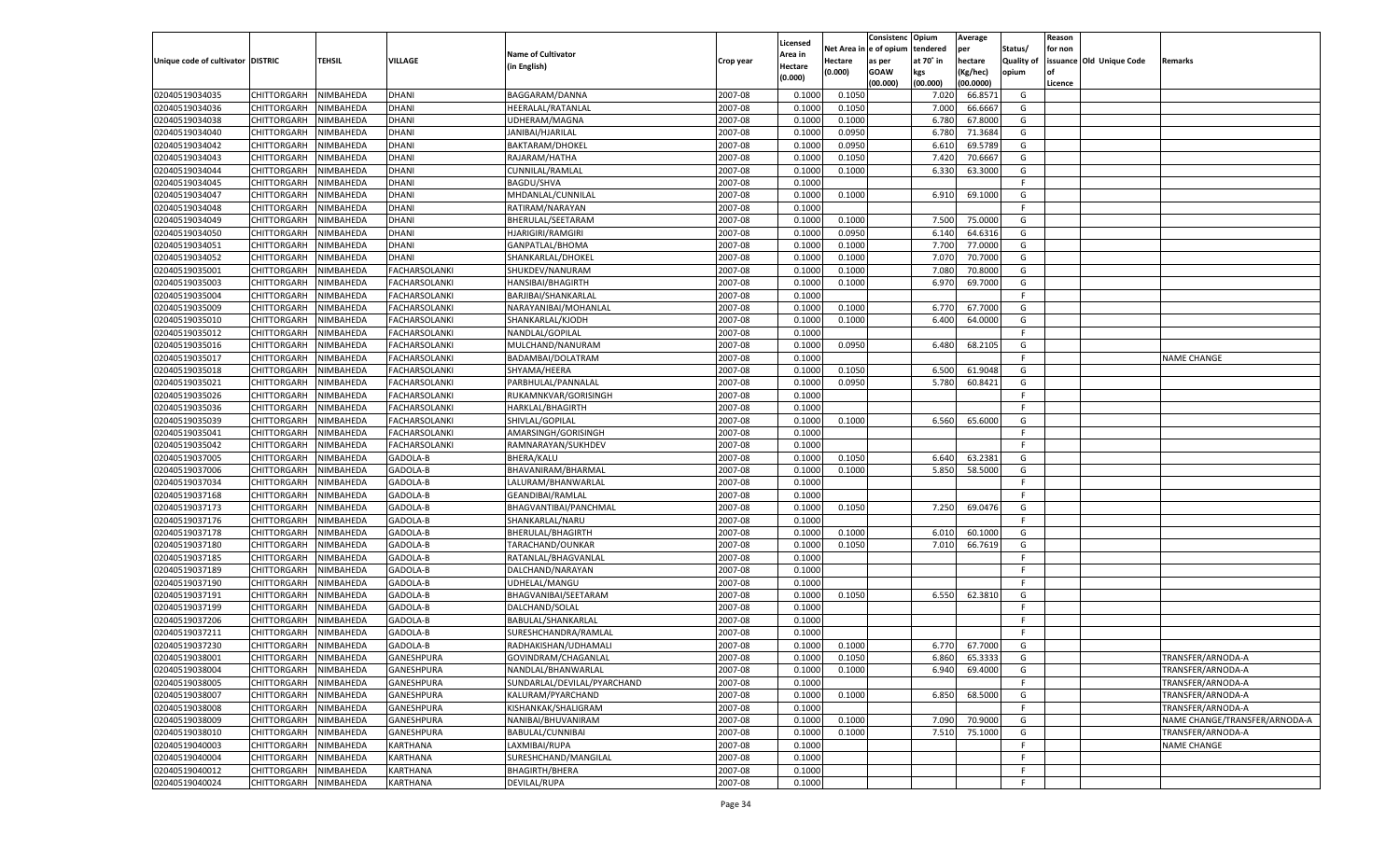|                                   |                       |           |                   |                             |           |                    |             | Consistenc    | Opium     | Average   |                   | Reason  |                          |                               |
|-----------------------------------|-----------------------|-----------|-------------------|-----------------------------|-----------|--------------------|-------------|---------------|-----------|-----------|-------------------|---------|--------------------------|-------------------------------|
|                                   |                       |           |                   |                             |           | Licensed           | Net Area iı | n  e of opium | tendered  | per       | Status/           | for non |                          |                               |
| Unique code of cultivator DISTRIC |                       | TEHSIL    | <b>VILLAGE</b>    | <b>Name of Cultivator</b>   | Crop year | Area in            | Hectare     | as per        | at 70° in | hectare   | <b>Quality of</b> |         | issuance Old Unique Code | Remarks                       |
|                                   |                       |           |                   | (in English)                |           | Hectare<br>(0.000) | (0.000)     | <b>GOAW</b>   | kgs       | (Kg/hec)  | opium             |         |                          |                               |
|                                   |                       |           |                   |                             |           |                    |             | (00.000)      | (00.000)  | (00.0000) |                   | Licence |                          |                               |
| 02040519034035                    | CHITTORGARH           | NIMBAHEDA | <b>DHANI</b>      | BAGGARAM/DANNA              | 2007-08   | 0.1000             | 0.1050      |               | 7.020     | 66.8571   | G                 |         |                          |                               |
| 02040519034036                    | CHITTORGARH           | NIMBAHEDA | <b>DHANI</b>      | HEERALAL/RATANLAL           | 2007-08   | 0.1000             | 0.1050      |               | 7.000     | 66.6667   | G                 |         |                          |                               |
| 02040519034038                    | CHITTORGARH           | NIMBAHEDA | DHANI             | UDHERAM/MAGNA               | 2007-08   | 0.1000             | 0.1000      |               | 6.780     | 67.8000   | G                 |         |                          |                               |
| 02040519034040                    | CHITTORGARH           | NIMBAHEDA | <b>DHANI</b>      | JANIBAI/HJARILAL            | 2007-08   | 0.1000             | 0.0950      |               | 6.780     | 71.3684   | G                 |         |                          |                               |
| 02040519034042                    | CHITTORGARH           | NIMBAHEDA | DHANI             | <b>BAKTARAM/DHOKEL</b>      | 2007-08   | 0.1000             | 0.0950      |               | 6.610     | 69.5789   | G                 |         |                          |                               |
| 02040519034043                    | CHITTORGARH           | NIMBAHEDA | <b>DHANI</b>      | RAJARAM/HATHA               | 2007-08   | 0.1000             | 0.1050      |               | 7.420     | 70.6667   | G                 |         |                          |                               |
| 02040519034044                    | CHITTORGARH           | NIMBAHEDA | <b>DHANI</b>      | CUNNILAL/RAMLAL             | 2007-08   | 0.1000             | 0.1000      |               | 6.330     | 63.3000   | G                 |         |                          |                               |
| 02040519034045                    | CHITTORGARH           | NIMBAHEDA | <b>DHANI</b>      | <b>BAGDU/SHVA</b>           | 2007-08   | 0.1000             |             |               |           |           | E                 |         |                          |                               |
| 02040519034047                    | CHITTORGARH           | NIMBAHEDA | <b>DHANI</b>      | MHDANLAL/CUNNILAL           | 2007-08   | 0.1000             | 0.1000      |               | 6.910     | 69.1000   | G                 |         |                          |                               |
| 02040519034048                    | CHITTORGARH           | NIMBAHEDA | <b>DHANI</b>      | RATIRAM/NARAYAN             | 2007-08   | 0.1000             |             |               |           |           | E                 |         |                          |                               |
| 02040519034049                    | CHITTORGARH           | NIMBAHEDA | <b>DHANI</b>      | BHERULAL/SEETARAM           | 2007-08   | 0.1000             | 0.1000      |               | 7.500     | 75.0000   | G                 |         |                          |                               |
| 02040519034050                    | CHITTORGARH           | NIMBAHEDA | <b>DHANI</b>      | <b>HJARIGIRI/RAMGIRI</b>    | 2007-08   | 0.1000             | 0.0950      |               | 6.140     | 64.6316   | G                 |         |                          |                               |
| 02040519034051                    | CHITTORGARH           | NIMBAHEDA | <b>DHANI</b>      | GANPATLAL/BHOMA             | 2007-08   | 0.1000             | 0.1000      |               | 7.700     | 77.0000   | G                 |         |                          |                               |
| 02040519034052                    | CHITTORGARH           | NIMBAHEDA | <b>DHANI</b>      | SHANKARLAL/DHOKEL           | 2007-08   | 0.1000             | 0.1000      |               | 7.070     | 70.7000   | G                 |         |                          |                               |
| 02040519035001                    | CHITTORGARH           | NIMBAHEDA | FACHARSOLANKI     | SHUKDEV/NANURAM             | 2007-08   | 0.1000             | 0.1000      |               | 7.080     | 70.8000   | G                 |         |                          |                               |
| 02040519035003                    | CHITTORGARH           | NIMBAHEDA | FACHARSOLANKI     | <b>HANSIBAI/BHAGIRTH</b>    | 2007-08   | 0.1000             | 0.1000      |               | 6.970     | 69.7000   | G                 |         |                          |                               |
| 02040519035004                    | CHITTORGARH           | NIMBAHEDA | FACHARSOLANKI     | BARJIBAI/SHANKARLAL         | 2007-08   | 0.1000             |             |               |           |           | F                 |         |                          |                               |
| 02040519035009                    | CHITTORGARH           | NIMBAHEDA | FACHARSOLANKI     | NARAYANIBAI/MOHANLAL        | 2007-08   | 0.1000             | 0.1000      |               | 6.770     | 67.7000   | G                 |         |                          |                               |
| 02040519035010                    | CHITTORGARH           | NIMBAHEDA | FACHARSOLANKI     | SHANKARLAL/KJODH            | 2007-08   | 0.1000             | 0.1000      |               | 6.400     | 64.0000   | G                 |         |                          |                               |
| 02040519035012                    | CHITTORGARH           | NIMBAHEDA | FACHARSOLANKI     | NANDLAL/GOPILAL             | 2007-08   | 0.1000             |             |               |           |           | F.                |         |                          |                               |
| 02040519035016                    | CHITTORGARH           | NIMBAHEDA | FACHARSOLANKI     | MULCHAND/NANURAM            | 2007-08   | 0.1000             | 0.0950      |               | 6.480     | 68.2105   | G                 |         |                          |                               |
| 02040519035017                    | CHITTORGARH           | NIMBAHEDA | FACHARSOLANKI     | BADAMBAI/DOLATRAM           | 2007-08   | 0.1000             |             |               |           |           | F.                |         |                          | NAME CHANGE                   |
| 02040519035018                    | CHITTORGARH           | NIMBAHEDA | FACHARSOLANKI     | SHYAMA/HEERA                | 2007-08   | 0.1000             | 0.1050      |               | 6.500     | 61.9048   | G                 |         |                          |                               |
| 02040519035021                    | CHITTORGARH           | NIMBAHEDA | FACHARSOLANKI     | PARBHULAL/PANNALAL          | 2007-08   | 0.1000             | 0.0950      |               | 5.780     | 60.8421   | G                 |         |                          |                               |
| 02040519035026                    | CHITTORGARH           | NIMBAHEDA | FACHARSOLANKI     | RUKAMNKVAR/GORISINGH        | 2007-08   | 0.1000             |             |               |           |           | F.                |         |                          |                               |
| 02040519035036                    | CHITTORGARH           | NIMBAHEDA | FACHARSOLANKI     | HARKLAL/BHAGIRTH            | 2007-08   | 0.1000             |             |               |           |           | F.                |         |                          |                               |
| 02040519035039                    | CHITTORGARH           | NIMBAHEDA | FACHARSOLANKI     | SHIVLAL/GOPILAL             | 2007-08   | 0.1000             | 0.1000      |               | 6.560     | 65.6000   | G                 |         |                          |                               |
| 02040519035041                    | CHITTORGARH           | NIMBAHEDA | FACHARSOLANKI     | AMARSINGH/GORISINGH         | 2007-08   | 0.1000             |             |               |           |           | F.                |         |                          |                               |
| 02040519035042                    | CHITTORGARH           | NIMBAHEDA | FACHARSOLANKI     | RAMNARAYAN/SUKHDEV          | 2007-08   | 0.1000             |             |               |           |           | F.                |         |                          |                               |
| 02040519037005                    | CHITTORGARH           | NIMBAHEDA | GADOLA-B          | <b>BHERA/KALU</b>           | 2007-08   | 0.1000             | 0.1050      |               | 6.640     | 63.2381   | G                 |         |                          |                               |
| 02040519037006                    |                       |           | GADOLA-B          |                             | 2007-08   | 0.1000             | 0.1000      |               | 5.850     | 58.5000   | G                 |         |                          |                               |
|                                   | CHITTORGARH           | NIMBAHEDA |                   | BHAVANIRAM/BHARMAL          |           |                    |             |               |           |           | F                 |         |                          |                               |
| 02040519037034                    | CHITTORGARH           | NIMBAHEDA | GADOLA-B          | LALURAM/BHANWARLAL          | 2007-08   | 0.1000             |             |               |           |           | E                 |         |                          |                               |
| 02040519037168                    | CHITTORGARH           | NIMBAHEDA | GADOLA-B          | GEANDIBAI/RAMLAL            | 2007-08   | 0.1000             |             |               |           |           |                   |         |                          |                               |
| 02040519037173                    | CHITTORGARH           | NIMBAHEDA | GADOLA-B          | BHAGVANTIBAI/PANCHMAL       | 2007-08   | 0.1000             | 0.1050      |               | 7.250     | 69.0476   | G                 |         |                          |                               |
| 02040519037176                    | CHITTORGARH           | NIMBAHEDA | GADOLA-B          | SHANKARLAL/NARU             | 2007-08   | 0.1000             |             |               |           |           | F.                |         |                          |                               |
| 02040519037178                    | CHITTORGARH           | NIMBAHEDA | GADOLA-B          | BHERULAL/BHAGIRTH           | 2007-08   | 0.1000             | 0.1000      |               | 6.010     | 60.1000   | G                 |         |                          |                               |
| 02040519037180                    | CHITTORGARH           | NIMBAHEDA | GADOLA-B          | TARACHAND/OUNKAR            | 2007-08   | 0.1000             | 0.1050      |               | 7.010     | 66.7619   | G                 |         |                          |                               |
| 02040519037185                    | CHITTORGARH           | NIMBAHEDA | GADOLA-B          | RATANLAL/BHAGVANLAI         | 2007-08   | 0.1000             |             |               |           |           | F.                |         |                          |                               |
| 02040519037189                    | CHITTORGARH           | NIMBAHEDA | GADOLA-B          | DALCHAND/NARAYAN            | 2007-08   | 0.1000             |             |               |           |           | F                 |         |                          |                               |
| 02040519037190                    | CHITTORGARH           | NIMBAHEDA | GADOLA-B          | UDHELAL/MANGU               | 2007-08   | 0.1000             |             |               |           |           | F                 |         |                          |                               |
| 02040519037191                    | CHITTORGARH           | NIMBAHEDA | GADOLA-B          | BHAGVANIBAI/SEETARAM        | 2007-08   | 0.1000             | 0.1050      |               | 6.550     | 62.3810   | G                 |         |                          |                               |
| 02040519037199                    | CHITTORGARH           | NIMBAHEDA | GADOLA-B          | DALCHAND/SOLAL              | 2007-08   | 0.1000             |             |               |           |           | F.                |         |                          |                               |
| 02040519037206                    | CHITTORGARH           | NIMBAHEDA | GADOLA-B          | BABULAL/SHANKARLAL          | 2007-08   | 0.1000             |             |               |           |           | F                 |         |                          |                               |
| 02040519037211                    | CHITTORGARH           | NIMBAHEDA | GADOLA-B          | SURESHCHANDRA/RAMLAL        | 2007-08   | 0.1000             |             |               |           |           | F                 |         |                          |                               |
| 02040519037230                    | CHITTORGARH           | NIMBAHEDA | GADOLA-B          | RADHAKISHAN/UDHAMALI        | 2007-08   | 0.1000             | 0.1000      |               | 6.770     | 67.7000   | G                 |         |                          |                               |
| 02040519038001                    | CHITTORGARH NIMBAHEDA |           | GANESHPURA        | GOVINDRAM/CHAGANLAL         | 2007-08   | 0.1000             | 0.1050      |               | 6.860     | 65.3333   | G                 |         |                          | TRANSFER/ARNODA-A             |
| 02040519038004                    | <b>CHITTORGARH</b>    | NIMBAHEDA | <b>GANESHPURA</b> | NANDLAL/BHANWARLAL          | 2007-08   | 0.1000             | 0.1000      |               | 6.940     | 69.4000   | G                 |         |                          | TRANSFER/ARNODA-A             |
| 02040519038005                    | CHITTORGARH           | NIMBAHEDA | GANESHPURA        | SUNDARLAL/DEVILAL/PYARCHAND | 2007-08   | 0.1000             |             |               |           |           | F.                |         |                          | TRANSFER/ARNODA-A             |
| 02040519038007                    | CHITTORGARH           | NIMBAHEDA | GANESHPURA        | KALURAM/PYARCHAND           | 2007-08   | 0.1000             | 0.1000      |               | 6.850     | 68.5000   | G                 |         |                          | TRANSFER/ARNODA-A             |
| 02040519038008                    | <b>CHITTORGARH</b>    | NIMBAHEDA | GANESHPURA        | KISHANKAK/SHALIGRAM         | 2007-08   | 0.1000             |             |               |           |           | F.                |         |                          | TRANSFER/ARNODA-A             |
| 02040519038009                    | CHITTORGARH           | NIMBAHEDA | <b>GANESHPURA</b> | NANIBAI/BHUVANIRAM          | 2007-08   | 0.1000             | 0.1000      |               | 7.090     | 70.9000   | G                 |         |                          | NAME CHANGE/TRANSFER/ARNODA-A |
| 02040519038010                    | CHITTORGARH           | NIMBAHEDA | GANESHPURA        | BABULAL/CUNNIBAI            | 2007-08   | 0.1000             | 0.1000      |               | 7.510     | 75.1000   | G                 |         |                          | TRANSFER/ARNODA-A             |
| 02040519040003                    | CHITTORGARH           | NIMBAHEDA | KARTHANA          | LAXMIBAI/RUPA               | 2007-08   | 0.1000             |             |               |           |           | F.                |         |                          | <b>NAME CHANGE</b>            |
| 02040519040004                    | CHITTORGARH           | NIMBAHEDA | KARTHANA          | SURESHCHAND/MANGILAL        | 2007-08   | 0.1000             |             |               |           |           | $\mathsf F$       |         |                          |                               |
| 02040519040012                    | CHITTORGARH           | NIMBAHEDA | KARTHANA          | <b>BHAGIRTH/BHERA</b>       | 2007-08   | 0.1000             |             |               |           |           | F.                |         |                          |                               |
| 02040519040024                    | CHITTORGARH           | NIMBAHEDA | KARTHANA          | DEVILAL/RUPA                | 2007-08   | 0.1000             |             |               |           |           | F.                |         |                          |                               |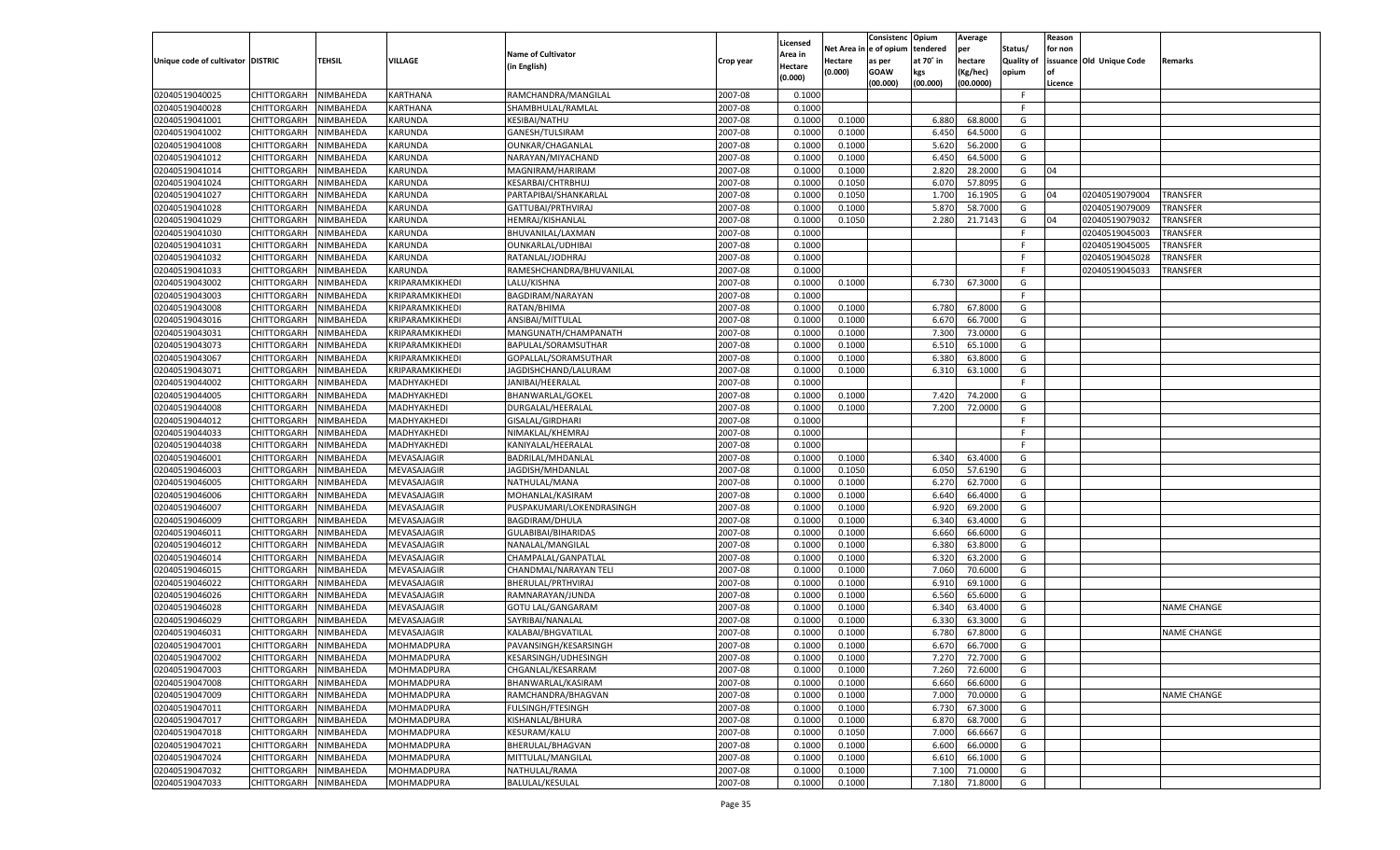|                                   |                       |                        |                 |                           |           |                     |          | Consistenc  | Opium     | Average   |                   | Reason  |                          |                    |
|-----------------------------------|-----------------------|------------------------|-----------------|---------------------------|-----------|---------------------|----------|-------------|-----------|-----------|-------------------|---------|--------------------------|--------------------|
|                                   |                       |                        |                 | <b>Name of Cultivator</b> |           | Licensed<br>\rea in | Net Area | e of opium  | tendered  | per       | Status/           | for non |                          |                    |
| Unique code of cultivator DISTRIC |                       | <b>TEHSIL</b>          | VILLAGE         | (in English)              | Crop year | Hectare             | Hectare  | as per      | at 70˚ in | hectare   | <b>Quality of</b> |         | issuance Old Unique Code | Remarks            |
|                                   |                       |                        |                 |                           |           | (0.000)             | (0.000)  | <b>GOAW</b> | kgs       | (Kg/hec)  | opium             |         |                          |                    |
|                                   |                       |                        |                 |                           |           |                     |          | (00.000)    | (00.000)  | (00.0000) |                   | Licence |                          |                    |
| 02040519040025                    | CHITTORGARH           | NIMBAHEDA              | <b>KARTHANA</b> | RAMCHANDRA/MANGILAL       | 2007-08   | 0.1000              |          |             |           |           | -F                |         |                          |                    |
| 02040519040028                    | CHITTORGARH           | NIMBAHEDA              | KARTHANA        | SHAMBHULAL/RAMLAL         | 2007-08   | 0.1000              |          |             |           |           | F.                |         |                          |                    |
| 02040519041001                    | CHITTORGARH           | NIMBAHEDA              | KARUNDA         | KESIBAI/NATHU             | 2007-08   | 0.1000              | 0.1000   |             | 6.88      | 68.8000   | G                 |         |                          |                    |
| 02040519041002                    | CHITTORGARH           | NIMBAHEDA              | KARUNDA         | GANESH/TULSIRAM           | 2007-08   | 0.1000              | 0.1000   |             | 6.450     | 64.5000   | G                 |         |                          |                    |
| 02040519041008                    | CHITTORGARH           | NIMBAHEDA              | KARUNDA         | OUNKAR/CHAGANLAL          | 2007-08   | 0.1000              | 0.1000   |             | 5.620     | 56.2000   | G                 |         |                          |                    |
| 02040519041012                    | CHITTORGARH           | NIMBAHEDA              | KARUNDA         | NARAYAN/MIYACHAND         | 2007-08   | 0.1000              | 0.1000   |             | 6.450     | 64.5000   | G                 |         |                          |                    |
| 02040519041014                    | CHITTORGARH           | NIMBAHEDA              | KARUNDA         | MAGNIRAM/HARIRAM          | 2007-08   | 0.1000              | 0.1000   |             | 2.820     | 28.2000   | G                 | 04      |                          |                    |
| 02040519041024                    | CHITTORGARH           | NIMBAHEDA              | KARUNDA         | <b>KESARBAI/CHTRBHUJ</b>  | 2007-08   | 0.1000              | 0.1050   |             | 6.07      | 57.8095   | G                 |         |                          |                    |
| 02040519041027                    | CHITTORGARH           | NIMBAHEDA              | KARUNDA         | PARTAPIBAI/SHANKARLAL     | 2007-08   | 0.1000              | 0.1050   |             | 1.700     | 16.1905   | G                 | 04      | 02040519079004           | <b>TRANSFER</b>    |
| 02040519041028                    | CHITTORGARH           | NIMBAHEDA              | KARUNDA         | GATTUBAI/PRTHVIRAJ        | 2007-08   | 0.1000              | 0.1000   |             | 5.87      | 58.7000   | G                 |         | 02040519079009           | TRANSFER           |
| 02040519041029                    | CHITTORGARH           | NIMBAHEDA              | KARUNDA         | HEMRAJ/KISHANLAL          | 2007-08   | 0.1000              | 0.1050   |             | 2.280     | 21.7143   | G                 | 04      | 02040519079032           | TRANSFER           |
| 02040519041030                    | CHITTORGARH           | NIMBAHEDA              | KARUNDA         | BHUVANILAL/LAXMAN         | 2007-08   | 0.1000              |          |             |           |           | F.                |         | 02040519045003           | TRANSFER           |
| 02040519041031                    | CHITTORGARH           | NIMBAHEDA              | KARUNDA         | OUNKARLAL/UDHIBAI         | 2007-08   | 0.1000              |          |             |           |           | F.                |         | 02040519045005           | TRANSFER           |
| 02040519041032                    | CHITTORGARH           | NIMBAHEDA              | KARUNDA         | RATANLAL/JODHRAJ          | 2007-08   | 0.1000              |          |             |           |           | F.                |         | 02040519045028           | TRANSFER           |
| 02040519041033                    | CHITTORGARH           | NIMBAHEDA              | KARUNDA         | RAMESHCHANDRA/BHUVANILAL  | 2007-08   | 0.1000              |          |             |           |           | F.                |         | 02040519045033           | TRANSFER           |
| 02040519043002                    | CHITTORGARH           | NIMBAHEDA              | KRIPARAMKIKHEDI | LALU/KISHNA               | 2007-08   | 0.1000              | 0.1000   |             | 6.730     | 67.3000   | G                 |         |                          |                    |
| 02040519043003                    | CHITTORGARH           | NIMBAHEDA              | KRIPARAMKIKHEDI | BAGDIRAM/NARAYAN          | 2007-08   | 0.1000              |          |             |           |           | F.                |         |                          |                    |
| 02040519043008                    | CHITTORGARH           | NIMBAHEDA              | KRIPARAMKIKHEDI | RATAN/BHIMA               | 2007-08   | 0.1000              | 0.1000   |             | 6.780     | 67.8000   | G                 |         |                          |                    |
| 02040519043016                    | CHITTORGARH           | NIMBAHEDA              | KRIPARAMKIKHEDI | ANSIBAI/MITTULAL          | 2007-08   | 0.1000              | 0.1000   |             | 6.670     | 66.7000   | G                 |         |                          |                    |
| 02040519043031                    | CHITTORGARH           | NIMBAHEDA              | KRIPARAMKIKHEDI | MANGUNATH/CHAMPANATH      | 2007-08   | 0.1000              | 0.1000   |             | 7.300     | 73.0000   | G                 |         |                          |                    |
| 02040519043073                    | CHITTORGARH           | NIMBAHEDA              | KRIPARAMKIKHEDI | BAPULAL/SORAMSUTHAR       | 2007-08   | 0.1000              | 0.1000   |             | 6.510     | 65.1000   | G                 |         |                          |                    |
| 02040519043067                    | CHITTORGARH           | NIMBAHEDA              | KRIPARAMKIKHEDI | GOPALLAL/SORAMSUTHAR      | 2007-08   | 0.1000              | 0.1000   |             | 6.380     | 63.8000   | G                 |         |                          |                    |
| 02040519043071                    | CHITTORGARH           | NIMBAHEDA              | KRIPARAMKIKHEDI | JAGDISHCHAND/LALURAM      | 2007-08   | 0.1000              | 0.1000   |             | 6.310     | 63.1000   | G                 |         |                          |                    |
| 02040519044002                    | CHITTORGARH           | NIMBAHEDA              | MADHYAKHEDI     | JANIBAI/HEERALAL          | 2007-08   | 0.1000              |          |             |           |           | F.                |         |                          |                    |
| 02040519044005                    | CHITTORGARH           | NIMBAHEDA              | MADHYAKHEDI     | BHANWARLAL/GOKEI          | 2007-08   | 0.1000              | 0.1000   |             | 7.420     | 74.2000   | G                 |         |                          |                    |
| 02040519044008                    | CHITTORGARH           | NIMBAHEDA              | MADHYAKHEDI     | DURGALAL/HEERALAI         | 2007-08   | 0.1000              | 0.1000   |             | 7.200     | 72.0000   | G                 |         |                          |                    |
| 02040519044012                    | CHITTORGARH           | NIMBAHEDA              | MADHYAKHEDI     | <b>GISALAL/GIRDHARI</b>   | 2007-08   | 0.1000              |          |             |           |           | F.                |         |                          |                    |
| 02040519044033                    | CHITTORGARH           | NIMBAHEDA              | MADHYAKHEDI     | NIMAKLAL/KHEMRAJ          | 2007-08   | 0.1000              |          |             |           |           | F.                |         |                          |                    |
| 02040519044038                    | CHITTORGARH           | NIMBAHEDA              | MADHYAKHEDI     | KANIYALAL/HEERALAI        | 2007-08   | 0.1000              |          |             |           |           | F.                |         |                          |                    |
| 02040519046001                    | CHITTORGARH           | NIMBAHEDA              | MEVASAJAGIR     | BADRILAL/MHDANLAL         | 2007-08   | 0.1000              | 0.1000   |             | 6.340     | 63.4000   | G                 |         |                          |                    |
| 02040519046003                    | CHITTORGARH           | NIMBAHEDA              | MEVASAJAGIR     | JAGDISH/MHDANLAI          | 2007-08   | 0.1000              | 0.1050   |             | 6.050     | 57.6190   | G                 |         |                          |                    |
| 02040519046005                    | CHITTORGARH           | NIMBAHEDA              | MEVASAJAGIR     | NATHULAL/MANA             | 2007-08   | 0.1000              | 0.1000   |             | 6.27      | 62.7000   | G                 |         |                          |                    |
| 02040519046006                    | CHITTORGARH           | NIMBAHEDA              | MEVASAJAGIR     | MOHANLAL/KASIRAM          | 2007-08   | 0.1000              | 0.1000   |             | 6.640     | 66.4000   | G                 |         |                          |                    |
| 02040519046007                    | CHITTORGARH           | NIMBAHEDA              | MEVASAJAGIR     | PUSPAKUMARI/LOKENDRASINGH | 2007-08   | 0.1000              | 0.1000   |             | 6.920     | 69.2000   | G                 |         |                          |                    |
| 02040519046009                    | CHITTORGARH           | NIMBAHEDA              | MEVASAJAGIR     | <b>BAGDIRAM/DHULA</b>     | 2007-08   | 0.1000              | 0.1000   |             | 6.340     | 63.4000   | G                 |         |                          |                    |
| 02040519046011                    | CHITTORGARH           | NIMBAHEDA              | MEVASAJAGIR     | GULABIBAI/BIHARIDAS       | 2007-08   | 0.1000              | 0.1000   |             | 6.660     | 66.6000   | G                 |         |                          |                    |
| 02040519046012                    | CHITTORGARH           | NIMBAHEDA              | MEVASAJAGIR     | NANALAL/MANGILAL          | 2007-08   | 0.1000              | 0.1000   |             | 6.380     | 63.8000   | G                 |         |                          |                    |
| 02040519046014                    | CHITTORGARH           | NIMBAHEDA              | MEVASAJAGIR     | CHAMPALAL/GANPATLAL       | 2007-08   | 0.1000              | 0.1000   |             | 6.320     | 63.2000   | G                 |         |                          |                    |
| 02040519046015                    | CHITTORGARH           | NIMBAHEDA              | MEVASAJAGIR     | CHANDMAL/NARAYAN TELI     | 2007-08   | 0.1000              | 0.1000   |             | 7.060     | 70.6000   | G                 |         |                          |                    |
| 02040519046022                    | CHITTORGARH           | NIMBAHEDA              | MEVASAJAGIR     | BHERULAL/PRTHVIRAJ        | 2007-08   | 0.1000              | 0.1000   |             | 6.910     | 69.1000   | G                 |         |                          |                    |
| 02040519046026                    | CHITTORGARH           | NIMBAHEDA              | MEVASAJAGIR     | RAMNARAYAN/JUNDA          | 2007-08   | 0.1000              | 0.1000   |             | 6.560     | 65.6000   | G                 |         |                          |                    |
| 02040519046028                    |                       |                        |                 |                           | 2007-08   |                     |          |             |           |           | G                 |         |                          | <b>NAME CHANGE</b> |
|                                   | CHITTORGARH           | NIMBAHEDA<br>NIMBAHEDA | MEVASAJAGIR     | <b>GOTU LAL/GANGARAM</b>  |           | 0.1000              | 0.1000   |             | 6.340     | 63.4000   |                   |         |                          |                    |
| 02040519046029                    | CHITTORGARH           |                        | MEVASAJAGIR     | SAYRIBAI/NANALAL          | 2007-08   | 0.1000              | 0.1000   |             | 6.33      | 63.3000   | G                 |         |                          |                    |
| 02040519046031                    | CHITTORGARH           | NIMBAHEDA              | MEVASAJAGIR     | KALABAI/BHGVATILAL        | 2007-08   | 0.1000              | 0.1000   |             | 6.780     | 67.8000   | G                 |         |                          | <b>NAME CHANGE</b> |
| 02040519047001                    | CHITTORGARH           | NIMBAHEDA              | MOHMADPURA      | PAVANSINGH/KESARSINGH     | 2007-08   | 0.1000              | 0.1000   |             | 6.670     | 66.7000   | G                 |         |                          |                    |
| 02040519047002                    | CHITTORGARH NIMBAHEDA |                        | MOHMADPURA      | KESARSINGH/UDHESINGH      | 2007-08   | 0.1000              | 0.1000   |             | 7.270     | 72.7000   | G                 |         |                          |                    |
| 02040519047003                    | <b>CHITTORGARH</b>    | NIMBAHEDA              | MOHMADPURA      | CHGANLAL/KESARRAM         | 2007-08   | 0.1000              | 0.1000   |             | 7.260     | 72.6000   | G                 |         |                          |                    |
| 02040519047008                    | CHITTORGARH           | NIMBAHEDA              | MOHMADPURA      | BHANWARLAL/KASIRAM        | 2007-08   | 0.1000              | 0.1000   |             | 6.660     | 66.6000   | G                 |         |                          |                    |
| 02040519047009                    | <b>CHITTORGARH</b>    | NIMBAHEDA              | MOHMADPURA      | RAMCHANDRA/BHAGVAN        | 2007-08   | 0.1000              | 0.1000   |             | 7.000     | 70.0000   | G                 |         |                          | <b>NAME CHANGE</b> |
| 02040519047011                    | <b>CHITTORGARH</b>    | NIMBAHEDA              | MOHMADPURA      | FULSINGH/FTESINGH         | 2007-08   | 0.1000              | 0.1000   |             | 6.730     | 67.3000   | G                 |         |                          |                    |
| 02040519047017                    | <b>CHITTORGARH</b>    | NIMBAHEDA              | MOHMADPURA      | KISHANLAL/BHURA           | 2007-08   | 0.1000              | 0.1000   |             | 6.870     | 68.7000   | G                 |         |                          |                    |
| 02040519047018                    | <b>CHITTORGARH</b>    | NIMBAHEDA              | MOHMADPURA      | KESURAM/KALU              | 2007-08   | 0.1000              | 0.1050   |             | 7.000     | 66.6667   | G                 |         |                          |                    |
| 02040519047021                    | <b>CHITTORGARH</b>    | NIMBAHEDA              | MOHMADPURA      | BHERULAL/BHAGVAN          | 2007-08   | 0.1000              | 0.1000   |             | 6.600     | 66.0000   | G                 |         |                          |                    |
| 02040519047024                    | <b>CHITTORGARH</b>    | NIMBAHEDA              | MOHMADPURA      | MITTULAL/MANGILAL         | 2007-08   | 0.1000              | 0.1000   |             | 6.610     | 66.1000   | G                 |         |                          |                    |
| 02040519047032                    | <b>CHITTORGARH</b>    | NIMBAHEDA              | MOHMADPURA      | NATHULAL/RAMA             | 2007-08   | 0.1000              | 0.1000   |             | 7.100     | 71.0000   | G                 |         |                          |                    |
| 02040519047033                    | <b>CHITTORGARH</b>    | NIMBAHEDA              | MOHMADPURA      | <b>BALULAL/KESULAL</b>    | 2007-08   | 0.1000              | 0.1000   |             | 7.180     | 71.8000   | G                 |         |                          |                    |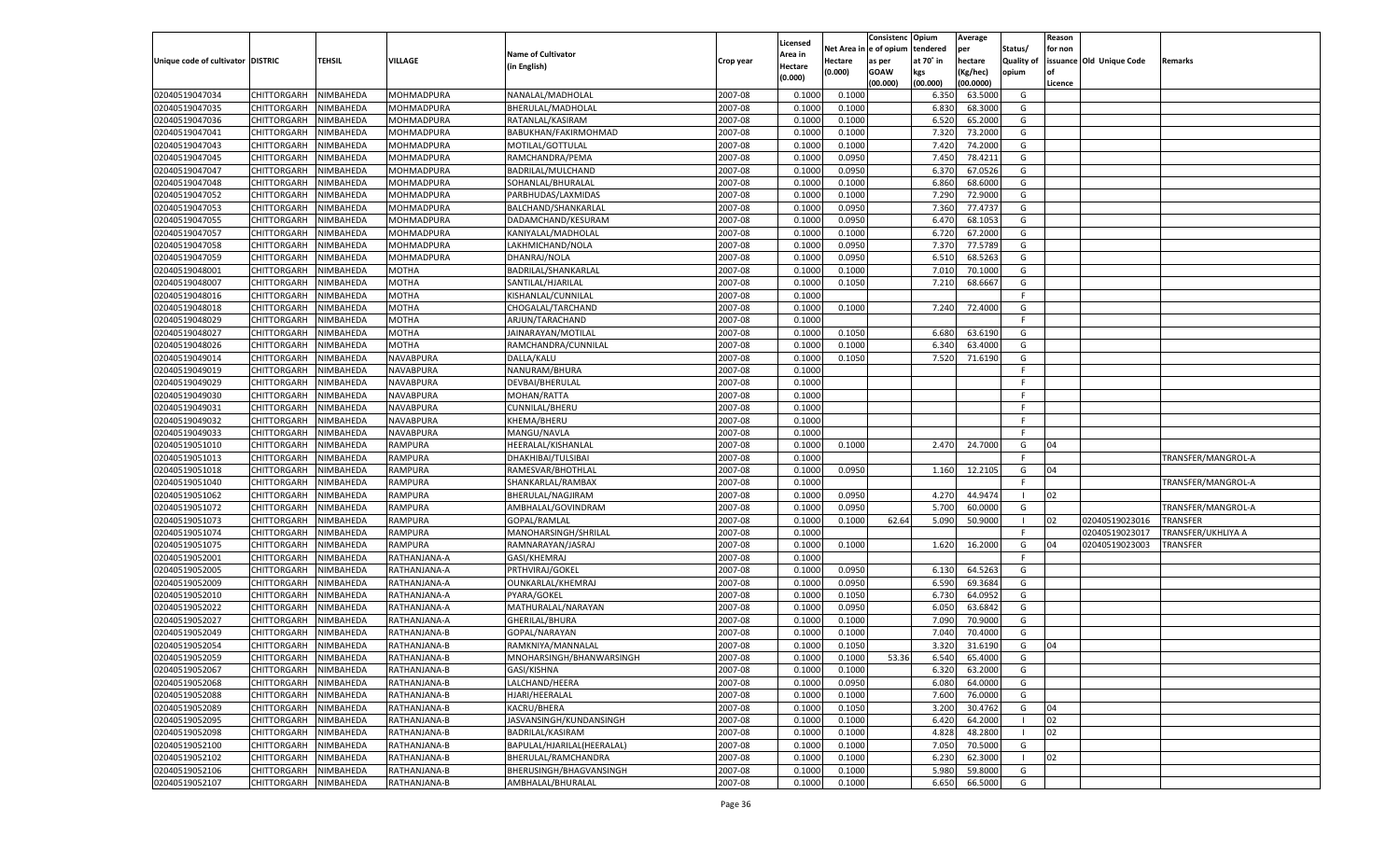|                                   |                                      |           |                              |                                        |                    |                    |                  | Consistenc    | Opium             | Average            |                     | Reason  |                          |                    |
|-----------------------------------|--------------------------------------|-----------|------------------------------|----------------------------------------|--------------------|--------------------|------------------|---------------|-------------------|--------------------|---------------------|---------|--------------------------|--------------------|
|                                   |                                      |           |                              |                                        |                    | Licensed           | Net Area iı      | n  e of opium | tendered          | per                | Status/             | for non |                          |                    |
| Unique code of cultivator DISTRIC |                                      | TEHSIL    | <b>VILLAGE</b>               | <b>Name of Cultivator</b>              | Crop year          | Area in            | Hectare          | as per        | at 70° in         | hectare            | <b>Quality of</b>   |         | issuance Old Unique Code | Remarks            |
|                                   |                                      |           |                              | (in English)                           |                    | Hectare<br>(0.000) | (0.000)          | <b>GOAW</b>   | kgs               | (Kg/hec)           | opium               |         |                          |                    |
|                                   |                                      |           |                              |                                        |                    |                    |                  | (00.000)      | (00.000)          | (00.0000)          |                     | Licence |                          |                    |
| 02040519047034                    | CHITTORGARH                          | NIMBAHEDA | MOHMADPURA                   | NANALAL/MADHOLAL                       | 2007-08            | 0.1000             | 0.1000           |               | 6.350             | 63.5000            | G                   |         |                          |                    |
| 02040519047035                    | CHITTORGARH                          | NIMBAHEDA | MOHMADPURA                   | BHERULAL/MADHOLAL                      | 2007-08            | 0.1000             | 0.1000           |               | 6.830             | 68.3000            | G                   |         |                          |                    |
| 02040519047036                    | CHITTORGARH                          | NIMBAHEDA | MOHMADPURA                   | RATANLAL/KASIRAM                       | 2007-08            | 0.1000             | 0.1000           |               | 6.520             | 65.2000            | G                   |         |                          |                    |
| 02040519047041                    | CHITTORGARH                          | NIMBAHEDA | MOHMADPURA                   | BABUKHAN/FAKIRMOHMAD                   | 2007-08            | 0.1000             | 0.1000           |               | 7.32 <sub>0</sub> | 73.2000            | G                   |         |                          |                    |
| 02040519047043                    | CHITTORGARH                          | NIMBAHEDA | MOHMADPURA                   | MOTILAL/GOTTULAL                       | 2007-08            | 0.1000             | 0.1000           |               | 7.420             | 74.2000            | G                   |         |                          |                    |
| 02040519047045                    | CHITTORGARH                          | NIMBAHEDA | MOHMADPURA                   | RAMCHANDRA/PEMA                        | 2007-08            | 0.1000             | 0.0950           |               | 7.450             | 78.4211            | G                   |         |                          |                    |
| 02040519047047                    | CHITTORGARH                          | NIMBAHEDA | MOHMADPURA                   | BADRILAL/MULCHAND                      | 2007-08            | 0.1000             | 0.0950           |               | 6.370             | 67.0526            | G                   |         |                          |                    |
| 02040519047048                    | CHITTORGARH                          | NIMBAHEDA | MOHMADPURA                   | SOHANLAL/BHURALAL                      | 2007-08            | 0.1000             | 0.1000           |               | 6.860             | 68.6000            | G                   |         |                          |                    |
| 02040519047052                    | CHITTORGARH                          | NIMBAHEDA | MOHMADPURA                   | PARBHUDAS/LAXMIDAS                     | 2007-08            | 0.1000             | 0.1000           |               | 7.290             | 72.9000            | G                   |         |                          |                    |
| 02040519047053                    | CHITTORGARH                          | NIMBAHEDA | MOHMADPURA                   | BALCHAND/SHANKARLAL                    | 2007-08            | 0.1000             | 0.0950           |               | 7.360             | 77.4737            | G                   |         |                          |                    |
| 02040519047055                    | CHITTORGARH                          | NIMBAHEDA | MOHMADPURA                   | DADAMCHAND/KESURAM                     | 2007-08            | 0.1000             | 0.0950           |               | 6.470             | 68.1053            | G                   |         |                          |                    |
| 02040519047057                    | CHITTORGARH                          | NIMBAHEDA | MOHMADPURA                   | KANIYALAL/MADHOLAL                     | 2007-08            | 0.1000             | 0.1000           |               | 6.720             | 67.2000            | G                   |         |                          |                    |
| 02040519047058                    | CHITTORGARH                          | NIMBAHEDA | MOHMADPURA                   | LAKHMICHAND/NOLA                       | 2007-08            | 0.1000             | 0.0950           |               | 7.370             | 77.5789            | G                   |         |                          |                    |
| 02040519047059                    | CHITTORGARH                          | NIMBAHEDA | MOHMADPURA                   | DHANRAJ/NOLA                           | 2007-08            | 0.1000             | 0.0950           |               | 6.510             | 68.5263            | G                   |         |                          |                    |
| 02040519048001                    | CHITTORGARH                          | NIMBAHEDA | MOTHA                        | BADRILAL/SHANKARLAL                    | 2007-08            | 0.1000             | 0.1000           |               | 7.010             | 70.1000            | G                   |         |                          |                    |
| 02040519048007                    | CHITTORGARH                          | NIMBAHEDA | MOTHA                        | SANTILAL/HJARILAL                      | 2007-08            | 0.1000             | 0.1050           |               | 7.210             | 68.6667            | G                   |         |                          |                    |
| 02040519048016                    | CHITTORGARH                          | NIMBAHEDA | MOTHA                        | KISHANLAL/CUNNILAL                     | 2007-08            | 0.1000             |                  |               |                   |                    | F                   |         |                          |                    |
| 02040519048018                    | CHITTORGARH                          | NIMBAHEDA | MOTHA                        | CHOGALAL/TARCHAND                      | 2007-08            | 0.1000             | 0.1000           |               | 7.240             | 72.4000            | G                   |         |                          |                    |
| 02040519048029                    | CHITTORGARH                          | NIMBAHEDA | <b>MOTHA</b>                 | ARJUN/TARACHAND                        | 2007-08            | 0.1000             |                  |               |                   |                    | F.                  |         |                          |                    |
| 02040519048027                    | CHITTORGARH                          | NIMBAHEDA | MOTHA                        | JAINARAYAN/MOTILAL                     | 2007-08            | 0.1000             | 0.1050           |               | 6.680             | 63.6190            | G                   |         |                          |                    |
| 02040519048026                    | CHITTORGARH                          | NIMBAHEDA | MOTHA                        | RAMCHANDRA/CUNNILAL                    | 2007-08            | 0.1000             | 0.1000           |               | 6.340             | 63.4000            | G                   |         |                          |                    |
| 02040519049014                    | CHITTORGARH                          | NIMBAHEDA | NAVABPURA                    | DALLA/KALU                             | 2007-08            | 0.1000             | 0.1050           |               | 7.520             | 71.6190            | G                   |         |                          |                    |
| 02040519049019                    | CHITTORGARH                          | NIMBAHEDA | NAVABPURA                    | NANURAM/BHURA                          | 2007-08            | 0.1000             |                  |               |                   |                    | F.                  |         |                          |                    |
| 02040519049029                    | CHITTORGARH                          | NIMBAHEDA | NAVABPURA                    | DEVBAI/BHERULAL                        | 2007-08            | 0.1000             |                  |               |                   |                    | F.                  |         |                          |                    |
| 02040519049030                    | CHITTORGARH                          | NIMBAHEDA | NAVABPURA                    | MOHAN/RATTA                            | 2007-08            | 0.1000             |                  |               |                   |                    | F.                  |         |                          |                    |
| 02040519049031                    | CHITTORGARH                          | NIMBAHEDA | NAVABPURA                    | CUNNILAL/BHERU                         | 2007-08            | 0.1000             |                  |               |                   |                    | F.                  |         |                          |                    |
| 02040519049032                    | CHITTORGARH                          | NIMBAHEDA | NAVABPURA                    | KHEMA/BHERU                            | 2007-08            | 0.1000             |                  |               |                   |                    | F.                  |         |                          |                    |
| 02040519049033                    | CHITTORGARH                          | NIMBAHEDA | NAVABPURA                    | MANGU/NAVLA                            | 2007-08            | 0.1000             |                  |               |                   |                    | E                   |         |                          |                    |
| 02040519051010                    | CHITTORGARH                          | NIMBAHEDA | RAMPURA                      | HEERALAL/KISHANLAL                     | 2007-08            | 0.1000             | 0.1000           |               | 2.470             | 24.7000            | G                   | 04      |                          |                    |
| 02040519051013                    | CHITTORGARH                          | NIMBAHEDA | RAMPURA                      | DHAKHIBAI/TULSIBAI                     | 2007-08            | 0.1000             |                  |               |                   |                    | F.                  |         |                          | TRANSFER/MANGROL-A |
| 02040519051018                    | CHITTORGARH                          | NIMBAHEDA | RAMPURA                      | RAMESVAR/BHOTHLAI                      | 2007-08            | 0.1000             | 0.0950           |               | 1.160             | 12.2105            | G                   | 04      |                          |                    |
| 02040519051040                    | CHITTORGARH                          | NIMBAHEDA | RAMPURA                      | SHANKARLAL/RAMBAX                      | 2007-08            | 0.1000             |                  |               |                   |                    | F                   |         |                          | TRANSFER/MANGROL-A |
| 02040519051062                    | CHITTORGARH                          | NIMBAHEDA | RAMPURA                      | BHERULAL/NAGJIRAM                      | 2007-08            | 0.1000             | 0.0950           |               | 4.270             | 44.9474            |                     | 02      |                          |                    |
| 02040519051072                    | CHITTORGARH                          | NIMBAHEDA | RAMPURA                      | AMBHALAL/GOVINDRAM                     | 2007-08            | 0.1000             | 0.0950           |               | 5.700             | 60.0000            | G                   |         |                          | TRANSFER/MANGROL-A |
| 02040519051073                    | CHITTORGARH                          | NIMBAHEDA | RAMPURA                      | GOPAL/RAMLAL                           | 2007-08            | 0.1000             | 0.1000           | 62.64         | 5.090             | 50.9000            | - 1                 | 02      | 02040519023016           | <b>TRANSFER</b>    |
| 02040519051074                    | CHITTORGARH                          | NIMBAHEDA | RAMPURA                      | MANOHARSINGH/SHRILAL                   | 2007-08            | 0.1000             |                  |               |                   |                    | F                   |         | 02040519023017           | TRANSFER/UKHLIYA A |
| 02040519051075                    | CHITTORGARH                          | NIMBAHEDA | RAMPURA                      | RAMNARAYAN/JASRAJ                      | 2007-08            | 0.1000             | 0.1000           |               | 1.620             | 16.2000            | G                   | 04      | 02040519023003           | TRANSFER           |
| 02040519052001                    | CHITTORGARH                          | NIMBAHEDA | RATHANJANA-A                 | GASI/KHEMRAJ                           | 2007-08            | 0.1000             |                  |               |                   |                    | F                   |         |                          |                    |
| 02040519052005                    | CHITTORGARH                          | NIMBAHEDA | RATHANJANA-A                 | PRTHVIRAJ/GOKEL                        | 2007-08            | 0.1000             | 0.0950           |               | 6.130             | 64.5263            | G                   |         |                          |                    |
| 02040519052009                    | CHITTORGARH                          | NIMBAHEDA | RATHANJANA-A                 | OUNKARLAL/KHEMRAJ                      | 2007-08            | 0.1000             | 0.0950           |               | 6.590             | 69.3684            | G                   |         |                          |                    |
| 02040519052010                    | CHITTORGARH                          | NIMBAHEDA | RATHANJANA-A                 | PYARA/GOKEL                            | 2007-08            | 0.1000             | 0.1050           |               | 6.730             | 64.0952            | G                   |         |                          |                    |
| 02040519052022                    | CHITTORGARH                          | NIMBAHEDA | RATHANJANA-A                 | MATHURALAL/NARAYAN                     | 2007-08            | 0.1000             | 0.0950           |               | 6.050             | 63.6842            | G                   |         |                          |                    |
| 02040519052027                    | CHITTORGARH                          | NIMBAHEDA | RATHANJANA-A                 | GHERILAL/BHURA                         | 2007-08            | 0.1000             | 0.1000           |               | 7.090             | 70.9000            | G                   |         |                          |                    |
| 02040519052049                    | CHITTORGARH                          | NIMBAHEDA | RATHANJANA-B                 | GOPAL/NARAYAN                          | 2007-08            | 0.1000             | 0.1000           |               | 7.04              | 70.4000            | G                   |         |                          |                    |
| 02040519052054                    |                                      | NIMBAHEDA | RATHANJANA-B                 |                                        | 2007-08            | 0.1000             | 0.1050           |               | 3.320             |                    | G                   | 04      |                          |                    |
|                                   | CHITTORGARH<br>CHITTORGARH NIMBAHEDA |           |                              | RAMKNIYA/MANNALAL                      |                    |                    |                  |               |                   | 31.6190            | G                   |         |                          |                    |
| 02040519052059<br>02040519052067  |                                      | NIMBAHEDA | RATHANJANA-B<br>RATHANJANA-B | MNOHARSINGH/BHANWARSINGH               | 2007-08<br>2007-08 | 0.1000<br>0.1000   | 0.1000<br>0.1000 | 53.36         | 6.540<br>6.320    | 65.4000<br>63.2000 | G                   |         |                          |                    |
|                                   | <b>CHITTORGARH</b><br>CHITTORGARH    |           |                              | GASI/KISHNA                            |                    |                    |                  |               | 6.080             | 64.0000            |                     |         |                          |                    |
| 02040519052068                    |                                      | NIMBAHEDA | RATHANJANA-B                 | LALCHAND/HEERA                         | 2007-08            | 0.1000             | 0.0950           |               |                   |                    | G                   |         |                          |                    |
| 02040519052088                    | CHITTORGARH<br>CHITTORGARH           | NIMBAHEDA | RATHANJANA-B                 | HJARI/HEERALAL                         | 2007-08            | 0.1000             | 0.1000           |               | 7.600             | 76.0000            | G                   |         |                          |                    |
| 02040519052089                    |                                      | NIMBAHEDA | RATHANJANA-B                 | KACRU/BHERA<br>JASVANSINGH/KUNDANSINGH | 2007-08            | 0.1000             | 0.1050           |               | 3.200             | 30.4762            | G<br>$\blacksquare$ | 04      |                          |                    |
| 02040519052095                    | CHITTORGARH                          | NIMBAHEDA | RATHANJANA-B                 | <b>BADRILAL/KASIRAM</b>                | 2007-08            | 0.1000             | 0.1000           |               | 6.420             | 64.2000            | $\blacksquare$      | 02      |                          |                    |
| 02040519052098                    | CHITTORGARH                          | NIMBAHEDA | RATHANJANA-B                 |                                        | 2007-08            | 0.1000             | 0.1000           |               | 4.828             | 48.2800            |                     | 02      |                          |                    |
| 02040519052100                    | CHITTORGARH                          | NIMBAHEDA | RATHANJANA-B                 | BAPULAL/HJARILAL(HEERALAL)             | 2007-08            | 0.1000             | 0.1000           |               | 7.050             | 70.5000            | G                   |         |                          |                    |
| 02040519052102                    | CHITTORGARH                          | NIMBAHEDA | RATHANJANA-B                 | BHERULAL/RAMCHANDRA                    | 2007-08            | 0.1000             | 0.1000           |               | 6.230             | 62.3000            | - 1                 | 02      |                          |                    |
| 02040519052106                    | CHITTORGARH                          | NIMBAHEDA | RATHANJANA-B                 | BHERUSINGH/BHAGVANSINGH                | 2007-08            | 0.1000             | 0.1000           |               | 5.980             | 59.8000            | G                   |         |                          |                    |
| 02040519052107                    | <b>CHITTORGARH</b>                   | NIMBAHEDA | RATHANJANA-B                 | AMBHALAL/BHURALAL                      | 2007-08            | 0.1000             | 0.1000           |               | 6.650             | 66.5000            | G                   |         |                          |                    |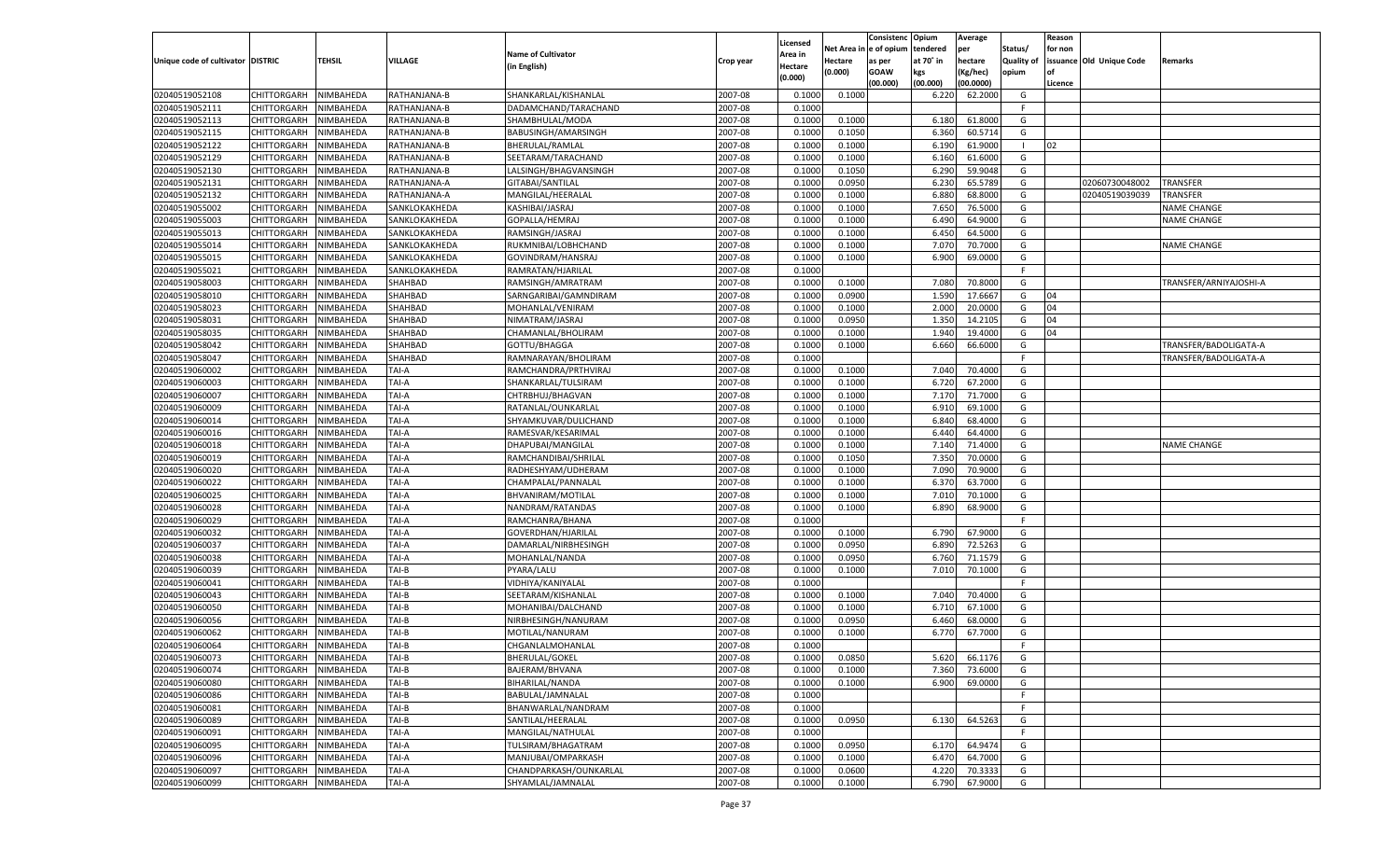|                                   |                       |                        |                |                           |           |                    |            | Consistenc    | Opium     | Average   |                   | Reason  |                          |                        |
|-----------------------------------|-----------------------|------------------------|----------------|---------------------------|-----------|--------------------|------------|---------------|-----------|-----------|-------------------|---------|--------------------------|------------------------|
|                                   |                       |                        |                |                           |           | Licensed           | Net Area i | n  e of opium | tendered  | per       | Status/           | for non |                          |                        |
| Unique code of cultivator DISTRIC |                       | TEHSIL                 | <b>VILLAGE</b> | <b>Name of Cultivator</b> | Crop year | Area in            | Hectare    | as per        | at 70° in | hectare   | <b>Quality of</b> |         | issuance Old Unique Code | Remarks                |
|                                   |                       |                        |                | (in English)              |           | Hectare<br>(0.000) | (0.000)    | <b>GOAW</b>   | kgs       | (Kg/hec)  | opium             |         |                          |                        |
|                                   |                       |                        |                |                           |           |                    |            | (00.000)      | (00.000)  | (00.0000) |                   | Licence |                          |                        |
| 02040519052108                    | CHITTORGARH           | NIMBAHEDA              | RATHANJANA-B   | SHANKARLAL/KISHANLAL      | 2007-08   | 0.1000             | 0.1000     |               | 6.220     | 62.2000   | G                 |         |                          |                        |
| 02040519052111                    | CHITTORGARH           | NIMBAHEDA              | RATHANJANA-B   | DADAMCHAND/TARACHAND      | 2007-08   | 0.1000             |            |               |           |           | E                 |         |                          |                        |
| 02040519052113                    | CHITTORGARH           | NIMBAHEDA              | RATHANJANA-B   | SHAMBHULAL/MODA           | 2007-08   | 0.1000             | 0.1000     |               | 6.180     | 61.8000   | G                 |         |                          |                        |
| 02040519052115                    | CHITTORGARH           | NIMBAHEDA              | RATHANJANA-B   | BABUSINGH/AMARSINGH       | 2007-08   | 0.1000             | 0.1050     |               | 6.360     | 60.5714   | G                 |         |                          |                        |
| 02040519052122                    | CHITTORGARH           | NIMBAHEDA              | RATHANJANA-B   | BHERULAL/RAMLAL           | 2007-08   | 0.1000             | 0.1000     |               | 6.190     | 61.9000   | - 1               | 02      |                          |                        |
| 02040519052129                    | CHITTORGARH           | NIMBAHEDA              | RATHANJANA-B   | SEETARAM/TARACHAND        | 2007-08   | 0.1000             | 0.1000     |               | 6.160     | 61.6000   | G                 |         |                          |                        |
| 02040519052130                    | CHITTORGARH           | NIMBAHEDA              | RATHANJANA-B   | LALSINGH/BHAGVANSINGH     | 2007-08   | 0.1000             | 0.1050     |               | 6.290     | 59.9048   | G                 |         |                          |                        |
| 02040519052131                    | CHITTORGARH           | NIMBAHEDA              | RATHANJANA-A   | GITABAI/SANTILAL          | 2007-08   | 0.1000             | 0.0950     |               | 6.23      | 65.5789   | G                 |         | 02060730048002           | TRANSFER               |
| 02040519052132                    | CHITTORGARH           | NIMBAHEDA              | RATHANJANA-A   | MANGILAL/HEERALAL         | 2007-08   | 0.1000             | 0.1000     |               | 6.880     | 68.8000   | G                 |         | 02040519039039           | TRANSFER               |
| 02040519055002                    | CHITTORGARH           | NIMBAHEDA              | SANKLOKAKHEDA  | KASHIBAI/JASRAJ           | 2007-08   | 0.1000             | 0.1000     |               | 7.650     | 76.5000   | G                 |         |                          | NAME CHANGE            |
| 02040519055003                    | CHITTORGARH           | NIMBAHEDA              | SANKLOKAKHEDA  | GOPALLA/HEMRAJ            | 2007-08   | 0.1000             | 0.1000     |               | 6.490     | 64.9000   | G                 |         |                          | NAME CHANGE            |
| 02040519055013                    | CHITTORGARH           | NIMBAHEDA              | SANKLOKAKHEDA  | RAMSINGH/JASRAJ           | 2007-08   | 0.1000             | 0.1000     |               | 6.450     | 64.5000   | G                 |         |                          |                        |
| 02040519055014                    | CHITTORGARH           | NIMBAHEDA              | SANKLOKAKHEDA  | RUKMNIBAI/LOBHCHAND       | 2007-08   | 0.1000             | 0.1000     |               | 7.070     | 70.7000   | G                 |         |                          | <b>NAME CHANGE</b>     |
| 02040519055015                    | CHITTORGARH           | NIMBAHEDA              | SANKLOKAKHEDA  | GOVINDRAM/HANSRAJ         | 2007-08   | 0.1000             | 0.1000     |               | 6.900     | 69.0000   | G                 |         |                          |                        |
| 02040519055021                    | CHITTORGARH           | NIMBAHEDA              | SANKLOKAKHEDA  | RAMRATAN/HJARILAL         | 2007-08   | 0.1000             |            |               |           |           | F.                |         |                          |                        |
| 02040519058003                    | CHITTORGARH           | NIMBAHEDA              | SHAHBAD        | RAMSINGH/AMRATRAM         | 2007-08   | 0.1000             | 0.1000     |               | 7.080     | 70.8000   | G                 |         |                          | TRANSFER/ARNIYAJOSHI-A |
| 02040519058010                    | CHITTORGARH           | NIMBAHEDA              | SHAHBAD        | SARNGARIBAI/GAMNDIRAM     | 2007-08   | 0.1000             | 0.0900     |               | 1.590     | 17.6667   | G                 | 04      |                          |                        |
| 02040519058023                    | CHITTORGARH           | NIMBAHEDA              | SHAHBAD        | MOHANLAL/VENIRAM          | 2007-08   | 0.1000             | 0.1000     |               | 2.000     | 20.0000   | G                 | 04      |                          |                        |
| 02040519058031                    | CHITTORGARH           | NIMBAHEDA              | SHAHBAD        | NIMATRAM/JASRAJ           | 2007-08   | 0.1000             | 0.0950     |               | 1.350     | 14.2105   | G                 | 04      |                          |                        |
| 02040519058035                    | CHITTORGARH           | NIMBAHEDA              | SHAHBAD        | CHAMANLAL/BHOLIRAM        | 2007-08   | 0.1000             | 0.1000     |               | 1.940     | 19.4000   | G                 | 04      |                          |                        |
| 02040519058042                    | CHITTORGARH           | NIMBAHEDA              | SHAHBAD        | GOTTU/BHAGGA              | 2007-08   | 0.1000             | 0.1000     |               | 6.660     | 66.6000   | G                 |         |                          | TRANSFER/BADOLIGATA-A  |
| 02040519058047                    | CHITTORGARH           | NIMBAHEDA              | SHAHBAD        | RAMNARAYAN/BHOLIRAM       | 2007-08   | 0.1000             |            |               |           |           | F.                |         |                          | TRANSFER/BADOLIGATA-A  |
| 02040519060002                    | CHITTORGARH           | NIMBAHEDA              | TAI-A          | RAMCHANDRA/PRTHVIRAJ      | 2007-08   | 0.1000             | 0.1000     |               | 7.040     | 70.4000   | G                 |         |                          |                        |
| 02040519060003                    | CHITTORGARH           | NIMBAHEDA              | TAI-A          | SHANKARLAL/TULSIRAM       | 2007-08   | 0.1000             | 0.1000     |               | 6.720     | 67.2000   | G                 |         |                          |                        |
| 02040519060007                    | CHITTORGARH           | NIMBAHEDA              | TAI-A          | CHTRBHUJ/BHAGVAN          | 2007-08   | 0.1000             | 0.1000     |               | 7.170     | 71.7000   | G                 |         |                          |                        |
| 02040519060009                    | CHITTORGARH           | NIMBAHEDA              | TAI-A          | RATANLAL/OUNKARLAL        | 2007-08   | 0.1000             | 0.1000     |               | 6.910     | 69.1000   | G                 |         |                          |                        |
| 02040519060014                    | CHITTORGARH           | NIMBAHEDA              | TAI-A          | SHYAMKUVAR/DULICHAND      | 2007-08   | 0.1000             | 0.1000     |               | 6.840     | 68.4000   | G                 |         |                          |                        |
| 02040519060016                    | CHITTORGARH           | NIMBAHEDA              | TAI-A          | RAMESVAR/KESARIMAL        | 2007-08   | 0.1000             | 0.1000     |               | 6.440     | 64.4000   | G                 |         |                          |                        |
| 02040519060018                    | CHITTORGARH           | NIMBAHEDA              | TAI-A          | DHAPUBAI/MANGILAL         | 2007-08   | 0.1000             | 0.1000     |               | 7.140     | 71.4000   | G                 |         |                          | <b>NAME CHANGE</b>     |
| 02040519060019                    | CHITTORGARH           | NIMBAHEDA              | TAI-A          | RAMCHANDIBAI/SHRILAL      | 2007-08   | 0.1000             | 0.1050     |               | 7.350     | 70.0000   | G                 |         |                          |                        |
| 02040519060020                    | CHITTORGARH           | NIMBAHEDA              | TAI-A          | RADHESHYAM/UDHERAM        | 2007-08   | 0.1000             | 0.1000     |               | 7.090     | 70.9000   | G                 |         |                          |                        |
| 02040519060022                    | CHITTORGARH           | NIMBAHEDA              | TAI-A          | CHAMPALAL/PANNALAL        | 2007-08   | 0.1000             | 0.1000     |               | 6.37      | 63.7000   | G                 |         |                          |                        |
| 02040519060025                    | CHITTORGARH           | NIMBAHEDA              | TAI-A          | BHVANIRAM/MOTILAL         | 2007-08   | 0.1000             | 0.1000     |               | 7.010     | 70.1000   | G                 |         |                          |                        |
| 02040519060028                    | CHITTORGARH           | NIMBAHEDA              | TAI-A          | NANDRAM/RATANDAS          | 2007-08   | 0.1000             | 0.1000     |               | 6.890     | 68.9000   | G                 |         |                          |                        |
| 02040519060029                    | CHITTORGARH           | NIMBAHEDA              | TAI-A          | RAMCHANRA/BHANA           | 2007-08   | 0.1000             |            |               |           |           | F.                |         |                          |                        |
| 02040519060032                    | CHITTORGARH           | NIMBAHEDA              | TAI-A          | GOVERDHAN/HJARILAL        | 2007-08   | 0.1000             | 0.1000     |               | 6.790     | 67.9000   | G                 |         |                          |                        |
| 02040519060037                    | CHITTORGARH           | NIMBAHEDA              | TAI-A          | DAMARLAL/NIRBHESINGH      | 2007-08   | 0.1000             | 0.0950     |               | 6.890     | 72.5263   | G                 |         |                          |                        |
| 02040519060038                    | CHITTORGARH           | NIMBAHEDA              | TAI-A          | MOHANLAL/NANDA            | 2007-08   | 0.1000             | 0.0950     |               | 6.760     | 71.1579   | G                 |         |                          |                        |
| 02040519060039                    | CHITTORGARH           | NIMBAHEDA              | TAI-B          | PYARA/LALU                | 2007-08   | 0.1000             | 0.1000     |               | 7.010     | 70.1000   | G                 |         |                          |                        |
| 02040519060041                    | CHITTORGARH           | NIMBAHEDA              | TAI-B          | VIDHIYA/KANIYALAL         | 2007-08   | 0.1000             |            |               |           |           | F                 |         |                          |                        |
| 02040519060043                    | CHITTORGARH           | NIMBAHEDA              | TAI-B          | SEETARAM/KISHANLAI        | 2007-08   | 0.1000             | 0.1000     |               | 7.040     | 70.4000   | G                 |         |                          |                        |
| 02040519060050                    | CHITTORGARH           | NIMBAHEDA              | TAI-B          | MOHANIBAI/DALCHAND        | 2007-08   | 0.1000             | 0.1000     |               | 6.710     | 67.1000   | G                 |         |                          |                        |
| 02040519060056                    | CHITTORGARH           | NIMBAHEDA              | TAI-B          | NIRBHESINGH/NANURAM       | 2007-08   | 0.1000             | 0.0950     |               | 6.460     | 68.0000   | G                 |         |                          |                        |
| 02040519060062                    | CHITTORGARH           | NIMBAHEDA              | TAI-B          | MOTILAL/NANURAM           | 2007-08   | 0.1000             | 0.1000     |               | 6.770     | 67.7000   | G                 |         |                          |                        |
| 02040519060064                    | CHITTORGARH           | NIMBAHEDA              | TAI-B          | CHGANLALMOHANLAL          | 2007-08   | 0.1000             |            |               |           |           | F.                |         |                          |                        |
| 02040519060073                    | CHITTORGARH NIMBAHEDA |                        | TAI-B          | <b>BHERULAL/GOKEL</b>     | 2007-08   | 0.1000             | 0.0850     |               | 5.620     | 66.1176   | G                 |         |                          |                        |
| 02040519060074                    | <b>CHITTORGARH</b>    | NIMBAHEDA              | TAI-B          | BAJERAM/BHVANA            | 2007-08   | 0.1000             | 0.1000     |               | 7.360     | 73.6000   | G                 |         |                          |                        |
| 02040519060080                    | CHITTORGARH           | NIMBAHEDA              | TAI-B          | BIHARILAL/NANDA           | 2007-08   | 0.1000             | 0.1000     |               | 6.900     | 69.0000   | G                 |         |                          |                        |
| 02040519060086                    | CHITTORGARH           | NIMBAHEDA              | TAI-B          | BABULAL/JAMNALAL          | 2007-08   | 0.1000             |            |               |           |           | F.                |         |                          |                        |
| 02040519060081                    | <b>CHITTORGARH</b>    | NIMBAHEDA              | TAI-B          | BHANWARLAL/NANDRAM        | 2007-08   | 0.1000             |            |               |           |           | F.                |         |                          |                        |
| 02040519060089                    | CHITTORGARH           | NIMBAHEDA              | TAI-B          | SANTILAL/HEERALAL         | 2007-08   | 0.1000             | 0.0950     |               | 6.130     | 64.5263   | G                 |         |                          |                        |
| 02040519060091                    | <b>CHITTORGARH</b>    | NIMBAHEDA              | TAI-A          | MANGILAL/NATHULAL         | 2007-08   | 0.1000             |            |               |           |           | F                 |         |                          |                        |
| 02040519060095                    | CHITTORGARH           | NIMBAHEDA              | TAI-A          | TULSIRAM/BHAGATRAM        | 2007-08   | 0.1000             | 0.0950     |               | 6.170     | 64.9474   | G                 |         |                          |                        |
|                                   | CHITTORGARH           |                        |                |                           |           |                    |            |               |           | 64.7000   |                   |         |                          |                        |
| 02040519060096                    | CHITTORGARH           | NIMBAHEDA<br>NIMBAHEDA | TAI-A          | MANJUBAI/OMPARKASH        | 2007-08   | 0.1000             | 0.1000     |               | 6.470     | 70.3333   | G<br>G            |         |                          |                        |
| 02040519060097                    |                       |                        | TAI-A          | CHANDPARKASH/OUNKARLAL    | 2007-08   | 0.1000             | 0.0600     |               | 4.220     |           |                   |         |                          |                        |
| 02040519060099                    | <b>CHITTORGARH</b>    | NIMBAHEDA              | TAI-A          | SHYAMLAL/JAMNALAL         | 2007-08   | 0.1000             | 0.1000     |               | 6.790     | 67.9000   | G                 |         |                          |                        |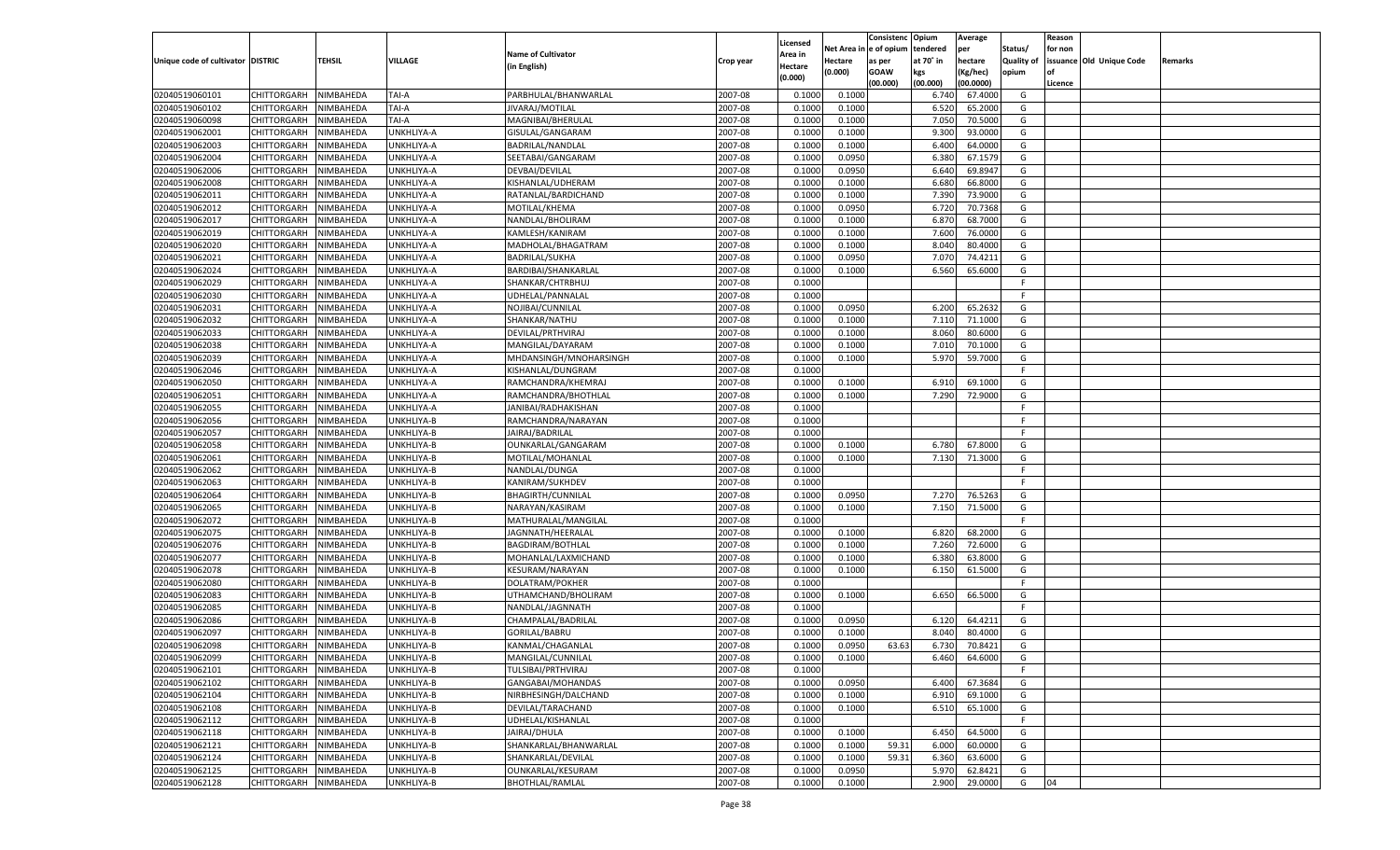|                                   |                       |               |            |                                         |           |                    |            | Consistenc Opium |                   | Average   |                   | Reason  |                          |                |
|-----------------------------------|-----------------------|---------------|------------|-----------------------------------------|-----------|--------------------|------------|------------------|-------------------|-----------|-------------------|---------|--------------------------|----------------|
|                                   |                       |               |            | <b>Name of Cultivator</b>               |           | Licensed           | Net Area i | n e of opium     | tendered          | per       | Status/           | for non |                          |                |
| Unique code of cultivator DISTRIC |                       | <b>TEHSIL</b> | VILLAGE    |                                         | Crop year | \rea in            | Hectare    | as per           | at 70° in         | hectare   | <b>Quality of</b> |         | issuance Old Unique Code | <b>Remarks</b> |
|                                   |                       |               |            | (in English)                            |           | Hectare<br>(0.000) | (0.000)    | <b>GOAW</b>      | kgs               | (Kg/hec)  | opium             |         |                          |                |
|                                   |                       |               |            |                                         |           |                    |            | (00.000)         | (00.000)          | (00.0000) |                   | Licence |                          |                |
| 02040519060101                    | CHITTORGARH           | NIMBAHEDA     | TAI-A      | PARBHULAL/BHANWARLAL                    | 2007-08   | 0.1000             | 0.1000     |                  | 6.740             | 67.4000   | G                 |         |                          |                |
| 02040519060102                    | CHITTORGARH           | NIMBAHEDA     | TAI-A      | <b>JIVARAJ/MOTILAL</b>                  | 2007-08   | 0.1000             | 0.1000     |                  | 6.520             | 65.2000   | G                 |         |                          |                |
| 02040519060098                    | CHITTORGARH           | NIMBAHEDA     | TAI-A      | MAGNIBAI/BHERULAL                       | 2007-08   | 0.1000             | 0.1000     |                  | 7.050             | 70.5000   | G                 |         |                          |                |
| 02040519062001                    | CHITTORGARH           | NIMBAHEDA     | UNKHLIYA-A | GISULAL/GANGARAM                        | 2007-08   | 0.1000             | 0.1000     |                  | 9.300             | 93.0000   | G                 |         |                          |                |
| 02040519062003                    | CHITTORGARH           | NIMBAHEDA     | UNKHLIYA-A | BADRILAL/NANDLAL                        | 2007-08   | 0.1000             | 0.1000     |                  | 6.400             | 64.0000   | G                 |         |                          |                |
| 02040519062004                    | CHITTORGARH           | NIMBAHEDA     | UNKHLIYA-A | SEETABAI/GANGARAM                       | 2007-08   | 0.1000             | 0.0950     |                  | 6.380             | 67.1579   | G                 |         |                          |                |
| 02040519062006                    | CHITTORGARH           | NIMBAHEDA     | UNKHLIYA-A | <b>DEVBAI/DEVILAL</b>                   | 2007-08   | 0.1000             | 0.0950     |                  | 6.640             | 69.8947   | G                 |         |                          |                |
| 02040519062008                    | CHITTORGARH           | NIMBAHEDA     | UNKHLIYA-A | KISHANLAL/UDHERAM                       | 2007-08   | 0.1000             | 0.1000     |                  | 6.680             | 66.8000   | G                 |         |                          |                |
| 02040519062011                    | CHITTORGARH           | NIMBAHEDA     | UNKHLIYA-A | RATANLAL/BARDICHAND                     | 2007-08   | 0.1000             | 0.1000     |                  | 7.390             | 73.9000   | G                 |         |                          |                |
| 02040519062012                    | CHITTORGARH           | NIMBAHEDA     | UNKHLIYA-A | MOTILAL/KHEMA                           | 2007-08   | 0.1000             | 0.0950     |                  | 6.720             | 70.7368   | G                 |         |                          |                |
| 02040519062017                    | CHITTORGARH           | NIMBAHEDA     | UNKHLIYA-A | NANDLAL/BHOLIRAM                        | 2007-08   | 0.1000             | 0.1000     |                  | 6.87              | 68.7000   | G                 |         |                          |                |
| 02040519062019                    | CHITTORGARH           | NIMBAHEDA     | UNKHLIYA-A | KAMLESH/KANIRAM                         | 2007-08   | 0.1000             | 0.1000     |                  | 7.600             | 76.0000   | G                 |         |                          |                |
| 02040519062020                    | CHITTORGARH           | NIMBAHEDA     | UNKHLIYA-A | MADHOLAL/BHAGATRAM                      | 2007-08   | 0.1000             | 0.1000     |                  | 8.040             | 80.4000   | G                 |         |                          |                |
| 02040519062021                    | CHITTORGARH           | NIMBAHEDA     | UNKHLIYA-A | BADRILAL/SUKHA                          | 2007-08   | 0.1000             | 0.0950     |                  | 7.07              | 74.4211   | G                 |         |                          |                |
| 02040519062024                    | CHITTORGARH           | NIMBAHEDA     | UNKHLIYA-A | BARDIBAI/SHANKARLAL                     | 2007-08   | 0.1000             | 0.1000     |                  | 6.560             | 65.6000   | G                 |         |                          |                |
| 02040519062029                    | CHITTORGARH           | NIMBAHEDA     | UNKHLIYA-A | SHANKAR/CHTRBHUJ                        | 2007-08   | 0.1000             |            |                  |                   |           | F.                |         |                          |                |
| 02040519062030                    | CHITTORGARH           | NIMBAHEDA     | UNKHLIYA-A | UDHELAL/PANNALAL                        | 2007-08   | 0.1000             |            |                  |                   |           | F.                |         |                          |                |
| 02040519062031                    | CHITTORGARH           | NIMBAHEDA     | UNKHLIYA-A | NOJIBAI/CUNNILAL                        | 2007-08   | 0.1000             | 0.0950     |                  | 6.200             | 65.2632   | G                 |         |                          |                |
|                                   |                       |               |            | SHANKAR/NATHU                           |           |                    |            |                  |                   |           |                   |         |                          |                |
| 02040519062032                    | CHITTORGARH           | NIMBAHEDA     | UNKHLIYA-A |                                         | 2007-08   | 0.1000             | 0.1000     |                  | 7.110             | 71.1000   | G                 |         |                          |                |
| 02040519062033                    | CHITTORGARH           | NIMBAHEDA     | UNKHLIYA-A | DEVILAL/PRTHVIRAJ                       | 2007-08   | 0.1000             | 0.1000     |                  | 8.060             | 80.6000   | G                 |         |                          |                |
| 02040519062038                    | CHITTORGARH           | NIMBAHEDA     | UNKHLIYA-A | MANGILAL/DAYARAM                        | 2007-08   | 0.1000             | 0.1000     |                  | 7.010             | 70.1000   | G                 |         |                          |                |
| 02040519062039                    | CHITTORGARH           | NIMBAHEDA     | UNKHLIYA-A | MHDANSINGH/MNOHARSINGH                  | 2007-08   | 0.1000             | 0.1000     |                  | 5.970             | 59.7000   | G                 |         |                          |                |
| 02040519062046                    | CHITTORGARH           | NIMBAHEDA     | UNKHLIYA-A | KISHANLAL/DUNGRAM                       | 2007-08   | 0.1000             |            |                  |                   |           | F.                |         |                          |                |
| 02040519062050                    | CHITTORGARH           | NIMBAHEDA     | UNKHLIYA-A | RAMCHANDRA/KHEMRAJ                      | 2007-08   | 0.1000             | 0.1000     |                  | 6.910             | 69.1000   | G                 |         |                          |                |
| 02040519062051                    | CHITTORGARH           | NIMBAHEDA     | UNKHLIYA-A | RAMCHANDRA/BHOTHLAL                     | 2007-08   | 0.1000             | 0.1000     |                  | 7.290             | 72.9000   | G                 |         |                          |                |
| 02040519062055                    | CHITTORGARH           | NIMBAHEDA     | UNKHLIYA-A | JANIBAI/RADHAKISHAN                     | 2007-08   | 0.1000             |            |                  |                   |           | F.                |         |                          |                |
| 02040519062056                    | CHITTORGARH           | NIMBAHEDA     | UNKHLIYA-B | RAMCHANDRA/NARAYAN                      | 2007-08   | 0.1000             |            |                  |                   |           | F.                |         |                          |                |
| 02040519062057                    | CHITTORGARH           | NIMBAHEDA     | UNKHLIYA-B | JAIRAJ/BADRILAL                         | 2007-08   | 0.1000             |            |                  |                   |           | -F                |         |                          |                |
| 02040519062058                    | CHITTORGARH           | NIMBAHEDA     | UNKHLIYA-B | OUNKARLAL/GANGARAM                      | 2007-08   | 0.1000             | 0.1000     |                  | 6.780             | 67.8000   | G                 |         |                          |                |
| 02040519062061                    | CHITTORGARH           | NIMBAHEDA     | UNKHLIYA-B | MOTILAL/MOHANLAL                        | 2007-08   | 0.1000             | 0.1000     |                  | 7.130             | 71.3000   | G                 |         |                          |                |
| 02040519062062                    | CHITTORGARH           | NIMBAHEDA     | UNKHLIYA-B | NANDLAL/DUNGA                           | 2007-08   | 0.1000             |            |                  |                   |           | F.                |         |                          |                |
| 02040519062063                    | CHITTORGARH           | NIMBAHEDA     | UNKHLIYA-B | KANIRAM/SUKHDEV                         | 2007-08   | 0.1000             |            |                  |                   |           | F.                |         |                          |                |
| 02040519062064                    | CHITTORGARH           | NIMBAHEDA     | UNKHLIYA-B | <b>BHAGIRTH/CUNNILAL</b>                | 2007-08   | 0.1000             | 0.0950     |                  | 7.27 <sub>0</sub> | 76.5263   | G                 |         |                          |                |
| 02040519062065                    | CHITTORGARH           | NIMBAHEDA     | UNKHLIYA-B | NARAYAN/KASIRAM                         | 2007-08   | 0.1000             | 0.1000     |                  | 7.150             | 71.5000   | G                 |         |                          |                |
| 02040519062072                    | CHITTORGARH           | NIMBAHEDA     | UNKHLIYA-B | MATHURALAL/MANGILAL                     | 2007-08   | 0.1000             |            |                  |                   |           | F.                |         |                          |                |
| 02040519062075                    | CHITTORGARH           | NIMBAHEDA     | UNKHLIYA-B | JAGNNATH/HEERALAL                       | 2007-08   | 0.1000             | 0.1000     |                  | 6.820             | 68.2000   | G                 |         |                          |                |
| 02040519062076                    | CHITTORGARH           | NIMBAHEDA     | UNKHLIYA-B | BAGDIRAM/BOTHLAL                        | 2007-08   | 0.1000             | 0.1000     |                  | 7.260             | 72.6000   | G                 |         |                          |                |
| 02040519062077                    | CHITTORGARH           | NIMBAHEDA     | UNKHLIYA-B | MOHANLAL/LAXMICHAND                     | 2007-08   | 0.1000             | 0.1000     |                  | 6.380             | 63.8000   | G                 |         |                          |                |
| 02040519062078                    | CHITTORGARH           | NIMBAHEDA     | UNKHLIYA-B | KESURAM/NARAYAN                         | 2007-08   | 0.1000             | 0.1000     |                  | 6.150             | 61.5000   | G                 |         |                          |                |
| 02040519062080                    | CHITTORGARH           | NIMBAHEDA     | UNKHLIYA-B | DOLATRAM/POKHER                         | 2007-08   | 0.1000             |            |                  |                   |           | F.                |         |                          |                |
| 02040519062083                    | CHITTORGARH           | NIMBAHEDA     | UNKHLIYA-B | UTHAMCHAND/BHOLIRAM                     | 2007-08   | 0.1000             | 0.1000     |                  | 6.650             | 66.5000   | G                 |         |                          |                |
| 02040519062085                    | CHITTORGARH           | NIMBAHEDA     | UNKHLIYA-B | NANDLAL/JAGNNATH                        | 2007-08   | 0.1000             |            |                  |                   |           | F.                |         |                          |                |
| 02040519062086                    | CHITTORGARH           | NIMBAHEDA     | UNKHLIYA-B | CHAMPALAL/BADRILAL                      | 2007-08   | 0.1000             | 0.0950     |                  | 6.120             | 64.4211   | G                 |         |                          |                |
| 02040519062097                    | CHITTORGARH           | NIMBAHEDA     | UNKHLIYA-B | GORILAL/BABRU                           | 2007-08   | 0.1000             | 0.1000     |                  | 8.040             | 80.4000   | G                 |         |                          |                |
| 02040519062098                    | CHITTORGARH           | NIMBAHEDA     | UNKHLIYA-B | KANMAL/CHAGANLAL                        | 2007-08   | 0.1000             | 0.0950     | 63.63            | 6.730             | 70.8421   | G                 |         |                          |                |
|                                   |                       |               |            |                                         |           |                    |            |                  |                   |           |                   |         |                          |                |
| 02040519062099<br>02040519062101  | CHITTORGARH NIMBAHEDA |               | UNKHLIYA-B | MANGILAL/CUNNILAL                       | 2007-08   | 0.1000             | 0.1000     |                  | 6.460             | 64.6000   | G<br>F.           |         |                          |                |
| 02040519062102                    | CHITTORGARH           | NIMBAHEDA     | UNKHLIYA-B | TULSIBAI/PRTHVIRAJ<br>GANGABAI/MOHANDAS | 2007-08   | 0.1000             |            |                  |                   |           |                   |         |                          |                |
|                                   | CHITTORGARH           | NIMBAHEDA     | UNKHLIYA-B |                                         | 2007-08   | 0.1000             | 0.0950     |                  | 6.400             | 67.3684   | G                 |         |                          |                |
| 02040519062104                    | <b>CHITTORGARH</b>    | NIMBAHEDA     | UNKHLIYA-B | NIRBHESINGH/DALCHAND                    | 2007-08   | 0.1000             | 0.1000     |                  | 6.910             | 69.1000   | G                 |         |                          |                |
| 02040519062108                    | <b>CHITTORGARH</b>    | NIMBAHEDA     | UNKHLIYA-B | DEVILAL/TARACHAND                       | 2007-08   | 0.1000             | 0.1000     |                  | 6.510             | 65.1000   | G                 |         |                          |                |
| 02040519062112                    | CHITTORGARH           | NIMBAHEDA     | UNKHLIYA-B | UDHELAL/KISHANLAL                       | 2007-08   | 0.1000             |            |                  |                   |           | F                 |         |                          |                |
| 02040519062118                    | CHITTORGARH           | NIMBAHEDA     | UNKHLIYA-B | JAIRAJ/DHULA                            | 2007-08   | 0.1000             | 0.1000     |                  | 6.450             | 64.5000   | G                 |         |                          |                |
| 02040519062121                    | <b>CHITTORGARH</b>    | NIMBAHEDA     | UNKHLIYA-B | SHANKARLAL/BHANWARLAL                   | 2007-08   | 0.1000             | 0.1000     | 59.31            | 6.000             | 60.0000   | G                 |         |                          |                |
| 02040519062124                    | CHITTORGARH           | NIMBAHEDA     | UNKHLIYA-B | SHANKARLAL/DEVILAL                      | 2007-08   | 0.1000             | 0.1000     | 59.31            | 6.360             | 63.6000   | G                 |         |                          |                |
| 02040519062125                    | CHITTORGARH           | NIMBAHEDA     | UNKHLIYA-B | OUNKARLAL/KESURAM                       | 2007-08   | 0.1000             | 0.0950     |                  | 5.970             | 62.8421   | G                 |         |                          |                |
| 02040519062128                    | CHITTORGARH           | NIMBAHEDA     | UNKHLIYA-B | BHOTHLAL/RAMLAL                         | 2007-08   | 0.1000             | 0.1000     |                  | 2.900             | 29.0000   | G                 | 04      |                          |                |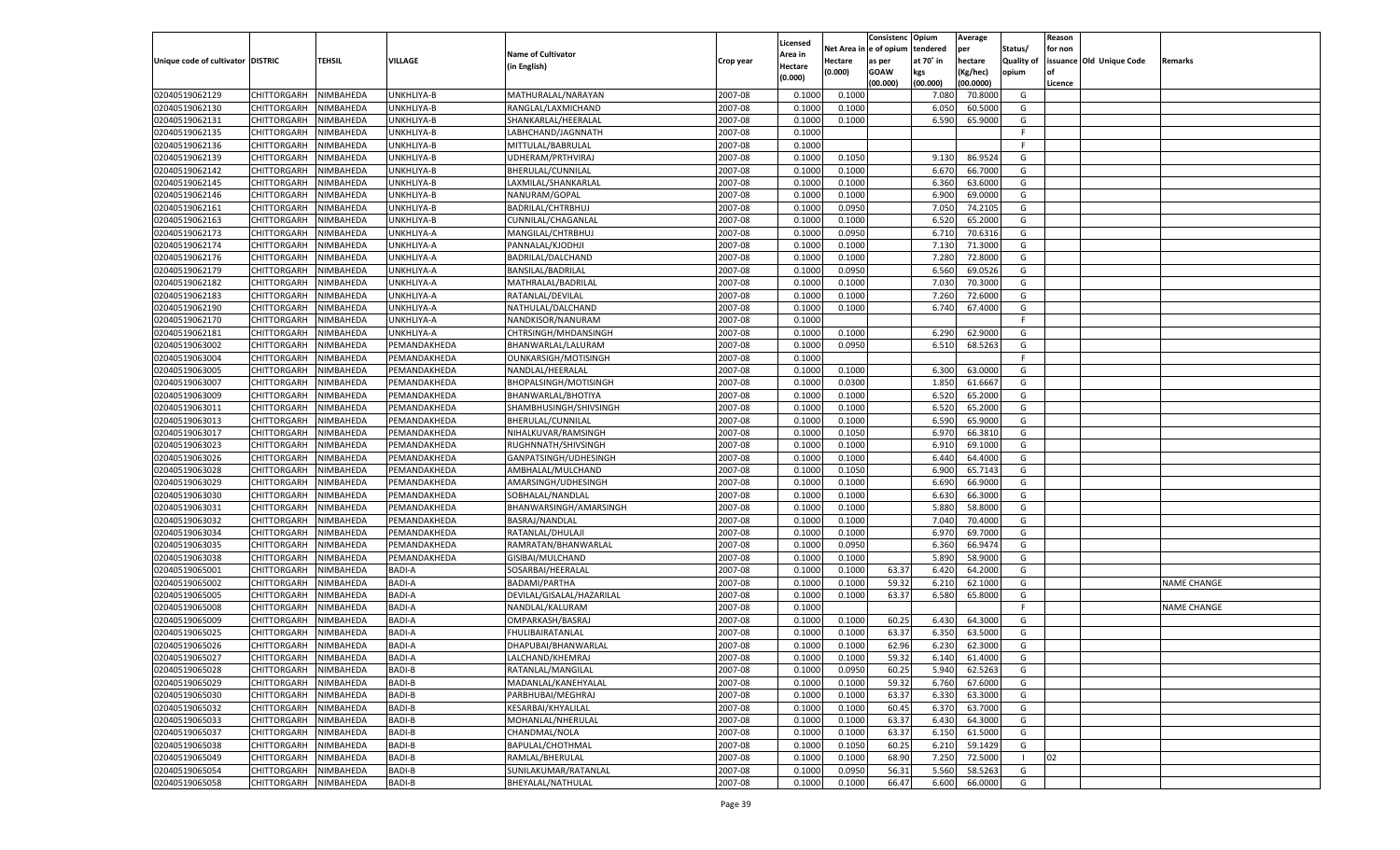|                                   |                                      |               |               |                                          |           |                     |          | Consistenc  | Opium     | Average   |                   | Reason  |                          |                    |
|-----------------------------------|--------------------------------------|---------------|---------------|------------------------------------------|-----------|---------------------|----------|-------------|-----------|-----------|-------------------|---------|--------------------------|--------------------|
|                                   |                                      |               |               | <b>Name of Cultivator</b>                |           | Licensed<br>\rea in | Net Area | e of opium  | tendered  | per       | Status/           | for non |                          |                    |
| Unique code of cultivator DISTRIC |                                      | <b>TEHSIL</b> | VILLAGE       | (in English)                             | Crop year | Hectare             | Hectare  | as per      | at 70° in | hectare   | <b>Quality of</b> |         | issuance Old Unique Code | Remarks            |
|                                   |                                      |               |               |                                          |           | (0.000)             | (0.000)  | <b>GOAW</b> | kgs       | (Kg/hec)  | opium             |         |                          |                    |
|                                   |                                      |               |               |                                          |           |                     |          | (00.000)    | (00.000)  | (00.0000) |                   | Licence |                          |                    |
| 02040519062129                    | CHITTORGARH                          | NIMBAHEDA     | UNKHLIYA-B    | MATHURALAL/NARAYAN                       | 2007-08   | 0.1000              | 0.1000   |             | 7.08      | 70.8000   | G                 |         |                          |                    |
| 02040519062130                    | CHITTORGARH                          | NIMBAHEDA     | UNKHLIYA-B    | RANGLAL/LAXMICHAND                       | 2007-08   | 0.1000              | 0.1000   |             | 6.050     | 60.5000   | G                 |         |                          |                    |
| 02040519062131                    | CHITTORGARH                          | NIMBAHEDA     | UNKHLIYA-B    | SHANKARLAL/HEERALAL                      | 2007-08   | 0.1000              | 0.1000   |             | 6.590     | 65.9000   | G                 |         |                          |                    |
| 02040519062135                    | CHITTORGARH                          | NIMBAHEDA     | UNKHLIYA-B    | LABHCHAND/JAGNNATH                       | 2007-08   | 0.1000              |          |             |           |           | F.                |         |                          |                    |
| 02040519062136                    | CHITTORGARH                          | NIMBAHEDA     | UNKHLIYA-B    | MITTULAL/BABRULAL                        | 2007-08   | 0.1000              |          |             |           |           | F.                |         |                          |                    |
| 02040519062139                    | CHITTORGARH                          | NIMBAHEDA     | UNKHLIYA-B    | UDHERAM/PRTHVIRAJ                        | 2007-08   | 0.1000              | 0.1050   |             | 9.130     | 86.9524   | G                 |         |                          |                    |
| 02040519062142                    | CHITTORGARH                          | NIMBAHEDA     | UNKHLIYA-B    | BHERULAL/CUNNILAL                        | 2007-08   | 0.1000              | 0.1000   |             | 6.670     | 66.7000   | G                 |         |                          |                    |
| 02040519062145                    | CHITTORGARH                          | NIMBAHEDA     | UNKHLIYA-B    | LAXMILAL/SHANKARLAL                      | 2007-08   | 0.1000              | 0.1000   |             | 6.360     | 63.6000   | G                 |         |                          |                    |
| 02040519062146                    | CHITTORGARH                          | NIMBAHEDA     | UNKHLIYA-B    | NANURAM/GOPAL                            | 2007-08   | 0.1000              | 0.1000   |             | 6.900     | 69.0000   | G                 |         |                          |                    |
| 02040519062161                    | CHITTORGARH                          | NIMBAHEDA     | UNKHLIYA-B    | BADRILAL/CHTRBHUJ                        | 2007-08   | 0.1000              | 0.0950   |             | 7.050     | 74.2105   | G                 |         |                          |                    |
| 02040519062163                    | CHITTORGARH                          | NIMBAHEDA     | UNKHLIYA-B    | CUNNILAL/CHAGANLAL                       | 2007-08   | 0.1000              | 0.1000   |             | 6.520     | 65.2000   | G                 |         |                          |                    |
| 02040519062173                    | CHITTORGARH                          | NIMBAHEDA     | UNKHLIYA-A    | MANGILAL/CHTRBHUJ                        | 2007-08   | 0.1000              | 0.0950   |             | 6.710     | 70.6316   | G                 |         |                          |                    |
| 02040519062174                    | CHITTORGARH                          | NIMBAHEDA     | UNKHLIYA-A    | PANNALAL/KJODHJI                         | 2007-08   | 0.1000              | 0.1000   |             | 7.130     | 71.3000   | G                 |         |                          |                    |
| 02040519062176                    | CHITTORGARH                          | NIMBAHEDA     | UNKHLIYA-A    | BADRILAL/DALCHAND                        | 2007-08   | 0.1000              | 0.1000   |             | 7.280     | 72.8000   | G                 |         |                          |                    |
| 02040519062179                    | CHITTORGARH                          | NIMBAHEDA     | UNKHLIYA-A    | BANSILAL/BADRILAL                        | 2007-08   | 0.1000              | 0.0950   |             | 6.560     | 69.0526   | G                 |         |                          |                    |
| 02040519062182                    | CHITTORGARH                          | NIMBAHEDA     | UNKHLIYA-A    | MATHRALAL/BADRILAL                       | 2007-08   | 0.1000              | 0.1000   |             | 7.030     | 70.3000   | G                 |         |                          |                    |
| 02040519062183                    | CHITTORGARH                          | NIMBAHEDA     | UNKHLIYA-A    | RATANLAL/DEVILAL                         | 2007-08   | 0.1000              | 0.1000   |             | 7.260     | 72.6000   | G                 |         |                          |                    |
| 02040519062190                    | CHITTORGARH                          | NIMBAHEDA     | UNKHLIYA-A    | NATHULAL/DALCHAND                        | 2007-08   | 0.1000              | 0.1000   |             | 6.740     | 67.4000   | G                 |         |                          |                    |
| 02040519062170                    | CHITTORGARH                          | NIMBAHEDA     | UNKHLIYA-A    | NANDKISOR/NANURAM                        | 2007-08   | 0.1000              |          |             |           |           | F                 |         |                          |                    |
| 02040519062181                    | CHITTORGARH                          | NIMBAHEDA     | UNKHLIYA-A    | CHTRSINGH/MHDANSINGH                     | 2007-08   | 0.1000              | 0.1000   |             | 6.290     | 62.9000   | G                 |         |                          |                    |
| 02040519063002                    | CHITTORGARH                          | NIMBAHEDA     | PEMANDAKHEDA  | BHANWARLAL/LALURAM                       | 2007-08   | 0.1000              | 0.0950   |             | 6.510     | 68.5263   | G                 |         |                          |                    |
| 02040519063004                    | CHITTORGARH                          | NIMBAHEDA     | PEMANDAKHEDA  | OUNKARSIGH/MOTISINGH                     | 2007-08   | 0.1000              |          |             |           |           | F.                |         |                          |                    |
| 02040519063005                    | CHITTORGARH                          | NIMBAHEDA     | PEMANDAKHEDA  | NANDLAL/HEERALAL                         | 2007-08   | 0.1000              | 0.1000   |             | 6.300     | 63.0000   | G                 |         |                          |                    |
| 02040519063007                    | CHITTORGARH                          | NIMBAHEDA     | PEMANDAKHEDA  | BHOPALSINGH/MOTISINGH                    | 2007-08   | 0.1000              | 0.0300   |             | 1.850     | 61.6667   | G                 |         |                          |                    |
| 02040519063009                    | CHITTORGARH                          | NIMBAHEDA     | PEMANDAKHEDA  | BHANWARLAL/BHOTIYA                       | 2007-08   | 0.1000              | 0.1000   |             | 6.520     | 65.2000   | G                 |         |                          |                    |
| 02040519063011                    | CHITTORGARH                          | NIMBAHEDA     | PEMANDAKHEDA  | SHAMBHUSINGH/SHIVSINGH                   | 2007-08   | 0.1000              | 0.1000   |             | 6.520     | 65.2000   | G                 |         |                          |                    |
| 02040519063013                    | CHITTORGARH                          | NIMBAHEDA     | PEMANDAKHEDA  | BHERULAL/CUNNILAL                        | 2007-08   | 0.1000              | 0.1000   |             | 6.590     | 65.9000   | G                 |         |                          |                    |
| 02040519063017                    | CHITTORGARH                          | NIMBAHEDA     | PEMANDAKHEDA  | NIHALKUVAR/RAMSINGH                      | 2007-08   | 0.1000              | 0.1050   |             | 6.970     | 66.3810   | G                 |         |                          |                    |
| 02040519063023                    | CHITTORGARH                          | NIMBAHEDA     | PEMANDAKHEDA  | RUGHNNATH/SHIVSINGH                      | 2007-08   | 0.1000              | 0.1000   |             | 6.910     | 69.1000   | G                 |         |                          |                    |
| 02040519063026                    | CHITTORGARH                          | NIMBAHEDA     | PEMANDAKHEDA  | GANPATSINGH/UDHESINGH                    | 2007-08   | 0.1000              | 0.1000   |             | 6.440     | 64.4000   | G                 |         |                          |                    |
| 02040519063028                    | CHITTORGARH                          | NIMBAHEDA     | PEMANDAKHEDA  | AMBHALAL/MULCHAND                        | 2007-08   | 0.1000              | 0.1050   |             | 6.900     | 65.7143   | G                 |         |                          |                    |
| 02040519063029                    | CHITTORGARH                          | NIMBAHEDA     | PEMANDAKHEDA  | AMARSINGH/UDHESINGH                      | 2007-08   | 0.1000              | 0.1000   |             | 6.690     | 66.9000   | G                 |         |                          |                    |
| 02040519063030                    | CHITTORGARH                          | NIMBAHEDA     | PEMANDAKHEDA  | SOBHALAL/NANDLAL                         | 2007-08   | 0.1000              | 0.1000   |             | 6.630     | 66.3000   | G                 |         |                          |                    |
| 02040519063031                    | CHITTORGARH                          | NIMBAHEDA     | PEMANDAKHEDA  | BHANWARSINGH/AMARSINGH                   | 2007-08   | 0.1000              | 0.1000   |             | 5.880     | 58.8000   | G                 |         |                          |                    |
| 02040519063032                    | CHITTORGARH                          | NIMBAHEDA     | PEMANDAKHEDA  | BASRAJ/NANDLAL                           | 2007-08   | 0.1000              | 0.1000   |             | 7.04      | 70.4000   | G                 |         |                          |                    |
| 02040519063034                    | CHITTORGARH                          | NIMBAHEDA     | PEMANDAKHEDA  | RATANLAL/DHULAJI                         | 2007-08   | 0.1000              | 0.1000   |             | 6.97      | 69.7000   | G                 |         |                          |                    |
| 02040519063035                    | CHITTORGARH                          | NIMBAHEDA     | PEMANDAKHEDA  | RAMRATAN/BHANWARLAL                      | 2007-08   | 0.1000              | 0.0950   |             | 6.360     | 66.9474   | G                 |         |                          |                    |
| 02040519063038                    | CHITTORGARH                          | NIMBAHEDA     | PEMANDAKHEDA  | GISIBAI/MULCHAND                         | 2007-08   | 0.1000              | 0.1000   |             | 5.890     | 58.9000   | G                 |         |                          |                    |
| 02040519065001                    | CHITTORGARH                          | NIMBAHEDA     | <b>BADI-A</b> | SOSARBAI/HEERALAI                        | 2007-08   | 0.1000              | 0.1000   | 63.37       | 6.420     | 64.2000   | G                 |         |                          |                    |
| 02040519065002                    | CHITTORGARH                          | NIMBAHEDA     | <b>BADI-A</b> | <b>BADAMI/PARTHA</b>                     | 2007-08   | 0.1000              | 0.1000   | 59.32       | 6.210     | 62.1000   | G                 |         |                          | <b>NAME CHANGE</b> |
| 02040519065005                    | CHITTORGARH                          | NIMBAHEDA     | <b>BADI-A</b> | DEVILAL/GISALAL/HAZARILAL                | 2007-08   | 0.1000              | 0.1000   | 63.37       | 6.580     | 65.8000   | G                 |         |                          |                    |
| 02040519065008                    | CHITTORGARH                          | NIMBAHEDA     | <b>BADI-A</b> | NANDLAL/KALURAM                          | 2007-08   | 0.1000              |          |             |           |           | F                 |         |                          | <b>NAME CHANGE</b> |
| 02040519065009                    | CHITTORGARH                          | NIMBAHEDA     | <b>BADI-A</b> | OMPARKASH/BASRAJ                         | 2007-08   | 0.1000              | 0.1000   | 60.25       | 6.430     | 64.3000   | G                 |         |                          |                    |
| 02040519065025                    | CHITTORGARH                          | NIMBAHEDA     | <b>BADI-A</b> | FHULIBAIRATANLAL                         | 2007-08   | 0.1000              | 0.1000   | 63.37       | 6.350     | 63.5000   | G                 |         |                          |                    |
| 02040519065026                    |                                      | NIMBAHEDA     | <b>BADI-A</b> |                                          | 2007-08   | 0.1000              | 0.1000   | 62.96       | 6.230     | 62.3000   | G                 |         |                          |                    |
|                                   | CHITTORGARH<br>CHITTORGARH NIMBAHEDA |               |               | DHAPUBAI/BHANWARLAL                      |           |                     |          |             |           |           |                   |         |                          |                    |
| 02040519065027                    |                                      |               | <b>BADI-A</b> | LALCHAND/KHEMRAJ                         | 2007-08   | 0.1000              | 0.1000   | 59.32       | 6.140     | 61.4000   | G                 |         |                          |                    |
| 02040519065028                    | <b>CHITTORGARH</b>                   | NIMBAHEDA     | <b>BADI-B</b> | RATANLAL/MANGILAL<br>MADANLAL/KANEHYALAL | 2007-08   | 0.1000              | 0.0950   | 60.25       | 5.940     | 62.5263   | G                 |         |                          |                    |
| 02040519065029                    | <b>CHITTORGARH</b>                   | NIMBAHEDA     | BADI-B        |                                          | 2007-08   | 0.1000              | 0.1000   | 59.32       | 6.760     | 67.6000   | G                 |         |                          |                    |
| 02040519065030                    | <b>CHITTORGARH</b>                   | NIMBAHEDA     | <b>BADI-B</b> | PARBHUBAI/MEGHRAJ                        | 2007-08   | 0.1000              | 0.1000   | 63.37       | 6.330     | 63.3000   | G                 |         |                          |                    |
| 02040519065032                    | <b>CHITTORGARH</b>                   | NIMBAHEDA     | BADI-B        | KESARBAI/KHYALILAL                       | 2007-08   | 0.1000              | 0.1000   | 60.45       | 6.370     | 63.7000   | G                 |         |                          |                    |
| 02040519065033                    | <b>CHITTORGARH</b>                   | NIMBAHEDA     | <b>BADI-B</b> | MOHANLAL/NHERULAL                        | 2007-08   | 0.1000              | 0.1000   | 63.37       | 6.430     | 64.3000   | G                 |         |                          |                    |
| 02040519065037                    | <b>CHITTORGARH</b>                   | NIMBAHEDA     | BADI-B        | CHANDMAL/NOLA                            | 2007-08   | 0.1000              | 0.1000   | 63.37       | 6.150     | 61.5000   | G                 |         |                          |                    |
| 02040519065038                    | <b>CHITTORGARH</b>                   | NIMBAHEDA     | <b>BADI-B</b> | BAPULAL/CHOTHMAL                         | 2007-08   | 0.1000              | 0.1050   | 60.25       | 6.210     | 59.1429   | G                 |         |                          |                    |
| 02040519065049                    | <b>CHITTORGARH</b>                   | NIMBAHEDA     | BADI-B        | RAMLAL/BHERULAL                          | 2007-08   | 0.1000              | 0.1000   | 68.90       | 7.250     | 72.5000   | - 1               | 02      |                          |                    |
| 02040519065054                    | <b>CHITTORGARH</b>                   | NIMBAHEDA     | <b>BADI-B</b> | SUNILAKUMAR/RATANLAL                     | 2007-08   | 0.1000              | 0.0950   | 56.31       | 5.560     | 58.5263   | G                 |         |                          |                    |
| 02040519065058                    | <b>CHITTORGARH</b>                   | NIMBAHEDA     | <b>BADI-B</b> | BHEYALAL/NATHULAL                        | 2007-08   | 0.1000              | 0.1000   | 66.47       | 6.600     | 66.0000   | G                 |         |                          |                    |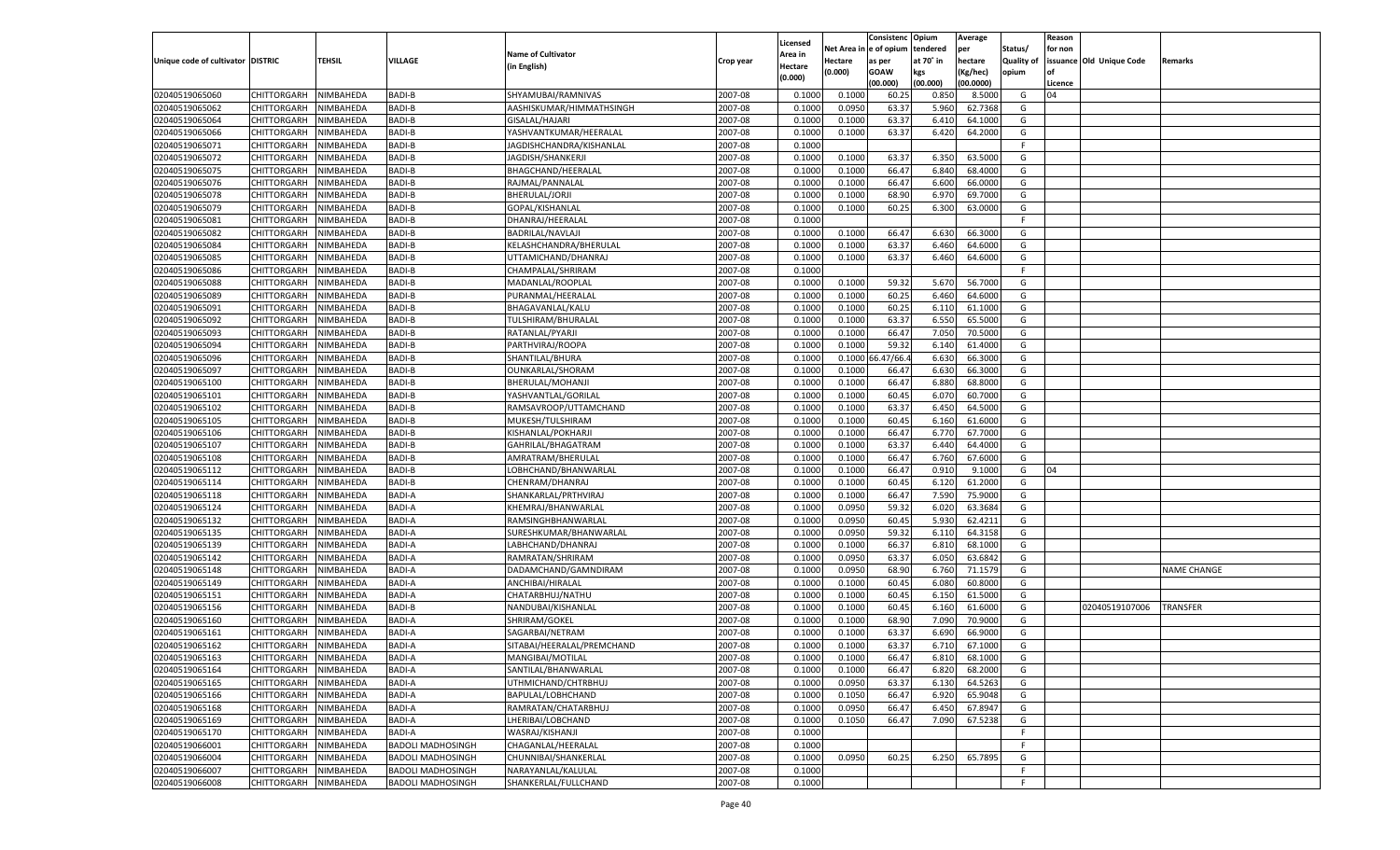|                                   |                       |                  |                          |                            |           |                           |          | Consistenc  | Opium     | Average   |                   | Reason  |                          |                    |
|-----------------------------------|-----------------------|------------------|--------------------------|----------------------------|-----------|---------------------------|----------|-------------|-----------|-----------|-------------------|---------|--------------------------|--------------------|
|                                   |                       |                  |                          | <b>Name of Cultivator</b>  |           | Licensed                  | Net Area | e of opium  | tendered  | per       | Status/           | for non |                          |                    |
| Unique code of cultivator DISTRIC |                       | <b>TEHSIL</b>    | VILLAGE                  | (in English)               | Crop year | <b>Area in</b><br>Hectare | Hectare  | as per      | at 70° in | hectare   | <b>Quality of</b> |         | issuance Old Unique Code | Remarks            |
|                                   |                       |                  |                          |                            |           | (0.000)                   | (0.000)  | <b>GOAW</b> | kgs       | (Kg/hec)  | opium             |         |                          |                    |
|                                   |                       |                  |                          |                            |           |                           |          | (00.000)    | (00.000)  | (00.0000) |                   | Licence |                          |                    |
| 02040519065060                    | CHITTORGARH           | NIMBAHEDA        | <b>BADI-B</b>            | SHYAMUBAI/RAMNIVAS         | 2007-08   | 0.1000                    | 0.1000   | 60.2        | 0.850     | 8.5000    | G                 | 04      |                          |                    |
| 02040519065062                    | CHITTORGARH           | NIMBAHEDA        | <b>BADI-B</b>            | AASHISKUMAR/HIMMATHSINGH   | 2007-08   | 0.100                     | 0.0950   | 63.3        | 5.960     | 62.7368   | G                 |         |                          |                    |
| 02040519065064                    | CHITTORGARH           | NIMBAHEDA        | <b>BADI-B</b>            | GISALAL/HAJARI             | 2007-08   | 0.1000                    | 0.1000   | 63.37       | 6.41      | 64.1000   | G                 |         |                          |                    |
| 02040519065066                    | CHITTORGARH           | NIMBAHEDA        | <b>BADI-B</b>            | YASHVANTKUMAR/HEERALAL     | 2007-08   | 0.1000                    | 0.1000   | 63.37       | 6.420     | 64.2000   | G                 |         |                          |                    |
| 02040519065071                    | CHITTORGARH           | NIMBAHEDA        | <b>BADI-B</b>            | JAGDISHCHANDRA/KISHANLAL   | 2007-08   | 0.1000                    |          |             |           |           | F.                |         |                          |                    |
| 02040519065072                    | CHITTORGARH           | NIMBAHEDA        | <b>BADI-B</b>            | JAGDISH/SHANKERJI          | 2007-08   | 0.1000                    | 0.1000   | 63.3        | 6.350     | 63.500    | G                 |         |                          |                    |
| 02040519065075                    | CHITTORGARH           | NIMBAHEDA        | <b>BADI-B</b>            | BHAGCHAND/HEERALAL         | 2007-08   | 0.1000                    | 0.1000   | 66.47       | 6.840     | 68.4000   | G                 |         |                          |                    |
| 02040519065076                    | CHITTORGARH           | NIMBAHEDA        | <b>BADI-B</b>            | RAJMAL/PANNALAL            | 2007-08   | 0.1000                    | 0.1000   | 66.47       | 6.600     | 66.0000   | G                 |         |                          |                    |
| 02040519065078                    | CHITTORGARH           | NIMBAHEDA        | <b>BADI-B</b>            | BHERULAL/JORJI             | 2007-08   | 0.1000                    | 0.1000   | 68.90       | 6.970     | 69.7000   | G                 |         |                          |                    |
| 02040519065079                    | CHITTORGARH           | NIMBAHEDA        | <b>BADI-B</b>            | GOPAL/KISHANLAL            | 2007-08   | 0.1000                    | 0.1000   | 60.2        | 6.300     | 63.0000   | G                 |         |                          |                    |
| 02040519065081                    | CHITTORGARH           | NIMBAHEDA        | <b>BADI-B</b>            | DHANRAJ/HEERALAL           | 2007-08   | 0.1000                    |          |             |           |           | F.                |         |                          |                    |
| 02040519065082                    | CHITTORGARH           | NIMBAHEDA        | <b>BADI-B</b>            | BADRILAL/NAVLAJI           | 2007-08   | 0.1000                    | 0.1000   | 66.47       | 6.630     | 66.3000   | G                 |         |                          |                    |
| 02040519065084                    | CHITTORGARH           | NIMBAHEDA        | <b>BADI-B</b>            | KELASHCHANDRA/BHERULAL     | 2007-08   | 0.1000                    | 0.1000   | 63.37       | 6.460     | 64.6000   | G                 |         |                          |                    |
| 02040519065085                    | CHITTORGARH           | NIMBAHEDA        | <b>BADI-B</b>            | UTTAMICHAND/DHANRAJ        | 2007-08   | 0.1000                    | 0.1000   | 63.37       | 6.460     | 64.6000   | G                 |         |                          |                    |
| 02040519065086                    | CHITTORGARH           | NIMBAHEDA        | <b>BADI-B</b>            | CHAMPALAL/SHRIRAM          | 2007-08   | 0.1000                    |          |             |           |           | F.                |         |                          |                    |
| 02040519065088                    | CHITTORGARH           | NIMBAHEDA        | <b>BADI-B</b>            | MADANLAL/ROOPLAL           | 2007-08   | 0.1000                    | 0.1000   | 59.32       | 5.670     | 56.7000   | G                 |         |                          |                    |
| 02040519065089                    | CHITTORGARH           | NIMBAHEDA        | <b>BADI-B</b>            | PURANMAL/HEERALAI          | 2007-08   | 0.1000                    | 0.1000   | 60.25       | 6.460     | 64.6000   | G                 |         |                          |                    |
| 02040519065091                    | CHITTORGARH           | NIMBAHEDA        | <b>BADI-B</b>            | BHAGAVANLAL/KALU           | 2007-08   | 0.1000                    | 0.1000   | 60.25       | 6.110     | 61.1000   | G                 |         |                          |                    |
| 02040519065092                    | CHITTORGARH           | NIMBAHEDA        | <b>BADI-B</b>            | TULSHIRAM/BHURALAL         | 2007-08   | 0.1000                    | 0.1000   | 63.37       | 6.550     | 65.5000   | G                 |         |                          |                    |
| 02040519065093                    | CHITTORGARH           | NIMBAHEDA        | <b>BADI-B</b>            | RATANLAL/PYARJI            | 2007-08   | 0.1000                    | 0.1000   | 66.47       | 7.050     | 70.5000   | G                 |         |                          |                    |
| 02040519065094                    | CHITTORGARH           | NIMBAHEDA        | <b>BADI-B</b>            | PARTHVIRAJ/ROOPA           | 2007-08   | 0.1000                    | 0.1000   | 59.32       | 6.140     | 61.4000   | G                 |         |                          |                    |
| 02040519065096                    | CHITTORGARH           | NIMBAHEDA        | <b>BADI-B</b>            | SHANTILAL/BHURA            | 2007-08   | 0.1000                    | 0.1000   | 6.47/66.    | 6.630     | 66.3000   | G                 |         |                          |                    |
| 02040519065097                    | CHITTORGARH           | NIMBAHEDA        | <b>BADI-B</b>            | OUNKARLAL/SHORAM           | 2007-08   | 0.1000                    | 0.1000   | 66.47       | 6.630     | 66.3000   | G                 |         |                          |                    |
| 02040519065100                    | CHITTORGARH           | NIMBAHEDA        | <b>BADI-B</b>            | BHERULAL/MOHANJI           | 2007-08   | 0.1000                    | 0.1000   | 66.47       | 6.880     | 68.8000   | G                 |         |                          |                    |
| 02040519065101                    | CHITTORGARH           | NIMBAHEDA        | <b>BADI-B</b>            | YASHVANTLAL/GORILAL        | 2007-08   | 0.1000                    | 0.1000   | 60.45       | 6.070     | 60.7000   | G                 |         |                          |                    |
| 02040519065102                    | CHITTORGARH           | NIMBAHEDA        | <b>BADI-B</b>            | RAMSAVROOP/UTTAMCHAND      | 2007-08   | 0.1000                    | 0.1000   | 63.37       | 6.450     | 64.5000   | G                 |         |                          |                    |
| 02040519065105                    | CHITTORGARH           | NIMBAHEDA        | <b>BADI-B</b>            | MUKESH/TULSHIRAM           | 2007-08   | 0.1000                    | 0.1000   | 60.45       | 6.160     | 61.6000   | G                 |         |                          |                    |
| 02040519065106                    | CHITTORGARH           | NIMBAHEDA        | <b>BADI-B</b>            | KISHANLAL/POKHARJI         | 2007-08   | 0.1000                    | 0.1000   | 66.47       | 6.770     | 67.7000   | G                 |         |                          |                    |
| 02040519065107                    | CHITTORGARH           | NIMBAHEDA        | <b>BADI-B</b>            | GAHRILAL/BHAGATRAM         | 2007-08   | 0.1000                    | 0.1000   | 63.37       | 6.440     | 64.4000   | G                 |         |                          |                    |
| 02040519065108                    | CHITTORGARH           | NIMBAHEDA        | <b>BADI-B</b>            | AMRATRAM/BHERULAL          | 2007-08   | 0.1000                    | 0.1000   | 66.47       | 6.760     | 67.6000   | G                 |         |                          |                    |
| 02040519065112                    | CHITTORGARH           | NIMBAHEDA        | <b>BADI-B</b>            | LOBHCHAND/BHANWARLAL       | 2007-08   | 0.1000                    | 0.1000   | 66.47       | 0.910     | 9.1000    | G                 | 04      |                          |                    |
| 02040519065114                    | CHITTORGARH           | NIMBAHEDA        | <b>BADI-B</b>            | CHENRAM/DHANRAJ            | 2007-08   | 0.1000                    | 0.1000   | 60.45       | 6.120     | 61.2000   | G                 |         |                          |                    |
| 02040519065118                    | CHITTORGARH           | NIMBAHEDA        | <b>BADI-A</b>            | SHANKARLAL/PRTHVIRAJ       | 2007-08   | 0.1000                    | 0.1000   | 66.47       | 7.590     | 75.9000   | G                 |         |                          |                    |
| 02040519065124                    | CHITTORGARH           | NIMBAHEDA        | <b>BADI-A</b>            | KHEMRAJ/BHANWARLAI         | 2007-08   | 0.1000                    | 0.0950   | 59.32       | 6.020     | 63.3684   | G                 |         |                          |                    |
| 02040519065132                    | CHITTORGARH           | NIMBAHEDA        | <b>BADI-A</b>            | RAMSINGHBHANWARLAI         | 2007-08   | 0.1000                    | 0.0950   | 60.45       | 5.930     | 62.4211   | G                 |         |                          |                    |
| 02040519065135                    | CHITTORGARH           | NIMBAHEDA        | <b>BADI-A</b>            | SURESHKUMAR/BHANWARLAL     | 2007-08   | 0.1000                    | 0.0950   | 59.32       | 6.110     | 64.3158   | G                 |         |                          |                    |
| 02040519065139                    | CHITTORGARH           | NIMBAHEDA        | <b>BADI-A</b>            | LABHCHAND/DHANRAJ          | 2007-08   | 0.1000                    | 0.1000   | 66.37       | 6.810     | 68.1000   | G                 |         |                          |                    |
| 02040519065142                    | CHITTORGARH           | NIMBAHEDA        | <b>BADI-A</b>            | RAMRATAN/SHRIRAM           | 2007-08   | 0.1000                    | 0.0950   | 63.37       | 6.050     | 63.6842   | G                 |         |                          |                    |
| 02040519065148                    | CHITTORGARH           | NIMBAHEDA        | <b>BADI-A</b>            | DADAMCHAND/GAMNDIRAM       | 2007-08   | 0.1000                    | 0.0950   | 68.90       | 6.760     | 71.1579   | G                 |         |                          | <b>NAME CHANGE</b> |
| 02040519065149                    | CHITTORGARH           | NIMBAHEDA        | <b>BADI-A</b>            | ANCHIBAI/HIRALAL           | 2007-08   | 0.1000                    | 0.1000   | 60.45       | 6.080     | 60.8000   | G                 |         |                          |                    |
| 02040519065151                    | CHITTORGARH           | NIMBAHEDA        | <b>BADI-A</b>            | CHATARBHUJ/NATHU           | 2007-08   | 0.1000                    | 0.1000   | 60.45       | 6.150     | 61.5000   | G                 |         |                          |                    |
| 02040519065156                    | CHITTORGARH           | NIMBAHEDA        | <b>BADI-B</b>            | NANDUBAI/KISHANLAL         | 2007-08   | 0.1000                    | 0.1000   | 60.45       | 6.160     | 61.6000   | G                 |         | 02040519107006           | <b>TRANSFER</b>    |
| 02040519065160                    | CHITTORGARH           | NIMBAHEDA        | <b>BADI-A</b>            | SHRIRAM/GOKEL              | 2007-08   | 0.1000                    | 0.1000   | 68.90       | 7.090     | 70.9000   | G                 |         |                          |                    |
| 02040519065161                    | CHITTORGARH           | NIMBAHEDA        | <b>BADI-A</b>            | SAGARBAI/NETRAM            | 2007-08   | 0.1000                    | 0.1000   | 63.37       | 6.69      | 66.9000   | G                 |         |                          |                    |
| 02040519065162                    | CHITTORGARH           | NIMBAHEDA        | <b>BADI-A</b>            | SITABAI/HEERALAL/PREMCHAND | 2007-08   | 0.1000                    | 0.1000   | 63.37       | 6.710     | 67.1000   | G                 |         |                          |                    |
| 02040519065163                    | CHITTORGARH NIMBAHEDA |                  | <b>BADI-A</b>            | MANGIBAI/MOTILAL           | 2007-08   | 0.1000                    | 0.1000   | 66.47       | 6.810     | 68.1000   | G                 |         |                          |                    |
| 02040519065164                    | <b>CHITTORGARH</b>    | <b>NIMBAHEDA</b> | <b>BADI-A</b>            | SANTILAL/BHANWARLAL        | 2007-08   | 0.1000                    | 0.1000   | 66.47       | 6.820     | 68.2000   | G                 |         |                          |                    |
| 02040519065165                    | <b>CHITTORGARH</b>    | NIMBAHEDA        | <b>BADI-A</b>            | UTHMICHAND/CHTRBHUJ        | 2007-08   | 0.1000                    | 0.0950   | 63.37       | 6.130     | 64.5263   | G                 |         |                          |                    |
| 02040519065166                    | <b>CHITTORGARH</b>    | NIMBAHEDA        | <b>BADI-A</b>            | BAPULAL/LOBHCHAND          | 2007-08   | 0.1000                    | 0.1050   | 66.47       | 6.920     | 65.9048   | G                 |         |                          |                    |
| 02040519065168                    | <b>CHITTORGARH</b>    | NIMBAHEDA        | <b>BADI-A</b>            | RAMRATAN/CHATARBHUJ        | 2007-08   | 0.1000                    | 0.0950   | 66.47       | 6.450     | 67.8947   | G                 |         |                          |                    |
| 02040519065169                    | <b>CHITTORGARH</b>    | NIMBAHEDA        | <b>BADI-A</b>            | LHERIBAI/LOBCHAND          | 2007-08   | 0.1000                    | 0.1050   | 66.47       | 7.090     | 67.5238   | G                 |         |                          |                    |
| 02040519065170                    | <b>CHITTORGARH</b>    | NIMBAHEDA        | <b>BADI-A</b>            | WASRAJ/KISHANJI            | 2007-08   | 0.1000                    |          |             |           |           | F.                |         |                          |                    |
| 02040519066001                    | <b>CHITTORGARH</b>    | NIMBAHEDA        | <b>BADOLI MADHOSINGH</b> | CHAGANLAL/HEERALAL         | 2007-08   | 0.1000                    |          |             |           |           | F.                |         |                          |                    |
| 02040519066004                    | <b>CHITTORGARH</b>    | NIMBAHEDA        | <b>BADOLI MADHOSINGH</b> | CHUNNIBAI/SHANKERLAL       | 2007-08   | 0.1000                    | 0.0950   | 60.25       | 6.250     | 65.7895   | G                 |         |                          |                    |
|                                   |                       | NIMBAHEDA        |                          |                            |           | 0.1000                    |          |             |           |           |                   |         |                          |                    |
| 02040519066007                    | <b>CHITTORGARH</b>    |                  | <b>BADOLI MADHOSINGH</b> | NARAYANLAL/KALULAL         | 2007-08   |                           |          |             |           |           | F.                |         |                          |                    |
| 02040519066008                    | <b>CHITTORGARH</b>    | NIMBAHEDA        | <b>BADOLI MADHOSINGH</b> | SHANKERLAL/FULLCHAND       | 2007-08   | 0.1000                    |          |             |           |           | F.                |         |                          |                    |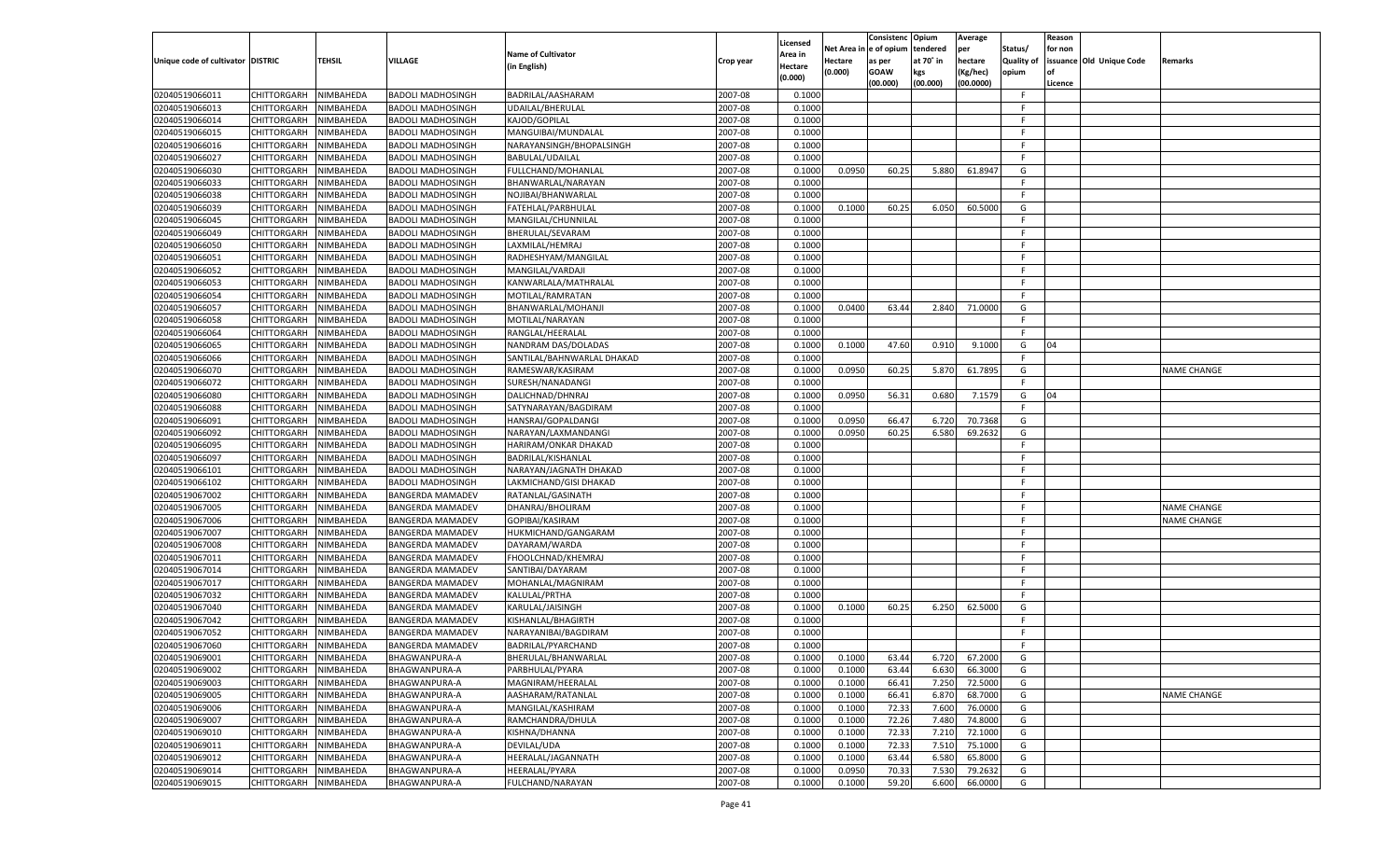|                                   |                                      |                        |                                       |                                        |                    | Licensed |                  | Consistenc Opium |           | Average            |                   | Reason  |                          |                    |
|-----------------------------------|--------------------------------------|------------------------|---------------------------------------|----------------------------------------|--------------------|----------|------------------|------------------|-----------|--------------------|-------------------|---------|--------------------------|--------------------|
|                                   |                                      |                        |                                       | <b>Name of Cultivator</b>              |                    | \rea in  | Net Area i       | n  e of opium    | tendered  | per                | Status/           | for non |                          |                    |
| Unique code of cultivator DISTRIC |                                      | <b>TEHSIL</b>          | VILLAGE                               | (in English)                           | Crop year          | Hectare  | Hectare          | as per           | at 70° in | hectare            | <b>Quality of</b> |         | issuance Old Unique Code | <b>Remarks</b>     |
|                                   |                                      |                        |                                       |                                        |                    | (0.000)  | (0.000)          | <b>GOAW</b>      | kgs       | (Kg/hec)           | opium             | οf      |                          |                    |
|                                   |                                      |                        |                                       |                                        |                    |          |                  | (00.000)         | (00.000)  | (00.0000)          |                   | Licence |                          |                    |
| 02040519066011                    | CHITTORGARH                          | NIMBAHEDA              | <b>BADOLI MADHOSINGH</b>              | BADRILAL/AASHARAM                      | 2007-08            | 0.1000   |                  |                  |           |                    | -F.               |         |                          |                    |
| 02040519066013                    | CHITTORGARH                          | NIMBAHEDA              | <b>BADOLI MADHOSINGH</b>              | UDAILAL/BHERULAL                       | 2007-08            | 0.1000   |                  |                  |           |                    | F                 |         |                          |                    |
| 02040519066014                    | CHITTORGARH                          | NIMBAHEDA              | <b>BADOLI MADHOSINGH</b>              | KAJOD/GOPILAL                          | 2007-08            | 0.1000   |                  |                  |           |                    | F.                |         |                          |                    |
| 02040519066015                    | CHITTORGARH                          | NIMBAHEDA              | <b>BADOLI MADHOSINGH</b>              | MANGUIBAI/MUNDALAL                     | 2007-08            | 0.1000   |                  |                  |           |                    | F.                |         |                          |                    |
| 02040519066016                    | CHITTORGARH                          | NIMBAHEDA              | <b>BADOLI MADHOSINGH</b>              | NARAYANSINGH/BHOPALSINGH               | 2007-08            | 0.1000   |                  |                  |           |                    | F.                |         |                          |                    |
| 02040519066027                    | CHITTORGARH                          | NIMBAHEDA              | <b>BADOLI MADHOSINGH</b>              | BABULAL/UDAILAL                        | 2007-08            | 0.1000   |                  |                  |           |                    | F.                |         |                          |                    |
| 02040519066030                    | CHITTORGARH                          | NIMBAHEDA              | <b>BADOLI MADHOSINGH</b>              | FULLCHAND/MOHANLAL                     | 2007-08            | 0.1000   | 0.0950           | 60.25            | 5.880     | 61.8947            | G                 |         |                          |                    |
| 02040519066033                    | CHITTORGARH                          | NIMBAHEDA              | <b>BADOLI MADHOSINGH</b>              | BHANWARLAL/NARAYAN                     | 2007-08            | 0.1000   |                  |                  |           |                    | F.                |         |                          |                    |
| 02040519066038                    | CHITTORGARH                          | NIMBAHEDA              | <b>BADOLI MADHOSINGH</b>              | NOJIBAI/BHANWARLAL                     | 2007-08            | 0.1000   |                  |                  |           |                    | F                 |         |                          |                    |
| 02040519066039                    | CHITTORGARH                          | NIMBAHEDA              | <b>BADOLI MADHOSINGH</b>              | FATEHLAL/PARBHULAL                     | 2007-08            | 0.1000   | 0.1000           | 60.25            | 6.050     | 60.5000            | G                 |         |                          |                    |
| 02040519066045                    | CHITTORGARH                          | NIMBAHEDA              | <b>BADOLI MADHOSINGH</b>              | MANGILAL/CHUNNILAL                     | 2007-08            | 0.1000   |                  |                  |           |                    | F                 |         |                          |                    |
| 02040519066049                    | CHITTORGARH                          | NIMBAHEDA              | <b>BADOLI MADHOSINGH</b>              | BHERULAL/SEVARAM                       | 2007-08            | 0.1000   |                  |                  |           |                    | F.                |         |                          |                    |
| 02040519066050                    | CHITTORGARH                          | NIMBAHEDA              | <b>BADOLI MADHOSINGH</b>              | LAXMILAL/HEMRAJ                        | 2007-08            | 0.1000   |                  |                  |           |                    | F.                |         |                          |                    |
| 02040519066051                    | CHITTORGARH                          | NIMBAHEDA              | <b>BADOLI MADHOSINGH</b>              | RADHESHYAM/MANGILAL                    | 2007-08            | 0.1000   |                  |                  |           |                    | F.                |         |                          |                    |
| 02040519066052                    | CHITTORGARH                          | NIMBAHEDA              | <b>BADOLI MADHOSINGH</b>              | MANGILAL/VARDAJI                       | 2007-08            | 0.1000   |                  |                  |           |                    | F.                |         |                          |                    |
| 02040519066053                    | CHITTORGARH                          | NIMBAHEDA              | <b>BADOLI MADHOSINGH</b>              | KANWARLALA/MATHRALAL                   | 2007-08            | 0.1000   |                  |                  |           |                    | -F.               |         |                          |                    |
| 02040519066054                    | CHITTORGARH                          | NIMBAHEDA              | <b>BADOLI MADHOSINGH</b>              | MOTILAL/RAMRATAN                       | 2007-08            | 0.1000   |                  |                  |           |                    | F.                |         |                          |                    |
| 02040519066057                    | CHITTORGARH                          | NIMBAHEDA              | <b>BADOLI MADHOSINGH</b>              | BHANWARLAL/MOHANJI                     | 2007-08            | 0.1000   | 0.0400           | 63.44            | 2.840     | 71.0000            | G                 |         |                          |                    |
| 02040519066058                    | CHITTORGARH                          | NIMBAHEDA              | <b>BADOLI MADHOSINGH</b>              | MOTILAL/NARAYAN                        | 2007-08            | 0.1000   |                  |                  |           |                    | F.                |         |                          |                    |
| 02040519066064                    | CHITTORGARH                          | NIMBAHEDA              | <b>BADOLI MADHOSINGH</b>              | RANGLAL/HEERALAL                       | 2007-08            | 0.1000   |                  |                  |           |                    | F.                |         |                          |                    |
| 02040519066065                    | CHITTORGARH                          | NIMBAHEDA              | <b>BADOLI MADHOSINGH</b>              | NANDRAM DAS/DOLADAS                    | 2007-08            | 0.1000   | 0.1000           | 47.60            | 0.910     | 9.1000             | G                 | 04      |                          |                    |
| 02040519066066                    | CHITTORGARH                          | NIMBAHEDA              | <b>BADOLI MADHOSINGH</b>              | SANTILAL/BAHNWARLAL DHAKAD             | 2007-08            | 0.1000   |                  |                  |           |                    | F.                |         |                          |                    |
| 02040519066070                    | CHITTORGARH                          | NIMBAHEDA              | <b>BADOLI MADHOSINGH</b>              | RAMESWAR/KASIRAM                       | 2007-08            | 0.1000   | 0.0950           | 60.25            | 5.870     | 61.7895            | G                 |         |                          | <b>NAME CHANGE</b> |
| 02040519066072                    | CHITTORGARH                          | NIMBAHEDA              | <b>BADOLI MADHOSINGH</b>              | SURESH/NANADANGI                       | 2007-08            | 0.1000   |                  |                  |           |                    | -F.               |         |                          |                    |
| 02040519066080                    | CHITTORGARH                          | NIMBAHEDA              | <b>BADOLI MADHOSINGH</b>              | DALICHNAD/DHNRAJ                       | 2007-08            | 0.1000   | 0.0950           | 56.31            | 0.680     | 7.1579             | G                 | 04      |                          |                    |
| 02040519066088                    | CHITTORGARH                          | NIMBAHEDA              | <b>BADOLI MADHOSINGH</b>              | SATYNARAYAN/BAGDIRAM                   | 2007-08            | 0.1000   |                  |                  |           |                    | E                 |         |                          |                    |
| 02040519066091                    | CHITTORGARH                          | NIMBAHEDA              | <b>BADOLI MADHOSINGH</b>              | HANSRAJ/GOPALDANGI                     | 2007-08            | 0.1000   | 0.0950           | 66.4             | 6.720     | 70.7368            | G                 |         |                          |                    |
| 02040519066092                    | CHITTORGARH                          | NIMBAHEDA              | <b>BADOLI MADHOSINGH</b>              | NARAYAN/LAXMANDANGI                    | 2007-08            | 0.1000   | 0.0950           | 60.25            | 6.580     | 69.2632            | G                 |         |                          |                    |
| 02040519066095                    | CHITTORGARH                          | NIMBAHEDA              | <b>BADOLI MADHOSINGH</b>              | HARIRAM/ONKAR DHAKAD                   | 2007-08            | 0.1000   |                  |                  |           |                    | F.                |         |                          |                    |
| 02040519066097                    | CHITTORGARH                          | NIMBAHEDA              | <b>BADOLI MADHOSINGH</b>              | BADRILAL/KISHANLAL                     | 2007-08            | 0.1000   |                  |                  |           |                    | E                 |         |                          |                    |
| 02040519066101                    | CHITTORGARH                          | NIMBAHEDA              | <b>BADOLI MADHOSINGH</b>              | NARAYAN/JAGNATH DHAKAD                 | 2007-08            | 0.1000   |                  |                  |           |                    | F.                |         |                          |                    |
| 02040519066102                    | CHITTORGARH                          | NIMBAHEDA              | <b>BADOLI MADHOSINGH</b>              | LAKMICHAND/GISI DHAKAD                 | 2007-08            | 0.1000   |                  |                  |           |                    | F.                |         |                          |                    |
| 02040519067002                    | CHITTORGARH                          | NIMBAHEDA              | <b>BANGERDA MAMADEV</b>               | RATANLAL/GASINATH                      | 2007-08            | 0.1000   |                  |                  |           |                    | F.                |         |                          |                    |
| 02040519067005                    | CHITTORGARH                          | NIMBAHEDA              | <b>BANGERDA MAMADEV</b>               | DHANRAJ/BHOLIRAM                       | 2007-08            | 0.1000   |                  |                  |           |                    | E                 |         |                          | <b>NAME CHANGE</b> |
| 02040519067006                    | CHITTORGARH                          | NIMBAHEDA              | <b>BANGERDA MAMADEV</b>               | GOPIBAI/KASIRAM                        | 2007-08            | 0.1000   |                  |                  |           |                    | F.                |         |                          | <b>NAME CHANGE</b> |
| 02040519067007                    | CHITTORGARH                          | NIMBAHEDA              | <b>BANGERDA MAMADEV</b>               | HUKMICHAND/GANGARAM                    | 2007-08            | 0.1000   |                  |                  |           |                    | F.                |         |                          |                    |
| 02040519067008                    | CHITTORGARH                          | NIMBAHEDA              | <b>BANGERDA MAMADEV</b>               | DAYARAM/WARDA                          | 2007-08            | 0.1000   |                  |                  |           |                    | F.                |         |                          |                    |
| 02040519067011                    | CHITTORGARH                          | NIMBAHEDA              | <b>BANGERDA MAMADEV</b>               | FHOOLCHNAD/KHEMRAJ                     | 2007-08            | 0.1000   |                  |                  |           |                    | E                 |         |                          |                    |
| 02040519067014                    | CHITTORGARH                          | NIMBAHEDA              | <b>BANGERDA MAMADEV</b>               | SANTIBAI/DAYARAM                       | 2007-08            | 0.1000   |                  |                  |           |                    | F.                |         |                          |                    |
| 02040519067017                    | CHITTORGARH                          | NIMBAHEDA              | <b>BANGERDA MAMADEV</b>               | MOHANLAL/MAGNIRAM                      | 2007-08            | 0.1000   |                  |                  |           |                    | -F.               |         |                          |                    |
| 02040519067032                    | CHITTORGARH                          | NIMBAHEDA              | <b>BANGERDA MAMADEV</b>               | KALULAL/PRTHA                          | 2007-08            | 0.1000   |                  |                  |           |                    | F.                |         |                          |                    |
| 02040519067040                    | CHITTORGARH                          | NIMBAHEDA              | <b>BANGERDA MAMADEV</b>               | KARULAL/JAISINGH                       | 2007-08            | 0.1000   | 0.1000           | 60.25            | 6.250     | 62.5000            | G                 |         |                          |                    |
| 02040519067042                    | CHITTORGARH                          | NIMBAHEDA              | <b>BANGERDA MAMADEV</b>               | KISHANLAL/BHAGIRTH                     | 2007-08            | 0.1000   |                  |                  |           |                    | F.                |         |                          |                    |
| 02040519067052                    | CHITTORGARH                          | NIMBAHEDA              | <b>BANGERDA MAMADEV</b>               | NARAYANIBAI/BAGDIRAM                   | 2007-08            | 0.1000   |                  |                  |           |                    | F.                |         |                          |                    |
| 02040519067060                    | CHITTORGARH                          | NIMBAHEDA              | <b>BANGERDA MAMADEV</b>               | BADRILAL/PYARCHAND                     | 2007-08            | 0.1000   |                  |                  |           |                    | F.                |         |                          |                    |
|                                   |                                      |                        |                                       | BHERULAL/BHANWARLAL                    |                    | 0.1000   | 0.1000           | 63.44            | 6.720     | 67.2000            | G                 |         |                          |                    |
| 02040519069001<br>02040519069002  | CHITTORGARH NIMBAHEDA<br>CHITTORGARH | NIMBAHEDA              | BHAGWANPURA-A<br><b>BHAGWANPURA-A</b> | PARBHULAL/PYARA                        | 2007-08<br>2007-08 | 0.1000   | 0.1000           | 63.44            | 6.630     | 66.3000            | G                 |         |                          |                    |
| 02040519069003                    |                                      |                        |                                       |                                        |                    |          |                  |                  |           |                    |                   |         |                          |                    |
| 02040519069005                    | CHITTORGARH                          | NIMBAHEDA<br>NIMBAHEDA | BHAGWANPURA-A                         | MAGNIRAM/HEERALAL<br>AASHARAM/RATANLAL | 2007-08<br>2007-08 | 0.1000   | 0.1000<br>0.1000 | 66.41<br>66.41   | 7.250     | 72.5000<br>68.7000 | G<br>G            |         |                          | <b>NAME CHANGE</b> |
|                                   | <b>CHITTORGARH</b>                   |                        | <b>BHAGWANPURA-A</b>                  |                                        |                    | 0.1000   |                  |                  | 6.870     |                    | G                 |         |                          |                    |
| 02040519069006                    | <b>CHITTORGARH</b>                   | NIMBAHEDA              | <b>BHAGWANPURA-A</b>                  | MANGILAL/KASHIRAM                      | 2007-08            | 0.1000   | 0.1000           | 72.33            | 7.600     | 76.0000            | G                 |         |                          |                    |
| 02040519069007                    | CHITTORGARH                          | NIMBAHEDA              | <b>BHAGWANPURA-A</b>                  | RAMCHANDRA/DHULA                       | 2007-08            | 0.1000   | 0.1000           | 72.26            | 7.480     | 74.8000            |                   |         |                          |                    |
| 02040519069010                    | CHITTORGARH                          | NIMBAHEDA              | BHAGWANPURA-A                         | KISHNA/DHANNA                          | 2007-08            | 0.1000   | 0.1000           | 72.33            | 7.210     | 72.1000            | G                 |         |                          |                    |
| 02040519069011                    | <b>CHITTORGARH</b>                   | NIMBAHEDA              | <b>BHAGWANPURA-A</b>                  | DEVILAL/UDA                            | 2007-08            | 0.1000   | 0.1000           | 72.33            | 7.510     | 75.1000            | G                 |         |                          |                    |
| 02040519069012                    | CHITTORGARH                          | NIMBAHEDA              | <b>BHAGWANPURA-A</b>                  | HEERALAL/JAGANNATH                     | 2007-08            | 0.1000   | 0.1000           | 63.44            | 6.580     | 65.8000            | G                 |         |                          |                    |
| 02040519069014                    | CHITTORGARH                          | NIMBAHEDA              | <b>BHAGWANPURA-A</b>                  | HEERALAL/PYARA                         | 2007-08            | 0.1000   | 0.0950           | 70.33            | 7.530     | 79.2632            | G                 |         |                          |                    |
| 02040519069015                    | CHITTORGARH                          | NIMBAHEDA              | <b>BHAGWANPURA-A</b>                  | FULCHAND/NARAYAN                       | 2007-08            | 0.1000   | 0.1000           | 59.20            | 6.600     | 66.0000            | G                 |         |                          |                    |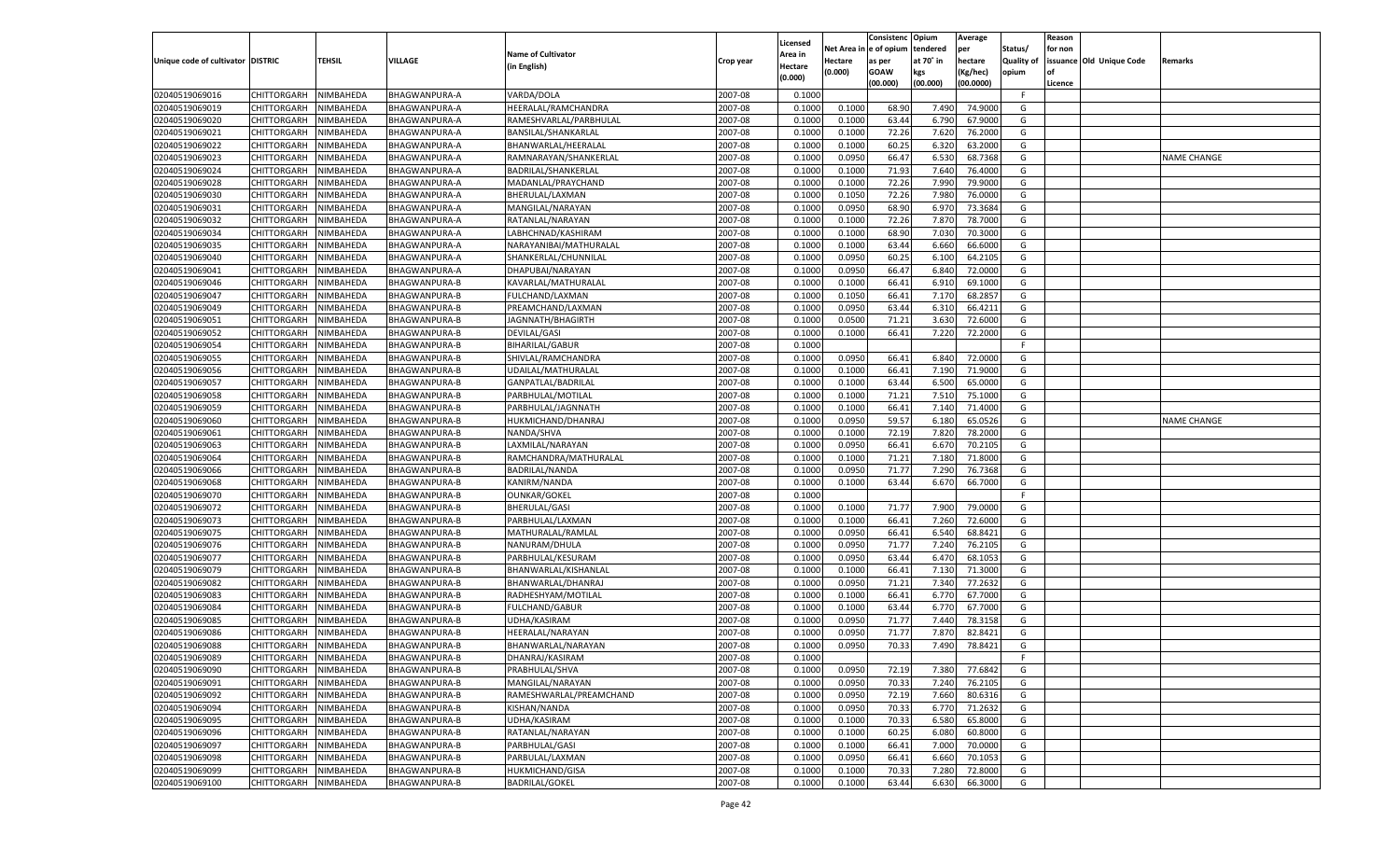|                                   |                                   |                        |                                              |                           |                    |                     |            | Consistenc   | Opium     | Average   |                   | Reason  |                          |             |
|-----------------------------------|-----------------------------------|------------------------|----------------------------------------------|---------------------------|--------------------|---------------------|------------|--------------|-----------|-----------|-------------------|---------|--------------------------|-------------|
|                                   |                                   |                        |                                              | <b>Name of Cultivator</b> |                    | Licensed<br>Area in | Net Area i | n e of opium | tendered  | per       | Status/           | for non |                          |             |
| Unique code of cultivator DISTRIC |                                   | TEHSIL                 | <b>VILLAGE</b>                               | (in English)              | Crop year          | Hectare             | Hectare    | as per       | at 70° in | hectare   | <b>Quality of</b> |         | issuance Old Unique Code | Remarks     |
|                                   |                                   |                        |                                              |                           |                    | (0.000)             | (0.000)    | <b>GOAW</b>  | kgs       | (Kg/hec)  | opium             |         |                          |             |
|                                   |                                   |                        |                                              |                           |                    |                     |            | (00.000)     | (00.000)  | (00.0000) |                   | Licence |                          |             |
| 02040519069016                    | CHITTORGARH                       | NIMBAHEDA              | BHAGWANPURA-A                                | VARDA/DOLA                | 2007-08            | 0.1000              |            |              |           |           | F                 |         |                          |             |
| 02040519069019                    | CHITTORGARH                       | NIMBAHEDA              | BHAGWANPURA-A                                | HEERALAL/RAMCHANDRA       | 2007-08            | 0.1000              | 0.1000     | 68.90        | 7.490     | 74.9000   | G                 |         |                          |             |
| 02040519069020                    | CHITTORGARH                       | NIMBAHEDA              | BHAGWANPURA-A                                | RAMESHVARLAL/PARBHULAL    | 2007-08            | 0.1000              | 0.1000     | 63.44        | 6.790     | 67.9000   | G                 |         |                          |             |
| 02040519069021                    | CHITTORGARH                       | NIMBAHEDA              | BHAGWANPURA-A                                | BANSILAL/SHANKARLAL       | 2007-08            | 0.1000              | 0.1000     | 72.26        | 7.620     | 76.2000   | G                 |         |                          |             |
| 02040519069022                    | CHITTORGARH                       | NIMBAHEDA              | BHAGWANPURA-A                                | BHANWARLAL/HEERALAL       | 2007-08            | 0.1000              | 0.1000     | 60.25        | 6.320     | 63.2000   | G                 |         |                          |             |
| 02040519069023                    | CHITTORGARH                       | NIMBAHEDA              | BHAGWANPURA-A                                | RAMNARAYAN/SHANKERLAL     | 2007-08            | 0.100               | 0.0950     | 66.47        | 6.530     | 68.7368   | G                 |         |                          | NAME CHANGE |
| 02040519069024                    | CHITTORGARH                       | NIMBAHEDA              | BHAGWANPURA-A                                | BADRILAL/SHANKERLAL       | 2007-08            | 0.1000              | 0.1000     | 71.93        | 7.640     | 76.4000   | G                 |         |                          |             |
| 02040519069028                    | CHITTORGARH                       | NIMBAHEDA              | BHAGWANPURA-A                                | MADANLAL/PRAYCHAND        | 2007-08            | 0.1000              | 0.1000     | 72.26        | 7.990     | 79.9000   | G                 |         |                          |             |
| 02040519069030                    | CHITTORGARH                       | NIMBAHEDA              | <b>BHAGWANPURA-A</b>                         | BHERULAL/LAXMAN           | 2007-08            | 0.1000              | 0.1050     | 72.26        | 7.980     | 76.0000   | G                 |         |                          |             |
| 02040519069031                    | CHITTORGARH                       | NIMBAHEDA              | BHAGWANPURA-A                                | MANGILAL/NARAYAN          | 2007-08            | 0.100               | 0.0950     | 68.90        | 6.970     | 73.3684   | G                 |         |                          |             |
| 02040519069032                    | CHITTORGARH                       | NIMBAHEDA              | BHAGWANPURA-A                                | RATANLAL/NARAYAN          | 2007-08            | 0.1000              | 0.1000     | 72.26        | 7.870     | 78.7000   | G                 |         |                          |             |
| 02040519069034                    | CHITTORGARH                       | NIMBAHEDA              | BHAGWANPURA-A                                | LABHCHNAD/KASHIRAM        | 2007-08            | 0.1000              | 0.1000     | 68.90        | 7.030     | 70.3000   | G                 |         |                          |             |
| 02040519069035                    | CHITTORGARH                       | NIMBAHEDA              | BHAGWANPURA-A                                | NARAYANIBAI/MATHURALAL    | 2007-08            | 0.1000              | 0.1000     | 63.44        | 6.660     | 66.6000   | G                 |         |                          |             |
| 02040519069040                    | CHITTORGARH                       | NIMBAHEDA              | BHAGWANPURA-A                                | SHANKERLAL/CHUNNILAL      | 2007-08            | 0.1000              | 0.0950     | 60.2         | 6.100     | 64.2105   | G                 |         |                          |             |
| 02040519069041                    | CHITTORGARH                       | NIMBAHEDA              | BHAGWANPURA-A                                | DHAPUBAI/NARAYAN          | 2007-08            | 0.1000              | 0.0950     | 66.47        | 6.840     | 72.0000   | G                 |         |                          |             |
| 02040519069046                    | CHITTORGARH                       | NIMBAHEDA              | BHAGWANPURA-B                                | KAVARLAL/MATHURALAL       | 2007-08            | 0.1000              | 0.1000     | 66.41        | 6.910     | 69.1000   | G                 |         |                          |             |
| 02040519069047                    | CHITTORGARH                       | NIMBAHEDA              | <b>BHAGWANPURA-B</b>                         | FULCHAND/LAXMAN           | 2007-08            | 0.1000              | 0.1050     | 66.41        | 7.170     | 68.2857   | G                 |         |                          |             |
| 02040519069049                    | CHITTORGARH                       | NIMBAHEDA              | BHAGWANPURA-B                                | PREAMCHAND/LAXMAN         | 2007-08            | 0.1000              | 0.0950     | 63.44        | 6.310     | 66.4211   | G                 |         |                          |             |
| 02040519069051                    | CHITTORGARH                       | NIMBAHEDA              | <b>BHAGWANPURA-B</b>                         | JAGNNATH/BHAGIRTH         | 2007-08            | 0.1000              | 0.0500     | 71.21        | 3.630     | 72.6000   | G                 |         |                          |             |
| 02040519069052                    | CHITTORGARH                       | NIMBAHEDA              | BHAGWANPURA-B                                | DEVILAL/GASI              | 2007-08            | 0.1000              | 0.1000     | 66.41        | 7.220     | 72.2000   | G                 |         |                          |             |
| 02040519069054                    | CHITTORGARH                       | NIMBAHEDA              | <b>BHAGWANPURA-B</b>                         | <b>BIHARILAL/GABUR</b>    | 2007-08            | 0.1000              |            |              |           |           | F.                |         |                          |             |
| 02040519069055                    | CHITTORGARH                       | NIMBAHEDA              | BHAGWANPURA-B                                | SHIVLAL/RAMCHANDRA        | 2007-08            | 0.1000              | 0.0950     | 66.41        | 6.840     | 72.0000   | G                 |         |                          |             |
| 02040519069056                    | CHITTORGARH                       | NIMBAHEDA              | <b>BHAGWANPURA-B</b>                         | UDAILAL/MATHURALAL        | 2007-08            | 0.1000              | 0.1000     | 66.41        | 7.190     | 71.9000   | G                 |         |                          |             |
| 02040519069057                    | CHITTORGARH                       | NIMBAHEDA              | BHAGWANPURA-B                                | GANPATLAL/BADRILAL        | 2007-08            | 0.1000              | 0.1000     | 63.44        | 6.500     | 65.0000   | G                 |         |                          |             |
| 02040519069058                    | CHITTORGARH                       | NIMBAHEDA              | <b>BHAGWANPURA-B</b>                         | PARBHULAL/MOTILAL         | 2007-08            | 0.1000              | 0.1000     | 71.21        | 7.510     | 75.1000   | G                 |         |                          |             |
| 02040519069059                    | CHITTORGARH                       | NIMBAHEDA              | BHAGWANPURA-B                                | PARBHULAL/JAGNNATH        | 2007-08            | 0.1000              | 0.1000     | 66.41        | 7.140     | 71.4000   | G                 |         |                          |             |
| 02040519069060                    | CHITTORGARH                       | NIMBAHEDA              | <b>BHAGWANPURA-B</b>                         | HUKMICHAND/DHANRAJ        | 2007-08            | 0.1000              | 0.0950     | 59.57        | 6.180     | 65.0526   | G                 |         |                          | NAME CHANGE |
| 02040519069061                    | CHITTORGARH                       | NIMBAHEDA              | <b>BHAGWANPURA-B</b>                         | NANDA/SHVA                | 2007-08            | 0.1000              | 0.1000     | 72.19        | 7.820     | 78.2000   | G                 |         |                          |             |
| 02040519069063                    | CHITTORGARH                       | NIMBAHEDA              | <b>BHAGWANPURA-B</b>                         | LAXMILAL/NARAYAN          | 2007-08            | 0.1000              | 0.0950     | 66.41        | 6.670     | 70.2105   | G                 |         |                          |             |
| 02040519069064                    | CHITTORGARH                       | NIMBAHEDA              | <b>BHAGWANPURA-B</b>                         | RAMCHANDRA/MATHURALAL     | 2007-08            | 0.1000              | 0.1000     | 71.21        | 7.180     | 71.8000   | G                 |         |                          |             |
| 02040519069066                    | CHITTORGARH                       | NIMBAHEDA              | <b>BHAGWANPURA-B</b>                         | BADRILAL/NANDA            | 2007-08            | 0.1000              | 0.0950     | 71.77        | 7.290     | 76.7368   | G                 |         |                          |             |
| 02040519069068                    | CHITTORGARH                       | NIMBAHEDA              | <b>BHAGWANPURA-B</b>                         | KANIRM/NANDA              | 2007-08            | 0.1000              | 0.1000     | 63.44        | 6.670     | 66.7000   | G                 |         |                          |             |
| 02040519069070                    | CHITTORGARH                       | NIMBAHEDA              | <b>BHAGWANPURA-B</b>                         | <b>OUNKAR/GOKEL</b>       | 2007-08            | 0.1000              |            |              |           |           | F.                |         |                          |             |
| 02040519069072                    | CHITTORGARH                       | NIMBAHEDA              | <b>BHAGWANPURA-B</b>                         | <b>BHERULAL/GASI</b>      | 2007-08            | 0.1000              | 0.1000     | 71.77        | 7.900     | 79.0000   | G                 |         |                          |             |
| 02040519069073                    | CHITTORGARH                       | NIMBAHEDA              | <b>BHAGWANPURA-B</b>                         | PARBHULAL/LAXMAN          | 2007-08            | 0.1000              | 0.1000     | 66.41        | 7.260     | 72.6000   | G                 |         |                          |             |
| 02040519069075                    | CHITTORGARH                       | NIMBAHEDA              | <b>BHAGWANPURA-B</b>                         | MATHURALAL/RAMLAL         | 2007-08            | 0.1000              | 0.0950     | 66.41        | 6.540     | 68.8421   | G                 |         |                          |             |
| 02040519069076                    | CHITTORGARH                       | NIMBAHEDA              | <b>BHAGWANPURA-B</b>                         | NANURAM/DHULA             | 2007-08            | 0.1000              | 0.0950     | 71.77        | 7.240     | 76.2105   | G                 |         |                          |             |
| 02040519069077                    | CHITTORGARH                       | NIMBAHEDA              | <b>BHAGWANPURA-B</b>                         | PARBHULAL/KESURAM         | 2007-08            | 0.1000              | 0.0950     | 63.44        | 6.470     | 68.105    | G                 |         |                          |             |
| 02040519069079                    | CHITTORGARH                       | NIMBAHEDA              | <b>BHAGWANPURA-B</b>                         | BHANWARLAL/KISHANLAL      | 2007-08            | 0.1000              | 0.1000     | 66.41        | 7.130     | 71.3000   | G                 |         |                          |             |
| 02040519069082                    | CHITTORGARH                       | NIMBAHEDA              | <b>BHAGWANPURA-B</b>                         | BHANWARLAL/DHANRAJ        | 2007-08            | 0.1000              | 0.0950     | 71.21        | 7.340     | 77.2632   | G                 |         |                          |             |
| 02040519069083                    | CHITTORGARH                       | NIMBAHEDA              | <b>BHAGWANPURA-B</b>                         | RADHESHYAM/MOTILAL        | 2007-08            | 0.1000              | 0.1000     | 66.41        | 6.770     | 67.7000   | G                 |         |                          |             |
| 02040519069084                    | CHITTORGARH                       | NIMBAHEDA              | <b>BHAGWANPURA-B</b>                         | <b>FULCHAND/GABUR</b>     | 2007-08            | 0.1000              | 0.1000     | 63.44        | 6.770     | 67.7000   | G                 |         |                          |             |
| 02040519069085                    | CHITTORGARH                       | NIMBAHEDA              | <b>BHAGWANPURA-B</b>                         | UDHA/KASIRAM              | 2007-08            | 0.1000              | 0.0950     | 71.77        | 7.440     | 78.3158   | G                 |         |                          |             |
| 02040519069086                    | CHITTORGARH                       | NIMBAHEDA              | <b>BHAGWANPURA-B</b>                         | HEERALAL/NARAYAN          | 2007-08            | 0.1000              | 0.0950     | 71.77        | 7.870     | 82.8421   | G                 |         |                          |             |
| 02040519069088                    | CHITTORGARH                       | NIMBAHEDA              | <b>BHAGWANPURA-B</b>                         | BHANWARLAL/NARAYAN        | 2007-08            | 0.1000              | 0.0950     | 70.33        | 7.490     | 78.8421   | G                 |         |                          |             |
| 02040519069089                    | CHITTORGARH                       | NIMBAHEDA              | <b>BHAGWANPURA-B</b>                         | DHANRAJ/KASIRAM           | 2007-08            | 0.1000              |            |              |           |           |                   |         |                          |             |
| 02040519069090                    | <b>CHITTORGARH</b>                | NIMBAHEDA              | <b>BHAGWANPURA-B</b>                         | PRABHULAL/SHVA            | 2007-08            | 0.1000              | 0.0950     | 72.19        | 7.380     | 77.6842   | G                 |         |                          |             |
|                                   |                                   |                        |                                              |                           |                    |                     |            |              | 7.240     |           |                   |         |                          |             |
| 02040519069091<br>02040519069092  | <b>CHITTORGARH</b>                | NIMBAHEDA<br>NIMBAHEDA | <b>BHAGWANPURA-B</b>                         | MANGILAL/NARAYAN          | 2007-08<br>2007-08 | 0.1000              | 0.0950     | 70.33        |           | 76.2105   | G                 |         |                          |             |
|                                   | CHITTORGARH<br><b>CHITTORGARH</b> | NIMBAHEDA              | <b>BHAGWANPURA-B</b><br><b>BHAGWANPURA-B</b> | RAMESHWARLAL/PREAMCHAND   |                    | 0.1000              | 0.0950     | 72.19        | 7.660     | 80.6316   | G                 |         |                          |             |
| 02040519069094                    |                                   |                        |                                              | KISHAN/NANDA              | 2007-08            | 0.1000              | 0.0950     | 70.33        | 6.770     | 71.2632   | G                 |         |                          |             |
| 02040519069095                    | <b>CHITTORGARH</b>                | NIMBAHEDA              | <b>BHAGWANPURA-B</b>                         | UDHA/KASIRAM              | 2007-08            | 0.1000              | 0.1000     | 70.33        | 6.580     | 65.8000   | G                 |         |                          |             |
| 02040519069096                    | <b>CHITTORGARH</b>                | NIMBAHEDA              | <b>BHAGWANPURA-B</b>                         | RATANLAL/NARAYAN          | 2007-08            | 0.1000              | 0.1000     | 60.25        | 6.080     | 60.8000   | G                 |         |                          |             |
| 02040519069097                    | CHITTORGARH                       | NIMBAHEDA              | <b>BHAGWANPURA-B</b>                         | PARBHULAL/GASI            | 2007-08            | 0.1000              | 0.1000     | 66.41        | 7.000     | 70.0000   | G                 |         |                          |             |
| 02040519069098                    | CHITTORGARH                       | NIMBAHEDA              | BHAGWANPURA-B                                | PARBULAL/LAXMAN           | 2007-08            | 0.1000              | 0.0950     | 66.41        | 6.660     | 70.1053   | G                 |         |                          |             |
| 02040519069099                    | CHITTORGARH                       | NIMBAHEDA              | <b>BHAGWANPURA-B</b>                         | HUKMICHAND/GISA           | 2007-08            | 0.1000              | 0.1000     | 70.33        | 7.280     | 72.8000   | G                 |         |                          |             |
| 02040519069100                    | <b>CHITTORGARH</b>                | NIMBAHEDA              | <b>BHAGWANPURA-B</b>                         | <b>BADRILAL/GOKEL</b>     | 2007-08            | 0.1000              | 0.1000     | 63.44        | 6.630     | 66.3000   | G                 |         |                          |             |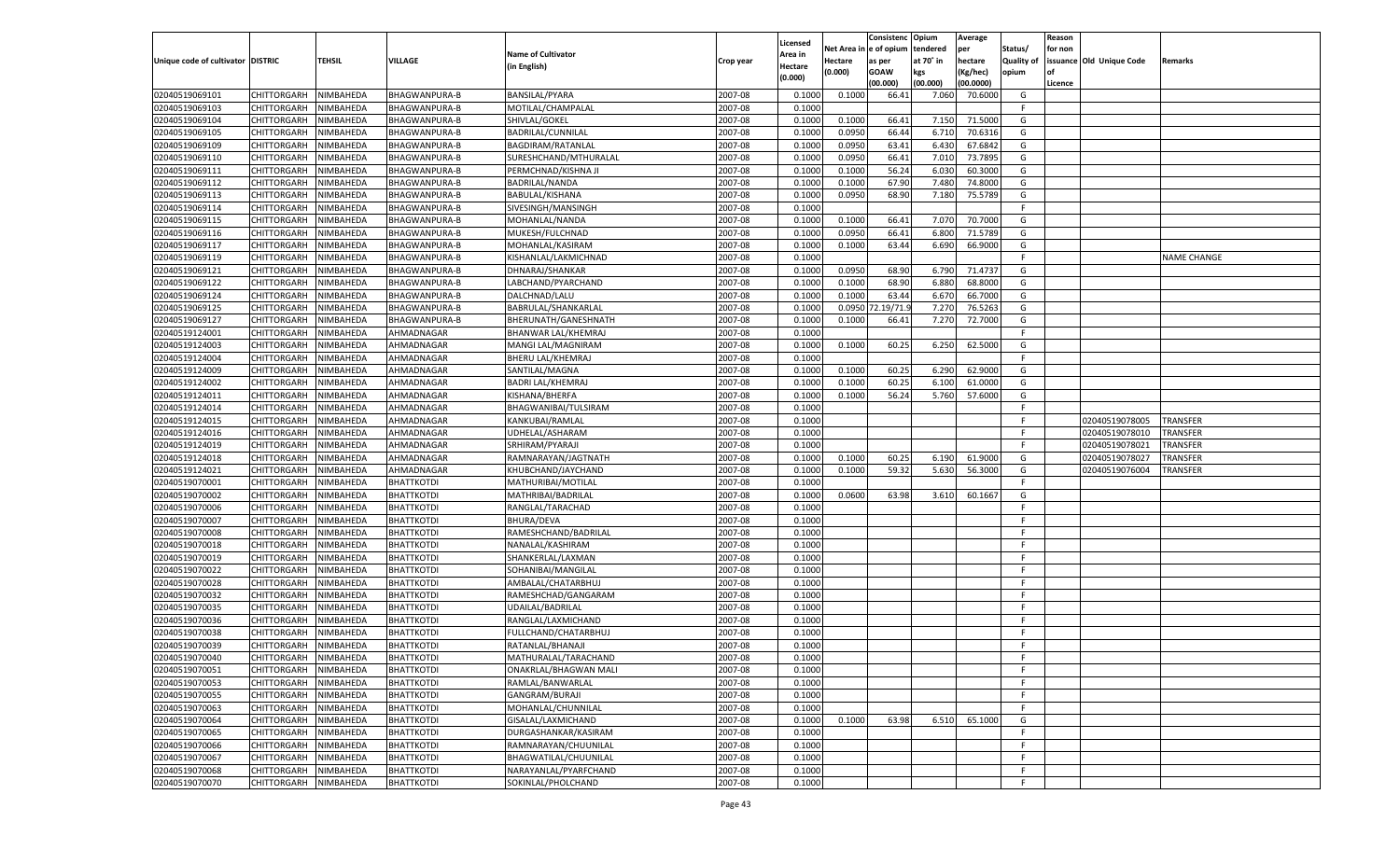|                                   |             |           |                      |                            |           |          |            | Consistenc Opium |           | Average   |                   | Reason    |                          |                    |
|-----------------------------------|-------------|-----------|----------------------|----------------------------|-----------|----------|------------|------------------|-----------|-----------|-------------------|-----------|--------------------------|--------------------|
|                                   |             |           |                      |                            |           | Licensed | Net Area i | l e of opium     | tendered  | per       | Status/           | for non   |                          |                    |
| Unique code of cultivator DISTRIC |             | TEHSIL    | VILLAGE              | <b>Name of Cultivator</b>  | Crop year | Area in  | Hectare    | as per           | at 70° in | hectare   | <b>Quality of</b> |           | issuance Old Unique Code | Remarks            |
|                                   |             |           |                      | (in English)               |           | Hectare  | (0.000)    | <b>GOAW</b>      | kgs       | (Kg/hec)  | opium             | <b>of</b> |                          |                    |
|                                   |             |           |                      |                            |           | (0.000)  |            | (00.000)         | (00.000)  | (00.0000) |                   | Licence   |                          |                    |
| 02040519069101                    | CHITTORGARH | NIMBAHEDA | BHAGWANPURA-B        | <b>BANSILAL/PYARA</b>      | 2007-08   | 0.1000   | 0.1000     | 66.4             | 7.060     | 70.6000   | G                 |           |                          |                    |
| 02040519069103                    | CHITTORGARH | NIMBAHEDA | <b>BHAGWANPURA-B</b> | MOTILAL/CHAMPALAL          | 2007-08   | 0.1000   |            |                  |           |           | F                 |           |                          |                    |
| 02040519069104                    | CHITTORGARH | NIMBAHEDA | <b>BHAGWANPURA-B</b> | SHIVLAL/GOKEL              | 2007-08   | 0.1000   | 0.1000     | 66.41            | 7.150     | 71.5000   | G                 |           |                          |                    |
| 02040519069105                    | CHITTORGARH | NIMBAHEDA | <b>BHAGWANPURA-B</b> | BADRILAL/CUNNILAL          | 2007-08   | 0.1000   | 0.0950     | 66.44            | 6.710     | 70.6316   | G                 |           |                          |                    |
| 02040519069109                    | CHITTORGARH | NIMBAHEDA | <b>BHAGWANPURA-B</b> | BAGDIRAM/RATANLAL          | 2007-08   | 0.1000   | 0.0950     | 63.41            | 6.430     | 67.6842   | G                 |           |                          |                    |
| 02040519069110                    | CHITTORGARH | NIMBAHEDA | <b>BHAGWANPURA-B</b> | SURESHCHAND/MTHURALAL      | 2007-08   | 0.1000   | 0.0950     | 66.41            | 7.010     | 73.7895   | G                 |           |                          |                    |
| 02040519069111                    | CHITTORGARH | NIMBAHEDA | <b>BHAGWANPURA-B</b> | PERMCHNAD/KISHNA JI        | 2007-08   | 0.1000   | 0.1000     | 56.24            | 6.030     | 60.3000   | G                 |           |                          |                    |
| 02040519069112                    | CHITTORGARH | NIMBAHEDA | <b>BHAGWANPURA-B</b> | <b>BADRILAL/NANDA</b>      | 2007-08   | 0.1000   | 0.1000     | 67.90            | 7.480     | 74.8000   | G                 |           |                          |                    |
| 02040519069113                    | CHITTORGARH | NIMBAHEDA | <b>BHAGWANPURA-B</b> | BABULAL/KISHANA            | 2007-08   | 0.1000   | 0.0950     | 68.90            | 7.180     | 75.5789   | G                 |           |                          |                    |
| 02040519069114                    | CHITTORGARH | NIMBAHEDA | <b>BHAGWANPURA-B</b> | SIVESINGH/MANSINGH         | 2007-08   | 0.1000   |            |                  |           |           | F                 |           |                          |                    |
| 02040519069115                    | CHITTORGARH | NIMBAHEDA | <b>BHAGWANPURA-B</b> | MOHANLAL/NANDA             | 2007-08   | 0.1000   | 0.1000     | 66.41            | 7.070     | 70.7000   | G                 |           |                          |                    |
| 02040519069116                    | CHITTORGARH | NIMBAHEDA | <b>BHAGWANPURA-B</b> | MUKESH/FULCHNAD            | 2007-08   | 0.1000   | 0.0950     | 66.41            | 6.800     | 71.5789   | G                 |           |                          |                    |
| 02040519069117                    | CHITTORGARH | NIMBAHEDA | <b>BHAGWANPURA-B</b> | MOHANLAL/KASIRAM           | 2007-08   | 0.1000   | 0.1000     | 63.44            | 6.690     | 66.9000   | G                 |           |                          |                    |
| 02040519069119                    | CHITTORGARH | NIMBAHEDA | <b>BHAGWANPURA-B</b> | KISHANLAL/LAKMICHNAD       | 2007-08   | 0.1000   |            |                  |           |           | F                 |           |                          | <b>NAME CHANGE</b> |
| 02040519069121                    | CHITTORGARH | NIMBAHEDA | <b>BHAGWANPURA-B</b> | DHNARAJ/SHANKAR            | 2007-08   | 0.1000   | 0.0950     | 68.90            | 6.790     | 71.4737   | G                 |           |                          |                    |
| 02040519069122                    | CHITTORGARH | NIMBAHEDA | <b>BHAGWANPURA-B</b> | LABCHAND/PYARCHAND         | 2007-08   | 0.1000   | 0.1000     | 68.90            | 6.880     | 68.8000   | G                 |           |                          |                    |
| 02040519069124                    | CHITTORGARH | NIMBAHEDA | <b>BHAGWANPURA-B</b> | DALCHNAD/LALU              | 2007-08   | 0.1000   | 0.1000     | 63.44            | 6.670     | 66.7000   | G                 |           |                          |                    |
| 02040519069125                    | CHITTORGARH | NIMBAHEDA | <b>BHAGWANPURA-B</b> | BABRULAL/SHANKARLAL        | 2007-08   | 0.1000   | 0.0950     | 2.19/71.         | 7.270     | 76.5263   | G                 |           |                          |                    |
| 02040519069127                    | CHITTORGARH | NIMBAHEDA | <b>BHAGWANPURA-B</b> | BHERUNATH/GANESHNATH       | 2007-08   | 0.1000   | 0.1000     | 66.41            | 7.270     | 72.7000   | G                 |           |                          |                    |
| 02040519124001                    | CHITTORGARH | NIMBAHEDA | AHMADNAGAR           | <b>BHANWAR LAL/KHEMRAJ</b> | 2007-08   | 0.1000   |            |                  |           |           | F.                |           |                          |                    |
| 02040519124003                    | CHITTORGARH | NIMBAHEDA | AHMADNAGAR           | MANGI LAL/MAGNIRAM         | 2007-08   | 0.1000   | 0.1000     | 60.25            | 6.250     | 62.5000   | G                 |           |                          |                    |
| 02040519124004                    | CHITTORGARH | NIMBAHEDA | AHMADNAGAR           | BHERU LAL/KHEMRAJ          | 2007-08   | 0.1000   |            |                  |           |           | F                 |           |                          |                    |
|                                   | CHITTORGARH | NIMBAHEDA | AHMADNAGAR           |                            | 2007-08   | 0.1000   | 0.1000     |                  |           | 62.9000   | G                 |           |                          |                    |
| 02040519124009                    |             |           |                      | SANTILAL/MAGNA             |           |          |            | 60.25            | 6.290     |           |                   |           |                          |                    |
| 02040519124002                    | CHITTORGARH | NIMBAHEDA | AHMADNAGAR           | <b>BADRI LAL/KHEMRAJ</b>   | 2007-08   | 0.1000   | 0.1000     | 60.25            | 6.100     | 61.0000   | G                 |           |                          |                    |
| 02040519124011<br>02040519124014  | CHITTORGARH | NIMBAHEDA | AHMADNAGAR           | KISHANA/BHERFA             | 2007-08   | 0.1000   | 0.1000     | 56.24            | 5.760     | 57.6000   | G<br>F            |           |                          |                    |
|                                   | CHITTORGARH | NIMBAHEDA | AHMADNAGAR           | BHAGWANIBAI/TULSIRAM       | 2007-08   | 0.1000   |            |                  |           |           |                   |           |                          |                    |
| 02040519124015                    | CHITTORGARH | NIMBAHEDA | AHMADNAGAR           | KANKUBAI/RAMLAL            | 2007-08   | 0.1000   |            |                  |           |           | F                 |           | 02040519078005           | <b>TRANSFER</b>    |
| 02040519124016                    | CHITTORGARH | NIMBAHEDA | AHMADNAGAR           | UDHELAL/ASHARAM            | 2007-08   | 0.1000   |            |                  |           |           | F                 |           | 02040519078010           | <b>TRANSFER</b>    |
| 02040519124019                    | CHITTORGARH | NIMBAHEDA | AHMADNAGAR           | SRHIRAM/PYARAJI            | 2007-08   | 0.1000   |            |                  |           |           | F                 |           | 02040519078021           | <b>TRANSFER</b>    |
| 02040519124018                    | CHITTORGARH | NIMBAHEDA | AHMADNAGAR           | RAMNARAYAN/JAGTNATH        | 2007-08   | 0.1000   | 0.1000     | 60.25            | 6.190     | 61.9000   | G                 |           | 02040519078027           | TRANSFER           |
| 02040519124021                    | CHITTORGARH | NIMBAHEDA | AHMADNAGAR           | KHUBCHAND/JAYCHAND         | 2007-08   | 0.1000   | 0.1000     | 59.32            | 5.630     | 56.3000   | G                 |           | 02040519076004           | TRANSFER           |
| 02040519070001                    | CHITTORGARH | NIMBAHEDA | <b>BHATTKOTDI</b>    | MATHURIBAI/MOTILAL         | 2007-08   | 0.1000   |            |                  |           |           | F                 |           |                          |                    |
| 02040519070002                    | CHITTORGARH | NIMBAHEDA | <b>BHATTKOTDI</b>    | MATHRIBAI/BADRILAL         | 2007-08   | 0.1000   | 0.0600     | 63.98            | 3.610     | 60.1667   | G                 |           |                          |                    |
| 02040519070006                    | CHITTORGARH | NIMBAHEDA | <b>BHATTKOTDI</b>    | RANGLAL/TARACHAD           | 2007-08   | 0.1000   |            |                  |           |           | E                 |           |                          |                    |
| 02040519070007                    | CHITTORGARH | NIMBAHEDA | <b>BHATTKOTDI</b>    | <b>BHURA/DEVA</b>          | 2007-08   | 0.1000   |            |                  |           |           | E                 |           |                          |                    |
| 02040519070008                    | CHITTORGARH | NIMBAHEDA | <b>BHATTKOTDI</b>    | RAMESHCHAND/BADRILAL       | 2007-08   | 0.1000   |            |                  |           |           | F                 |           |                          |                    |
| 02040519070018                    | CHITTORGARH | NIMBAHEDA | <b>BHATTKOTDI</b>    | NANALAL/KASHIRAM           | 2007-08   | 0.1000   |            |                  |           |           | F                 |           |                          |                    |
| 02040519070019                    | CHITTORGARH | NIMBAHEDA | <b>BHATTKOTDI</b>    | SHANKERLAL/LAXMAN          | 2007-08   | 0.1000   |            |                  |           |           | E                 |           |                          |                    |
| 02040519070022                    | CHITTORGARH | NIMBAHEDA | <b>BHATTKOTDI</b>    | SOHANIBAI/MANGILAL         | 2007-08   | 0.1000   |            |                  |           |           | E                 |           |                          |                    |
| 02040519070028                    | CHITTORGARH | NIMBAHEDA | <b>BHATTKOTDI</b>    | AMBALAL/CHATARBHUJ         | 2007-08   | 0.1000   |            |                  |           |           | F                 |           |                          |                    |
| 02040519070032                    | CHITTORGARH | NIMBAHEDA | <b>BHATTKOTDI</b>    | RAMESHCHAD/GANGARAM        | 2007-08   | 0.1000   |            |                  |           |           | E                 |           |                          |                    |
| 02040519070035                    | CHITTORGARH | NIMBAHEDA | <b>BHATTKOTDI</b>    | UDAILAL/BADRILAL           | 2007-08   | 0.1000   |            |                  |           |           | E                 |           |                          |                    |
| 02040519070036                    | CHITTORGARH | NIMBAHEDA | <b>BHATTKOTDI</b>    | RANGLAL/LAXMICHAND         | 2007-08   | 0.1000   |            |                  |           |           | E                 |           |                          |                    |
| 02040519070038                    | CHITTORGARH | NIMBAHEDA | <b>BHATTKOTDI</b>    | FULLCHAND/CHATARBHUJ       | 2007-08   | 0.1000   |            |                  |           |           | -F                |           |                          |                    |
| 02040519070039                    | CHITTORGARH | NIMBAHEDA | <b>BHATTKOTDI</b>    | RATANLAL/BHANAJI           | 2007-08   | 0.1000   |            |                  |           |           | F                 |           |                          |                    |
| 02040519070040                    | CHITTORGARH | NIMBAHEDA | <b>BHATTKOTDI</b>    | MATHURALAL/TARACHAND       | 2007-08   | 0.1000   |            |                  |           |           | F.                |           |                          |                    |
| 02040519070051                    | CHITTORGARH | NIMBAHEDA | <b>BHATTKOTDI</b>    | ONAKRLAL/BHAGWAN MALI      | 2007-08   | 0.1000   |            |                  |           |           | E                 |           |                          |                    |
| 02040519070053                    | CHITTORGARH | NIMBAHEDA | <b>BHATTKOTDI</b>    | RAMLAL/BANWARLAL           | 2007-08   | 0.1000   |            |                  |           |           | F.                |           |                          |                    |
| 02040519070055                    | CHITTORGARH | NIMBAHEDA | <b>BHATTKOTDI</b>    | <b>GANGRAM/BURAJI</b>      | 2007-08   | 0.1000   |            |                  |           |           | E                 |           |                          |                    |
| 02040519070063                    | CHITTORGARH | NIMBAHEDA | <b>BHATTKOTDI</b>    | MOHANLAL/CHUNNILAL         | 2007-08   | 0.1000   |            |                  |           |           | E                 |           |                          |                    |
| 02040519070064                    | CHITTORGARH | NIMBAHEDA | <b>BHATTKOTDI</b>    | GISALAL/LAXMICHAND         | 2007-08   | 0.1000   | 0.1000     | 63.98            | 6.510     | 65.1000   | G                 |           |                          |                    |
| 02040519070065                    | CHITTORGARH | NIMBAHEDA | <b>BHATTKOTDI</b>    | DURGASHANKAR/KASIRAM       | 2007-08   | 0.1000   |            |                  |           |           | F.                |           |                          |                    |
| 02040519070066                    | CHITTORGARH | NIMBAHEDA | <b>BHATTKOTDI</b>    | RAMNARAYAN/CHUUNILAL       | 2007-08   | 0.1000   |            |                  |           |           | E                 |           |                          |                    |
| 02040519070067                    | CHITTORGARH | NIMBAHEDA | <b>BHATTKOTDI</b>    | BHAGWATILAL/CHUUNILAL      | 2007-08   | 0.1000   |            |                  |           |           | E                 |           |                          |                    |
| 02040519070068                    | CHITTORGARH | NIMBAHEDA | <b>BHATTKOTDI</b>    | NARAYANLAL/PYARFCHAND      | 2007-08   | 0.1000   |            |                  |           |           | E                 |           |                          |                    |
| 02040519070070                    | CHITTORGARH | NIMBAHEDA | <b>BHATTKOTDI</b>    | SOKINLAL/PHOLCHAND         | 2007-08   | 0.1000   |            |                  |           |           | F.                |           |                          |                    |
|                                   |             |           |                      |                            |           |          |            |                  |           |           |                   |           |                          |                    |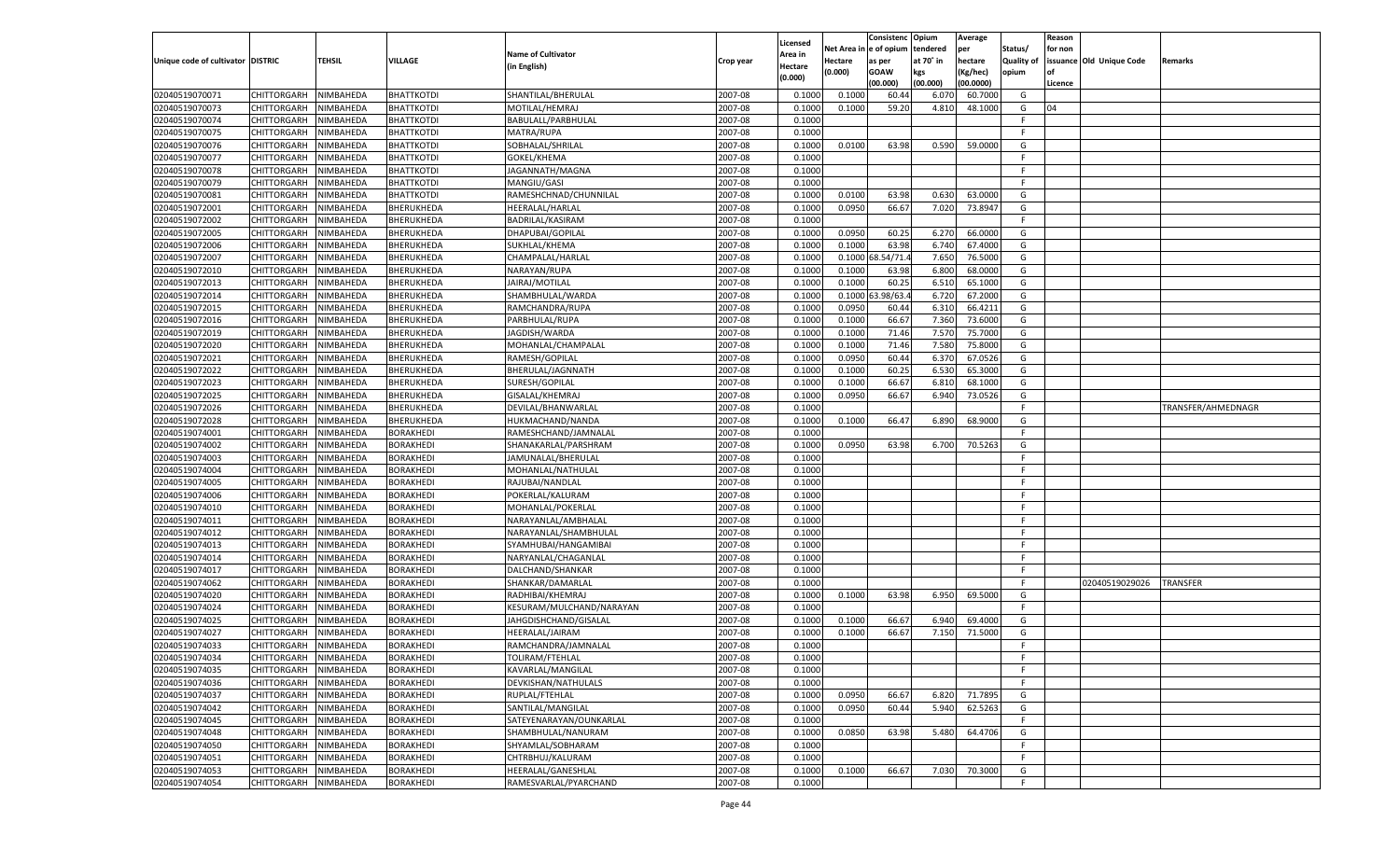|                                   |                       |                        |                               |                                              |           |                           |          | Consistenc  | Opium     | Average   |                   | Reason  |                          |                    |
|-----------------------------------|-----------------------|------------------------|-------------------------------|----------------------------------------------|-----------|---------------------------|----------|-------------|-----------|-----------|-------------------|---------|--------------------------|--------------------|
|                                   |                       |                        |                               | <b>Name of Cultivator</b>                    |           | Licensed                  | Net Area | e of opium  | tendered  | per       | Status/           | for non |                          |                    |
| Unique code of cultivator DISTRIC |                       | <b>TEHSIL</b>          | VILLAGE                       | (in English)                                 | Crop year | <b>Area in</b><br>Hectare | Hectare  | as per      | at 70° in | hectare   | <b>Quality of</b> |         | issuance Old Unique Code | Remarks            |
|                                   |                       |                        |                               |                                              |           | (0.000)                   | (0.000)  | <b>GOAW</b> | kgs       | (Kg/hec)  | opium             |         |                          |                    |
|                                   |                       |                        |                               |                                              |           |                           |          | (00.000)    | (00.000)  | (00.0000) |                   | Licence |                          |                    |
| 02040519070071                    | CHITTORGARH           | NIMBAHEDA              | <b>BHATTKOTDI</b>             | SHANTILAL/BHERULAL                           | 2007-08   | 0.1000                    | 0.1000   | 60.4        | 6.07      | 60.7000   | G                 |         |                          |                    |
| 02040519070073                    | CHITTORGARH           | NIMBAHEDA              | BHATTKOTDI                    | MOTILAL/HEMRAJ                               | 2007-08   | 0.1000                    | 0.1000   | 59.20       | 4.810     | 48.1000   | G                 | 04      |                          |                    |
| 02040519070074                    | CHITTORGARH           | NIMBAHEDA              | <b>BHATTKOTDI</b>             | BABULALL/PARBHULAL                           | 2007-08   | 0.1000                    |          |             |           |           | F.                |         |                          |                    |
| 02040519070075                    | CHITTORGARH           | NIMBAHEDA              | <b>BHATTKOTDI</b>             | MATRA/RUPA                                   | 2007-08   | 0.1000                    |          |             |           |           | F.                |         |                          |                    |
| 02040519070076                    | CHITTORGARH           | NIMBAHEDA              | <b>BHATTKOTDI</b>             | SOBHALAL/SHRILAL                             | 2007-08   | 0.1000                    | 0.0100   | 63.98       | 0.590     | 59.0000   | G                 |         |                          |                    |
| 02040519070077                    | CHITTORGARH           | NIMBAHEDA              | BHATTKOTDI                    | GOKEL/KHEMA                                  | 2007-08   | 0.1000                    |          |             |           |           | F.                |         |                          |                    |
| 02040519070078                    | CHITTORGARH           | NIMBAHEDA              | <b>BHATTKOTDI</b>             | JAGANNATH/MAGNA                              | 2007-08   | 0.1000                    |          |             |           |           | F.                |         |                          |                    |
| 02040519070079                    | CHITTORGARH           | NIMBAHEDA              | <b>BHATTKOTDI</b>             | MANGIU/GASI                                  | 2007-08   | 0.1000                    |          |             |           |           | E                 |         |                          |                    |
| 02040519070081                    | CHITTORGARH           | NIMBAHEDA              | <b>BHATTKOTDI</b>             | RAMESHCHNAD/CHUNNILAL                        | 2007-08   | 0.1000                    | 0.0100   | 63.98       | 0.630     | 63.0000   | G                 |         |                          |                    |
| 02040519072001                    | CHITTORGARH           | NIMBAHEDA              | BHERUKHEDA                    | HEERALAL/HARLAL                              | 2007-08   | 0.1000                    | 0.0950   | 66.67       | 7.020     | 73.8947   | G                 |         |                          |                    |
| 02040519072002                    | CHITTORGARH           | NIMBAHEDA              | BHERUKHEDA                    | BADRILAL/KASIRAM                             | 2007-08   | 0.1000                    |          |             |           |           | F.                |         |                          |                    |
| 02040519072005                    | CHITTORGARH           | NIMBAHEDA              | BHERUKHEDA                    | DHAPUBAI/GOPILAL                             | 2007-08   | 0.1000                    | 0.0950   | 60.25       | 6.27      | 66.0000   | G                 |         |                          |                    |
| 02040519072006                    | CHITTORGARH           | NIMBAHEDA              | BHERUKHEDA                    | SUKHLAL/KHEMA                                | 2007-08   | 0.1000                    | 0.1000   | 63.98       | 6.740     | 67.4000   | G                 |         |                          |                    |
| 02040519072007                    | CHITTORGARH           | NIMBAHEDA              | BHERUKHEDA                    | CHAMPALAL/HARLAI                             | 2007-08   | 0.1000                    | 0.1000   | 8.54/71     | 7.650     | 76.5000   | G                 |         |                          |                    |
| 02040519072010                    | CHITTORGARH           | NIMBAHEDA              | BHERUKHEDA                    | NARAYAN/RUPA                                 | 2007-08   | 0.1000                    | 0.1000   | 63.98       | 6.800     | 68.0000   | G                 |         |                          |                    |
| 02040519072013                    | CHITTORGARH           | NIMBAHEDA              | BHERUKHEDA                    | JAIRAJ/MOTILAL                               | 2007-08   | 0.1000                    | 0.1000   | 60.25       | 6.510     | 65.1000   | G                 |         |                          |                    |
| 02040519072014                    | CHITTORGARH           | NIMBAHEDA              | BHERUKHEDA                    | SHAMBHULAL/WARDA                             | 2007-08   | 0.1000                    | 0.1000   | 3.98/63.    | 6.720     | 67.2000   | G                 |         |                          |                    |
| 02040519072015                    | CHITTORGARH           | NIMBAHEDA              | BHERUKHEDA                    | RAMCHANDRA/RUPA                              | 2007-08   | 0.1000                    | 0.0950   | 60.44       | 6.310     | 66.4211   | G                 |         |                          |                    |
| 02040519072016                    | CHITTORGARH           | NIMBAHEDA              | BHERUKHEDA                    | PARBHULAL/RUPA                               | 2007-08   | 0.1000                    | 0.1000   | 66.67       | 7.360     | 73.6000   | G                 |         |                          |                    |
| 02040519072019                    | CHITTORGARH           | NIMBAHEDA              | BHERUKHEDA                    | JAGDISH/WARDA                                | 2007-08   | 0.1000                    | 0.1000   | 71.46       | 7.570     | 75.7000   | G                 |         |                          |                    |
| 02040519072020                    | CHITTORGARH           | NIMBAHEDA              | BHERUKHEDA                    | MOHANLAL/CHAMPALAL                           | 2007-08   | 0.1000                    | 0.1000   | 71.46       | 7.580     | 75.8000   | G                 |         |                          |                    |
| 02040519072021                    | CHITTORGARH           | NIMBAHEDA              | BHERUKHEDA                    | RAMESH/GOPILAL                               | 2007-08   | 0.1000                    | 0.0950   | 60.44       | 6.370     | 67.0526   | G                 |         |                          |                    |
| 02040519072022                    | CHITTORGARH           | NIMBAHEDA              | BHERUKHEDA                    | BHERULAL/JAGNNATH                            | 2007-08   | 0.1000                    | 0.1000   | 60.25       | 6.530     | 65.3000   | G                 |         |                          |                    |
| 02040519072023                    | CHITTORGARH           | NIMBAHEDA              | BHERUKHEDA                    | SURESH/GOPILAL                               | 2007-08   | 0.1000                    | 0.1000   | 66.67       | 6.810     | 68.1000   | G                 |         |                          |                    |
| 02040519072025                    | CHITTORGARH           | NIMBAHEDA              | BHERUKHEDA                    | GISALAL/KHEMRAJ                              | 2007-08   | 0.1000                    | 0.0950   | 66.67       | 6.940     | 73.0526   | G                 |         |                          |                    |
| 02040519072026                    | CHITTORGARH           | NIMBAHEDA              | BHERUKHEDA                    | DEVILAL/BHANWARLAL                           | 2007-08   | 0.1000                    |          |             |           |           | F.                |         |                          | TRANSFER/AHMEDNAGR |
| 02040519072028                    | CHITTORGARH           | NIMBAHEDA              | BHERUKHEDA                    | HUKMACHAND/NANDA                             | 2007-08   | 0.1000                    | 0.1000   | 66.47       | 6.890     | 68.9000   | G                 |         |                          |                    |
| 02040519074001                    | CHITTORGARH           | NIMBAHEDA              | BORAKHEDI                     | RAMESHCHAND/JAMNALAL                         | 2007-08   | 0.1000                    |          |             |           |           | F.                |         |                          |                    |
| 02040519074002                    | CHITTORGARH           | NIMBAHEDA              | BORAKHEDI                     | SHANAKARLAL/PARSHRAM                         | 2007-08   | 0.1000                    | 0.0950   | 63.98       | 6.700     | 70.5263   | G                 |         |                          |                    |
| 02040519074003                    | CHITTORGARH           | NIMBAHEDA              | BORAKHEDI                     | JAMUNALAL/BHERULAL                           | 2007-08   | 0.1000                    |          |             |           |           | F.                |         |                          |                    |
| 02040519074004                    | CHITTORGARH           | NIMBAHEDA              | <b>BORAKHEDI</b>              | MOHANLAL/NATHULAL                            | 2007-08   | 0.1000                    |          |             |           |           | F                 |         |                          |                    |
| 02040519074005                    | CHITTORGARH           | NIMBAHEDA              | BORAKHEDI                     | RAJUBAI/NANDLAL                              | 2007-08   | 0.1000                    |          |             |           |           | F                 |         |                          |                    |
| 02040519074006                    | CHITTORGARH           | NIMBAHEDA              | BORAKHEDI                     | POKERLAL/KALURAM                             | 2007-08   | 0.1000                    |          |             |           |           | F                 |         |                          |                    |
| 02040519074010                    | CHITTORGARH           | NIMBAHEDA              | BORAKHEDI                     | MOHANLAL/POKERLAL                            | 2007-08   | 0.1000                    |          |             |           |           | F                 |         |                          |                    |
| 02040519074011                    | CHITTORGARH           | NIMBAHEDA              | <b>BORAKHEDI</b>              | NARAYANLAL/AMBHALAL                          | 2007-08   | 0.1000                    |          |             |           |           | F                 |         |                          |                    |
| 02040519074012                    | CHITTORGARH           | NIMBAHEDA              | BORAKHEDI                     | NARAYANLAL/SHAMBHULAL                        | 2007-08   | 0.1000                    |          |             |           |           | F                 |         |                          |                    |
| 02040519074013                    | CHITTORGARH           | NIMBAHEDA              | BORAKHEDI                     | SYAMHUBAI/HANGAMIBAI                         | 2007-08   | 0.1000                    |          |             |           |           | F                 |         |                          |                    |
| 02040519074014                    | CHITTORGARH           | NIMBAHEDA              | BORAKHEDI                     | NARYANLAL/CHAGANLAL                          | 2007-08   | 0.1000                    |          |             |           |           | F.                |         |                          |                    |
| 02040519074017                    | CHITTORGARH           | NIMBAHEDA              | <b>BORAKHEDI</b>              | DALCHAND/SHANKAR                             | 2007-08   | 0.1000                    |          |             |           |           | F.                |         |                          |                    |
| 02040519074062                    |                       |                        | BORAKHEDI                     |                                              | 2007-08   | 0.1000                    |          |             |           |           | F.                |         | 02040519029026           | <b>TRANSFER</b>    |
| 02040519074020                    | CHITTORGARH           | NIMBAHEDA<br>NIMBAHEDA | BORAKHEDI                     | SHANKAR/DAMARLAL                             | 2007-08   | 0.1000                    |          | 63.98       |           | 69.5000   | G                 |         |                          |                    |
| 02040519074024                    | CHITTORGARH           |                        |                               | RADHIBAI/KHEMRAJ<br>KESURAM/MULCHAND/NARAYAN | 2007-08   |                           | 0.1000   |             | 6.950     |           | F.                |         |                          |                    |
|                                   | CHITTORGARH           | NIMBAHEDA              | BORAKHEDI<br><b>BORAKHEDI</b> |                                              |           | 0.1000                    |          |             |           |           |                   |         |                          |                    |
| 02040519074025                    | CHITTORGARH           | NIMBAHEDA              |                               | JAHGDISHCHAND/GISALAL                        | 2007-08   | 0.1000                    | 0.1000   | 66.67       | 6.940     | 69.4000   | G                 |         |                          |                    |
| 02040519074027                    | CHITTORGARH           | NIMBAHEDA              | BORAKHEDI                     | HEERALAL/JAIRAM                              | 2007-08   | 0.1000                    | 0.1000   | 66.67       | 7.150     | 71.5000   | G                 |         |                          |                    |
| 02040519074033                    | CHITTORGARH           | NIMBAHEDA              | BORAKHEDI                     | RAMCHANDRA/JAMNALAL                          | 2007-08   | 0.1000                    |          |             |           |           | F.                |         |                          |                    |
| 02040519074034                    | CHITTORGARH NIMBAHEDA |                        | <b>BORAKHEDI</b>              | TOLIRAM/FTEHLAL                              | 2007-08   | 0.1000                    |          |             |           |           | F                 |         |                          |                    |
| 02040519074035                    | <b>CHITTORGARH</b>    | NIMBAHEDA              | <b>BORAKHEDI</b>              | KAVARLAL/MANGILAL                            | 2007-08   | 0.1000                    |          |             |           |           | -F                |         |                          |                    |
| 02040519074036                    | CHITTORGARH           | NIMBAHEDA              | <b>BORAKHEDI</b>              | DEVKISHAN/NATHULALS                          | 2007-08   | 0.1000                    |          |             |           |           | F.                |         |                          |                    |
| 02040519074037                    | <b>CHITTORGARH</b>    | NIMBAHEDA              | <b>BORAKHEDI</b>              | RUPLAL/FTEHLAL                               | 2007-08   | 0.1000                    | 0.0950   | 66.67       | 6.820     | 71.7895   | G                 |         |                          |                    |
| 02040519074042                    | <b>CHITTORGARH</b>    | NIMBAHEDA              | <b>BORAKHEDI</b>              | SANTILAL/MANGILAL                            | 2007-08   | 0.1000                    | 0.0950   | 60.44       | 5.940     | 62.5263   | G                 |         |                          |                    |
| 02040519074045                    | <b>CHITTORGARH</b>    | NIMBAHEDA              | <b>BORAKHEDI</b>              | SATEYENARAYAN/OUNKARLAL                      | 2007-08   | 0.1000                    |          |             |           |           | F                 |         |                          |                    |
| 02040519074048                    | <b>CHITTORGARH</b>    | NIMBAHEDA              | BORAKHEDI                     | SHAMBHULAL/NANURAM                           | 2007-08   | 0.1000                    | 0.0850   | 63.98       | 5.480     | 64.4706   | G                 |         |                          |                    |
| 02040519074050                    | <b>CHITTORGARH</b>    | NIMBAHEDA              | <b>BORAKHEDI</b>              | SHYAMLAL/SOBHARAM                            | 2007-08   | 0.1000                    |          |             |           |           | F.                |         |                          |                    |
| 02040519074051                    | <b>CHITTORGARH</b>    | NIMBAHEDA              | <b>BORAKHEDI</b>              | CHTRBHUJ/KALURAM                             | 2007-08   | 0.1000                    |          |             |           |           | F.                |         |                          |                    |
| 02040519074053                    | <b>CHITTORGARH</b>    | NIMBAHEDA              | <b>BORAKHEDI</b>              | HEERALAL/GANESHLAL                           | 2007-08   | 0.1000                    | 0.1000   | 66.67       | 7.030     | 70.3000   | G                 |         |                          |                    |
| 02040519074054                    | CHITTORGARH           | NIMBAHEDA              | <b>BORAKHEDI</b>              | RAMESVARLAL/PYARCHAND                        | 2007-08   | 0.1000                    |          |             |           |           | F.                |         |                          |                    |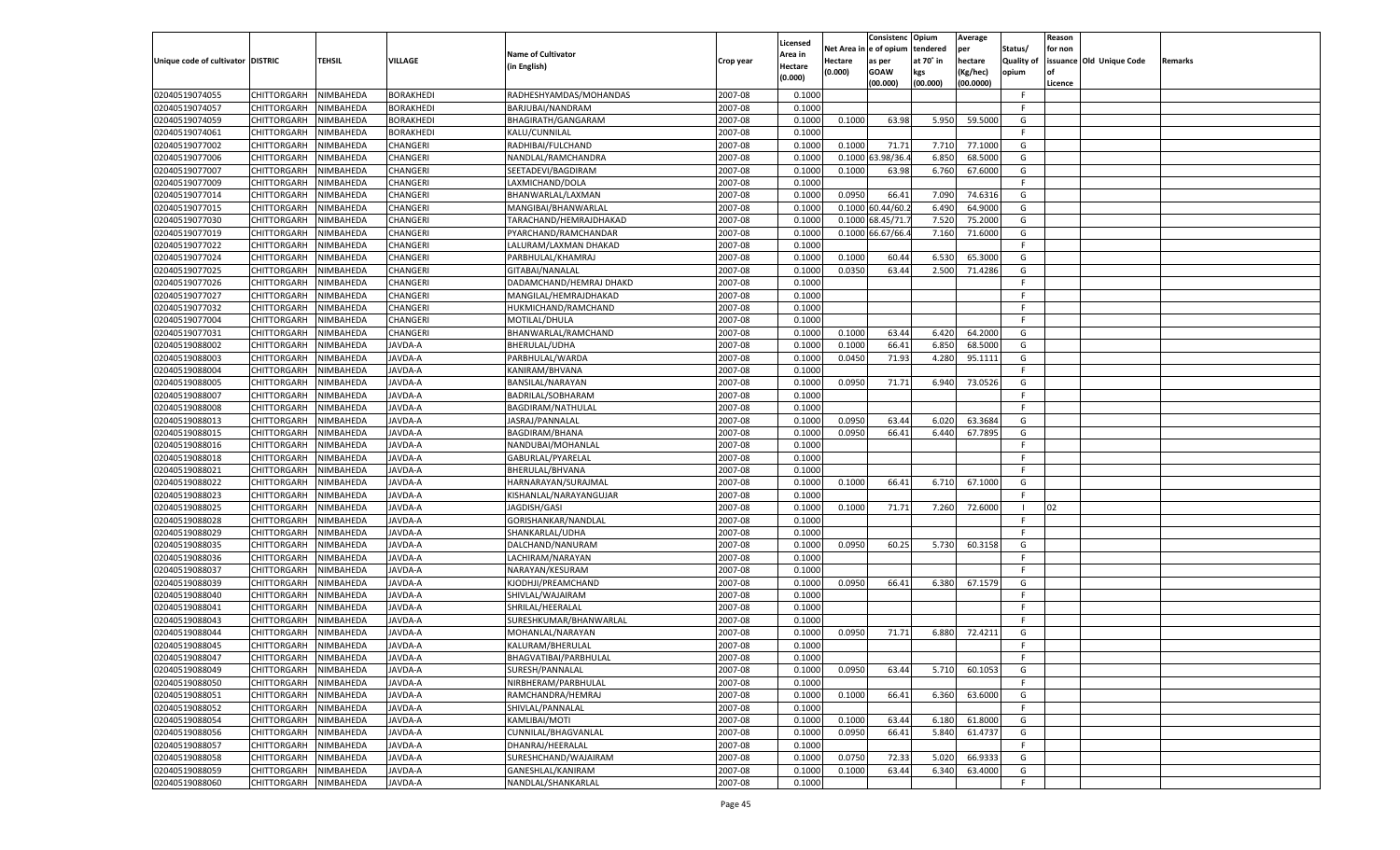|                                   |                            |           |                  |                           |           |                    |         | Consistenc Opium       |           | Average   |                   | Reason  |                          |                |
|-----------------------------------|----------------------------|-----------|------------------|---------------------------|-----------|--------------------|---------|------------------------|-----------|-----------|-------------------|---------|--------------------------|----------------|
|                                   |                            |           |                  | <b>Name of Cultivator</b> |           | Licensed           |         | Net Area in e of opium | tendered  | per       | Status/           | for non |                          |                |
| Unique code of cultivator DISTRIC |                            | TEHSIL    | <b>VILLAGE</b>   |                           | Crop year | Area in            | Hectare | as per                 | at 70° in | hectare   | <b>Quality of</b> |         | issuance Old Unique Code | <b>Remarks</b> |
|                                   |                            |           |                  | (in English)              |           | Hectare<br>(0.000) | (0.000) | <b>GOAW</b>            | kgs       | (Kg/hec)  | opium             |         |                          |                |
|                                   |                            |           |                  |                           |           |                    |         | (00.000)               | (00.000)  | (00.0000) |                   | Licence |                          |                |
| 02040519074055                    | CHITTORGARH                | NIMBAHEDA | <b>BORAKHEDI</b> | RADHESHYAMDAS/MOHANDAS    | 2007-08   | 0.1000             |         |                        |           |           | -F.               |         |                          |                |
| 02040519074057                    | CHITTORGARH                | NIMBAHEDA | BORAKHEDI        | BARJUBAI/NANDRAM          | 2007-08   | 0.1000             |         |                        |           |           | F.                |         |                          |                |
| 02040519074059                    | CHITTORGARH                | NIMBAHEDA | <b>BORAKHEDI</b> | BHAGIRATH/GANGARAM        | 2007-08   | 0.1000             | 0.1000  | 63.98                  | 5.950     | 59.5000   | G                 |         |                          |                |
| 02040519074061                    | CHITTORGARH                | NIMBAHEDA | <b>BORAKHEDI</b> | KALU/CUNNILAL             | 2007-08   | 0.1000             |         |                        |           |           | F.                |         |                          |                |
| 02040519077002                    | CHITTORGARH                | NIMBAHEDA | CHANGERI         | RADHIBAI/FULCHAND         | 2007-08   | 0.1000             | 0.1000  | 71.71                  | 7.710     | 77.1000   | G                 |         |                          |                |
| 02040519077006                    | CHITTORGARH                | NIMBAHEDA | CHANGERI         | NANDLAL/RAMCHANDRA        | 2007-08   | 0.1000             | 0.1000  | 3.98/36.               | 6.850     | 68.5000   | G                 |         |                          |                |
| 02040519077007                    | CHITTORGARH                | NIMBAHEDA | CHANGERI         | SEETADEVI/BAGDIRAM        | 2007-08   | 0.1000             | 0.1000  | 63.98                  | 6.760     | 67.6000   | G                 |         |                          |                |
| 02040519077009                    | CHITTORGARH                | NIMBAHEDA | CHANGERI         | LAXMICHAND/DOLA           | 2007-08   | 0.1000             |         |                        |           |           | F.                |         |                          |                |
| 02040519077014                    | CHITTORGARH                | NIMBAHEDA | CHANGERI         | BHANWARLAL/LAXMAN         | 2007-08   | 0.1000             | 0.0950  | 66.41                  | 7.090     | 74.6316   | G                 |         |                          |                |
| 02040519077015                    | CHITTORGARH                | NIMBAHEDA | CHANGERI         | MANGIBAI/BHANWARLAL       | 2007-08   | 0.1000             |         | 0.1000 60.44/60.       | 6.490     | 64.9000   | G                 |         |                          |                |
| 02040519077030                    | CHITTORGARH                | NIMBAHEDA | CHANGERI         | TARACHAND/HEMRAJDHAKAD    | 2007-08   | 0.1000             |         | 0.1000 68.45/71        | 7.520     | 75.2000   | G                 |         |                          |                |
| 02040519077019                    | CHITTORGARH                | NIMBAHEDA | CHANGERI         | PYARCHAND/RAMCHANDAR      | 2007-08   | 0.1000             |         | 0.1000 66.67/66.       | 7.160     | 71.6000   | G                 |         |                          |                |
| 02040519077022                    | CHITTORGARH                | NIMBAHEDA | CHANGERI         | LALURAM/LAXMAN DHAKAD     | 2007-08   | 0.1000             |         |                        |           |           | F.                |         |                          |                |
| 02040519077024                    | CHITTORGARH                | NIMBAHEDA | CHANGERI         | PARBHULAL/KHAMRAJ         | 2007-08   | 0.1000             | 0.1000  | 60.44                  | 6.530     | 65.3000   | G                 |         |                          |                |
| 02040519077025                    | CHITTORGARH                | NIMBAHEDA | CHANGERI         | GITABAI/NANALAL           | 2007-08   | 0.1000             | 0.0350  | 63.44                  | 2.500     | 71.4286   | G                 |         |                          |                |
|                                   |                            |           |                  |                           | 2007-08   | 0.1000             |         |                        |           |           | F.                |         |                          |                |
| 02040519077026                    | CHITTORGARH                | NIMBAHEDA | CHANGERI         | DADAMCHAND/HEMRAJ DHAKD   |           |                    |         |                        |           |           | F.                |         |                          |                |
| 02040519077027                    | CHITTORGARH                | NIMBAHEDA | CHANGERI         | MANGILAL/HEMRAJDHAKAD     | 2007-08   | 0.1000             |         |                        |           |           |                   |         |                          |                |
| 02040519077032                    | CHITTORGARH                | NIMBAHEDA | CHANGERI         | HUKMICHAND/RAMCHAND       | 2007-08   | 0.1000             |         |                        |           |           | -F                |         |                          |                |
| 02040519077004                    | CHITTORGARH                | NIMBAHEDA | CHANGERI         | MOTILAL/DHULA             | 2007-08   | 0.1000             |         |                        |           |           | F.                |         |                          |                |
| 02040519077031                    | CHITTORGARH                | NIMBAHEDA | CHANGERI         | BHANWARLAL/RAMCHAND       | 2007-08   | 0.1000             | 0.1000  | 63.44                  | 6.420     | 64.2000   | G                 |         |                          |                |
| 02040519088002                    | CHITTORGARH                | NIMBAHEDA | JAVDA-A          | BHERULAL/UDHA             | 2007-08   | 0.1000             | 0.1000  | 66.41                  | 6.850     | 68.5000   | G                 |         |                          |                |
| 02040519088003                    | CHITTORGARH                | NIMBAHEDA | JAVDA-A          | PARBHULAL/WARDA           | 2007-08   | 0.1000             | 0.0450  | 71.93                  | 4.280     | 95.1111   | G                 |         |                          |                |
| 02040519088004                    | CHITTORGARH                | NIMBAHEDA | JAVDA-A          | KANIRAM/BHVANA            | 2007-08   | 0.1000             |         |                        |           |           | F.                |         |                          |                |
| 02040519088005                    | CHITTORGARH                | NIMBAHEDA | JAVDA-A          | BANSILAL/NARAYAN          | 2007-08   | 0.1000             | 0.0950  | 71.71                  | 6.940     | 73.0526   | G                 |         |                          |                |
| 02040519088007                    | CHITTORGARH                | NIMBAHEDA | JAVDA-A          | BADRILAL/SOBHARAM         | 2007-08   | 0.1000             |         |                        |           |           | F.                |         |                          |                |
| 02040519088008                    | CHITTORGARH                | NIMBAHEDA | JAVDA-A          | BAGDIRAM/NATHULAL         | 2007-08   | 0.1000             |         |                        |           |           | E                 |         |                          |                |
| 02040519088013                    | CHITTORGARH                | NIMBAHEDA | JAVDA-A          | JASRAJ/PANNALAL           | 2007-08   | 0.1000             | 0.0950  | 63.44                  | 6.020     | 63.3684   | G                 |         |                          |                |
| 02040519088015                    | CHITTORGARH                | NIMBAHEDA | JAVDA-A          | <b>BAGDIRAM/BHANA</b>     | 2007-08   | 0.1000             | 0.0950  | 66.41                  | 6.440     | 67.7895   | G                 |         |                          |                |
| 02040519088016                    | CHITTORGARH                | NIMBAHEDA | JAVDA-A          | NANDUBAI/MOHANLAL         | 2007-08   | 0.1000             |         |                        |           |           | F.                |         |                          |                |
| 02040519088018                    | CHITTORGARH                | NIMBAHEDA | JAVDA-A          | GABURLAL/PYARELAL         | 2007-08   | 0.1000             |         |                        |           |           | E                 |         |                          |                |
| 02040519088021                    | CHITTORGARH                | NIMBAHEDA | JAVDA-A          | BHERULAL/BHVANA           | 2007-08   | 0.1000             |         |                        |           |           | F.                |         |                          |                |
| 02040519088022                    | CHITTORGARH                | NIMBAHEDA | JAVDA-A          | HARNARAYAN/SURAJMAL       | 2007-08   | 0.1000             | 0.1000  | 66.41                  | 6.710     | 67.1000   | G                 |         |                          |                |
| 02040519088023                    | CHITTORGARH                | NIMBAHEDA | JAVDA-A          | KISHANLAL/NARAYANGUJAR    | 2007-08   | 0.1000             |         |                        |           |           | F.                |         |                          |                |
| 02040519088025                    | CHITTORGARH                | NIMBAHEDA | JAVDA-A          | JAGDISH/GASI              | 2007-08   | 0.1000             | 0.1000  | 71.71                  | 7.260     | 72.6000   | - 1               | 02      |                          |                |
| 02040519088028                    | CHITTORGARH                | NIMBAHEDA | JAVDA-A          | GORISHANKAR/NANDLAL       | 2007-08   | 0.1000             |         |                        |           |           | F.                |         |                          |                |
| 02040519088029                    | CHITTORGARH                | NIMBAHEDA | JAVDA-A          | SHANKARLAL/UDHA           | 2007-08   | 0.1000             |         |                        |           |           | F.                |         |                          |                |
| 02040519088035                    | CHITTORGARH                | NIMBAHEDA | JAVDA-A          | DALCHAND/NANURAM          | 2007-08   | 0.1000             | 0.0950  | 60.25                  | 5.730     | 60.3158   | G                 |         |                          |                |
| 02040519088036                    | CHITTORGARH                | NIMBAHEDA | JAVDA-A          | LACHIRAM/NARAYAN          | 2007-08   | 0.1000             |         |                        |           |           | F.                |         |                          |                |
| 02040519088037                    |                            |           |                  |                           | 2007-08   | 0.1000             |         |                        |           |           | F.                |         |                          |                |
| 02040519088039                    | CHITTORGARH<br>CHITTORGARH | NIMBAHEDA | JAVDA-A          | NARAYAN/KESURAM           |           |                    |         |                        |           |           |                   |         |                          |                |
|                                   |                            | NIMBAHEDA | JAVDA-A          | KJODHJI/PREAMCHAND        | 2007-08   | 0.1000             | 0.0950  | 66.41                  | 6.380     | 67.1579   | G                 |         |                          |                |
| 02040519088040                    | CHITTORGARH                | NIMBAHEDA | JAVDA-A          | SHIVLAL/WAJAIRAM          | 2007-08   | 0.1000             |         |                        |           |           | F.                |         |                          |                |
| 02040519088041                    | CHITTORGARH                | NIMBAHEDA | JAVDA-A          | SHRILAL/HEERALAL          | 2007-08   | 0.1000             |         |                        |           |           | E                 |         |                          |                |
| 02040519088043                    | CHITTORGARH                | NIMBAHEDA | JAVDA-A          | SURESHKUMAR/BHANWARLAL    | 2007-08   | 0.1000             |         |                        |           |           | F.                |         |                          |                |
| 02040519088044                    | CHITTORGARH                | NIMBAHEDA | JAVDA-A          | MOHANLAL/NARAYAN          | 2007-08   | 0.1000             | 0.0950  | 71.71                  | 6.880     | 72.4211   | G                 |         |                          |                |
| 02040519088045                    | CHITTORGARH                | NIMBAHEDA | JAVDA-A          | KALURAM/BHERULAL          | 2007-08   | 0.1000             |         |                        |           |           | F.                |         |                          |                |
| 02040519088047                    | CHITTORGARH                | NIMBAHEDA | JAVDA-A          | BHAGVATIBAI/PARBHULAL     | 2007-08   | 0.1000             |         |                        |           |           | -F                |         |                          |                |
| 02040519088049                    | <b>CHITTORGARH</b>         | NIMBAHEDA | JAVDA-A          | SURESH/PANNALAL           | 2007-08   | 0.1000             | 0.0950  | 63.44                  | 5.710     | 60.1053   | G                 |         |                          |                |
| 02040519088050                    | <b>CHITTORGARH</b>         | NIMBAHEDA | JAVDA-A          | NIRBHERAM/PARBHULAL       | 2007-08   | 0.1000             |         |                        |           |           | -F                |         |                          |                |
| 02040519088051                    | <b>CHITTORGARH</b>         | NIMBAHEDA | JAVDA-A          | RAMCHANDRA/HEMRAJ         | 2007-08   | 0.1000             | 0.1000  | 66.41                  | 6.360     | 63.6000   | G                 |         |                          |                |
| 02040519088052                    | <b>CHITTORGARH</b>         | NIMBAHEDA | JAVDA-A          | SHIVLAL/PANNALAL          | 2007-08   | 0.1000             |         |                        |           |           | F.                |         |                          |                |
| 02040519088054                    | <b>CHITTORGARH</b>         | NIMBAHEDA | JAVDA-A          | KAMLIBAI/MOTI             | 2007-08   | 0.1000             | 0.1000  | 63.44                  | 6.180     | 61.8000   | G                 |         |                          |                |
| 02040519088056                    | <b>CHITTORGARH</b>         | NIMBAHEDA | JAVDA-A          | CUNNILAL/BHAGVANLAL       | 2007-08   | 0.1000             | 0.0950  | 66.41                  | 5.840     | 61.4737   | G                 |         |                          |                |
| 02040519088057                    | <b>CHITTORGARH</b>         | NIMBAHEDA | JAVDA-A          | DHANRAJ/HEERALAL          | 2007-08   | 0.1000             |         |                        |           |           | F.                |         |                          |                |
| 02040519088058                    | <b>CHITTORGARH</b>         | NIMBAHEDA | JAVDA-A          | SURESHCHAND/WAJAIRAM      | 2007-08   | 0.1000             | 0.0750  | 72.33                  | 5.020     | 66.9333   | G                 |         |                          |                |
| 02040519088059                    | <b>CHITTORGARH</b>         | NIMBAHEDA | JAVDA-A          | GANESHLAL/KANIRAM         | 2007-08   | 0.1000             | 0.1000  | 63.44                  | 6.340     | 63.4000   | G                 |         |                          |                |
| 02040519088060                    | <b>CHITTORGARH</b>         | NIMBAHEDA | JAVDA-A          | NANDLAL/SHANKARLAL        | 2007-08   | 0.1000             |         |                        |           |           | F.                |         |                          |                |
|                                   |                            |           |                  |                           |           |                    |         |                        |           |           |                   |         |                          |                |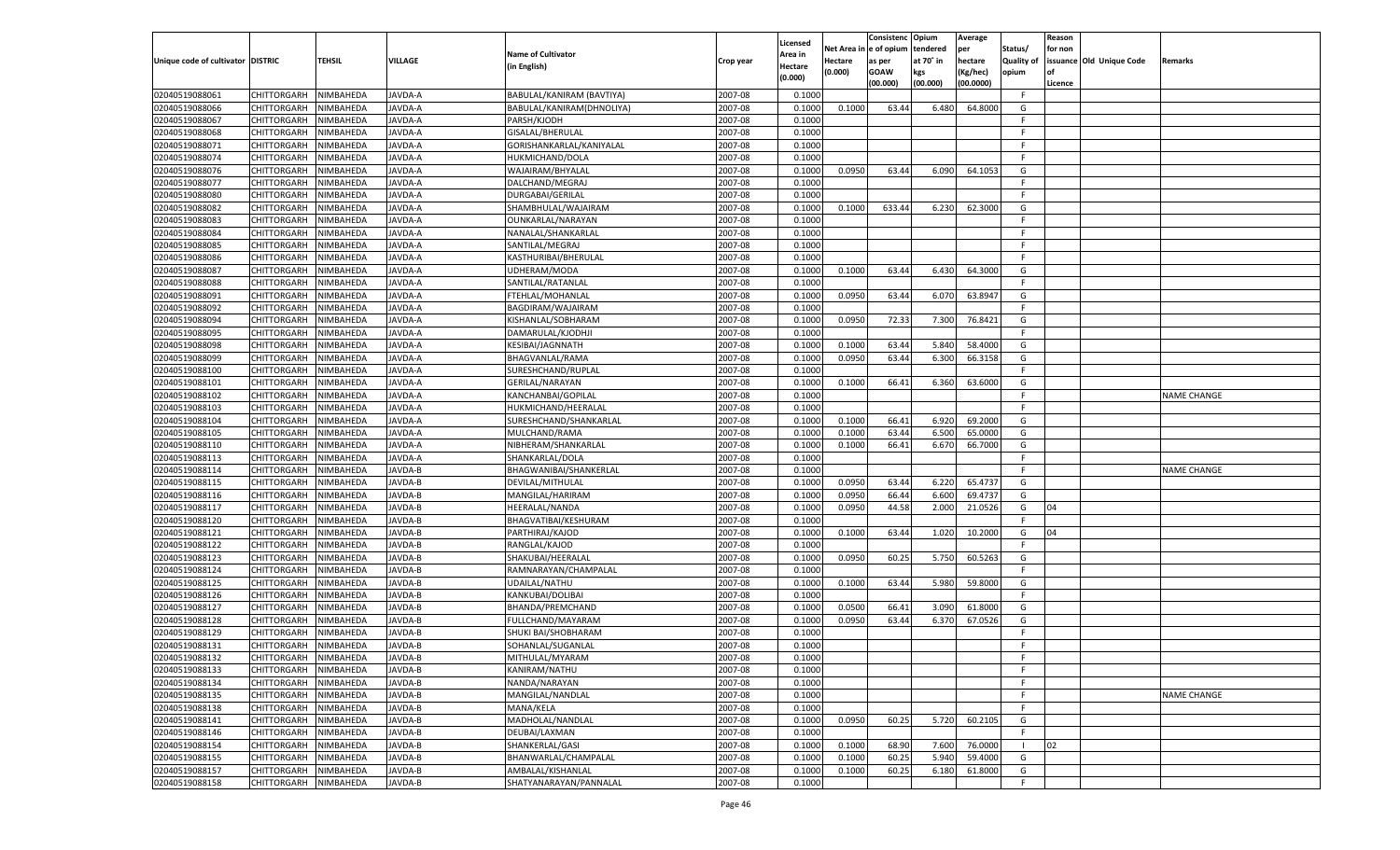|                                   |                       |               |                |                           |           |                    |          | Consistenc  | Opium     | Average   |                   | Reason  |                          |                    |
|-----------------------------------|-----------------------|---------------|----------------|---------------------------|-----------|--------------------|----------|-------------|-----------|-----------|-------------------|---------|--------------------------|--------------------|
|                                   |                       |               |                | <b>Name of Cultivator</b> |           | Licensed           | Net Area | le of opium | tendered  | per       | Status/           | for non |                          |                    |
| Unique code of cultivator DISTRIC |                       | <b>TEHSIL</b> | VILLAGE        |                           | Crop year | \rea in            | Hectare  | as per      | at 70° in | hectare   | <b>Quality of</b> |         | issuance Old Unique Code | Remarks            |
|                                   |                       |               |                | (in English)              |           | Hectare<br>(0.000) | (0.000)  | <b>GOAW</b> | kgs       | (Kg/hec)  | opium             |         |                          |                    |
|                                   |                       |               |                |                           |           |                    |          | (00.000)    | (00.000)  | (00.0000) |                   | Licence |                          |                    |
| 02040519088061                    | CHITTORGARH           | NIMBAHEDA     | JAVDA-A        | BABULAL/KANIRAM (BAVTIYA) | 2007-08   | 0.1000             |          |             |           |           | F                 |         |                          |                    |
| 02040519088066                    | CHITTORGARH           | NIMBAHEDA     | <b>JAVDA-A</b> | BABULAL/KANIRAM(DHNOLIYA) | 2007-08   | 0.1000             | 0.1000   | 63.44       | 6.480     | 64.8000   | G                 |         |                          |                    |
| 02040519088067                    | CHITTORGARH           | NIMBAHEDA     | JAVDA-A        | PARSH/KJODH               | 2007-08   | 0.1000             |          |             |           |           | F.                |         |                          |                    |
| 02040519088068                    | CHITTORGARH           | NIMBAHEDA     | JAVDA-A        | GISALAL/BHERULAL          | 2007-08   | 0.1000             |          |             |           |           | E                 |         |                          |                    |
| 02040519088071                    | CHITTORGARH           | NIMBAHEDA     | JAVDA-A        | GORISHANKARLAL/KANIYALAL  | 2007-08   | 0.1000             |          |             |           |           | F.                |         |                          |                    |
| 02040519088074                    | CHITTORGARH           | NIMBAHEDA     | <b>JAVDA-A</b> | HUKMICHAND/DOLA           | 2007-08   | 0.1000             |          |             |           |           | F.                |         |                          |                    |
| 02040519088076                    | CHITTORGARH           | NIMBAHEDA     | JAVDA-A        | WAJAIRAM/BHYALAL          | 2007-08   | 0.1000             | 0.0950   | 63.44       | 6.090     | 64.105    | G                 |         |                          |                    |
| 02040519088077                    | CHITTORGARH           | NIMBAHEDA     | JAVDA-A        | DALCHAND/MEGRAJ           | 2007-08   | 0.1000             |          |             |           |           | F.                |         |                          |                    |
| 02040519088080                    | CHITTORGARH           | NIMBAHEDA     | JAVDA-A        | DURGABAI/GERILAL          | 2007-08   | 0.1000             |          |             |           |           | F.                |         |                          |                    |
| 02040519088082                    | CHITTORGARH           | NIMBAHEDA     | <b>JAVDA-A</b> | SHAMBHULAL/WAJAIRAM       | 2007-08   | 0.1000             | 0.1000   | 633.44      | 6.230     | 62.3000   | G                 |         |                          |                    |
| 02040519088083                    | CHITTORGARH           | NIMBAHEDA     | JAVDA-A        | OUNKARLAL/NARAYAN         | 2007-08   | 0.1000             |          |             |           |           | F.                |         |                          |                    |
| 02040519088084                    | CHITTORGARH           | NIMBAHEDA     | JAVDA-A        | NANALAL/SHANKARLAL        | 2007-08   | 0.1000             |          |             |           |           | E                 |         |                          |                    |
| 02040519088085                    | CHITTORGARH           | NIMBAHEDA     | JAVDA-A        | SANTILAL/MEGRAJ           | 2007-08   | 0.1000             |          |             |           |           | F.                |         |                          |                    |
| 02040519088086                    | CHITTORGARH           | NIMBAHEDA     | <b>AVDA-A</b>  | KASTHURIBAI/BHERULAL      | 2007-08   | 0.1000             |          |             |           |           | F.                |         |                          |                    |
| 02040519088087                    | CHITTORGARH           | NIMBAHEDA     | AVDA-A         | UDHERAM/MODA              | 2007-08   | 0.1000             | 0.1000   | 63.44       | 6.430     | 64.3000   | G                 |         |                          |                    |
| 02040519088088                    | CHITTORGARH           | NIMBAHEDA     | AVDA-A         | SANTILAL/RATANLAI         | 2007-08   | 0.1000             |          |             |           |           | F.                |         |                          |                    |
| 02040519088091                    | CHITTORGARH           | NIMBAHEDA     | <b>JAVDA-A</b> | FTEHLAL/MOHANLAL          | 2007-08   | 0.1000             | 0.0950   | 63.44       | 6.070     | 63.8947   | G                 |         |                          |                    |
| 02040519088092                    |                       |               |                |                           | 2007-08   | 0.1000             |          |             |           |           | F.                |         |                          |                    |
|                                   | CHITTORGARH           | NIMBAHEDA     | AVDA-A         | BAGDIRAM/WAJAIRAM         |           |                    |          |             |           |           |                   |         |                          |                    |
| 02040519088094                    | CHITTORGARH           | NIMBAHEDA     | AVDA-A         | KISHANLAL/SOBHARAM        | 2007-08   | 0.1000             | 0.0950   | 72.33       | 7.300     | 76.8421   | G                 |         |                          |                    |
| 02040519088095                    | CHITTORGARH           | NIMBAHEDA     | AVDA-A         | DAMARULAL/KJODHJI         | 2007-08   | 0.1000             |          |             |           |           | F.                |         |                          |                    |
| 02040519088098                    | CHITTORGARH           | NIMBAHEDA     | AVDA-A         | KESIBAI/JAGNNATH          | 2007-08   | 0.1000             | 0.1000   | 63.44       | 5.840     | 58.4000   | G                 |         |                          |                    |
| 02040519088099                    | CHITTORGARH           | NIMBAHEDA     | AVDA-A         | BHAGVANLAL/RAMA           | 2007-08   | 0.1000             | 0.0950   | 63.44       | 6.300     | 66.3158   | G                 |         |                          |                    |
| 02040519088100                    | CHITTORGARH           | NIMBAHEDA     | AVDA-A         | SURESHCHAND/RUPLAL        | 2007-08   | 0.1000             |          |             |           |           | F                 |         |                          |                    |
| 02040519088101                    | CHITTORGARH           | NIMBAHEDA     | AVDA-A         | <b>GERILAL/NARAYAN</b>    | 2007-08   | 0.1000             | 0.1000   | 66.41       | 6.360     | 63.6000   | G                 |         |                          |                    |
| 02040519088102                    | CHITTORGARH           | NIMBAHEDA     | AVDA-A         | KANCHANBAI/GOPILAL        | 2007-08   | 0.1000             |          |             |           |           | F                 |         |                          | <b>NAME CHANGE</b> |
| 02040519088103                    | CHITTORGARH           | NIMBAHEDA     | AVDA-A         | HUKMICHAND/HEERALAI       | 2007-08   | 0.1000             |          |             |           |           | F.                |         |                          |                    |
| 02040519088104                    | CHITTORGARH           | NIMBAHEDA     | AVDA-A         | SURESHCHAND/SHANKARLAL    | 2007-08   | 0.1000             | 0.1000   | 66.41       | 6.920     | 69.2000   | G                 |         |                          |                    |
| 02040519088105                    | CHITTORGARH           | NIMBAHEDA     | AVDA-A         | MULCHAND/RAMA             | 2007-08   | 0.1000             | 0.1000   | 63.44       | 6.500     | 65.0000   | G                 |         |                          |                    |
| 02040519088110                    | CHITTORGARH           | NIMBAHEDA     | AVDA-A         | NIBHERAM/SHANKARLAL       | 2007-08   | 0.1000             | 0.1000   | 66.41       | 6.670     | 66.7000   | G                 |         |                          |                    |
| 02040519088113                    | CHITTORGARH           | NIMBAHEDA     | <b>JAVDA-A</b> | SHANKARLAL/DOLA           | 2007-08   | 0.1000             |          |             |           |           | F.                |         |                          |                    |
| 02040519088114                    | CHITTORGARH           | NIMBAHEDA     | <b>JAVDA-B</b> | BHAGWANIBAI/SHANKERLAL    | 2007-08   | 0.1000             |          |             |           |           | F.                |         |                          | <b>NAME CHANGE</b> |
| 02040519088115                    | CHITTORGARH           | NIMBAHEDA     | JAVDA-B        | DEVILAL/MITHULAL          | 2007-08   | 0.1000             | 0.0950   | 63.44       | 6.220     | 65.4737   | G                 |         |                          |                    |
| 02040519088116                    | <b>CHITTORGARH</b>    | NIMBAHEDA     | <b>JAVDA-B</b> | MANGILAL/HARIRAM          | 2007-08   | 0.1000             | 0.0950   | 66.44       | 6.600     | 69.4737   | G                 |         |                          |                    |
| 02040519088117                    | CHITTORGARH           | NIMBAHEDA     | <b>JAVDA-B</b> | HEERALAL/NANDA            | 2007-08   | 0.1000             | 0.0950   | 44.58       | 2.000     | 21.0526   | G                 | 04      |                          |                    |
| 02040519088120                    | CHITTORGARH           | NIMBAHEDA     | <b>JAVDA-B</b> | BHAGVATIBAI/KESHURAM      | 2007-08   | 0.1000             |          |             |           |           | F.                |         |                          |                    |
| 02040519088121                    | CHITTORGARH           | NIMBAHEDA     | JAVDA-B        | PARTHIRAJ/KAJOD           | 2007-08   | 0.1000             | 0.1000   | 63.44       | 1.020     | 10.2000   | G                 | 04      |                          |                    |
| 02040519088122                    | CHITTORGARH           | NIMBAHEDA     | <b>JAVDA-B</b> | RANGLAL/KAJOD             | 2007-08   | 0.1000             |          |             |           |           | F.                |         |                          |                    |
| 02040519088123                    | CHITTORGARH           | NIMBAHEDA     | JAVDA-B        | SHAKUBAI/HEERALAL         | 2007-08   | 0.1000             | 0.0950   | 60.25       | 5.750     | 60.5263   | G                 |         |                          |                    |
| 02040519088124                    | CHITTORGARH           | NIMBAHEDA     | <b>JAVDA-B</b> | RAMNARAYAN/CHAMPALAL      | 2007-08   | 0.1000             |          |             |           |           | F.                |         |                          |                    |
| 02040519088125                    | CHITTORGARH           | NIMBAHEDA     | JAVDA-B        | UDAILAL/NATHU             | 2007-08   | 0.1000             | 0.1000   | 63.44       | 5.980     | 59.8000   | G                 |         |                          |                    |
| 02040519088126                    | CHITTORGARH           | NIMBAHEDA     | <b>JAVDA-B</b> | KANKUBAI/DOLIBAI          | 2007-08   | 0.1000             |          |             |           |           | F.                |         |                          |                    |
| 02040519088127                    | CHITTORGARH           | NIMBAHEDA     | AVDA-B         | BHANDA/PREMCHAND          | 2007-08   | 0.1000             | 0.0500   | 66.41       | 3.090     | 61.8000   | G                 |         |                          |                    |
| 02040519088128                    | CHITTORGARH           | NIMBAHEDA     | <b>JAVDA-B</b> | FULLCHAND/MAYARAM         | 2007-08   | 0.1000             | 0.0950   | 63.44       | 6.370     | 67.0526   | G                 |         |                          |                    |
| 02040519088129                    | CHITTORGARH           | NIMBAHEDA     | JAVDA-B        | SHUKI BAI/SHOBHARAM       | 2007-08   | 0.1000             |          |             |           |           | F                 |         |                          |                    |
| 02040519088131                    | CHITTORGARH           | NIMBAHEDA     | JAVDA-B        | SOHANLAL/SUGANLAL         | 2007-08   | 0.1000             |          |             |           |           | F                 |         |                          |                    |
|                                   |                       |               |                |                           |           |                    |          |             |           |           |                   |         |                          |                    |
| 02040519088132                    | CHITTORGARH NIMBAHEDA |               | JAVDA-B        | MITHULAL/MYARAM           | 2007-08   | 0.1000             |          |             |           |           | F.                |         |                          |                    |
| 02040519088133                    | <b>CHITTORGARH</b>    | NIMBAHEDA     | JAVDA-B        | KANIRAM/NATHU             | 2007-08   | 0.1000             |          |             |           |           | F                 |         |                          |                    |
| 02040519088134                    | CHITTORGARH           | NIMBAHEDA     | JAVDA-B        | NANDA/NARAYAN             | 2007-08   | 0.1000             |          |             |           |           | F.                |         |                          |                    |
| 02040519088135                    | <b>CHITTORGARH</b>    | NIMBAHEDA     | JAVDA-B        | MANGILAL/NANDLAL          | 2007-08   | 0.1000             |          |             |           |           | F.                |         |                          | <b>NAME CHANGE</b> |
| 02040519088138                    | <b>CHITTORGARH</b>    | NIMBAHEDA     | JAVDA-B        | MANA/KELA                 | 2007-08   | 0.1000             |          |             |           |           | F.                |         |                          |                    |
| 02040519088141                    | <b>CHITTORGARH</b>    | NIMBAHEDA     | JAVDA-B        | MADHOLAL/NANDLAL          | 2007-08   | 0.1000             | 0.0950   | 60.25       | 5.720     | 60.2105   | G                 |         |                          |                    |
| 02040519088146                    | <b>CHITTORGARH</b>    | NIMBAHEDA     | JAVDA-B        | DEUBAI/LAXMAN             | 2007-08   | 0.1000             |          |             |           |           | F.                |         |                          |                    |
| 02040519088154                    | <b>CHITTORGARH</b>    | NIMBAHEDA     | JAVDA-B        | SHANKERLAL/GASI           | 2007-08   | 0.1000             | 0.1000   | 68.90       | 7.600     | 76.0000   | - 1               | 02      |                          |                    |
| 02040519088155                    | <b>CHITTORGARH</b>    | NIMBAHEDA     | <b>JAVDA-B</b> | BHANWARLAL/CHAMPALAL      | 2007-08   | 0.1000             | 0.1000   | 60.25       | 5.940     | 59.4000   | G                 |         |                          |                    |
| 02040519088157                    | <b>CHITTORGARH</b>    | NIMBAHEDA     | JAVDA-B        | AMBALAL/KISHANLAL         | 2007-08   | 0.1000             | 0.1000   | 60.25       | 6.180     | 61.8000   | G                 |         |                          |                    |
| 02040519088158                    | CHITTORGARH           | NIMBAHEDA     | JAVDA-B        | SHATYANARAYAN/PANNALAL    | 2007-08   | 0.1000             |          |             |           |           | F.                |         |                          |                    |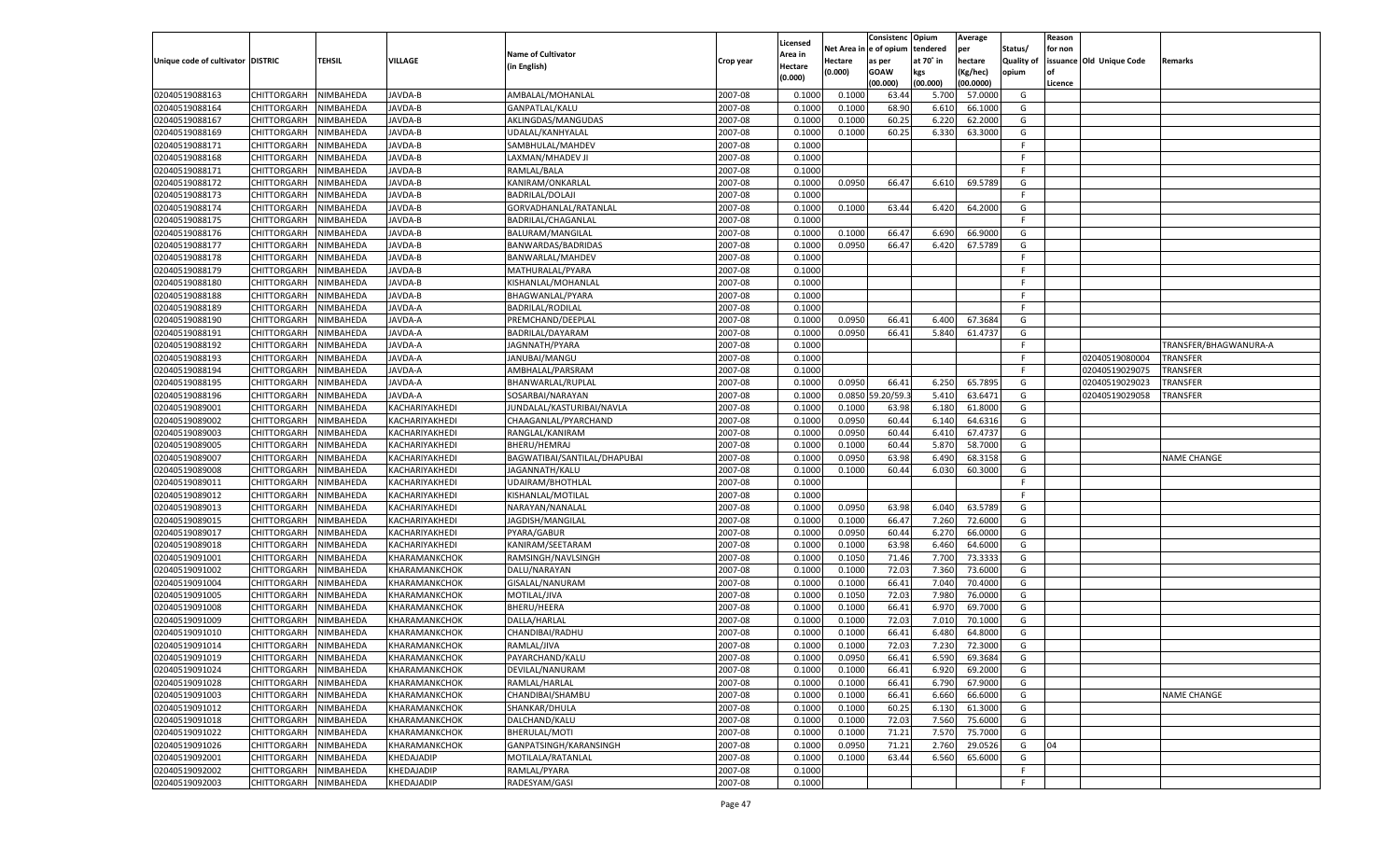|                                   |                    |           |                      |                              |           |          |          | Consistenc Opium |           | Average   |                   | Reason    |                          |                       |
|-----------------------------------|--------------------|-----------|----------------------|------------------------------|-----------|----------|----------|------------------|-----------|-----------|-------------------|-----------|--------------------------|-----------------------|
|                                   |                    |           |                      |                              |           | Licensed | Net Area | e of opium       | tendered  | per       | Status/           | for non   |                          |                       |
| Unique code of cultivator DISTRIC |                    | TEHSIL    | VILLAGE              | <b>Name of Cultivator</b>    | Crop year | Area in  | Hectare  | as per           | at 70˚ in | hectare   | <b>Quality of</b> |           | issuance Old Unique Code | Remarks               |
|                                   |                    |           |                      | (in English)                 |           | Hectare  | (0.000)  | <b>GOAW</b>      | kgs       | (Kg/hec)  | opium             | <b>of</b> |                          |                       |
|                                   |                    |           |                      |                              |           | (0.000)  |          | (00.000)         | (00.000)  | (00.0000) |                   | Licence   |                          |                       |
| 02040519088163                    | CHITTORGARH        | NIMBAHEDA | JAVDA-B              | AMBALAL/MOHANLAL             | 2007-08   | 0.1000   | 0.1000   | 63.4             | 5.700     | 57.0000   | G                 |           |                          |                       |
| 02040519088164                    | CHITTORGARH        | NIMBAHEDA | JAVDA-B              | GANPATLAL/KALU               | 2007-08   | 0.1000   | 0.1000   | 68.90            | 6.610     | 66.1000   | G                 |           |                          |                       |
| 02040519088167                    | <b>CHITTORGARH</b> | NIMBAHEDA | <b>JAVDA-B</b>       | AKLINGDAS/MANGUDAS           | 2007-08   | 0.1000   | 0.1000   | 60.25            | 6.220     | 62.2000   | G                 |           |                          |                       |
| 02040519088169                    | CHITTORGARH        | NIMBAHEDA | JAVDA-B              | UDALAL/KANHYALAL             | 2007-08   | 0.1000   | 0.1000   | 60.25            | 6.330     | 63.3000   | G                 |           |                          |                       |
| 02040519088171                    | <b>CHITTORGARH</b> | NIMBAHEDA | <b>JAVDA-B</b>       | SAMBHULAL/MAHDEV             | 2007-08   | 0.1000   |          |                  |           |           | F.                |           |                          |                       |
| 02040519088168                    | CHITTORGARH        | NIMBAHEDA | JAVDA-B              | LAXMAN/MHADEV JI             | 2007-08   | 0.1000   |          |                  |           |           | F                 |           |                          |                       |
| 02040519088171                    | CHITTORGARH        | NIMBAHEDA | <b>JAVDA-B</b>       | RAMLAL/BALA                  | 2007-08   | 0.1000   |          |                  |           |           | F.                |           |                          |                       |
| 02040519088172                    | CHITTORGARH        | NIMBAHEDA | JAVDA-B              | KANIRAM/ONKARLAL             | 2007-08   | 0.1000   | 0.0950   | 66.47            | 6.610     | 69.5789   | G                 |           |                          |                       |
| 02040519088173                    | CHITTORGARH        | NIMBAHEDA | <b>JAVDA-B</b>       | <b>BADRILAL/DOLAJI</b>       | 2007-08   | 0.1000   |          |                  |           |           | F.                |           |                          |                       |
| 02040519088174                    | CHITTORGARH        | NIMBAHEDA | JAVDA-B              | GORVADHANLAL/RATANLAL        | 2007-08   | 0.1000   | 0.1000   | 63.44            | 6.420     | 64.2000   | G                 |           |                          |                       |
| 02040519088175                    | CHITTORGARH        | NIMBAHEDA | <b>JAVDA-B</b>       | BADRILAL/CHAGANLAL           | 2007-08   | 0.1000   |          |                  |           |           | F.                |           |                          |                       |
| 02040519088176                    | CHITTORGARH        | NIMBAHEDA | JAVDA-B              | BALURAM/MANGILAL             | 2007-08   | 0.1000   | 0.1000   | 66.47            | 6.690     | 66.9000   | G                 |           |                          |                       |
| 02040519088177                    | CHITTORGARH        | NIMBAHEDA | <b>JAVDA-B</b>       | BANWARDAS/BADRIDAS           | 2007-08   | 0.1000   | 0.0950   | 66.47            | 6.420     | 67.5789   | G                 |           |                          |                       |
| 02040519088178                    | CHITTORGARH        | NIMBAHEDA | AVDA-B               | BANWARLAL/MAHDEV             | 2007-08   | 0.1000   |          |                  |           |           | F                 |           |                          |                       |
| 02040519088179                    | <b>CHITTORGARH</b> | NIMBAHEDA | AVDA-B               | MATHURALAL/PYARA             | 2007-08   | 0.1000   |          |                  |           |           | F                 |           |                          |                       |
| 02040519088180                    | CHITTORGARH        | NIMBAHEDA | <b>JAVDA-B</b>       | KISHANLAL/MOHANLAL           | 2007-08   | 0.1000   |          |                  |           |           | F.                |           |                          |                       |
| 02040519088188                    | <b>CHITTORGARH</b> | NIMBAHEDA | AVDA-B               | BHAGWANLAL/PYARA             | 2007-08   | 0.1000   |          |                  |           |           | F                 |           |                          |                       |
| 02040519088189                    | CHITTORGARH        | NIMBAHEDA | AVDA-A               | <b>BADRILAL/RODILAL</b>      | 2007-08   | 0.1000   |          |                  |           |           | F                 |           |                          |                       |
| 02040519088190                    | <b>CHITTORGARH</b> | NIMBAHEDA | AVDA-A               | PREMCHAND/DEEPLAI            | 2007-08   | 0.1000   | 0.0950   | 66.41            | 6.400     | 67.3684   | G                 |           |                          |                       |
| 02040519088191                    | CHITTORGARH        | NIMBAHEDA | AVDA-A               | BADRILAL/DAYARAM             | 2007-08   | 0.1000   | 0.0950   | 66.41            | 5.840     | 61.4737   | G                 |           |                          |                       |
| 02040519088192                    | <b>CHITTORGARH</b> | NIMBAHEDA | AVDA-A               | JAGNNATH/PYARA               | 2007-08   | 0.1000   |          |                  |           |           | F                 |           |                          | TRANSFER/BHAGWANURA-A |
|                                   | CHITTORGARH        |           | AVDA-A               |                              | 2007-08   |          |          |                  |           |           | F                 |           | 02040519080004           |                       |
| 02040519088193                    |                    | NIMBAHEDA |                      | JANUBAI/MANGU                |           | 0.1000   |          |                  |           |           | F                 |           |                          | <b>TRANSFER</b>       |
| 02040519088194                    | <b>CHITTORGARH</b> | NIMBAHEDA | AVDA-A               | AMBHALAL/PARSRAM             | 2007-08   | 0.1000   |          |                  |           |           |                   |           | 02040519029075           | <b>TRANSFER</b>       |
| 02040519088195                    | CHITTORGARH        | NIMBAHEDA | AVDA-A               | BHANWARLAL/RUPLAL            | 2007-08   | 0.1000   | 0.0950   | 66.41            | 6.250     | 65.7895   | G                 |           | 02040519029023           | <b>TRANSFER</b>       |
| 02040519088196                    | <b>CHITTORGARH</b> | NIMBAHEDA | AVDA-A               | SOSARBAI/NARAYAN             | 2007-08   | 0.1000   | 0.0850   | 9.20/59.         | 5.410     | 63.6471   | G                 |           | 02040519029058           | TRANSFER              |
| 02040519089001                    | CHITTORGARH        | NIMBAHEDA | KACHARIYAKHEDI       | JUNDALAL/KASTURIBAI/NAVLA    | 2007-08   | 0.1000   | 0.1000   | 63.98            | 6.180     | 61.8000   | G                 |           |                          |                       |
| 02040519089002                    | <b>CHITTORGARH</b> | NIMBAHEDA | KACHARIYAKHEDI       | CHAAGANLAL/PYARCHAND         | 2007-08   | 0.1000   | 0.0950   | 60.44            | 6.140     | 64.6316   | G                 |           |                          |                       |
| 02040519089003                    | CHITTORGARH        | NIMBAHEDA | KACHARIYAKHEDI       | RANGLAL/KANIRAM              | 2007-08   | 0.1000   | 0.0950   | 60.44            | 6.410     | 67.4737   | G                 |           |                          |                       |
| 02040519089005                    | <b>CHITTORGARH</b> | NIMBAHEDA | KACHARIYAKHEDI       | BHERU/HEMRAJ                 | 2007-08   | 0.1000   | 0.1000   | 60.44            | 5.870     | 58.7000   | G                 |           |                          |                       |
| 02040519089007                    | CHITTORGARH        | NIMBAHEDA | KACHARIYAKHEDI       | BAGWATIBAI/SANTILAL/DHAPUBAI | 2007-08   | 0.1000   | 0.0950   | 63.98            | 6.490     | 68.3158   | G                 |           |                          | <b>NAME CHANGE</b>    |
| 02040519089008                    | CHITTORGARH        | NIMBAHEDA | KACHARIYAKHEDI       | JAGANNATH/KALU               | 2007-08   | 0.1000   | 0.1000   | 60.44            | 6.030     | 60.3000   | G                 |           |                          |                       |
| 02040519089011                    | CHITTORGARH        | NIMBAHEDA | KACHARIYAKHEDI       | UDAIRAM/BHOTHLAI             | 2007-08   | 0.1000   |          |                  |           |           | F                 |           |                          |                       |
| 02040519089012                    | CHITTORGARH        | NIMBAHEDA | KACHARIYAKHEDI       | KISHANLAL/MOTILAL            | 2007-08   | 0.1000   |          |                  |           |           | F                 |           |                          |                       |
| 02040519089013                    | CHITTORGARH        | NIMBAHEDA | KACHARIYAKHEDI       | NARAYAN/NANALAL              | 2007-08   | 0.1000   | 0.0950   | 63.98            | 6.040     | 63.5789   | G                 |           |                          |                       |
| 02040519089015                    | CHITTORGARH        | NIMBAHEDA | KACHARIYAKHEDI       | JAGDISH/MANGILAL             | 2007-08   | 0.1000   | 0.1000   | 66.47            | 7.260     | 72.6000   | G                 |           |                          |                       |
| 02040519089017                    | CHITTORGARH        | NIMBAHEDA | KACHARIYAKHEDI       | PYARA/GABUR                  | 2007-08   | 0.1000   | 0.0950   | 60.44            | 6.27      | 66.0000   | G                 |           |                          |                       |
| 02040519089018                    | <b>CHITTORGARH</b> | NIMBAHEDA | KACHARIYAKHEDI       | KANIRAM/SEETARAM             | 2007-08   | 0.1000   | 0.1000   | 63.98            | 6.460     | 64.6000   | G                 |           |                          |                       |
| 02040519091001                    | CHITTORGARH        | NIMBAHEDA | KHARAMANKCHOK        | RAMSINGH/NAVLSINGH           | 2007-08   | 0.1000   | 0.1050   | 71.46            | 7.700     | 73.3333   | G                 |           |                          |                       |
| 02040519091002                    | CHITTORGARH        | NIMBAHEDA | KHARAMANKCHOK        | DALU/NARAYAN                 | 2007-08   | 0.1000   | 0.1000   | 72.03            | 7.360     | 73.6000   | G                 |           |                          |                       |
| 02040519091004                    | CHITTORGARH        | NIMBAHEDA | KHARAMANKCHOK        | GISALAL/NANURAM              | 2007-08   | 0.1000   | 0.1000   | 66.41            | 7.040     | 70.4000   | G                 |           |                          |                       |
| 02040519091005                    | <b>CHITTORGARH</b> | NIMBAHEDA | KHARAMANKCHOK        | MOTILAL/JIVA                 | 2007-08   | 0.1000   | 0.1050   | 72.03            | 7.980     | 76.0000   | G                 |           |                          |                       |
| 02040519091008                    | CHITTORGARH        | NIMBAHEDA | KHARAMANKCHOK        | BHERU/HEERA                  | 2007-08   | 0.1000   | 0.1000   | 66.41            | 6.97      | 69.7000   | G                 |           |                          |                       |
| 02040519091009                    | CHITTORGARH        | NIMBAHEDA | KHARAMANKCHOK        | DALLA/HARLAL                 | 2007-08   | 0.1000   | 0.1000   | 72.03            | 7.010     | 70.1000   | G                 |           |                          |                       |
| 02040519091010                    | CHITTORGARH        | NIMBAHEDA | KHARAMANKCHOK        | CHANDIBAI/RADHU              | 2007-08   | 0.1000   | 0.1000   | 66.41            | 6.48      | 64.8000   | G                 |           |                          |                       |
| 02040519091014                    | CHITTORGARH        | NIMBAHEDA | KHARAMANKCHOK        | RAMLAL/JIVA                  | 2007-08   | 0.1000   | 0.1000   | 72.03            | 7.23      | 72.3000   | G                 |           |                          |                       |
| 02040519091019                    | CHITTORGARH        | NIMBAHEDA | KHARAMANKCHOK        | PAYARCHAND/KALU              | 2007-08   | 0.1000   | 0.0950   | 66.41            | 6.590     | 69.3684   | G                 |           |                          |                       |
| 02040519091024                    | <b>CHITTORGARH</b> | NIMBAHEDA | <b>KHARAMANKCHOK</b> | DEVILAL/NANURAM              | 2007-08   | 0.1000   | 0.1000   | 66.41            | 6.920     | 69.2000   | G                 |           |                          |                       |
| 02040519091028                    | <b>CHITTORGARH</b> | NIMBAHEDA | KHARAMANKCHOK        | RAMLAL/HARLAL                | 2007-08   | 0.1000   | 0.1000   | 66.41            | 6.790     | 67.9000   | G                 |           |                          |                       |
| 02040519091003                    | <b>CHITTORGARH</b> | NIMBAHEDA | <b>KHARAMANKCHOK</b> | CHANDIBAI/SHAMBU             | 2007-08   | 0.1000   | 0.1000   | 66.41            | 6.660     | 66.6000   | G                 |           |                          | <b>NAME CHANGE</b>    |
| 02040519091012                    | <b>CHITTORGARH</b> | NIMBAHEDA | KHARAMANKCHOK        | SHANKAR/DHULA                | 2007-08   | 0.1000   | 0.1000   | 60.25            | 6.130     | 61.3000   | G                 |           |                          |                       |
| 02040519091018                    | <b>CHITTORGARH</b> | NIMBAHEDA | KHARAMANKCHOK        | DALCHAND/KALU                | 2007-08   | 0.1000   | 0.1000   | 72.03            | 7.560     | 75.6000   | G                 |           |                          |                       |
| 02040519091022                    | <b>CHITTORGARH</b> | NIMBAHEDA | KHARAMANKCHOK        | BHERULAL/MOTI                | 2007-08   | 0.1000   | 0.1000   | 71.21            | 7.570     | 75.7000   | G                 |           |                          |                       |
| 02040519091026                    | <b>CHITTORGARH</b> | NIMBAHEDA | KHARAMANKCHOK        | GANPATSINGH/KARANSINGH       | 2007-08   | 0.1000   | 0.0950   | 71.21            | 2.760     | 29.0526   | G                 | 04        |                          |                       |
| 02040519092001                    | <b>CHITTORGARH</b> | NIMBAHEDA | KHEDAJADIP           | MOTILALA/RATANLAL            | 2007-08   | 0.1000   | 0.1000   | 63.44            | 6.560     | 65.6000   | G                 |           |                          |                       |
| 02040519092002                    | <b>CHITTORGARH</b> | NIMBAHEDA | KHEDAJADIP           | RAMLAL/PYARA                 | 2007-08   | 0.1000   |          |                  |           |           | F                 |           |                          |                       |
| 02040519092003                    | <b>CHITTORGARH</b> | NIMBAHEDA | KHEDAJADIP           | RADESYAM/GASI                | 2007-08   | 0.1000   |          |                  |           |           | F                 |           |                          |                       |
|                                   |                    |           |                      |                              |           |          |          |                  |           |           |                   |           |                          |                       |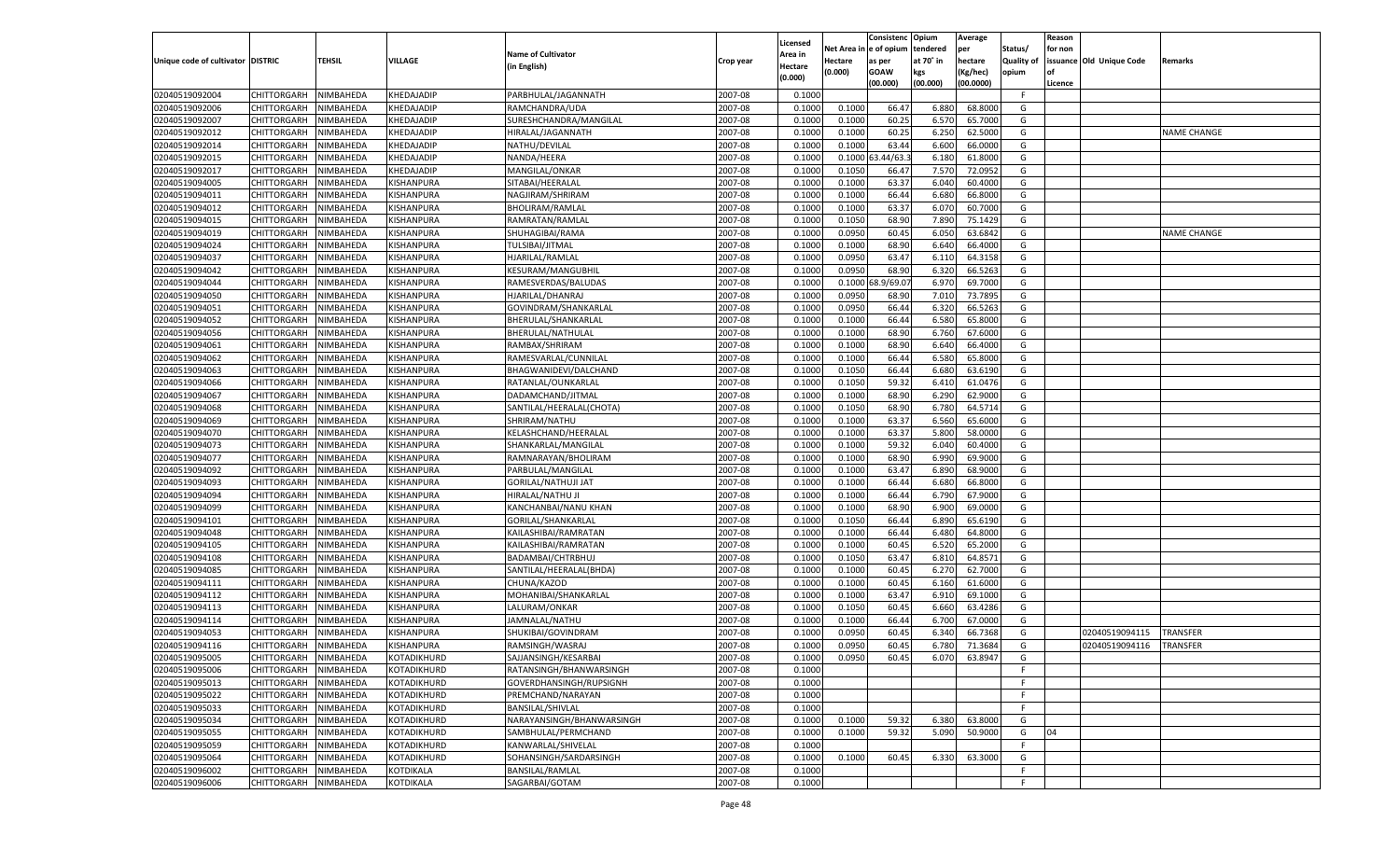|                                   |                       |               |                   |                           |           | Licensed        |            | Consistenc Opium |           | Average   |                   | Reason  |                                  |                    |
|-----------------------------------|-----------------------|---------------|-------------------|---------------------------|-----------|-----------------|------------|------------------|-----------|-----------|-------------------|---------|----------------------------------|--------------------|
|                                   |                       |               |                   | <b>Name of Cultivator</b> |           | \rea in         | Net Area i | n  e of opium    | tendered  | per       | Status/           | for non |                                  |                    |
| Unique code of cultivator DISTRIC |                       | <b>TEHSIL</b> | VILLAGE           | (in English)              | Crop year | Hectare         | Hectare    | as per           | at 70° in | hectare   | <b>Quality of</b> |         | issuance Old Unique Code         | <b>Remarks</b>     |
|                                   |                       |               |                   |                           |           | (0.000)         | (0.000)    | <b>GOAW</b>      | kgs       | (Kg/hec)  | opium             |         |                                  |                    |
|                                   |                       |               |                   |                           |           |                 |            | (00.000)         | (00.000)  | (00.0000) |                   | Licence |                                  |                    |
| 02040519092004                    | CHITTORGARH           | NIMBAHEDA     | KHEDAJADIP        | PARBHULAL/JAGANNATH       | 2007-08   | 0.1000          |            |                  |           |           | -F.               |         |                                  |                    |
| 02040519092006                    | CHITTORGARH           | NIMBAHEDA     | KHEDAJADIP        | RAMCHANDRA/UDA            | 2007-08   | 0.1000          | 0.1000     | 66.4             | 6.880     | 68.8000   | G                 |         |                                  |                    |
| 02040519092007                    | CHITTORGARH           | NIMBAHEDA     | KHEDAJADIP        | SURESHCHANDRA/MANGILAL    | 2007-08   | 0.1000          | 0.1000     | 60.25            | 6.570     | 65.7000   | G                 |         |                                  |                    |
| 02040519092012                    | CHITTORGARH           | NIMBAHEDA     | <b>KHEDAJADIP</b> | HIRALAL/JAGANNATH         | 2007-08   | 0.1000          | 0.1000     | 60.25            | 6.250     | 62.5000   | G                 |         |                                  | <b>NAME CHANGE</b> |
| 02040519092014                    | CHITTORGARH           | NIMBAHEDA     | KHEDAJADIP        | NATHU/DEVILAL             | 2007-08   | 0.1000          | 0.1000     | 63.44            | 6.600     | 66.0000   | G                 |         |                                  |                    |
| 02040519092015                    | CHITTORGARH           | NIMBAHEDA     | KHEDAJADIP        | NANDA/HEERA               | 2007-08   | 0.1000          | 0.1000     | 3.44/63.         | 6.180     | 61.8000   | G                 |         |                                  |                    |
| 02040519092017                    | CHITTORGARH           | NIMBAHEDA     | KHEDAJADIP        | MANGILAL/ONKAR            | 2007-08   | 0.1000          | 0.1050     | 66.47            | 7.570     | 72.0952   | G                 |         |                                  |                    |
| 02040519094005                    | CHITTORGARH           | NIMBAHEDA     | KISHANPURA        | SITABAI/HEERALAL          | 2007-08   | 0.1000          | 0.1000     | 63.37            | 6.040     | 60.4000   | G                 |         |                                  |                    |
| 02040519094011                    | CHITTORGARH           | NIMBAHEDA     | KISHANPURA        | NAGJIRAM/SHRIRAM          | 2007-08   | 0.1000          | 0.1000     | 66.44            | 6.680     | 66.8000   | G                 |         |                                  |                    |
| 02040519094012                    | CHITTORGARH           | NIMBAHEDA     | KISHANPURA        | <b>BHOLIRAM/RAMLAL</b>    | 2007-08   | 0.1000          | 0.1000     | 63.37            | 6.07      | 60.7000   | G                 |         |                                  |                    |
| 02040519094015                    | CHITTORGARH           | NIMBAHEDA     | KISHANPURA        | RAMRATAN/RAMLAL           | 2007-08   | 0.1000          | 0.1050     | 68.90            | 7.890     | 75.1429   | G                 |         |                                  |                    |
| 02040519094019                    | CHITTORGARH           | NIMBAHEDA     | KISHANPURA        | SHUHAGIBAI/RAMA           | 2007-08   | 0.1000          | 0.0950     | 60.45            | 6.05      | 63.6842   | G                 |         |                                  | <b>NAME CHANGE</b> |
| 02040519094024                    | CHITTORGARH           | NIMBAHEDA     | KISHANPURA        | TULSIBAI/JITMAL           | 2007-08   | 0.1000          | 0.1000     | 68.90            | 6.640     | 66.4000   | G                 |         |                                  |                    |
| 02040519094037                    | CHITTORGARH           | NIMBAHEDA     | KISHANPURA        | HJARILAL/RAMLAL           | 2007-08   | 0.1000          | 0.0950     | 63.47            | 6.11      | 64.3158   | G                 |         |                                  |                    |
| 02040519094042                    | CHITTORGARH           | NIMBAHEDA     | KISHANPURA        | <b>KESURAM/MANGUBHIL</b>  | 2007-08   | 0.1000          | 0.0950     | 68.90            | 6.320     | 66.5263   | G                 |         |                                  |                    |
| 02040519094044                    | CHITTORGARH           | NIMBAHEDA     | KISHANPURA        | RAMESVERDAS/BALUDAS       | 2007-08   | 0.1000          | 0.1000     | 8.9/69.0         | 6.970     | 69.7000   | G                 |         |                                  |                    |
| 02040519094050                    | CHITTORGARH           | NIMBAHEDA     | KISHANPURA        | HJARILAL/DHANRAJ          | 2007-08   | 0.1000          | 0.0950     | 68.90            | 7.010     | 73.7895   | G                 |         |                                  |                    |
| 02040519094051                    | CHITTORGARH           | NIMBAHEDA     | KISHANPURA        | GOVINDRAM/SHANKARLAL      | 2007-08   | 0.1000          | 0.0950     | 66.44            | 6.320     | 66.5263   | G                 |         |                                  |                    |
| 02040519094052                    | CHITTORGARH           | NIMBAHEDA     | KISHANPURA        | BHERULAL/SHANKARLAL       | 2007-08   | 0.1000          | 0.1000     | 66.44            | 6.580     | 65.8000   | G                 |         |                                  |                    |
| 02040519094056                    | CHITTORGARH           | NIMBAHEDA     | KISHANPURA        | BHERULAL/NATHULAL         | 2007-08   | 0.1000          | 0.1000     | 68.90            | 6.760     | 67.6000   | G                 |         |                                  |                    |
| 02040519094061                    | CHITTORGARH           | NIMBAHEDA     | KISHANPURA        | RAMBAX/SHRIRAM            | 2007-08   | 0.1000          | 0.1000     | 68.90            | 6.640     | 66.4000   | G                 |         |                                  |                    |
| 02040519094062                    | CHITTORGARH           | NIMBAHEDA     | KISHANPURA        | RAMESVARLAL/CUNNILAL      | 2007-08   | 0.1000          | 0.1000     | 66.44            | 6.580     | 65.8000   | G                 |         |                                  |                    |
| 02040519094063                    | CHITTORGARH           | NIMBAHEDA     | KISHANPURA        | BHAGWANIDEVI/DALCHAND     | 2007-08   | 0.1000          | 0.1050     | 66.44            | 6.680     | 63.6190   | G                 |         |                                  |                    |
| 02040519094066                    | CHITTORGARH           | NIMBAHEDA     | KISHANPURA        | RATANLAL/OUNKARLAL        | 2007-08   | 0.1000          | 0.1050     | 59.32            | 6.41      | 61.0476   | G                 |         |                                  |                    |
| 02040519094067                    | CHITTORGARH           | NIMBAHEDA     | KISHANPURA        | DADAMCHAND/JITMAL         | 2007-08   | 0.1000          | 0.1000     | 68.90            | 6.290     | 62.9000   | G                 |         |                                  |                    |
| 02040519094068                    | CHITTORGARH           | NIMBAHEDA     | KISHANPURA        | SANTILAL/HEERALAL(CHOTA)  | 2007-08   | 0.1000          | 0.1050     | 68.90            | 6.780     | 64.5714   | G                 |         |                                  |                    |
| 02040519094069                    | CHITTORGARH           | NIMBAHEDA     | KISHANPURA        | SHRIRAM/NATHU             | 2007-08   | 0.1000          | 0.1000     | 63.37            | 6.560     | 65.6000   | G                 |         |                                  |                    |
| 02040519094070                    | CHITTORGARH           | NIMBAHEDA     | KISHANPURA        | KELASHCHAND/HEERALAL      | 2007-08   | 0.1000          | 0.1000     | 63.37            | 5.800     | 58.0000   | G                 |         |                                  |                    |
| 02040519094073                    | CHITTORGARH           | NIMBAHEDA     | KISHANPURA        | SHANKARLAL/MANGILAL       | 2007-08   | 0.1000          | 0.1000     | 59.32            | 6.040     | 60.4000   | G                 |         |                                  |                    |
| 02040519094077                    | CHITTORGARH           | NIMBAHEDA     | KISHANPURA        | RAMNARAYAN/BHOLIRAM       | 2007-08   | 0.1000          | 0.1000     | 68.90            | 6.990     | 69.9000   | G                 |         |                                  |                    |
| 02040519094092                    | CHITTORGARH           | NIMBAHEDA     | KISHANPURA        | PARBULAL/MANGILAL         | 2007-08   | 0.1000          | 0.1000     | 63.47            | 6.890     | 68.9000   | G                 |         |                                  |                    |
| 02040519094093                    | CHITTORGARH           | NIMBAHEDA     | KISHANPURA        | GORILAL/NATHUJI JAT       | 2007-08   | 0.1000          | 0.1000     | 66.44            | 6.680     | 66.8000   | G                 |         |                                  |                    |
| 02040519094094                    | CHITTORGARH           | NIMBAHEDA     | KISHANPURA        | HIRALAL/NATHU JI          | 2007-08   | 0.1000          | 0.1000     | 66.44            | 6.790     | 67.9000   | G                 |         |                                  |                    |
| 02040519094099                    | CHITTORGARH           | NIMBAHEDA     | KISHANPURA        | KANCHANBAI/NANU KHAN      | 2007-08   | 0.1000          | 0.1000     | 68.90            | 6.900     | 69.0000   | G                 |         |                                  |                    |
| 02040519094101                    | CHITTORGARH           | NIMBAHEDA     | KISHANPURA        | GORILAL/SHANKARLAL        | 2007-08   | 0.1000          | 0.1050     | 66.44            | 6.890     | 65.6190   | G                 |         |                                  |                    |
| 02040519094048                    | CHITTORGARH           | NIMBAHEDA     | KISHANPURA        | KAILASHIBAI/RAMRATAN      | 2007-08   | 0.1000          | 0.1000     | 66.44            | 6.480     | 64.8000   | G                 |         |                                  |                    |
| 02040519094105                    | CHITTORGARH           | NIMBAHEDA     | KISHANPURA        | KAILASHIBAI/RAMRATAN      | 2007-08   | 0.1000          | 0.1000     | 60.45            | 6.520     | 65.2000   | G                 |         |                                  |                    |
| 02040519094108                    | CHITTORGARH           | NIMBAHEDA     | KISHANPURA        | BADAMBAI/CHTRBHUJ         | 2007-08   | 0.1000          | 0.1050     | 63.47            | 6.810     | 64.8571   | G                 |         |                                  |                    |
| 02040519094085                    | CHITTORGARH           | NIMBAHEDA     | KISHANPURA        | SANTILAL/HEERALAL(BHDA)   | 2007-08   | 0.1000          | 0.1000     | 60.45            | 6.27      | 62.7000   | G                 |         |                                  |                    |
| 02040519094111                    | CHITTORGARH           | NIMBAHEDA     | KISHANPURA        | CHUNA/KAZOD               | 2007-08   | 0.1000          | 0.1000     | 60.45            | 6.160     | 61.6000   | G                 |         |                                  |                    |
| 02040519094112                    | CHITTORGARH           | NIMBAHEDA     | KISHANPURA        | MOHANIBAI/SHANKARLAL      | 2007-08   | 0.1000          | 0.1000     | 63.47            | 6.910     | 69.1000   | G                 |         |                                  |                    |
| 02040519094113                    | CHITTORGARH           | NIMBAHEDA     | KISHANPURA        | LALURAM/ONKAR             | 2007-08   | 0.1000          | 0.1050     | 60.45            | 6.660     | 63.4286   | G                 |         |                                  |                    |
| 02040519094114                    | CHITTORGARH           | NIMBAHEDA     | KISHANPURA        | JAMNALAL/NATHU            | 2007-08   | 0.1000          | 0.1000     | 66.44            | 6.700     | 67.0000   | G                 |         |                                  |                    |
| 02040519094053                    | CHITTORGARH           | NIMBAHEDA     | KISHANPURA        | SHUKIBAI/GOVINDRAM        | 2007-08   |                 | 0.0950     | 60.45            | 6.340     | 66.7368   |                   |         |                                  | TRANSFER           |
| 02040519094116                    | CHITTORGARH           | NIMBAHEDA     | KISHANPURA        | RAMSINGH/WASRAJ           | 2007-08   | 0.100<br>0.1000 | 0.0950     | 60.45            | 6.780     | 71.3684   | G<br>G            |         | 02040519094115<br>02040519094116 | <b>TRANSFER</b>    |
|                                   |                       |               |                   |                           |           |                 |            |                  |           |           |                   |         |                                  |                    |
| 02040519095005                    | CHITTORGARH NIMBAHEDA |               | KOTADIKHURD       | SAJJANSINGH/KESARBAI      | 2007-08   | 0.1000          | 0.0950     | 60.45            | 6.070     | 63.8947   | G                 |         |                                  |                    |
| 02040519095006                    | CHITTORGARH           | NIMBAHEDA     | KOTADIKHURD       | RATANSINGH/BHANWARSINGH   | 2007-08   | 0.1000          |            |                  |           |           | -F                |         |                                  |                    |
| 02040519095013                    | CHITTORGARH           | NIMBAHEDA     | KOTADIKHURD       | GOVERDHANSINGH/RUPSIGNH   | 2007-08   | 0.1000          |            |                  |           |           | F.<br>F.          |         |                                  |                    |
| 02040519095022                    | <b>CHITTORGARH</b>    | NIMBAHEDA     | KOTADIKHURD       | PREMCHAND/NARAYAN         | 2007-08   | 0.1000          |            |                  |           |           |                   |         |                                  |                    |
| 02040519095033                    | <b>CHITTORGARH</b>    | NIMBAHEDA     | KOTADIKHURD       | <b>BANSILAL/SHIVLAL</b>   | 2007-08   | 0.1000          |            |                  |           |           | F.                |         |                                  |                    |
| 02040519095034                    | CHITTORGARH           | NIMBAHEDA     | KOTADIKHURD       | NARAYANSINGH/BHANWARSINGH | 2007-08   | 0.1000          | 0.1000     | 59.32            | 6.380     | 63.8000   | G                 |         |                                  |                    |
| 02040519095055                    | CHITTORGARH           | NIMBAHEDA     | KOTADIKHURD       | SAMBHULAL/PERMCHAND       | 2007-08   | 0.1000          | 0.1000     | 59.32            | 5.090     | 50.9000   | G                 | 04      |                                  |                    |
| 02040519095059                    | <b>CHITTORGARH</b>    | NIMBAHEDA     | KOTADIKHURD       | KANWARLAL/SHIVELAL        | 2007-08   | 0.1000          |            |                  |           |           | F.                |         |                                  |                    |
| 02040519095064                    | <b>CHITTORGARH</b>    | NIMBAHEDA     | KOTADIKHURD       | SOHANSINGH/SARDARSINGH    | 2007-08   | 0.1000          | 0.1000     | 60.45            | 6.330     | 63.3000   | G                 |         |                                  |                    |
| 02040519096002                    | CHITTORGARH           | NIMBAHEDA     | KOTDIKALA         | <b>BANSILAL/RAMLAL</b>    | 2007-08   | 0.1000          |            |                  |           |           | F.                |         |                                  |                    |
| 02040519096006                    | CHITTORGARH           | NIMBAHEDA     | KOTDIKALA         | SAGARBAI/GOTAM            | 2007-08   | 0.1000          |            |                  |           |           | F.                |         |                                  |                    |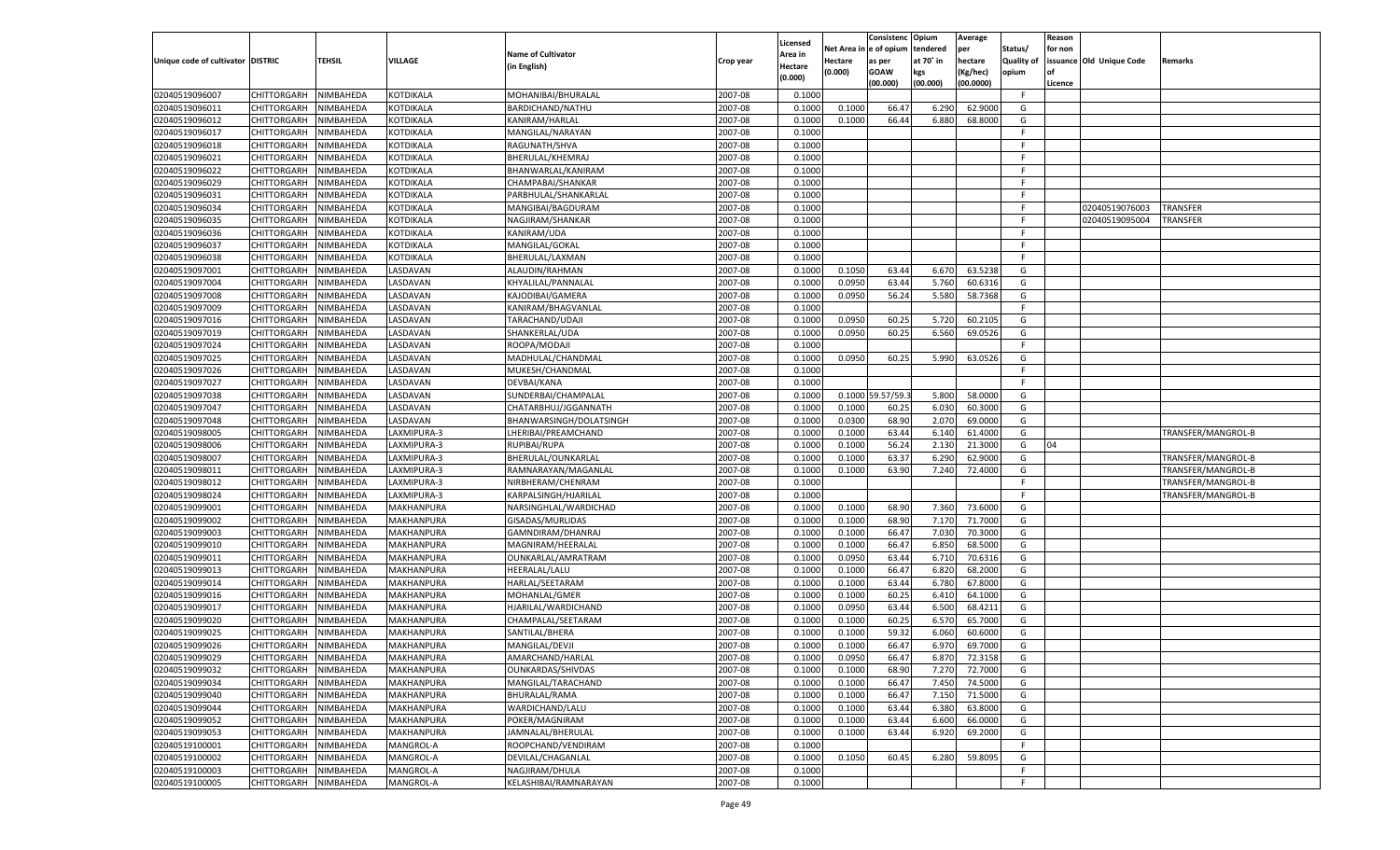|                                   |                    |           |                          |                           |           |                     |            | Consistenc       | Opium     | Average   |                   | Reason  |                          |                    |
|-----------------------------------|--------------------|-----------|--------------------------|---------------------------|-----------|---------------------|------------|------------------|-----------|-----------|-------------------|---------|--------------------------|--------------------|
|                                   |                    |           |                          | <b>Name of Cultivator</b> |           | Licensed<br>Area in | Net Area i | n e of opium     | tendered  | per       | Status/           | for non |                          |                    |
| Unique code of cultivator DISTRIC |                    | TEHSIL    | <b>VILLAGE</b>           | (in English)              | Crop year | Hectare             | Hectare    | as per           | at 70° in | hectare   | <b>Quality of</b> |         | issuance Old Unique Code | Remarks            |
|                                   |                    |           |                          |                           |           | (0.000)             | (0.000)    | <b>GOAW</b>      | kgs       | (Kg/hec)  | opium             |         |                          |                    |
|                                   |                    |           |                          |                           |           |                     |            | (00.000)         | (00.000)  | (00.0000) |                   | Licence |                          |                    |
| 02040519096007                    | CHITTORGARH        | NIMBAHEDA | KOTDIKALA                | MOHANIBAI/BHURALAL        | 2007-08   | 0.1000              |            |                  |           |           | F                 |         |                          |                    |
| 02040519096011                    | CHITTORGARH        | NIMBAHEDA | KOTDIKALA                | BARDICHAND/NATHU          | 2007-08   | 0.1000              | 0.1000     | 66.4             | 6.290     | 62.9000   | G                 |         |                          |                    |
| 02040519096012                    | CHITTORGARH        | NIMBAHEDA | KOTDIKALA                | KANIRAM/HARLAL            | 2007-08   | 0.1000              | 0.1000     | 66.44            | 6.880     | 68.8000   | G                 |         |                          |                    |
| 02040519096017                    | CHITTORGARH        | NIMBAHEDA | KOTDIKALA                | MANGILAL/NARAYAN          | 2007-08   | 0.1000              |            |                  |           |           | E                 |         |                          |                    |
| 02040519096018                    | CHITTORGARH        | NIMBAHEDA | KOTDIKALA                | RAGUNATH/SHVA             | 2007-08   | 0.1000              |            |                  |           |           | F.                |         |                          |                    |
| 02040519096021                    | CHITTORGARH        | NIMBAHEDA | KOTDIKALA                | BHERULAL/KHEMRAJ          | 2007-08   | 0.1000              |            |                  |           |           | -F                |         |                          |                    |
| 02040519096022                    | CHITTORGARH        | NIMBAHEDA | KOTDIKALA                | BHANWARLAL/KANIRAM        | 2007-08   | 0.1000              |            |                  |           |           | E                 |         |                          |                    |
| 02040519096029                    | CHITTORGARH        | NIMBAHEDA | KOTDIKALA                | CHAMPABAI/SHANKAR         | 2007-08   | 0.1000              |            |                  |           |           | E                 |         |                          |                    |
| 02040519096031                    | CHITTORGARH        | NIMBAHEDA | KOTDIKALA                | PARBHULAL/SHANKARLAI      | 2007-08   | 0.1000              |            |                  |           |           | F.                |         |                          |                    |
| 02040519096034                    | CHITTORGARH        | NIMBAHEDA | KOTDIKALA                | MANGIBAI/BAGDURAM         | 2007-08   | 0.1000              |            |                  |           |           | -F                |         | 02040519076003           | TRANSFER           |
| 02040519096035                    | CHITTORGARH        | NIMBAHEDA | KOTDIKALA                | NAGJIRAM/SHANKAR          | 2007-08   | 0.1000              |            |                  |           |           | E                 |         | 02040519095004           | TRANSFER           |
| 02040519096036                    | CHITTORGARH        | NIMBAHEDA | KOTDIKALA                | KANIRAM/UDA               | 2007-08   | 0.1000              |            |                  |           |           | E                 |         |                          |                    |
| 02040519096037                    | CHITTORGARH        | NIMBAHEDA | KOTDIKALA                | MANGILAL/GOKAL            | 2007-08   | 0.1000              |            |                  |           |           | F.                |         |                          |                    |
| 02040519096038                    | CHITTORGARH        | NIMBAHEDA | KOTDIKALA                | BHERULAL/LAXMAN           | 2007-08   | 0.1000              |            |                  |           |           | F.                |         |                          |                    |
| 02040519097001                    | CHITTORGARH        | NIMBAHEDA | <b>ASDAVAN</b>           | ALAUDIN/RAHMAN            | 2007-08   | 0.1000              | 0.1050     | 63.44            | 6.670     | 63.5238   | G                 |         |                          |                    |
| 02040519097004                    | CHITTORGARH        | NIMBAHEDA | <b>ASDAVAN</b>           | KHYALILAL/PANNALAL        | 2007-08   | 0.1000              | 0.0950     | 63.44            | 5.760     | 60.6316   | G                 |         |                          |                    |
| 02040519097008                    | CHITTORGARH        | NIMBAHEDA | <b>ASDAVAN</b>           | KAJODIBAI/GAMERA          | 2007-08   | 0.1000              | 0.0950     | 56.24            | 5.580     | 58.7368   | G                 |         |                          |                    |
| 02040519097009                    | CHITTORGARH        | NIMBAHEDA | <b>ASDAVAN</b>           | KANIRAM/BHAGVANLAL        | 2007-08   | 0.1000              |            |                  |           |           | F.                |         |                          |                    |
| 02040519097016                    | CHITTORGARH        | NIMBAHEDA | <b>ASDAVAN</b>           | TARACHAND/UDAJI           | 2007-08   | 0.1000              | 0.0950     | 60.2             | 5.720     | 60.2105   | G                 |         |                          |                    |
| 02040519097019                    | CHITTORGARH        | NIMBAHEDA | <b>ASDAVAN</b>           | SHANKERLAL/UDA            | 2007-08   | 0.1000              | 0.0950     | 60.25            | 6.560     | 69.0526   | G                 |         |                          |                    |
| 02040519097024                    | CHITTORGARH        | NIMBAHEDA | <b>ASDAVAN</b>           | ROOPA/MODAJI              | 2007-08   | 0.1000              |            |                  |           |           | F.                |         |                          |                    |
| 02040519097025                    | CHITTORGARH        | NIMBAHEDA | <b>ASDAVAN</b>           | MADHULAL/CHANDMAL         | 2007-08   | 0.1000              | 0.0950     | 60.25            | 5.990     | 63.0526   | G                 |         |                          |                    |
| 02040519097026                    | CHITTORGARH        | NIMBAHEDA | <b>ASDAVAN</b>           | MUKESH/CHANDMAL           | 2007-08   | 0.1000              |            |                  |           |           | F.                |         |                          |                    |
| 02040519097027                    | CHITTORGARH        | NIMBAHEDA | <b>ASDAVAN</b>           | DEVBAI/KANA               | 2007-08   | 0.1000              |            |                  |           |           | E                 |         |                          |                    |
| 02040519097038                    | CHITTORGARH        | NIMBAHEDA | <b>ASDAVAN</b>           | SUNDERBAI/CHAMPALAL       | 2007-08   | 0.1000              |            | 0.1000 59.57/59. | 5.800     | 58.0000   | G                 |         |                          |                    |
| 02040519097047                    | CHITTORGARH        | NIMBAHEDA | <b>ASDAVAN</b>           | CHATARBHUJ/JGGANNATH      | 2007-08   | 0.1000              | 0.1000     | 60.25            | 6.030     | 60.3000   | G                 |         |                          |                    |
| 02040519097048                    | CHITTORGARH        | NIMBAHEDA | <b>ASDAVAN</b>           | BHANWARSINGH/DOLATSINGH   | 2007-08   | 0.1000              | 0.0300     | 68.90            | 2.070     | 69.0000   | G                 |         |                          |                    |
| 02040519098005                    | CHITTORGARH        | NIMBAHEDA | AXMIPURA-3               | LHERIBAI/PREAMCHAND       | 2007-08   | 0.1000              | 0.1000     | 63.44            | 6.140     | 61.4000   | G                 |         |                          | TRANSFER/MANGROL-B |
| 02040519098006                    | CHITTORGARH        | NIMBAHEDA | LAXMIPURA-3              | RUPIBAI/RUPA              | 2007-08   | 0.1000              | 0.1000     | 56.24            | 2.130     | 21.3000   | G                 | 04      |                          |                    |
| 02040519098007                    | CHITTORGARH        | NIMBAHEDA | LAXMIPURA-3              | BHERULAL/OUNKARLAL        | 2007-08   | 0.1000              | 0.1000     | 63.37            | 6.290     | 62.9000   | G                 |         |                          | TRANSFER/MANGROL-B |
| 02040519098011                    | CHITTORGARH        | NIMBAHEDA | LAXMIPURA-3              | RAMNARAYAN/MAGANLAL       | 2007-08   | 0.1000              | 0.1000     | 63.90            | 7.240     | 72.4000   | G                 |         |                          | TRANSFER/MANGROL-B |
| 02040519098012                    | CHITTORGARH        | NIMBAHEDA | LAXMIPURA-3              | NIRBHERAM/CHENRAM         | 2007-08   | 0.1000              |            |                  |           |           | F                 |         |                          | TRANSFER/MANGROL-B |
| 02040519098024                    | CHITTORGARH        | NIMBAHEDA | LAXMIPURA-3              | KARPALSINGH/HJARILAL      | 2007-08   | 0.1000              |            |                  |           |           | E                 |         |                          | TRANSFER/MANGROL-B |
| 02040519099001                    | CHITTORGARH        | NIMBAHEDA | MAKHANPURA               | NARSINGHLAL/WARDICHAD     | 2007-08   | 0.1000              | 0.1000     | 68.90            | 7.360     | 73.6000   | G                 |         |                          |                    |
| 02040519099002                    | CHITTORGARH        | NIMBAHEDA | MAKHANPURA               | GISADAS/MURLIDAS          | 2007-08   | 0.1000              | 0.1000     | 68.90            | 7.170     | 71.7000   | G                 |         |                          |                    |
| 02040519099003                    | CHITTORGARH        | NIMBAHEDA | MAKHANPURA               | GAMNDIRAM/DHANRAJ         | 2007-08   | 0.1000              | 0.1000     | 66.47            | 7.030     | 70.3000   | G                 |         |                          |                    |
| 02040519099010                    | CHITTORGARH        | NIMBAHEDA | MAKHANPURA               | MAGNIRAM/HEERALAL         | 2007-08   | 0.1000              | 0.1000     | 66.47            | 6.850     | 68.5000   | G                 |         |                          |                    |
| 02040519099011                    | CHITTORGARH        | NIMBAHEDA | MAKHANPURA               | OUNKARLAL/AMRATRAM        | 2007-08   | 0.1000              | 0.0950     | 63.44            | 6.710     | 70.6316   | G                 |         |                          |                    |
| 02040519099013                    | CHITTORGARH        | NIMBAHEDA | MAKHANPURA               | <b>HEERALAL/LALU</b>      | 2007-08   | 0.1000              | 0.1000     | 66.47            | 6.820     | 68.2000   | G                 |         |                          |                    |
| 02040519099014                    | CHITTORGARH        | NIMBAHEDA | MAKHANPURA               | HARLAL/SEETARAM           | 2007-08   | 0.1000              | 0.1000     | 63.44            | 6.780     | 67.8000   | G                 |         |                          |                    |
| 02040519099016                    | CHITTORGARH        | NIMBAHEDA | MAKHANPURA               | MOHANLAL/GMER             | 2007-08   | 0.1000              | 0.1000     | 60.25            | 6.410     | 64.1000   | G                 |         |                          |                    |
| 02040519099017                    | CHITTORGARH        | NIMBAHEDA | MAKHANPURA               | HJARILAL/WARDICHAND       | 2007-08   | 0.1000              | 0.0950     | 63.44            | 6.500     | 68.4211   | G                 |         |                          |                    |
| 02040519099020                    | CHITTORGARH        | NIMBAHEDA | MAKHANPURA               | CHAMPALAL/SEETARAM        | 2007-08   | 0.1000              | 0.1000     | 60.25            | 6.570     | 65.7000   | G                 |         |                          |                    |
| 02040519099025                    |                    |           |                          |                           | 2007-08   | 0.1000              | 0.1000     | 59.32            | 6.060     | 60.6000   | G                 |         |                          |                    |
|                                   | CHITTORGARH        | NIMBAHEDA | MAKHANPURA<br>MAKHANPURA | SANTILAL/BHERA            | 2007-08   |                     | 0.1000     | 66.47            |           | 69.7000   |                   |         |                          |                    |
| 02040519099026                    | CHITTORGARH        | NIMBAHEDA |                          | MANGILAL/DEVJI            |           | 0.1000              |            |                  | 6.970     |           | G                 |         |                          |                    |
| 02040519099029                    | CHITTORGARH        | NIMBAHEDA | MAKHANPURA               | AMARCHAND/HARLAL          | 2007-08   | 0.1000              | 0.0950     | 66.47            | 6.870     | 72.3158   | G                 |         |                          |                    |
| 02040519099032                    | <b>CHITTORGARH</b> | NIMBAHEDA | MAKHANPURA               | OUNKARDAS/SHIVDAS         | 2007-08   | 0.1000              | 0.1000     | 68.90            | 7.270     | 72.7000   | G                 |         |                          |                    |
| 02040519099034                    | CHITTORGARH        | NIMBAHEDA | MAKHANPURA               | MANGILAL/TARACHAND        | 2007-08   | 0.1000              | 0.1000     | 66.47            | 7.450     | 74.5000   | G                 |         |                          |                    |
| 02040519099040                    | CHITTORGARH        | NIMBAHEDA | MAKHANPURA               | BHURALAL/RAMA             | 2007-08   | 0.1000              | 0.1000     | 66.47            | 7.150     | 71.5000   | G                 |         |                          |                    |
| 02040519099044                    | <b>CHITTORGARH</b> | NIMBAHEDA | MAKHANPURA               | WARDICHAND/LALU           | 2007-08   | 0.1000              | 0.1000     | 63.44            | 6.380     | 63.8000   | G                 |         |                          |                    |
| 02040519099052                    | <b>CHITTORGARH</b> | NIMBAHEDA | MAKHANPURA               | POKER/MAGNIRAM            | 2007-08   | 0.1000              | 0.1000     | 63.44            | 6.600     | 66.0000   | G                 |         |                          |                    |
| 02040519099053                    | <b>CHITTORGARH</b> | NIMBAHEDA | MAKHANPURA               | JAMNALAL/BHERULAL         | 2007-08   | 0.1000              | 0.1000     | 63.44            | 6.920     | 69.2000   | G                 |         |                          |                    |
| 02040519100001                    | CHITTORGARH        | NIMBAHEDA | MANGROL-A                | ROOPCHAND/VENDIRAM        | 2007-08   | 0.1000              |            |                  |           |           | F.                |         |                          |                    |
| 02040519100002                    | CHITTORGARH        | NIMBAHEDA | MANGROL-A                | DEVILAL/CHAGANLAL         | 2007-08   | 0.1000              | 0.1050     | 60.45            | 6.280     | 59.8095   | G                 |         |                          |                    |
| 02040519100003                    | <b>CHITTORGARH</b> | NIMBAHEDA | MANGROL-A                | NAGJIRAM/DHULA            | 2007-08   | 0.1000              |            |                  |           |           | F.                |         |                          |                    |
| 02040519100005                    | <b>CHITTORGARH</b> | NIMBAHEDA | MANGROL-A                | KELASHIBAI/RAMNARAYAN     | 2007-08   | 0.1000              |            |                  |           |           | F.                |         |                          |                    |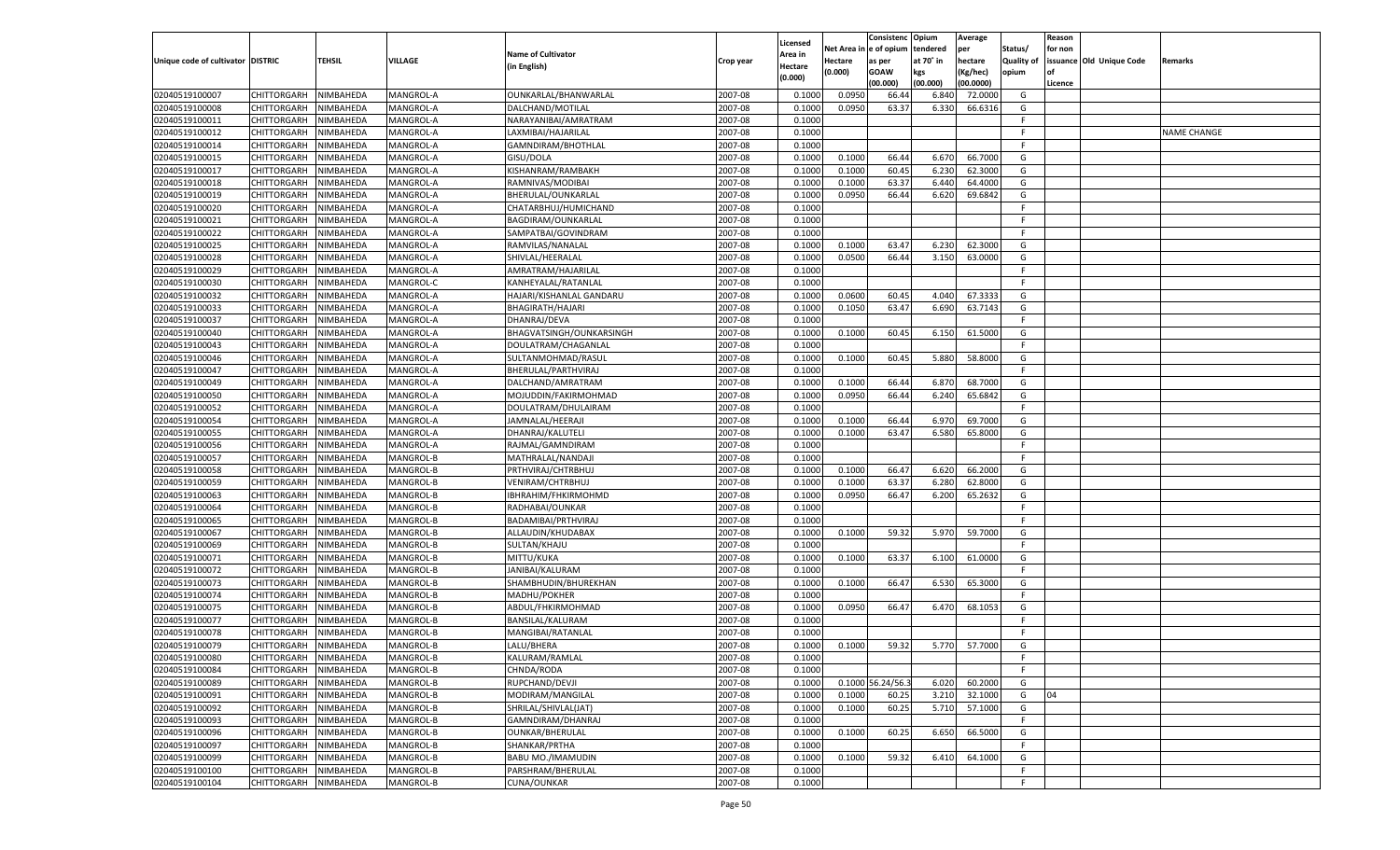|                                   |                    |           |                |                           |           |                     |             | Consistenc        | Opium     | Average   |                   | Reason  |                          |             |
|-----------------------------------|--------------------|-----------|----------------|---------------------------|-----------|---------------------|-------------|-------------------|-----------|-----------|-------------------|---------|--------------------------|-------------|
|                                   |                    |           |                | <b>Name of Cultivator</b> |           | Licensed<br>Area in | Net Area iı | n  e of opium     | tendered  | per       | Status/           | for non |                          |             |
| Unique code of cultivator DISTRIC |                    | TEHSIL    | <b>VILLAGE</b> | (in English)              | Crop year | Hectare             | Hectare     | as per            | at 70° in | hectare   | <b>Quality of</b> |         | issuance Old Unique Code | Remarks     |
|                                   |                    |           |                |                           |           | (0.000)             | (0.000)     | <b>GOAW</b>       | kgs       | (Kg/hec)  | opium             |         |                          |             |
|                                   |                    |           |                |                           |           |                     |             | (00.000)          | (00.000)  | (00.0000) |                   | Licence |                          |             |
| 02040519100007                    | CHITTORGARH        | NIMBAHEDA | MANGROL-A      | OUNKARLAL/BHANWARLAL      | 2007-08   | 0.100               | 0.0950      | 66.44             | 6.840     | 72.0000   | G                 |         |                          |             |
| 02040519100008                    | CHITTORGARH        | NIMBAHEDA | MANGROL-A      | DALCHAND/MOTILAL          | 2007-08   | 0.100               | 0.0950      | 63.37             | 6.330     | 66.6316   | G                 |         |                          |             |
| 02040519100011                    | CHITTORGARH        | NIMBAHEDA | MANGROL-A      | NARAYANIBAI/AMRATRAM      | 2007-08   | 0.1000              |             |                   |           |           | F.                |         |                          |             |
| 02040519100012                    | CHITTORGARH        | NIMBAHEDA | MANGROL-A      | LAXMIBAI/HAJARILAL        | 2007-08   | 0.1000              |             |                   |           |           | E                 |         |                          | NAME CHANGE |
| 02040519100014                    | CHITTORGARH        | NIMBAHEDA | MANGROL-A      | GAMNDIRAM/BHOTHLAL        | 2007-08   | 0.1000              |             |                   |           |           | F.                |         |                          |             |
| 02040519100015                    | CHITTORGARH        | NIMBAHEDA | MANGROL-A      | GISU/DOLA                 | 2007-08   | 0.1000              | 0.1000      | 66.44             | 6.670     | 66.7000   | G                 |         |                          |             |
| 02040519100017                    | CHITTORGARH        | NIMBAHEDA | MANGROL-A      | KISHANRAM/RAMBAKH         | 2007-08   | 0.1000              | 0.1000      | 60.45             | 6.230     | 62.3000   | G                 |         |                          |             |
| 02040519100018                    | CHITTORGARH        | NIMBAHEDA | MANGROL-A      | RAMNIVAS/MODIBAI          | 2007-08   | 0.1000              | 0.1000      | 63.37             | 6.440     | 64.4000   | G                 |         |                          |             |
| 02040519100019                    | CHITTORGARH        | NIMBAHEDA | MANGROL-A      | BHERULAL/OUNKARLAL        | 2007-08   | 0.1000              | 0.0950      | 66.44             | 6.620     | 69.6842   | G                 |         |                          |             |
| 02040519100020                    | CHITTORGARH        | NIMBAHEDA | MANGROL-A      | CHATARBHUJ/HUMICHAND      | 2007-08   | 0.1000              |             |                   |           |           | F.                |         |                          |             |
| 02040519100021                    | CHITTORGARH        | NIMBAHEDA | MANGROL-A      | BAGDIRAM/OUNKARLAL        | 2007-08   | 0.1000              |             |                   |           |           | F.                |         |                          |             |
| 02040519100022                    | CHITTORGARH        | NIMBAHEDA | MANGROL-A      | SAMPATBAI/GOVINDRAM       | 2007-08   | 0.1000              |             |                   |           |           | E                 |         |                          |             |
| 02040519100025                    | CHITTORGARH        | NIMBAHEDA | MANGROL-A      | RAMVILAS/NANALAL          | 2007-08   | 0.1000              | 0.1000      | 63.47             | 6.230     | 62.3000   | G                 |         |                          |             |
| 02040519100028                    | CHITTORGARH        | NIMBAHEDA | MANGROL-A      | SHIVLAL/HEERALAL          | 2007-08   | 0.1000              | 0.0500      | 66.44             | 3.150     | 63.0000   | G                 |         |                          |             |
| 02040519100029                    | CHITTORGARH        | NIMBAHEDA | MANGROL-A      | AMRATRAM/HAJARILAL        | 2007-08   | 0.1000              |             |                   |           |           | F.                |         |                          |             |
| 02040519100030                    | CHITTORGARH        | NIMBAHEDA | MANGROL-C      | KANHEYALAL/RATANLAL       | 2007-08   | 0.1000              |             |                   |           |           | F.                |         |                          |             |
| 02040519100032                    | CHITTORGARH        | NIMBAHEDA | MANGROL-A      | HAJARI/KISHANLAL GANDARU  | 2007-08   | 0.1000              | 0.0600      | 60.45             | 4.040     | 67.3333   | G                 |         |                          |             |
| 02040519100033                    | CHITTORGARH        | NIMBAHEDA | MANGROL-A      | BHAGIRATH/HAJARI          | 2007-08   | 0.1000              | 0.1050      | 63.47             | 6.690     | 63.7143   | G                 |         |                          |             |
| 02040519100037                    | CHITTORGARH        | NIMBAHEDA | MANGROL-A      | DHANRAJ/DEVA              | 2007-08   | 0.1000              |             |                   |           |           | F.                |         |                          |             |
| 02040519100040                    | CHITTORGARH        | NIMBAHEDA | MANGROL-A      | BHAGVATSINGH/OUNKARSINGH  | 2007-08   | 0.1000              | 0.1000      | 60.45             | 6.150     | 61.5000   | G                 |         |                          |             |
| 02040519100043                    | CHITTORGARH        | NIMBAHEDA | MANGROL-A      | DOULATRAM/CHAGANLAI       | 2007-08   | 0.1000              |             |                   |           |           | F                 |         |                          |             |
| 02040519100046                    | CHITTORGARH        | NIMBAHEDA | MANGROL-A      | SULTANMOHMAD/RASUI        | 2007-08   | 0.1000              | 0.1000      | 60.45             | 5.880     | 58.8000   | G                 |         |                          |             |
| 02040519100047                    | CHITTORGARH        | NIMBAHEDA | MANGROL-A      | BHERULAL/PARTHVIRAJ       | 2007-08   | 0.1000              |             |                   |           |           | F.                |         |                          |             |
| 02040519100049                    | CHITTORGARH        | NIMBAHEDA | MANGROL-A      | DALCHAND/AMRATRAM         | 2007-08   | 0.1000              | 0.1000      | 66.44             | 6.870     | 68.7000   | G                 |         |                          |             |
| 02040519100050                    | CHITTORGARH        | NIMBAHEDA | MANGROL-A      | MOJUDDIN/FAKIRMOHMAD      | 2007-08   | 0.1000              | 0.0950      | 66.44             | 6.240     | 65.6842   | G                 |         |                          |             |
| 02040519100052                    | CHITTORGARH        | NIMBAHEDA | MANGROL-A      | DOULATRAM/DHULAIRAM       | 2007-08   | 0.1000              |             |                   |           |           | F.                |         |                          |             |
| 02040519100054                    | CHITTORGARH        | NIMBAHEDA | MANGROL-A      | JAMNALAL/HEERAJI          | 2007-08   | 0.1000              | 0.1000      | 66.44             | 6.970     | 69.7000   | G                 |         |                          |             |
| 02040519100055                    | CHITTORGARH        | NIMBAHEDA | MANGROL-A      | DHANRAJ/KALUTELI          | 2007-08   | 0.1000              | 0.1000      | 63.47             | 6.580     | 65.8000   | G                 |         |                          |             |
| 02040519100056                    | CHITTORGARH        | NIMBAHEDA | MANGROL-A      | RAJMAL/GAMNDIRAM          | 2007-08   | 0.1000              |             |                   |           |           | F.                |         |                          |             |
| 02040519100057                    | CHITTORGARH        | NIMBAHEDA | MANGROL-B      | MATHRALAL/NANDAJI         | 2007-08   | 0.1000              |             |                   |           |           | F.                |         |                          |             |
| 02040519100058                    | CHITTORGARH        | NIMBAHEDA | MANGROL-B      | PRTHVIRAJ/CHTRBHUJ        | 2007-08   | 0.1000              | 0.1000      | 66.47             | 6.620     | 66.2000   | G                 |         |                          |             |
| 02040519100059                    | CHITTORGARH        | NIMBAHEDA | MANGROL-B      | VENIRAM/CHTRBHUJ          | 2007-08   | 0.1000              | 0.1000      | 63.37             | 6.280     | 62.8000   | G                 |         |                          |             |
| 02040519100063                    | CHITTORGARH        | NIMBAHEDA | MANGROL-B      | IBHRAHIM/FHKIRMOHMD       | 2007-08   | 0.1000              | 0.0950      | 66.47             | 6.200     | 65.2632   | G                 |         |                          |             |
| 02040519100064                    | CHITTORGARH        | NIMBAHEDA | MANGROL-B      | RADHABAI/OUNKAR           | 2007-08   | 0.1000              |             |                   |           |           | F.                |         |                          |             |
| 02040519100065                    | CHITTORGARH        | NIMBAHEDA | MANGROL-B      | BADAMIBAI/PRTHVIRAJ       | 2007-08   | 0.1000              |             |                   |           |           | E                 |         |                          |             |
| 02040519100067                    | CHITTORGARH        | NIMBAHEDA | MANGROL-B      | ALLAUDIN/KHUDABAX         | 2007-08   | 0.1000              | 0.1000      | 59.32             | 5.970     | 59.7000   | G                 |         |                          |             |
| 02040519100069                    | CHITTORGARH        | NIMBAHEDA | MANGROL-B      | SULTAN/KHAJU              | 2007-08   | 0.1000              |             |                   |           |           | F.                |         |                          |             |
| 02040519100071                    | CHITTORGARH        | NIMBAHEDA | MANGROL-B      | MITTU/KUKA                | 2007-08   | 0.1000              | 0.1000      | 63.37             | 6.100     | 61.0000   | G                 |         |                          |             |
| 02040519100072                    | CHITTORGARH        | NIMBAHEDA | MANGROL-B      | JANIBAI/KALURAM           | 2007-08   | 0.1000              |             |                   |           |           | F.                |         |                          |             |
| 02040519100073                    | CHITTORGARH        | NIMBAHEDA | MANGROL-B      | SHAMBHUDIN/BHUREKHAN      | 2007-08   | 0.1000              | 0.1000      | 66.47             | 6.530     | 65.3000   | G                 |         |                          |             |
| 02040519100074                    | CHITTORGARH        | NIMBAHEDA | MANGROL-B      | MADHU/POKHER              | 2007-08   | 0.1000              |             |                   |           |           | F.                |         |                          |             |
| 02040519100075                    | CHITTORGARH        | NIMBAHEDA | MANGROL-B      | ABDUL/FHKIRMOHMAD         | 2007-08   | 0.1000              | 0.0950      | 66.47             | 6.470     | 68.1053   | G                 |         |                          |             |
| 02040519100077                    | CHITTORGARH        | NIMBAHEDA | MANGROL-B      | BANSILAL/KALURAM          | 2007-08   | 0.1000              |             |                   |           |           | F.                |         |                          |             |
| 02040519100078                    | CHITTORGARH        | NIMBAHEDA | MANGROL-B      | MANGIBAI/RATANLAI         | 2007-08   | 0.1000              |             |                   |           |           | F                 |         |                          |             |
| 02040519100079                    | CHITTORGARH        | NIMBAHEDA | MANGROL-B      | LALU/BHERA                | 2007-08   | 0.1000              | 0.1000      | 59.32             | 5.770     | 57.7000   | G                 |         |                          |             |
| 02040519100080                    | CHITTORGARH        | NIMBAHEDA | MANGROL-B      | KALURAM/RAMLAL            | 2007-08   | 0.1000              |             |                   |           |           | F                 |         |                          |             |
| 02040519100084                    |                    | NIMBAHEDA | MANGROL-B      | CHNDA/RODA                | 2007-08   | 0.1000              |             |                   |           |           | F.                |         |                          |             |
|                                   | <b>CHITTORGARH</b> |           |                |                           |           |                     |             |                   | 6.020     | 60.2000   |                   |         |                          |             |
| 02040519100089                    | CHITTORGARH        | NIMBAHEDA | MANGROL-B      | RUPCHAND/DEVJI            | 2007-08   | 0.1000              |             | 0.1000 56.24/56.3 |           |           | G                 |         |                          |             |
| 02040519100091<br>02040519100092  | <b>CHITTORGARH</b> | NIMBAHEDA | MANGROL-B      | MODIRAM/MANGILAL          | 2007-08   | 0.1000              | 0.1000      | 60.25             | 3.210     | 32.1000   | G                 | 04      |                          |             |
|                                   | CHITTORGARH        | NIMBAHEDA | MANGROL-B      | SHRILAL/SHIVLAL(JAT)      | 2007-08   | 0.1000              | 0.1000      | 60.25             | 5.710     | 57.1000   | G                 |         |                          |             |
| 02040519100093                    | CHITTORGARH        | NIMBAHEDA | MANGROL-B      | GAMNDIRAM/DHANRAJ         | 2007-08   | 0.1000              |             |                   |           |           | F                 |         |                          |             |
| 02040519100096                    | CHITTORGARH        | NIMBAHEDA | MANGROL-B      | <b>OUNKAR/BHERULAL</b>    | 2007-08   | 0.1000              | 0.1000      | 60.25             | 6.650     | 66.5000   | G                 |         |                          |             |
| 02040519100097                    | CHITTORGARH        | NIMBAHEDA | MANGROL-B      | SHANKAR/PRTHA             | 2007-08   | 0.1000              |             |                   |           |           | F.                |         |                          |             |
| 02040519100099                    | CHITTORGARH        | NIMBAHEDA | MANGROL-B      | BABU MO./IMAMUDIN         | 2007-08   | 0.1000              | 0.1000      | 59.32             | 6.410     | 64.1000   | G                 |         |                          |             |
| 02040519100100                    | CHITTORGARH        | NIMBAHEDA | MANGROL-B      | PARSHRAM/BHERULAL         | 2007-08   | 0.1000              |             |                   |           |           | F.                |         |                          |             |
| 02040519100104                    | <b>CHITTORGARH</b> | NIMBAHEDA | MANGROL-B      | CUNA/OUNKAR               | 2007-08   | 0.1000              |             |                   |           |           | F.                |         |                          |             |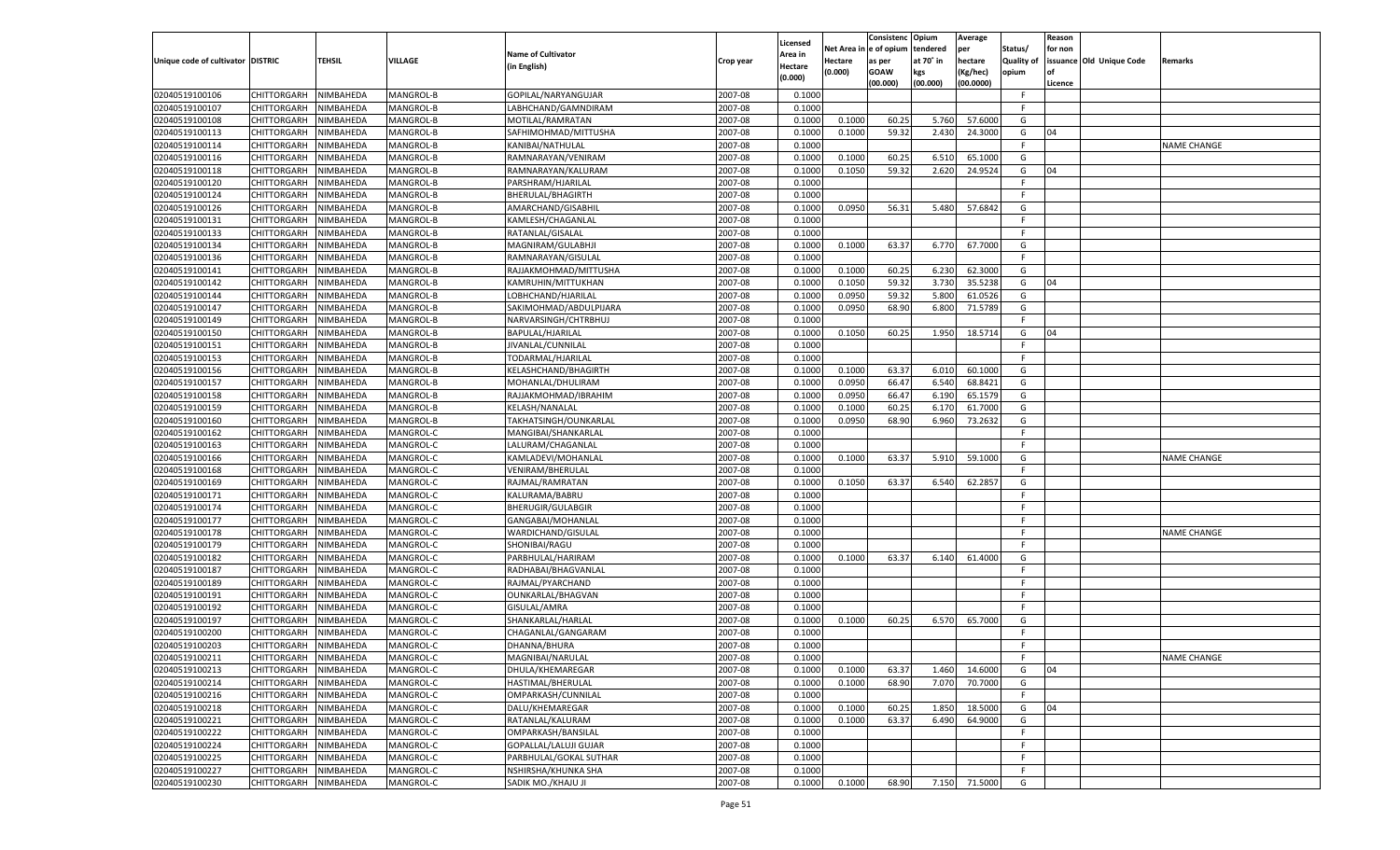|                                   |                       |                        |           |                              |           |                     |          | Consistenc  | Opium     | Average   |                   | Reason  |                          |                    |
|-----------------------------------|-----------------------|------------------------|-----------|------------------------------|-----------|---------------------|----------|-------------|-----------|-----------|-------------------|---------|--------------------------|--------------------|
|                                   |                       |                        |           | <b>Name of Cultivator</b>    |           | Licensed<br>\rea in | Net Area | e of opium  | tendered  | per       | Status/           | for non |                          |                    |
| Unique code of cultivator DISTRIC |                       | <b>TEHSIL</b>          | VILLAGE   | (in English)                 | Crop year | Hectare             | Hectare  | as per      | at 70˚ in | hectare   | <b>Quality of</b> |         | issuance Old Unique Code | Remarks            |
|                                   |                       |                        |           |                              |           | (0.000)             | (0.000)  | <b>GOAW</b> | kgs       | (Kg/hec)  | opium             |         |                          |                    |
|                                   |                       |                        |           |                              |           |                     |          | (00.000)    | (00.000)  | (00.0000) |                   | Licence |                          |                    |
| 02040519100106                    | CHITTORGARH           | NIMBAHEDA              | MANGROL-B | GOPILAL/NARYANGUJAR          | 2007-08   | 0.1000              |          |             |           |           | -F                |         |                          |                    |
| 02040519100107                    | CHITTORGARH           | NIMBAHEDA              | MANGROL-B | LABHCHAND/GAMNDIRAM          | 2007-08   | 0.1000              |          |             |           |           | F.                |         |                          |                    |
| 02040519100108                    | CHITTORGARH           | NIMBAHEDA              | MANGROL-B | MOTILAL/RAMRATAN             | 2007-08   | 0.1000              | 0.1000   | 60.25       | 5.760     | 57.6000   | G                 |         |                          |                    |
| 02040519100113                    | CHITTORGARH           | NIMBAHEDA              | MANGROL-B | SAFHIMOHMAD/MITTUSHA         | 2007-08   | 0.1000              | 0.1000   | 59.32       | 2.430     | 24.3000   | G                 | 04      |                          |                    |
| 02040519100114                    | CHITTORGARH           | NIMBAHEDA              | MANGROL-B | KANIBAI/NATHULAL             | 2007-08   | 0.1000              |          |             |           |           | F.                |         |                          | <b>NAME CHANGE</b> |
| 02040519100116                    | CHITTORGARH           | NIMBAHEDA              | MANGROL-B | RAMNARAYAN/VENIRAM           | 2007-08   | 0.1000              | 0.1000   | 60.25       | 6.510     | 65.1000   | G                 |         |                          |                    |
| 02040519100118                    | CHITTORGARH           | NIMBAHEDA              | MANGROL-B | RAMNARAYAN/KALURAM           | 2007-08   | 0.1000              | 0.1050   | 59.32       | 2.620     | 24.9524   | G                 | 04      |                          |                    |
| 02040519100120                    | CHITTORGARH           | NIMBAHEDA              | MANGROL-B | PARSHRAM/HJARILAL            | 2007-08   | 0.1000              |          |             |           |           | F.                |         |                          |                    |
| 02040519100124                    | CHITTORGARH           | NIMBAHEDA              | MANGROL-B | BHERULAL/BHAGIRTH            | 2007-08   | 0.1000              |          |             |           |           | F.                |         |                          |                    |
| 02040519100126                    | CHITTORGARH           | NIMBAHEDA              | MANGROL-B | AMARCHAND/GISABHIL           | 2007-08   | 0.1000              | 0.0950   | 56.31       | 5.480     | 57.6842   | G                 |         |                          |                    |
| 02040519100131                    | CHITTORGARH           | NIMBAHEDA              | MANGROL-B | KAMLESH/CHAGANLAL            | 2007-08   | 0.1000              |          |             |           |           | F.                |         |                          |                    |
| 02040519100133                    | CHITTORGARH           | NIMBAHEDA              | MANGROL-B | RATANLAL/GISALAL             | 2007-08   | 0.1000              |          |             |           |           | F.                |         |                          |                    |
| 02040519100134                    | CHITTORGARH           | NIMBAHEDA              | MANGROL-B | MAGNIRAM/GULABHJI            | 2007-08   | 0.1000              | 0.1000   | 63.37       | 6.770     | 67.7000   | G                 |         |                          |                    |
| 02040519100136                    | CHITTORGARH           | NIMBAHEDA              | MANGROL-B | RAMNARAYAN/GISULAL           | 2007-08   | 0.1000              |          |             |           |           | F.                |         |                          |                    |
| 02040519100141                    | CHITTORGARH           | NIMBAHEDA              | MANGROL-B | RAJJAKMOHMAD/MITTUSHA        | 2007-08   | 0.1000              | 0.1000   | 60.25       | 6.230     | 62.3000   | G                 |         |                          |                    |
| 02040519100142                    | CHITTORGARH           | NIMBAHEDA              | MANGROL-B | KAMRUHIN/MITTUKHAN           | 2007-08   | 0.1000              | 0.1050   | 59.32       | 3.730     | 35.5238   | G                 | 04      |                          |                    |
| 02040519100144                    | CHITTORGARH           | NIMBAHEDA              | MANGROL-B | LOBHCHAND/HJARILAL           | 2007-08   | 0.1000              | 0.0950   | 59.32       | 5.800     | 61.0526   | G                 |         |                          |                    |
| 02040519100147                    | CHITTORGARH           | NIMBAHEDA              | MANGROL-B | SAKIMOHMAD/ABDULPIJARA       | 2007-08   | 0.1000              | 0.0950   | 68.90       | 6.800     | 71.5789   | G                 |         |                          |                    |
| 02040519100149                    | CHITTORGARH           | NIMBAHEDA              | MANGROL-B | NARVARSINGH/CHTRBHUJ         | 2007-08   | 0.1000              |          |             |           |           | F.                |         |                          |                    |
| 02040519100150                    | CHITTORGARH           | NIMBAHEDA              | MANGROL-B | BAPULAL/HJARILAL             | 2007-08   | 0.1000              | 0.1050   | 60.25       | 1.950     | 18.5714   | G                 | 04      |                          |                    |
| 02040519100151                    | CHITTORGARH           | NIMBAHEDA              | MANGROL-B | JIVANLAL/CUNNILAL            | 2007-08   | 0.1000              |          |             |           |           | F                 |         |                          |                    |
| 02040519100153                    | CHITTORGARH           | NIMBAHEDA              | MANGROL-B | TODARMAL/HJARILAI            | 2007-08   | 0.1000              |          |             |           |           | F                 |         |                          |                    |
| 02040519100156                    | CHITTORGARH           | NIMBAHEDA              | MANGROL-B | KELASHCHAND/BHAGIRTH         | 2007-08   | 0.1000              | 0.1000   | 63.37       | 6.010     | 60.1000   | G                 |         |                          |                    |
| 02040519100157                    | CHITTORGARH           | NIMBAHEDA              | MANGROL-B | MOHANLAL/DHULIRAM            | 2007-08   | 0.1000              | 0.0950   | 66.47       | 6.540     | 68.8421   | G                 |         |                          |                    |
| 02040519100158                    | CHITTORGARH           | NIMBAHEDA              | MANGROL-B | RAJJAKMOHMAD/IBRAHIM         | 2007-08   | 0.1000              | 0.0950   | 66.47       | 6.190     | 65.1579   | G                 |         |                          |                    |
| 02040519100159                    | CHITTORGARH           | NIMBAHEDA              | MANGROL-B | KELASH/NANALAL               | 2007-08   | 0.1000              | 0.1000   | 60.25       | 6.170     | 61.7000   | G                 |         |                          |                    |
| 02040519100160                    | CHITTORGARH           | NIMBAHEDA              | MANGROL-B | TAKHATSINGH/OUNKARLAL        | 2007-08   | 0.1000              | 0.0950   | 68.90       | 6.960     | 73.2632   | G                 |         |                          |                    |
| 02040519100162                    | CHITTORGARH           | NIMBAHEDA              | MANGROL-C | MANGIBAI/SHANKARLAL          | 2007-08   | 0.1000              |          |             |           |           | F.                |         |                          |                    |
| 02040519100163                    | CHITTORGARH           | NIMBAHEDA              | MANGROL-C | LALURAM/CHAGANLAL            | 2007-08   | 0.1000              |          |             |           |           | F.                |         |                          |                    |
| 02040519100166                    | CHITTORGARH           | NIMBAHEDA              | MANGROL-C | KAMLADEVI/MOHANLAL           | 2007-08   | 0.1000              | 0.1000   | 63.37       | 5.910     | 59.1000   | G                 |         |                          | <b>NAME CHANGE</b> |
| 02040519100168                    | <b>CHITTORGARH</b>    | NIMBAHEDA              | MANGROL-C | VENIRAM/BHERULAL             | 2007-08   | 0.1000              |          |             |           |           | F.                |         |                          |                    |
| 02040519100169                    | CHITTORGARH           | NIMBAHEDA              | MANGROL-C | RAJMAL/RAMRATAN              | 2007-08   | 0.1000              | 0.1050   | 63.37       | 6.540     | 62.2857   | G                 |         |                          |                    |
| 02040519100171                    | <b>CHITTORGARH</b>    | NIMBAHEDA              | MANGROL-C | KALURAMA/BABRU               | 2007-08   | 0.1000              |          |             |           |           | F.                |         |                          |                    |
| 02040519100174                    | CHITTORGARH           | NIMBAHEDA              | MANGROL-C | BHERUGIR/GULABGIR            | 2007-08   | 0.1000              |          |             |           |           | F                 |         |                          |                    |
| 02040519100177                    | <b>CHITTORGARH</b>    | NIMBAHEDA              | MANGROL-C | GANGABAI/MOHANLAI            | 2007-08   | 0.1000              |          |             |           |           | F.                |         |                          |                    |
| 02040519100178                    | CHITTORGARH           | NIMBAHEDA              | MANGROL-C | WARDICHAND/GISULAL           | 2007-08   | 0.1000              |          |             |           |           | F                 |         |                          | <b>NAME CHANGE</b> |
| 02040519100179                    |                       | NIMBAHEDA              | MANGROL-C | SHONIBAI/RAGU                | 2007-08   | 0.1000              |          |             |           |           | F.                |         |                          |                    |
|                                   | <b>CHITTORGARH</b>    |                        |           | PARBHULAL/HARIRAM            |           |                     | 0.1000   | 63.37       |           | 61.4000   |                   |         |                          |                    |
| 02040519100182                    | CHITTORGARH           | NIMBAHEDA<br>NIMBAHEDA | MANGROL-C |                              | 2007-08   | 0.1000              |          |             | 6.140     |           | G                 |         |                          |                    |
| 02040519100187                    | <b>CHITTORGARH</b>    |                        | MANGROL-C | RADHABAI/BHAGVANLAL          | 2007-08   | 0.1000              |          |             |           |           | F.                |         |                          |                    |
| 02040519100189                    | CHITTORGARH           | NIMBAHEDA              | MANGROL-C | RAJMAL/PYARCHAND             | 2007-08   | 0.1000              |          |             |           |           | F                 |         |                          |                    |
| 02040519100191                    | <b>CHITTORGARH</b>    | NIMBAHEDA              | MANGROL-C | OUNKARLAL/BHAGVAN            | 2007-08   | 0.1000              |          |             |           |           | F.                |         |                          |                    |
| 02040519100192                    | CHITTORGARH           | NIMBAHEDA              | MANGROL-C | GISULAL/AMRA                 | 2007-08   | 0.1000              |          |             |           |           | F                 |         |                          |                    |
| 02040519100197                    | CHITTORGARH           | NIMBAHEDA              | MANGROL-C | SHANKARLAL/HARLAL            | 2007-08   | 0.1000              | 0.1000   | 60.25       | 6.570     | 65.7000   | G                 |         |                          |                    |
| 02040519100200                    | CHITTORGARH           | NIMBAHEDA              | MANGROL-C | CHAGANLAL/GANGARAM           | 2007-08   | 0.1000              |          |             |           |           | F                 |         |                          |                    |
| 02040519100203                    | CHITTORGARH           | NIMBAHEDA              | MANGROL-C | DHANNA/BHURA                 | 2007-08   | 0.1000              |          |             |           |           | F.                |         |                          |                    |
| 02040519100211                    | CHITTORGARH NIMBAHEDA |                        | MANGROL-C | MAGNIBAI/NARULAL             | 2007-08   | 0.1000              |          |             |           |           | F                 |         |                          | <b>NAME CHANGE</b> |
| 02040519100213                    | <b>CHITTORGARH</b>    | NIMBAHEDA              | MANGROL-C | DHULA/KHEMAREGAR             | 2007-08   | 0.1000              | 0.1000   | 63.37       | 1.460     | 14.6000   | G                 | 04      |                          |                    |
| 02040519100214                    | <b>CHITTORGARH</b>    | NIMBAHEDA              | MANGROL-C | HASTIMAL/BHERULAL            | 2007-08   | 0.1000              | 0.1000   | 68.90       | 7.070     | 70.7000   | G                 |         |                          |                    |
| 02040519100216                    | <b>CHITTORGARH</b>    | NIMBAHEDA              | MANGROL-C | OMPARKASH/CUNNILAL           | 2007-08   | 0.1000              |          |             |           |           | F                 |         |                          |                    |
| 02040519100218                    | <b>CHITTORGARH</b>    | NIMBAHEDA              | MANGROL-C | DALU/KHEMAREGAR              | 2007-08   | 0.1000              | 0.1000   | 60.25       | 1.850     | 18.5000   | G                 | 04      |                          |                    |
| 02040519100221                    | <b>CHITTORGARH</b>    | NIMBAHEDA              | MANGROL-C | RATANLAL/KALURAM             | 2007-08   | 0.1000              | 0.1000   | 63.37       | 6.490     | 64.9000   | G                 |         |                          |                    |
| 02040519100222                    | <b>CHITTORGARH</b>    | NIMBAHEDA              | MANGROL-C | OMPARKASH/BANSILAL           | 2007-08   | 0.1000              |          |             |           |           | F.                |         |                          |                    |
| 02040519100224                    | <b>CHITTORGARH</b>    | NIMBAHEDA              | MANGROL-C | <b>GOPALLAL/LALUJI GUJAR</b> | 2007-08   | 0.1000              |          |             |           |           | F                 |         |                          |                    |
| 02040519100225                    | CHITTORGARH           | NIMBAHEDA              | MANGROL-C | PARBHULAL/GOKAL SUTHAR       | 2007-08   | 0.1000              |          |             |           |           | F.                |         |                          |                    |
| 02040519100227                    | CHITTORGARH           | NIMBAHEDA              | MANGROL-C | NSHIRSHA/KHUNKA SHA          | 2007-08   | 0.1000              |          |             |           |           | F.                |         |                          |                    |
| 02040519100230                    | CHITTORGARH           | NIMBAHEDA              | MANGROL-C | SADIK MO./KHAJU JI           | 2007-08   | 0.1000              | 0.1000   | 68.90       | 7.150     | 71.5000   | G                 |         |                          |                    |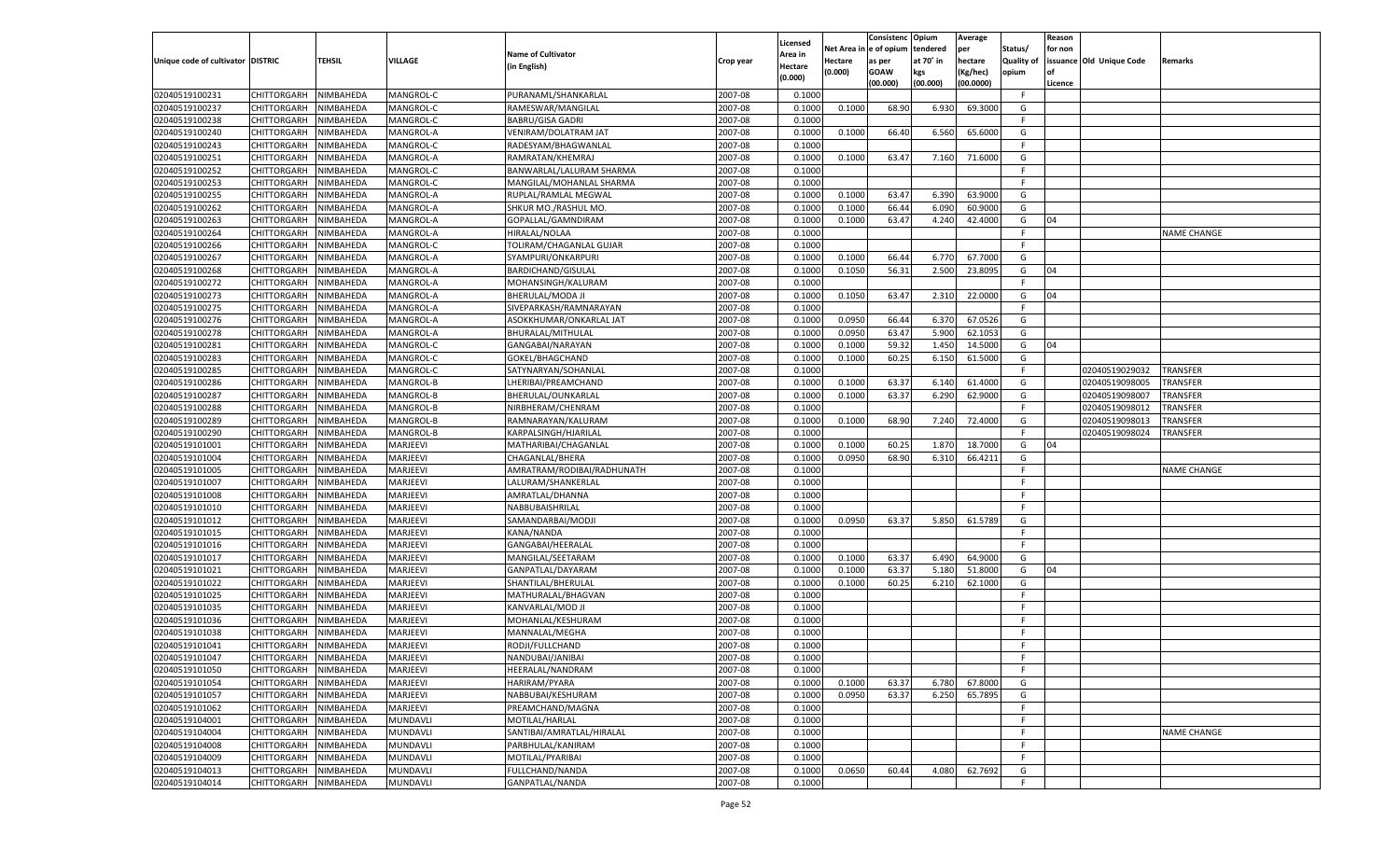|                                   |                            |                        |                      |                            |                    |                     |            | Consistenc   | Opium     | Average   |                   | Reason  |                          |                    |
|-----------------------------------|----------------------------|------------------------|----------------------|----------------------------|--------------------|---------------------|------------|--------------|-----------|-----------|-------------------|---------|--------------------------|--------------------|
|                                   |                            |                        |                      | <b>Name of Cultivator</b>  |                    | Licensed<br>Area in | Net Area i | n e of opium | tendered  | per       | Status/           | for non |                          |                    |
| Unique code of cultivator DISTRIC |                            | TEHSIL                 | <b>VILLAGE</b>       | (in English)               | Crop year          | Hectare             | Hectare    | as per       | at 70° in | hectare   | <b>Quality of</b> |         | issuance Old Unique Code | Remarks            |
|                                   |                            |                        |                      |                            |                    | (0.000)             | (0.000)    | <b>GOAW</b>  | kgs       | (Kg/hec)  | opium             |         |                          |                    |
|                                   |                            |                        |                      |                            |                    |                     |            | (00.000)     | (00.000)  | (00.0000) |                   | Licence |                          |                    |
| 02040519100231                    | CHITTORGARH                | NIMBAHEDA              | MANGROL-C            | PURANAML/SHANKARLAL        | 2007-08            | 0.1000              |            |              |           |           | F.                |         |                          |                    |
| 02040519100237                    | CHITTORGARH                | NIMBAHEDA              | MANGROL-C            | RAMESWAR/MANGILAL          | 2007-08            | 0.1000              | 0.1000     | 68.90        | 6.930     | 69.3000   | G                 |         |                          |                    |
| 02040519100238                    | CHITTORGARH                | NIMBAHEDA              | MANGROL-C            | <b>BABRU/GISA GADRI</b>    | 2007-08            | 0.1000              |            |              |           |           | F.                |         |                          |                    |
| 02040519100240                    | CHITTORGARH                | NIMBAHEDA              | MANGROL-A            | VENIRAM/DOLATRAM JAT       | 2007-08            | 0.1000              | 0.1000     | 66.40        | 6.560     | 65.6000   | G                 |         |                          |                    |
| 02040519100243                    | CHITTORGARH                | NIMBAHEDA              | MANGROL-C            | RADESYAM/BHAGWANLAL        | 2007-08            | 0.1000              |            |              |           |           | F.                |         |                          |                    |
| 02040519100251                    | CHITTORGARH                | NIMBAHEDA              | MANGROL-A            | RAMRATAN/KHEMRAJ           | 2007-08            | 0.1000              | 0.1000     | 63.47        | 7.160     | 71.6000   | G                 |         |                          |                    |
| 02040519100252                    | CHITTORGARH                | NIMBAHEDA              | MANGROL-C            | BANWARLAL/LALURAM SHARMA   | 2007-08            | 0.1000              |            |              |           |           | F.                |         |                          |                    |
| 02040519100253                    | CHITTORGARH                | NIMBAHEDA              | MANGROL-C            | MANGILAL/MOHANLAL SHARMA   | 2007-08            | 0.1000              |            |              |           |           | E                 |         |                          |                    |
| 02040519100255                    | CHITTORGARH                | NIMBAHEDA              | MANGROL-A            | RUPLAL/RAMLAL MEGWAL       | 2007-08            | 0.1000              | 0.1000     | 63.47        | 6.390     | 63.9000   | G                 |         |                          |                    |
| 02040519100262                    | CHITTORGARH                | NIMBAHEDA              | MANGROL-A            | SHKUR MO./RASHUL MO.       | 2007-08            | 0.1000              | 0.1000     | 66.44        | 6.090     | 60.9000   | G                 |         |                          |                    |
| 02040519100263                    | CHITTORGARH                | NIMBAHEDA              | MANGROL-A            | GOPALLAL/GAMNDIRAM         | 2007-08            | 0.1000              | 0.1000     | 63.47        | 4.240     | 42.4000   | G                 | 04      |                          |                    |
| 02040519100264                    | CHITTORGARH                | NIMBAHEDA              | MANGROL-A            | HIRALAL/NOLAA              | 2007-08            | 0.1000              |            |              |           |           | E                 |         |                          | NAME CHANGE        |
| 02040519100266                    | CHITTORGARH                | NIMBAHEDA              | MANGROL-C            | TOLIRAM/CHAGANLAL GUJAR    | 2007-08            | 0.1000              |            |              |           |           | F.                |         |                          |                    |
| 02040519100267                    | CHITTORGARH                | NIMBAHEDA              | MANGROL-A            | SYAMPURI/ONKARPURI         | 2007-08            | 0.1000              | 0.1000     | 66.44        | 6.770     | 67.7000   | G                 |         |                          |                    |
| 02040519100268                    | CHITTORGARH                | NIMBAHEDA              | MANGROL-A            | BARDICHAND/GISULAL         | 2007-08            | 0.1000              | 0.1050     | 56.31        | 2.500     | 23.8095   | G                 | 04      |                          |                    |
| 02040519100272                    | CHITTORGARH                | NIMBAHEDA              | MANGROL-A            | MOHANSINGH/KALURAM         | 2007-08            | 0.1000              |            |              |           |           | F.                |         |                          |                    |
| 02040519100273                    | CHITTORGARH                | NIMBAHEDA              | MANGROL-A            | BHERULAL/MODA JI           | 2007-08            | 0.1000              | 0.1050     | 63.47        | 2.310     | 22.0000   | G                 | 04      |                          |                    |
| 02040519100275                    | CHITTORGARH                | NIMBAHEDA              | MANGROL-A            | SIVEPARKASH/RAMNARAYAN     | 2007-08            | 0.1000              |            |              |           |           | F.                |         |                          |                    |
| 02040519100276                    | CHITTORGARH                | NIMBAHEDA              | MANGROL-A            | ASOKKHUMAR/ONKARLAL JAT    | 2007-08            | 0.1000              | 0.0950     | 66.44        | 6.370     | 67.0526   | G                 |         |                          |                    |
| 02040519100278                    | CHITTORGARH                | NIMBAHEDA              | MANGROL-A            | BHURALAL/MITHULAL          | 2007-08            | 0.1000              | 0.0950     | 63.47        | 5.900     | 62.1053   | G                 |         |                          |                    |
| 02040519100281                    | CHITTORGARH                | NIMBAHEDA              | MANGROL-C            | GANGABAI/NARAYAN           | 2007-08            | 0.1000              | 0.1000     | 59.32        | 1.450     | 14.5000   | G                 | 04      |                          |                    |
| 02040519100283                    | CHITTORGARH                | NIMBAHEDA              | MANGROL-C            | GOKEL/BHAGCHAND            | 2007-08            | 0.1000              | 0.1000     | 60.25        | 6.150     | 61.5000   | G                 |         |                          |                    |
| 02040519100285                    | CHITTORGARH                | NIMBAHEDA              | MANGROL-C            | SATYNARYAN/SOHANLAL        | 2007-08            | 0.1000              |            |              |           |           | F.                |         | 02040519029032           | TRANSFER           |
| 02040519100286                    | CHITTORGARH                | NIMBAHEDA              | MANGROL-B            | LHERIBAI/PREAMCHAND        | 2007-08            | 0.1000              | 0.1000     | 63.37        | 6.140     | 61.4000   | G                 |         | 02040519098005           | TRANSFER           |
| 02040519100287                    | CHITTORGARH                | NIMBAHEDA              | MANGROL-B            | BHERULAL/OUNKARLAL         | 2007-08            | 0.1000              | 0.1000     | 63.37        | 6.290     | 62.9000   | G                 |         | 02040519098007           | TRANSFER           |
| 02040519100288                    | CHITTORGARH                | NIMBAHEDA              | MANGROL-B            | NIRBHERAM/CHENRAM          | 2007-08            | 0.1000              |            |              |           |           | F.                |         | 02040519098012           | TRANSFER           |
| 02040519100289                    | CHITTORGARH                | NIMBAHEDA              | MANGROL-B            | RAMNARAYAN/KALURAM         | 2007-08            | 0.1000              | 0.1000     | 68.90        | 7.240     | 72.4000   | G                 |         | 02040519098013           | TRANSFER           |
| 02040519100290                    | CHITTORGARH                | NIMBAHEDA              | MANGROL-B            | KARPALSINGH/HJARILAL       | 2007-08            | 0.1000              |            |              |           |           | F.                |         | 02040519098024           | TRANSFER           |
| 02040519101001                    | CHITTORGARH                | NIMBAHEDA              | MARJEEVI             | MATHARIBAI/CHAGANLAL       | 2007-08            | 0.1000              | 0.1000     | 60.25        | 1.870     | 18.7000   | G                 | 04      |                          |                    |
| 02040519101004                    | CHITTORGARH                | NIMBAHEDA              | MARJEEVI             | CHAGANLAL/BHERA            | 2007-08            | 0.1000              | 0.0950     | 68.90        | 6.310     | 66.4211   | G                 |         |                          |                    |
| 02040519101005                    | CHITTORGARH                | NIMBAHEDA              | MARJEEVI             | AMRATRAM/RODIBAI/RADHUNATH | 2007-08            | 0.1000              |            |              |           |           | F.                |         |                          | <b>NAME CHANGE</b> |
| 02040519101007                    | CHITTORGARH                | NIMBAHEDA              | MARJEEVI             | LALURAM/SHANKERLAL         | 2007-08            | 0.1000              |            |              |           |           | F                 |         |                          |                    |
| 02040519101008                    | CHITTORGARH                | NIMBAHEDA              | MARJEEVI             | AMRATLAL/DHANNA            | 2007-08            | 0.1000              |            |              |           |           | E                 |         |                          |                    |
| 02040519101010                    | CHITTORGARH                | NIMBAHEDA              | MARJEEVI             | NABBUBAISHRILAL            | 2007-08            | 0.1000              |            |              |           |           | F                 |         |                          |                    |
| 02040519101012                    |                            | NIMBAHEDA              | MARJEEVI             | SAMANDARBAI/MODJI          | 2007-08            | 0.1000              | 0.0950     | 63.37        | 5.850     | 61.5789   | G                 |         |                          |                    |
|                                   | CHITTORGARH                |                        |                      |                            |                    |                     |            |              |           |           | F                 |         |                          |                    |
| 02040519101015                    | CHITTORGARH<br>CHITTORGARH | NIMBAHEDA<br>NIMBAHEDA | MARJEEVI<br>MARJEEVI | KANA/NANDA                 | 2007-08<br>2007-08 | 0.1000              |            |              |           |           | E                 |         |                          |                    |
| 02040519101016                    |                            |                        |                      | GANGABAI/HEERALAL          |                    | 0.1000              |            |              |           |           |                   |         |                          |                    |
| 02040519101017                    | CHITTORGARH                | NIMBAHEDA              | MARJEEVI             | MANGILAL/SEETARAM          | 2007-08            | 0.1000              | 0.1000     | 63.37        | 6.490     | 64.9000   | G                 |         |                          |                    |
| 02040519101021                    | CHITTORGARH                | NIMBAHEDA              | MARJEEVI             | GANPATLAL/DAYARAM          | 2007-08            | 0.1000              | 0.1000     | 63.37        | 5.180     | 51.8000   | G                 | 04      |                          |                    |
| 02040519101022                    | CHITTORGARH                | NIMBAHEDA              | MARJEEVI             | SHANTILAL/BHERULAL         | 2007-08            | 0.1000              | 0.1000     | 60.25        | 6.210     | 62.1000   | G                 |         |                          |                    |
| 02040519101025                    | CHITTORGARH                | NIMBAHEDA              | MARJEEVI             | MATHURALAL/BHAGVAN         | 2007-08            | 0.1000              |            |              |           |           | F.                |         |                          |                    |
| 02040519101035                    | CHITTORGARH                | NIMBAHEDA              | MARJEEVI             | KANVARLAL/MOD JI           | 2007-08            | 0.1000              |            |              |           |           | F                 |         |                          |                    |
| 02040519101036                    | CHITTORGARH                | NIMBAHEDA              | MARJEEVI             | MOHANLAL/KESHURAM          | 2007-08            | 0.1000              |            |              |           |           | E                 |         |                          |                    |
| 02040519101038                    | CHITTORGARH                | NIMBAHEDA              | MARJEEVI             | MANNALAL/MEGHA             | 2007-08            | 0.1000              |            |              |           |           | F                 |         |                          |                    |
| 02040519101041                    | CHITTORGARH                | NIMBAHEDA              | MARJEEVI             | RODJI/FULLCHAND            | 2007-08            | 0.1000              |            |              |           |           | F.                |         |                          |                    |
| 02040519101047                    | CHITTORGARH NIMBAHEDA      |                        | MARJEEVI             | NANDUBAI/JANIBAI           | 2007-08            | 0.1000              |            |              |           |           | F.                |         |                          |                    |
| 02040519101050                    | CHITTORGARH                | NIMBAHEDA              | MARJEEVI             | HEERALAL/NANDRAM           | 2007-08            | 0.1000              |            |              |           |           | F.                |         |                          |                    |
| 02040519101054                    | CHITTORGARH                | NIMBAHEDA              | MARJEEVI             | <b>HARIRAM/PYARA</b>       | 2007-08            | 0.1000              | 0.1000     | 63.37        | 6.780     | 67.8000   | G                 |         |                          |                    |
| 02040519101057                    | CHITTORGARH                | NIMBAHEDA              | MARJEEVI             | NABBUBAI/KESHURAM          | 2007-08            | 0.1000              | 0.0950     | 63.37        | 6.250     | 65.7895   | G                 |         |                          |                    |
| 02040519101062                    | CHITTORGARH                | NIMBAHEDA              | MARJEEVI             | PREAMCHAND/MAGNA           | 2007-08            | 0.1000              |            |              |           |           | F.                |         |                          |                    |
| 02040519104001                    | CHITTORGARH                | NIMBAHEDA              | <b>MUNDAVLI</b>      | MOTILAL/HARLAL             | 2007-08            | 0.1000              |            |              |           |           | F                 |         |                          |                    |
| 02040519104004                    | CHITTORGARH                | NIMBAHEDA              | MUNDAVLI             | SANTIBAI/AMRATLAL/HIRALAL  | 2007-08            | 0.1000              |            |              |           |           | F.                |         |                          | NAME CHANGE        |
| 02040519104008                    | CHITTORGARH                | NIMBAHEDA              | MUNDAVLI             | PARBHULAL/KANIRAM          | 2007-08            | 0.1000              |            |              |           |           | F.                |         |                          |                    |
| 02040519104009                    | CHITTORGARH                | NIMBAHEDA              | MUNDAVLI             | MOTILAL/PYARIBAI           | 2007-08            | 0.1000              |            |              |           |           | F.                |         |                          |                    |
| 02040519104013                    | CHITTORGARH                | NIMBAHEDA              | MUNDAVLI             | FULLCHAND/NANDA            | 2007-08            | 0.1000              | 0.0650     | 60.44        | 4.080     | 62.7692   | G                 |         |                          |                    |
| 02040519104014                    | CHITTORGARH                | NIMBAHEDA              | MUNDAVLI             | <b>GANPATLAL/NANDA</b>     | 2007-08            | 0.1000              |            |              |           |           | F.                |         |                          |                    |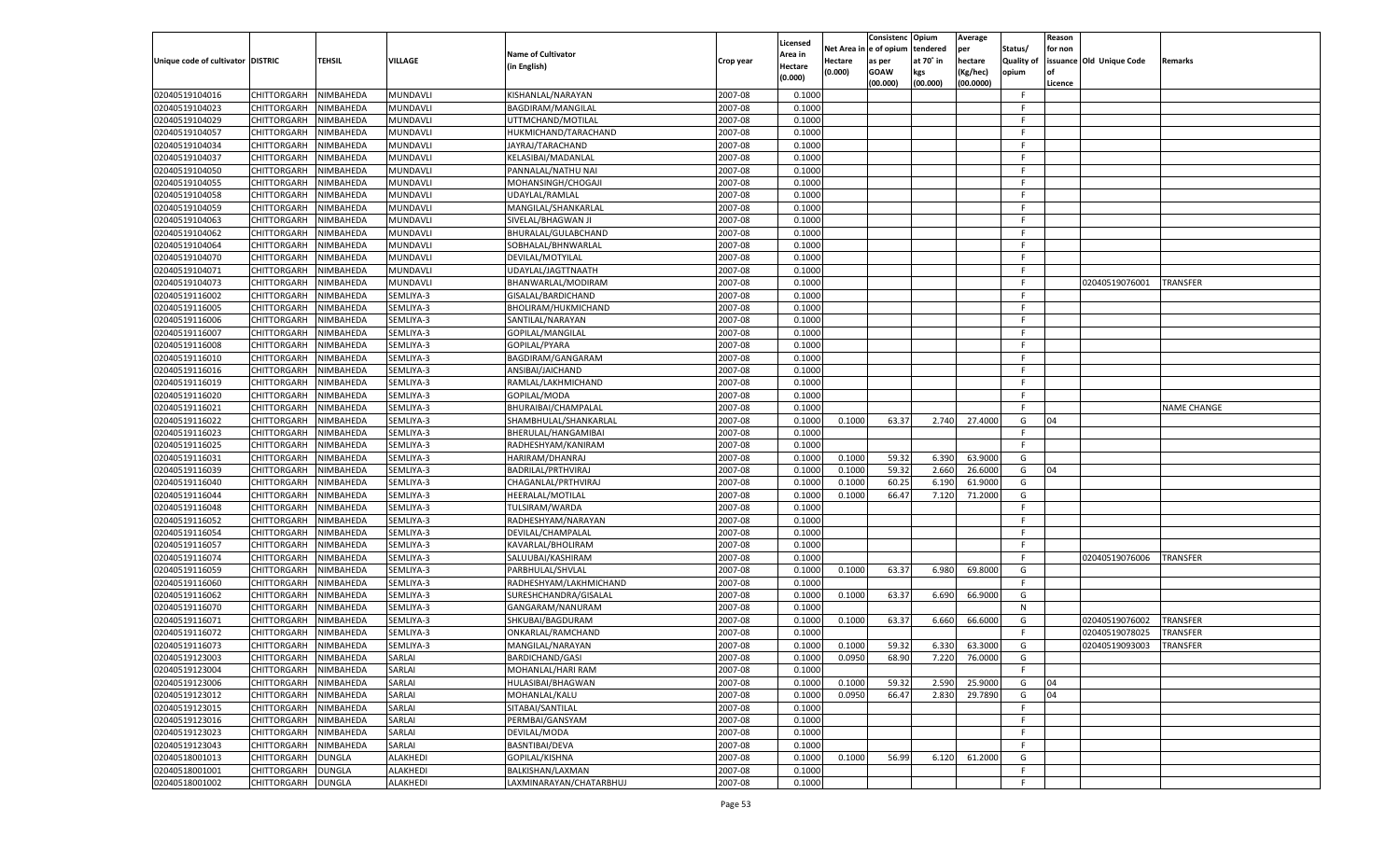|                                   |                       |               |           |                           |           |                    |            | Consistenc Opium |           | Average   |                   | Reason  |                          |                    |
|-----------------------------------|-----------------------|---------------|-----------|---------------------------|-----------|--------------------|------------|------------------|-----------|-----------|-------------------|---------|--------------------------|--------------------|
|                                   |                       |               |           |                           |           | Licensed           | Net Area i | n  e of opium    | tendered  | per       | Status/           | for non |                          |                    |
| Unique code of cultivator DISTRIC |                       | TEHSIL        | VILLAGE   | <b>Name of Cultivator</b> | Crop year | \rea in            | Hectare    | as per           | at 70° in | hectare   | <b>Quality of</b> |         | issuance Old Unique Code | <b>Remarks</b>     |
|                                   |                       |               |           | (in English)              |           | Hectare<br>(0.000) | (0.000)    | <b>GOAW</b>      | kgs       | (Kg/hec)  | opium             |         |                          |                    |
|                                   |                       |               |           |                           |           |                    |            | (00.000)         | (00.000)  | (00.0000) |                   | Licence |                          |                    |
| 02040519104016                    | CHITTORGARH           | NIMBAHEDA     | MUNDAVLI  | KISHANLAL/NARAYAN         | 2007-08   | 0.1000             |            |                  |           |           | -F.               |         |                          |                    |
| 02040519104023                    | CHITTORGARH           | NIMBAHEDA     | MUNDAVLI  | BAGDIRAM/MANGILAL         | 2007-08   | 0.1000             |            |                  |           |           | F                 |         |                          |                    |
| 02040519104029                    | CHITTORGARH           | NIMBAHEDA     | MUNDAVLI  | UTTMCHAND/MOTILAL         | 2007-08   | 0.1000             |            |                  |           |           | F.                |         |                          |                    |
| 02040519104057                    | CHITTORGARH           | NIMBAHEDA     | MUNDAVLI  | HUKMICHAND/TARACHAND      | 2007-08   | 0.1000             |            |                  |           |           | F.                |         |                          |                    |
| 02040519104034                    | CHITTORGARH           | NIMBAHEDA     | MUNDAVLI  | JAYRAJ/TARACHAND          | 2007-08   | 0.1000             |            |                  |           |           | F.                |         |                          |                    |
| 02040519104037                    | CHITTORGARH           | NIMBAHEDA     | MUNDAVLI  | KELASIBAI/MADANLAL        | 2007-08   | 0.1000             |            |                  |           |           | F.                |         |                          |                    |
| 02040519104050                    | CHITTORGARH           | NIMBAHEDA     | MUNDAVLI  | PANNALAL/NATHU NAI        | 2007-08   | 0.1000             |            |                  |           |           | F.                |         |                          |                    |
| 02040519104055                    | CHITTORGARH           | NIMBAHEDA     | MUNDAVLI  | MOHANSINGH/CHOGAJI        | 2007-08   | 0.1000             |            |                  |           |           | F.                |         |                          |                    |
| 02040519104058                    | CHITTORGARH           | NIMBAHEDA     | MUNDAVLI  | UDAYLAL/RAMLAL            | 2007-08   | 0.1000             |            |                  |           |           | F.                |         |                          |                    |
| 02040519104059                    | CHITTORGARH           | NIMBAHEDA     | MUNDAVLI  | MANGILAL/SHANKARLAL       | 2007-08   | 0.1000             |            |                  |           |           | F.                |         |                          |                    |
| 02040519104063                    | CHITTORGARH           | NIMBAHEDA     | MUNDAVLI  | SIVELAL/BHAGWAN JI        | 2007-08   | 0.1000             |            |                  |           |           | F                 |         |                          |                    |
| 02040519104062                    | CHITTORGARH           | NIMBAHEDA     | MUNDAVLI  | BHURALAL/GULABCHAND       | 2007-08   | 0.1000             |            |                  |           |           | F.                |         |                          |                    |
| 02040519104064                    | CHITTORGARH           | NIMBAHEDA     | MUNDAVLI  | SOBHALAL/BHNWARLAL        | 2007-08   | 0.1000             |            |                  |           |           | F.                |         |                          |                    |
| 02040519104070                    | CHITTORGARH           | NIMBAHEDA     | MUNDAVLI  | DEVILAL/MOTYILAL          | 2007-08   | 0.1000             |            |                  |           |           | F.                |         |                          |                    |
| 02040519104071                    | CHITTORGARH           | NIMBAHEDA     | MUNDAVLI  | UDAYLAL/JAGTTNAATH        | 2007-08   | 0.1000             |            |                  |           |           | F.                |         |                          |                    |
| 02040519104073                    | CHITTORGARH           | NIMBAHEDA     | MUNDAVLI  | BHANWARLAL/MODIRAM        | 2007-08   | 0.1000             |            |                  |           |           | F.                |         | 02040519076001           | <b>TRANSFER</b>    |
| 02040519116002                    | CHITTORGARH           | NIMBAHEDA     | SEMLIYA-3 | GISALAL/BARDICHAND        | 2007-08   | 0.1000             |            |                  |           |           | F.                |         |                          |                    |
| 02040519116005                    | CHITTORGARH           | NIMBAHEDA     | SEMLIYA-3 | BHOLIRAM/HUKMICHAND       | 2007-08   | 0.1000             |            |                  |           |           | F.                |         |                          |                    |
| 02040519116006                    | CHITTORGARH           | NIMBAHEDA     | SEMLIYA-3 | SANTILAL/NARAYAN          | 2007-08   | 0.1000             |            |                  |           |           | F.                |         |                          |                    |
| 02040519116007                    | CHITTORGARH           | NIMBAHEDA     | SEMLIYA-3 | GOPILAL/MANGILAL          | 2007-08   | 0.1000             |            |                  |           |           | -F                |         |                          |                    |
| 02040519116008                    | CHITTORGARH           | NIMBAHEDA     | SEMLIYA-3 | GOPILAL/PYARA             | 2007-08   | 0.1000             |            |                  |           |           | F.                |         |                          |                    |
| 02040519116010                    | CHITTORGARH           | NIMBAHEDA     | SEMLIYA-3 | BAGDIRAM/GANGARAM         | 2007-08   | 0.1000             |            |                  |           |           | F.                |         |                          |                    |
| 02040519116016                    | CHITTORGARH           | NIMBAHEDA     | SEMLIYA-3 | ANSIBAI/JAICHAND          | 2007-08   | 0.1000             |            |                  |           |           | F.                |         |                          |                    |
| 02040519116019                    | CHITTORGARH           | NIMBAHEDA     | SEMLIYA-3 | RAMLAL/LAKHMICHAND        | 2007-08   | 0.1000             |            |                  |           |           | -F                |         |                          |                    |
| 02040519116020                    | CHITTORGARH           | NIMBAHEDA     | SEMLIYA-3 | GOPILAL/MODA              | 2007-08   | 0.1000             |            |                  |           |           | F.                |         |                          |                    |
| 02040519116021                    | CHITTORGARH           | NIMBAHEDA     | SEMLIYA-3 | BHURAIBAI/CHAMPALAL       | 2007-08   | 0.1000             |            |                  |           |           | F.                |         |                          | <b>NAME CHANGE</b> |
| 02040519116022                    | CHITTORGARH           | NIMBAHEDA     | SEMLIYA-3 | SHAMBHULAL/SHANKARLAL     | 2007-08   | 0.1000             | 0.1000     | 63.37            | 2.740     | 27.4000   | G                 | 04      |                          |                    |
| 02040519116023                    | CHITTORGARH           | NIMBAHEDA     | SEMLIYA-3 | BHERULAL/HANGAMIBAI       | 2007-08   | 0.1000             |            |                  |           |           | -F                |         |                          |                    |
| 02040519116025                    | CHITTORGARH           | NIMBAHEDA     | SEMLIYA-3 | RADHESHYAM/KANIRAM        | 2007-08   | 0.1000             |            |                  |           |           | F.                |         |                          |                    |
| 02040519116031                    | CHITTORGARH           | NIMBAHEDA     | SEMLIYA-3 | HARIRAM/DHANRAJ           | 2007-08   | 0.1000             | 0.1000     | 59.32            | 6.390     | 63.9000   | G                 |         |                          |                    |
| 02040519116039                    | CHITTORGARH           | NIMBAHEDA     | SEMLIYA-3 | BADRILAL/PRTHVIRAJ        | 2007-08   | 0.1000             | 0.1000     | 59.32            | 2.660     | 26.6000   | G                 | 04      |                          |                    |
| 02040519116040                    | CHITTORGARH           | NIMBAHEDA     | SEMLIYA-3 | CHAGANLAL/PRTHVIRAJ       | 2007-08   | 0.1000             | 0.1000     | 60.25            | 6.190     | 61.9000   | G                 |         |                          |                    |
|                                   |                       |               | SEMLIYA-3 |                           | 2007-08   |                    |            | 66.47            |           |           | G                 |         |                          |                    |
| 02040519116044                    | CHITTORGARH           | NIMBAHEDA     |           | HEERALAL/MOTILAL          |           | 0.1000             | 0.1000     |                  | 7.120     | 71.2000   | F.                |         |                          |                    |
| 02040519116048                    | CHITTORGARH           | NIMBAHEDA     | SEMLIYA-3 | TULSIRAM/WARDA            | 2007-08   | 0.1000             |            |                  |           |           | F.                |         |                          |                    |
| 02040519116052                    | CHITTORGARH           | NIMBAHEDA     | SEMLIYA-3 | RADHESHYAM/NARAYAN        | 2007-08   | 0.1000             |            |                  |           |           |                   |         |                          |                    |
| 02040519116054                    | CHITTORGARH           | NIMBAHEDA     | SEMLIYA-3 | DEVILAL/CHAMPALAL         | 2007-08   | 0.1000             |            |                  |           |           | F.                |         |                          |                    |
| 02040519116057                    | CHITTORGARH           | NIMBAHEDA     | SEMLIYA-3 | KAVARLAL/BHOLIRAM         | 2007-08   | 0.1000             |            |                  |           |           | F.                |         |                          |                    |
| 02040519116074                    | CHITTORGARH           | NIMBAHEDA     | SEMLIYA-3 | SALUUBAI/KASHIRAM         | 2007-08   | 0.1000             |            |                  |           |           | F.                |         | 02040519076006           | TRANSFER           |
| 02040519116059                    | CHITTORGARH           | NIMBAHEDA     | SEMLIYA-3 | PARBHULAL/SHVLAL          | 2007-08   | 0.1000             | 0.1000     | 63.37            | 6.980     | 69.8000   | G                 |         |                          |                    |
| 02040519116060                    | CHITTORGARH           | NIMBAHEDA     | SEMLIYA-3 | RADHESHYAM/LAKHMICHAND    | 2007-08   | 0.1000             |            |                  |           |           | F.                |         |                          |                    |
| 02040519116062                    | CHITTORGARH           | NIMBAHEDA     | SEMLIYA-3 | SURESHCHANDRA/GISALAL     | 2007-08   | 0.1000             | 0.1000     | 63.37            | 6.690     | 66.9000   | G                 |         |                          |                    |
| 02040519116070                    | CHITTORGARH           | NIMBAHEDA     | SEMLIYA-3 | GANGARAM/NANURAM          | 2007-08   | 0.1000             |            |                  |           |           | N                 |         |                          |                    |
| 02040519116071                    | CHITTORGARH           | NIMBAHEDA     | SEMLIYA-3 | SHKUBAI/BAGDURAM          | 2007-08   | 0.1000             | 0.1000     | 63.37            | 6.660     | 66.6000   | G                 |         | 02040519076002           | TRANSFER           |
| 02040519116072                    | CHITTORGARH           | NIMBAHEDA     | SEMLIYA-3 | ONKARLAL/RAMCHAND         | 2007-08   | 0.1000             |            |                  |           |           | F.                |         | 02040519078025           | TRANSFER           |
| 02040519116073                    | CHITTORGARH           | NIMBAHEDA     | SEMLIYA-3 | MANGILAL/NARAYAN          | 2007-08   | 0.1000             | 0.1000     | 59.32            | 6.330     | 63.3000   | G                 |         | 02040519093003           | TRANSFER           |
| 02040519123003                    | CHITTORGARH NIMBAHEDA |               | SARLAI    | <b>BARDICHAND/GASI</b>    | 2007-08   | 0.1000             | 0.0950     | 68.90            | 7.220     | 76.0000   | G                 |         |                          |                    |
| 02040519123004                    | CHITTORGARH           | NIMBAHEDA     | SARLAI    | MOHANLAL/HARI RAM         | 2007-08   | 0.1000             |            |                  |           |           | F.                |         |                          |                    |
| 02040519123006                    | CHITTORGARH           | NIMBAHEDA     | SARLAI    | HULASIBAI/BHAGWAN         | 2007-08   | 0.1000             | 0.1000     | 59.32            | 2.590     | 25.9000   | G                 | 04      |                          |                    |
| 02040519123012                    | <b>CHITTORGARH</b>    | NIMBAHEDA     | SARLAI    | MOHANLAL/KALU             | 2007-08   | 0.1000             | 0.0950     | 66.47            | 2.830     | 29.7890   | G                 | 04      |                          |                    |
| 02040519123015                    | <b>CHITTORGARH</b>    | NIMBAHEDA     | SARLAI    | SITABAI/SANTILAL          | 2007-08   | 0.1000             |            |                  |           |           | F.                |         |                          |                    |
| 02040519123016                    | <b>CHITTORGARH</b>    | NIMBAHEDA     | SARLAI    | PERMBAI/GANSYAM           | 2007-08   | 0.1000             |            |                  |           |           | F                 |         |                          |                    |
| 02040519123023                    | CHITTORGARH           | NIMBAHEDA     | SARLAI    | DEVILAL/MODA              | 2007-08   | 0.1000             |            |                  |           |           | F.                |         |                          |                    |
| 02040519123043                    | <b>CHITTORGARH</b>    | NIMBAHEDA     | SARLAI    | BASNTIBAI/DEVA            | 2007-08   | 0.1000             |            |                  |           |           | F.                |         |                          |                    |
| 02040518001013                    | <b>CHITTORGARH</b>    | <b>DUNGLA</b> | ALAKHEDI  | GOPILAL/KISHNA            | 2007-08   | 0.1000             | 0.1000     | 56.99            | 6.120     | 61.2000   | G                 |         |                          |                    |
| 02040518001001                    | CHITTORGARH           | <b>DUNGLA</b> | ALAKHEDI  | BALKISHAN/LAXMAN          | 2007-08   | 0.1000             |            |                  |           |           | F.                |         |                          |                    |
| 02040518001002                    | CHITTORGARH           | <b>DUNGLA</b> | ALAKHEDI  | LAXMINARAYAN/CHATARBHUJ   | 2007-08   | 0.1000             |            |                  |           |           | F.                |         |                          |                    |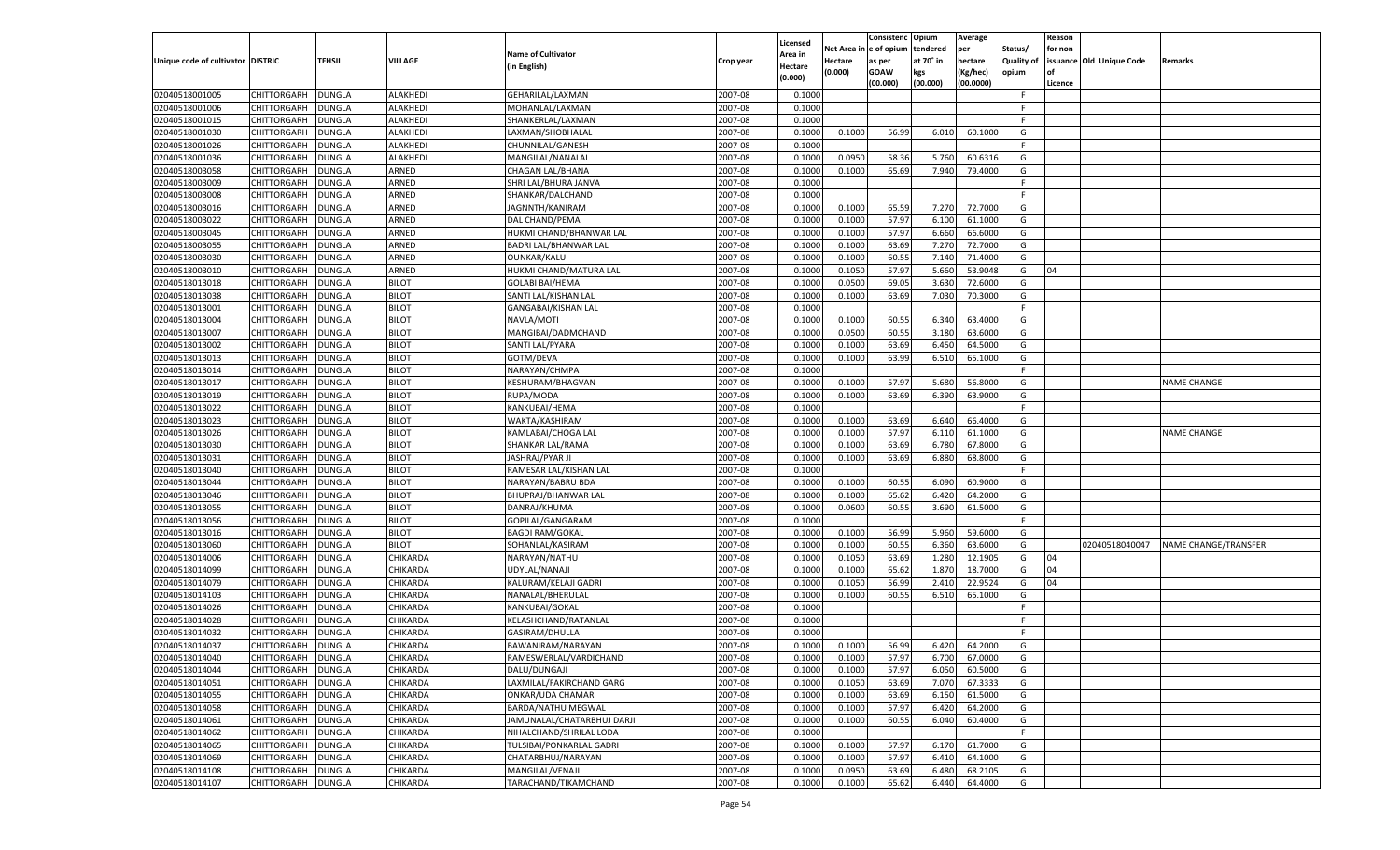|                                   |                    |               |                 |                            |           | Licensed |                        | Consistenc  | Opium     | Average   |                   | Reason  |                          |                             |
|-----------------------------------|--------------------|---------------|-----------------|----------------------------|-----------|----------|------------------------|-------------|-----------|-----------|-------------------|---------|--------------------------|-----------------------------|
|                                   |                    |               |                 | <b>Name of Cultivator</b>  |           | Area in  | Net Area in e of opium |             | tendered  | per       | Status/           | for non |                          |                             |
| Unique code of cultivator DISTRIC |                    | <b>TEHSIL</b> | VILLAGE         | (in English)               | Crop year | Hectare  | Hectare                | as per      | at 70° in | hectare   | <b>Quality of</b> |         | issuance Old Unique Code | <b>Remarks</b>              |
|                                   |                    |               |                 |                            |           | (0.000)  | (0.000)                | <b>GOAW</b> | kgs       | (Kg/hec)  | opium             |         |                          |                             |
|                                   |                    |               |                 |                            |           |          |                        | (00.000)    | (00.000)  | (00.0000) |                   | Licence |                          |                             |
| 02040518001005                    | <b>CHITTORGARH</b> | <b>DUNGLA</b> | ALAKHEDI        | GEHARILAL/LAXMAN           | 2007-08   | 0.1000   |                        |             |           |           | - F               |         |                          |                             |
| 02040518001006                    | CHITTORGARH        | <b>DUNGLA</b> | <b>ALAKHEDI</b> | MOHANLAL/LAXMAN            | 2007-08   | 0.1000   |                        |             |           |           | F.                |         |                          |                             |
| 02040518001015                    | <b>CHITTORGARH</b> | <b>DUNGLA</b> | <b>ALAKHEDI</b> | SHANKERLAL/LAXMAN          | 2007-08   | 0.1000   |                        |             |           |           | F.                |         |                          |                             |
| 02040518001030                    | <b>CHITTORGARH</b> | <b>DUNGLA</b> | <b>ALAKHEDI</b> | LAXMAN/SHOBHALAL           | 2007-08   | 0.1000   | 0.1000                 | 56.99       | 6.010     | 60.1000   | G                 |         |                          |                             |
| 02040518001026                    | <b>CHITTORGARH</b> | <b>DUNGLA</b> | <b>ALAKHEDI</b> | CHUNNILAL/GANESH           | 2007-08   | 0.1000   |                        |             |           |           | F.                |         |                          |                             |
| 02040518001036                    | CHITTORGARH        | <b>DUNGLA</b> | <b>ALAKHEDI</b> | MANGILAL/NANALAL           | 2007-08   | 0.1000   | 0.0950                 | 58.36       | 5.760     | 60.6316   | G                 |         |                          |                             |
| 02040518003058                    | CHITTORGARH        | <b>DUNGLA</b> | ARNED           | CHAGAN LAL/BHANA           | 2007-08   | 0.1000   | 0.1000                 | 65.69       | 7.940     | 79.4000   | G                 |         |                          |                             |
| 02040518003009                    | CHITTORGARH        | <b>DUNGLA</b> | ARNED           | SHRI LAL/BHURA JANVA       | 2007-08   | 0.1000   |                        |             |           |           | F.                |         |                          |                             |
| 02040518003008                    | <b>CHITTORGARH</b> | <b>DUNGLA</b> | ARNED           | SHANKAR/DALCHAND           | 2007-08   | 0.1000   |                        |             |           |           | F.                |         |                          |                             |
| 02040518003016                    | CHITTORGARH        | <b>DUNGLA</b> | ARNED           | JAGNNTH/KANIRAM            | 2007-08   | 0.1000   | 0.1000                 | 65.59       | 7.270     | 72.7000   | G                 |         |                          |                             |
| 02040518003022                    | CHITTORGARH        | <b>DUNGLA</b> | ARNED           | DAL CHAND/PEMA             | 2007-08   | 0.1000   | 0.1000                 | 57.97       | 6.100     | 61.1000   | G                 |         |                          |                             |
| 02040518003045                    | <b>CHITTORGARH</b> | <b>DUNGLA</b> | ARNED           | HUKMI CHAND/BHANWAR LAL    | 2007-08   | 0.1000   | 0.1000                 | 57.97       | 6.660     | 66.6000   | G                 |         |                          |                             |
| 02040518003055                    | <b>CHITTORGARH</b> | <b>DUNGLA</b> | ARNED           | BADRI LAL/BHANWAR LAL      | 2007-08   | 0.1000   | 0.1000                 | 63.69       | 7.270     | 72.7000   | G                 |         |                          |                             |
| 02040518003030                    | CHITTORGARH        | <b>DUNGLA</b> | ARNED           | <b>OUNKAR/KALU</b>         | 2007-08   | 0.1000   | 0.1000                 | 60.55       | 7.140     | 71.4000   | G                 |         |                          |                             |
| 02040518003010                    | CHITTORGARH        | <b>DUNGLA</b> | ARNED           | HUKMI CHAND/MATURA LAL     | 2007-08   | 0.1000   | 0.1050                 | 57.97       | 5.660     | 53.9048   | G                 | 04      |                          |                             |
| 02040518013018                    | CHITTORGARH        | <b>DUNGLA</b> | <b>BILOT</b>    | <b>GOLABI BAI/HEMA</b>     | 2007-08   | 0.1000   | 0.0500                 | 69.05       | 3.630     | 72.6000   | G                 |         |                          |                             |
| 02040518013038                    | <b>CHITTORGARH</b> | <b>DUNGLA</b> | <b>BILOT</b>    | SANTI LAL/KISHAN LAL       | 2007-08   | 0.1000   | 0.1000                 | 63.69       | 7.030     | 70.3000   | G                 |         |                          |                             |
| 02040518013001                    | CHITTORGARH        | <b>DUNGLA</b> | <b>BILOT</b>    | GANGABAI/KISHAN LAL        | 2007-08   | 0.1000   |                        |             |           |           | F.                |         |                          |                             |
| 02040518013004                    | CHITTORGARH        | <b>DUNGLA</b> | <b>BILOT</b>    | NAVLA/MOTI                 | 2007-08   | 0.1000   | 0.1000                 | 60.55       | 6.340     | 63.4000   | G                 |         |                          |                             |
| 02040518013007                    | CHITTORGARH        | <b>DUNGLA</b> | <b>BILOT</b>    | MANGIBAI/DADMCHAND         | 2007-08   | 0.1000   | 0.0500                 | 60.55       | 3.180     | 63.6000   | G                 |         |                          |                             |
| 02040518013002                    | <b>CHITTORGARH</b> | <b>DUNGLA</b> | <b>BILOT</b>    | SANTI LAL/PYARA            | 2007-08   | 0.1000   | 0.1000                 | 63.69       | 6.450     | 64.5000   | G                 |         |                          |                             |
| 02040518013013                    | CHITTORGARH        | <b>DUNGLA</b> | <b>BILOT</b>    | GOTM/DEVA                  | 2007-08   | 0.1000   | 0.1000                 | 63.99       | 6.510     | 65.1000   | G                 |         |                          |                             |
| 02040518013014                    | CHITTORGARH        | <b>DUNGLA</b> | <b>BILOT</b>    | NARAYAN/CHMPA              | 2007-08   | 0.1000   |                        |             |           |           | F.                |         |                          |                             |
| 02040518013017                    | CHITTORGARH        | <b>DUNGLA</b> | <b>BILOT</b>    | KESHURAM/BHAGVAN           | 2007-08   | 0.1000   | 0.1000                 | 57.97       | 5.680     | 56.8000   | G                 |         |                          | NAME CHANGE                 |
| 02040518013019                    |                    |               | <b>BILOT</b>    |                            | 2007-08   | 0.1000   |                        |             |           |           | G                 |         |                          |                             |
|                                   | <b>CHITTORGARH</b> | <b>DUNGLA</b> |                 | RUPA/MODA                  | 2007-08   | 0.1000   | 0.1000                 | 63.69       | 6.390     | 63.9000   | F.                |         |                          |                             |
| 02040518013022                    | CHITTORGARH        | <b>DUNGLA</b> | <b>BILOT</b>    | KANKUBAI/HEMA              |           |          |                        |             |           |           |                   |         |                          |                             |
| 02040518013023                    | CHITTORGARH        | <b>DUNGLA</b> | <b>BILOT</b>    | WAKTA/KASHIRAM             | 2007-08   | 0.1000   | 0.1000                 | 63.69       | 6.640     | 66.4000   | G                 |         |                          |                             |
| 02040518013026                    | CHITTORGARH        | <b>DUNGLA</b> | <b>BILOT</b>    | KAMLABAI/CHOGA LAL         | 2007-08   | 0.1000   | 0.1000                 | 57.97       | 6.110     | 61.1000   | G                 |         |                          | NAME CHANGE                 |
| 02040518013030                    | <b>CHITTORGARH</b> | <b>DUNGLA</b> | <b>BILOT</b>    | SHANKAR LAL/RAMA           | 2007-08   | 0.1000   | 0.1000                 | 63.69       | 6.780     | 67.8000   | G                 |         |                          |                             |
| 02040518013031                    | CHITTORGARH        | <b>DUNGLA</b> | <b>BILOT</b>    | JASHRAJ/PYAR JI            | 2007-08   | 0.1000   | 0.1000                 | 63.69       | 6.880     | 68.8000   | G                 |         |                          |                             |
| 02040518013040                    | <b>CHITTORGARH</b> | <b>DUNGLA</b> | <b>BILOT</b>    | RAMESAR LAL/KISHAN LAL     | 2007-08   | 0.1000   |                        |             |           |           | F.                |         |                          |                             |
| 02040518013044                    | CHITTORGARH        | <b>DUNGLA</b> | <b>BILOT</b>    | NARAYAN/BABRU BDA          | 2007-08   | 0.1000   | 0.1000                 | 60.55       | 6.090     | 60.9000   | G                 |         |                          |                             |
| 02040518013046                    | CHITTORGARH        | <b>DUNGLA</b> | <b>BILOT</b>    | BHUPRAJ/BHANWAR LAL        | 2007-08   | 0.1000   | 0.1000                 | 65.62       | 6.420     | 64.2000   | G                 |         |                          |                             |
| 02040518013055                    | CHITTORGARH        | <b>DUNGLA</b> | <b>BILOT</b>    | DANRAJ/KHUMA               | 2007-08   | 0.1000   | 0.0600                 | 60.55       | 3.690     | 61.5000   | G                 |         |                          |                             |
| 02040518013056                    | CHITTORGARH        | <b>DUNGLA</b> | <b>BILOT</b>    | GOPILAL/GANGARAM           | 2007-08   | 0.1000   |                        |             |           |           | F.                |         |                          |                             |
| 02040518013016                    | CHITTORGARH        | <b>DUNGLA</b> | <b>BILOT</b>    | <b>BAGDI RAM/GOKAL</b>     | 2007-08   | 0.1000   | 0.1000                 | 56.99       | 5.960     | 59.6000   | G                 |         |                          |                             |
| 02040518013060                    | CHITTORGARH        | <b>DUNGLA</b> | <b>BILOT</b>    | SOHANLAL/KASIRAM           | 2007-08   | 0.1000   | 0.1000                 | 60.55       | 6.360     | 63.6000   | G                 |         | 02040518040047           | <b>NAME CHANGE/TRANSFER</b> |
| 02040518014006                    | CHITTORGARH        | <b>DUNGLA</b> | CHIKARDA        | NARAYAN/NATHU              | 2007-08   | 0.1000   | 0.1050                 | 63.69       | 1.280     | 12.1905   | G                 | 04      |                          |                             |
| 02040518014099                    | CHITTORGARH        | <b>DUNGLA</b> | CHIKARDA        | UDYLAL/NANAJI              | 2007-08   | 0.1000   | 0.1000                 | 65.62       | 1.870     | 18.7000   | G                 | 04      |                          |                             |
| 02040518014079                    | CHITTORGARH        | <b>DUNGLA</b> | CHIKARDA        | KALURAM/KELAJI GADRI       | 2007-08   | 0.1000   | 0.1050                 | 56.99       | 2.410     | 22.9524   | G                 | 04      |                          |                             |
| 02040518014103                    | <b>CHITTORGARH</b> | <b>DUNGLA</b> | CHIKARDA        | NANALAL/BHERULAL           | 2007-08   | 0.1000   | 0.1000                 | 60.55       | 6.510     | 65.1000   | G                 |         |                          |                             |
| 02040518014026                    | CHITTORGARH        | <b>DUNGLA</b> | CHIKARDA        | KANKUBAI/GOKAL             | 2007-08   | 0.1000   |                        |             |           |           | F.                |         |                          |                             |
| 02040518014028                    | CHITTORGARH        | <b>DUNGLA</b> | CHIKARDA        | KELASHCHAND/RATANLAL       | 2007-08   | 0.1000   |                        |             |           |           | F.                |         |                          |                             |
| 02040518014032                    | CHITTORGARH        | <b>DUNGLA</b> | CHIKARDA        | GASIRAM/DHULLA             | 2007-08   | 0.1000   |                        |             |           |           | F.                |         |                          |                             |
| 02040518014037                    | CHITTORGARH        | <b>DUNGLA</b> | CHIKARDA        | BAWANIRAM/NARAYAN          | 2007-08   | 0.1000   | 0.1000                 | 56.99       | 6.420     | 64.2000   | G                 |         |                          |                             |
| 02040518014040                    | CHITTORGARH        | <b>DUNGLA</b> | CHIKARDA        | RAMESWERLAL/VARDICHAND     | 2007-08   | 0.1000   | 0.1000                 | 57.97       | 6.700     | 67.0000   | G                 |         |                          |                             |
| 02040518014044                    | CHITTORGARH        | <b>DUNGLA</b> | CHIKARDA        | DALU/DUNGAJI               | 2007-08   | 0.1000   | 0.1000                 | 57.97       | 6.050     | 60.5000   | G                 |         |                          |                             |
| 02040518014051                    | <b>CHITTORGARH</b> | <b>DUNGLA</b> | CHIKARDA        | LAXMILAL/FAKIRCHAND GARG   | 2007-08   | 0.1000   | 0.1050                 | 63.69       | 7.070     | 67.3333   | G                 |         |                          |                             |
| 02040518014055                    | <b>CHITTORGARH</b> | <b>DUNGLA</b> | CHIKARDA        | ONKAR/UDA CHAMAR           | 2007-08   | 0.1000   | 0.1000                 | 63.69       | 6.150     | 61.5000   | G                 |         |                          |                             |
| 02040518014058                    | <b>CHITTORGARH</b> | <b>DUNGLA</b> | CHIKARDA        | BARDA/NATHU MEGWAL         | 2007-08   | 0.1000   | 0.1000                 | 57.97       | 6.420     | 64.2000   | G                 |         |                          |                             |
| 02040518014061                    | <b>CHITTORGARH</b> | <b>DUNGLA</b> | CHIKARDA        | JAMUNALAL/CHATARBHUJ DARJI | 2007-08   | 0.1000   | 0.1000                 | 60.55       | 6.040     | 60.4000   | G                 |         |                          |                             |
| 02040518014062                    | <b>CHITTORGARH</b> | <b>DUNGLA</b> | CHIKARDA        | NIHALCHAND/SHRILAL LODA    | 2007-08   | 0.1000   |                        |             |           |           | F.                |         |                          |                             |
| 02040518014065                    | <b>CHITTORGARH</b> | <b>DUNGLA</b> | CHIKARDA        | TULSIBAI/PONKARLAL GADRI   | 2007-08   | 0.1000   | 0.1000                 | 57.97       | 6.170     | 61.7000   | G                 |         |                          |                             |
| 02040518014069                    | <b>CHITTORGARH</b> | <b>DUNGLA</b> | CHIKARDA        | CHATARBHUJ/NARAYAN         | 2007-08   | 0.1000   | 0.1000                 | 57.97       | 6.410     | 64.1000   | G                 |         |                          |                             |
| 02040518014108                    | <b>CHITTORGARH</b> | <b>DUNGLA</b> | <b>CHIKARDA</b> | MANGILAL/VENAJI            | 2007-08   | 0.1000   | 0.0950                 | 63.69       | 6.480     | 68.2105   | G                 |         |                          |                             |
| 02040518014107                    | <b>CHITTORGARH</b> | <b>DUNGLA</b> | CHIKARDA        | TARACHAND/TIKAMCHAND       | 2007-08   | 0.1000   | 0.1000                 | 65.62       | 6.440     | 64.4000   | G                 |         |                          |                             |
|                                   |                    |               |                 |                            |           |          |                        |             |           |           |                   |         |                          |                             |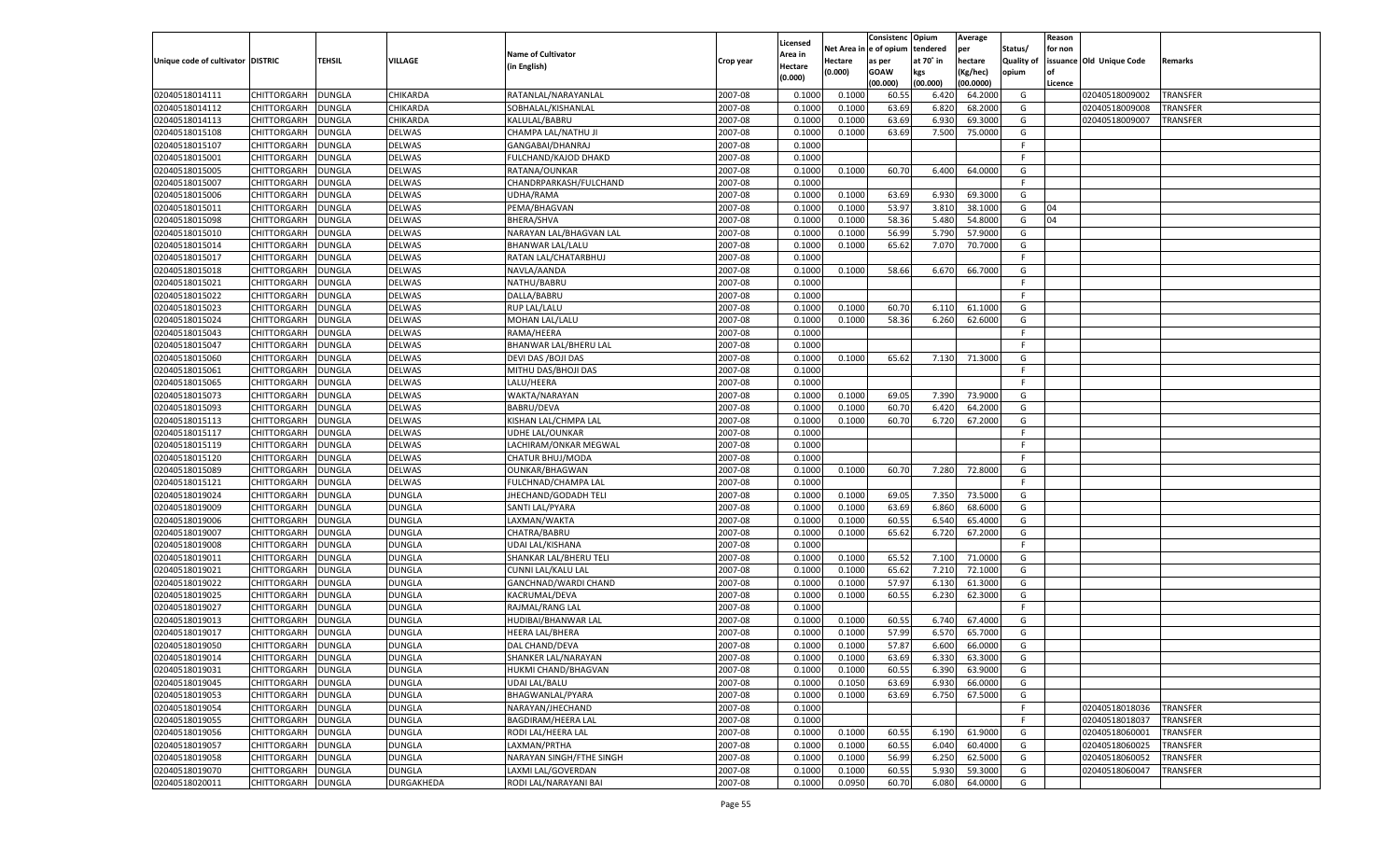|                                   |                    |                  |               |                                               |                    |                  |                  | Consistenc Opium |               | Average            |                   | Reason    |                          |                 |
|-----------------------------------|--------------------|------------------|---------------|-----------------------------------------------|--------------------|------------------|------------------|------------------|---------------|--------------------|-------------------|-----------|--------------------------|-----------------|
|                                   |                    |                  |               |                                               |                    | Licensed         | Net Area         | e of opium       | tendered      | per                | Status/           | for non   |                          |                 |
| Unique code of cultivator DISTRIC |                    | TEHSIL           | VILLAGE       | <b>Name of Cultivator</b>                     | Crop year          | Area in          | Hectare          | as per           | at 70° in     | hectare            | <b>Quality of</b> |           | issuance Old Unique Code | Remarks         |
|                                   |                    |                  |               | (in English)                                  |                    | Hectare          | (0.000)          | <b>GOAW</b>      | kgs           | (Kg/hec)           | opium             | <b>of</b> |                          |                 |
|                                   |                    |                  |               |                                               |                    | (0.000)          |                  | (00.000)         | (00.000)      | (00.0000)          |                   | Licence   |                          |                 |
| 02040518014111                    | <b>CHITTORGARH</b> | <b>DUNGLA</b>    | CHIKARDA      | RATANLAL/NARAYANLAL                           | 2007-08            | 0.1000           | 0.1000           | 60.5             | 6.420         | 64.2000            | G                 |           | 02040518009002           | <b>TRANSFER</b> |
| 02040518014112                    | CHITTORGARH        | <b>DUNGLA</b>    | CHIKARDA      | SOBHALAL/KISHANLAL                            | 2007-08            | 0.1000           | 0.1000           | 63.69            | 6.820         | 68.2000            | G                 |           | 02040518009008           | TRANSFER        |
| 02040518014113                    | <b>CHITTORGARH</b> | <b>DUNGLA</b>    | CHIKARDA      | KALULAL/BABRU                                 | 2007-08            | 0.1000           | 0.1000           | 63.69            | 6.930         | 69.3000            | G                 |           | 02040518009007           | TRANSFER        |
| 02040518015108                    | CHITTORGARH        | DUNGLA           | DELWAS        | CHAMPA LAL/NATHU JI                           | 2007-08            | 0.1000           | 0.1000           | 63.69            | 7.500         | 75.0000            | G                 |           |                          |                 |
| 02040518015107                    | <b>CHITTORGARH</b> | <b>DUNGLA</b>    | DELWAS        | GANGABAI/DHANRAJ                              | 2007-08            | 0.1000           |                  |                  |               |                    | F                 |           |                          |                 |
| 02040518015001                    | CHITTORGARH        | <b>DUNGLA</b>    | DELWAS        | FULCHAND/KAJOD DHAKD                          | 2007-08            | 0.1000           |                  |                  |               |                    | F.                |           |                          |                 |
| 02040518015005                    | <b>CHITTORGARH</b> | <b>DUNGLA</b>    | DELWAS        | RATANA/OUNKAR                                 | 2007-08            | 0.1000           | 0.1000           | 60.70            | 6.400         | 64.0000            | G                 |           |                          |                 |
| 02040518015007                    | CHITTORGARH        | DUNGLA           | DELWAS        | CHANDRPARKASH/FULCHAND                        | 2007-08            | 0.1000           |                  |                  |               |                    | F.                |           |                          |                 |
| 02040518015006                    | CHITTORGARH        | <b>DUNGLA</b>    | DELWAS        | UDHA/RAMA                                     | 2007-08            | 0.1000           | 0.1000           | 63.69            | 6.930         | 69.3000            | G                 |           |                          |                 |
| 02040518015011                    | CHITTORGARH        | <b>DUNGLA</b>    | DELWAS        | PEMA/BHAGVAN                                  | 2007-08            | 0.1000           | 0.1000           | 53.97            | 3.810         | 38.1000            | G                 | 04        |                          |                 |
| 02040518015098                    | CHITTORGARH        | <b>DUNGLA</b>    | DELWAS        | <b>BHERA/SHVA</b>                             | 2007-08            | 0.1000           | 0.1000           | 58.36            | 5.480         | 54.8000            | G                 | 04        |                          |                 |
| 02040518015010                    | CHITTORGARH        | DUNGLA           | DELWAS        | NARAYAN LAL/BHAGVAN LAL                       | 2007-08            | 0.1000           | 0.1000           | 56.99            | 5.790         | 57.9000            | G                 |           |                          |                 |
| 02040518015014                    | CHITTORGARH        | <b>DUNGLA</b>    | DELWAS        | <b>BHANWAR LAL/LALU</b>                       | 2007-08            | 0.1000           | 0.1000           | 65.62            | 7.070         | 70.7000            | G                 |           |                          |                 |
| 02040518015017                    | CHITTORGARH        | DUNGLA           | DELWAS        | RATAN LAL/CHATARBHUJ                          | 2007-08            | 0.1000           |                  |                  |               |                    | F                 |           |                          |                 |
| 02040518015018                    | <b>CHITTORGARH</b> | <b>DUNGLA</b>    | <b>DELWAS</b> | NAVLA/AANDA                                   | 2007-08            | 0.1000           | 0.1000           | 58.66            | 6.670         | 66.7000            | G                 |           |                          |                 |
| 02040518015021                    | CHITTORGARH        | <b>DUNGLA</b>    | <b>DELWAS</b> | NATHU/BABRU                                   | 2007-08            | 0.1000           |                  |                  |               |                    | F.                |           |                          |                 |
| 02040518015022                    | <b>CHITTORGARH</b> | <b>DUNGLA</b>    | <b>DELWAS</b> | DALLA/BABRU                                   | 2007-08            | 0.1000           |                  |                  |               |                    | F                 |           |                          |                 |
| 02040518015023                    | CHITTORGARH        | DUNGLA           | DELWAS        | <b>RUP LAL/LALU</b>                           | 2007-08            | 0.1000           | 0.1000           | 60.70            | 6.110         | 61.1000            | G                 |           |                          |                 |
| 02040518015024                    | <b>CHITTORGARH</b> | <b>DUNGLA</b>    | <b>DELWAS</b> | MOHAN LAL/LALU                                | 2007-08            | 0.1000           | 0.1000           | 58.36            | 6.260         | 62.6000            | G                 |           |                          |                 |
| 02040518015043                    | CHITTORGARH        | <b>DUNGLA</b>    | <b>DELWAS</b> | RAMA/HEERA                                    | 2007-08            | 0.1000           |                  |                  |               |                    | F.                |           |                          |                 |
| 02040518015047                    | <b>CHITTORGARH</b> | <b>DUNGLA</b>    | <b>DELWAS</b> | BHANWAR LAL/BHERU LAL                         | 2007-08            | 0.1000           |                  |                  |               |                    | F                 |           |                          |                 |
| 02040518015060                    | CHITTORGARH        | DUNGLA           | DELWAS        | DEVI DAS / BOJI DAS                           | 2007-08            | 0.1000           | 0.1000           | 65.62            | 7.130         | 71.3000            | G                 |           |                          |                 |
| 02040518015061                    | <b>CHITTORGARH</b> | <b>DUNGLA</b>    | <b>DELWAS</b> | MITHU DAS/BHOJI DAS                           | 2007-08            | 0.1000           |                  |                  |               |                    | F                 |           |                          |                 |
| 02040518015065                    | CHITTORGARH        | <b>DUNGLA</b>    | <b>DELWAS</b> | LALU/HEERA                                    | 2007-08            | 0.1000           |                  |                  |               |                    | F                 |           |                          |                 |
| 02040518015073                    | <b>CHITTORGARH</b> | <b>DUNGLA</b>    | <b>DELWAS</b> | WAKTA/NARAYAN                                 | 2007-08            | 0.1000           | 0.1000           | 69.05            | 7.390         | 73.9000            | G                 |           |                          |                 |
| 02040518015093                    | CHITTORGARH        | DUNGLA           | DELWAS        | <b>BABRU/DEVA</b>                             | 2007-08            | 0.1000           | 0.1000           | 60.70            | 6.420         | 64.2000            | G                 |           |                          |                 |
| 02040518015113                    | <b>CHITTORGARH</b> | <b>DUNGLA</b>    | <b>DELWAS</b> | KISHAN LAL/CHMPA LAL                          | 2007-08            | 0.1000           | 0.1000           | 60.70            | 6.720         | 67.2000            | G                 |           |                          |                 |
| 02040518015117                    | CHITTORGARH        | <b>DUNGLA</b>    | <b>DELWAS</b> | <b>UDHE LAL/OUNKAR</b>                        | 2007-08            | 0.1000           |                  |                  |               |                    | F                 |           |                          |                 |
| 02040518015119                    | <b>CHITTORGARH</b> | <b>DUNGLA</b>    | <b>DELWAS</b> | LACHIRAM/ONKAR MEGWAL                         | 2007-08            | 0.1000           |                  |                  |               |                    | F                 |           |                          |                 |
| 02040518015120                    | CHITTORGARH        | <b>DUNGLA</b>    | DELWAS        | CHATUR BHUJ/MODA                              | 2007-08            | 0.1000           |                  |                  |               |                    | F                 |           |                          |                 |
| 02040518015089                    | CHITTORGARH        | DUNGLA           | <b>DELWAS</b> | <b>OUNKAR/BHAGWAN</b>                         | 2007-08            | 0.1000           | 0.1000           | 60.70            | 7.280         | 72.8000            | G                 |           |                          |                 |
| 02040518015121                    | CHITTORGARH        | DUNGLA           | DELWAS        | FULCHNAD/CHAMPA LAL                           | 2007-08            | 0.1000           |                  |                  |               |                    | F                 |           |                          |                 |
| 02040518019024                    | CHITTORGARH        | DUNGLA           | DUNGLA        | JHECHAND/GODADH TELI                          | 2007-08            | 0.1000           | 0.1000           | 69.05            | 7.350         | 73.5000            | G                 |           |                          |                 |
| 02040518019009                    | CHITTORGARH        | DUNGLA           | DUNGLA        | SANTI LAL/PYARA                               | 2007-08            | 0.1000           | 0.1000           | 63.69            | 6.860         | 68.6000            | G                 |           |                          |                 |
| 02040518019006                    | CHITTORGARH        | DUNGLA           | <b>DUNGLA</b> | LAXMAN/WAKTA                                  | 2007-08            | 0.1000           | 0.1000           | 60.55            | 6.540         | 65.4000            | G                 |           |                          |                 |
| 02040518019007                    | CHITTORGARH        | DUNGLA           | DUNGLA        | CHATRA/BABRU                                  | 2007-08            | 0.1000           | 0.1000           | 65.62            | 6.720         | 67.2000            | G                 |           |                          |                 |
| 02040518019008                    | <b>CHITTORGARH</b> | DUNGLA           | DUNGLA        | UDAI LAL/KISHANA                              | 2007-08            | 0.1000           |                  |                  |               |                    | F                 |           |                          |                 |
| 02040518019011                    | CHITTORGARH        | DUNGLA           | DUNGLA        | SHANKAR LAL/BHERU TELI                        | 2007-08            | 0.1000           | 0.1000           | 65.52            | 7.100         | 71.0000            | G                 |           |                          |                 |
| 02040518019021                    | CHITTORGARH        | <b>DUNGLA</b>    | <b>DUNGLA</b> | CUNNI LAL/KALU LAL                            | 2007-08            | 0.1000           | 0.1000           | 65.62            | 7.210         | 72.1000            | G                 |           |                          |                 |
| 02040518019022                    | CHITTORGARH        | DUNGLA           | DUNGLA        | <b>GANCHNAD/WARDI CHAND</b>                   | 2007-08            | 0.1000           | 0.1000           | 57.97            | 6.130         | 61.3000            | G                 |           |                          |                 |
| 02040518019025                    | CHITTORGARH        | DUNGLA           | DUNGLA        | KACRUMAL/DEVA                                 | 2007-08            | 0.1000           | 0.1000           | 60.55            | 6.230         | 62.3000            | G                 |           |                          |                 |
| 02040518019027                    | CHITTORGARH        | DUNGLA           | DUNGLA        | RAJMAL/RANG LAL                               | 2007-08            | 0.1000           |                  |                  |               |                    | F                 |           |                          |                 |
| 02040518019013                    | CHITTORGARH        |                  | <b>DUNGLA</b> |                                               | 2007-08            | 0.1000           | 0.1000           |                  | 6.740         |                    | G                 |           |                          |                 |
| 02040518019017                    | CHITTORGARH        | DUNGLA<br>DUNGLA | <b>DUNGLA</b> | HUDIBAI/BHANWAR LAL<br><b>HEERA LAL/BHERA</b> | 2007-08            |                  |                  | 60.55<br>57.99   |               | 67.4000<br>65.7000 | G                 |           |                          |                 |
| 02040518019050                    | CHITTORGARH        |                  | DUNGLA        |                                               | 2007-08            | 0.1000<br>0.1000 | 0.1000<br>0.1000 | 57.87            | 6.57<br>6.600 | 66.0000            | G                 |           |                          |                 |
|                                   |                    | <b>DUNGLA</b>    |               | DAL CHAND/DEVA                                |                    |                  |                  |                  |               |                    | G                 |           |                          |                 |
| 02040518019014<br>02040518019031  | <b>CHITTORGARH</b> | DUNGLA           | <b>DUNGLA</b> | SHANKER LAL/NARAYAN                           | 2007-08<br>2007-08 | 0.1000           | 0.1000           | 63.69            | 6.330         | 63.3000            |                   |           |                          |                 |
|                                   | <b>CHITTORGARH</b> | <b>DUNGLA</b>    | <b>DUNGLA</b> | HUKMI CHAND/BHAGVAN                           |                    | 0.1000           | 0.1000           | 60.55            | 6.390         | 63.9000            | G                 |           |                          |                 |
| 02040518019045                    | <b>CHITTORGARH</b> | <b>DUNGLA</b>    | <b>DUNGLA</b> | <b>UDAI LAL/BALU</b>                          | 2007-08            | 0.1000           | 0.1050           | 63.69            | 6.930         | 66.0000            | G                 |           |                          |                 |
| 02040518019053                    | <b>CHITTORGARH</b> | <b>DUNGLA</b>    | <b>DUNGLA</b> | BHAGWANLAL/PYARA                              | 2007-08            | 0.1000           | 0.1000           | 63.69            | 6.750         | 67.5000            | G                 |           |                          |                 |
| 02040518019054                    | <b>CHITTORGARH</b> | <b>DUNGLA</b>    | <b>DUNGLA</b> | NARAYAN/JHECHAND                              | 2007-08            | 0.1000           |                  |                  |               |                    | F                 |           | 02040518018036           | <b>TRANSFER</b> |
| 02040518019055                    | <b>CHITTORGARH</b> | <b>DUNGLA</b>    | <b>DUNGLA</b> | BAGDIRAM/HEERA LAL                            | 2007-08            | 0.1000           |                  |                  |               |                    | F                 |           | 02040518018037           | <b>TRANSFER</b> |
| 02040518019056                    | <b>CHITTORGARH</b> | <b>DUNGLA</b>    | <b>DUNGLA</b> | RODI LAL/HEERA LAL                            | 2007-08            | 0.1000           | 0.1000           | 60.55            | 6.190         | 61.9000            | G                 |           | 02040518060001           | TRANSFER        |
| 02040518019057                    | <b>CHITTORGARH</b> | <b>DUNGLA</b>    | <b>DUNGLA</b> | LAXMAN/PRTHA                                  | 2007-08            | 0.1000           | 0.1000           | 60.55            | 6.040         | 60.4000            | G                 |           | 02040518060025           | <b>TRANSFER</b> |
| 02040518019058                    | <b>CHITTORGARH</b> | <b>DUNGLA</b>    | <b>DUNGLA</b> | NARAYAN SINGH/FTHE SINGH                      | 2007-08            | 0.1000           | 0.1000           | 56.99            | 6.250         | 62.5000            | G                 |           | 02040518060052           | TRANSFER        |
| 02040518019070                    | <b>CHITTORGARH</b> | <b>DUNGLA</b>    | <b>DUNGLA</b> | LAXMI LAL/GOVERDAN                            | 2007-08            | 0.1000           | 0.1000           | 60.55            | 5.930         | 59.3000            | G                 |           | 02040518060047           | TRANSFER        |
| 02040518020011                    | CHITTORGARH        | <b>DUNGLA</b>    | DURGAKHEDA    | RODI LAL/NARAYANI BAI                         | 2007-08            | 0.1000           | 0.0950           | 60.70            | 6.080         | 64.0000            | G                 |           |                          |                 |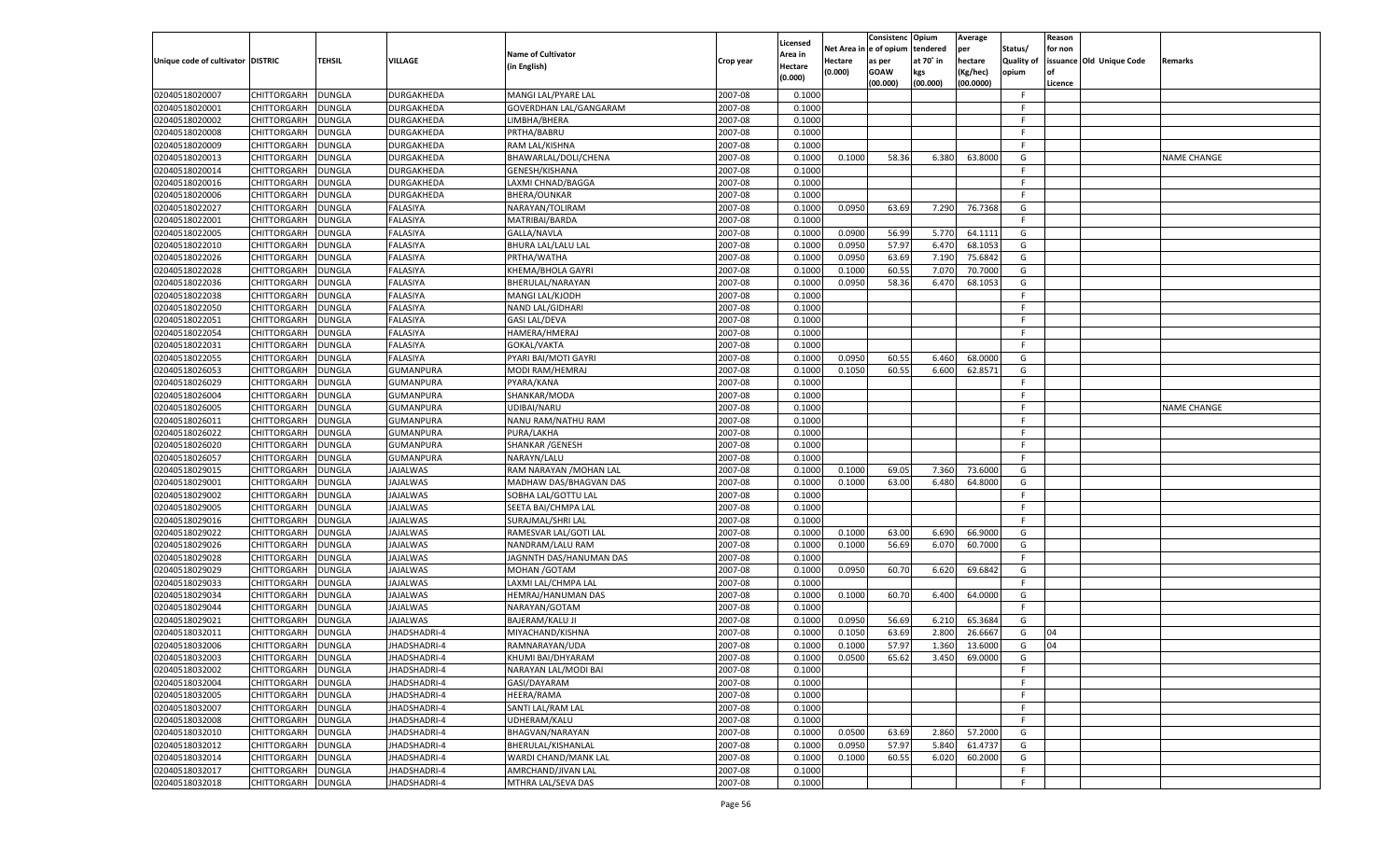|                                   |                    |               |                 |                           |           |                    |            | Consistenc   | Opium     | Average       |                   | Reason  |                          |             |
|-----------------------------------|--------------------|---------------|-----------------|---------------------------|-----------|--------------------|------------|--------------|-----------|---------------|-------------------|---------|--------------------------|-------------|
|                                   |                    |               |                 |                           |           | Licensed           | Net Area i | n e of opium | tendered  | per           | Status/           | for non |                          |             |
| Unique code of cultivator DISTRIC |                    | TEHSIL        | <b>VILLAGE</b>  | <b>Name of Cultivator</b> | Crop year | Area in            | Hectare    | as per       | at 70° in | hectare       | <b>Quality of</b> |         | issuance Old Unique Code | Remarks     |
|                                   |                    |               |                 | (in English)              |           | Hectare<br>(0.000) | (0.000)    | <b>GOAW</b>  | kgs       | (Kg/hec)      | opium             |         |                          |             |
|                                   |                    |               |                 |                           |           |                    |            | (00.000)     | (00.000)  | (00.0000)     |                   | Licence |                          |             |
| 02040518020007                    | CHITTORGARH        | <b>DUNGLA</b> | DURGAKHEDA      | MANGI LAL/PYARE LAL       | 2007-08   | 0.1000             |            |              |           |               | F.                |         |                          |             |
| 02040518020001                    | CHITTORGARH        | DUNGLA        | DURGAKHEDA      | GOVERDHAN LAL/GANGARAM    | 2007-08   | 0.1000             |            |              |           |               | E                 |         |                          |             |
| 02040518020002                    | CHITTORGARH        | DUNGLA        | DURGAKHEDA      | LIMBHA/BHERA              | 2007-08   | 0.1000             |            |              |           |               | F.                |         |                          |             |
| 02040518020008                    | CHITTORGARH        | DUNGLA        | DURGAKHEDA      | PRTHA/BABRU               | 2007-08   | 0.1000             |            |              |           |               | E                 |         |                          |             |
| 02040518020009                    | CHITTORGARH        | DUNGLA        | DURGAKHEDA      | RAM LAL/KISHNA            | 2007-08   | 0.1000             |            |              |           |               | F.                |         |                          |             |
| 02040518020013                    | CHITTORGARH        | DUNGLA        | DURGAKHEDA      | BHAWARLAL/DOLI/CHENA      | 2007-08   | 0.1000             | 0.1000     | 58.36        | 6.380     | 63.8000       | G                 |         |                          | NAME CHANGE |
| 02040518020014                    | CHITTORGARH        | DUNGLA        | DURGAKHEDA      | GENESH/KISHANA            | 2007-08   | 0.1000             |            |              |           |               | F.                |         |                          |             |
| 02040518020016                    | CHITTORGARH        | DUNGLA        | DURGAKHEDA      | LAXMI CHNAD/BAGGA         | 2007-08   | 0.1000             |            |              |           |               | E                 |         |                          |             |
| 02040518020006                    | CHITTORGARH        | DUNGLA        | DURGAKHEDA      | <b>BHERA/OUNKAR</b>       | 2007-08   | 0.1000             |            |              |           |               | F.                |         |                          |             |
| 02040518022027                    | CHITTORGARH        | DUNGLA        | FALASIYA        | NARAYAN/TOLIRAM           | 2007-08   | 0.1000             | 0.0950     | 63.69        | 7.290     | 76.7368       | G                 |         |                          |             |
| 02040518022001                    | CHITTORGARH        | DUNGLA        | FALASIYA        | MATRIBAI/BARDA            | 2007-08   | 0.1000             |            |              |           |               | F.                |         |                          |             |
| 02040518022005                    | CHITTORGARH        | DUNGLA        | FALASIYA        | GALLA/NAVLA               | 2007-08   | 0.1000             | 0.0900     | 56.99        | 5.770     | 64.1111       | G                 |         |                          |             |
| 02040518022010                    | CHITTORGARH        | DUNGLA        | FALASIYA        | BHURA LAL/LALU LAL        | 2007-08   | 0.1000             | 0.0950     | 57.97        | 6.470     | 68.1053       | G                 |         |                          |             |
| 02040518022026                    | CHITTORGARH        | DUNGLA        | FALASIYA        | PRTHA/WATHA               | 2007-08   | 0.1000             | 0.0950     | 63.69        | 7.190     | 75.6842       | G                 |         |                          |             |
| 02040518022028                    | CHITTORGARH        | DUNGLA        | FALASIYA        | KHEMA/BHOLA GAYRI         | 2007-08   | 0.1000             | 0.1000     | 60.55        | 7.070     | 70.7000       | G                 |         |                          |             |
| 02040518022036                    | CHITTORGARH        | DUNGLA        | FALASIYA        | BHERULAL/NARAYAN          | 2007-08   | 0.1000             | 0.0950     | 58.36        | 6.470     | 68.1053       | G                 |         |                          |             |
| 02040518022038                    | CHITTORGARH        | <b>DUNGLA</b> | FALASIYA        | MANGI LAL/KJODH           | 2007-08   | 0.1000             |            |              |           |               | F.                |         |                          |             |
| 02040518022050                    | CHITTORGARH        | DUNGLA        | FALASIYA        | NAND LAL/GIDHARI          | 2007-08   | 0.1000             |            |              |           |               | F.                |         |                          |             |
|                                   | CHITTORGARH        |               | FALASIYA        |                           |           |                    |            |              |           |               | F.                |         |                          |             |
| 02040518022051<br>02040518022054  |                    | DUNGLA        |                 | <b>GASI LAL/DEVA</b>      | 2007-08   | 0.1000             |            |              |           |               | F.                |         |                          |             |
|                                   | CHITTORGARH        | DUNGLA        | FALASIYA        | HAMERA/HMERAJ             | 2007-08   | 0.1000             |            |              |           |               |                   |         |                          |             |
| 02040518022031                    | CHITTORGARH        | DUNGLA        | FALASIYA        | GOKAL/VAKTA               | 2007-08   | 0.1000             |            |              |           |               | F.                |         |                          |             |
| 02040518022055                    | CHITTORGARH        | DUNGLA        | FALASIYA        | PYARI BAI/MOTI GAYRI      | 2007-08   | 0.1000             | 0.0950     | 60.55        | 6.460     | 68.0000       | G                 |         |                          |             |
| 02040518026053                    | CHITTORGARH        | DUNGLA        | GUMANPURA       | MODI RAM/HEMRAJ           | 2007-08   | 0.1000             | 0.1050     | 60.55        | 6.600     | 62.8571       | G                 |         |                          |             |
| 02040518026029                    | CHITTORGARH        | DUNGLA        | GUMANPURA       | PYARA/KANA                | 2007-08   | 0.1000             |            |              |           |               | F.                |         |                          |             |
| 02040518026004                    | CHITTORGARH        | DUNGLA        | GUMANPURA       | SHANKAR/MODA              | 2007-08   | 0.1000             |            |              |           |               | F.                |         |                          |             |
| 02040518026005                    | CHITTORGARH        | DUNGLA        | GUMANPURA       | UDIBAI/NARU               | 2007-08   | 0.1000             |            |              |           |               | F.                |         |                          | NAME CHANGE |
| 02040518026011                    | CHITTORGARH        | DUNGLA        | GUMANPURA       | NANU RAM/NATHU RAM        | 2007-08   | 0.1000             |            |              |           |               | F.                |         |                          |             |
| 02040518026022                    | CHITTORGARH        | DUNGLA        | GUMANPURA       | PURA/LAKHA                | 2007-08   | 0.1000             |            |              |           |               | F.                |         |                          |             |
| 02040518026020                    | CHITTORGARH        | DUNGLA        | GUMANPURA       | SHANKAR / GENESH          | 2007-08   | 0.1000             |            |              |           |               | F.                |         |                          |             |
| 02040518026057                    | CHITTORGARH        | DUNGLA        | GUMANPURA       | NARAYN/LALU               | 2007-08   | 0.1000             |            |              |           |               | F.                |         |                          |             |
| 02040518029015                    | CHITTORGARH        | DUNGLA        | <b>JAJALWAS</b> | RAM NARAYAN / MOHAN LAL   | 2007-08   | 0.1000             | 0.1000     | 69.05        | 7.360     | 73.6000       | G                 |         |                          |             |
| 02040518029001                    | CHITTORGARH        | DUNGLA        | JAJALWAS        | MADHAW DAS/BHAGVAN DAS    | 2007-08   | 0.1000             | 0.1000     | 63.00        | 6.480     | 64.8000       | G                 |         |                          |             |
| 02040518029002                    | CHITTORGARH        | <b>DUNGLA</b> | <b>JAJALWAS</b> | SOBHA LAL/GOTTU LAL       | 2007-08   | 0.1000             |            |              |           |               | F.                |         |                          |             |
| 02040518029005                    | CHITTORGARH        | DUNGLA        | <b>JAJALWAS</b> | SEETA BAI/CHMPA LAL       | 2007-08   | 0.1000             |            |              |           |               | F                 |         |                          |             |
| 02040518029016                    | CHITTORGARH        | DUNGLA        | <b>JAJALWAS</b> | SURAJMAL/SHRI LAL         | 2007-08   | 0.1000             |            |              |           |               | E                 |         |                          |             |
| 02040518029022                    | CHITTORGARH        | DUNGLA        | JAJALWAS        | RAMESVAR LAL/GOTI LAL     | 2007-08   | 0.1000             | 0.1000     | 63.00        | 6.690     | 66.9000       | G                 |         |                          |             |
| 02040518029026                    | CHITTORGARH        | <b>DUNGLA</b> | <b>JAJALWAS</b> | NANDRAM/LALU RAM          | 2007-08   | 0.1000             | 0.1000     | 56.69        | 6.070     | 60.7000       | G                 |         |                          |             |
| 02040518029028                    | CHITTORGARH        | DUNGLA        | JAJALWAS        | JAGNNTH DAS/HANUMAN DAS   | 2007-08   | 0.1000             |            |              |           |               | F.                |         |                          |             |
| 02040518029029                    | CHITTORGARH        | DUNGLA        | <b>JAJALWAS</b> | MOHAN / GOTAM             | 2007-08   | 0.1000             | 0.0950     | 60.70        | 6.620     | 69.6842       | G                 |         |                          |             |
| 02040518029033                    | CHITTORGARH        | DUNGLA        | JAJALWAS        | LAXMI LAL/CHMPA LAL       | 2007-08   | 0.1000             |            |              |           |               | F.                |         |                          |             |
| 02040518029034                    | CHITTORGARH        | <b>DUNGLA</b> | <b>JAJALWAS</b> | HEMRAJ/HANUMAN DAS        | 2007-08   | 0.1000             | 0.1000     | 60.70        | 6.400     | 64.0000       | G                 |         |                          |             |
| 02040518029044                    | CHITTORGARH        | DUNGLA        | JAJALWAS        | NARAYAN/GOTAM             | 2007-08   | 0.1000             |            |              |           |               | F.                |         |                          |             |
| 02040518029021                    | CHITTORGARH        | DUNGLA        | <b>JAJALWAS</b> | <b>BAJERAM/KALU JI</b>    | 2007-08   | 0.1000             | 0.0950     | 56.69        | 6.210     | 65.3684       | G                 |         |                          |             |
| 02040518032011                    | CHITTORGARH        | DUNGLA        | JHADSHADRI-4    | MIYACHAND/KISHNA          | 2007-08   | 0.1000             | 0.1050     | 63.69        | 2.800     | 26.6667       | G                 | 04      |                          |             |
| 02040518032006                    | CHITTORGARH        | <b>DUNGLA</b> | JHADSHADRI-4    | RAMNARAYAN/UDA            | 2007-08   | 0.1000             | 0.1000     | 57.97        | 1.360     | 13.6000       | G                 | 04      |                          |             |
| 02040518032003                    | CHITTORGARH        | <b>DUNGLA</b> | JHADSHADRI-4    | KHUMI BAI/DHYARAM         | 2007-08   | 0.1000             | 0.0500     | 65.62        |           | 3.450 69.0000 | G                 |         |                          |             |
| 02040518032002                    | <b>CHITTORGARH</b> | <b>DUNGLA</b> | JHADSHADRI-4    | NARAYAN LAL/MODI BAI      | 2007-08   | 0.1000             |            |              |           |               | -F                |         |                          |             |
| 02040518032004                    | <b>CHITTORGARH</b> | <b>DUNGLA</b> | JHADSHADRI-4    | GASI/DAYARAM              | 2007-08   | 0.1000             |            |              |           |               | F.                |         |                          |             |
| 02040518032005                    | <b>CHITTORGARH</b> | <b>DUNGLA</b> | JHADSHADRI-4    | HEERA/RAMA                | 2007-08   | 0.1000             |            |              |           |               | F.                |         |                          |             |
| 02040518032007                    | CHITTORGARH        | <b>DUNGLA</b> | JHADSHADRI-4    | SANTI LAL/RAM LAL         | 2007-08   | 0.1000             |            |              |           |               | F.                |         |                          |             |
| 02040518032008                    | CHITTORGARH        | <b>DUNGLA</b> | JHADSHADRI-4    | UDHERAM/KALU              | 2007-08   | 0.1000             |            |              |           |               | F                 |         |                          |             |
|                                   |                    |               |                 |                           |           |                    |            |              |           |               | G                 |         |                          |             |
| 02040518032010                    | CHITTORGARH        | <b>DUNGLA</b> | JHADSHADRI-4    | BHAGVAN/NARAYAN           | 2007-08   | 0.1000             | 0.0500     | 63.69        | 2.860     | 57.2000       |                   |         |                          |             |
| 02040518032012                    | CHITTORGARH        | <b>DUNGLA</b> | JHADSHADRI-4    | BHERULAL/KISHANLAL        | 2007-08   | 0.1000             | 0.0950     | 57.97        | 5.840     | 61.4737       | G                 |         |                          |             |
| 02040518032014                    | <b>CHITTORGARH</b> | <b>DUNGLA</b> | JHADSHADRI-4    | WARDI CHAND/MANK LAL      | 2007-08   | 0.1000             | 0.1000     | 60.55        | 6.020     | 60.2000       | G                 |         |                          |             |
| 02040518032017                    | CHITTORGARH        | <b>DUNGLA</b> | JHADSHADRI-4    | AMRCHAND/JIVAN LAL        | 2007-08   | 0.1000             |            |              |           |               | F.                |         |                          |             |
| 02040518032018                    | <b>CHITTORGARH</b> | <b>DUNGLA</b> | JHADSHADRI-4    | MTHRA LAL/SEVA DAS        | 2007-08   | 0.1000             |            |              |           |               | $\mathsf F$       |         |                          |             |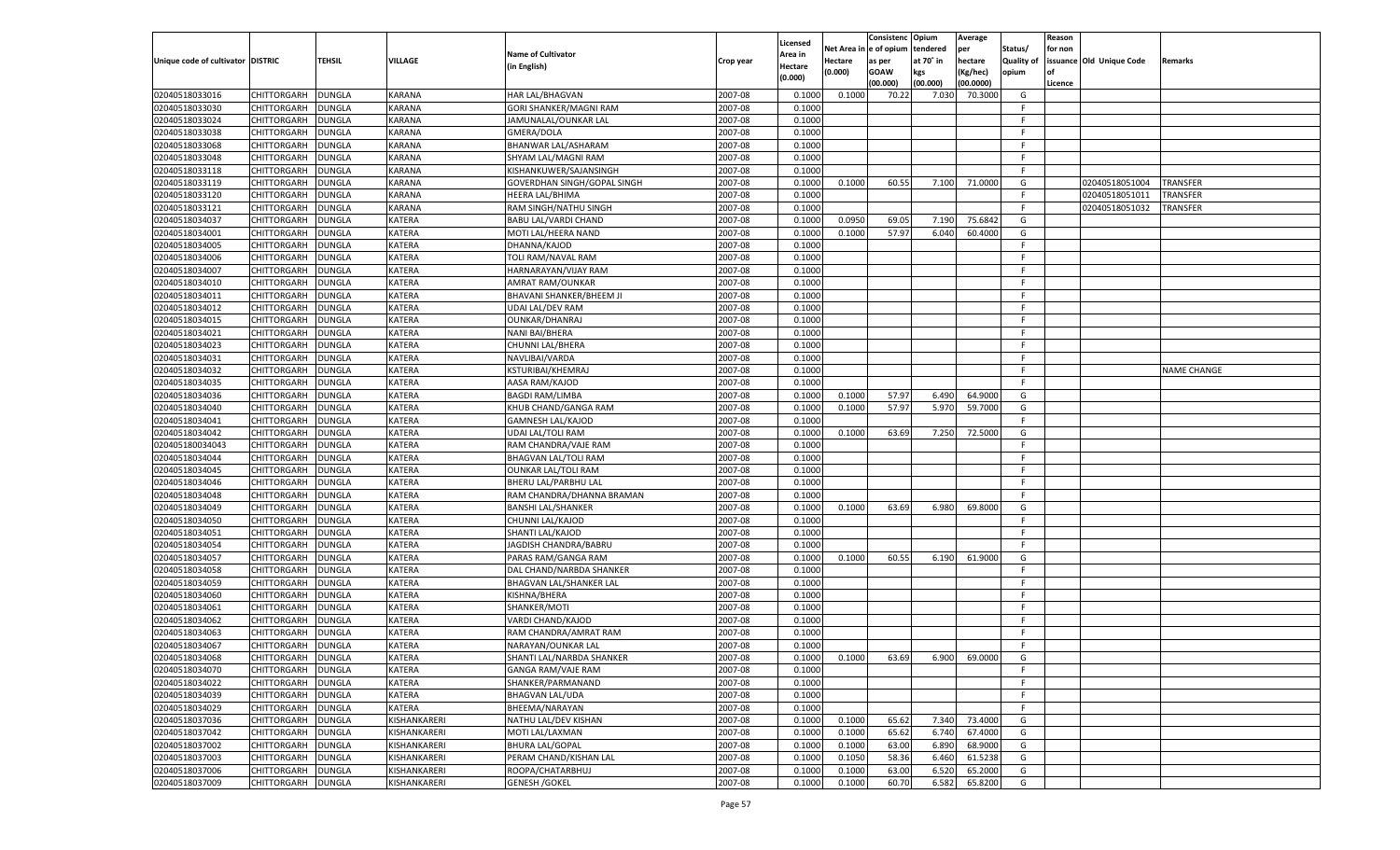|                                   |                            |               |                |                             |           |                    |             | Consistenc   | Opium     | Average       |                   | Reason  |                          |                    |
|-----------------------------------|----------------------------|---------------|----------------|-----------------------------|-----------|--------------------|-------------|--------------|-----------|---------------|-------------------|---------|--------------------------|--------------------|
|                                   |                            |               |                |                             |           | Licensed           | Net Area iı | n e of opium | tendered  | per           | Status/           | for non |                          |                    |
| Unique code of cultivator DISTRIC |                            | TEHSIL        | <b>VILLAGE</b> | <b>Name of Cultivator</b>   | Crop year | Area in            | Hectare     | as per       | at 70° in | hectare       | <b>Quality of</b> |         | issuance Old Unique Code | Remarks            |
|                                   |                            |               |                | (in English)                |           | Hectare<br>(0.000) | (0.000)     | <b>GOAW</b>  | kgs       | (Kg/hec)      | opium             |         |                          |                    |
|                                   |                            |               |                |                             |           |                    |             | (00.000)     | (00.000)  | (00.0000)     |                   | Licence |                          |                    |
| 02040518033016                    | CHITTORGARH                | DUNGLA        | <b>KARANA</b>  | HAR LAL/BHAGVAN             | 2007-08   | 0.1000             | 0.1000      | 70.22        | 7.030     | 70.3000       | G                 |         |                          |                    |
| 02040518033030                    | CHITTORGARH                | DUNGLA        | <b>KARANA</b>  | GORI SHANKER/MAGNI RAM      | 2007-08   | 0.1000             |             |              |           |               | F.                |         |                          |                    |
| 02040518033024                    | CHITTORGARH                | DUNGLA        | KARANA         | JAMUNALAL/OUNKAR LAL        | 2007-08   | 0.1000             |             |              |           |               | F.                |         |                          |                    |
| 02040518033038                    | CHITTORGARH                | DUNGLA        | <b>KARANA</b>  | GMERA/DOLA                  | 2007-08   | 0.1000             |             |              |           |               | E                 |         |                          |                    |
| 02040518033068                    | CHITTORGARH                | DUNGLA        | KARANA         | BHANWAR LAL/ASHARAM         | 2007-08   | 0.1000             |             |              |           |               | F.                |         |                          |                    |
| 02040518033048                    | CHITTORGARH                | DUNGLA        | <b>KARANA</b>  | SHYAM LAL/MAGNI RAM         | 2007-08   | 0.1000             |             |              |           |               | -F                |         |                          |                    |
| 02040518033118                    | CHITTORGARH                | DUNGLA        | KARANA         | KISHANKUWER/SAJANSINGH      | 2007-08   | 0.1000             |             |              |           |               | F.                |         |                          |                    |
| 02040518033119                    | CHITTORGARH                | DUNGLA        | <b>KARANA</b>  | GOVERDHAN SINGH/GOPAL SINGH | 2007-08   | 0.1000             | 0.1000      | 60.55        | 7.100     | 71.0000       | G                 |         | 02040518051004           | TRANSFER           |
| 02040518033120                    | CHITTORGARH                | DUNGLA        | KARANA         | HEERA LAL/BHIMA             | 2007-08   | 0.1000             |             |              |           |               | F.                |         | 02040518051011           | TRANSFER           |
| 02040518033121                    | CHITTORGARH                | DUNGLA        | <b>KARANA</b>  | RAM SINGH/NATHU SINGH       | 2007-08   | 0.1000             |             |              |           |               | F.                |         | 02040518051032           | TRANSFER           |
| 02040518034037                    | CHITTORGARH                | DUNGLA        | <b>KATERA</b>  | BABU LAL/VARDI CHAND        | 2007-08   | 0.1000             | 0.0950      | 69.05        | 7.190     | 75.6842       | G                 |         |                          |                    |
| 02040518034001                    | CHITTORGARH                | DUNGLA        | KATERA         | MOTI LAL/HEERA NAND         | 2007-08   | 0.1000             | 0.1000      | 57.97        | 6.040     | 60.4000       | G                 |         |                          |                    |
| 02040518034005                    | CHITTORGARH                | DUNGLA        | <b>KATERA</b>  | DHANNA/KAJOD                | 2007-08   | 0.1000             |             |              |           |               | F.                |         |                          |                    |
| 02040518034006                    | CHITTORGARH                | DUNGLA        | <b>KATERA</b>  | TOLI RAM/NAVAL RAM          | 2007-08   | 0.1000             |             |              |           |               | F.                |         |                          |                    |
| 02040518034007                    | CHITTORGARH                | DUNGLA        | KATERA         | HARNARAYAN/VIJAY RAM        | 2007-08   | 0.1000             |             |              |           |               | F.                |         |                          |                    |
| 02040518034010                    | CHITTORGARH                | DUNGLA        | KATERA         | AMRAT RAM/OUNKAR            | 2007-08   | 0.1000             |             |              |           |               | F.                |         |                          |                    |
| 02040518034011                    | CHITTORGARH                | <b>DUNGLA</b> | KATERA         | BHAVANI SHANKER/BHEEM JI    | 2007-08   | 0.1000             |             |              |           |               | F.                |         |                          |                    |
| 02040518034012                    | CHITTORGARH                | DUNGLA        | KATERA         | <b>UDAI LAL/DEV RAM</b>     | 2007-08   | 0.1000             |             |              |           |               | E                 |         |                          |                    |
| 02040518034015                    | CHITTORGARH                | DUNGLA        | KATERA         | OUNKAR/DHANRAJ              | 2007-08   | 0.1000             |             |              |           |               | F.                |         |                          |                    |
| 02040518034021                    | CHITTORGARH                | DUNGLA        | KATERA         | <b>NANI BAI/BHERA</b>       | 2007-08   | 0.1000             |             |              |           |               | F.                |         |                          |                    |
| 02040518034023                    | CHITTORGARH                | <b>DUNGLA</b> | KATERA         | CHUNNI LAL/BHERA            | 2007-08   | 0.1000             |             |              |           |               | F.                |         |                          |                    |
| 02040518034031                    | CHITTORGARH                | DUNGLA        | KATERA         | NAVLIBAI/VARDA              | 2007-08   | 0.1000             |             |              |           |               | E                 |         |                          |                    |
| 02040518034032                    | CHITTORGARH                | DUNGLA        | KATERA         | <b>KSTURIBAI/KHEMRAJ</b>    | 2007-08   | 0.1000             |             |              |           |               | F.                |         |                          | <b>NAME CHANGE</b> |
| 02040518034035                    | CHITTORGARH                | DUNGLA        | KATERA         | AASA RAM/KAJOD              | 2007-08   | 0.1000             |             |              |           |               | F.                |         |                          |                    |
| 02040518034036                    | CHITTORGARH                | <b>DUNGLA</b> | KATERA         | <b>BAGDI RAM/LIMBA</b>      | 2007-08   | 0.1000             | 0.1000      | 57.97        | 6.490     | 64.9000       | G                 |         |                          |                    |
| 02040518034040                    |                            |               | KATERA         | KHUB CHAND/GANGA RAM        | 2007-08   | 0.1000             | 0.1000      | 57.97        | 5.970     | 59.7000       | G                 |         |                          |                    |
|                                   | CHITTORGARH<br>CHITTORGARH | DUNGLA        | KATERA         |                             | 2007-08   | 0.1000             |             |              |           |               | F.                |         |                          |                    |
| 02040518034041                    |                            | DUNGLA        |                | <b>GAMNESH LAL/KAJOD</b>    |           |                    |             |              |           |               |                   |         |                          |                    |
| 02040518034042                    | CHITTORGARH                | DUNGLA        | KATERA         | <b>UDAI LAL/TOLI RAM</b>    | 2007-08   | 0.1000             | 0.1000      | 63.69        | 7.250     | 72.5000       | G                 |         |                          |                    |
| 020405180034043                   | CHITTORGARH                | <b>DUNGLA</b> | KATERA         | RAM CHANDRA/VAJE RAM        | 2007-08   | 0.1000             |             |              |           |               | F.                |         |                          |                    |
| 02040518034044                    | CHITTORGARH                | DUNGLA        | <b>KATERA</b>  | <b>BHAGVAN LAL/TOLI RAM</b> | 2007-08   | 0.1000             |             |              |           |               | F.                |         |                          |                    |
| 02040518034045                    | CHITTORGARH                | <b>DUNGLA</b> | <b>KATERA</b>  | <b>OUNKAR LAL/TOLI RAM</b>  | 2007-08   | 0.1000             |             |              |           |               | E                 |         |                          |                    |
| 02040518034046                    | CHITTORGARH                | DUNGLA        | <b>KATERA</b>  | BHERU LAL/PARBHU LAL        | 2007-08   | 0.1000             |             |              |           |               | F                 |         |                          |                    |
| 02040518034048                    | CHITTORGARH                | <b>DUNGLA</b> | <b>KATERA</b>  | RAM CHANDRA/DHANNA BRAMAN   | 2007-08   | 0.1000             |             |              |           |               | E                 |         |                          |                    |
| 02040518034049                    | CHITTORGARH                | DUNGLA        | <b>KATERA</b>  | <b>BANSHI LAL/SHANKER</b>   | 2007-08   | 0.1000             | 0.1000      | 63.69        | 6.980     | 69.8000       | G                 |         |                          |                    |
| 02040518034050                    | CHITTORGARH                | <b>DUNGLA</b> | <b>KATERA</b>  | CHUNNI LAL/KAJOD            | 2007-08   | 0.1000             |             |              |           |               | F.                |         |                          |                    |
| 02040518034051                    | CHITTORGARH                | DUNGLA        | <b>KATERA</b>  | SHANTI LAL/KAJOD            | 2007-08   | 0.1000             |             |              |           |               | F                 |         |                          |                    |
| 02040518034054                    | CHITTORGARH                | <b>DUNGLA</b> | <b>KATERA</b>  | JAGDISH CHANDRA/BABRU       | 2007-08   | 0.1000             |             |              |           |               | E                 |         |                          |                    |
| 02040518034057                    | CHITTORGARH                | DUNGLA        | <b>KATERA</b>  | PARAS RAM/GANGA RAM         | 2007-08   | 0.1000             | 0.1000      | 60.55        | 6.190     | 61.9000       | G                 |         |                          |                    |
| 02040518034058                    | CHITTORGARH                | <b>DUNGLA</b> | <b>KATERA</b>  | DAL CHAND/NARBDA SHANKER    | 2007-08   | 0.1000             |             |              |           |               | F.                |         |                          |                    |
| 02040518034059                    | CHITTORGARH                | DUNGLA        | <b>KATERA</b>  | BHAGVAN LAL/SHANKER LAI     | 2007-08   | 0.1000             |             |              |           |               | F                 |         |                          |                    |
| 02040518034060                    | CHITTORGARH                | <b>DUNGLA</b> | <b>KATERA</b>  | KISHNA/BHERA                | 2007-08   | 0.1000             |             |              |           |               | F                 |         |                          |                    |
| 02040518034061                    | CHITTORGARH                | DUNGLA        | <b>KATERA</b>  | SHANKER/MOTI                | 2007-08   | 0.1000             |             |              |           |               | F                 |         |                          |                    |
| 02040518034062                    | CHITTORGARH                | DUNGLA        | <b>KATERA</b>  | VARDI CHAND/KAJOD           | 2007-08   | 0.1000             |             |              |           |               | E                 |         |                          |                    |
| 02040518034063                    | CHITTORGARH                | DUNGLA        | <b>KATERA</b>  | RAM CHANDRA/AMRAT RAM       | 2007-08   | 0.1000             |             |              |           |               | F                 |         |                          |                    |
| 02040518034067                    | CHITTORGARH                | <b>DUNGLA</b> | <b>KATERA</b>  | NARAYAN/OUNKAR LAL          | 2007-08   | 0.1000             |             |              |           |               | F.                |         |                          |                    |
| 02040518034068                    | CHITTORGARH                | <b>DUNGLA</b> | <b>KATERA</b>  | SHANTI LAL/NARBDA SHANKER   | 2007-08   | 0.1000             | 0.1000      | 63.69        |           | 6.900 69.0000 | G                 |         |                          |                    |
| 02040518034070                    | <b>CHITTORGARH</b>         | <b>DUNGLA</b> | <b>KATERA</b>  | GANGA RAM/VAJE RAM          | 2007-08   | 0.1000             |             |              |           |               | -F                |         |                          |                    |
| 02040518034022                    | <b>CHITTORGARH</b>         | <b>DUNGLA</b> | KATERA         | SHANKER/PARMANAND           | 2007-08   | 0.1000             |             |              |           |               | F.                |         |                          |                    |
| 02040518034039                    | CHITTORGARH                | <b>DUNGLA</b> | <b>KATERA</b>  | <b>BHAGVAN LAL/UDA</b>      | 2007-08   | 0.1000             |             |              |           |               | F.                |         |                          |                    |
| 02040518034029                    | CHITTORGARH                | <b>DUNGLA</b> | KATERA         | BHEEMA/NARAYAN              | 2007-08   | 0.1000             |             |              |           |               | F.                |         |                          |                    |
| 02040518037036                    | CHITTORGARH                | <b>DUNGLA</b> | KISHANKARERI   | NATHU LAL/DEV KISHAN        | 2007-08   | 0.1000             | 0.1000      | 65.62        | 7.340     | 73.4000       | G                 |         |                          |                    |
| 02040518037042                    | <b>CHITTORGARH</b>         | <b>DUNGLA</b> | KISHANKARERI   | MOTI LAL/LAXMAN             | 2007-08   | 0.1000             | 0.1000      | 65.62        | 6.740     | 67.4000       | G                 |         |                          |                    |
| 02040518037002                    | CHITTORGARH                | <b>DUNGLA</b> | KISHANKARERI   | <b>BHURA LAL/GOPAL</b>      | 2007-08   | 0.1000             | 0.1000      | 63.00        | 6.890     | 68.9000       | G                 |         |                          |                    |
| 02040518037003                    | <b>CHITTORGARH</b>         | <b>DUNGLA</b> | KISHANKARERI   | PERAM CHAND/KISHAN LAL      | 2007-08   | 0.1000             | 0.1050      | 58.36        | 6.460     | 61.5238       | G                 |         |                          |                    |
| 02040518037006                    | <b>CHITTORGARH</b>         | <b>DUNGLA</b> | KISHANKARERI   | ROOPA/CHATARBHUJ            | 2007-08   | 0.1000             | 0.1000      | 63.00        | 6.520     | 65.2000       | G                 |         |                          |                    |
| 02040518037009                    | <b>CHITTORGARH</b>         | <b>DUNGLA</b> | KISHANKARERI   | <b>GENESH / GOKEL</b>       | 2007-08   | 0.1000             | 0.1000      | 60.70        | 6.582     | 65.8200       | G                 |         |                          |                    |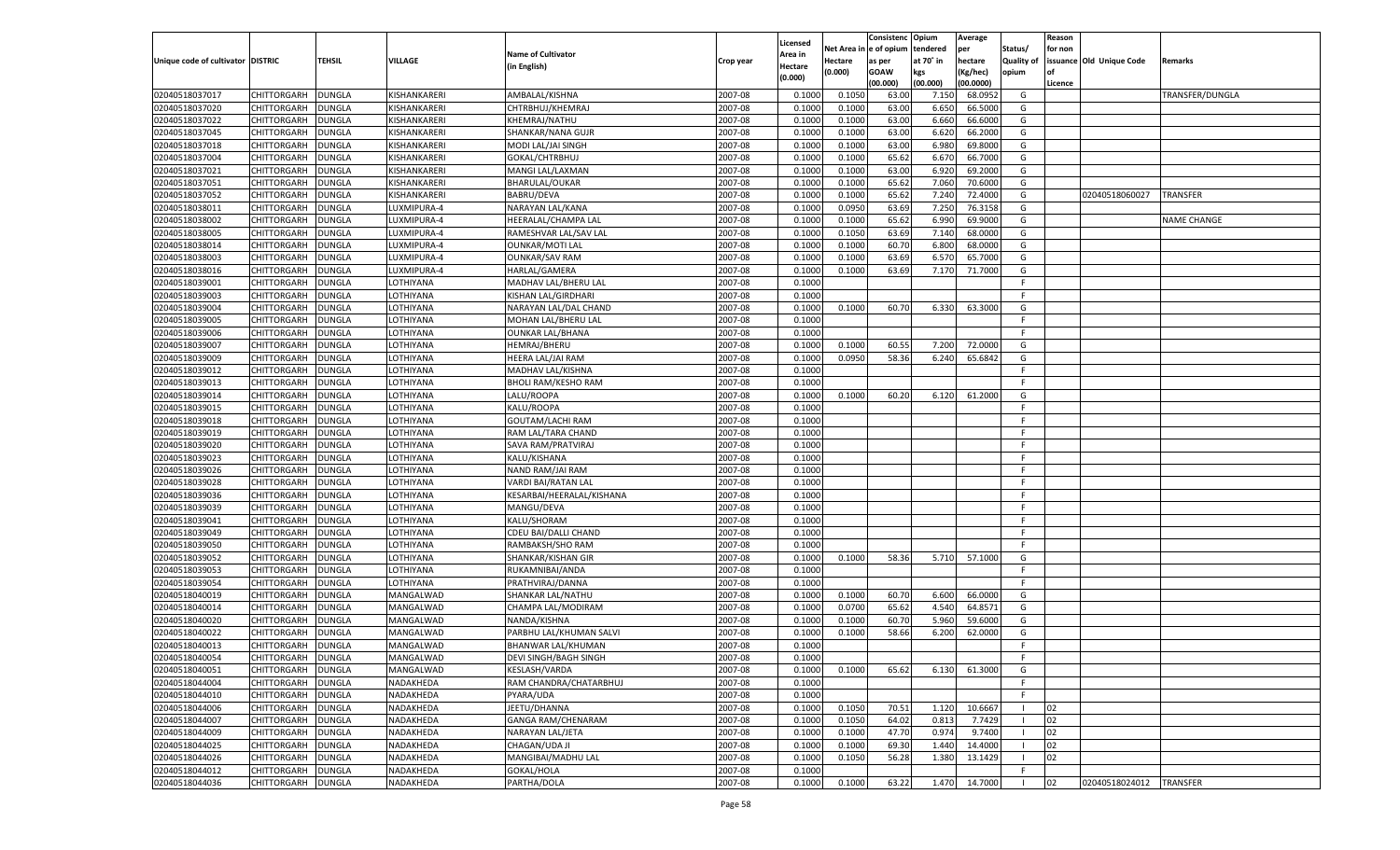|                                   |                            |               |              |                                        |           |          |            | Consistenc Opium |           | Average       |                   | Reason    |                          |                    |
|-----------------------------------|----------------------------|---------------|--------------|----------------------------------------|-----------|----------|------------|------------------|-----------|---------------|-------------------|-----------|--------------------------|--------------------|
|                                   |                            |               |              |                                        |           | Licensed | Net Area i | l e of opium     | tendered  | per           | Status/           | for non   |                          |                    |
| Unique code of cultivator DISTRIC |                            | TEHSIL        | VILLAGE      | <b>Name of Cultivator</b>              | Crop year | Area in  | Hectare    | as per           | at 70° in | hectare       | <b>Quality of</b> |           | issuance Old Unique Code | Remarks            |
|                                   |                            |               |              | (in English)                           |           | Hectare  | (0.000)    | <b>GOAW</b>      | kgs       | (Kg/hec)      | opium             | <b>of</b> |                          |                    |
|                                   |                            |               |              |                                        |           | (0.000)  |            | (00.000)         | (00.000)  | (00.0000)     |                   | Licence   |                          |                    |
| 02040518037017                    | CHITTORGARH                | <b>DUNGLA</b> | KISHANKARERI | AMBALAL/KISHNA                         | 2007-08   | 0.1000   | 0.1050     | 63.00            | 7.150     | 68.0952       | G                 |           |                          | TRANSFER/DUNGLA    |
| 02040518037020                    | CHITTORGARH                | DUNGLA        | KISHANKARERI | CHTRBHUJ/KHEMRAJ                       | 2007-08   | 0.1000   | 0.1000     | 63.00            | 6.650     | 66.5000       | G                 |           |                          |                    |
| 02040518037022                    | CHITTORGARH                | <b>DUNGLA</b> | KISHANKARERI | KHEMRAJ/NATHU                          | 2007-08   | 0.1000   | 0.1000     | 63.00            | 6.660     | 66.6000       | G                 |           |                          |                    |
| 02040518037045                    | CHITTORGARH                | DUNGLA        | KISHANKARERI | SHANKAR/NANA GUJR                      | 2007-08   | 0.1000   | 0.1000     | 63.00            | 6.620     | 66.2000       | G                 |           |                          |                    |
| 02040518037018                    | CHITTORGARH                | <b>DUNGLA</b> | KISHANKARERI | MODI LAL/JAI SINGH                     | 2007-08   | 0.1000   | 0.1000     | 63.00            | 6.980     | 69.8000       | G                 |           |                          |                    |
| 02040518037004                    | CHITTORGARH                | DUNGLA        | KISHANKARERI | GOKAL/CHTRBHUJ                         | 2007-08   | 0.1000   | 0.1000     | 65.62            | 6.670     | 66.7000       | G                 |           |                          |                    |
| 02040518037021                    | CHITTORGARH                | DUNGLA        | KISHANKARERI | MANGI LAL/LAXMAN                       | 2007-08   | 0.1000   | 0.1000     | 63.00            | 6.920     | 69.2000       | G                 |           |                          |                    |
| 02040518037051                    | CHITTORGARH                | DUNGLA        | KISHANKARERI | <b>BHARULAL/OUKAR</b>                  | 2007-08   | 0.1000   | 0.1000     | 65.62            | 7.060     | 70.6000       | G                 |           |                          |                    |
| 02040518037052                    | CHITTORGARH                | <b>DUNGLA</b> | KISHANKARERI | BABRU/DEVA                             | 2007-08   | 0.1000   | 0.1000     | 65.62            | 7.240     | 72.4000       | G                 |           | 02040518060027           | <b>TRANSFER</b>    |
| 02040518038011                    | CHITTORGARH                | DUNGLA        | LUXMIPURA-4  | NARAYAN LAL/KANA                       | 2007-08   | 0.1000   | 0.0950     | 63.69            | 7.250     | 76.3158       | G                 |           |                          |                    |
| 02040518038002                    | CHITTORGARH                | <b>DUNGLA</b> | LUXMIPURA-4  | HEERALAL/CHAMPA LAL                    | 2007-08   | 0.1000   | 0.1000     | 65.62            | 6.990     | 69.9000       | G                 |           |                          | <b>NAME CHANGE</b> |
| 02040518038005                    | CHITTORGARH                | DUNGLA        | LUXMIPURA-4  | RAMESHVAR LAL/SAV LAL                  | 2007-08   | 0.1000   | 0.1050     | 63.69            | 7.140     | 68.0000       | G                 |           |                          |                    |
| 02040518038014                    | CHITTORGARH                | DUNGLA        | LUXMIPURA-4  | <b>OUNKAR/MOTI LAL</b>                 | 2007-08   | 0.1000   | 0.1000     | 60.70            | 6.800     | 68.0000       | G                 |           |                          |                    |
| 02040518038003                    | CHITTORGARH                | <b>DUNGLA</b> | LUXMIPURA-4  | <b>OUNKAR/SAV RAM</b>                  | 2007-08   | 0.1000   | 0.1000     | 63.69            | 6.570     | 65.7000       | G                 |           |                          |                    |
| 02040518038016                    | CHITTORGARH                | <b>DUNGLA</b> | LUXMIPURA-4  | HARLAL/GAMERA                          | 2007-08   | 0.1000   | 0.1000     | 63.69            | 7.170     | 71.7000       | G                 |           |                          |                    |
| 02040518039001                    | CHITTORGARH                | <b>DUNGLA</b> | LOTHIYANA    | MADHAV LAL/BHERU LAL                   | 2007-08   | 0.1000   |            |                  |           |               | F.                |           |                          |                    |
| 02040518039003                    | CHITTORGARH                | <b>DUNGLA</b> | LOTHIYANA    | <b>KISHAN LAL/GIRDHARI</b>             | 2007-08   | 0.1000   |            |                  |           |               | E                 |           |                          |                    |
| 02040518039004                    | CHITTORGARH                | <b>DUNGLA</b> | LOTHIYANA    | NARAYAN LAL/DAL CHAND                  | 2007-08   | 0.1000   | 0.1000     | 60.70            | 6.330     | 63.3000       | G                 |           |                          |                    |
| 02040518039005                    | CHITTORGARH                | <b>DUNGLA</b> | LOTHIYANA    | MOHAN LAL/BHERU LAL                    | 2007-08   | 0.1000   |            |                  |           |               | F                 |           |                          |                    |
| 02040518039006                    | CHITTORGARH                | <b>DUNGLA</b> | LOTHIYANA    | <b>OUNKAR LAL/BHANA</b>                | 2007-08   | 0.1000   |            |                  |           |               | F.                |           |                          |                    |
| 02040518039007                    | CHITTORGARH                | <b>DUNGLA</b> | LOTHIYANA    | <b>HEMRAJ/BHERU</b>                    | 2007-08   | 0.1000   | 0.1000     | 60.55            | 7.200     | 72.0000       | G                 |           |                          |                    |
| 02040518039009                    | CHITTORGARH                | <b>DUNGLA</b> | LOTHIYANA    | <b>HEERA LAL/JAI RAM</b>               | 2007-08   | 0.1000   | 0.0950     | 58.36            | 6.240     | 65.6842       | G                 |           |                          |                    |
| 02040518039012                    | CHITTORGARH                | <b>DUNGLA</b> | LOTHIYANA    | MADHAV LAL/KISHNA                      | 2007-08   | 0.1000   |            |                  |           |               | F                 |           |                          |                    |
| 02040518039013                    | CHITTORGARH                | <b>DUNGLA</b> | LOTHIYANA    | <b>BHOLI RAM/KESHO RAM</b>             | 2007-08   | 0.1000   |            |                  |           |               | F.                |           |                          |                    |
| 02040518039014                    | CHITTORGARH                | <b>DUNGLA</b> | LOTHIYANA    | LALU/ROOPA                             | 2007-08   | 0.1000   | 0.1000     | 60.20            | 6.120     | 61.2000       | G                 |           |                          |                    |
|                                   |                            | <b>DUNGLA</b> | LOTHIYANA    | KALU/ROOPA                             | 2007-08   | 0.1000   |            |                  |           |               | F                 |           |                          |                    |
| 02040518039015                    | CHITTORGARH<br>CHITTORGARH | <b>DUNGLA</b> | LOTHIYANA    |                                        | 2007-08   |          |            |                  |           |               | E                 |           |                          |                    |
| 02040518039018<br>02040518039019  |                            | <b>DUNGLA</b> |              | GOUTAM/LACHI RAM<br>RAM LAL/TARA CHAND | 2007-08   | 0.1000   |            |                  |           |               | F.                |           |                          |                    |
|                                   | CHITTORGARH                |               | LOTHIYANA    |                                        |           | 0.1000   |            |                  |           |               | F                 |           |                          |                    |
| 02040518039020                    | CHITTORGARH                | <b>DUNGLA</b> | LOTHIYANA    | SAVA RAM/PRATVIRAJ                     | 2007-08   | 0.1000   |            |                  |           |               | F                 |           |                          |                    |
| 02040518039023                    | CHITTORGARH                | <b>DUNGLA</b> | LOTHIYANA    | KALU/KISHANA                           | 2007-08   | 0.1000   |            |                  |           |               |                   |           |                          |                    |
| 02040518039026                    | CHITTORGARH                | DUNGLA        | LOTHIYANA    | NAND RAM/JAI RAM                       | 2007-08   | 0.1000   |            |                  |           |               | E                 |           |                          |                    |
| 02040518039028                    | CHITTORGARH                | DUNGLA        | LOTHIYANA    | <b>VARDI BAI/RATAN LAL</b>             | 2007-08   | 0.1000   |            |                  |           |               | F                 |           |                          |                    |
| 02040518039036                    | CHITTORGARH                | DUNGLA        | LOTHIYANA    | KESARBAI/HEERALAL/KISHANA              | 2007-08   | 0.1000   |            |                  |           |               | E                 |           |                          |                    |
| 02040518039039                    | CHITTORGARH                | <b>DUNGLA</b> | LOTHIYANA    | MANGU/DEVA                             | 2007-08   | 0.1000   |            |                  |           |               | E                 |           |                          |                    |
| 02040518039041                    | CHITTORGARH                | DUNGLA        | LOTHIYANA    | KALU/SHORAM                            | 2007-08   | 0.1000   |            |                  |           |               | E                 |           |                          |                    |
| 02040518039049                    | CHITTORGARH                | DUNGLA        | LOTHIYANA    | CDEU BAI/DALLI CHAND                   | 2007-08   | 0.1000   |            |                  |           |               | F                 |           |                          |                    |
| 02040518039050                    | CHITTORGARH                | DUNGLA        | LOTHIYANA    | RAMBAKSH/SHO RAM                       | 2007-08   | 0.1000   |            |                  |           |               | E                 |           |                          |                    |
| 02040518039052                    | CHITTORGARH                | DUNGLA        | LOTHIYANA    | SHANKAR/KISHAN GIR                     | 2007-08   | 0.1000   | 0.1000     | 58.36            | 5.710     | 57.1000       | G                 |           |                          |                    |
| 02040518039053                    | CHITTORGARH                | DUNGLA        | LOTHIYANA    | RUKAMNIBAI/ANDA                        | 2007-08   | 0.1000   |            |                  |           |               | F                 |           |                          |                    |
| 02040518039054                    | CHITTORGARH                | DUNGLA        | LOTHIYANA    | PRATHVIRAJ/DANNA                       | 2007-08   | 0.1000   |            |                  |           |               | F                 |           |                          |                    |
| 02040518040019                    | CHITTORGARH                | DUNGLA        | MANGALWAD    | SHANKAR LAL/NATHU                      | 2007-08   | 0.1000   | 0.1000     | 60.70            | 6.600     | 66.0000       | G                 |           |                          |                    |
| 02040518040014                    | CHITTORGARH                | DUNGLA        | MANGALWAD    | CHAMPA LAL/MODIRAM                     | 2007-08   | 0.1000   | 0.0700     | 65.62            | 4.540     | 64.8571       | G                 |           |                          |                    |
| 02040518040020                    | CHITTORGARH                | DUNGLA        | MANGALWAD    | NANDA/KISHNA                           | 2007-08   | 0.1000   | 0.1000     | 60.70            | 5.960     | 59.6000       | G                 |           |                          |                    |
| 02040518040022                    | CHITTORGARH                | DUNGLA        | MANGALWAD    | PARBHU LAL/KHUMAN SALVI                | 2007-08   | 0.1000   | 0.1000     | 58.66            | 6.200     | 62.0000       | G                 |           |                          |                    |
| 02040518040013                    | CHITTORGARH                | DUNGLA        | MANGALWAD    | BHANWAR LAL/KHUMAN                     | 2007-08   | 0.1000   |            |                  |           |               | F.                |           |                          |                    |
| 02040518040054                    | CHITTORGARH                | <b>DUNGLA</b> | MANGALWAD    | DEVI SINGH/BAGH SINGH                  | 2007-08   | 0.1000   |            |                  |           |               | F                 |           |                          |                    |
| 02040518040051                    | CHITTORGARH                | <b>DUNGLA</b> | MANGALWAD    | <b>KESLASH/VARDA</b>                   | 2007-08   | 0.1000   | 0.1000     | 65.62            | 6.130     | 61.3000       | G                 |           |                          |                    |
| 02040518044004                    | CHITTORGARH                | <b>DUNGLA</b> | NADAKHEDA    | RAM CHANDRA/CHATARBHUJ                 | 2007-08   | 0.1000   |            |                  |           |               | F.                |           |                          |                    |
| 02040518044010                    | CHITTORGARH                | <b>DUNGLA</b> | NADAKHEDA    | PYARA/UDA                              | 2007-08   | 0.1000   |            |                  |           |               | F                 |           |                          |                    |
| 02040518044006                    | CHITTORGARH                | <b>DUNGLA</b> | NADAKHEDA    | JEETU/DHANNA                           | 2007-08   | 0.1000   | 0.1050     | 70.51            | 1.120     | 10.6667       |                   | 02        |                          |                    |
| 02040518044007                    | CHITTORGARH                | <b>DUNGLA</b> | NADAKHEDA    | <b>GANGA RAM/CHENARAM</b>              | 2007-08   | 0.1000   | 0.1050     | 64.02            | 0.813     | 7.7429        |                   | 02        |                          |                    |
| 02040518044009                    | CHITTORGARH                | <b>DUNGLA</b> | NADAKHEDA    | NARAYAN LAL/JETA                       | 2007-08   | 0.1000   | 0.1000     | 47.70            | 0.974     | 9.7400        |                   | 02        |                          |                    |
| 02040518044025                    | CHITTORGARH                | DUNGLA        | NADAKHEDA    | CHAGAN/UDA JI                          | 2007-08   | 0.1000   | 0.1000     | 69.30            | 1.440     | 14.4000       |                   | 02        |                          |                    |
| 02040518044026                    | CHITTORGARH                | <b>DUNGLA</b> | NADAKHEDA    | MANGIBAI/MADHU LAL                     | 2007-08   | 0.1000   | 0.1050     | 56.28            | 1.380     | 13.1429       |                   | 02        |                          |                    |
| 02040518044012                    | CHITTORGARH                | <b>DUNGLA</b> | NADAKHEDA    | GOKAL/HOLA                             | 2007-08   | 0.1000   |            |                  |           |               | F                 |           |                          |                    |
| 02040518044036                    | CHITTORGARH                | <b>DUNGLA</b> | NADAKHEDA    | PARTHA/DOLA                            | 2007-08   | 0.1000   | 0.1000     | 63.22            |           | 1.470 14.7000 | - 1               | 02        | 02040518024012           | <b>TRANSFER</b>    |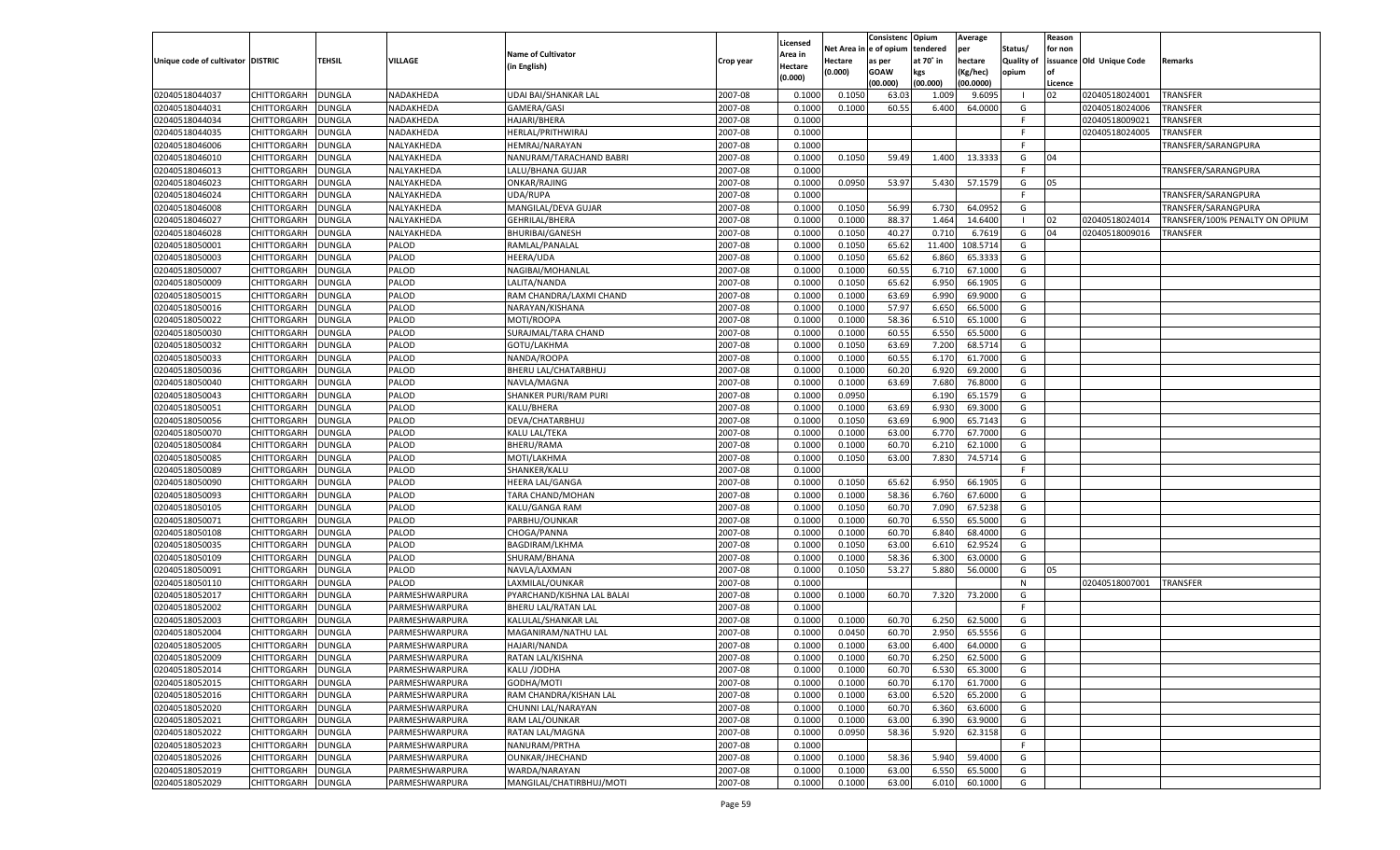|                                   |                    |               |                |                            |           |                    |             | Consistenc Opium |           | Average   |            | Reason  |                          |                                |
|-----------------------------------|--------------------|---------------|----------------|----------------------------|-----------|--------------------|-------------|------------------|-----------|-----------|------------|---------|--------------------------|--------------------------------|
|                                   |                    |               |                | <b>Name of Cultivator</b>  |           | Licensed           | Net Area in | e of opium       | tendered  | per       | Status/    | for non |                          |                                |
| Unique code of cultivator DISTRIC |                    | TEHSIL        | VILLAGE        | (in English)               | Crop year | Area in<br>Hectare | Hectare     | as per           | at 70° in | hectare   | Quality of |         | issuance Old Unique Code | Remarks                        |
|                                   |                    |               |                |                            |           | (0.000)            | (0.000)     | <b>GOAW</b>      | kgs       | (Kg/hec)  | opium      | of      |                          |                                |
|                                   |                    |               |                |                            |           |                    |             | (00.000)         | (00.000)  | (00.0000) |            | Licence |                          |                                |
| 02040518044037                    | CHITTORGARH        | <b>DUNGLA</b> | NADAKHEDA      | UDAI BAI/SHANKAR LAL       | 2007-08   | 0.1000             | 0.1050      | 63.03            | 1.009     | 9.6095    | - 1        | 02      | 02040518024001           | <b>TRANSFER</b>                |
| 02040518044031                    | CHITTORGARH        | DUNGLA        | NADAKHEDA      | GAMERA/GASI                | 2007-08   | 0.1000             | 0.1000      | 60.55            | 6.400     | 64.0000   | G          |         | 02040518024006           | <b>TRANSFER</b>                |
| 02040518044034                    | CHITTORGARH        | DUNGLA        | NADAKHEDA      | HAJARI/BHERA               | 2007-08   | 0.1000             |             |                  |           |           | F.         |         | 02040518009021           | TRANSFER                       |
| 02040518044035                    | CHITTORGARH        | DUNGLA        | NADAKHEDA      | HERLAL/PRITHWIRAJ          | 2007-08   | 0.1000             |             |                  |           |           | F          |         | 02040518024005           | <b>TRANSFER</b>                |
| 02040518046006                    | CHITTORGARH        | <b>DUNGLA</b> | NALYAKHEDA     | HEMRAJ/NARAYAN             | 2007-08   | 0.1000             |             |                  |           |           | - F        |         |                          | TRANSFER/SARANGPURA            |
| 02040518046010                    | CHITTORGARH        | DUNGLA        | NALYAKHEDA     | NANURAM/TARACHAND BABRI    | 2007-08   | 0.1000             | 0.1050      | 59.49            | 1.400     | 13.3333   | G          | 04      |                          |                                |
| 02040518046013                    | CHITTORGARH        | DUNGLA        | NALYAKHEDA     | LALU/BHANA GUJAR           | 2007-08   | 0.1000             |             |                  |           |           | - F        |         |                          | TRANSFER/SARANGPURA            |
| 02040518046023                    | CHITTORGARH        | DUNGLA        | NALYAKHEDA     | ONKAR/RAJING               | 2007-08   | 0.1000             | 0.0950      | 53.97            | 5.430     | 57.1579   | G          | 05      |                          |                                |
| 02040518046024                    | CHITTORGARH        | DUNGLA        | NALYAKHEDA     | UDA/RUPA                   | 2007-08   | 0.1000             |             |                  |           |           | F          |         |                          | TRANSFER/SARANGPURA            |
| 02040518046008                    | CHITTORGARH        | DUNGLA        | NALYAKHEDA     | MANGILAL/DEVA GUJAR        | 2007-08   | 0.1000             | 0.1050      | 56.99            | 6.730     | 64.0952   | G          |         |                          | TRANSFER/SARANGPURA            |
| 02040518046027                    | CHITTORGARH        | DUNGLA        | NALYAKHEDA     | <b>GEHRILAL/BHERA</b>      | 2007-08   | 0.1000             | 0.1000      | 88.37            | 1.464     | 14.6400   | - 1        | 02      | 02040518024014           | TRANSFER/100% PENALTY ON OPIUM |
| 02040518046028                    | CHITTORGARH        | DUNGLA        | NALYAKHEDA     | <b>BHURIBAI/GANESH</b>     | 2007-08   | 0.1000             | 0.1050      | 40.27            | 0.710     | 6.7619    | G          | 04      | 02040518009016           | <b>TRANSFER</b>                |
| 02040518050001                    | CHITTORGARH        | DUNGLA        | PALOD          | RAMLAL/PANALAL             | 2007-08   | 0.1000             | 0.1050      | 65.62            | 11.400    | 108.5714  | G          |         |                          |                                |
| 02040518050003                    | CHITTORGARH        | DUNGLA        | PALOD          | <b>HEERA/UDA</b>           | 2007-08   | 0.1000             | 0.1050      | 65.62            | 6.860     | 65.3333   | G          |         |                          |                                |
| 02040518050007                    | CHITTORGARH        | DUNGLA        | PALOD          | NAGIBAI/MOHANLAL           | 2007-08   | 0.1000             | 0.1000      | 60.55            | 6.710     | 67.1000   | G          |         |                          |                                |
| 02040518050009                    | CHITTORGARH        | DUNGLA        | PALOD          | LALITA/NANDA               | 2007-08   | 0.1000             | 0.1050      | 65.62            | 6.950     | 66.1905   | G          |         |                          |                                |
| 02040518050015                    | CHITTORGARH        | DUNGLA        | PALOD          | RAM CHANDRA/LAXMI CHAND    | 2007-08   | 0.1000             | 0.1000      | 63.69            | 6.990     | 69.9000   | G          |         |                          |                                |
| 02040518050016                    | CHITTORGARH        | DUNGLA        | PALOD          | NARAYAN/KISHANA            | 2007-08   | 0.1000             | 0.1000      | 57.97            | 6.650     | 66.5000   | G          |         |                          |                                |
| 02040518050022                    | CHITTORGARH        | DUNGLA        | PALOD          | MOTI/ROOPA                 | 2007-08   | 0.1000             | 0.1000      | 58.36            | 6.510     | 65.1000   | G          |         |                          |                                |
| 02040518050030                    | CHITTORGARH        | DUNGLA        | PALOD          | SURAJMAL/TARA CHAND        | 2007-08   | 0.1000             | 0.1000      | 60.55            | 6.550     | 65.5000   | G          |         |                          |                                |
| 02040518050032                    | CHITTORGARH        | DUNGLA        | PALOD          | GOTU/LAKHMA                | 2007-08   | 0.1000             | 0.1050      | 63.69            | 7.200     | 68.5714   | G          |         |                          |                                |
| 02040518050033                    | CHITTORGARH        | DUNGLA        | PALOD          | NANDA/ROOPA                | 2007-08   | 0.1000             | 0.1000      | 60.55            | 6.170     | 61.7000   | G          |         |                          |                                |
| 02040518050036                    | CHITTORGARH        | DUNGLA        | PALOD          | BHERU LAL/CHATARBHUJ       | 2007-08   | 0.1000             | 0.1000      | 60.20            | 6.920     | 69.2000   | G          |         |                          |                                |
| 02040518050040                    | CHITTORGARH        | DUNGLA        | PALOD          | NAVLA/MAGNA                | 2007-08   | 0.1000             | 0.1000      | 63.69            | 7.680     | 76.8000   | G          |         |                          |                                |
| 02040518050043                    | CHITTORGARH        | DUNGLA        | PALOD          | SHANKER PURI/RAM PURI      | 2007-08   | 0.1000             | 0.0950      |                  | 6.190     | 65.1579   | G          |         |                          |                                |
| 02040518050051                    | CHITTORGARH        | DUNGLA        | PALOD          | KALU/BHERA                 | 2007-08   | 0.1000             | 0.1000      | 63.69            | 6.930     | 69.3000   | G          |         |                          |                                |
| 02040518050056                    | CHITTORGARH        | DUNGLA        | PALOD          | DEVA/CHATARBHUJ            | 2007-08   | 0.1000             | 0.1050      | 63.69            | 6.900     | 65.7143   | G          |         |                          |                                |
| 02040518050070                    | CHITTORGARH        | DUNGLA        | PALOD          | KALU LAL/TEKA              | 2007-08   | 0.1000             | 0.1000      | 63.00            | 6.770     | 67.7000   | G          |         |                          |                                |
| 02040518050084                    | CHITTORGARH        | DUNGLA        | PALOD          | <b>BHERU/RAMA</b>          | 2007-08   | 0.1000             | 0.1000      | 60.70            | 6.210     | 62.1000   | G          |         |                          |                                |
| 02040518050085                    | CHITTORGARH        | DUNGLA        | PALOD          | MOTI/LAKHMA                | 2007-08   | 0.1000             | 0.1050      | 63.00            | 7.830     | 74.5714   | G          |         |                          |                                |
| 02040518050089                    | CHITTORGARH        | DUNGLA        | PALOD          | SHANKER/KALU               | 2007-08   | 0.1000             |             |                  |           |           | - F        |         |                          |                                |
| 02040518050090                    | CHITTORGARH        | DUNGLA        | PALOD          | <b>HEERA LAL/GANGA</b>     | 2007-08   | 0.1000             | 0.1050      | 65.62            | 6.950     | 66.1905   | G          |         |                          |                                |
| 02040518050093                    | CHITTORGARH        | DUNGLA        | PALOD          | TARA CHAND/MOHAN           | 2007-08   | 0.1000             | 0.1000      | 58.36            | 6.760     | 67.6000   | G          |         |                          |                                |
| 02040518050105                    | CHITTORGARH        | DUNGLA        | PALOD          | KALU/GANGA RAM             | 2007-08   | 0.1000             | 0.1050      | 60.70            | 7.090     | 67.5238   | G          |         |                          |                                |
| 02040518050071                    | CHITTORGARH        | DUNGLA        | PALOD          | PARBHU/OUNKAR              | 2007-08   | 0.1000             | 0.1000      | 60.70            | 6.550     | 65.5000   | G          |         |                          |                                |
| 02040518050108                    | CHITTORGARH        | DUNGLA        | PALOD          | CHOGA/PANNA                | 2007-08   | 0.1000             | 0.1000      | 60.70            | 6.840     | 68.4000   | G          |         |                          |                                |
| 02040518050035                    | CHITTORGARH        | DUNGLA        | PALOD          | <b>BAGDIRAM/LKHMA</b>      | 2007-08   | 0.1000             | 0.1050      | 63.00            | 6.610     | 62.9524   | G          |         |                          |                                |
| 02040518050109                    | CHITTORGARH        | DUNGLA        | PALOD          | SHURAM/BHANA               | 2007-08   | 0.1000             | 0.1000      | 58.36            | 6.300     | 63.0000   | G          |         |                          |                                |
| 02040518050091                    | CHITTORGARH        | DUNGLA        | PALOD          | NAVLA/LAXMAN               | 2007-08   | 0.1000             | 0.1050      | 53.27            | 5.880     | 56.0000   | G          | 05      |                          |                                |
| 02040518050110                    | CHITTORGARH        | DUNGLA        | PALOD          | LAXMILAL/OUNKAR            | 2007-08   | 0.1000             |             |                  |           |           | N          |         | 02040518007001           | <b>TRANSFER</b>                |
| 02040518052017                    | CHITTORGARH        | DUNGLA        | PARMESHWARPURA | PYARCHAND/KISHNA LAL BALAI | 2007-08   | 0.1000             | 0.1000      | 60.70            | 7.320     | 73.2000   | G          |         |                          |                                |
| 02040518052002                    | CHITTORGARH        | DUNGLA        | PARMESHWARPURA | <b>BHERU LAL/RATAN LAL</b> | 2007-08   | 0.1000             |             |                  |           |           | - F        |         |                          |                                |
| 02040518052003                    | CHITTORGARH        | DUNGLA        | PARMESHWARPURA | KALULAL/SHANKAR LAL        | 2007-08   | 0.1000             | 0.1000      | 60.70            | 6.250     | 62.5000   | G          |         |                          |                                |
| 02040518052004                    | CHITTORGARH        | DUNGLA        | PARMESHWARPURA | MAGANIRAM/NATHU LAL        | 2007-08   | 0.1000             | 0.0450      | 60.70            | 2.950     | 65.5556   | G          |         |                          |                                |
| 02040518052005                    | CHITTORGARH        | DUNGLA        | PARMESHWARPURA | HAJARI/NANDA               | 2007-08   | 0.1000             | 0.1000      | 63.00            | 6.400     | 64.0000   | G          |         |                          |                                |
| 02040518052009                    | CHITTORGARH        | <b>DUNGLA</b> | PARMESHWARPURA | RATAN LAL/KISHNA           | 2007-08   | 0.1000             | 0.1000      | 60.70            | 6.250     | 62.5000   | G          |         |                          |                                |
| 02040518052014                    | CHITTORGARH        | <b>DUNGLA</b> | PARMESHWARPURA | KALU /JODHA                | 2007-08   | 0.1000             | 0.1000      | 60.70            | 6.530     | 65.3000   | G          |         |                          |                                |
| 02040518052015                    | CHITTORGARH        | DUNGLA        | PARMESHWARPURA | GODHA/MOTI                 | 2007-08   | 0.1000             | 0.1000      | 60.70            | 6.170     | 61.7000   | G          |         |                          |                                |
| 02040518052016                    | <b>CHITTORGARH</b> | DUNGLA        | PARMESHWARPURA | RAM CHANDRA/KISHAN LAL     | 2007-08   | 0.1000             | 0.1000      | 63.00            | 6.520     | 65.2000   | G          |         |                          |                                |
| 02040518052020                    | CHITTORGARH        | DUNGLA        | PARMESHWARPURA | CHUNNI LAL/NARAYAN         | 2007-08   | 0.1000             | 0.1000      | 60.70            | 6.360     | 63.6000   | G          |         |                          |                                |
| 02040518052021                    | <b>CHITTORGARH</b> | DUNGLA        | PARMESHWARPURA | RAM LAL/OUNKAR             | 2007-08   | 0.1000             | 0.1000      | 63.00            | 6.390     | 63.9000   | G          |         |                          |                                |
| 02040518052022                    | CHITTORGARH        | DUNGLA        | PARMESHWARPURA | RATAN LAL/MAGNA            | 2007-08   | 0.1000             | 0.0950      | 58.36            | 5.920     | 62.3158   | G          |         |                          |                                |
| 02040518052023                    | <b>CHITTORGARH</b> | DUNGLA        | PARMESHWARPURA | NANURAM/PRTHA              | 2007-08   | 0.1000             |             |                  |           |           | E          |         |                          |                                |
| 02040518052026                    | CHITTORGARH        | DUNGLA        | PARMESHWARPURA | OUNKAR/JHECHAND            | 2007-08   | 0.1000             | 0.1000      | 58.36            | 5.940     | 59.4000   | G          |         |                          |                                |
| 02040518052019                    | CHITTORGARH        | DUNGLA        | PARMESHWARPURA | WARDA/NARAYAN              | 2007-08   | 0.1000             | 0.1000      | 63.00            | 6.550     | 65.5000   | G          |         |                          |                                |
|                                   |                    |               |                |                            |           |                    |             |                  |           |           |            |         |                          |                                |
| 02040518052029                    | CHITTORGARH        | <b>DUNGLA</b> | PARMESHWARPURA | MANGILAL/CHATIRBHUJ/MOTI   | 2007-08   | 0.1000             | 0.1000      | 63.00            | 6.010     | 60.1000   | G          |         |                          |                                |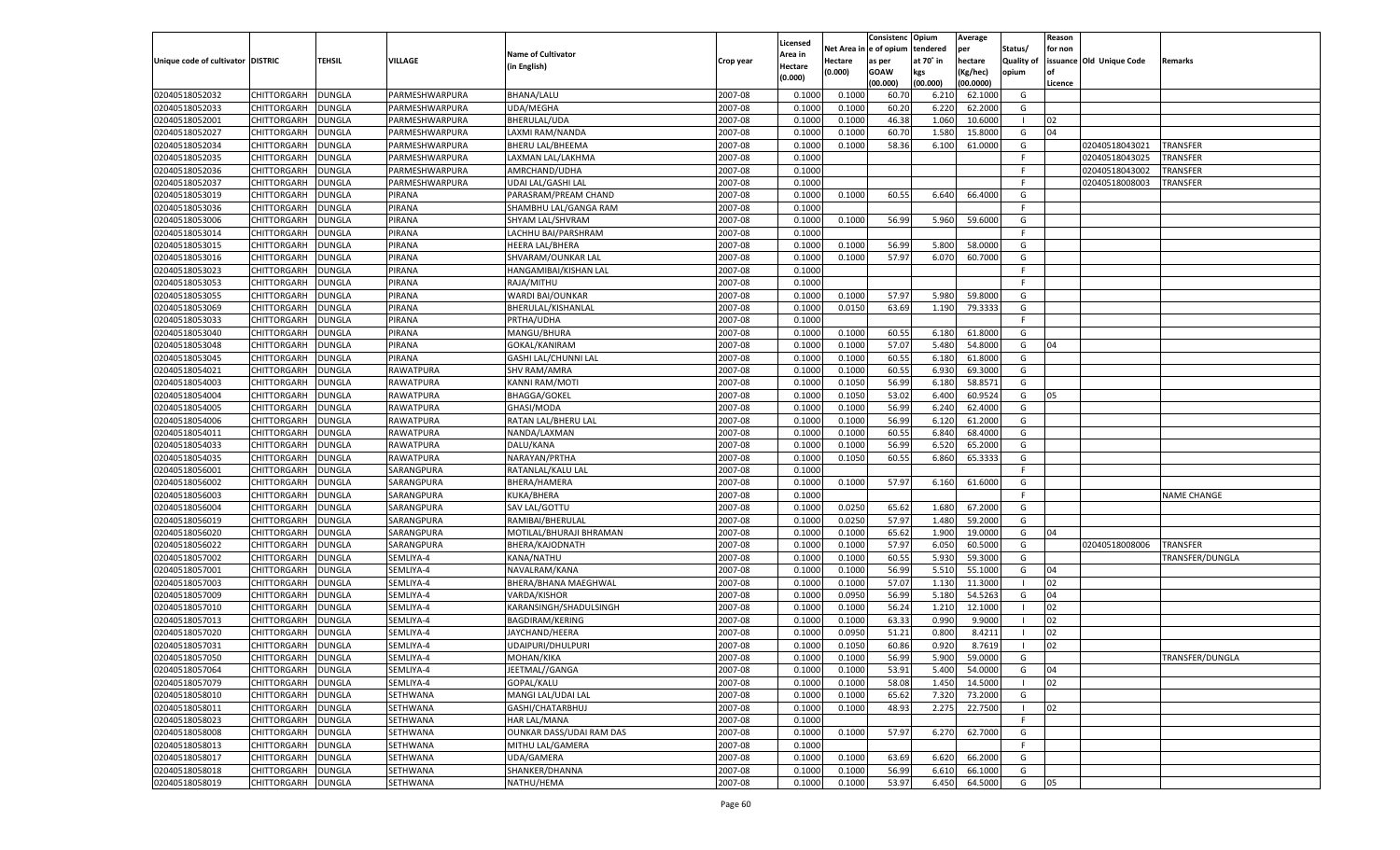|                                   |                      |               |                  |                             |           |          |            | Consistenc Opium |           | Average   |                   | Reason  |                          |                    |
|-----------------------------------|----------------------|---------------|------------------|-----------------------------|-----------|----------|------------|------------------|-----------|-----------|-------------------|---------|--------------------------|--------------------|
|                                   |                      |               |                  |                             |           | Licensed | Net Area i | l e of opium     | tendered  | per       | Status/           | for non |                          |                    |
| Unique code of cultivator DISTRIC |                      | TEHSIL        | VILLAGE          | <b>Name of Cultivator</b>   | Crop year | Area in  | Hectare    | as per           | at 70° in | hectare   | <b>Quality of</b> |         | issuance Old Unique Code | Remarks            |
|                                   |                      |               |                  | (in English)                |           | Hectare  | (0.000)    | <b>GOAW</b>      | kgs       | (Kg/hec)  | opium             | nf      |                          |                    |
|                                   |                      |               |                  |                             |           | (0.000)  |            | (00.000)         | (00.000)  | (00.0000) |                   | Licence |                          |                    |
| 02040518052032                    | CHITTORGARH          | <b>DUNGLA</b> | PARMESHWARPURA   | <b>BHANA/LALU</b>           | 2007-08   | 0.1000   | 0.1000     | 60.70            | 6.210     | 62.1000   | G                 |         |                          |                    |
| 02040518052033                    | CHITTORGARH          | DUNGLA        | PARMESHWARPURA   | <b>UDA/MEGHA</b>            | 2007-08   | 0.1000   | 0.1000     | 60.20            | 6.220     | 62.2000   | G                 |         |                          |                    |
| 02040518052001                    | CHITTORGARH          | <b>DUNGLA</b> | PARMESHWARPURA   | BHERULAL/UDA                | 2007-08   | 0.1000   | 0.1000     | 46.38            | 1.060     | 10.6000   | - 1               | 02      |                          |                    |
| 02040518052027                    |                      |               |                  |                             |           |          |            |                  |           |           |                   |         |                          |                    |
|                                   | CHITTORGARH          | DUNGLA        | PARMESHWARPURA   | LAXMI RAM/NANDA             | 2007-08   | 0.1000   | 0.1000     | 60.70            | 1.580     | 15.8000   | G                 | 04      |                          |                    |
| 02040518052034                    | CHITTORGARH          | DUNGLA        | PARMESHWARPURA   | <b>BHERU LAL/BHEEMA</b>     | 2007-08   | 0.1000   | 0.1000     | 58.36            | 6.100     | 61.0000   | G                 |         | 02040518043021           | <b>TRANSFER</b>    |
| 02040518052035                    | CHITTORGARH          | DUNGLA        | PARMESHWARPURA   | LAXMAN LAL/LAKHMA           | 2007-08   | 0.1000   |            |                  |           |           | F                 |         | 02040518043025           | TRANSFER           |
| 02040518052036                    | CHITTORGARH          | DUNGLA        | PARMESHWARPURA   | AMRCHAND/UDHA               | 2007-08   | 0.1000   |            |                  |           |           | F                 |         | 02040518043002           | TRANSFER           |
| 02040518052037                    | CHITTORGARH          | DUNGLA        | PARMESHWARPURA   | UDAI LAL/GASHI LAL          | 2007-08   | 0.1000   |            |                  |           |           | F                 |         | 02040518008003           | TRANSFER           |
| 02040518053019                    | CHITTORGARH          | DUNGLA        | PIRANA           | PARASRAM/PREAM CHAND        | 2007-08   | 0.1000   | 0.1000     | 60.55            | 6.640     | 66.4000   | G                 |         |                          |                    |
| 02040518053036                    | CHITTORGARH          | DUNGLA        | PIRANA           | SHAMBHU LAL/GANGA RAM       | 2007-08   | 0.1000   |            |                  |           |           | F.                |         |                          |                    |
| 02040518053006                    | CHITTORGARH          | DUNGLA        | PIRANA           | SHYAM LAL/SHVRAM            | 2007-08   | 0.1000   | 0.1000     | 56.99            | 5.960     | 59.6000   | G                 |         |                          |                    |
| 02040518053014                    | CHITTORGARH          | DUNGLA        | PIRANA           | LACHHU BAI/PARSHRAM         | 2007-08   | 0.1000   |            |                  |           |           | F.                |         |                          |                    |
| 02040518053015                    | CHITTORGARH          | DUNGLA        | PIRANA           | <b>HEERA LAL/BHERA</b>      | 2007-08   | 0.1000   | 0.1000     | 56.99            | 5.800     | 58.0000   | G                 |         |                          |                    |
| 02040518053016                    | CHITTORGARH          | DUNGLA        | PIRANA           | SHVARAM/OUNKAR LAL          | 2007-08   | 0.1000   | 0.1000     | 57.97            | 6.070     | 60.7000   | G                 |         |                          |                    |
| 02040518053023                    | CHITTORGARH          | <b>DUNGLA</b> | PIRANA           | HANGAMIBAI/KISHAN LAL       | 2007-08   | 0.1000   |            |                  |           |           | F                 |         |                          |                    |
| 02040518053053                    | CHITTORGARH          | DUNGLA        | PIRANA           | RAJA/MITHU                  | 2007-08   | 0.1000   |            |                  |           |           | F.                |         |                          |                    |
|                                   | CHITTORGARH          | <b>DUNGLA</b> | PIRANA           |                             | 2007-08   | 0.1000   | 0.1000     | 57.97            | 5.980     | 59.8000   | G                 |         |                          |                    |
| 02040518053055                    |                      |               |                  | WARDI BAI/OUNKAR            |           |          |            |                  |           |           |                   |         |                          |                    |
| 02040518053069                    | CHITTORGARH          | DUNGLA        | PIRANA           | BHERULAL/KISHANLAL          | 2007-08   | 0.1000   | 0.0150     | 63.69            | 1.190     | 79.3333   | G                 |         |                          |                    |
| 02040518053033                    | CHITTORGARH          | <b>DUNGLA</b> | PIRANA           | PRTHA/UDHA                  | 2007-08   | 0.1000   |            |                  |           |           | F                 |         |                          |                    |
| 02040518053040                    | CHITTORGARH          | DUNGLA        | PIRANA           | MANGU/BHURA                 | 2007-08   | 0.1000   | 0.1000     | 60.55            | 6.180     | 61.8000   | G                 |         |                          |                    |
| 02040518053048                    | CHITTORGARH          | <b>DUNGLA</b> | PIRANA           | <b>GOKAL/KANIRAM</b>        | 2007-08   | 0.1000   | 0.1000     | 57.07            | 5.480     | 54.8000   | G                 | 04      |                          |                    |
| 02040518053045                    | CHITTORGARH          | DUNGLA        | PIRANA           | <b>GASHI LAL/CHUNNI LAL</b> | 2007-08   | 0.1000   | 0.1000     | 60.55            | 6.180     | 61.8000   | G                 |         |                          |                    |
| 02040518054021                    | CHITTORGARH          | <b>DUNGLA</b> | RAWATPURA        | <b>SHV RAM/AMRA</b>         | 2007-08   | 0.1000   | 0.1000     | 60.55            | 6.930     | 69.3000   | G                 |         |                          |                    |
| 02040518054003                    | CHITTORGARH          | <b>DUNGLA</b> | <b>RAWATPURA</b> | <b>KANNI RAM/MOTI</b>       | 2007-08   | 0.1000   | 0.1050     | 56.99            | 6.180     | 58.8571   | G                 |         |                          |                    |
| 02040518054004                    | CHITTORGARH          | <b>DUNGLA</b> | RAWATPURA        | <b>BHAGGA/GOKEL</b>         | 2007-08   | 0.1000   | 0.1050     | 53.02            | 6.400     | 60.9524   | G                 | 05      |                          |                    |
| 02040518054005                    | CHITTORGARH          | <b>DUNGLA</b> | RAWATPURA        | GHASI/MODA                  | 2007-08   | 0.1000   | 0.1000     | 56.99            | 6.240     | 62.4000   | G                 |         |                          |                    |
| 02040518054006                    | CHITTORGARH          | <b>DUNGLA</b> | RAWATPURA        | RATAN LAL/BHERU LAL         | 2007-08   | 0.1000   | 0.1000     | 56.99            | 6.120     | 61.2000   | G                 |         |                          |                    |
| 02040518054011                    | CHITTORGARH          | <b>DUNGLA</b> | RAWATPURA        | NANDA/LAXMAN                | 2007-08   | 0.1000   | 0.1000     | 60.55            | 6.840     | 68.4000   | G                 |         |                          |                    |
| 02040518054033                    | CHITTORGARH          | <b>DUNGLA</b> | RAWATPURA        | DALU/KANA                   | 2007-08   | 0.1000   | 0.1000     | 56.99            | 6.520     | 65.2000   | G                 |         |                          |                    |
| 02040518054035                    | CHITTORGARH          |               | RAWATPURA        | NARAYAN/PRTHA               | 2007-08   | 0.1000   | 0.1050     | 60.55            | 6.860     | 65.3333   | G                 |         |                          |                    |
|                                   |                      | DUNGLA        |                  |                             |           |          |            |                  |           |           | F                 |         |                          |                    |
| 02040518056001                    | CHITTORGARH          | DUNGLA        | SARANGPURA       | RATANLAL/KALU LAI           | 2007-08   | 0.1000   |            |                  |           |           |                   |         |                          |                    |
| 02040518056002                    | CHITTORGARH          | DUNGLA        | SARANGPURA       | BHERA/HAMERA                | 2007-08   | 0.1000   | 0.1000     | 57.97            | 6.160     | 61.6000   | G                 |         |                          |                    |
| 02040518056003                    | CHITTORGARH          | DUNGLA        | SARANGPURA       | KUKA/BHERA                  | 2007-08   | 0.1000   |            |                  |           |           | F                 |         |                          | <b>NAME CHANGE</b> |
| 02040518056004                    | CHITTORGARH          | <b>DUNGLA</b> | SARANGPURA       | SAV LAL/GOTTU               | 2007-08   | 0.1000   | 0.0250     | 65.62            | 1.680     | 67.2000   | G                 |         |                          |                    |
| 02040518056019                    | CHITTORGARH          | DUNGLA        | SARANGPURA       | RAMIBAI/BHERULAL            | 2007-08   | 0.1000   | 0.0250     | 57.97            | 1.480     | 59.2000   | G                 |         |                          |                    |
| 02040518056020                    | CHITTORGARH          | DUNGLA        | SARANGPURA       | MOTILAL/BHURAJI BHRAMAN     | 2007-08   | 0.1000   | 0.1000     | 65.62            | 1.900     | 19.0000   | G                 | 04      |                          |                    |
| 02040518056022                    | CHITTORGARH          | DUNGLA        | SARANGPURA       | BHERA/KAJODNATH             | 2007-08   | 0.1000   | 0.1000     | 57.97            | 6.050     | 60.5000   | G                 |         | 02040518008006           | <b>TRANSFER</b>    |
| 02040518057002                    | CHITTORGARH          | DUNGLA        | SEMLIYA-4        | KANA/NATHU                  | 2007-08   | 0.1000   | 0.1000     | 60.55            | 5.930     | 59.3000   | G                 |         |                          | TRANSFER/DUNGLA    |
| 02040518057001                    | CHITTORGARH          | DUNGLA        | SEMLIYA-4        | NAVALRAM/KANA               | 2007-08   | 0.1000   | 0.1000     | 56.99            | 5.510     | 55.1000   | G                 | 04      |                          |                    |
| 02040518057003                    | CHITTORGARH          | DUNGLA        | SEMLIYA-4        | BHERA/BHANA MAEGHWAL        | 2007-08   | 0.1000   | 0.1000     | 57.07            | 1.130     | 11.3000   |                   | 02      |                          |                    |
| 02040518057009                    | CHITTORGARH          | DUNGLA        | SEMLIYA-4        | VARDA/KISHOR                | 2007-08   | 0.1000   | 0.0950     | 56.99            | 5.180     | 54.5263   | G                 | 04      |                          |                    |
| 02040518057010                    | CHITTORGARH          | DUNGLA        | SEMLIYA-4        | KARANSINGH/SHADULSINGH      | 2007-08   | 0.1000   | 0.1000     | 56.24            | 1.210     | 12.1000   |                   | 02      |                          |                    |
| 02040518057013                    | CHITTORGARH          | DUNGLA        | SEMLIYA-4        | <b>BAGDIRAM/KERING</b>      | 2007-08   | 0.1000   | 0.1000     | 63.33            | 0.990     | 9.9000    |                   | 02      |                          |                    |
| 02040518057020                    | CHITTORGARH          | DUNGLA        | SEMLIYA-4        | JAYCHAND/HEERA              | 2007-08   | 0.1000   | 0.0950     | 51.21            | 0.800     | 8.4211    |                   | 02      |                          |                    |
| 02040518057031                    | CHITTORGARH          | DUNGLA        | SEMLIYA-4        | UDAIPURI/DHULPURI           | 2007-08   | 0.1000   | 0.1050     | 60.86            | 0.920     | 8.7619    |                   | 02      |                          |                    |
|                                   |                      |               |                  |                             |           |          |            |                  |           |           |                   |         |                          |                    |
| 02040518057050                    | CHITTORGARH   DUNGLA |               | SEMLIYA-4        | MOHAN/KIKA                  | 2007-08   | 0.1000   | 0.1000     | 56.99            | 5.900     | 59.0000   | G                 |         |                          | TRANSFER/DUNGLA    |
| 02040518057064                    | CHITTORGARH          | <b>DUNGLA</b> | SEMLIYA-4        | JEETMAL//GANGA              | 2007-08   | 0.1000   | 0.1000     | 53.91            | 5.400     | 54.0000   | G                 | 04      |                          |                    |
| 02040518057079                    | CHITTORGARH          | <b>DUNGLA</b> | SEMLIYA-4        | GOPAL/KALU                  | 2007-08   | 0.1000   | 0.1000     | 58.08            | 1.450     | 14.5000   |                   | 02      |                          |                    |
| 02040518058010                    | CHITTORGARH          | <b>DUNGLA</b> | SETHWANA         | MANGI LAL/UDAI LAL          | 2007-08   | 0.1000   | 0.1000     | 65.62            | 7.320     | 73.2000   | G                 |         |                          |                    |
| 02040518058011                    | CHITTORGARH          | <b>DUNGLA</b> | <b>SETHWANA</b>  | GASHI/CHATARBHUJ            | 2007-08   | 0.1000   | 0.1000     | 48.93            | 2.275     | 22.7500   |                   | 02      |                          |                    |
| 02040518058023                    | CHITTORGARH          | <b>DUNGLA</b> | SETHWANA         | HAR LAL/MANA                | 2007-08   | 0.1000   |            |                  |           |           | F                 |         |                          |                    |
| 02040518058008                    | CHITTORGARH          | <b>DUNGLA</b> | <b>SETHWANA</b>  | OUNKAR DASS/UDAI RAM DAS    | 2007-08   | 0.1000   | 0.1000     | 57.97            | 6.270     | 62.7000   | G                 |         |                          |                    |
| 02040518058013                    | CHITTORGARH          | DUNGLA        | SETHWANA         | MITHU LAL/GAMERA            | 2007-08   | 0.1000   |            |                  |           |           | F.                |         |                          |                    |
| 02040518058017                    | CHITTORGARH          | <b>DUNGLA</b> | <b>SETHWANA</b>  | UDA/GAMERA                  | 2007-08   | 0.1000   | 0.1000     | 63.69            | 6.620     | 66.2000   | G                 |         |                          |                    |
| 02040518058018                    | CHITTORGARH          | <b>DUNGLA</b> | <b>SETHWANA</b>  | SHANKER/DHANNA              | 2007-08   | 0.1000   | 0.1000     | 56.99            | 6.610     | 66.1000   | G                 |         |                          |                    |
| 02040518058019                    | CHITTORGARH          | <b>DUNGLA</b> | SETHWANA         | NATHU/HEMA                  | 2007-08   | 0.1000   | 0.1000     | 53.97            | 6.450     | 64.5000   | G                 | 05      |                          |                    |
|                                   |                      |               |                  |                             |           |          |            |                  |           |           |                   |         |                          |                    |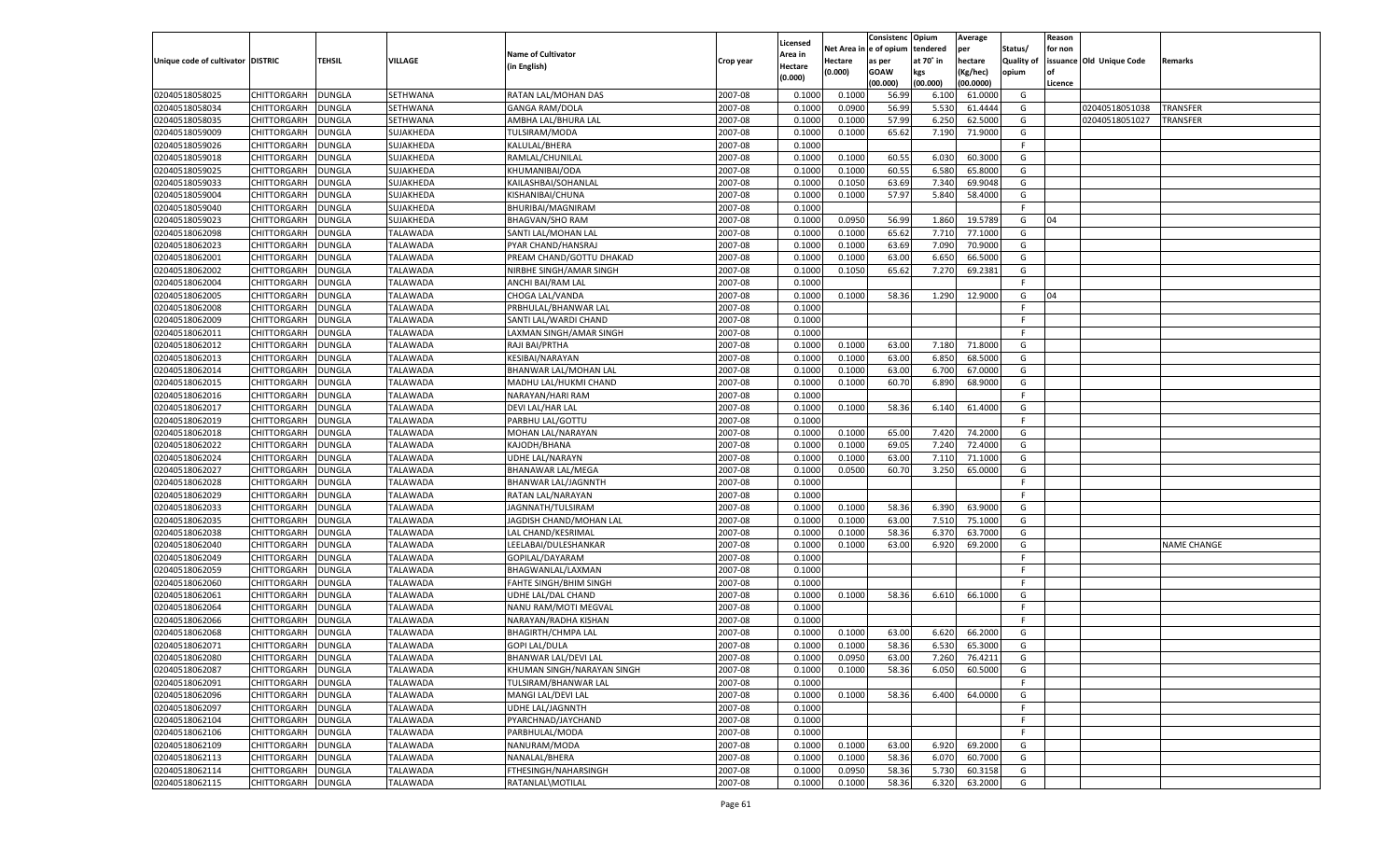|                                   |                                          |               |                 |                                            |           |                           |          | Consistenc  | Opium     | Average   |                   | Reason  |                          |                    |
|-----------------------------------|------------------------------------------|---------------|-----------------|--------------------------------------------|-----------|---------------------------|----------|-------------|-----------|-----------|-------------------|---------|--------------------------|--------------------|
|                                   |                                          |               |                 | <b>Name of Cultivator</b>                  |           | Licensed                  | Net Area | e of opium  | tendered  | per       | Status/           | for non |                          |                    |
| Unique code of cultivator DISTRIC |                                          | <b>TEHSIL</b> | VILLAGE         | (in English)                               | Crop year | <b>Area in</b><br>Hectare | Hectare  | as per      | at 70° in | hectare   | <b>Quality of</b> |         | issuance Old Unique Code | Remarks            |
|                                   |                                          |               |                 |                                            |           | (0.000)                   | (0.000)  | <b>GOAW</b> | kgs       | (Kg/hec)  | opium             |         |                          |                    |
|                                   |                                          |               |                 |                                            |           |                           |          | (00.000)    | (00.000)  | (00.0000) |                   | Licence |                          |                    |
| 02040518058025                    | CHITTORGARH                              | <b>DUNGLA</b> | SETHWANA        | RATAN LAL/MOHAN DAS                        | 2007-08   | 0.1000                    | 0.1000   | 56.99       | 6.100     | 61.0000   | G                 |         |                          |                    |
| 02040518058034                    | CHITTORGARH                              | DUNGLA        | SETHWANA        | <b>GANGA RAM/DOLA</b>                      | 2007-08   | 0.1000                    | 0.0900   | 56.99       | 5.530     | 61.4444   | G                 |         | 02040518051038           | TRANSFER           |
| 02040518058035                    | CHITTORGARH                              | DUNGLA        | SETHWANA        | AMBHA LAL/BHURA LAL                        | 2007-08   | 0.1000                    | 0.1000   | 57.99       | 6.250     | 62.5000   | G                 |         | 02040518051027           | TRANSFER           |
| 02040518059009                    | CHITTORGARH                              | DUNGLA        | SUJAKHEDA       | TULSIRAM/MODA                              | 2007-08   | 0.1000                    | 0.1000   | 65.62       | 7.190     | 71.9000   | G                 |         |                          |                    |
| 02040518059026                    | CHITTORGARH                              | DUNGLA        | SUJAKHEDA       | KALULAL/BHERA                              | 2007-08   | 0.1000                    |          |             |           |           | F.                |         |                          |                    |
| 02040518059018                    | CHITTORGARH                              | DUNGLA        | SUJAKHEDA       | RAMLAL/CHUNILAL                            | 2007-08   | 0.1000                    | 0.1000   | 60.55       | 6.030     | 60.3000   | G                 |         |                          |                    |
| 02040518059025                    | CHITTORGARH                              | DUNGLA        | SUJAKHEDA       | KHUMANIBAI/ODA                             | 2007-08   | 0.1000                    | 0.1000   | 60.55       | 6.580     | 65.8000   | G                 |         |                          |                    |
| 02040518059033                    | CHITTORGARH                              | DUNGLA        | SUJAKHEDA       | KAILASHBAI/SOHANLAL                        | 2007-08   | 0.1000                    | 0.1050   | 63.69       | 7.340     | 69.9048   | G                 |         |                          |                    |
| 02040518059004                    | CHITTORGARH                              | DUNGLA        | SUJAKHEDA       | KISHANIBAI/CHUNA                           | 2007-08   | 0.1000                    | 0.1000   | 57.97       | 5.840     | 58.4000   | G                 |         |                          |                    |
| 02040518059040                    | CHITTORGARH                              | DUNGLA        | SUJAKHEDA       | BHURIBAI/MAGNIRAM                          | 2007-08   | 0.1000                    |          |             |           |           | F.                |         |                          |                    |
| 02040518059023                    | CHITTORGARH                              | DUNGLA        | SUJAKHEDA       | <b>BHAGVAN/SHO RAM</b>                     | 2007-08   | 0.1000                    | 0.0950   | 56.99       | 1.860     | 19.578    | G                 | 04      |                          |                    |
| 02040518062098                    | CHITTORGARH                              | DUNGLA        | TALAWADA        | SANTI LAL/MOHAN LAL                        | 2007-08   | 0.1000                    | 0.1000   | 65.62       | 7.710     | 77.1000   | G                 |         |                          |                    |
| 02040518062023                    | CHITTORGARH                              | DUNGLA        | <b>TALAWADA</b> | PYAR CHAND/HANSRAJ                         | 2007-08   | 0.1000                    | 0.1000   | 63.69       | 7.090     | 70.9000   | G                 |         |                          |                    |
| 02040518062001                    | CHITTORGARH                              | DUNGLA        | TALAWADA        | PREAM CHAND/GOTTU DHAKAD                   | 2007-08   | 0.1000                    | 0.1000   | 63.00       | 6.650     | 66.5000   | G                 |         |                          |                    |
| 02040518062002                    | CHITTORGARH                              | <b>DUNGLA</b> | TALAWADA        | NIRBHE SINGH/AMAR SINGH                    | 2007-08   | 0.1000                    | 0.1050   | 65.62       | 7.270     | 69.2381   | G                 |         |                          |                    |
| 02040518062004                    | CHITTORGARH                              | DUNGLA        | TALAWADA        | ANCHI BAI/RAM LAL                          | 2007-08   | 0.1000                    |          |             |           |           | F.                |         |                          |                    |
| 02040518062005                    | CHITTORGARH                              | <b>DUNGLA</b> | TALAWADA        | CHOGA LAL/VANDA                            | 2007-08   | 0.1000                    | 0.1000   | 58.36       | 1.290     | 12.9000   | G                 | 04      |                          |                    |
| 02040518062008                    | CHITTORGARH                              | DUNGLA        | TALAWADA        | PRBHULAL/BHANWAR LAL                       | 2007-08   | 0.1000                    |          |             |           |           | F.                |         |                          |                    |
| 02040518062009                    | CHITTORGARH                              | <b>DUNGLA</b> | TALAWADA        | SANTI LAL/WARDI CHAND                      | 2007-08   | 0.1000                    |          |             |           |           | F.                |         |                          |                    |
| 02040518062011                    | CHITTORGARH                              | DUNGLA        | TALAWADA        | LAXMAN SINGH/AMAR SINGH                    | 2007-08   | 0.1000                    |          |             |           |           | F.                |         |                          |                    |
| 02040518062012                    | CHITTORGARH                              | <b>DUNGLA</b> | TALAWADA        | RAJI BAI/PRTHA                             | 2007-08   | 0.1000                    | 0.1000   | 63.00       | 7.180     | 71.8000   | G                 |         |                          |                    |
| 02040518062013                    | CHITTORGARH                              | DUNGLA        | TALAWADA        | KESIBAI/NARAYAN                            | 2007-08   | 0.1000                    | 0.1000   | 63.00       | 6.850     | 68.5000   | G                 |         |                          |                    |
| 02040518062014                    | CHITTORGARH                              | <b>DUNGLA</b> | TALAWADA        | BHANWAR LAL/MOHAN LAL                      | 2007-08   | 0.1000                    | 0.1000   | 63.00       | 6.700     | 67.0000   | G                 |         |                          |                    |
| 02040518062015                    | CHITTORGARH                              | DUNGLA        | TALAWADA        | MADHU LAL/HUKMI CHAND                      | 2007-08   | 0.1000                    | 0.1000   | 60.70       | 6.890     | 68.9000   | G                 |         |                          |                    |
| 02040518062016                    | CHITTORGARH                              | DUNGLA        | TALAWADA        | NARAYAN/HARI RAM                           | 2007-08   | 0.1000                    |          |             |           |           | F                 |         |                          |                    |
| 02040518062017                    | CHITTORGARH                              | DUNGLA        | TALAWADA        | DEVI LAL/HAR LAL                           | 2007-08   | 0.1000                    | 0.1000   | 58.36       | 6.140     | 61.4000   | G                 |         |                          |                    |
| 02040518062019                    | CHITTORGARH                              | <b>DUNGLA</b> | TALAWADA        | PARBHU LAL/GOTTU                           | 2007-08   | 0.1000                    |          |             |           |           | F.                |         |                          |                    |
| 02040518062018                    | CHITTORGARH                              | DUNGLA        | TALAWADA        | MOHAN LAL/NARAYAN                          | 2007-08   | 0.1000                    | 0.1000   | 65.00       | 7.420     | 74.2000   | G                 |         |                          |                    |
| 02040518062022                    | CHITTORGARH                              | DUNGLA        | TALAWADA        | KAJODH/BHANA                               | 2007-08   | 0.1000                    | 0.1000   | 69.05       | 7.240     | 72.4000   | G                 |         |                          |                    |
| 02040518062024                    | CHITTORGARH                              | <b>DUNGLA</b> | TALAWADA        | UDHE LAL/NARAYN                            | 2007-08   | 0.1000                    | 0.1000   | 63.00       | 7.110     | 71.1000   | G                 |         |                          |                    |
| 02040518062027                    | CHITTORGARH                              | <b>DUNGLA</b> | TALAWADA        | <b>BHANAWAR LAL/MEGA</b>                   | 2007-08   | 0.1000                    | 0.0500   | 60.70       | 3.250     | 65.0000   | G                 |         |                          |                    |
| 02040518062028                    | CHITTORGARH                              | <b>DUNGLA</b> | TALAWADA        | BHANWAR LAL/JAGNNTH                        | 2007-08   | 0.1000                    |          |             |           |           | F                 |         |                          |                    |
| 02040518062029                    | CHITTORGARH                              | <b>DUNGLA</b> | TALAWADA        | RATAN LAL/NARAYAN                          | 2007-08   | 0.1000                    |          |             |           |           | F.                |         |                          |                    |
| 02040518062033                    | CHITTORGARH                              | <b>DUNGLA</b> | TALAWADA        | JAGNNATH/TULSIRAM                          | 2007-08   | 0.1000                    | 0.1000   | 58.36       | 6.390     | 63.9000   | G                 |         |                          |                    |
| 02040518062035                    | <b>CHITTORGARH</b>                       | <b>DUNGLA</b> | TALAWADA        | JAGDISH CHAND/MOHAN LAL                    | 2007-08   | 0.1000                    | 0.1000   | 63.00       | 7.510     | 75.1000   | G                 |         |                          |                    |
| 02040518062038                    | CHITTORGARH                              | <b>DUNGLA</b> | TALAWADA        | LAL CHAND/KESRIMAL                         | 2007-08   | 0.1000                    | 0.1000   | 58.36       | 6.37      | 63.7000   | G                 |         |                          |                    |
| 02040518062040                    | CHITTORGARH                              | <b>DUNGLA</b> | TALAWADA        | LEELABAI/DULESHANKAR                       | 2007-08   | 0.1000                    | 0.1000   | 63.00       | 6.920     | 69.2000   | G                 |         |                          | <b>NAME CHANGE</b> |
| 02040518062049                    | CHITTORGARH                              | DUNGLA        | TALAWADA        | GOPILAL/DAYARAM                            | 2007-08   | 0.1000                    |          |             |           |           | F.                |         |                          |                    |
| 02040518062059                    | CHITTORGARH                              | <b>DUNGLA</b> | TALAWADA        | BHAGWANLAL/LAXMAN                          | 2007-08   | 0.1000                    |          |             |           |           | F.                |         |                          |                    |
| 02040518062060                    | CHITTORGARH                              | <b>DUNGLA</b> | TALAWADA        | <b>FAHTE SINGH/BHIM SINGH</b>              | 2007-08   | 0.1000                    |          |             |           |           | F.                |         |                          |                    |
| 02040518062061                    | CHITTORGARH                              | <b>DUNGLA</b> | TALAWADA        | UDHE LAL/DAL CHAND                         | 2007-08   | 0.1000                    | 0.1000   | 58.36       | 6.610     | 66.1000   | G                 |         |                          |                    |
| 02040518062064                    | CHITTORGARH                              | DUNGLA        | TALAWADA        | NANU RAM/MOTI MEGVAL                       | 2007-08   | 0.1000                    |          |             |           |           | F.                |         |                          |                    |
| 02040518062066                    | CHITTORGARH                              | <b>DUNGLA</b> | TALAWADA        | NARAYAN/RADHA KISHAN                       | 2007-08   | 0.1000                    |          |             |           |           | F.                |         |                          |                    |
| 02040518062068                    | CHITTORGARH                              | DUNGLA        | TALAWADA        | <b>BHAGIRTH/CHMPA LAL</b>                  | 2007-08   | 0.1000                    | 0.1000   | 63.00       | 6.620     | 66.2000   | G                 |         |                          |                    |
| 02040518062071                    | CHITTORGARH                              | <b>DUNGLA</b> | TALAWADA        | <b>GOPI LAL/DULA</b>                       | 2007-08   | 0.1000                    | 0.1000   | 58.36       | 6.530     | 65.3000   | G                 |         |                          |                    |
| 02040518062080                    | CHITTORGARH DUNGLA                       |               | <b>TALAWADA</b> | BHANWAR LAL/DEVI LAL                       | 2007-08   | 0.1000                    | 0.0950   | 63.00       | 7.260     | 76.4211   | G                 |         |                          |                    |
|                                   |                                          |               |                 |                                            |           |                           |          |             |           |           |                   |         |                          |                    |
| 02040518062087                    | <b>CHITTORGARH</b><br><b>CHITTORGARH</b> | <b>DUNGLA</b> | TALAWADA        | KHUMAN SINGH/NARAYAN SINGH                 | 2007-08   | 0.1000                    | 0.1000   | 58.36       | 6.050     | 60.5000   | G                 |         |                          |                    |
| 02040518062091<br>02040518062096  |                                          | <b>DUNGLA</b> | TALAWADA        | TULSIRAM/BHANWAR LAL<br>MANGI LAL/DEVI LAL | 2007-08   | 0.1000                    |          |             |           |           | F.                |         |                          |                    |
|                                   | <b>CHITTORGARH</b>                       | <b>DUNGLA</b> | TALAWADA        |                                            | 2007-08   | 0.1000                    | 0.1000   | 58.36       | 6.400     | 64.0000   | G                 |         |                          |                    |
| 02040518062097                    | <b>CHITTORGARH</b>                       | <b>DUNGLA</b> | TALAWADA        | UDHE LAL/JAGNNTH                           | 2007-08   | 0.1000                    |          |             |           |           | F.                |         |                          |                    |
| 02040518062104                    | <b>CHITTORGARH</b>                       | <b>DUNGLA</b> | TALAWADA        | PYARCHNAD/JAYCHAND                         | 2007-08   | 0.1000                    |          |             |           |           | F                 |         |                          |                    |
| 02040518062106                    | <b>CHITTORGARH</b>                       | <b>DUNGLA</b> | TALAWADA        | PARBHULAL/MODA                             | 2007-08   | 0.1000                    |          |             |           |           | F.                |         |                          |                    |
| 02040518062109                    | <b>CHITTORGARH</b>                       | <b>DUNGLA</b> | TALAWADA        | NANURAM/MODA                               | 2007-08   | 0.1000                    | 0.1000   | 63.00       | 6.920     | 69.2000   | G                 |         |                          |                    |
| 02040518062113                    | <b>CHITTORGARH</b>                       | <b>DUNGLA</b> | TALAWADA        | NANALAL/BHERA                              | 2007-08   | 0.1000                    | 0.1000   | 58.36       | 6.070     | 60.7000   | G                 |         |                          |                    |
| 02040518062114                    | <b>CHITTORGARH</b>                       | <b>DUNGLA</b> | <b>TALAWADA</b> | FTHESINGH/NAHARSINGH                       | 2007-08   | 0.1000                    | 0.0950   | 58.36       | 5.730     | 60.3158   | G                 |         |                          |                    |
| 02040518062115                    | <b>CHITTORGARH</b>                       | <b>DUNGLA</b> | <b>TALAWADA</b> | RATANLAL\MOTILAL                           | 2007-08   | 0.1000                    | 0.1000   | 58.36       | 6.320     | 63.2000   | G                 |         |                          |                    |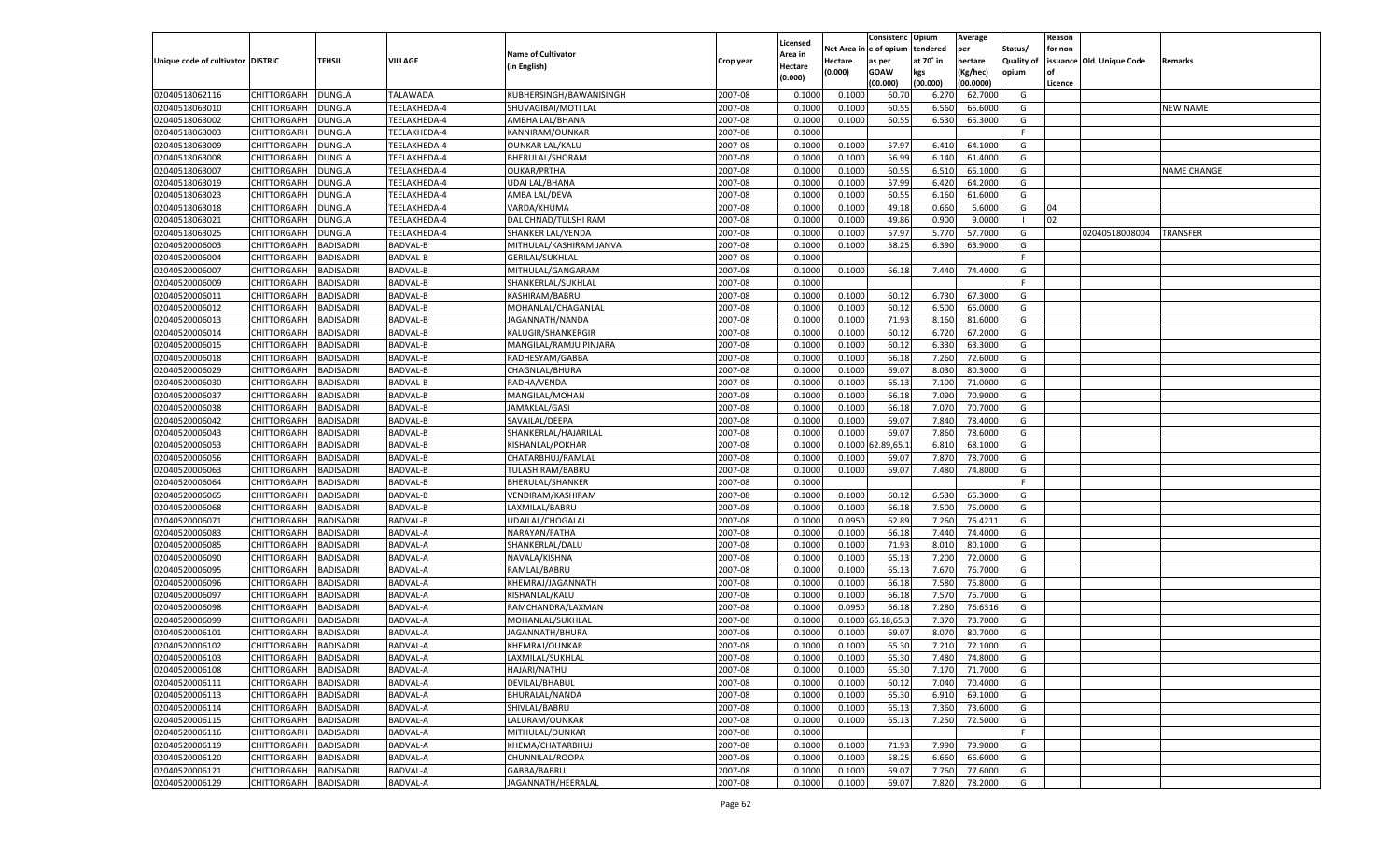| Licensed<br>Net Area i<br>l e of opium<br>tendered<br>per<br>Status/<br>for non<br><b>Name of Cultivator</b><br>Area in<br>at 70° in<br><b>Quality of</b><br>issuance Old Unique Code<br>Unique code of cultivator DISTRIC<br>TEHSIL<br>VILLAGE<br>Crop year<br>Hectare<br>as per<br>hectare<br>Remarks<br>(in English)<br>Hectare<br>(0.000)<br><b>GOAW</b><br>kgs<br>(Kg/hec)<br>opium<br><b>of</b><br>(0.000)<br>(00.000)<br>(00.000)<br>(00.0000)<br>Licence<br>02040518062116<br>CHITTORGARH<br><b>DUNGLA</b><br><b>TALAWADA</b><br>KUBHERSINGH/BAWANISINGH<br>2007-08<br>0.1000<br>0.1000<br>60.70<br>6.270<br>62.7000<br>G<br>02040518063010<br>2007-08<br>60.55<br>CHITTORGARH<br>DUNGLA<br>TEELAKHEDA-4<br>SHUVAGIBAI/MOTI LAL<br>0.1000<br>0.1000<br>6.560<br>65.6000<br>G<br><b>NEW NAME</b><br>02040518063002<br>TEELAKHEDA-4<br>2007-08<br>60.55<br>65.3000<br>CHITTORGARH<br>DUNGLA<br>AMBHA LAL/BHANA<br>0.1000<br>0.1000<br>6.530<br>G<br>02040518063003<br>2007-08<br>CHITTORGARH<br>DUNGLA<br>TEELAKHEDA-4<br>KANNIRAM/OUNKAR<br>0.1000<br>F.<br>02040518063009<br>TEELAKHEDA-4<br>2007-08<br>0.1000<br>57.97<br>64.1000<br>CHITTORGARH<br>DUNGLA<br><b>OUNKAR LAL/KALU</b><br>0.1000<br>6.410<br>G<br>02040518063008<br>2007-08<br>56.99<br>CHITTORGARH<br>DUNGLA<br>TEELAKHEDA-4<br>BHERULAL/SHORAM<br>0.1000<br>0.1000<br>6.140<br>61.4000<br>G<br>02040518063007<br>TEELAKHEDA-4<br><b>OUKAR/PRTHA</b><br>2007-08<br>0.1000<br>60.55<br>6.510<br>CHITTORGARH<br>DUNGLA<br>0.1000<br>65.1000<br>G<br><b>NAME CHANGE</b><br>02040518063019<br>2007-08<br>57.99<br>6.420<br>CHITTORGARH<br>DUNGLA<br>TEELAKHEDA-4<br><b>UDAI LAL/BHANA</b><br>0.1000<br>0.1000<br>64.2000<br>G<br>02040518063023<br>2007-08<br>0.1000<br>60.55<br>CHITTORGARH<br>DUNGLA<br>TEELAKHEDA-4<br>AMBA LAL/DEVA<br>0.1000<br>6.160<br>61.6000<br>G<br>02040518063018<br>2007-08<br>49.18<br>CHITTORGARH<br>DUNGLA<br>TEELAKHEDA-4<br>VARDA/KHUMA<br>0.1000<br>0.1000<br>0.660<br>6.6000<br>G<br>04<br>02040518063021<br>TEELAKHEDA-4<br>2007-08<br>49.86<br>0.900<br>9.0000<br>02<br>CHITTORGARH<br>DUNGLA<br>DAL CHNAD/TULSHI RAM<br>0.1000<br>0.1000<br>- 1<br>02040518063025<br>2007-08<br>57.97<br>5.770<br>57.7000<br>CHITTORGARH<br>DUNGLA<br>TEELAKHEDA-4<br>SHANKER LAL/VENDA<br>0.1000<br>0.1000<br>G<br>02040518008004<br>TRANSFER<br>02040520006003<br><b>BADISADRI</b><br>2007-08<br>0.1000<br>58.25<br>63.9000<br>CHITTORGARH<br>BADVAL-B<br>MITHULAL/KASHIRAM JANVA<br>0.1000<br>6.390<br>G<br>02040520006004<br>CHITTORGARH<br><b>BADISADRI</b><br><b>BADVAL-B</b><br><b>GERILAL/SUKHLAL</b><br>2007-08<br>0.1000<br>F<br>02040520006007<br>CHITTORGARH<br><b>BADISADRI</b><br><b>BADVAL-B</b><br>2007-08<br>0.1000<br>66.18<br>74.4000<br>G<br>MITHULAL/GANGARAM<br>0.1000<br>7.440<br>02040520006009<br>CHITTORGARH<br><b>BADISADRI</b><br><b>BADVAL-B</b><br>2007-08<br>SHANKERLAL/SUKHLAL<br>0.1000<br>F.<br>02040520006011<br>CHITTORGARH<br><b>BADISADRI</b><br><b>BADVAL-B</b><br>2007-08<br>0.1000<br>0.1000<br>60.12<br>6.730<br>67.3000<br>G<br>KASHIRAM/BABRU<br>02040520006012<br>CHITTORGARH<br><b>BADISADRI</b><br><b>BADVAL-B</b><br>2007-08<br>0.1000<br>60.12<br>6.500<br>G<br>MOHANLAL/CHAGANLAI<br>0.1000<br>65.0000<br>02040520006013<br>CHITTORGARH<br><b>BADISADRI</b><br><b>BADVAL-B</b><br>2007-08<br>0.1000<br>0.1000<br>71.93<br>8.160<br>81.6000<br>G<br>JAGANNATH/NANDA<br>02040520006014<br>CHITTORGARH<br><b>BADISADRI</b><br><b>BADVAL-B</b><br>2007-08<br>0.1000<br>60.12<br>6.720<br>67.2000<br><b>KALUGIR/SHANKERGIR</b><br>0.1000<br>G<br>02040520006015<br>CHITTORGARH<br><b>BADISADRI</b><br><b>BADVAL-B</b><br>2007-08<br>0.1000<br>0.1000<br>60.12<br>6.330<br>63.3000<br>G<br>MANGILAL/RAMJU PINJARA<br>02040520006018<br>CHITTORGARH<br><b>BADISADRI</b><br><b>BADVAL-B</b><br>RADHESYAM/GABBA<br>2007-08<br>0.1000<br>0.1000<br>66.18<br>7.260<br>72.6000<br>G<br>02040520006029<br>CHITTORGARH<br><b>BADISADRI</b><br><b>BADVAL-B</b><br>CHAGNLAL/BHURA<br>2007-08<br>0.1000<br>0.1000<br>69.07<br>8.030<br>80.3000<br>G<br>02040520006030<br>CHITTORGARH<br><b>BADISADRI</b><br><b>BADVAL-B</b><br>RADHA/VENDA<br>2007-08<br>0.1000<br>65.13<br>7.100<br>71.0000<br>G<br>0.1000<br>02040520006037<br>CHITTORGARH<br><b>BADISADRI</b><br><b>BADVAL-B</b><br>2007-08<br>0.1000<br>0.1000<br>66.18<br>7.090<br>70.9000<br>G<br>MANGILAL/MOHAN<br>02040520006038<br>CHITTORGARH<br><b>BADISADRI</b><br><b>BADVAL-B</b><br>JAMAKLAL/GASI<br>2007-08<br>0.1000<br>0.1000<br>66.18<br>7.070<br>70.7000<br>G<br>02040520006042<br>CHITTORGARH<br><b>BADISADRI</b><br><b>BADVAL-B</b><br>SAVAILAL/DEEPA<br>2007-08<br>0.1000<br>0.1000<br>69.07<br>7.840<br>78.4000<br>G<br>02040520006043<br><b>BADISADRI</b><br><b>BADVAL-B</b><br>SHANKERLAL/HAJARILAL<br>2007-08<br>0.1000<br>69.07<br>7.860<br>78.6000<br>G<br>CHITTORGARH<br>0.1000<br>02040520006053<br>CHITTORGARH<br><b>BADISADRI</b><br><b>BADVAL-B</b><br>2007-08<br>0.1000<br>0.1000<br>2.89,65.1<br>6.810<br>68.1000<br>G<br><b>KISHANLAL/POKHAR</b><br>02040520006056<br>CHITTORGARH<br><b>BADISADRI</b><br><b>BADVAL-B</b><br>CHATARBHUJ/RAMLAI<br>2007-08<br>0.1000<br>69.07<br>7.870<br>78.7000<br>G<br>0.1000<br>02040520006063<br>CHITTORGARH<br><b>BADISADRI</b><br><b>BADVAL-B</b><br>2007-08<br>0.1000<br>0.1000<br>69.07<br>7.480<br>74.8000<br>G<br>TULASHIRAM/BABRU<br>02040520006064<br><b>BADISADRI</b><br>BADVAL-B<br>2007-08<br>CHITTORGARH<br><b>BHERULAL/SHANKER</b><br>0.1000<br>F<br>02040520006065<br>CHITTORGARH<br><b>BADISADRI</b><br><b>BADVAL-B</b><br>2007-08<br>0.1000<br>0.1000<br>60.12<br>6.530<br>65.3000<br>G<br>VENDIRAM/KASHIRAM<br>02040520006068<br><b>BADISADRI</b><br><b>BADVAL-B</b><br>2007-08<br>66.18<br>7.500<br>75.0000<br>G<br>CHITTORGARH<br>LAXMILAL/BABRU<br>0.1000<br>0.1000<br>02040520006071<br>CHITTORGARH<br><b>BADISADRI</b><br><b>BADVAL-B</b><br>2007-08<br>0.1000<br>0.0950<br>62.89<br>7.260<br>76.4211<br>G<br>UDAILAL/CHOGALAI<br>02040520006083<br><b>BADISADRI</b><br>BADVAL-A<br>2007-08<br>0.1000<br>66.18<br>7.440<br>74.4000<br>CHITTORGARH<br>NARAYAN/FATHA<br>0.1000<br>G<br>02040520006085<br>CHITTORGARH<br><b>BADISADRI</b><br><b>BADVAL-A</b><br>2007-08<br>0.1000<br>0.1000<br>71.93<br>8.010<br>80.1000<br>G<br>SHANKERLAL/DALU<br>02040520006090<br><b>BADISADRI</b><br><b>BADVAL-A</b><br>2007-08<br>65.13<br>7.200<br>72.0000<br>G<br>CHITTORGARH<br>NAVALA/KISHNA<br>0.1000<br>0.1000<br>02040520006095<br>CHITTORGARH<br><b>BADISADRI</b><br><b>BADVAL-A</b><br>2007-08<br>0.1000<br>65.13<br>7.670<br>76.7000<br>G<br>RAMLAL/BABRU<br>0.1000<br>02040520006096<br>BADVAL-A<br>2007-08<br>0.1000<br>66.18<br>7.580<br>75.8000<br>CHITTORGARH<br>BADISADRI<br>KHEMRAJ/JAGANNATH<br>0.1000<br>G<br>02040520006097<br>CHITTORGARH<br><b>BADISADRI</b><br><b>BADVAL-A</b><br>2007-08<br>0.1000<br>0.1000<br>66.18<br>7.570<br>75.7000<br>G<br>KISHANLAL/KALU<br>02040520006098<br><b>BADISADRI</b><br><b>BADVAL-A</b><br>2007-08<br>0.0950<br>66.18<br>7.280<br>76.6316<br>G<br>CHITTORGARH<br>RAMCHANDRA/LAXMAN<br>0.1000<br>02040520006099<br>CHITTORGARH<br><b>BADISADRI</b><br><b>BADVAL-A</b><br>2007-08<br>6.18,65.3<br>7.370<br>73.7000<br>G<br>MOHANLAL/SUKHLAL<br>0.1000<br>0.1000<br>02040520006101<br>2007-08<br>8.070<br>CHITTORGARH<br>BADISADRI<br>BADVAL-A<br>JAGANNATH/BHURA<br>0.1000<br>0.1000<br>69.07<br>80.7000<br>G<br>02040520006102<br><b>BADISADRI</b><br>2007-08<br>0.1000<br>0.1000<br>65.30<br>7.210<br>72.1000<br>G<br>CHITTORGARH<br><b>BADVAL-A</b><br><b>KHEMRAJ/OUNKAR</b><br>02040520006103<br>2007-08<br>0.1000<br>0.1000<br>74.8000<br>G<br>CHITTORGARH<br>BADVAL-A<br>65.30<br>7.480<br><b>BADISADRI</b><br>LAXMILAL/SUKHLAL<br>2007-08<br>CHITTORGARH<br><b>BADISADRI</b><br><b>BADVAL-A</b><br>HAJARI/NATHU<br>0.1000<br>0.1000<br>65.30<br>7.170<br>71.7000<br>G<br>2007-08<br>7.040<br>CHITTORGARH<br><b>BADISADRI</b><br><b>BADVAL-A</b><br>DEVILAL/BHABUL<br>0.1000<br>60.12<br>70.4000<br>G<br>0.1000<br>CHITTORGARH<br><b>BADISADRI</b><br><b>BADVAL-A</b><br>BHURALAL/NANDA<br>2007-08<br>0.1000<br>0.1000<br>65.30<br>6.910<br>69.1000<br>G<br>CHITTORGARH<br><b>BADISADRI</b><br><b>BADVAL-A</b><br>SHIVLAL/BABRU<br>2007-08<br>0.1000<br>65.13<br>7.360<br>73.6000<br>G<br>0.1000<br>2007-08<br>CHITTORGARH<br><b>BADISADRI</b><br><b>BADVAL-A</b><br>LALURAM/OUNKAR<br>0.1000<br>0.1000<br>65.13<br>7.250<br>72.5000<br>G<br>CHITTORGARH<br><b>BADISADRI</b><br><b>BADVAL-A</b><br>MITHULAL/OUNKAR<br>2007-08<br>E<br>0.1000<br>02040520006119<br>CHITTORGARH<br><b>BADISADRI</b><br><b>BADVAL-A</b><br>KHEMA/CHATARBHUJ<br>2007-08<br>0.1000<br>0.1000<br>7.990<br>79.9000<br>G<br>71.93<br>58.25<br>CHITTORGARH<br><b>BADISADRI</b><br><b>BADVAL-A</b><br>CHUNNILAL/ROOPA<br>2007-08<br>0.1000<br>6.660<br>66.6000<br>G<br>0.1000<br>02040520006121<br>CHITTORGARH<br><b>BADISADRI</b><br><b>BADVAL-A</b><br>GABBA/BABRU<br>2007-08<br>0.1000<br>0.1000<br>69.07<br>7.760<br>77.6000<br>G<br>CHITTORGARH<br><b>BADISADRI</b><br><b>BADVAL-A</b><br>JAGANNATH/HEERALAL<br>2007-08<br>0.1000<br>69.07<br>7.820<br>78.2000<br>G<br>0.1000 |                |  |  |  | Consistenc Opium | Average | Reason |  |
|-----------------------------------------------------------------------------------------------------------------------------------------------------------------------------------------------------------------------------------------------------------------------------------------------------------------------------------------------------------------------------------------------------------------------------------------------------------------------------------------------------------------------------------------------------------------------------------------------------------------------------------------------------------------------------------------------------------------------------------------------------------------------------------------------------------------------------------------------------------------------------------------------------------------------------------------------------------------------------------------------------------------------------------------------------------------------------------------------------------------------------------------------------------------------------------------------------------------------------------------------------------------------------------------------------------------------------------------------------------------------------------------------------------------------------------------------------------------------------------------------------------------------------------------------------------------------------------------------------------------------------------------------------------------------------------------------------------------------------------------------------------------------------------------------------------------------------------------------------------------------------------------------------------------------------------------------------------------------------------------------------------------------------------------------------------------------------------------------------------------------------------------------------------------------------------------------------------------------------------------------------------------------------------------------------------------------------------------------------------------------------------------------------------------------------------------------------------------------------------------------------------------------------------------------------------------------------------------------------------------------------------------------------------------------------------------------------------------------------------------------------------------------------------------------------------------------------------------------------------------------------------------------------------------------------------------------------------------------------------------------------------------------------------------------------------------------------------------------------------------------------------------------------------------------------------------------------------------------------------------------------------------------------------------------------------------------------------------------------------------------------------------------------------------------------------------------------------------------------------------------------------------------------------------------------------------------------------------------------------------------------------------------------------------------------------------------------------------------------------------------------------------------------------------------------------------------------------------------------------------------------------------------------------------------------------------------------------------------------------------------------------------------------------------------------------------------------------------------------------------------------------------------------------------------------------------------------------------------------------------------------------------------------------------------------------------------------------------------------------------------------------------------------------------------------------------------------------------------------------------------------------------------------------------------------------------------------------------------------------------------------------------------------------------------------------------------------------------------------------------------------------------------------------------------------------------------------------------------------------------------------------------------------------------------------------------------------------------------------------------------------------------------------------------------------------------------------------------------------------------------------------------------------------------------------------------------------------------------------------------------------------------------------------------------------------------------------------------------------------------------------------------------------------------------------------------------------------------------------------------------------------------------------------------------------------------------------------------------------------------------------------------------------------------------------------------------------------------------------------------------------------------------------------------------------------------------------------------------------------------------------------------------------------------------------------------------------------------------------------------------------------------------------------------------------------------------------------------------------------------------------------------------------------------------------------------------------------------------------------------------------------------------------------------------------------------------------------------------------------------------------------------------------------------------------------------------------------------------------------------------------------------------------------------------------------------------------------------------------------------------------------------------------------------------------------------------------------------------------------------------------------------------------------------------------------------------------------------------------------------------------------------------------------------------------------------------------------------------------------------------------------------------------------------------------------------------------------------------------------------------------------------------------------------------------------------------------------------------------------------------------------------------------------------------------------------------------------------------------------------------------------------------------------------------------------------------------------------------------------------------------------------------------------------------------------------------------------------------------------------------------------------------------------------------------------------------------------------------------------------------------------------------------------------------------------------------------------------------------------------------------------------------------------------------------------------------------------------------------------------------------------------------------------------------------------------------------------------------------------------------------------------------------------------------------------------------------------------------------------------------------------------------------------------------------------------------------------------------------------------------------------------------------------------------------------------------------------------------------------------------------------------------------------------------------------------------------------------------------------------------------------------------------------------------------------------------------------------------------------------------------------------------------------------------------------------------------------------------------------------------------------------------------------------------------------------------------------------------------------------------------------------------------------------------------------------------------------------------------------------------------------------------------------------------------------|----------------|--|--|--|------------------|---------|--------|--|
|                                                                                                                                                                                                                                                                                                                                                                                                                                                                                                                                                                                                                                                                                                                                                                                                                                                                                                                                                                                                                                                                                                                                                                                                                                                                                                                                                                                                                                                                                                                                                                                                                                                                                                                                                                                                                                                                                                                                                                                                                                                                                                                                                                                                                                                                                                                                                                                                                                                                                                                                                                                                                                                                                                                                                                                                                                                                                                                                                                                                                                                                                                                                                                                                                                                                                                                                                                                                                                                                                                                                                                                                                                                                                                                                                                                                                                                                                                                                                                                                                                                                                                                                                                                                                                                                                                                                                                                                                                                                                                                                                                                                                                                                                                                                                                                                                                                                                                                                                                                                                                                                                                                                                                                                                                                                                                                                                                                                                                                                                                                                                                                                                                                                                                                                                                                                                                                                                                                                                                                                                                                                                                                                                                                                                                                                                                                                                                                                                                                                                                                                                                                                                                                                                                                                                                                                                                                                                                                                                                                                                                                                                                                                                                                                                                                                                                                                                                                                                                                                                                                                                                                                                                                                                                                                                                                                                                                                                                                                                                                                                                                                                                                                                                                                                                                                                                                                                                                                                                                                                                                                                                                                                                                                                                                                                                                                                                                                                                                                                                                                                                                                                                                                                                                   |                |  |  |  |                  |         |        |  |
|                                                                                                                                                                                                                                                                                                                                                                                                                                                                                                                                                                                                                                                                                                                                                                                                                                                                                                                                                                                                                                                                                                                                                                                                                                                                                                                                                                                                                                                                                                                                                                                                                                                                                                                                                                                                                                                                                                                                                                                                                                                                                                                                                                                                                                                                                                                                                                                                                                                                                                                                                                                                                                                                                                                                                                                                                                                                                                                                                                                                                                                                                                                                                                                                                                                                                                                                                                                                                                                                                                                                                                                                                                                                                                                                                                                                                                                                                                                                                                                                                                                                                                                                                                                                                                                                                                                                                                                                                                                                                                                                                                                                                                                                                                                                                                                                                                                                                                                                                                                                                                                                                                                                                                                                                                                                                                                                                                                                                                                                                                                                                                                                                                                                                                                                                                                                                                                                                                                                                                                                                                                                                                                                                                                                                                                                                                                                                                                                                                                                                                                                                                                                                                                                                                                                                                                                                                                                                                                                                                                                                                                                                                                                                                                                                                                                                                                                                                                                                                                                                                                                                                                                                                                                                                                                                                                                                                                                                                                                                                                                                                                                                                                                                                                                                                                                                                                                                                                                                                                                                                                                                                                                                                                                                                                                                                                                                                                                                                                                                                                                                                                                                                                                                                                   |                |  |  |  |                  |         |        |  |
|                                                                                                                                                                                                                                                                                                                                                                                                                                                                                                                                                                                                                                                                                                                                                                                                                                                                                                                                                                                                                                                                                                                                                                                                                                                                                                                                                                                                                                                                                                                                                                                                                                                                                                                                                                                                                                                                                                                                                                                                                                                                                                                                                                                                                                                                                                                                                                                                                                                                                                                                                                                                                                                                                                                                                                                                                                                                                                                                                                                                                                                                                                                                                                                                                                                                                                                                                                                                                                                                                                                                                                                                                                                                                                                                                                                                                                                                                                                                                                                                                                                                                                                                                                                                                                                                                                                                                                                                                                                                                                                                                                                                                                                                                                                                                                                                                                                                                                                                                                                                                                                                                                                                                                                                                                                                                                                                                                                                                                                                                                                                                                                                                                                                                                                                                                                                                                                                                                                                                                                                                                                                                                                                                                                                                                                                                                                                                                                                                                                                                                                                                                                                                                                                                                                                                                                                                                                                                                                                                                                                                                                                                                                                                                                                                                                                                                                                                                                                                                                                                                                                                                                                                                                                                                                                                                                                                                                                                                                                                                                                                                                                                                                                                                                                                                                                                                                                                                                                                                                                                                                                                                                                                                                                                                                                                                                                                                                                                                                                                                                                                                                                                                                                                                                   |                |  |  |  |                  |         |        |  |
|                                                                                                                                                                                                                                                                                                                                                                                                                                                                                                                                                                                                                                                                                                                                                                                                                                                                                                                                                                                                                                                                                                                                                                                                                                                                                                                                                                                                                                                                                                                                                                                                                                                                                                                                                                                                                                                                                                                                                                                                                                                                                                                                                                                                                                                                                                                                                                                                                                                                                                                                                                                                                                                                                                                                                                                                                                                                                                                                                                                                                                                                                                                                                                                                                                                                                                                                                                                                                                                                                                                                                                                                                                                                                                                                                                                                                                                                                                                                                                                                                                                                                                                                                                                                                                                                                                                                                                                                                                                                                                                                                                                                                                                                                                                                                                                                                                                                                                                                                                                                                                                                                                                                                                                                                                                                                                                                                                                                                                                                                                                                                                                                                                                                                                                                                                                                                                                                                                                                                                                                                                                                                                                                                                                                                                                                                                                                                                                                                                                                                                                                                                                                                                                                                                                                                                                                                                                                                                                                                                                                                                                                                                                                                                                                                                                                                                                                                                                                                                                                                                                                                                                                                                                                                                                                                                                                                                                                                                                                                                                                                                                                                                                                                                                                                                                                                                                                                                                                                                                                                                                                                                                                                                                                                                                                                                                                                                                                                                                                                                                                                                                                                                                                                                                   |                |  |  |  |                  |         |        |  |
|                                                                                                                                                                                                                                                                                                                                                                                                                                                                                                                                                                                                                                                                                                                                                                                                                                                                                                                                                                                                                                                                                                                                                                                                                                                                                                                                                                                                                                                                                                                                                                                                                                                                                                                                                                                                                                                                                                                                                                                                                                                                                                                                                                                                                                                                                                                                                                                                                                                                                                                                                                                                                                                                                                                                                                                                                                                                                                                                                                                                                                                                                                                                                                                                                                                                                                                                                                                                                                                                                                                                                                                                                                                                                                                                                                                                                                                                                                                                                                                                                                                                                                                                                                                                                                                                                                                                                                                                                                                                                                                                                                                                                                                                                                                                                                                                                                                                                                                                                                                                                                                                                                                                                                                                                                                                                                                                                                                                                                                                                                                                                                                                                                                                                                                                                                                                                                                                                                                                                                                                                                                                                                                                                                                                                                                                                                                                                                                                                                                                                                                                                                                                                                                                                                                                                                                                                                                                                                                                                                                                                                                                                                                                                                                                                                                                                                                                                                                                                                                                                                                                                                                                                                                                                                                                                                                                                                                                                                                                                                                                                                                                                                                                                                                                                                                                                                                                                                                                                                                                                                                                                                                                                                                                                                                                                                                                                                                                                                                                                                                                                                                                                                                                                                                   |                |  |  |  |                  |         |        |  |
|                                                                                                                                                                                                                                                                                                                                                                                                                                                                                                                                                                                                                                                                                                                                                                                                                                                                                                                                                                                                                                                                                                                                                                                                                                                                                                                                                                                                                                                                                                                                                                                                                                                                                                                                                                                                                                                                                                                                                                                                                                                                                                                                                                                                                                                                                                                                                                                                                                                                                                                                                                                                                                                                                                                                                                                                                                                                                                                                                                                                                                                                                                                                                                                                                                                                                                                                                                                                                                                                                                                                                                                                                                                                                                                                                                                                                                                                                                                                                                                                                                                                                                                                                                                                                                                                                                                                                                                                                                                                                                                                                                                                                                                                                                                                                                                                                                                                                                                                                                                                                                                                                                                                                                                                                                                                                                                                                                                                                                                                                                                                                                                                                                                                                                                                                                                                                                                                                                                                                                                                                                                                                                                                                                                                                                                                                                                                                                                                                                                                                                                                                                                                                                                                                                                                                                                                                                                                                                                                                                                                                                                                                                                                                                                                                                                                                                                                                                                                                                                                                                                                                                                                                                                                                                                                                                                                                                                                                                                                                                                                                                                                                                                                                                                                                                                                                                                                                                                                                                                                                                                                                                                                                                                                                                                                                                                                                                                                                                                                                                                                                                                                                                                                                                                   |                |  |  |  |                  |         |        |  |
|                                                                                                                                                                                                                                                                                                                                                                                                                                                                                                                                                                                                                                                                                                                                                                                                                                                                                                                                                                                                                                                                                                                                                                                                                                                                                                                                                                                                                                                                                                                                                                                                                                                                                                                                                                                                                                                                                                                                                                                                                                                                                                                                                                                                                                                                                                                                                                                                                                                                                                                                                                                                                                                                                                                                                                                                                                                                                                                                                                                                                                                                                                                                                                                                                                                                                                                                                                                                                                                                                                                                                                                                                                                                                                                                                                                                                                                                                                                                                                                                                                                                                                                                                                                                                                                                                                                                                                                                                                                                                                                                                                                                                                                                                                                                                                                                                                                                                                                                                                                                                                                                                                                                                                                                                                                                                                                                                                                                                                                                                                                                                                                                                                                                                                                                                                                                                                                                                                                                                                                                                                                                                                                                                                                                                                                                                                                                                                                                                                                                                                                                                                                                                                                                                                                                                                                                                                                                                                                                                                                                                                                                                                                                                                                                                                                                                                                                                                                                                                                                                                                                                                                                                                                                                                                                                                                                                                                                                                                                                                                                                                                                                                                                                                                                                                                                                                                                                                                                                                                                                                                                                                                                                                                                                                                                                                                                                                                                                                                                                                                                                                                                                                                                                                                   |                |  |  |  |                  |         |        |  |
|                                                                                                                                                                                                                                                                                                                                                                                                                                                                                                                                                                                                                                                                                                                                                                                                                                                                                                                                                                                                                                                                                                                                                                                                                                                                                                                                                                                                                                                                                                                                                                                                                                                                                                                                                                                                                                                                                                                                                                                                                                                                                                                                                                                                                                                                                                                                                                                                                                                                                                                                                                                                                                                                                                                                                                                                                                                                                                                                                                                                                                                                                                                                                                                                                                                                                                                                                                                                                                                                                                                                                                                                                                                                                                                                                                                                                                                                                                                                                                                                                                                                                                                                                                                                                                                                                                                                                                                                                                                                                                                                                                                                                                                                                                                                                                                                                                                                                                                                                                                                                                                                                                                                                                                                                                                                                                                                                                                                                                                                                                                                                                                                                                                                                                                                                                                                                                                                                                                                                                                                                                                                                                                                                                                                                                                                                                                                                                                                                                                                                                                                                                                                                                                                                                                                                                                                                                                                                                                                                                                                                                                                                                                                                                                                                                                                                                                                                                                                                                                                                                                                                                                                                                                                                                                                                                                                                                                                                                                                                                                                                                                                                                                                                                                                                                                                                                                                                                                                                                                                                                                                                                                                                                                                                                                                                                                                                                                                                                                                                                                                                                                                                                                                                                                   |                |  |  |  |                  |         |        |  |
|                                                                                                                                                                                                                                                                                                                                                                                                                                                                                                                                                                                                                                                                                                                                                                                                                                                                                                                                                                                                                                                                                                                                                                                                                                                                                                                                                                                                                                                                                                                                                                                                                                                                                                                                                                                                                                                                                                                                                                                                                                                                                                                                                                                                                                                                                                                                                                                                                                                                                                                                                                                                                                                                                                                                                                                                                                                                                                                                                                                                                                                                                                                                                                                                                                                                                                                                                                                                                                                                                                                                                                                                                                                                                                                                                                                                                                                                                                                                                                                                                                                                                                                                                                                                                                                                                                                                                                                                                                                                                                                                                                                                                                                                                                                                                                                                                                                                                                                                                                                                                                                                                                                                                                                                                                                                                                                                                                                                                                                                                                                                                                                                                                                                                                                                                                                                                                                                                                                                                                                                                                                                                                                                                                                                                                                                                                                                                                                                                                                                                                                                                                                                                                                                                                                                                                                                                                                                                                                                                                                                                                                                                                                                                                                                                                                                                                                                                                                                                                                                                                                                                                                                                                                                                                                                                                                                                                                                                                                                                                                                                                                                                                                                                                                                                                                                                                                                                                                                                                                                                                                                                                                                                                                                                                                                                                                                                                                                                                                                                                                                                                                                                                                                                                                   |                |  |  |  |                  |         |        |  |
|                                                                                                                                                                                                                                                                                                                                                                                                                                                                                                                                                                                                                                                                                                                                                                                                                                                                                                                                                                                                                                                                                                                                                                                                                                                                                                                                                                                                                                                                                                                                                                                                                                                                                                                                                                                                                                                                                                                                                                                                                                                                                                                                                                                                                                                                                                                                                                                                                                                                                                                                                                                                                                                                                                                                                                                                                                                                                                                                                                                                                                                                                                                                                                                                                                                                                                                                                                                                                                                                                                                                                                                                                                                                                                                                                                                                                                                                                                                                                                                                                                                                                                                                                                                                                                                                                                                                                                                                                                                                                                                                                                                                                                                                                                                                                                                                                                                                                                                                                                                                                                                                                                                                                                                                                                                                                                                                                                                                                                                                                                                                                                                                                                                                                                                                                                                                                                                                                                                                                                                                                                                                                                                                                                                                                                                                                                                                                                                                                                                                                                                                                                                                                                                                                                                                                                                                                                                                                                                                                                                                                                                                                                                                                                                                                                                                                                                                                                                                                                                                                                                                                                                                                                                                                                                                                                                                                                                                                                                                                                                                                                                                                                                                                                                                                                                                                                                                                                                                                                                                                                                                                                                                                                                                                                                                                                                                                                                                                                                                                                                                                                                                                                                                                                                   |                |  |  |  |                  |         |        |  |
|                                                                                                                                                                                                                                                                                                                                                                                                                                                                                                                                                                                                                                                                                                                                                                                                                                                                                                                                                                                                                                                                                                                                                                                                                                                                                                                                                                                                                                                                                                                                                                                                                                                                                                                                                                                                                                                                                                                                                                                                                                                                                                                                                                                                                                                                                                                                                                                                                                                                                                                                                                                                                                                                                                                                                                                                                                                                                                                                                                                                                                                                                                                                                                                                                                                                                                                                                                                                                                                                                                                                                                                                                                                                                                                                                                                                                                                                                                                                                                                                                                                                                                                                                                                                                                                                                                                                                                                                                                                                                                                                                                                                                                                                                                                                                                                                                                                                                                                                                                                                                                                                                                                                                                                                                                                                                                                                                                                                                                                                                                                                                                                                                                                                                                                                                                                                                                                                                                                                                                                                                                                                                                                                                                                                                                                                                                                                                                                                                                                                                                                                                                                                                                                                                                                                                                                                                                                                                                                                                                                                                                                                                                                                                                                                                                                                                                                                                                                                                                                                                                                                                                                                                                                                                                                                                                                                                                                                                                                                                                                                                                                                                                                                                                                                                                                                                                                                                                                                                                                                                                                                                                                                                                                                                                                                                                                                                                                                                                                                                                                                                                                                                                                                                                                   |                |  |  |  |                  |         |        |  |
|                                                                                                                                                                                                                                                                                                                                                                                                                                                                                                                                                                                                                                                                                                                                                                                                                                                                                                                                                                                                                                                                                                                                                                                                                                                                                                                                                                                                                                                                                                                                                                                                                                                                                                                                                                                                                                                                                                                                                                                                                                                                                                                                                                                                                                                                                                                                                                                                                                                                                                                                                                                                                                                                                                                                                                                                                                                                                                                                                                                                                                                                                                                                                                                                                                                                                                                                                                                                                                                                                                                                                                                                                                                                                                                                                                                                                                                                                                                                                                                                                                                                                                                                                                                                                                                                                                                                                                                                                                                                                                                                                                                                                                                                                                                                                                                                                                                                                                                                                                                                                                                                                                                                                                                                                                                                                                                                                                                                                                                                                                                                                                                                                                                                                                                                                                                                                                                                                                                                                                                                                                                                                                                                                                                                                                                                                                                                                                                                                                                                                                                                                                                                                                                                                                                                                                                                                                                                                                                                                                                                                                                                                                                                                                                                                                                                                                                                                                                                                                                                                                                                                                                                                                                                                                                                                                                                                                                                                                                                                                                                                                                                                                                                                                                                                                                                                                                                                                                                                                                                                                                                                                                                                                                                                                                                                                                                                                                                                                                                                                                                                                                                                                                                                                                   |                |  |  |  |                  |         |        |  |
|                                                                                                                                                                                                                                                                                                                                                                                                                                                                                                                                                                                                                                                                                                                                                                                                                                                                                                                                                                                                                                                                                                                                                                                                                                                                                                                                                                                                                                                                                                                                                                                                                                                                                                                                                                                                                                                                                                                                                                                                                                                                                                                                                                                                                                                                                                                                                                                                                                                                                                                                                                                                                                                                                                                                                                                                                                                                                                                                                                                                                                                                                                                                                                                                                                                                                                                                                                                                                                                                                                                                                                                                                                                                                                                                                                                                                                                                                                                                                                                                                                                                                                                                                                                                                                                                                                                                                                                                                                                                                                                                                                                                                                                                                                                                                                                                                                                                                                                                                                                                                                                                                                                                                                                                                                                                                                                                                                                                                                                                                                                                                                                                                                                                                                                                                                                                                                                                                                                                                                                                                                                                                                                                                                                                                                                                                                                                                                                                                                                                                                                                                                                                                                                                                                                                                                                                                                                                                                                                                                                                                                                                                                                                                                                                                                                                                                                                                                                                                                                                                                                                                                                                                                                                                                                                                                                                                                                                                                                                                                                                                                                                                                                                                                                                                                                                                                                                                                                                                                                                                                                                                                                                                                                                                                                                                                                                                                                                                                                                                                                                                                                                                                                                                                                   |                |  |  |  |                  |         |        |  |
|                                                                                                                                                                                                                                                                                                                                                                                                                                                                                                                                                                                                                                                                                                                                                                                                                                                                                                                                                                                                                                                                                                                                                                                                                                                                                                                                                                                                                                                                                                                                                                                                                                                                                                                                                                                                                                                                                                                                                                                                                                                                                                                                                                                                                                                                                                                                                                                                                                                                                                                                                                                                                                                                                                                                                                                                                                                                                                                                                                                                                                                                                                                                                                                                                                                                                                                                                                                                                                                                                                                                                                                                                                                                                                                                                                                                                                                                                                                                                                                                                                                                                                                                                                                                                                                                                                                                                                                                                                                                                                                                                                                                                                                                                                                                                                                                                                                                                                                                                                                                                                                                                                                                                                                                                                                                                                                                                                                                                                                                                                                                                                                                                                                                                                                                                                                                                                                                                                                                                                                                                                                                                                                                                                                                                                                                                                                                                                                                                                                                                                                                                                                                                                                                                                                                                                                                                                                                                                                                                                                                                                                                                                                                                                                                                                                                                                                                                                                                                                                                                                                                                                                                                                                                                                                                                                                                                                                                                                                                                                                                                                                                                                                                                                                                                                                                                                                                                                                                                                                                                                                                                                                                                                                                                                                                                                                                                                                                                                                                                                                                                                                                                                                                                                                   |                |  |  |  |                  |         |        |  |
|                                                                                                                                                                                                                                                                                                                                                                                                                                                                                                                                                                                                                                                                                                                                                                                                                                                                                                                                                                                                                                                                                                                                                                                                                                                                                                                                                                                                                                                                                                                                                                                                                                                                                                                                                                                                                                                                                                                                                                                                                                                                                                                                                                                                                                                                                                                                                                                                                                                                                                                                                                                                                                                                                                                                                                                                                                                                                                                                                                                                                                                                                                                                                                                                                                                                                                                                                                                                                                                                                                                                                                                                                                                                                                                                                                                                                                                                                                                                                                                                                                                                                                                                                                                                                                                                                                                                                                                                                                                                                                                                                                                                                                                                                                                                                                                                                                                                                                                                                                                                                                                                                                                                                                                                                                                                                                                                                                                                                                                                                                                                                                                                                                                                                                                                                                                                                                                                                                                                                                                                                                                                                                                                                                                                                                                                                                                                                                                                                                                                                                                                                                                                                                                                                                                                                                                                                                                                                                                                                                                                                                                                                                                                                                                                                                                                                                                                                                                                                                                                                                                                                                                                                                                                                                                                                                                                                                                                                                                                                                                                                                                                                                                                                                                                                                                                                                                                                                                                                                                                                                                                                                                                                                                                                                                                                                                                                                                                                                                                                                                                                                                                                                                                                                                   |                |  |  |  |                  |         |        |  |
|                                                                                                                                                                                                                                                                                                                                                                                                                                                                                                                                                                                                                                                                                                                                                                                                                                                                                                                                                                                                                                                                                                                                                                                                                                                                                                                                                                                                                                                                                                                                                                                                                                                                                                                                                                                                                                                                                                                                                                                                                                                                                                                                                                                                                                                                                                                                                                                                                                                                                                                                                                                                                                                                                                                                                                                                                                                                                                                                                                                                                                                                                                                                                                                                                                                                                                                                                                                                                                                                                                                                                                                                                                                                                                                                                                                                                                                                                                                                                                                                                                                                                                                                                                                                                                                                                                                                                                                                                                                                                                                                                                                                                                                                                                                                                                                                                                                                                                                                                                                                                                                                                                                                                                                                                                                                                                                                                                                                                                                                                                                                                                                                                                                                                                                                                                                                                                                                                                                                                                                                                                                                                                                                                                                                                                                                                                                                                                                                                                                                                                                                                                                                                                                                                                                                                                                                                                                                                                                                                                                                                                                                                                                                                                                                                                                                                                                                                                                                                                                                                                                                                                                                                                                                                                                                                                                                                                                                                                                                                                                                                                                                                                                                                                                                                                                                                                                                                                                                                                                                                                                                                                                                                                                                                                                                                                                                                                                                                                                                                                                                                                                                                                                                                                                   |                |  |  |  |                  |         |        |  |
|                                                                                                                                                                                                                                                                                                                                                                                                                                                                                                                                                                                                                                                                                                                                                                                                                                                                                                                                                                                                                                                                                                                                                                                                                                                                                                                                                                                                                                                                                                                                                                                                                                                                                                                                                                                                                                                                                                                                                                                                                                                                                                                                                                                                                                                                                                                                                                                                                                                                                                                                                                                                                                                                                                                                                                                                                                                                                                                                                                                                                                                                                                                                                                                                                                                                                                                                                                                                                                                                                                                                                                                                                                                                                                                                                                                                                                                                                                                                                                                                                                                                                                                                                                                                                                                                                                                                                                                                                                                                                                                                                                                                                                                                                                                                                                                                                                                                                                                                                                                                                                                                                                                                                                                                                                                                                                                                                                                                                                                                                                                                                                                                                                                                                                                                                                                                                                                                                                                                                                                                                                                                                                                                                                                                                                                                                                                                                                                                                                                                                                                                                                                                                                                                                                                                                                                                                                                                                                                                                                                                                                                                                                                                                                                                                                                                                                                                                                                                                                                                                                                                                                                                                                                                                                                                                                                                                                                                                                                                                                                                                                                                                                                                                                                                                                                                                                                                                                                                                                                                                                                                                                                                                                                                                                                                                                                                                                                                                                                                                                                                                                                                                                                                                                                   |                |  |  |  |                  |         |        |  |
|                                                                                                                                                                                                                                                                                                                                                                                                                                                                                                                                                                                                                                                                                                                                                                                                                                                                                                                                                                                                                                                                                                                                                                                                                                                                                                                                                                                                                                                                                                                                                                                                                                                                                                                                                                                                                                                                                                                                                                                                                                                                                                                                                                                                                                                                                                                                                                                                                                                                                                                                                                                                                                                                                                                                                                                                                                                                                                                                                                                                                                                                                                                                                                                                                                                                                                                                                                                                                                                                                                                                                                                                                                                                                                                                                                                                                                                                                                                                                                                                                                                                                                                                                                                                                                                                                                                                                                                                                                                                                                                                                                                                                                                                                                                                                                                                                                                                                                                                                                                                                                                                                                                                                                                                                                                                                                                                                                                                                                                                                                                                                                                                                                                                                                                                                                                                                                                                                                                                                                                                                                                                                                                                                                                                                                                                                                                                                                                                                                                                                                                                                                                                                                                                                                                                                                                                                                                                                                                                                                                                                                                                                                                                                                                                                                                                                                                                                                                                                                                                                                                                                                                                                                                                                                                                                                                                                                                                                                                                                                                                                                                                                                                                                                                                                                                                                                                                                                                                                                                                                                                                                                                                                                                                                                                                                                                                                                                                                                                                                                                                                                                                                                                                                                                   |                |  |  |  |                  |         |        |  |
|                                                                                                                                                                                                                                                                                                                                                                                                                                                                                                                                                                                                                                                                                                                                                                                                                                                                                                                                                                                                                                                                                                                                                                                                                                                                                                                                                                                                                                                                                                                                                                                                                                                                                                                                                                                                                                                                                                                                                                                                                                                                                                                                                                                                                                                                                                                                                                                                                                                                                                                                                                                                                                                                                                                                                                                                                                                                                                                                                                                                                                                                                                                                                                                                                                                                                                                                                                                                                                                                                                                                                                                                                                                                                                                                                                                                                                                                                                                                                                                                                                                                                                                                                                                                                                                                                                                                                                                                                                                                                                                                                                                                                                                                                                                                                                                                                                                                                                                                                                                                                                                                                                                                                                                                                                                                                                                                                                                                                                                                                                                                                                                                                                                                                                                                                                                                                                                                                                                                                                                                                                                                                                                                                                                                                                                                                                                                                                                                                                                                                                                                                                                                                                                                                                                                                                                                                                                                                                                                                                                                                                                                                                                                                                                                                                                                                                                                                                                                                                                                                                                                                                                                                                                                                                                                                                                                                                                                                                                                                                                                                                                                                                                                                                                                                                                                                                                                                                                                                                                                                                                                                                                                                                                                                                                                                                                                                                                                                                                                                                                                                                                                                                                                                                                   |                |  |  |  |                  |         |        |  |
|                                                                                                                                                                                                                                                                                                                                                                                                                                                                                                                                                                                                                                                                                                                                                                                                                                                                                                                                                                                                                                                                                                                                                                                                                                                                                                                                                                                                                                                                                                                                                                                                                                                                                                                                                                                                                                                                                                                                                                                                                                                                                                                                                                                                                                                                                                                                                                                                                                                                                                                                                                                                                                                                                                                                                                                                                                                                                                                                                                                                                                                                                                                                                                                                                                                                                                                                                                                                                                                                                                                                                                                                                                                                                                                                                                                                                                                                                                                                                                                                                                                                                                                                                                                                                                                                                                                                                                                                                                                                                                                                                                                                                                                                                                                                                                                                                                                                                                                                                                                                                                                                                                                                                                                                                                                                                                                                                                                                                                                                                                                                                                                                                                                                                                                                                                                                                                                                                                                                                                                                                                                                                                                                                                                                                                                                                                                                                                                                                                                                                                                                                                                                                                                                                                                                                                                                                                                                                                                                                                                                                                                                                                                                                                                                                                                                                                                                                                                                                                                                                                                                                                                                                                                                                                                                                                                                                                                                                                                                                                                                                                                                                                                                                                                                                                                                                                                                                                                                                                                                                                                                                                                                                                                                                                                                                                                                                                                                                                                                                                                                                                                                                                                                                                                   |                |  |  |  |                  |         |        |  |
|                                                                                                                                                                                                                                                                                                                                                                                                                                                                                                                                                                                                                                                                                                                                                                                                                                                                                                                                                                                                                                                                                                                                                                                                                                                                                                                                                                                                                                                                                                                                                                                                                                                                                                                                                                                                                                                                                                                                                                                                                                                                                                                                                                                                                                                                                                                                                                                                                                                                                                                                                                                                                                                                                                                                                                                                                                                                                                                                                                                                                                                                                                                                                                                                                                                                                                                                                                                                                                                                                                                                                                                                                                                                                                                                                                                                                                                                                                                                                                                                                                                                                                                                                                                                                                                                                                                                                                                                                                                                                                                                                                                                                                                                                                                                                                                                                                                                                                                                                                                                                                                                                                                                                                                                                                                                                                                                                                                                                                                                                                                                                                                                                                                                                                                                                                                                                                                                                                                                                                                                                                                                                                                                                                                                                                                                                                                                                                                                                                                                                                                                                                                                                                                                                                                                                                                                                                                                                                                                                                                                                                                                                                                                                                                                                                                                                                                                                                                                                                                                                                                                                                                                                                                                                                                                                                                                                                                                                                                                                                                                                                                                                                                                                                                                                                                                                                                                                                                                                                                                                                                                                                                                                                                                                                                                                                                                                                                                                                                                                                                                                                                                                                                                                                                   |                |  |  |  |                  |         |        |  |
|                                                                                                                                                                                                                                                                                                                                                                                                                                                                                                                                                                                                                                                                                                                                                                                                                                                                                                                                                                                                                                                                                                                                                                                                                                                                                                                                                                                                                                                                                                                                                                                                                                                                                                                                                                                                                                                                                                                                                                                                                                                                                                                                                                                                                                                                                                                                                                                                                                                                                                                                                                                                                                                                                                                                                                                                                                                                                                                                                                                                                                                                                                                                                                                                                                                                                                                                                                                                                                                                                                                                                                                                                                                                                                                                                                                                                                                                                                                                                                                                                                                                                                                                                                                                                                                                                                                                                                                                                                                                                                                                                                                                                                                                                                                                                                                                                                                                                                                                                                                                                                                                                                                                                                                                                                                                                                                                                                                                                                                                                                                                                                                                                                                                                                                                                                                                                                                                                                                                                                                                                                                                                                                                                                                                                                                                                                                                                                                                                                                                                                                                                                                                                                                                                                                                                                                                                                                                                                                                                                                                                                                                                                                                                                                                                                                                                                                                                                                                                                                                                                                                                                                                                                                                                                                                                                                                                                                                                                                                                                                                                                                                                                                                                                                                                                                                                                                                                                                                                                                                                                                                                                                                                                                                                                                                                                                                                                                                                                                                                                                                                                                                                                                                                                                   |                |  |  |  |                  |         |        |  |
|                                                                                                                                                                                                                                                                                                                                                                                                                                                                                                                                                                                                                                                                                                                                                                                                                                                                                                                                                                                                                                                                                                                                                                                                                                                                                                                                                                                                                                                                                                                                                                                                                                                                                                                                                                                                                                                                                                                                                                                                                                                                                                                                                                                                                                                                                                                                                                                                                                                                                                                                                                                                                                                                                                                                                                                                                                                                                                                                                                                                                                                                                                                                                                                                                                                                                                                                                                                                                                                                                                                                                                                                                                                                                                                                                                                                                                                                                                                                                                                                                                                                                                                                                                                                                                                                                                                                                                                                                                                                                                                                                                                                                                                                                                                                                                                                                                                                                                                                                                                                                                                                                                                                                                                                                                                                                                                                                                                                                                                                                                                                                                                                                                                                                                                                                                                                                                                                                                                                                                                                                                                                                                                                                                                                                                                                                                                                                                                                                                                                                                                                                                                                                                                                                                                                                                                                                                                                                                                                                                                                                                                                                                                                                                                                                                                                                                                                                                                                                                                                                                                                                                                                                                                                                                                                                                                                                                                                                                                                                                                                                                                                                                                                                                                                                                                                                                                                                                                                                                                                                                                                                                                                                                                                                                                                                                                                                                                                                                                                                                                                                                                                                                                                                                                   |                |  |  |  |                  |         |        |  |
|                                                                                                                                                                                                                                                                                                                                                                                                                                                                                                                                                                                                                                                                                                                                                                                                                                                                                                                                                                                                                                                                                                                                                                                                                                                                                                                                                                                                                                                                                                                                                                                                                                                                                                                                                                                                                                                                                                                                                                                                                                                                                                                                                                                                                                                                                                                                                                                                                                                                                                                                                                                                                                                                                                                                                                                                                                                                                                                                                                                                                                                                                                                                                                                                                                                                                                                                                                                                                                                                                                                                                                                                                                                                                                                                                                                                                                                                                                                                                                                                                                                                                                                                                                                                                                                                                                                                                                                                                                                                                                                                                                                                                                                                                                                                                                                                                                                                                                                                                                                                                                                                                                                                                                                                                                                                                                                                                                                                                                                                                                                                                                                                                                                                                                                                                                                                                                                                                                                                                                                                                                                                                                                                                                                                                                                                                                                                                                                                                                                                                                                                                                                                                                                                                                                                                                                                                                                                                                                                                                                                                                                                                                                                                                                                                                                                                                                                                                                                                                                                                                                                                                                                                                                                                                                                                                                                                                                                                                                                                                                                                                                                                                                                                                                                                                                                                                                                                                                                                                                                                                                                                                                                                                                                                                                                                                                                                                                                                                                                                                                                                                                                                                                                                                                   |                |  |  |  |                  |         |        |  |
|                                                                                                                                                                                                                                                                                                                                                                                                                                                                                                                                                                                                                                                                                                                                                                                                                                                                                                                                                                                                                                                                                                                                                                                                                                                                                                                                                                                                                                                                                                                                                                                                                                                                                                                                                                                                                                                                                                                                                                                                                                                                                                                                                                                                                                                                                                                                                                                                                                                                                                                                                                                                                                                                                                                                                                                                                                                                                                                                                                                                                                                                                                                                                                                                                                                                                                                                                                                                                                                                                                                                                                                                                                                                                                                                                                                                                                                                                                                                                                                                                                                                                                                                                                                                                                                                                                                                                                                                                                                                                                                                                                                                                                                                                                                                                                                                                                                                                                                                                                                                                                                                                                                                                                                                                                                                                                                                                                                                                                                                                                                                                                                                                                                                                                                                                                                                                                                                                                                                                                                                                                                                                                                                                                                                                                                                                                                                                                                                                                                                                                                                                                                                                                                                                                                                                                                                                                                                                                                                                                                                                                                                                                                                                                                                                                                                                                                                                                                                                                                                                                                                                                                                                                                                                                                                                                                                                                                                                                                                                                                                                                                                                                                                                                                                                                                                                                                                                                                                                                                                                                                                                                                                                                                                                                                                                                                                                                                                                                                                                                                                                                                                                                                                                                                   |                |  |  |  |                  |         |        |  |
|                                                                                                                                                                                                                                                                                                                                                                                                                                                                                                                                                                                                                                                                                                                                                                                                                                                                                                                                                                                                                                                                                                                                                                                                                                                                                                                                                                                                                                                                                                                                                                                                                                                                                                                                                                                                                                                                                                                                                                                                                                                                                                                                                                                                                                                                                                                                                                                                                                                                                                                                                                                                                                                                                                                                                                                                                                                                                                                                                                                                                                                                                                                                                                                                                                                                                                                                                                                                                                                                                                                                                                                                                                                                                                                                                                                                                                                                                                                                                                                                                                                                                                                                                                                                                                                                                                                                                                                                                                                                                                                                                                                                                                                                                                                                                                                                                                                                                                                                                                                                                                                                                                                                                                                                                                                                                                                                                                                                                                                                                                                                                                                                                                                                                                                                                                                                                                                                                                                                                                                                                                                                                                                                                                                                                                                                                                                                                                                                                                                                                                                                                                                                                                                                                                                                                                                                                                                                                                                                                                                                                                                                                                                                                                                                                                                                                                                                                                                                                                                                                                                                                                                                                                                                                                                                                                                                                                                                                                                                                                                                                                                                                                                                                                                                                                                                                                                                                                                                                                                                                                                                                                                                                                                                                                                                                                                                                                                                                                                                                                                                                                                                                                                                                                                   |                |  |  |  |                  |         |        |  |
|                                                                                                                                                                                                                                                                                                                                                                                                                                                                                                                                                                                                                                                                                                                                                                                                                                                                                                                                                                                                                                                                                                                                                                                                                                                                                                                                                                                                                                                                                                                                                                                                                                                                                                                                                                                                                                                                                                                                                                                                                                                                                                                                                                                                                                                                                                                                                                                                                                                                                                                                                                                                                                                                                                                                                                                                                                                                                                                                                                                                                                                                                                                                                                                                                                                                                                                                                                                                                                                                                                                                                                                                                                                                                                                                                                                                                                                                                                                                                                                                                                                                                                                                                                                                                                                                                                                                                                                                                                                                                                                                                                                                                                                                                                                                                                                                                                                                                                                                                                                                                                                                                                                                                                                                                                                                                                                                                                                                                                                                                                                                                                                                                                                                                                                                                                                                                                                                                                                                                                                                                                                                                                                                                                                                                                                                                                                                                                                                                                                                                                                                                                                                                                                                                                                                                                                                                                                                                                                                                                                                                                                                                                                                                                                                                                                                                                                                                                                                                                                                                                                                                                                                                                                                                                                                                                                                                                                                                                                                                                                                                                                                                                                                                                                                                                                                                                                                                                                                                                                                                                                                                                                                                                                                                                                                                                                                                                                                                                                                                                                                                                                                                                                                                                                   |                |  |  |  |                  |         |        |  |
|                                                                                                                                                                                                                                                                                                                                                                                                                                                                                                                                                                                                                                                                                                                                                                                                                                                                                                                                                                                                                                                                                                                                                                                                                                                                                                                                                                                                                                                                                                                                                                                                                                                                                                                                                                                                                                                                                                                                                                                                                                                                                                                                                                                                                                                                                                                                                                                                                                                                                                                                                                                                                                                                                                                                                                                                                                                                                                                                                                                                                                                                                                                                                                                                                                                                                                                                                                                                                                                                                                                                                                                                                                                                                                                                                                                                                                                                                                                                                                                                                                                                                                                                                                                                                                                                                                                                                                                                                                                                                                                                                                                                                                                                                                                                                                                                                                                                                                                                                                                                                                                                                                                                                                                                                                                                                                                                                                                                                                                                                                                                                                                                                                                                                                                                                                                                                                                                                                                                                                                                                                                                                                                                                                                                                                                                                                                                                                                                                                                                                                                                                                                                                                                                                                                                                                                                                                                                                                                                                                                                                                                                                                                                                                                                                                                                                                                                                                                                                                                                                                                                                                                                                                                                                                                                                                                                                                                                                                                                                                                                                                                                                                                                                                                                                                                                                                                                                                                                                                                                                                                                                                                                                                                                                                                                                                                                                                                                                                                                                                                                                                                                                                                                                                                   |                |  |  |  |                  |         |        |  |
|                                                                                                                                                                                                                                                                                                                                                                                                                                                                                                                                                                                                                                                                                                                                                                                                                                                                                                                                                                                                                                                                                                                                                                                                                                                                                                                                                                                                                                                                                                                                                                                                                                                                                                                                                                                                                                                                                                                                                                                                                                                                                                                                                                                                                                                                                                                                                                                                                                                                                                                                                                                                                                                                                                                                                                                                                                                                                                                                                                                                                                                                                                                                                                                                                                                                                                                                                                                                                                                                                                                                                                                                                                                                                                                                                                                                                                                                                                                                                                                                                                                                                                                                                                                                                                                                                                                                                                                                                                                                                                                                                                                                                                                                                                                                                                                                                                                                                                                                                                                                                                                                                                                                                                                                                                                                                                                                                                                                                                                                                                                                                                                                                                                                                                                                                                                                                                                                                                                                                                                                                                                                                                                                                                                                                                                                                                                                                                                                                                                                                                                                                                                                                                                                                                                                                                                                                                                                                                                                                                                                                                                                                                                                                                                                                                                                                                                                                                                                                                                                                                                                                                                                                                                                                                                                                                                                                                                                                                                                                                                                                                                                                                                                                                                                                                                                                                                                                                                                                                                                                                                                                                                                                                                                                                                                                                                                                                                                                                                                                                                                                                                                                                                                                                                   |                |  |  |  |                  |         |        |  |
|                                                                                                                                                                                                                                                                                                                                                                                                                                                                                                                                                                                                                                                                                                                                                                                                                                                                                                                                                                                                                                                                                                                                                                                                                                                                                                                                                                                                                                                                                                                                                                                                                                                                                                                                                                                                                                                                                                                                                                                                                                                                                                                                                                                                                                                                                                                                                                                                                                                                                                                                                                                                                                                                                                                                                                                                                                                                                                                                                                                                                                                                                                                                                                                                                                                                                                                                                                                                                                                                                                                                                                                                                                                                                                                                                                                                                                                                                                                                                                                                                                                                                                                                                                                                                                                                                                                                                                                                                                                                                                                                                                                                                                                                                                                                                                                                                                                                                                                                                                                                                                                                                                                                                                                                                                                                                                                                                                                                                                                                                                                                                                                                                                                                                                                                                                                                                                                                                                                                                                                                                                                                                                                                                                                                                                                                                                                                                                                                                                                                                                                                                                                                                                                                                                                                                                                                                                                                                                                                                                                                                                                                                                                                                                                                                                                                                                                                                                                                                                                                                                                                                                                                                                                                                                                                                                                                                                                                                                                                                                                                                                                                                                                                                                                                                                                                                                                                                                                                                                                                                                                                                                                                                                                                                                                                                                                                                                                                                                                                                                                                                                                                                                                                                                                   |                |  |  |  |                  |         |        |  |
|                                                                                                                                                                                                                                                                                                                                                                                                                                                                                                                                                                                                                                                                                                                                                                                                                                                                                                                                                                                                                                                                                                                                                                                                                                                                                                                                                                                                                                                                                                                                                                                                                                                                                                                                                                                                                                                                                                                                                                                                                                                                                                                                                                                                                                                                                                                                                                                                                                                                                                                                                                                                                                                                                                                                                                                                                                                                                                                                                                                                                                                                                                                                                                                                                                                                                                                                                                                                                                                                                                                                                                                                                                                                                                                                                                                                                                                                                                                                                                                                                                                                                                                                                                                                                                                                                                                                                                                                                                                                                                                                                                                                                                                                                                                                                                                                                                                                                                                                                                                                                                                                                                                                                                                                                                                                                                                                                                                                                                                                                                                                                                                                                                                                                                                                                                                                                                                                                                                                                                                                                                                                                                                                                                                                                                                                                                                                                                                                                                                                                                                                                                                                                                                                                                                                                                                                                                                                                                                                                                                                                                                                                                                                                                                                                                                                                                                                                                                                                                                                                                                                                                                                                                                                                                                                                                                                                                                                                                                                                                                                                                                                                                                                                                                                                                                                                                                                                                                                                                                                                                                                                                                                                                                                                                                                                                                                                                                                                                                                                                                                                                                                                                                                                                                   |                |  |  |  |                  |         |        |  |
|                                                                                                                                                                                                                                                                                                                                                                                                                                                                                                                                                                                                                                                                                                                                                                                                                                                                                                                                                                                                                                                                                                                                                                                                                                                                                                                                                                                                                                                                                                                                                                                                                                                                                                                                                                                                                                                                                                                                                                                                                                                                                                                                                                                                                                                                                                                                                                                                                                                                                                                                                                                                                                                                                                                                                                                                                                                                                                                                                                                                                                                                                                                                                                                                                                                                                                                                                                                                                                                                                                                                                                                                                                                                                                                                                                                                                                                                                                                                                                                                                                                                                                                                                                                                                                                                                                                                                                                                                                                                                                                                                                                                                                                                                                                                                                                                                                                                                                                                                                                                                                                                                                                                                                                                                                                                                                                                                                                                                                                                                                                                                                                                                                                                                                                                                                                                                                                                                                                                                                                                                                                                                                                                                                                                                                                                                                                                                                                                                                                                                                                                                                                                                                                                                                                                                                                                                                                                                                                                                                                                                                                                                                                                                                                                                                                                                                                                                                                                                                                                                                                                                                                                                                                                                                                                                                                                                                                                                                                                                                                                                                                                                                                                                                                                                                                                                                                                                                                                                                                                                                                                                                                                                                                                                                                                                                                                                                                                                                                                                                                                                                                                                                                                                                                   |                |  |  |  |                  |         |        |  |
|                                                                                                                                                                                                                                                                                                                                                                                                                                                                                                                                                                                                                                                                                                                                                                                                                                                                                                                                                                                                                                                                                                                                                                                                                                                                                                                                                                                                                                                                                                                                                                                                                                                                                                                                                                                                                                                                                                                                                                                                                                                                                                                                                                                                                                                                                                                                                                                                                                                                                                                                                                                                                                                                                                                                                                                                                                                                                                                                                                                                                                                                                                                                                                                                                                                                                                                                                                                                                                                                                                                                                                                                                                                                                                                                                                                                                                                                                                                                                                                                                                                                                                                                                                                                                                                                                                                                                                                                                                                                                                                                                                                                                                                                                                                                                                                                                                                                                                                                                                                                                                                                                                                                                                                                                                                                                                                                                                                                                                                                                                                                                                                                                                                                                                                                                                                                                                                                                                                                                                                                                                                                                                                                                                                                                                                                                                                                                                                                                                                                                                                                                                                                                                                                                                                                                                                                                                                                                                                                                                                                                                                                                                                                                                                                                                                                                                                                                                                                                                                                                                                                                                                                                                                                                                                                                                                                                                                                                                                                                                                                                                                                                                                                                                                                                                                                                                                                                                                                                                                                                                                                                                                                                                                                                                                                                                                                                                                                                                                                                                                                                                                                                                                                                                                   |                |  |  |  |                  |         |        |  |
|                                                                                                                                                                                                                                                                                                                                                                                                                                                                                                                                                                                                                                                                                                                                                                                                                                                                                                                                                                                                                                                                                                                                                                                                                                                                                                                                                                                                                                                                                                                                                                                                                                                                                                                                                                                                                                                                                                                                                                                                                                                                                                                                                                                                                                                                                                                                                                                                                                                                                                                                                                                                                                                                                                                                                                                                                                                                                                                                                                                                                                                                                                                                                                                                                                                                                                                                                                                                                                                                                                                                                                                                                                                                                                                                                                                                                                                                                                                                                                                                                                                                                                                                                                                                                                                                                                                                                                                                                                                                                                                                                                                                                                                                                                                                                                                                                                                                                                                                                                                                                                                                                                                                                                                                                                                                                                                                                                                                                                                                                                                                                                                                                                                                                                                                                                                                                                                                                                                                                                                                                                                                                                                                                                                                                                                                                                                                                                                                                                                                                                                                                                                                                                                                                                                                                                                                                                                                                                                                                                                                                                                                                                                                                                                                                                                                                                                                                                                                                                                                                                                                                                                                                                                                                                                                                                                                                                                                                                                                                                                                                                                                                                                                                                                                                                                                                                                                                                                                                                                                                                                                                                                                                                                                                                                                                                                                                                                                                                                                                                                                                                                                                                                                                                                   |                |  |  |  |                  |         |        |  |
|                                                                                                                                                                                                                                                                                                                                                                                                                                                                                                                                                                                                                                                                                                                                                                                                                                                                                                                                                                                                                                                                                                                                                                                                                                                                                                                                                                                                                                                                                                                                                                                                                                                                                                                                                                                                                                                                                                                                                                                                                                                                                                                                                                                                                                                                                                                                                                                                                                                                                                                                                                                                                                                                                                                                                                                                                                                                                                                                                                                                                                                                                                                                                                                                                                                                                                                                                                                                                                                                                                                                                                                                                                                                                                                                                                                                                                                                                                                                                                                                                                                                                                                                                                                                                                                                                                                                                                                                                                                                                                                                                                                                                                                                                                                                                                                                                                                                                                                                                                                                                                                                                                                                                                                                                                                                                                                                                                                                                                                                                                                                                                                                                                                                                                                                                                                                                                                                                                                                                                                                                                                                                                                                                                                                                                                                                                                                                                                                                                                                                                                                                                                                                                                                                                                                                                                                                                                                                                                                                                                                                                                                                                                                                                                                                                                                                                                                                                                                                                                                                                                                                                                                                                                                                                                                                                                                                                                                                                                                                                                                                                                                                                                                                                                                                                                                                                                                                                                                                                                                                                                                                                                                                                                                                                                                                                                                                                                                                                                                                                                                                                                                                                                                                                                   |                |  |  |  |                  |         |        |  |
|                                                                                                                                                                                                                                                                                                                                                                                                                                                                                                                                                                                                                                                                                                                                                                                                                                                                                                                                                                                                                                                                                                                                                                                                                                                                                                                                                                                                                                                                                                                                                                                                                                                                                                                                                                                                                                                                                                                                                                                                                                                                                                                                                                                                                                                                                                                                                                                                                                                                                                                                                                                                                                                                                                                                                                                                                                                                                                                                                                                                                                                                                                                                                                                                                                                                                                                                                                                                                                                                                                                                                                                                                                                                                                                                                                                                                                                                                                                                                                                                                                                                                                                                                                                                                                                                                                                                                                                                                                                                                                                                                                                                                                                                                                                                                                                                                                                                                                                                                                                                                                                                                                                                                                                                                                                                                                                                                                                                                                                                                                                                                                                                                                                                                                                                                                                                                                                                                                                                                                                                                                                                                                                                                                                                                                                                                                                                                                                                                                                                                                                                                                                                                                                                                                                                                                                                                                                                                                                                                                                                                                                                                                                                                                                                                                                                                                                                                                                                                                                                                                                                                                                                                                                                                                                                                                                                                                                                                                                                                                                                                                                                                                                                                                                                                                                                                                                                                                                                                                                                                                                                                                                                                                                                                                                                                                                                                                                                                                                                                                                                                                                                                                                                                                                   |                |  |  |  |                  |         |        |  |
|                                                                                                                                                                                                                                                                                                                                                                                                                                                                                                                                                                                                                                                                                                                                                                                                                                                                                                                                                                                                                                                                                                                                                                                                                                                                                                                                                                                                                                                                                                                                                                                                                                                                                                                                                                                                                                                                                                                                                                                                                                                                                                                                                                                                                                                                                                                                                                                                                                                                                                                                                                                                                                                                                                                                                                                                                                                                                                                                                                                                                                                                                                                                                                                                                                                                                                                                                                                                                                                                                                                                                                                                                                                                                                                                                                                                                                                                                                                                                                                                                                                                                                                                                                                                                                                                                                                                                                                                                                                                                                                                                                                                                                                                                                                                                                                                                                                                                                                                                                                                                                                                                                                                                                                                                                                                                                                                                                                                                                                                                                                                                                                                                                                                                                                                                                                                                                                                                                                                                                                                                                                                                                                                                                                                                                                                                                                                                                                                                                                                                                                                                                                                                                                                                                                                                                                                                                                                                                                                                                                                                                                                                                                                                                                                                                                                                                                                                                                                                                                                                                                                                                                                                                                                                                                                                                                                                                                                                                                                                                                                                                                                                                                                                                                                                                                                                                                                                                                                                                                                                                                                                                                                                                                                                                                                                                                                                                                                                                                                                                                                                                                                                                                                                                                   |                |  |  |  |                  |         |        |  |
|                                                                                                                                                                                                                                                                                                                                                                                                                                                                                                                                                                                                                                                                                                                                                                                                                                                                                                                                                                                                                                                                                                                                                                                                                                                                                                                                                                                                                                                                                                                                                                                                                                                                                                                                                                                                                                                                                                                                                                                                                                                                                                                                                                                                                                                                                                                                                                                                                                                                                                                                                                                                                                                                                                                                                                                                                                                                                                                                                                                                                                                                                                                                                                                                                                                                                                                                                                                                                                                                                                                                                                                                                                                                                                                                                                                                                                                                                                                                                                                                                                                                                                                                                                                                                                                                                                                                                                                                                                                                                                                                                                                                                                                                                                                                                                                                                                                                                                                                                                                                                                                                                                                                                                                                                                                                                                                                                                                                                                                                                                                                                                                                                                                                                                                                                                                                                                                                                                                                                                                                                                                                                                                                                                                                                                                                                                                                                                                                                                                                                                                                                                                                                                                                                                                                                                                                                                                                                                                                                                                                                                                                                                                                                                                                                                                                                                                                                                                                                                                                                                                                                                                                                                                                                                                                                                                                                                                                                                                                                                                                                                                                                                                                                                                                                                                                                                                                                                                                                                                                                                                                                                                                                                                                                                                                                                                                                                                                                                                                                                                                                                                                                                                                                                                   |                |  |  |  |                  |         |        |  |
|                                                                                                                                                                                                                                                                                                                                                                                                                                                                                                                                                                                                                                                                                                                                                                                                                                                                                                                                                                                                                                                                                                                                                                                                                                                                                                                                                                                                                                                                                                                                                                                                                                                                                                                                                                                                                                                                                                                                                                                                                                                                                                                                                                                                                                                                                                                                                                                                                                                                                                                                                                                                                                                                                                                                                                                                                                                                                                                                                                                                                                                                                                                                                                                                                                                                                                                                                                                                                                                                                                                                                                                                                                                                                                                                                                                                                                                                                                                                                                                                                                                                                                                                                                                                                                                                                                                                                                                                                                                                                                                                                                                                                                                                                                                                                                                                                                                                                                                                                                                                                                                                                                                                                                                                                                                                                                                                                                                                                                                                                                                                                                                                                                                                                                                                                                                                                                                                                                                                                                                                                                                                                                                                                                                                                                                                                                                                                                                                                                                                                                                                                                                                                                                                                                                                                                                                                                                                                                                                                                                                                                                                                                                                                                                                                                                                                                                                                                                                                                                                                                                                                                                                                                                                                                                                                                                                                                                                                                                                                                                                                                                                                                                                                                                                                                                                                                                                                                                                                                                                                                                                                                                                                                                                                                                                                                                                                                                                                                                                                                                                                                                                                                                                                                                   |                |  |  |  |                  |         |        |  |
|                                                                                                                                                                                                                                                                                                                                                                                                                                                                                                                                                                                                                                                                                                                                                                                                                                                                                                                                                                                                                                                                                                                                                                                                                                                                                                                                                                                                                                                                                                                                                                                                                                                                                                                                                                                                                                                                                                                                                                                                                                                                                                                                                                                                                                                                                                                                                                                                                                                                                                                                                                                                                                                                                                                                                                                                                                                                                                                                                                                                                                                                                                                                                                                                                                                                                                                                                                                                                                                                                                                                                                                                                                                                                                                                                                                                                                                                                                                                                                                                                                                                                                                                                                                                                                                                                                                                                                                                                                                                                                                                                                                                                                                                                                                                                                                                                                                                                                                                                                                                                                                                                                                                                                                                                                                                                                                                                                                                                                                                                                                                                                                                                                                                                                                                                                                                                                                                                                                                                                                                                                                                                                                                                                                                                                                                                                                                                                                                                                                                                                                                                                                                                                                                                                                                                                                                                                                                                                                                                                                                                                                                                                                                                                                                                                                                                                                                                                                                                                                                                                                                                                                                                                                                                                                                                                                                                                                                                                                                                                                                                                                                                                                                                                                                                                                                                                                                                                                                                                                                                                                                                                                                                                                                                                                                                                                                                                                                                                                                                                                                                                                                                                                                                                                   |                |  |  |  |                  |         |        |  |
|                                                                                                                                                                                                                                                                                                                                                                                                                                                                                                                                                                                                                                                                                                                                                                                                                                                                                                                                                                                                                                                                                                                                                                                                                                                                                                                                                                                                                                                                                                                                                                                                                                                                                                                                                                                                                                                                                                                                                                                                                                                                                                                                                                                                                                                                                                                                                                                                                                                                                                                                                                                                                                                                                                                                                                                                                                                                                                                                                                                                                                                                                                                                                                                                                                                                                                                                                                                                                                                                                                                                                                                                                                                                                                                                                                                                                                                                                                                                                                                                                                                                                                                                                                                                                                                                                                                                                                                                                                                                                                                                                                                                                                                                                                                                                                                                                                                                                                                                                                                                                                                                                                                                                                                                                                                                                                                                                                                                                                                                                                                                                                                                                                                                                                                                                                                                                                                                                                                                                                                                                                                                                                                                                                                                                                                                                                                                                                                                                                                                                                                                                                                                                                                                                                                                                                                                                                                                                                                                                                                                                                                                                                                                                                                                                                                                                                                                                                                                                                                                                                                                                                                                                                                                                                                                                                                                                                                                                                                                                                                                                                                                                                                                                                                                                                                                                                                                                                                                                                                                                                                                                                                                                                                                                                                                                                                                                                                                                                                                                                                                                                                                                                                                                                                   |                |  |  |  |                  |         |        |  |
|                                                                                                                                                                                                                                                                                                                                                                                                                                                                                                                                                                                                                                                                                                                                                                                                                                                                                                                                                                                                                                                                                                                                                                                                                                                                                                                                                                                                                                                                                                                                                                                                                                                                                                                                                                                                                                                                                                                                                                                                                                                                                                                                                                                                                                                                                                                                                                                                                                                                                                                                                                                                                                                                                                                                                                                                                                                                                                                                                                                                                                                                                                                                                                                                                                                                                                                                                                                                                                                                                                                                                                                                                                                                                                                                                                                                                                                                                                                                                                                                                                                                                                                                                                                                                                                                                                                                                                                                                                                                                                                                                                                                                                                                                                                                                                                                                                                                                                                                                                                                                                                                                                                                                                                                                                                                                                                                                                                                                                                                                                                                                                                                                                                                                                                                                                                                                                                                                                                                                                                                                                                                                                                                                                                                                                                                                                                                                                                                                                                                                                                                                                                                                                                                                                                                                                                                                                                                                                                                                                                                                                                                                                                                                                                                                                                                                                                                                                                                                                                                                                                                                                                                                                                                                                                                                                                                                                                                                                                                                                                                                                                                                                                                                                                                                                                                                                                                                                                                                                                                                                                                                                                                                                                                                                                                                                                                                                                                                                                                                                                                                                                                                                                                                                                   |                |  |  |  |                  |         |        |  |
|                                                                                                                                                                                                                                                                                                                                                                                                                                                                                                                                                                                                                                                                                                                                                                                                                                                                                                                                                                                                                                                                                                                                                                                                                                                                                                                                                                                                                                                                                                                                                                                                                                                                                                                                                                                                                                                                                                                                                                                                                                                                                                                                                                                                                                                                                                                                                                                                                                                                                                                                                                                                                                                                                                                                                                                                                                                                                                                                                                                                                                                                                                                                                                                                                                                                                                                                                                                                                                                                                                                                                                                                                                                                                                                                                                                                                                                                                                                                                                                                                                                                                                                                                                                                                                                                                                                                                                                                                                                                                                                                                                                                                                                                                                                                                                                                                                                                                                                                                                                                                                                                                                                                                                                                                                                                                                                                                                                                                                                                                                                                                                                                                                                                                                                                                                                                                                                                                                                                                                                                                                                                                                                                                                                                                                                                                                                                                                                                                                                                                                                                                                                                                                                                                                                                                                                                                                                                                                                                                                                                                                                                                                                                                                                                                                                                                                                                                                                                                                                                                                                                                                                                                                                                                                                                                                                                                                                                                                                                                                                                                                                                                                                                                                                                                                                                                                                                                                                                                                                                                                                                                                                                                                                                                                                                                                                                                                                                                                                                                                                                                                                                                                                                                                                   |                |  |  |  |                  |         |        |  |
|                                                                                                                                                                                                                                                                                                                                                                                                                                                                                                                                                                                                                                                                                                                                                                                                                                                                                                                                                                                                                                                                                                                                                                                                                                                                                                                                                                                                                                                                                                                                                                                                                                                                                                                                                                                                                                                                                                                                                                                                                                                                                                                                                                                                                                                                                                                                                                                                                                                                                                                                                                                                                                                                                                                                                                                                                                                                                                                                                                                                                                                                                                                                                                                                                                                                                                                                                                                                                                                                                                                                                                                                                                                                                                                                                                                                                                                                                                                                                                                                                                                                                                                                                                                                                                                                                                                                                                                                                                                                                                                                                                                                                                                                                                                                                                                                                                                                                                                                                                                                                                                                                                                                                                                                                                                                                                                                                                                                                                                                                                                                                                                                                                                                                                                                                                                                                                                                                                                                                                                                                                                                                                                                                                                                                                                                                                                                                                                                                                                                                                                                                                                                                                                                                                                                                                                                                                                                                                                                                                                                                                                                                                                                                                                                                                                                                                                                                                                                                                                                                                                                                                                                                                                                                                                                                                                                                                                                                                                                                                                                                                                                                                                                                                                                                                                                                                                                                                                                                                                                                                                                                                                                                                                                                                                                                                                                                                                                                                                                                                                                                                                                                                                                                                                   |                |  |  |  |                  |         |        |  |
|                                                                                                                                                                                                                                                                                                                                                                                                                                                                                                                                                                                                                                                                                                                                                                                                                                                                                                                                                                                                                                                                                                                                                                                                                                                                                                                                                                                                                                                                                                                                                                                                                                                                                                                                                                                                                                                                                                                                                                                                                                                                                                                                                                                                                                                                                                                                                                                                                                                                                                                                                                                                                                                                                                                                                                                                                                                                                                                                                                                                                                                                                                                                                                                                                                                                                                                                                                                                                                                                                                                                                                                                                                                                                                                                                                                                                                                                                                                                                                                                                                                                                                                                                                                                                                                                                                                                                                                                                                                                                                                                                                                                                                                                                                                                                                                                                                                                                                                                                                                                                                                                                                                                                                                                                                                                                                                                                                                                                                                                                                                                                                                                                                                                                                                                                                                                                                                                                                                                                                                                                                                                                                                                                                                                                                                                                                                                                                                                                                                                                                                                                                                                                                                                                                                                                                                                                                                                                                                                                                                                                                                                                                                                                                                                                                                                                                                                                                                                                                                                                                                                                                                                                                                                                                                                                                                                                                                                                                                                                                                                                                                                                                                                                                                                                                                                                                                                                                                                                                                                                                                                                                                                                                                                                                                                                                                                                                                                                                                                                                                                                                                                                                                                                                                   |                |  |  |  |                  |         |        |  |
|                                                                                                                                                                                                                                                                                                                                                                                                                                                                                                                                                                                                                                                                                                                                                                                                                                                                                                                                                                                                                                                                                                                                                                                                                                                                                                                                                                                                                                                                                                                                                                                                                                                                                                                                                                                                                                                                                                                                                                                                                                                                                                                                                                                                                                                                                                                                                                                                                                                                                                                                                                                                                                                                                                                                                                                                                                                                                                                                                                                                                                                                                                                                                                                                                                                                                                                                                                                                                                                                                                                                                                                                                                                                                                                                                                                                                                                                                                                                                                                                                                                                                                                                                                                                                                                                                                                                                                                                                                                                                                                                                                                                                                                                                                                                                                                                                                                                                                                                                                                                                                                                                                                                                                                                                                                                                                                                                                                                                                                                                                                                                                                                                                                                                                                                                                                                                                                                                                                                                                                                                                                                                                                                                                                                                                                                                                                                                                                                                                                                                                                                                                                                                                                                                                                                                                                                                                                                                                                                                                                                                                                                                                                                                                                                                                                                                                                                                                                                                                                                                                                                                                                                                                                                                                                                                                                                                                                                                                                                                                                                                                                                                                                                                                                                                                                                                                                                                                                                                                                                                                                                                                                                                                                                                                                                                                                                                                                                                                                                                                                                                                                                                                                                                                                   |                |  |  |  |                  |         |        |  |
|                                                                                                                                                                                                                                                                                                                                                                                                                                                                                                                                                                                                                                                                                                                                                                                                                                                                                                                                                                                                                                                                                                                                                                                                                                                                                                                                                                                                                                                                                                                                                                                                                                                                                                                                                                                                                                                                                                                                                                                                                                                                                                                                                                                                                                                                                                                                                                                                                                                                                                                                                                                                                                                                                                                                                                                                                                                                                                                                                                                                                                                                                                                                                                                                                                                                                                                                                                                                                                                                                                                                                                                                                                                                                                                                                                                                                                                                                                                                                                                                                                                                                                                                                                                                                                                                                                                                                                                                                                                                                                                                                                                                                                                                                                                                                                                                                                                                                                                                                                                                                                                                                                                                                                                                                                                                                                                                                                                                                                                                                                                                                                                                                                                                                                                                                                                                                                                                                                                                                                                                                                                                                                                                                                                                                                                                                                                                                                                                                                                                                                                                                                                                                                                                                                                                                                                                                                                                                                                                                                                                                                                                                                                                                                                                                                                                                                                                                                                                                                                                                                                                                                                                                                                                                                                                                                                                                                                                                                                                                                                                                                                                                                                                                                                                                                                                                                                                                                                                                                                                                                                                                                                                                                                                                                                                                                                                                                                                                                                                                                                                                                                                                                                                                                                   |                |  |  |  |                  |         |        |  |
|                                                                                                                                                                                                                                                                                                                                                                                                                                                                                                                                                                                                                                                                                                                                                                                                                                                                                                                                                                                                                                                                                                                                                                                                                                                                                                                                                                                                                                                                                                                                                                                                                                                                                                                                                                                                                                                                                                                                                                                                                                                                                                                                                                                                                                                                                                                                                                                                                                                                                                                                                                                                                                                                                                                                                                                                                                                                                                                                                                                                                                                                                                                                                                                                                                                                                                                                                                                                                                                                                                                                                                                                                                                                                                                                                                                                                                                                                                                                                                                                                                                                                                                                                                                                                                                                                                                                                                                                                                                                                                                                                                                                                                                                                                                                                                                                                                                                                                                                                                                                                                                                                                                                                                                                                                                                                                                                                                                                                                                                                                                                                                                                                                                                                                                                                                                                                                                                                                                                                                                                                                                                                                                                                                                                                                                                                                                                                                                                                                                                                                                                                                                                                                                                                                                                                                                                                                                                                                                                                                                                                                                                                                                                                                                                                                                                                                                                                                                                                                                                                                                                                                                                                                                                                                                                                                                                                                                                                                                                                                                                                                                                                                                                                                                                                                                                                                                                                                                                                                                                                                                                                                                                                                                                                                                                                                                                                                                                                                                                                                                                                                                                                                                                                                                   |                |  |  |  |                  |         |        |  |
|                                                                                                                                                                                                                                                                                                                                                                                                                                                                                                                                                                                                                                                                                                                                                                                                                                                                                                                                                                                                                                                                                                                                                                                                                                                                                                                                                                                                                                                                                                                                                                                                                                                                                                                                                                                                                                                                                                                                                                                                                                                                                                                                                                                                                                                                                                                                                                                                                                                                                                                                                                                                                                                                                                                                                                                                                                                                                                                                                                                                                                                                                                                                                                                                                                                                                                                                                                                                                                                                                                                                                                                                                                                                                                                                                                                                                                                                                                                                                                                                                                                                                                                                                                                                                                                                                                                                                                                                                                                                                                                                                                                                                                                                                                                                                                                                                                                                                                                                                                                                                                                                                                                                                                                                                                                                                                                                                                                                                                                                                                                                                                                                                                                                                                                                                                                                                                                                                                                                                                                                                                                                                                                                                                                                                                                                                                                                                                                                                                                                                                                                                                                                                                                                                                                                                                                                                                                                                                                                                                                                                                                                                                                                                                                                                                                                                                                                                                                                                                                                                                                                                                                                                                                                                                                                                                                                                                                                                                                                                                                                                                                                                                                                                                                                                                                                                                                                                                                                                                                                                                                                                                                                                                                                                                                                                                                                                                                                                                                                                                                                                                                                                                                                                                                   |                |  |  |  |                  |         |        |  |
|                                                                                                                                                                                                                                                                                                                                                                                                                                                                                                                                                                                                                                                                                                                                                                                                                                                                                                                                                                                                                                                                                                                                                                                                                                                                                                                                                                                                                                                                                                                                                                                                                                                                                                                                                                                                                                                                                                                                                                                                                                                                                                                                                                                                                                                                                                                                                                                                                                                                                                                                                                                                                                                                                                                                                                                                                                                                                                                                                                                                                                                                                                                                                                                                                                                                                                                                                                                                                                                                                                                                                                                                                                                                                                                                                                                                                                                                                                                                                                                                                                                                                                                                                                                                                                                                                                                                                                                                                                                                                                                                                                                                                                                                                                                                                                                                                                                                                                                                                                                                                                                                                                                                                                                                                                                                                                                                                                                                                                                                                                                                                                                                                                                                                                                                                                                                                                                                                                                                                                                                                                                                                                                                                                                                                                                                                                                                                                                                                                                                                                                                                                                                                                                                                                                                                                                                                                                                                                                                                                                                                                                                                                                                                                                                                                                                                                                                                                                                                                                                                                                                                                                                                                                                                                                                                                                                                                                                                                                                                                                                                                                                                                                                                                                                                                                                                                                                                                                                                                                                                                                                                                                                                                                                                                                                                                                                                                                                                                                                                                                                                                                                                                                                                                                   |                |  |  |  |                  |         |        |  |
|                                                                                                                                                                                                                                                                                                                                                                                                                                                                                                                                                                                                                                                                                                                                                                                                                                                                                                                                                                                                                                                                                                                                                                                                                                                                                                                                                                                                                                                                                                                                                                                                                                                                                                                                                                                                                                                                                                                                                                                                                                                                                                                                                                                                                                                                                                                                                                                                                                                                                                                                                                                                                                                                                                                                                                                                                                                                                                                                                                                                                                                                                                                                                                                                                                                                                                                                                                                                                                                                                                                                                                                                                                                                                                                                                                                                                                                                                                                                                                                                                                                                                                                                                                                                                                                                                                                                                                                                                                                                                                                                                                                                                                                                                                                                                                                                                                                                                                                                                                                                                                                                                                                                                                                                                                                                                                                                                                                                                                                                                                                                                                                                                                                                                                                                                                                                                                                                                                                                                                                                                                                                                                                                                                                                                                                                                                                                                                                                                                                                                                                                                                                                                                                                                                                                                                                                                                                                                                                                                                                                                                                                                                                                                                                                                                                                                                                                                                                                                                                                                                                                                                                                                                                                                                                                                                                                                                                                                                                                                                                                                                                                                                                                                                                                                                                                                                                                                                                                                                                                                                                                                                                                                                                                                                                                                                                                                                                                                                                                                                                                                                                                                                                                                                                   |                |  |  |  |                  |         |        |  |
|                                                                                                                                                                                                                                                                                                                                                                                                                                                                                                                                                                                                                                                                                                                                                                                                                                                                                                                                                                                                                                                                                                                                                                                                                                                                                                                                                                                                                                                                                                                                                                                                                                                                                                                                                                                                                                                                                                                                                                                                                                                                                                                                                                                                                                                                                                                                                                                                                                                                                                                                                                                                                                                                                                                                                                                                                                                                                                                                                                                                                                                                                                                                                                                                                                                                                                                                                                                                                                                                                                                                                                                                                                                                                                                                                                                                                                                                                                                                                                                                                                                                                                                                                                                                                                                                                                                                                                                                                                                                                                                                                                                                                                                                                                                                                                                                                                                                                                                                                                                                                                                                                                                                                                                                                                                                                                                                                                                                                                                                                                                                                                                                                                                                                                                                                                                                                                                                                                                                                                                                                                                                                                                                                                                                                                                                                                                                                                                                                                                                                                                                                                                                                                                                                                                                                                                                                                                                                                                                                                                                                                                                                                                                                                                                                                                                                                                                                                                                                                                                                                                                                                                                                                                                                                                                                                                                                                                                                                                                                                                                                                                                                                                                                                                                                                                                                                                                                                                                                                                                                                                                                                                                                                                                                                                                                                                                                                                                                                                                                                                                                                                                                                                                                                                   | 02040520006108 |  |  |  |                  |         |        |  |
|                                                                                                                                                                                                                                                                                                                                                                                                                                                                                                                                                                                                                                                                                                                                                                                                                                                                                                                                                                                                                                                                                                                                                                                                                                                                                                                                                                                                                                                                                                                                                                                                                                                                                                                                                                                                                                                                                                                                                                                                                                                                                                                                                                                                                                                                                                                                                                                                                                                                                                                                                                                                                                                                                                                                                                                                                                                                                                                                                                                                                                                                                                                                                                                                                                                                                                                                                                                                                                                                                                                                                                                                                                                                                                                                                                                                                                                                                                                                                                                                                                                                                                                                                                                                                                                                                                                                                                                                                                                                                                                                                                                                                                                                                                                                                                                                                                                                                                                                                                                                                                                                                                                                                                                                                                                                                                                                                                                                                                                                                                                                                                                                                                                                                                                                                                                                                                                                                                                                                                                                                                                                                                                                                                                                                                                                                                                                                                                                                                                                                                                                                                                                                                                                                                                                                                                                                                                                                                                                                                                                                                                                                                                                                                                                                                                                                                                                                                                                                                                                                                                                                                                                                                                                                                                                                                                                                                                                                                                                                                                                                                                                                                                                                                                                                                                                                                                                                                                                                                                                                                                                                                                                                                                                                                                                                                                                                                                                                                                                                                                                                                                                                                                                                                                   | 02040520006111 |  |  |  |                  |         |        |  |
|                                                                                                                                                                                                                                                                                                                                                                                                                                                                                                                                                                                                                                                                                                                                                                                                                                                                                                                                                                                                                                                                                                                                                                                                                                                                                                                                                                                                                                                                                                                                                                                                                                                                                                                                                                                                                                                                                                                                                                                                                                                                                                                                                                                                                                                                                                                                                                                                                                                                                                                                                                                                                                                                                                                                                                                                                                                                                                                                                                                                                                                                                                                                                                                                                                                                                                                                                                                                                                                                                                                                                                                                                                                                                                                                                                                                                                                                                                                                                                                                                                                                                                                                                                                                                                                                                                                                                                                                                                                                                                                                                                                                                                                                                                                                                                                                                                                                                                                                                                                                                                                                                                                                                                                                                                                                                                                                                                                                                                                                                                                                                                                                                                                                                                                                                                                                                                                                                                                                                                                                                                                                                                                                                                                                                                                                                                                                                                                                                                                                                                                                                                                                                                                                                                                                                                                                                                                                                                                                                                                                                                                                                                                                                                                                                                                                                                                                                                                                                                                                                                                                                                                                                                                                                                                                                                                                                                                                                                                                                                                                                                                                                                                                                                                                                                                                                                                                                                                                                                                                                                                                                                                                                                                                                                                                                                                                                                                                                                                                                                                                                                                                                                                                                                                   | 02040520006113 |  |  |  |                  |         |        |  |
|                                                                                                                                                                                                                                                                                                                                                                                                                                                                                                                                                                                                                                                                                                                                                                                                                                                                                                                                                                                                                                                                                                                                                                                                                                                                                                                                                                                                                                                                                                                                                                                                                                                                                                                                                                                                                                                                                                                                                                                                                                                                                                                                                                                                                                                                                                                                                                                                                                                                                                                                                                                                                                                                                                                                                                                                                                                                                                                                                                                                                                                                                                                                                                                                                                                                                                                                                                                                                                                                                                                                                                                                                                                                                                                                                                                                                                                                                                                                                                                                                                                                                                                                                                                                                                                                                                                                                                                                                                                                                                                                                                                                                                                                                                                                                                                                                                                                                                                                                                                                                                                                                                                                                                                                                                                                                                                                                                                                                                                                                                                                                                                                                                                                                                                                                                                                                                                                                                                                                                                                                                                                                                                                                                                                                                                                                                                                                                                                                                                                                                                                                                                                                                                                                                                                                                                                                                                                                                                                                                                                                                                                                                                                                                                                                                                                                                                                                                                                                                                                                                                                                                                                                                                                                                                                                                                                                                                                                                                                                                                                                                                                                                                                                                                                                                                                                                                                                                                                                                                                                                                                                                                                                                                                                                                                                                                                                                                                                                                                                                                                                                                                                                                                                                                   | 02040520006114 |  |  |  |                  |         |        |  |
|                                                                                                                                                                                                                                                                                                                                                                                                                                                                                                                                                                                                                                                                                                                                                                                                                                                                                                                                                                                                                                                                                                                                                                                                                                                                                                                                                                                                                                                                                                                                                                                                                                                                                                                                                                                                                                                                                                                                                                                                                                                                                                                                                                                                                                                                                                                                                                                                                                                                                                                                                                                                                                                                                                                                                                                                                                                                                                                                                                                                                                                                                                                                                                                                                                                                                                                                                                                                                                                                                                                                                                                                                                                                                                                                                                                                                                                                                                                                                                                                                                                                                                                                                                                                                                                                                                                                                                                                                                                                                                                                                                                                                                                                                                                                                                                                                                                                                                                                                                                                                                                                                                                                                                                                                                                                                                                                                                                                                                                                                                                                                                                                                                                                                                                                                                                                                                                                                                                                                                                                                                                                                                                                                                                                                                                                                                                                                                                                                                                                                                                                                                                                                                                                                                                                                                                                                                                                                                                                                                                                                                                                                                                                                                                                                                                                                                                                                                                                                                                                                                                                                                                                                                                                                                                                                                                                                                                                                                                                                                                                                                                                                                                                                                                                                                                                                                                                                                                                                                                                                                                                                                                                                                                                                                                                                                                                                                                                                                                                                                                                                                                                                                                                                                                   | 02040520006115 |  |  |  |                  |         |        |  |
|                                                                                                                                                                                                                                                                                                                                                                                                                                                                                                                                                                                                                                                                                                                                                                                                                                                                                                                                                                                                                                                                                                                                                                                                                                                                                                                                                                                                                                                                                                                                                                                                                                                                                                                                                                                                                                                                                                                                                                                                                                                                                                                                                                                                                                                                                                                                                                                                                                                                                                                                                                                                                                                                                                                                                                                                                                                                                                                                                                                                                                                                                                                                                                                                                                                                                                                                                                                                                                                                                                                                                                                                                                                                                                                                                                                                                                                                                                                                                                                                                                                                                                                                                                                                                                                                                                                                                                                                                                                                                                                                                                                                                                                                                                                                                                                                                                                                                                                                                                                                                                                                                                                                                                                                                                                                                                                                                                                                                                                                                                                                                                                                                                                                                                                                                                                                                                                                                                                                                                                                                                                                                                                                                                                                                                                                                                                                                                                                                                                                                                                                                                                                                                                                                                                                                                                                                                                                                                                                                                                                                                                                                                                                                                                                                                                                                                                                                                                                                                                                                                                                                                                                                                                                                                                                                                                                                                                                                                                                                                                                                                                                                                                                                                                                                                                                                                                                                                                                                                                                                                                                                                                                                                                                                                                                                                                                                                                                                                                                                                                                                                                                                                                                                                                   | 02040520006116 |  |  |  |                  |         |        |  |
|                                                                                                                                                                                                                                                                                                                                                                                                                                                                                                                                                                                                                                                                                                                                                                                                                                                                                                                                                                                                                                                                                                                                                                                                                                                                                                                                                                                                                                                                                                                                                                                                                                                                                                                                                                                                                                                                                                                                                                                                                                                                                                                                                                                                                                                                                                                                                                                                                                                                                                                                                                                                                                                                                                                                                                                                                                                                                                                                                                                                                                                                                                                                                                                                                                                                                                                                                                                                                                                                                                                                                                                                                                                                                                                                                                                                                                                                                                                                                                                                                                                                                                                                                                                                                                                                                                                                                                                                                                                                                                                                                                                                                                                                                                                                                                                                                                                                                                                                                                                                                                                                                                                                                                                                                                                                                                                                                                                                                                                                                                                                                                                                                                                                                                                                                                                                                                                                                                                                                                                                                                                                                                                                                                                                                                                                                                                                                                                                                                                                                                                                                                                                                                                                                                                                                                                                                                                                                                                                                                                                                                                                                                                                                                                                                                                                                                                                                                                                                                                                                                                                                                                                                                                                                                                                                                                                                                                                                                                                                                                                                                                                                                                                                                                                                                                                                                                                                                                                                                                                                                                                                                                                                                                                                                                                                                                                                                                                                                                                                                                                                                                                                                                                                                                   |                |  |  |  |                  |         |        |  |
|                                                                                                                                                                                                                                                                                                                                                                                                                                                                                                                                                                                                                                                                                                                                                                                                                                                                                                                                                                                                                                                                                                                                                                                                                                                                                                                                                                                                                                                                                                                                                                                                                                                                                                                                                                                                                                                                                                                                                                                                                                                                                                                                                                                                                                                                                                                                                                                                                                                                                                                                                                                                                                                                                                                                                                                                                                                                                                                                                                                                                                                                                                                                                                                                                                                                                                                                                                                                                                                                                                                                                                                                                                                                                                                                                                                                                                                                                                                                                                                                                                                                                                                                                                                                                                                                                                                                                                                                                                                                                                                                                                                                                                                                                                                                                                                                                                                                                                                                                                                                                                                                                                                                                                                                                                                                                                                                                                                                                                                                                                                                                                                                                                                                                                                                                                                                                                                                                                                                                                                                                                                                                                                                                                                                                                                                                                                                                                                                                                                                                                                                                                                                                                                                                                                                                                                                                                                                                                                                                                                                                                                                                                                                                                                                                                                                                                                                                                                                                                                                                                                                                                                                                                                                                                                                                                                                                                                                                                                                                                                                                                                                                                                                                                                                                                                                                                                                                                                                                                                                                                                                                                                                                                                                                                                                                                                                                                                                                                                                                                                                                                                                                                                                                                                   | 02040520006120 |  |  |  |                  |         |        |  |
|                                                                                                                                                                                                                                                                                                                                                                                                                                                                                                                                                                                                                                                                                                                                                                                                                                                                                                                                                                                                                                                                                                                                                                                                                                                                                                                                                                                                                                                                                                                                                                                                                                                                                                                                                                                                                                                                                                                                                                                                                                                                                                                                                                                                                                                                                                                                                                                                                                                                                                                                                                                                                                                                                                                                                                                                                                                                                                                                                                                                                                                                                                                                                                                                                                                                                                                                                                                                                                                                                                                                                                                                                                                                                                                                                                                                                                                                                                                                                                                                                                                                                                                                                                                                                                                                                                                                                                                                                                                                                                                                                                                                                                                                                                                                                                                                                                                                                                                                                                                                                                                                                                                                                                                                                                                                                                                                                                                                                                                                                                                                                                                                                                                                                                                                                                                                                                                                                                                                                                                                                                                                                                                                                                                                                                                                                                                                                                                                                                                                                                                                                                                                                                                                                                                                                                                                                                                                                                                                                                                                                                                                                                                                                                                                                                                                                                                                                                                                                                                                                                                                                                                                                                                                                                                                                                                                                                                                                                                                                                                                                                                                                                                                                                                                                                                                                                                                                                                                                                                                                                                                                                                                                                                                                                                                                                                                                                                                                                                                                                                                                                                                                                                                                                                   |                |  |  |  |                  |         |        |  |
|                                                                                                                                                                                                                                                                                                                                                                                                                                                                                                                                                                                                                                                                                                                                                                                                                                                                                                                                                                                                                                                                                                                                                                                                                                                                                                                                                                                                                                                                                                                                                                                                                                                                                                                                                                                                                                                                                                                                                                                                                                                                                                                                                                                                                                                                                                                                                                                                                                                                                                                                                                                                                                                                                                                                                                                                                                                                                                                                                                                                                                                                                                                                                                                                                                                                                                                                                                                                                                                                                                                                                                                                                                                                                                                                                                                                                                                                                                                                                                                                                                                                                                                                                                                                                                                                                                                                                                                                                                                                                                                                                                                                                                                                                                                                                                                                                                                                                                                                                                                                                                                                                                                                                                                                                                                                                                                                                                                                                                                                                                                                                                                                                                                                                                                                                                                                                                                                                                                                                                                                                                                                                                                                                                                                                                                                                                                                                                                                                                                                                                                                                                                                                                                                                                                                                                                                                                                                                                                                                                                                                                                                                                                                                                                                                                                                                                                                                                                                                                                                                                                                                                                                                                                                                                                                                                                                                                                                                                                                                                                                                                                                                                                                                                                                                                                                                                                                                                                                                                                                                                                                                                                                                                                                                                                                                                                                                                                                                                                                                                                                                                                                                                                                                                                   | 02040520006129 |  |  |  |                  |         |        |  |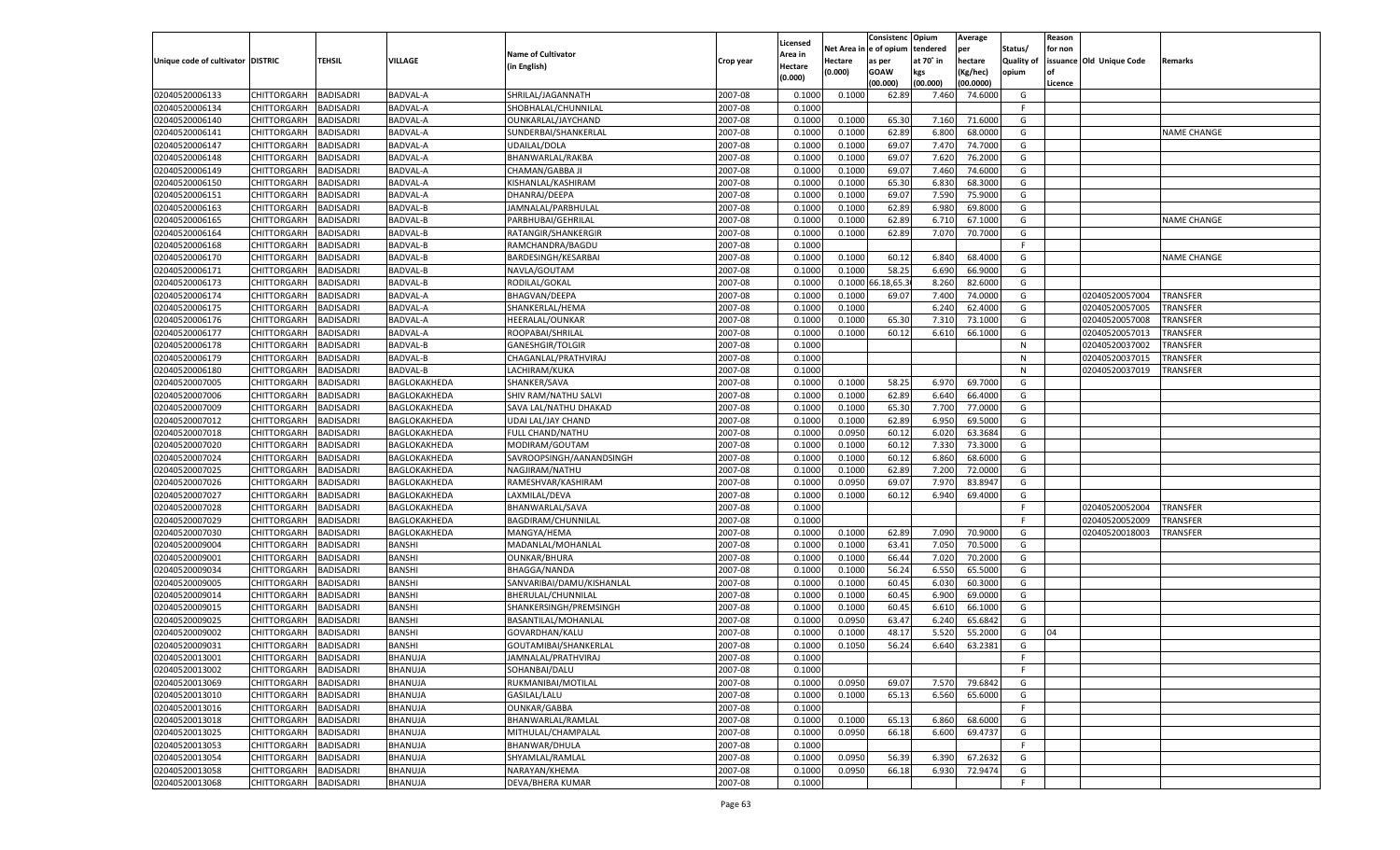| Net Area in e of opium<br>tendered<br>Status/<br>per<br>for non<br><b>Name of Cultivator</b><br>Area in<br>Unique code of cultivator   DISTRIC<br><b>TEHSIL</b><br>VILLAGE<br>at 70° in<br>hectare<br><b>Quality of</b><br>issuance Old Unique Code<br>Hectare<br>Remarks<br>Crop year<br>as per<br>(in English)<br>Hectare<br>(0.000)<br>GOAW<br>kgs<br>Kg/hec)<br>opium<br>(0.000)<br>(00.000)<br>(00.000)<br>(00.0000)<br>Licence<br>BADISADRI<br>02040520006133<br>CHITTORGARH<br>BADVAL-A<br>SHRILAL/JAGANNATH<br>2007-08<br>0.1000<br>0.1000<br>62.89<br>7.460<br>74.6000<br>G<br>02040520006134<br>CHITTORGARH<br>BADISADRI<br>BADVAL-A<br>SHOBHALAL/CHUNNILAL<br>2007-08<br>0.1000<br>- F<br>2007-08<br>0.1000<br>71.600<br>G<br>02040520006140<br>CHITTORGARH<br>BADISADRI<br>BADVAL-A<br>OUNKARLAL/JAYCHAND<br>0.1000<br>65.30<br>7.160<br>6.800<br>02040520006141<br>CHITTORGARH<br>BADISADRI<br>BADVAL-A<br>SUNDERBAI/SHANKERLAL<br>2007-08<br>0.1000<br>0.1000<br>62.89<br>68.000<br>G<br><b>NAME CHANGE</b><br>02040520006147<br>2007-08<br>G<br>CHITTORGARH<br>BADISADRI<br>BADVAL-A<br>UDAILAL/DOLA<br>0.1000<br>0.1000<br>69.07<br>7.470<br>74.700<br>02040520006148<br>CHITTORGARH<br>BADISADRI<br>BADVAL-A<br>BHANWARLAL/RAKBA<br>2007-08<br>0.1000<br>0.1000<br>69.07<br>7.620<br>76.200<br>G<br>2007-08<br>0.1000<br>7.460<br>74.600<br>G<br>02040520006149<br>CHITTORGARH<br>BADISADRI<br>BADVAL-A<br>CHAMAN/GABBA JI<br>0.1000<br>69.07<br>6.830<br>02040520006150<br>CHITTORGARH<br>BADISADRI<br>BADVAL-A<br>KISHANLAL/KASHIRAM<br>2007-08<br>0.1000<br>0.1000<br>65.30<br>68.3000<br>G<br>2007-08<br>7.590<br>G<br>02040520006151<br>CHITTORGARH<br>BADISADRI<br>BADVAL-A<br>DHANRAJ/DEEPA<br>0.1000<br>0.1000<br>69.07<br>75.900<br>02040520006163<br>CHITTORGARH<br>BADISADRI<br>BADVAL-B<br>JAMNALAL/PARBHULAL<br>2007-08<br>0.1000<br>0.1000<br>62.89<br>6.980<br>69.800<br>G<br>G<br>2007-08<br>6.710<br>02040520006165<br>CHITTORGARH<br>BADISADRI<br>BADVAL-B<br>PARBHUBAI/GEHRILAL<br>0.1000<br>0.1000<br>62.89<br>67.100<br><b>NAME CHANGE</b><br>G<br>02040520006164<br>CHITTORGARH<br>BADISADRI<br>BADVAL-B<br>RATANGIR/SHANKERGIR<br>2007-08<br>0.1000<br>0.1000<br>62.89<br>7.070<br>70.7000<br>2007-08<br>02040520006168<br>CHITTORGARH<br>BADISADRI<br>BADVAL-B<br>RAMCHANDRA/BAGDU<br>0.1000<br>F.<br>02040520006170<br>CHITTORGARH<br>2007-08<br>0.1000<br>60.12<br>68.4000<br>G<br>BADISADRI<br>BADVAL-B<br>BARDESINGH/KESARBAI<br>0.1000<br>6.840<br><b>NAME CHANGE</b><br>02040520006171<br><b>BADVAL-B</b><br>2007-08<br>0.1000<br>0.1000<br>58.25<br>6.690<br>66.9000<br>G<br>CHITTORGARH<br>BADISADRI<br>NAVLA/GOUTAM<br>02040520006173<br>66.18,65.<br>CHITTORGARH<br>BADISADRI<br>BADVAL-B<br>RODILAL/GOKAL<br>2007-08<br>0.1000<br>0.1000<br>8.260<br>82.6000<br>G<br>02040520006174<br>BADISADRI<br>2007-08<br>0.1000<br>74.0000<br>G<br>CHITTORGARH<br>BADVAL-A<br>BHAGVAN/DEEPA<br>0.1000<br>69.07<br>7.400<br>02040520057004<br><b>TRANSFER</b><br>02040520006175<br>2007-08<br>6.240<br>G<br>02040520057005<br>CHITTORGARH<br>BADISADRI<br>BADVAL-A<br>SHANKERLAL/HEMA<br>0.1000<br>0.1000<br>62.4000<br>TRANSFER<br>02040520006176<br>BADVAL-A<br>HEERALAL/OUNKAR<br>2007-08<br>0.1000<br>7.310<br>73.1000<br>G<br>CHITTORGARH<br>BADISADRI<br>0.1000<br>65.30<br>02040520057008<br>TRANSFER<br>02040520006177<br>G<br>CHITTORGARH<br>BADISADRI<br>BADVAL-A<br>ROOPABAI/SHRILAL<br>2007-08<br>0.1000<br>0.1000<br>60.12<br>6.610<br>66.1000<br>02040520057013<br>TRANSFER<br>02040520006178<br>BADISADRI<br>BADVAL-B<br>2007-08<br>0.1000<br>CHITTORGARH<br><b>GANESHGIR/TOLGIR</b><br>N<br>02040520037002<br>TRANSFER<br>02040520006179<br>2007-08<br>CHITTORGARH<br>BADISADRI<br>BADVAL-B<br>CHAGANLAL/PRATHVIRAJ<br>0.1000<br>N<br>02040520037015<br>TRANSFER<br>02040520006180<br>BADVAL-B<br>2007-08<br>0.1000<br>$\mathsf{N}$<br><b>TRANSFER</b><br>CHITTORGARH<br>BADISADRI<br>LACHIRAM/KUKA<br>02040520037019<br>02040520007005<br>0.1000<br>58.25<br>69.7000<br>CHITTORGARH<br>BADISADRI<br>BAGLOKAKHEDA<br>SHANKER/SAVA<br>2007-08<br>0.1000<br>6.970<br>G<br>02040520007006<br>BADISADRI<br>2007-08<br>0.1000<br>66.4000<br>G<br>CHITTORGARH<br>BAGLOKAKHEDA<br>SHIV RAM/NATHU SALVI<br>0.1000<br>62.89<br>6.640<br>02040520007009<br>2007-08<br>G<br>CHITTORGARH<br>BADISADRI<br>BAGLOKAKHEDA<br>SAVA LAL/NATHU DHAKAD<br>0.1000<br>0.1000<br>65.30<br>7.700<br>77.0000<br>02040520007012<br>UDAI LAL/JAY CHAND<br>2007-08<br>0.1000<br>6.950<br>69.5000<br>G<br>CHITTORGARH<br>BADISADRI<br>BAGLOKAKHEDA<br>0.1000<br>62.89<br>02040520007018<br>CHITTORGARH<br>BADISADRI<br>BAGLOKAKHEDA<br>FULL CHAND/NATHU<br>2007-08<br>0.1000<br>0.0950<br>60.12<br>6.020<br>63.3684<br>G<br>02040520007020<br>BADISADRI<br>2007-08<br>0.1000<br>60.12<br>7.330<br>73.3000<br>G<br>CHITTORGARH<br>BAGLOKAKHEDA<br>MODIRAM/GOUTAM<br>0.1000<br>02040520007024<br>2007-08<br>60.12<br>6.860<br>G<br>CHITTORGARH<br>BADISADRI<br>BAGLOKAKHEDA<br>SAVROOPSINGH/AANANDSINGH<br>0.1000<br>0.1000<br>68.6000<br>02040520007025<br>2007-08<br>7.200<br>CHITTORGARH<br>BADISADRI<br>BAGLOKAKHEDA<br>NAGJIRAM/NATHU<br>0.1000<br>0.1000<br>62.89<br>72.000<br>G<br>02040520007026<br>2007-08<br>7.970<br>CHITTORGARH<br>BADISADRI<br>BAGLOKAKHEDA<br>RAMESHVAR/KASHIRAM<br>0.1000<br>0.0950<br>69.07<br>83.894<br>G<br>02040520007027<br>BADISADRI<br>LAXMILAL/DEVA<br>2007-08<br>0.1000<br>60.12<br>6.940<br>69.400<br>CHITTORGARH<br>BAGLOKAKHEDA<br>0.1000<br>G<br>02040520007028<br>2007-08<br>CHITTORGARH<br>BADISADRI<br>BAGLOKAKHEDA<br>BHANWARLAL/SAVA<br>0.1000<br>$\mathsf{F}$<br>02040520052004<br><b>TRANSFER</b><br>02040520007029<br>2007-08<br>0.1000<br>CHITTORGARH<br>BADISADRI<br>BAGLOKAKHEDA<br>BAGDIRAM/CHUNNILAL<br>-F<br>02040520052009<br>TRANSFER<br>02040520007030<br>2007-08<br>0.1000<br>62.89<br>7.090<br>70.9000<br>CHITTORGARH<br>BADISADRI<br>BAGLOKAKHEDA<br>MANGYA/HEMA<br>0.1000<br>G<br>02040520018003<br>TRANSFER<br>02040520009004<br>BADISADRI<br><b>BANSHI</b><br>2007-08<br>0.1000<br>0.1000<br>63.41<br>70.500<br>CHITTORGARH<br>MADANLAL/MOHANLAL<br>7.050<br>G<br>02040520009001<br><b>BANSHI</b><br>2007-08<br>CHITTORGARH<br>BADISADRI<br><b>OUNKAR/BHURA</b><br>0.1000<br>0.1000<br>66.44<br>7.020<br>70.2000<br>G<br>02040520009034<br>BANSHI<br>2007-08<br>56.24<br>6.550<br>65.5000<br>CHITTORGARH<br>BADISADRI<br><b>BHAGGA/NANDA</b><br>0.1000<br>0.1000<br>G<br>02040520009005<br>CHITTORGARH<br>BADISADRI<br>BANSHI<br>SANVARIBAI/DAMU/KISHANLAL<br>2007-08<br>0.1000<br>0.1000<br>60.45<br>6.030<br>60.3000<br>G<br>02040520009014<br>BADISADRI<br>BANSHI<br>2007-08<br>60.45<br>6.900<br>69.000<br>CHITTORGARH<br>BHERULAL/CHUNNILAL<br>0.1000<br>0.1000<br>G<br>02040520009015<br><b>BANSHI</b><br>CHITTORGARH<br>BADISADRI<br>SHANKERSINGH/PREMSINGH<br>2007-08<br>0.1000<br>0.1000<br>60.45<br>6.610<br>66.100<br>G<br>BANSHI<br>02040520009025<br>CHITTORGARH<br>BADISADRI<br>BASANTILAL/MOHANLAL<br>2007-08<br>0.1000<br>0.0950<br>63.47<br>6.240<br>65.684<br>G<br>02040520009002<br>CHITTORGARH<br>BADISADRI<br>BANSHI<br>GOVARDHAN/KALU<br>2007-08<br>0.1000<br>0.100<br>48.17<br>5.520<br>55.200<br>G<br>04<br>BADISADRI<br><b>BANSHI</b><br>56.24<br>6.640<br>63.2381<br>CHITTORGARH<br>GOUTAMIBAI/SHANKERLAL<br>2007-08<br>0.1000<br>0.1050<br>G<br>CHITTORGARH<br><b>BADISADRI</b><br><b>BHANUJA</b><br>JAMNALAL/PRATHVIRAJ<br>2007-08<br>0.1000<br>F.<br><b>BHANUJA</b><br>SOHANBAI/DALU<br>2007-08<br>0.1000<br>CHITTORGARH<br><b>BADISADRI</b><br>-F<br><b>BADISADRI</b><br>BHANUJA<br>RUKMANIBAI/MOTILAL<br>2007-08<br>0.1000<br>0.0950<br>69.07<br>7.570<br>79.6842<br><b>CHITTORGARH</b><br>G<br><b>CHITTORGARH</b><br><b>BADISADRI</b><br>BHANUJA<br>GASILAL/LALU<br>2007-08<br>0.1000<br>0.1000<br>65.13<br>6.560<br>65.6000<br>G<br>BADISADRI<br>BHANUJA<br><b>OUNKAR/GABBA</b><br>2007-08<br><b>CHITTORGARH</b><br>0.1000<br>-F<br>CHITTORGARH<br><b>BADISADRI</b><br><b>BHANUJA</b><br>BHANWARLAL/RAMLAL<br>2007-08<br>0.1000<br>0.1000<br>68.6000<br>G<br>65.13<br>6.860<br>BADISADRI<br>BHANUJA<br>MITHULAL/CHAMPALAL<br>2007-08<br>0.0950<br>66.18<br>6.600<br>69.4737<br>G<br><b>CHITTORGARH</b><br>0.1000<br>02040520013053<br>CHITTORGARH<br><b>BADISADRI</b><br>BHANUJA<br>BHANWAR/DHULA<br>2007-08<br>0.1000<br>F<br>BADISADRI<br>BHANUJA<br>SHYAMLAL/RAMLAL<br>2007-08<br>0.0950<br>G<br><b>CHITTORGARH</b><br>0.1000<br>56.39<br>6.390<br>67.2632<br><b>BADISADRI</b><br><b>BHANUJA</b><br>NARAYAN/KHEMA<br>2007-08<br>0.1000<br>0.0950<br>66.18<br>72.9474<br>G<br><b>CHITTORGARH</b><br>6.930<br><b>BADISADRI</b><br>BHANUJA<br>DEVA/BHERA KUMAR<br>2007-08<br>CHITTORGARH<br>0.1000<br>F. |                |  |  | Licensed | Consistenc | Opium | Average | Reason |  |
|----------------------------------------------------------------------------------------------------------------------------------------------------------------------------------------------------------------------------------------------------------------------------------------------------------------------------------------------------------------------------------------------------------------------------------------------------------------------------------------------------------------------------------------------------------------------------------------------------------------------------------------------------------------------------------------------------------------------------------------------------------------------------------------------------------------------------------------------------------------------------------------------------------------------------------------------------------------------------------------------------------------------------------------------------------------------------------------------------------------------------------------------------------------------------------------------------------------------------------------------------------------------------------------------------------------------------------------------------------------------------------------------------------------------------------------------------------------------------------------------------------------------------------------------------------------------------------------------------------------------------------------------------------------------------------------------------------------------------------------------------------------------------------------------------------------------------------------------------------------------------------------------------------------------------------------------------------------------------------------------------------------------------------------------------------------------------------------------------------------------------------------------------------------------------------------------------------------------------------------------------------------------------------------------------------------------------------------------------------------------------------------------------------------------------------------------------------------------------------------------------------------------------------------------------------------------------------------------------------------------------------------------------------------------------------------------------------------------------------------------------------------------------------------------------------------------------------------------------------------------------------------------------------------------------------------------------------------------------------------------------------------------------------------------------------------------------------------------------------------------------------------------------------------------------------------------------------------------------------------------------------------------------------------------------------------------------------------------------------------------------------------------------------------------------------------------------------------------------------------------------------------------------------------------------------------------------------------------------------------------------------------------------------------------------------------------------------------------------------------------------------------------------------------------------------------------------------------------------------------------------------------------------------------------------------------------------------------------------------------------------------------------------------------------------------------------------------------------------------------------------------------------------------------------------------------------------------------------------------------------------------------------------------------------------------------------------------------------------------------------------------------------------------------------------------------------------------------------------------------------------------------------------------------------------------------------------------------------------------------------------------------------------------------------------------------------------------------------------------------------------------------------------------------------------------------------------------------------------------------------------------------------------------------------------------------------------------------------------------------------------------------------------------------------------------------------------------------------------------------------------------------------------------------------------------------------------------------------------------------------------------------------------------------------------------------------------------------------------------------------------------------------------------------------------------------------------------------------------------------------------------------------------------------------------------------------------------------------------------------------------------------------------------------------------------------------------------------------------------------------------------------------------------------------------------------------------------------------------------------------------------------------------------------------------------------------------------------------------------------------------------------------------------------------------------------------------------------------------------------------------------------------------------------------------------------------------------------------------------------------------------------------------------------------------------------------------------------------------------------------------------------------------------------------------------------------------------------------------------------------------------------------------------------------------------------------------------------------------------------------------------------------------------------------------------------------------------------------------------------------------------------------------------------------------------------------------------------------------------------------------------------------------------------------------------------------------------------------------------------------------------------------------------------------------------------------------------------------------------------------------------------------------------------------------------------------------------------------------------------------------------------------------------------------------------------------------------------------------------------------------------------------------------------------------------------------------------------------------------------------------------------------------------------------------------------------------------------------------------------------------------------------------------------------------------------------------------------------------------------------------------------------------------------------------------------------------------------------------------------------------------------------------------------------------------------------------------------------------------------------------------------------------------------------------------------------------------------------------------------------------------------------------------------------------------------------------------------------------------------------------------------------------------------------------------------------------------------------------------------------------------------------------------------------------------------------------------------------------------------------------------------------------------------------------------------------------------------------------------------------------------------------------------------------------------------------------------------------------------------|----------------|--|--|----------|------------|-------|---------|--------|--|
|                                                                                                                                                                                                                                                                                                                                                                                                                                                                                                                                                                                                                                                                                                                                                                                                                                                                                                                                                                                                                                                                                                                                                                                                                                                                                                                                                                                                                                                                                                                                                                                                                                                                                                                                                                                                                                                                                                                                                                                                                                                                                                                                                                                                                                                                                                                                                                                                                                                                                                                                                                                                                                                                                                                                                                                                                                                                                                                                                                                                                                                                                                                                                                                                                                                                                                                                                                                                                                                                                                                                                                                                                                                                                                                                                                                                                                                                                                                                                                                                                                                                                                                                                                                                                                                                                                                                                                                                                                                                                                                                                                                                                                                                                                                                                                                                                                                                                                                                                                                                                                                                                                                                                                                                                                                                                                                                                                                                                                                                                                                                                                                                                                                                                                                                                                                                                                                                                                                                                                                                                                                                                                                                                                                                                                                                                                                                                                                                                                                                                                                                                                                                                                                                                                                                                                                                                                                                                                                                                                                                                                                                                                                                                                                                                                                                                                                                                                                                                                                                                                                                                                                                                                                                                                                                                                                                                                                                                                                                                                                                                                                                                                                                                                                                                                                                                                                                                                                                                                                                                                                                                                                                                                                                                                                                        |                |  |  |          |            |       |         |        |  |
|                                                                                                                                                                                                                                                                                                                                                                                                                                                                                                                                                                                                                                                                                                                                                                                                                                                                                                                                                                                                                                                                                                                                                                                                                                                                                                                                                                                                                                                                                                                                                                                                                                                                                                                                                                                                                                                                                                                                                                                                                                                                                                                                                                                                                                                                                                                                                                                                                                                                                                                                                                                                                                                                                                                                                                                                                                                                                                                                                                                                                                                                                                                                                                                                                                                                                                                                                                                                                                                                                                                                                                                                                                                                                                                                                                                                                                                                                                                                                                                                                                                                                                                                                                                                                                                                                                                                                                                                                                                                                                                                                                                                                                                                                                                                                                                                                                                                                                                                                                                                                                                                                                                                                                                                                                                                                                                                                                                                                                                                                                                                                                                                                                                                                                                                                                                                                                                                                                                                                                                                                                                                                                                                                                                                                                                                                                                                                                                                                                                                                                                                                                                                                                                                                                                                                                                                                                                                                                                                                                                                                                                                                                                                                                                                                                                                                                                                                                                                                                                                                                                                                                                                                                                                                                                                                                                                                                                                                                                                                                                                                                                                                                                                                                                                                                                                                                                                                                                                                                                                                                                                                                                                                                                                                                                                        |                |  |  |          |            |       |         |        |  |
|                                                                                                                                                                                                                                                                                                                                                                                                                                                                                                                                                                                                                                                                                                                                                                                                                                                                                                                                                                                                                                                                                                                                                                                                                                                                                                                                                                                                                                                                                                                                                                                                                                                                                                                                                                                                                                                                                                                                                                                                                                                                                                                                                                                                                                                                                                                                                                                                                                                                                                                                                                                                                                                                                                                                                                                                                                                                                                                                                                                                                                                                                                                                                                                                                                                                                                                                                                                                                                                                                                                                                                                                                                                                                                                                                                                                                                                                                                                                                                                                                                                                                                                                                                                                                                                                                                                                                                                                                                                                                                                                                                                                                                                                                                                                                                                                                                                                                                                                                                                                                                                                                                                                                                                                                                                                                                                                                                                                                                                                                                                                                                                                                                                                                                                                                                                                                                                                                                                                                                                                                                                                                                                                                                                                                                                                                                                                                                                                                                                                                                                                                                                                                                                                                                                                                                                                                                                                                                                                                                                                                                                                                                                                                                                                                                                                                                                                                                                                                                                                                                                                                                                                                                                                                                                                                                                                                                                                                                                                                                                                                                                                                                                                                                                                                                                                                                                                                                                                                                                                                                                                                                                                                                                                                                                                        |                |  |  |          |            |       |         |        |  |
|                                                                                                                                                                                                                                                                                                                                                                                                                                                                                                                                                                                                                                                                                                                                                                                                                                                                                                                                                                                                                                                                                                                                                                                                                                                                                                                                                                                                                                                                                                                                                                                                                                                                                                                                                                                                                                                                                                                                                                                                                                                                                                                                                                                                                                                                                                                                                                                                                                                                                                                                                                                                                                                                                                                                                                                                                                                                                                                                                                                                                                                                                                                                                                                                                                                                                                                                                                                                                                                                                                                                                                                                                                                                                                                                                                                                                                                                                                                                                                                                                                                                                                                                                                                                                                                                                                                                                                                                                                                                                                                                                                                                                                                                                                                                                                                                                                                                                                                                                                                                                                                                                                                                                                                                                                                                                                                                                                                                                                                                                                                                                                                                                                                                                                                                                                                                                                                                                                                                                                                                                                                                                                                                                                                                                                                                                                                                                                                                                                                                                                                                                                                                                                                                                                                                                                                                                                                                                                                                                                                                                                                                                                                                                                                                                                                                                                                                                                                                                                                                                                                                                                                                                                                                                                                                                                                                                                                                                                                                                                                                                                                                                                                                                                                                                                                                                                                                                                                                                                                                                                                                                                                                                                                                                                                                        |                |  |  |          |            |       |         |        |  |
|                                                                                                                                                                                                                                                                                                                                                                                                                                                                                                                                                                                                                                                                                                                                                                                                                                                                                                                                                                                                                                                                                                                                                                                                                                                                                                                                                                                                                                                                                                                                                                                                                                                                                                                                                                                                                                                                                                                                                                                                                                                                                                                                                                                                                                                                                                                                                                                                                                                                                                                                                                                                                                                                                                                                                                                                                                                                                                                                                                                                                                                                                                                                                                                                                                                                                                                                                                                                                                                                                                                                                                                                                                                                                                                                                                                                                                                                                                                                                                                                                                                                                                                                                                                                                                                                                                                                                                                                                                                                                                                                                                                                                                                                                                                                                                                                                                                                                                                                                                                                                                                                                                                                                                                                                                                                                                                                                                                                                                                                                                                                                                                                                                                                                                                                                                                                                                                                                                                                                                                                                                                                                                                                                                                                                                                                                                                                                                                                                                                                                                                                                                                                                                                                                                                                                                                                                                                                                                                                                                                                                                                                                                                                                                                                                                                                                                                                                                                                                                                                                                                                                                                                                                                                                                                                                                                                                                                                                                                                                                                                                                                                                                                                                                                                                                                                                                                                                                                                                                                                                                                                                                                                                                                                                                                                        |                |  |  |          |            |       |         |        |  |
|                                                                                                                                                                                                                                                                                                                                                                                                                                                                                                                                                                                                                                                                                                                                                                                                                                                                                                                                                                                                                                                                                                                                                                                                                                                                                                                                                                                                                                                                                                                                                                                                                                                                                                                                                                                                                                                                                                                                                                                                                                                                                                                                                                                                                                                                                                                                                                                                                                                                                                                                                                                                                                                                                                                                                                                                                                                                                                                                                                                                                                                                                                                                                                                                                                                                                                                                                                                                                                                                                                                                                                                                                                                                                                                                                                                                                                                                                                                                                                                                                                                                                                                                                                                                                                                                                                                                                                                                                                                                                                                                                                                                                                                                                                                                                                                                                                                                                                                                                                                                                                                                                                                                                                                                                                                                                                                                                                                                                                                                                                                                                                                                                                                                                                                                                                                                                                                                                                                                                                                                                                                                                                                                                                                                                                                                                                                                                                                                                                                                                                                                                                                                                                                                                                                                                                                                                                                                                                                                                                                                                                                                                                                                                                                                                                                                                                                                                                                                                                                                                                                                                                                                                                                                                                                                                                                                                                                                                                                                                                                                                                                                                                                                                                                                                                                                                                                                                                                                                                                                                                                                                                                                                                                                                                                                        |                |  |  |          |            |       |         |        |  |
|                                                                                                                                                                                                                                                                                                                                                                                                                                                                                                                                                                                                                                                                                                                                                                                                                                                                                                                                                                                                                                                                                                                                                                                                                                                                                                                                                                                                                                                                                                                                                                                                                                                                                                                                                                                                                                                                                                                                                                                                                                                                                                                                                                                                                                                                                                                                                                                                                                                                                                                                                                                                                                                                                                                                                                                                                                                                                                                                                                                                                                                                                                                                                                                                                                                                                                                                                                                                                                                                                                                                                                                                                                                                                                                                                                                                                                                                                                                                                                                                                                                                                                                                                                                                                                                                                                                                                                                                                                                                                                                                                                                                                                                                                                                                                                                                                                                                                                                                                                                                                                                                                                                                                                                                                                                                                                                                                                                                                                                                                                                                                                                                                                                                                                                                                                                                                                                                                                                                                                                                                                                                                                                                                                                                                                                                                                                                                                                                                                                                                                                                                                                                                                                                                                                                                                                                                                                                                                                                                                                                                                                                                                                                                                                                                                                                                                                                                                                                                                                                                                                                                                                                                                                                                                                                                                                                                                                                                                                                                                                                                                                                                                                                                                                                                                                                                                                                                                                                                                                                                                                                                                                                                                                                                                                                        |                |  |  |          |            |       |         |        |  |
|                                                                                                                                                                                                                                                                                                                                                                                                                                                                                                                                                                                                                                                                                                                                                                                                                                                                                                                                                                                                                                                                                                                                                                                                                                                                                                                                                                                                                                                                                                                                                                                                                                                                                                                                                                                                                                                                                                                                                                                                                                                                                                                                                                                                                                                                                                                                                                                                                                                                                                                                                                                                                                                                                                                                                                                                                                                                                                                                                                                                                                                                                                                                                                                                                                                                                                                                                                                                                                                                                                                                                                                                                                                                                                                                                                                                                                                                                                                                                                                                                                                                                                                                                                                                                                                                                                                                                                                                                                                                                                                                                                                                                                                                                                                                                                                                                                                                                                                                                                                                                                                                                                                                                                                                                                                                                                                                                                                                                                                                                                                                                                                                                                                                                                                                                                                                                                                                                                                                                                                                                                                                                                                                                                                                                                                                                                                                                                                                                                                                                                                                                                                                                                                                                                                                                                                                                                                                                                                                                                                                                                                                                                                                                                                                                                                                                                                                                                                                                                                                                                                                                                                                                                                                                                                                                                                                                                                                                                                                                                                                                                                                                                                                                                                                                                                                                                                                                                                                                                                                                                                                                                                                                                                                                                                                        |                |  |  |          |            |       |         |        |  |
|                                                                                                                                                                                                                                                                                                                                                                                                                                                                                                                                                                                                                                                                                                                                                                                                                                                                                                                                                                                                                                                                                                                                                                                                                                                                                                                                                                                                                                                                                                                                                                                                                                                                                                                                                                                                                                                                                                                                                                                                                                                                                                                                                                                                                                                                                                                                                                                                                                                                                                                                                                                                                                                                                                                                                                                                                                                                                                                                                                                                                                                                                                                                                                                                                                                                                                                                                                                                                                                                                                                                                                                                                                                                                                                                                                                                                                                                                                                                                                                                                                                                                                                                                                                                                                                                                                                                                                                                                                                                                                                                                                                                                                                                                                                                                                                                                                                                                                                                                                                                                                                                                                                                                                                                                                                                                                                                                                                                                                                                                                                                                                                                                                                                                                                                                                                                                                                                                                                                                                                                                                                                                                                                                                                                                                                                                                                                                                                                                                                                                                                                                                                                                                                                                                                                                                                                                                                                                                                                                                                                                                                                                                                                                                                                                                                                                                                                                                                                                                                                                                                                                                                                                                                                                                                                                                                                                                                                                                                                                                                                                                                                                                                                                                                                                                                                                                                                                                                                                                                                                                                                                                                                                                                                                                                                        |                |  |  |          |            |       |         |        |  |
|                                                                                                                                                                                                                                                                                                                                                                                                                                                                                                                                                                                                                                                                                                                                                                                                                                                                                                                                                                                                                                                                                                                                                                                                                                                                                                                                                                                                                                                                                                                                                                                                                                                                                                                                                                                                                                                                                                                                                                                                                                                                                                                                                                                                                                                                                                                                                                                                                                                                                                                                                                                                                                                                                                                                                                                                                                                                                                                                                                                                                                                                                                                                                                                                                                                                                                                                                                                                                                                                                                                                                                                                                                                                                                                                                                                                                                                                                                                                                                                                                                                                                                                                                                                                                                                                                                                                                                                                                                                                                                                                                                                                                                                                                                                                                                                                                                                                                                                                                                                                                                                                                                                                                                                                                                                                                                                                                                                                                                                                                                                                                                                                                                                                                                                                                                                                                                                                                                                                                                                                                                                                                                                                                                                                                                                                                                                                                                                                                                                                                                                                                                                                                                                                                                                                                                                                                                                                                                                                                                                                                                                                                                                                                                                                                                                                                                                                                                                                                                                                                                                                                                                                                                                                                                                                                                                                                                                                                                                                                                                                                                                                                                                                                                                                                                                                                                                                                                                                                                                                                                                                                                                                                                                                                                                                        |                |  |  |          |            |       |         |        |  |
|                                                                                                                                                                                                                                                                                                                                                                                                                                                                                                                                                                                                                                                                                                                                                                                                                                                                                                                                                                                                                                                                                                                                                                                                                                                                                                                                                                                                                                                                                                                                                                                                                                                                                                                                                                                                                                                                                                                                                                                                                                                                                                                                                                                                                                                                                                                                                                                                                                                                                                                                                                                                                                                                                                                                                                                                                                                                                                                                                                                                                                                                                                                                                                                                                                                                                                                                                                                                                                                                                                                                                                                                                                                                                                                                                                                                                                                                                                                                                                                                                                                                                                                                                                                                                                                                                                                                                                                                                                                                                                                                                                                                                                                                                                                                                                                                                                                                                                                                                                                                                                                                                                                                                                                                                                                                                                                                                                                                                                                                                                                                                                                                                                                                                                                                                                                                                                                                                                                                                                                                                                                                                                                                                                                                                                                                                                                                                                                                                                                                                                                                                                                                                                                                                                                                                                                                                                                                                                                                                                                                                                                                                                                                                                                                                                                                                                                                                                                                                                                                                                                                                                                                                                                                                                                                                                                                                                                                                                                                                                                                                                                                                                                                                                                                                                                                                                                                                                                                                                                                                                                                                                                                                                                                                                                                        |                |  |  |          |            |       |         |        |  |
|                                                                                                                                                                                                                                                                                                                                                                                                                                                                                                                                                                                                                                                                                                                                                                                                                                                                                                                                                                                                                                                                                                                                                                                                                                                                                                                                                                                                                                                                                                                                                                                                                                                                                                                                                                                                                                                                                                                                                                                                                                                                                                                                                                                                                                                                                                                                                                                                                                                                                                                                                                                                                                                                                                                                                                                                                                                                                                                                                                                                                                                                                                                                                                                                                                                                                                                                                                                                                                                                                                                                                                                                                                                                                                                                                                                                                                                                                                                                                                                                                                                                                                                                                                                                                                                                                                                                                                                                                                                                                                                                                                                                                                                                                                                                                                                                                                                                                                                                                                                                                                                                                                                                                                                                                                                                                                                                                                                                                                                                                                                                                                                                                                                                                                                                                                                                                                                                                                                                                                                                                                                                                                                                                                                                                                                                                                                                                                                                                                                                                                                                                                                                                                                                                                                                                                                                                                                                                                                                                                                                                                                                                                                                                                                                                                                                                                                                                                                                                                                                                                                                                                                                                                                                                                                                                                                                                                                                                                                                                                                                                                                                                                                                                                                                                                                                                                                                                                                                                                                                                                                                                                                                                                                                                                                                        |                |  |  |          |            |       |         |        |  |
|                                                                                                                                                                                                                                                                                                                                                                                                                                                                                                                                                                                                                                                                                                                                                                                                                                                                                                                                                                                                                                                                                                                                                                                                                                                                                                                                                                                                                                                                                                                                                                                                                                                                                                                                                                                                                                                                                                                                                                                                                                                                                                                                                                                                                                                                                                                                                                                                                                                                                                                                                                                                                                                                                                                                                                                                                                                                                                                                                                                                                                                                                                                                                                                                                                                                                                                                                                                                                                                                                                                                                                                                                                                                                                                                                                                                                                                                                                                                                                                                                                                                                                                                                                                                                                                                                                                                                                                                                                                                                                                                                                                                                                                                                                                                                                                                                                                                                                                                                                                                                                                                                                                                                                                                                                                                                                                                                                                                                                                                                                                                                                                                                                                                                                                                                                                                                                                                                                                                                                                                                                                                                                                                                                                                                                                                                                                                                                                                                                                                                                                                                                                                                                                                                                                                                                                                                                                                                                                                                                                                                                                                                                                                                                                                                                                                                                                                                                                                                                                                                                                                                                                                                                                                                                                                                                                                                                                                                                                                                                                                                                                                                                                                                                                                                                                                                                                                                                                                                                                                                                                                                                                                                                                                                                                                        |                |  |  |          |            |       |         |        |  |
|                                                                                                                                                                                                                                                                                                                                                                                                                                                                                                                                                                                                                                                                                                                                                                                                                                                                                                                                                                                                                                                                                                                                                                                                                                                                                                                                                                                                                                                                                                                                                                                                                                                                                                                                                                                                                                                                                                                                                                                                                                                                                                                                                                                                                                                                                                                                                                                                                                                                                                                                                                                                                                                                                                                                                                                                                                                                                                                                                                                                                                                                                                                                                                                                                                                                                                                                                                                                                                                                                                                                                                                                                                                                                                                                                                                                                                                                                                                                                                                                                                                                                                                                                                                                                                                                                                                                                                                                                                                                                                                                                                                                                                                                                                                                                                                                                                                                                                                                                                                                                                                                                                                                                                                                                                                                                                                                                                                                                                                                                                                                                                                                                                                                                                                                                                                                                                                                                                                                                                                                                                                                                                                                                                                                                                                                                                                                                                                                                                                                                                                                                                                                                                                                                                                                                                                                                                                                                                                                                                                                                                                                                                                                                                                                                                                                                                                                                                                                                                                                                                                                                                                                                                                                                                                                                                                                                                                                                                                                                                                                                                                                                                                                                                                                                                                                                                                                                                                                                                                                                                                                                                                                                                                                                                                                        |                |  |  |          |            |       |         |        |  |
|                                                                                                                                                                                                                                                                                                                                                                                                                                                                                                                                                                                                                                                                                                                                                                                                                                                                                                                                                                                                                                                                                                                                                                                                                                                                                                                                                                                                                                                                                                                                                                                                                                                                                                                                                                                                                                                                                                                                                                                                                                                                                                                                                                                                                                                                                                                                                                                                                                                                                                                                                                                                                                                                                                                                                                                                                                                                                                                                                                                                                                                                                                                                                                                                                                                                                                                                                                                                                                                                                                                                                                                                                                                                                                                                                                                                                                                                                                                                                                                                                                                                                                                                                                                                                                                                                                                                                                                                                                                                                                                                                                                                                                                                                                                                                                                                                                                                                                                                                                                                                                                                                                                                                                                                                                                                                                                                                                                                                                                                                                                                                                                                                                                                                                                                                                                                                                                                                                                                                                                                                                                                                                                                                                                                                                                                                                                                                                                                                                                                                                                                                                                                                                                                                                                                                                                                                                                                                                                                                                                                                                                                                                                                                                                                                                                                                                                                                                                                                                                                                                                                                                                                                                                                                                                                                                                                                                                                                                                                                                                                                                                                                                                                                                                                                                                                                                                                                                                                                                                                                                                                                                                                                                                                                                                                        |                |  |  |          |            |       |         |        |  |
|                                                                                                                                                                                                                                                                                                                                                                                                                                                                                                                                                                                                                                                                                                                                                                                                                                                                                                                                                                                                                                                                                                                                                                                                                                                                                                                                                                                                                                                                                                                                                                                                                                                                                                                                                                                                                                                                                                                                                                                                                                                                                                                                                                                                                                                                                                                                                                                                                                                                                                                                                                                                                                                                                                                                                                                                                                                                                                                                                                                                                                                                                                                                                                                                                                                                                                                                                                                                                                                                                                                                                                                                                                                                                                                                                                                                                                                                                                                                                                                                                                                                                                                                                                                                                                                                                                                                                                                                                                                                                                                                                                                                                                                                                                                                                                                                                                                                                                                                                                                                                                                                                                                                                                                                                                                                                                                                                                                                                                                                                                                                                                                                                                                                                                                                                                                                                                                                                                                                                                                                                                                                                                                                                                                                                                                                                                                                                                                                                                                                                                                                                                                                                                                                                                                                                                                                                                                                                                                                                                                                                                                                                                                                                                                                                                                                                                                                                                                                                                                                                                                                                                                                                                                                                                                                                                                                                                                                                                                                                                                                                                                                                                                                                                                                                                                                                                                                                                                                                                                                                                                                                                                                                                                                                                                                        |                |  |  |          |            |       |         |        |  |
|                                                                                                                                                                                                                                                                                                                                                                                                                                                                                                                                                                                                                                                                                                                                                                                                                                                                                                                                                                                                                                                                                                                                                                                                                                                                                                                                                                                                                                                                                                                                                                                                                                                                                                                                                                                                                                                                                                                                                                                                                                                                                                                                                                                                                                                                                                                                                                                                                                                                                                                                                                                                                                                                                                                                                                                                                                                                                                                                                                                                                                                                                                                                                                                                                                                                                                                                                                                                                                                                                                                                                                                                                                                                                                                                                                                                                                                                                                                                                                                                                                                                                                                                                                                                                                                                                                                                                                                                                                                                                                                                                                                                                                                                                                                                                                                                                                                                                                                                                                                                                                                                                                                                                                                                                                                                                                                                                                                                                                                                                                                                                                                                                                                                                                                                                                                                                                                                                                                                                                                                                                                                                                                                                                                                                                                                                                                                                                                                                                                                                                                                                                                                                                                                                                                                                                                                                                                                                                                                                                                                                                                                                                                                                                                                                                                                                                                                                                                                                                                                                                                                                                                                                                                                                                                                                                                                                                                                                                                                                                                                                                                                                                                                                                                                                                                                                                                                                                                                                                                                                                                                                                                                                                                                                                                                        |                |  |  |          |            |       |         |        |  |
|                                                                                                                                                                                                                                                                                                                                                                                                                                                                                                                                                                                                                                                                                                                                                                                                                                                                                                                                                                                                                                                                                                                                                                                                                                                                                                                                                                                                                                                                                                                                                                                                                                                                                                                                                                                                                                                                                                                                                                                                                                                                                                                                                                                                                                                                                                                                                                                                                                                                                                                                                                                                                                                                                                                                                                                                                                                                                                                                                                                                                                                                                                                                                                                                                                                                                                                                                                                                                                                                                                                                                                                                                                                                                                                                                                                                                                                                                                                                                                                                                                                                                                                                                                                                                                                                                                                                                                                                                                                                                                                                                                                                                                                                                                                                                                                                                                                                                                                                                                                                                                                                                                                                                                                                                                                                                                                                                                                                                                                                                                                                                                                                                                                                                                                                                                                                                                                                                                                                                                                                                                                                                                                                                                                                                                                                                                                                                                                                                                                                                                                                                                                                                                                                                                                                                                                                                                                                                                                                                                                                                                                                                                                                                                                                                                                                                                                                                                                                                                                                                                                                                                                                                                                                                                                                                                                                                                                                                                                                                                                                                                                                                                                                                                                                                                                                                                                                                                                                                                                                                                                                                                                                                                                                                                                                        |                |  |  |          |            |       |         |        |  |
|                                                                                                                                                                                                                                                                                                                                                                                                                                                                                                                                                                                                                                                                                                                                                                                                                                                                                                                                                                                                                                                                                                                                                                                                                                                                                                                                                                                                                                                                                                                                                                                                                                                                                                                                                                                                                                                                                                                                                                                                                                                                                                                                                                                                                                                                                                                                                                                                                                                                                                                                                                                                                                                                                                                                                                                                                                                                                                                                                                                                                                                                                                                                                                                                                                                                                                                                                                                                                                                                                                                                                                                                                                                                                                                                                                                                                                                                                                                                                                                                                                                                                                                                                                                                                                                                                                                                                                                                                                                                                                                                                                                                                                                                                                                                                                                                                                                                                                                                                                                                                                                                                                                                                                                                                                                                                                                                                                                                                                                                                                                                                                                                                                                                                                                                                                                                                                                                                                                                                                                                                                                                                                                                                                                                                                                                                                                                                                                                                                                                                                                                                                                                                                                                                                                                                                                                                                                                                                                                                                                                                                                                                                                                                                                                                                                                                                                                                                                                                                                                                                                                                                                                                                                                                                                                                                                                                                                                                                                                                                                                                                                                                                                                                                                                                                                                                                                                                                                                                                                                                                                                                                                                                                                                                                                                        |                |  |  |          |            |       |         |        |  |
|                                                                                                                                                                                                                                                                                                                                                                                                                                                                                                                                                                                                                                                                                                                                                                                                                                                                                                                                                                                                                                                                                                                                                                                                                                                                                                                                                                                                                                                                                                                                                                                                                                                                                                                                                                                                                                                                                                                                                                                                                                                                                                                                                                                                                                                                                                                                                                                                                                                                                                                                                                                                                                                                                                                                                                                                                                                                                                                                                                                                                                                                                                                                                                                                                                                                                                                                                                                                                                                                                                                                                                                                                                                                                                                                                                                                                                                                                                                                                                                                                                                                                                                                                                                                                                                                                                                                                                                                                                                                                                                                                                                                                                                                                                                                                                                                                                                                                                                                                                                                                                                                                                                                                                                                                                                                                                                                                                                                                                                                                                                                                                                                                                                                                                                                                                                                                                                                                                                                                                                                                                                                                                                                                                                                                                                                                                                                                                                                                                                                                                                                                                                                                                                                                                                                                                                                                                                                                                                                                                                                                                                                                                                                                                                                                                                                                                                                                                                                                                                                                                                                                                                                                                                                                                                                                                                                                                                                                                                                                                                                                                                                                                                                                                                                                                                                                                                                                                                                                                                                                                                                                                                                                                                                                                                                        |                |  |  |          |            |       |         |        |  |
|                                                                                                                                                                                                                                                                                                                                                                                                                                                                                                                                                                                                                                                                                                                                                                                                                                                                                                                                                                                                                                                                                                                                                                                                                                                                                                                                                                                                                                                                                                                                                                                                                                                                                                                                                                                                                                                                                                                                                                                                                                                                                                                                                                                                                                                                                                                                                                                                                                                                                                                                                                                                                                                                                                                                                                                                                                                                                                                                                                                                                                                                                                                                                                                                                                                                                                                                                                                                                                                                                                                                                                                                                                                                                                                                                                                                                                                                                                                                                                                                                                                                                                                                                                                                                                                                                                                                                                                                                                                                                                                                                                                                                                                                                                                                                                                                                                                                                                                                                                                                                                                                                                                                                                                                                                                                                                                                                                                                                                                                                                                                                                                                                                                                                                                                                                                                                                                                                                                                                                                                                                                                                                                                                                                                                                                                                                                                                                                                                                                                                                                                                                                                                                                                                                                                                                                                                                                                                                                                                                                                                                                                                                                                                                                                                                                                                                                                                                                                                                                                                                                                                                                                                                                                                                                                                                                                                                                                                                                                                                                                                                                                                                                                                                                                                                                                                                                                                                                                                                                                                                                                                                                                                                                                                                                                        |                |  |  |          |            |       |         |        |  |
|                                                                                                                                                                                                                                                                                                                                                                                                                                                                                                                                                                                                                                                                                                                                                                                                                                                                                                                                                                                                                                                                                                                                                                                                                                                                                                                                                                                                                                                                                                                                                                                                                                                                                                                                                                                                                                                                                                                                                                                                                                                                                                                                                                                                                                                                                                                                                                                                                                                                                                                                                                                                                                                                                                                                                                                                                                                                                                                                                                                                                                                                                                                                                                                                                                                                                                                                                                                                                                                                                                                                                                                                                                                                                                                                                                                                                                                                                                                                                                                                                                                                                                                                                                                                                                                                                                                                                                                                                                                                                                                                                                                                                                                                                                                                                                                                                                                                                                                                                                                                                                                                                                                                                                                                                                                                                                                                                                                                                                                                                                                                                                                                                                                                                                                                                                                                                                                                                                                                                                                                                                                                                                                                                                                                                                                                                                                                                                                                                                                                                                                                                                                                                                                                                                                                                                                                                                                                                                                                                                                                                                                                                                                                                                                                                                                                                                                                                                                                                                                                                                                                                                                                                                                                                                                                                                                                                                                                                                                                                                                                                                                                                                                                                                                                                                                                                                                                                                                                                                                                                                                                                                                                                                                                                                                                        |                |  |  |          |            |       |         |        |  |
|                                                                                                                                                                                                                                                                                                                                                                                                                                                                                                                                                                                                                                                                                                                                                                                                                                                                                                                                                                                                                                                                                                                                                                                                                                                                                                                                                                                                                                                                                                                                                                                                                                                                                                                                                                                                                                                                                                                                                                                                                                                                                                                                                                                                                                                                                                                                                                                                                                                                                                                                                                                                                                                                                                                                                                                                                                                                                                                                                                                                                                                                                                                                                                                                                                                                                                                                                                                                                                                                                                                                                                                                                                                                                                                                                                                                                                                                                                                                                                                                                                                                                                                                                                                                                                                                                                                                                                                                                                                                                                                                                                                                                                                                                                                                                                                                                                                                                                                                                                                                                                                                                                                                                                                                                                                                                                                                                                                                                                                                                                                                                                                                                                                                                                                                                                                                                                                                                                                                                                                                                                                                                                                                                                                                                                                                                                                                                                                                                                                                                                                                                                                                                                                                                                                                                                                                                                                                                                                                                                                                                                                                                                                                                                                                                                                                                                                                                                                                                                                                                                                                                                                                                                                                                                                                                                                                                                                                                                                                                                                                                                                                                                                                                                                                                                                                                                                                                                                                                                                                                                                                                                                                                                                                                                                                        |                |  |  |          |            |       |         |        |  |
|                                                                                                                                                                                                                                                                                                                                                                                                                                                                                                                                                                                                                                                                                                                                                                                                                                                                                                                                                                                                                                                                                                                                                                                                                                                                                                                                                                                                                                                                                                                                                                                                                                                                                                                                                                                                                                                                                                                                                                                                                                                                                                                                                                                                                                                                                                                                                                                                                                                                                                                                                                                                                                                                                                                                                                                                                                                                                                                                                                                                                                                                                                                                                                                                                                                                                                                                                                                                                                                                                                                                                                                                                                                                                                                                                                                                                                                                                                                                                                                                                                                                                                                                                                                                                                                                                                                                                                                                                                                                                                                                                                                                                                                                                                                                                                                                                                                                                                                                                                                                                                                                                                                                                                                                                                                                                                                                                                                                                                                                                                                                                                                                                                                                                                                                                                                                                                                                                                                                                                                                                                                                                                                                                                                                                                                                                                                                                                                                                                                                                                                                                                                                                                                                                                                                                                                                                                                                                                                                                                                                                                                                                                                                                                                                                                                                                                                                                                                                                                                                                                                                                                                                                                                                                                                                                                                                                                                                                                                                                                                                                                                                                                                                                                                                                                                                                                                                                                                                                                                                                                                                                                                                                                                                                                                                        |                |  |  |          |            |       |         |        |  |
|                                                                                                                                                                                                                                                                                                                                                                                                                                                                                                                                                                                                                                                                                                                                                                                                                                                                                                                                                                                                                                                                                                                                                                                                                                                                                                                                                                                                                                                                                                                                                                                                                                                                                                                                                                                                                                                                                                                                                                                                                                                                                                                                                                                                                                                                                                                                                                                                                                                                                                                                                                                                                                                                                                                                                                                                                                                                                                                                                                                                                                                                                                                                                                                                                                                                                                                                                                                                                                                                                                                                                                                                                                                                                                                                                                                                                                                                                                                                                                                                                                                                                                                                                                                                                                                                                                                                                                                                                                                                                                                                                                                                                                                                                                                                                                                                                                                                                                                                                                                                                                                                                                                                                                                                                                                                                                                                                                                                                                                                                                                                                                                                                                                                                                                                                                                                                                                                                                                                                                                                                                                                                                                                                                                                                                                                                                                                                                                                                                                                                                                                                                                                                                                                                                                                                                                                                                                                                                                                                                                                                                                                                                                                                                                                                                                                                                                                                                                                                                                                                                                                                                                                                                                                                                                                                                                                                                                                                                                                                                                                                                                                                                                                                                                                                                                                                                                                                                                                                                                                                                                                                                                                                                                                                                                                        |                |  |  |          |            |       |         |        |  |
|                                                                                                                                                                                                                                                                                                                                                                                                                                                                                                                                                                                                                                                                                                                                                                                                                                                                                                                                                                                                                                                                                                                                                                                                                                                                                                                                                                                                                                                                                                                                                                                                                                                                                                                                                                                                                                                                                                                                                                                                                                                                                                                                                                                                                                                                                                                                                                                                                                                                                                                                                                                                                                                                                                                                                                                                                                                                                                                                                                                                                                                                                                                                                                                                                                                                                                                                                                                                                                                                                                                                                                                                                                                                                                                                                                                                                                                                                                                                                                                                                                                                                                                                                                                                                                                                                                                                                                                                                                                                                                                                                                                                                                                                                                                                                                                                                                                                                                                                                                                                                                                                                                                                                                                                                                                                                                                                                                                                                                                                                                                                                                                                                                                                                                                                                                                                                                                                                                                                                                                                                                                                                                                                                                                                                                                                                                                                                                                                                                                                                                                                                                                                                                                                                                                                                                                                                                                                                                                                                                                                                                                                                                                                                                                                                                                                                                                                                                                                                                                                                                                                                                                                                                                                                                                                                                                                                                                                                                                                                                                                                                                                                                                                                                                                                                                                                                                                                                                                                                                                                                                                                                                                                                                                                                                                        |                |  |  |          |            |       |         |        |  |
|                                                                                                                                                                                                                                                                                                                                                                                                                                                                                                                                                                                                                                                                                                                                                                                                                                                                                                                                                                                                                                                                                                                                                                                                                                                                                                                                                                                                                                                                                                                                                                                                                                                                                                                                                                                                                                                                                                                                                                                                                                                                                                                                                                                                                                                                                                                                                                                                                                                                                                                                                                                                                                                                                                                                                                                                                                                                                                                                                                                                                                                                                                                                                                                                                                                                                                                                                                                                                                                                                                                                                                                                                                                                                                                                                                                                                                                                                                                                                                                                                                                                                                                                                                                                                                                                                                                                                                                                                                                                                                                                                                                                                                                                                                                                                                                                                                                                                                                                                                                                                                                                                                                                                                                                                                                                                                                                                                                                                                                                                                                                                                                                                                                                                                                                                                                                                                                                                                                                                                                                                                                                                                                                                                                                                                                                                                                                                                                                                                                                                                                                                                                                                                                                                                                                                                                                                                                                                                                                                                                                                                                                                                                                                                                                                                                                                                                                                                                                                                                                                                                                                                                                                                                                                                                                                                                                                                                                                                                                                                                                                                                                                                                                                                                                                                                                                                                                                                                                                                                                                                                                                                                                                                                                                                                                        |                |  |  |          |            |       |         |        |  |
|                                                                                                                                                                                                                                                                                                                                                                                                                                                                                                                                                                                                                                                                                                                                                                                                                                                                                                                                                                                                                                                                                                                                                                                                                                                                                                                                                                                                                                                                                                                                                                                                                                                                                                                                                                                                                                                                                                                                                                                                                                                                                                                                                                                                                                                                                                                                                                                                                                                                                                                                                                                                                                                                                                                                                                                                                                                                                                                                                                                                                                                                                                                                                                                                                                                                                                                                                                                                                                                                                                                                                                                                                                                                                                                                                                                                                                                                                                                                                                                                                                                                                                                                                                                                                                                                                                                                                                                                                                                                                                                                                                                                                                                                                                                                                                                                                                                                                                                                                                                                                                                                                                                                                                                                                                                                                                                                                                                                                                                                                                                                                                                                                                                                                                                                                                                                                                                                                                                                                                                                                                                                                                                                                                                                                                                                                                                                                                                                                                                                                                                                                                                                                                                                                                                                                                                                                                                                                                                                                                                                                                                                                                                                                                                                                                                                                                                                                                                                                                                                                                                                                                                                                                                                                                                                                                                                                                                                                                                                                                                                                                                                                                                                                                                                                                                                                                                                                                                                                                                                                                                                                                                                                                                                                                                                        |                |  |  |          |            |       |         |        |  |
|                                                                                                                                                                                                                                                                                                                                                                                                                                                                                                                                                                                                                                                                                                                                                                                                                                                                                                                                                                                                                                                                                                                                                                                                                                                                                                                                                                                                                                                                                                                                                                                                                                                                                                                                                                                                                                                                                                                                                                                                                                                                                                                                                                                                                                                                                                                                                                                                                                                                                                                                                                                                                                                                                                                                                                                                                                                                                                                                                                                                                                                                                                                                                                                                                                                                                                                                                                                                                                                                                                                                                                                                                                                                                                                                                                                                                                                                                                                                                                                                                                                                                                                                                                                                                                                                                                                                                                                                                                                                                                                                                                                                                                                                                                                                                                                                                                                                                                                                                                                                                                                                                                                                                                                                                                                                                                                                                                                                                                                                                                                                                                                                                                                                                                                                                                                                                                                                                                                                                                                                                                                                                                                                                                                                                                                                                                                                                                                                                                                                                                                                                                                                                                                                                                                                                                                                                                                                                                                                                                                                                                                                                                                                                                                                                                                                                                                                                                                                                                                                                                                                                                                                                                                                                                                                                                                                                                                                                                                                                                                                                                                                                                                                                                                                                                                                                                                                                                                                                                                                                                                                                                                                                                                                                                                                        |                |  |  |          |            |       |         |        |  |
|                                                                                                                                                                                                                                                                                                                                                                                                                                                                                                                                                                                                                                                                                                                                                                                                                                                                                                                                                                                                                                                                                                                                                                                                                                                                                                                                                                                                                                                                                                                                                                                                                                                                                                                                                                                                                                                                                                                                                                                                                                                                                                                                                                                                                                                                                                                                                                                                                                                                                                                                                                                                                                                                                                                                                                                                                                                                                                                                                                                                                                                                                                                                                                                                                                                                                                                                                                                                                                                                                                                                                                                                                                                                                                                                                                                                                                                                                                                                                                                                                                                                                                                                                                                                                                                                                                                                                                                                                                                                                                                                                                                                                                                                                                                                                                                                                                                                                                                                                                                                                                                                                                                                                                                                                                                                                                                                                                                                                                                                                                                                                                                                                                                                                                                                                                                                                                                                                                                                                                                                                                                                                                                                                                                                                                                                                                                                                                                                                                                                                                                                                                                                                                                                                                                                                                                                                                                                                                                                                                                                                                                                                                                                                                                                                                                                                                                                                                                                                                                                                                                                                                                                                                                                                                                                                                                                                                                                                                                                                                                                                                                                                                                                                                                                                                                                                                                                                                                                                                                                                                                                                                                                                                                                                                                                        |                |  |  |          |            |       |         |        |  |
|                                                                                                                                                                                                                                                                                                                                                                                                                                                                                                                                                                                                                                                                                                                                                                                                                                                                                                                                                                                                                                                                                                                                                                                                                                                                                                                                                                                                                                                                                                                                                                                                                                                                                                                                                                                                                                                                                                                                                                                                                                                                                                                                                                                                                                                                                                                                                                                                                                                                                                                                                                                                                                                                                                                                                                                                                                                                                                                                                                                                                                                                                                                                                                                                                                                                                                                                                                                                                                                                                                                                                                                                                                                                                                                                                                                                                                                                                                                                                                                                                                                                                                                                                                                                                                                                                                                                                                                                                                                                                                                                                                                                                                                                                                                                                                                                                                                                                                                                                                                                                                                                                                                                                                                                                                                                                                                                                                                                                                                                                                                                                                                                                                                                                                                                                                                                                                                                                                                                                                                                                                                                                                                                                                                                                                                                                                                                                                                                                                                                                                                                                                                                                                                                                                                                                                                                                                                                                                                                                                                                                                                                                                                                                                                                                                                                                                                                                                                                                                                                                                                                                                                                                                                                                                                                                                                                                                                                                                                                                                                                                                                                                                                                                                                                                                                                                                                                                                                                                                                                                                                                                                                                                                                                                                                                        |                |  |  |          |            |       |         |        |  |
|                                                                                                                                                                                                                                                                                                                                                                                                                                                                                                                                                                                                                                                                                                                                                                                                                                                                                                                                                                                                                                                                                                                                                                                                                                                                                                                                                                                                                                                                                                                                                                                                                                                                                                                                                                                                                                                                                                                                                                                                                                                                                                                                                                                                                                                                                                                                                                                                                                                                                                                                                                                                                                                                                                                                                                                                                                                                                                                                                                                                                                                                                                                                                                                                                                                                                                                                                                                                                                                                                                                                                                                                                                                                                                                                                                                                                                                                                                                                                                                                                                                                                                                                                                                                                                                                                                                                                                                                                                                                                                                                                                                                                                                                                                                                                                                                                                                                                                                                                                                                                                                                                                                                                                                                                                                                                                                                                                                                                                                                                                                                                                                                                                                                                                                                                                                                                                                                                                                                                                                                                                                                                                                                                                                                                                                                                                                                                                                                                                                                                                                                                                                                                                                                                                                                                                                                                                                                                                                                                                                                                                                                                                                                                                                                                                                                                                                                                                                                                                                                                                                                                                                                                                                                                                                                                                                                                                                                                                                                                                                                                                                                                                                                                                                                                                                                                                                                                                                                                                                                                                                                                                                                                                                                                                                                        |                |  |  |          |            |       |         |        |  |
|                                                                                                                                                                                                                                                                                                                                                                                                                                                                                                                                                                                                                                                                                                                                                                                                                                                                                                                                                                                                                                                                                                                                                                                                                                                                                                                                                                                                                                                                                                                                                                                                                                                                                                                                                                                                                                                                                                                                                                                                                                                                                                                                                                                                                                                                                                                                                                                                                                                                                                                                                                                                                                                                                                                                                                                                                                                                                                                                                                                                                                                                                                                                                                                                                                                                                                                                                                                                                                                                                                                                                                                                                                                                                                                                                                                                                                                                                                                                                                                                                                                                                                                                                                                                                                                                                                                                                                                                                                                                                                                                                                                                                                                                                                                                                                                                                                                                                                                                                                                                                                                                                                                                                                                                                                                                                                                                                                                                                                                                                                                                                                                                                                                                                                                                                                                                                                                                                                                                                                                                                                                                                                                                                                                                                                                                                                                                                                                                                                                                                                                                                                                                                                                                                                                                                                                                                                                                                                                                                                                                                                                                                                                                                                                                                                                                                                                                                                                                                                                                                                                                                                                                                                                                                                                                                                                                                                                                                                                                                                                                                                                                                                                                                                                                                                                                                                                                                                                                                                                                                                                                                                                                                                                                                                                                        |                |  |  |          |            |       |         |        |  |
|                                                                                                                                                                                                                                                                                                                                                                                                                                                                                                                                                                                                                                                                                                                                                                                                                                                                                                                                                                                                                                                                                                                                                                                                                                                                                                                                                                                                                                                                                                                                                                                                                                                                                                                                                                                                                                                                                                                                                                                                                                                                                                                                                                                                                                                                                                                                                                                                                                                                                                                                                                                                                                                                                                                                                                                                                                                                                                                                                                                                                                                                                                                                                                                                                                                                                                                                                                                                                                                                                                                                                                                                                                                                                                                                                                                                                                                                                                                                                                                                                                                                                                                                                                                                                                                                                                                                                                                                                                                                                                                                                                                                                                                                                                                                                                                                                                                                                                                                                                                                                                                                                                                                                                                                                                                                                                                                                                                                                                                                                                                                                                                                                                                                                                                                                                                                                                                                                                                                                                                                                                                                                                                                                                                                                                                                                                                                                                                                                                                                                                                                                                                                                                                                                                                                                                                                                                                                                                                                                                                                                                                                                                                                                                                                                                                                                                                                                                                                                                                                                                                                                                                                                                                                                                                                                                                                                                                                                                                                                                                                                                                                                                                                                                                                                                                                                                                                                                                                                                                                                                                                                                                                                                                                                                                                        |                |  |  |          |            |       |         |        |  |
|                                                                                                                                                                                                                                                                                                                                                                                                                                                                                                                                                                                                                                                                                                                                                                                                                                                                                                                                                                                                                                                                                                                                                                                                                                                                                                                                                                                                                                                                                                                                                                                                                                                                                                                                                                                                                                                                                                                                                                                                                                                                                                                                                                                                                                                                                                                                                                                                                                                                                                                                                                                                                                                                                                                                                                                                                                                                                                                                                                                                                                                                                                                                                                                                                                                                                                                                                                                                                                                                                                                                                                                                                                                                                                                                                                                                                                                                                                                                                                                                                                                                                                                                                                                                                                                                                                                                                                                                                                                                                                                                                                                                                                                                                                                                                                                                                                                                                                                                                                                                                                                                                                                                                                                                                                                                                                                                                                                                                                                                                                                                                                                                                                                                                                                                                                                                                                                                                                                                                                                                                                                                                                                                                                                                                                                                                                                                                                                                                                                                                                                                                                                                                                                                                                                                                                                                                                                                                                                                                                                                                                                                                                                                                                                                                                                                                                                                                                                                                                                                                                                                                                                                                                                                                                                                                                                                                                                                                                                                                                                                                                                                                                                                                                                                                                                                                                                                                                                                                                                                                                                                                                                                                                                                                                                                        |                |  |  |          |            |       |         |        |  |
|                                                                                                                                                                                                                                                                                                                                                                                                                                                                                                                                                                                                                                                                                                                                                                                                                                                                                                                                                                                                                                                                                                                                                                                                                                                                                                                                                                                                                                                                                                                                                                                                                                                                                                                                                                                                                                                                                                                                                                                                                                                                                                                                                                                                                                                                                                                                                                                                                                                                                                                                                                                                                                                                                                                                                                                                                                                                                                                                                                                                                                                                                                                                                                                                                                                                                                                                                                                                                                                                                                                                                                                                                                                                                                                                                                                                                                                                                                                                                                                                                                                                                                                                                                                                                                                                                                                                                                                                                                                                                                                                                                                                                                                                                                                                                                                                                                                                                                                                                                                                                                                                                                                                                                                                                                                                                                                                                                                                                                                                                                                                                                                                                                                                                                                                                                                                                                                                                                                                                                                                                                                                                                                                                                                                                                                                                                                                                                                                                                                                                                                                                                                                                                                                                                                                                                                                                                                                                                                                                                                                                                                                                                                                                                                                                                                                                                                                                                                                                                                                                                                                                                                                                                                                                                                                                                                                                                                                                                                                                                                                                                                                                                                                                                                                                                                                                                                                                                                                                                                                                                                                                                                                                                                                                                                                        |                |  |  |          |            |       |         |        |  |
|                                                                                                                                                                                                                                                                                                                                                                                                                                                                                                                                                                                                                                                                                                                                                                                                                                                                                                                                                                                                                                                                                                                                                                                                                                                                                                                                                                                                                                                                                                                                                                                                                                                                                                                                                                                                                                                                                                                                                                                                                                                                                                                                                                                                                                                                                                                                                                                                                                                                                                                                                                                                                                                                                                                                                                                                                                                                                                                                                                                                                                                                                                                                                                                                                                                                                                                                                                                                                                                                                                                                                                                                                                                                                                                                                                                                                                                                                                                                                                                                                                                                                                                                                                                                                                                                                                                                                                                                                                                                                                                                                                                                                                                                                                                                                                                                                                                                                                                                                                                                                                                                                                                                                                                                                                                                                                                                                                                                                                                                                                                                                                                                                                                                                                                                                                                                                                                                                                                                                                                                                                                                                                                                                                                                                                                                                                                                                                                                                                                                                                                                                                                                                                                                                                                                                                                                                                                                                                                                                                                                                                                                                                                                                                                                                                                                                                                                                                                                                                                                                                                                                                                                                                                                                                                                                                                                                                                                                                                                                                                                                                                                                                                                                                                                                                                                                                                                                                                                                                                                                                                                                                                                                                                                                                                                        |                |  |  |          |            |       |         |        |  |
|                                                                                                                                                                                                                                                                                                                                                                                                                                                                                                                                                                                                                                                                                                                                                                                                                                                                                                                                                                                                                                                                                                                                                                                                                                                                                                                                                                                                                                                                                                                                                                                                                                                                                                                                                                                                                                                                                                                                                                                                                                                                                                                                                                                                                                                                                                                                                                                                                                                                                                                                                                                                                                                                                                                                                                                                                                                                                                                                                                                                                                                                                                                                                                                                                                                                                                                                                                                                                                                                                                                                                                                                                                                                                                                                                                                                                                                                                                                                                                                                                                                                                                                                                                                                                                                                                                                                                                                                                                                                                                                                                                                                                                                                                                                                                                                                                                                                                                                                                                                                                                                                                                                                                                                                                                                                                                                                                                                                                                                                                                                                                                                                                                                                                                                                                                                                                                                                                                                                                                                                                                                                                                                                                                                                                                                                                                                                                                                                                                                                                                                                                                                                                                                                                                                                                                                                                                                                                                                                                                                                                                                                                                                                                                                                                                                                                                                                                                                                                                                                                                                                                                                                                                                                                                                                                                                                                                                                                                                                                                                                                                                                                                                                                                                                                                                                                                                                                                                                                                                                                                                                                                                                                                                                                                                                        |                |  |  |          |            |       |         |        |  |
|                                                                                                                                                                                                                                                                                                                                                                                                                                                                                                                                                                                                                                                                                                                                                                                                                                                                                                                                                                                                                                                                                                                                                                                                                                                                                                                                                                                                                                                                                                                                                                                                                                                                                                                                                                                                                                                                                                                                                                                                                                                                                                                                                                                                                                                                                                                                                                                                                                                                                                                                                                                                                                                                                                                                                                                                                                                                                                                                                                                                                                                                                                                                                                                                                                                                                                                                                                                                                                                                                                                                                                                                                                                                                                                                                                                                                                                                                                                                                                                                                                                                                                                                                                                                                                                                                                                                                                                                                                                                                                                                                                                                                                                                                                                                                                                                                                                                                                                                                                                                                                                                                                                                                                                                                                                                                                                                                                                                                                                                                                                                                                                                                                                                                                                                                                                                                                                                                                                                                                                                                                                                                                                                                                                                                                                                                                                                                                                                                                                                                                                                                                                                                                                                                                                                                                                                                                                                                                                                                                                                                                                                                                                                                                                                                                                                                                                                                                                                                                                                                                                                                                                                                                                                                                                                                                                                                                                                                                                                                                                                                                                                                                                                                                                                                                                                                                                                                                                                                                                                                                                                                                                                                                                                                                                                        |                |  |  |          |            |       |         |        |  |
|                                                                                                                                                                                                                                                                                                                                                                                                                                                                                                                                                                                                                                                                                                                                                                                                                                                                                                                                                                                                                                                                                                                                                                                                                                                                                                                                                                                                                                                                                                                                                                                                                                                                                                                                                                                                                                                                                                                                                                                                                                                                                                                                                                                                                                                                                                                                                                                                                                                                                                                                                                                                                                                                                                                                                                                                                                                                                                                                                                                                                                                                                                                                                                                                                                                                                                                                                                                                                                                                                                                                                                                                                                                                                                                                                                                                                                                                                                                                                                                                                                                                                                                                                                                                                                                                                                                                                                                                                                                                                                                                                                                                                                                                                                                                                                                                                                                                                                                                                                                                                                                                                                                                                                                                                                                                                                                                                                                                                                                                                                                                                                                                                                                                                                                                                                                                                                                                                                                                                                                                                                                                                                                                                                                                                                                                                                                                                                                                                                                                                                                                                                                                                                                                                                                                                                                                                                                                                                                                                                                                                                                                                                                                                                                                                                                                                                                                                                                                                                                                                                                                                                                                                                                                                                                                                                                                                                                                                                                                                                                                                                                                                                                                                                                                                                                                                                                                                                                                                                                                                                                                                                                                                                                                                                                                        |                |  |  |          |            |       |         |        |  |
|                                                                                                                                                                                                                                                                                                                                                                                                                                                                                                                                                                                                                                                                                                                                                                                                                                                                                                                                                                                                                                                                                                                                                                                                                                                                                                                                                                                                                                                                                                                                                                                                                                                                                                                                                                                                                                                                                                                                                                                                                                                                                                                                                                                                                                                                                                                                                                                                                                                                                                                                                                                                                                                                                                                                                                                                                                                                                                                                                                                                                                                                                                                                                                                                                                                                                                                                                                                                                                                                                                                                                                                                                                                                                                                                                                                                                                                                                                                                                                                                                                                                                                                                                                                                                                                                                                                                                                                                                                                                                                                                                                                                                                                                                                                                                                                                                                                                                                                                                                                                                                                                                                                                                                                                                                                                                                                                                                                                                                                                                                                                                                                                                                                                                                                                                                                                                                                                                                                                                                                                                                                                                                                                                                                                                                                                                                                                                                                                                                                                                                                                                                                                                                                                                                                                                                                                                                                                                                                                                                                                                                                                                                                                                                                                                                                                                                                                                                                                                                                                                                                                                                                                                                                                                                                                                                                                                                                                                                                                                                                                                                                                                                                                                                                                                                                                                                                                                                                                                                                                                                                                                                                                                                                                                                                                        |                |  |  |          |            |       |         |        |  |
|                                                                                                                                                                                                                                                                                                                                                                                                                                                                                                                                                                                                                                                                                                                                                                                                                                                                                                                                                                                                                                                                                                                                                                                                                                                                                                                                                                                                                                                                                                                                                                                                                                                                                                                                                                                                                                                                                                                                                                                                                                                                                                                                                                                                                                                                                                                                                                                                                                                                                                                                                                                                                                                                                                                                                                                                                                                                                                                                                                                                                                                                                                                                                                                                                                                                                                                                                                                                                                                                                                                                                                                                                                                                                                                                                                                                                                                                                                                                                                                                                                                                                                                                                                                                                                                                                                                                                                                                                                                                                                                                                                                                                                                                                                                                                                                                                                                                                                                                                                                                                                                                                                                                                                                                                                                                                                                                                                                                                                                                                                                                                                                                                                                                                                                                                                                                                                                                                                                                                                                                                                                                                                                                                                                                                                                                                                                                                                                                                                                                                                                                                                                                                                                                                                                                                                                                                                                                                                                                                                                                                                                                                                                                                                                                                                                                                                                                                                                                                                                                                                                                                                                                                                                                                                                                                                                                                                                                                                                                                                                                                                                                                                                                                                                                                                                                                                                                                                                                                                                                                                                                                                                                                                                                                                                                        |                |  |  |          |            |       |         |        |  |
|                                                                                                                                                                                                                                                                                                                                                                                                                                                                                                                                                                                                                                                                                                                                                                                                                                                                                                                                                                                                                                                                                                                                                                                                                                                                                                                                                                                                                                                                                                                                                                                                                                                                                                                                                                                                                                                                                                                                                                                                                                                                                                                                                                                                                                                                                                                                                                                                                                                                                                                                                                                                                                                                                                                                                                                                                                                                                                                                                                                                                                                                                                                                                                                                                                                                                                                                                                                                                                                                                                                                                                                                                                                                                                                                                                                                                                                                                                                                                                                                                                                                                                                                                                                                                                                                                                                                                                                                                                                                                                                                                                                                                                                                                                                                                                                                                                                                                                                                                                                                                                                                                                                                                                                                                                                                                                                                                                                                                                                                                                                                                                                                                                                                                                                                                                                                                                                                                                                                                                                                                                                                                                                                                                                                                                                                                                                                                                                                                                                                                                                                                                                                                                                                                                                                                                                                                                                                                                                                                                                                                                                                                                                                                                                                                                                                                                                                                                                                                                                                                                                                                                                                                                                                                                                                                                                                                                                                                                                                                                                                                                                                                                                                                                                                                                                                                                                                                                                                                                                                                                                                                                                                                                                                                                                                        |                |  |  |          |            |       |         |        |  |
|                                                                                                                                                                                                                                                                                                                                                                                                                                                                                                                                                                                                                                                                                                                                                                                                                                                                                                                                                                                                                                                                                                                                                                                                                                                                                                                                                                                                                                                                                                                                                                                                                                                                                                                                                                                                                                                                                                                                                                                                                                                                                                                                                                                                                                                                                                                                                                                                                                                                                                                                                                                                                                                                                                                                                                                                                                                                                                                                                                                                                                                                                                                                                                                                                                                                                                                                                                                                                                                                                                                                                                                                                                                                                                                                                                                                                                                                                                                                                                                                                                                                                                                                                                                                                                                                                                                                                                                                                                                                                                                                                                                                                                                                                                                                                                                                                                                                                                                                                                                                                                                                                                                                                                                                                                                                                                                                                                                                                                                                                                                                                                                                                                                                                                                                                                                                                                                                                                                                                                                                                                                                                                                                                                                                                                                                                                                                                                                                                                                                                                                                                                                                                                                                                                                                                                                                                                                                                                                                                                                                                                                                                                                                                                                                                                                                                                                                                                                                                                                                                                                                                                                                                                                                                                                                                                                                                                                                                                                                                                                                                                                                                                                                                                                                                                                                                                                                                                                                                                                                                                                                                                                                                                                                                                                                        |                |  |  |          |            |       |         |        |  |
|                                                                                                                                                                                                                                                                                                                                                                                                                                                                                                                                                                                                                                                                                                                                                                                                                                                                                                                                                                                                                                                                                                                                                                                                                                                                                                                                                                                                                                                                                                                                                                                                                                                                                                                                                                                                                                                                                                                                                                                                                                                                                                                                                                                                                                                                                                                                                                                                                                                                                                                                                                                                                                                                                                                                                                                                                                                                                                                                                                                                                                                                                                                                                                                                                                                                                                                                                                                                                                                                                                                                                                                                                                                                                                                                                                                                                                                                                                                                                                                                                                                                                                                                                                                                                                                                                                                                                                                                                                                                                                                                                                                                                                                                                                                                                                                                                                                                                                                                                                                                                                                                                                                                                                                                                                                                                                                                                                                                                                                                                                                                                                                                                                                                                                                                                                                                                                                                                                                                                                                                                                                                                                                                                                                                                                                                                                                                                                                                                                                                                                                                                                                                                                                                                                                                                                                                                                                                                                                                                                                                                                                                                                                                                                                                                                                                                                                                                                                                                                                                                                                                                                                                                                                                                                                                                                                                                                                                                                                                                                                                                                                                                                                                                                                                                                                                                                                                                                                                                                                                                                                                                                                                                                                                                                                                        |                |  |  |          |            |       |         |        |  |
|                                                                                                                                                                                                                                                                                                                                                                                                                                                                                                                                                                                                                                                                                                                                                                                                                                                                                                                                                                                                                                                                                                                                                                                                                                                                                                                                                                                                                                                                                                                                                                                                                                                                                                                                                                                                                                                                                                                                                                                                                                                                                                                                                                                                                                                                                                                                                                                                                                                                                                                                                                                                                                                                                                                                                                                                                                                                                                                                                                                                                                                                                                                                                                                                                                                                                                                                                                                                                                                                                                                                                                                                                                                                                                                                                                                                                                                                                                                                                                                                                                                                                                                                                                                                                                                                                                                                                                                                                                                                                                                                                                                                                                                                                                                                                                                                                                                                                                                                                                                                                                                                                                                                                                                                                                                                                                                                                                                                                                                                                                                                                                                                                                                                                                                                                                                                                                                                                                                                                                                                                                                                                                                                                                                                                                                                                                                                                                                                                                                                                                                                                                                                                                                                                                                                                                                                                                                                                                                                                                                                                                                                                                                                                                                                                                                                                                                                                                                                                                                                                                                                                                                                                                                                                                                                                                                                                                                                                                                                                                                                                                                                                                                                                                                                                                                                                                                                                                                                                                                                                                                                                                                                                                                                                                                                        |                |  |  |          |            |       |         |        |  |
|                                                                                                                                                                                                                                                                                                                                                                                                                                                                                                                                                                                                                                                                                                                                                                                                                                                                                                                                                                                                                                                                                                                                                                                                                                                                                                                                                                                                                                                                                                                                                                                                                                                                                                                                                                                                                                                                                                                                                                                                                                                                                                                                                                                                                                                                                                                                                                                                                                                                                                                                                                                                                                                                                                                                                                                                                                                                                                                                                                                                                                                                                                                                                                                                                                                                                                                                                                                                                                                                                                                                                                                                                                                                                                                                                                                                                                                                                                                                                                                                                                                                                                                                                                                                                                                                                                                                                                                                                                                                                                                                                                                                                                                                                                                                                                                                                                                                                                                                                                                                                                                                                                                                                                                                                                                                                                                                                                                                                                                                                                                                                                                                                                                                                                                                                                                                                                                                                                                                                                                                                                                                                                                                                                                                                                                                                                                                                                                                                                                                                                                                                                                                                                                                                                                                                                                                                                                                                                                                                                                                                                                                                                                                                                                                                                                                                                                                                                                                                                                                                                                                                                                                                                                                                                                                                                                                                                                                                                                                                                                                                                                                                                                                                                                                                                                                                                                                                                                                                                                                                                                                                                                                                                                                                                                                        |                |  |  |          |            |       |         |        |  |
|                                                                                                                                                                                                                                                                                                                                                                                                                                                                                                                                                                                                                                                                                                                                                                                                                                                                                                                                                                                                                                                                                                                                                                                                                                                                                                                                                                                                                                                                                                                                                                                                                                                                                                                                                                                                                                                                                                                                                                                                                                                                                                                                                                                                                                                                                                                                                                                                                                                                                                                                                                                                                                                                                                                                                                                                                                                                                                                                                                                                                                                                                                                                                                                                                                                                                                                                                                                                                                                                                                                                                                                                                                                                                                                                                                                                                                                                                                                                                                                                                                                                                                                                                                                                                                                                                                                                                                                                                                                                                                                                                                                                                                                                                                                                                                                                                                                                                                                                                                                                                                                                                                                                                                                                                                                                                                                                                                                                                                                                                                                                                                                                                                                                                                                                                                                                                                                                                                                                                                                                                                                                                                                                                                                                                                                                                                                                                                                                                                                                                                                                                                                                                                                                                                                                                                                                                                                                                                                                                                                                                                                                                                                                                                                                                                                                                                                                                                                                                                                                                                                                                                                                                                                                                                                                                                                                                                                                                                                                                                                                                                                                                                                                                                                                                                                                                                                                                                                                                                                                                                                                                                                                                                                                                                                                        |                |  |  |          |            |       |         |        |  |
|                                                                                                                                                                                                                                                                                                                                                                                                                                                                                                                                                                                                                                                                                                                                                                                                                                                                                                                                                                                                                                                                                                                                                                                                                                                                                                                                                                                                                                                                                                                                                                                                                                                                                                                                                                                                                                                                                                                                                                                                                                                                                                                                                                                                                                                                                                                                                                                                                                                                                                                                                                                                                                                                                                                                                                                                                                                                                                                                                                                                                                                                                                                                                                                                                                                                                                                                                                                                                                                                                                                                                                                                                                                                                                                                                                                                                                                                                                                                                                                                                                                                                                                                                                                                                                                                                                                                                                                                                                                                                                                                                                                                                                                                                                                                                                                                                                                                                                                                                                                                                                                                                                                                                                                                                                                                                                                                                                                                                                                                                                                                                                                                                                                                                                                                                                                                                                                                                                                                                                                                                                                                                                                                                                                                                                                                                                                                                                                                                                                                                                                                                                                                                                                                                                                                                                                                                                                                                                                                                                                                                                                                                                                                                                                                                                                                                                                                                                                                                                                                                                                                                                                                                                                                                                                                                                                                                                                                                                                                                                                                                                                                                                                                                                                                                                                                                                                                                                                                                                                                                                                                                                                                                                                                                                                                        | 02040520009031 |  |  |          |            |       |         |        |  |
|                                                                                                                                                                                                                                                                                                                                                                                                                                                                                                                                                                                                                                                                                                                                                                                                                                                                                                                                                                                                                                                                                                                                                                                                                                                                                                                                                                                                                                                                                                                                                                                                                                                                                                                                                                                                                                                                                                                                                                                                                                                                                                                                                                                                                                                                                                                                                                                                                                                                                                                                                                                                                                                                                                                                                                                                                                                                                                                                                                                                                                                                                                                                                                                                                                                                                                                                                                                                                                                                                                                                                                                                                                                                                                                                                                                                                                                                                                                                                                                                                                                                                                                                                                                                                                                                                                                                                                                                                                                                                                                                                                                                                                                                                                                                                                                                                                                                                                                                                                                                                                                                                                                                                                                                                                                                                                                                                                                                                                                                                                                                                                                                                                                                                                                                                                                                                                                                                                                                                                                                                                                                                                                                                                                                                                                                                                                                                                                                                                                                                                                                                                                                                                                                                                                                                                                                                                                                                                                                                                                                                                                                                                                                                                                                                                                                                                                                                                                                                                                                                                                                                                                                                                                                                                                                                                                                                                                                                                                                                                                                                                                                                                                                                                                                                                                                                                                                                                                                                                                                                                                                                                                                                                                                                                                                        | 02040520013001 |  |  |          |            |       |         |        |  |
|                                                                                                                                                                                                                                                                                                                                                                                                                                                                                                                                                                                                                                                                                                                                                                                                                                                                                                                                                                                                                                                                                                                                                                                                                                                                                                                                                                                                                                                                                                                                                                                                                                                                                                                                                                                                                                                                                                                                                                                                                                                                                                                                                                                                                                                                                                                                                                                                                                                                                                                                                                                                                                                                                                                                                                                                                                                                                                                                                                                                                                                                                                                                                                                                                                                                                                                                                                                                                                                                                                                                                                                                                                                                                                                                                                                                                                                                                                                                                                                                                                                                                                                                                                                                                                                                                                                                                                                                                                                                                                                                                                                                                                                                                                                                                                                                                                                                                                                                                                                                                                                                                                                                                                                                                                                                                                                                                                                                                                                                                                                                                                                                                                                                                                                                                                                                                                                                                                                                                                                                                                                                                                                                                                                                                                                                                                                                                                                                                                                                                                                                                                                                                                                                                                                                                                                                                                                                                                                                                                                                                                                                                                                                                                                                                                                                                                                                                                                                                                                                                                                                                                                                                                                                                                                                                                                                                                                                                                                                                                                                                                                                                                                                                                                                                                                                                                                                                                                                                                                                                                                                                                                                                                                                                                                                        | 02040520013002 |  |  |          |            |       |         |        |  |
|                                                                                                                                                                                                                                                                                                                                                                                                                                                                                                                                                                                                                                                                                                                                                                                                                                                                                                                                                                                                                                                                                                                                                                                                                                                                                                                                                                                                                                                                                                                                                                                                                                                                                                                                                                                                                                                                                                                                                                                                                                                                                                                                                                                                                                                                                                                                                                                                                                                                                                                                                                                                                                                                                                                                                                                                                                                                                                                                                                                                                                                                                                                                                                                                                                                                                                                                                                                                                                                                                                                                                                                                                                                                                                                                                                                                                                                                                                                                                                                                                                                                                                                                                                                                                                                                                                                                                                                                                                                                                                                                                                                                                                                                                                                                                                                                                                                                                                                                                                                                                                                                                                                                                                                                                                                                                                                                                                                                                                                                                                                                                                                                                                                                                                                                                                                                                                                                                                                                                                                                                                                                                                                                                                                                                                                                                                                                                                                                                                                                                                                                                                                                                                                                                                                                                                                                                                                                                                                                                                                                                                                                                                                                                                                                                                                                                                                                                                                                                                                                                                                                                                                                                                                                                                                                                                                                                                                                                                                                                                                                                                                                                                                                                                                                                                                                                                                                                                                                                                                                                                                                                                                                                                                                                                                                        | 02040520013069 |  |  |          |            |       |         |        |  |
|                                                                                                                                                                                                                                                                                                                                                                                                                                                                                                                                                                                                                                                                                                                                                                                                                                                                                                                                                                                                                                                                                                                                                                                                                                                                                                                                                                                                                                                                                                                                                                                                                                                                                                                                                                                                                                                                                                                                                                                                                                                                                                                                                                                                                                                                                                                                                                                                                                                                                                                                                                                                                                                                                                                                                                                                                                                                                                                                                                                                                                                                                                                                                                                                                                                                                                                                                                                                                                                                                                                                                                                                                                                                                                                                                                                                                                                                                                                                                                                                                                                                                                                                                                                                                                                                                                                                                                                                                                                                                                                                                                                                                                                                                                                                                                                                                                                                                                                                                                                                                                                                                                                                                                                                                                                                                                                                                                                                                                                                                                                                                                                                                                                                                                                                                                                                                                                                                                                                                                                                                                                                                                                                                                                                                                                                                                                                                                                                                                                                                                                                                                                                                                                                                                                                                                                                                                                                                                                                                                                                                                                                                                                                                                                                                                                                                                                                                                                                                                                                                                                                                                                                                                                                                                                                                                                                                                                                                                                                                                                                                                                                                                                                                                                                                                                                                                                                                                                                                                                                                                                                                                                                                                                                                                                                        | 02040520013010 |  |  |          |            |       |         |        |  |
|                                                                                                                                                                                                                                                                                                                                                                                                                                                                                                                                                                                                                                                                                                                                                                                                                                                                                                                                                                                                                                                                                                                                                                                                                                                                                                                                                                                                                                                                                                                                                                                                                                                                                                                                                                                                                                                                                                                                                                                                                                                                                                                                                                                                                                                                                                                                                                                                                                                                                                                                                                                                                                                                                                                                                                                                                                                                                                                                                                                                                                                                                                                                                                                                                                                                                                                                                                                                                                                                                                                                                                                                                                                                                                                                                                                                                                                                                                                                                                                                                                                                                                                                                                                                                                                                                                                                                                                                                                                                                                                                                                                                                                                                                                                                                                                                                                                                                                                                                                                                                                                                                                                                                                                                                                                                                                                                                                                                                                                                                                                                                                                                                                                                                                                                                                                                                                                                                                                                                                                                                                                                                                                                                                                                                                                                                                                                                                                                                                                                                                                                                                                                                                                                                                                                                                                                                                                                                                                                                                                                                                                                                                                                                                                                                                                                                                                                                                                                                                                                                                                                                                                                                                                                                                                                                                                                                                                                                                                                                                                                                                                                                                                                                                                                                                                                                                                                                                                                                                                                                                                                                                                                                                                                                                                                        | 02040520013016 |  |  |          |            |       |         |        |  |
|                                                                                                                                                                                                                                                                                                                                                                                                                                                                                                                                                                                                                                                                                                                                                                                                                                                                                                                                                                                                                                                                                                                                                                                                                                                                                                                                                                                                                                                                                                                                                                                                                                                                                                                                                                                                                                                                                                                                                                                                                                                                                                                                                                                                                                                                                                                                                                                                                                                                                                                                                                                                                                                                                                                                                                                                                                                                                                                                                                                                                                                                                                                                                                                                                                                                                                                                                                                                                                                                                                                                                                                                                                                                                                                                                                                                                                                                                                                                                                                                                                                                                                                                                                                                                                                                                                                                                                                                                                                                                                                                                                                                                                                                                                                                                                                                                                                                                                                                                                                                                                                                                                                                                                                                                                                                                                                                                                                                                                                                                                                                                                                                                                                                                                                                                                                                                                                                                                                                                                                                                                                                                                                                                                                                                                                                                                                                                                                                                                                                                                                                                                                                                                                                                                                                                                                                                                                                                                                                                                                                                                                                                                                                                                                                                                                                                                                                                                                                                                                                                                                                                                                                                                                                                                                                                                                                                                                                                                                                                                                                                                                                                                                                                                                                                                                                                                                                                                                                                                                                                                                                                                                                                                                                                                                                        | 02040520013018 |  |  |          |            |       |         |        |  |
|                                                                                                                                                                                                                                                                                                                                                                                                                                                                                                                                                                                                                                                                                                                                                                                                                                                                                                                                                                                                                                                                                                                                                                                                                                                                                                                                                                                                                                                                                                                                                                                                                                                                                                                                                                                                                                                                                                                                                                                                                                                                                                                                                                                                                                                                                                                                                                                                                                                                                                                                                                                                                                                                                                                                                                                                                                                                                                                                                                                                                                                                                                                                                                                                                                                                                                                                                                                                                                                                                                                                                                                                                                                                                                                                                                                                                                                                                                                                                                                                                                                                                                                                                                                                                                                                                                                                                                                                                                                                                                                                                                                                                                                                                                                                                                                                                                                                                                                                                                                                                                                                                                                                                                                                                                                                                                                                                                                                                                                                                                                                                                                                                                                                                                                                                                                                                                                                                                                                                                                                                                                                                                                                                                                                                                                                                                                                                                                                                                                                                                                                                                                                                                                                                                                                                                                                                                                                                                                                                                                                                                                                                                                                                                                                                                                                                                                                                                                                                                                                                                                                                                                                                                                                                                                                                                                                                                                                                                                                                                                                                                                                                                                                                                                                                                                                                                                                                                                                                                                                                                                                                                                                                                                                                                                                        | 02040520013025 |  |  |          |            |       |         |        |  |
|                                                                                                                                                                                                                                                                                                                                                                                                                                                                                                                                                                                                                                                                                                                                                                                                                                                                                                                                                                                                                                                                                                                                                                                                                                                                                                                                                                                                                                                                                                                                                                                                                                                                                                                                                                                                                                                                                                                                                                                                                                                                                                                                                                                                                                                                                                                                                                                                                                                                                                                                                                                                                                                                                                                                                                                                                                                                                                                                                                                                                                                                                                                                                                                                                                                                                                                                                                                                                                                                                                                                                                                                                                                                                                                                                                                                                                                                                                                                                                                                                                                                                                                                                                                                                                                                                                                                                                                                                                                                                                                                                                                                                                                                                                                                                                                                                                                                                                                                                                                                                                                                                                                                                                                                                                                                                                                                                                                                                                                                                                                                                                                                                                                                                                                                                                                                                                                                                                                                                                                                                                                                                                                                                                                                                                                                                                                                                                                                                                                                                                                                                                                                                                                                                                                                                                                                                                                                                                                                                                                                                                                                                                                                                                                                                                                                                                                                                                                                                                                                                                                                                                                                                                                                                                                                                                                                                                                                                                                                                                                                                                                                                                                                                                                                                                                                                                                                                                                                                                                                                                                                                                                                                                                                                                                                        |                |  |  |          |            |       |         |        |  |
|                                                                                                                                                                                                                                                                                                                                                                                                                                                                                                                                                                                                                                                                                                                                                                                                                                                                                                                                                                                                                                                                                                                                                                                                                                                                                                                                                                                                                                                                                                                                                                                                                                                                                                                                                                                                                                                                                                                                                                                                                                                                                                                                                                                                                                                                                                                                                                                                                                                                                                                                                                                                                                                                                                                                                                                                                                                                                                                                                                                                                                                                                                                                                                                                                                                                                                                                                                                                                                                                                                                                                                                                                                                                                                                                                                                                                                                                                                                                                                                                                                                                                                                                                                                                                                                                                                                                                                                                                                                                                                                                                                                                                                                                                                                                                                                                                                                                                                                                                                                                                                                                                                                                                                                                                                                                                                                                                                                                                                                                                                                                                                                                                                                                                                                                                                                                                                                                                                                                                                                                                                                                                                                                                                                                                                                                                                                                                                                                                                                                                                                                                                                                                                                                                                                                                                                                                                                                                                                                                                                                                                                                                                                                                                                                                                                                                                                                                                                                                                                                                                                                                                                                                                                                                                                                                                                                                                                                                                                                                                                                                                                                                                                                                                                                                                                                                                                                                                                                                                                                                                                                                                                                                                                                                                                                        | 02040520013054 |  |  |          |            |       |         |        |  |
|                                                                                                                                                                                                                                                                                                                                                                                                                                                                                                                                                                                                                                                                                                                                                                                                                                                                                                                                                                                                                                                                                                                                                                                                                                                                                                                                                                                                                                                                                                                                                                                                                                                                                                                                                                                                                                                                                                                                                                                                                                                                                                                                                                                                                                                                                                                                                                                                                                                                                                                                                                                                                                                                                                                                                                                                                                                                                                                                                                                                                                                                                                                                                                                                                                                                                                                                                                                                                                                                                                                                                                                                                                                                                                                                                                                                                                                                                                                                                                                                                                                                                                                                                                                                                                                                                                                                                                                                                                                                                                                                                                                                                                                                                                                                                                                                                                                                                                                                                                                                                                                                                                                                                                                                                                                                                                                                                                                                                                                                                                                                                                                                                                                                                                                                                                                                                                                                                                                                                                                                                                                                                                                                                                                                                                                                                                                                                                                                                                                                                                                                                                                                                                                                                                                                                                                                                                                                                                                                                                                                                                                                                                                                                                                                                                                                                                                                                                                                                                                                                                                                                                                                                                                                                                                                                                                                                                                                                                                                                                                                                                                                                                                                                                                                                                                                                                                                                                                                                                                                                                                                                                                                                                                                                                                                        | 02040520013058 |  |  |          |            |       |         |        |  |
|                                                                                                                                                                                                                                                                                                                                                                                                                                                                                                                                                                                                                                                                                                                                                                                                                                                                                                                                                                                                                                                                                                                                                                                                                                                                                                                                                                                                                                                                                                                                                                                                                                                                                                                                                                                                                                                                                                                                                                                                                                                                                                                                                                                                                                                                                                                                                                                                                                                                                                                                                                                                                                                                                                                                                                                                                                                                                                                                                                                                                                                                                                                                                                                                                                                                                                                                                                                                                                                                                                                                                                                                                                                                                                                                                                                                                                                                                                                                                                                                                                                                                                                                                                                                                                                                                                                                                                                                                                                                                                                                                                                                                                                                                                                                                                                                                                                                                                                                                                                                                                                                                                                                                                                                                                                                                                                                                                                                                                                                                                                                                                                                                                                                                                                                                                                                                                                                                                                                                                                                                                                                                                                                                                                                                                                                                                                                                                                                                                                                                                                                                                                                                                                                                                                                                                                                                                                                                                                                                                                                                                                                                                                                                                                                                                                                                                                                                                                                                                                                                                                                                                                                                                                                                                                                                                                                                                                                                                                                                                                                                                                                                                                                                                                                                                                                                                                                                                                                                                                                                                                                                                                                                                                                                                                                        | 02040520013068 |  |  |          |            |       |         |        |  |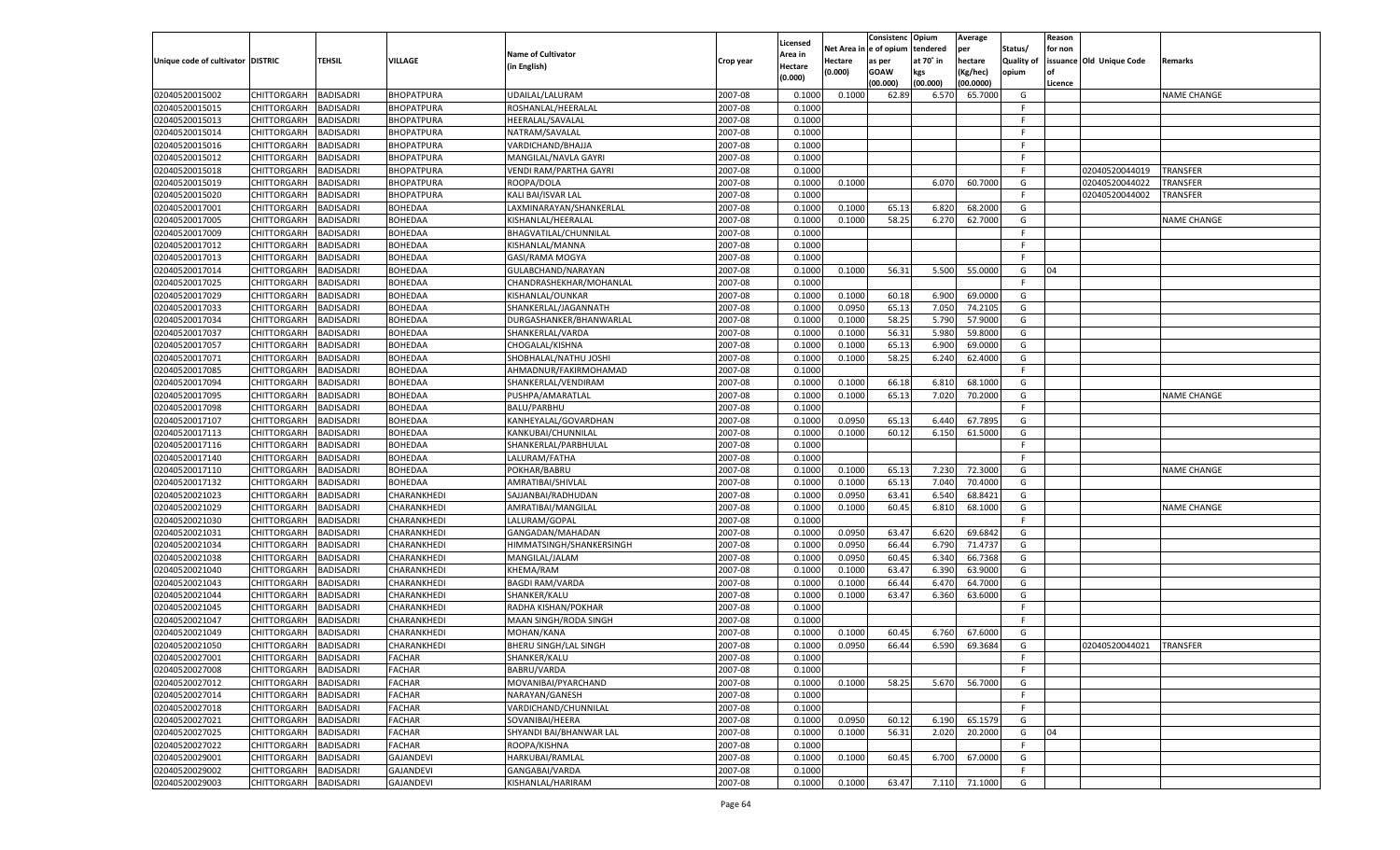|                                   |                       |                  |                   |                              |           |                     |             | Consistenc    | Opium     | Average   |                   | Reason  |                          |                    |
|-----------------------------------|-----------------------|------------------|-------------------|------------------------------|-----------|---------------------|-------------|---------------|-----------|-----------|-------------------|---------|--------------------------|--------------------|
|                                   |                       |                  |                   | <b>Name of Cultivator</b>    |           | Licensed<br>Area in | Net Area iı | n  e of opium | tendered  | per       | Status/           | for non |                          |                    |
| Unique code of cultivator DISTRIC |                       | TEHSIL           | <b>VILLAGE</b>    | (in English)                 | Crop year | Hectare             | Hectare     | as per        | at 70° in | hectare   | <b>Quality of</b> |         | issuance Old Unique Code | Remarks            |
|                                   |                       |                  |                   |                              |           | (0.000)             | (0.000)     | <b>GOAW</b>   | kgs       | (Kg/hec)  | opium             |         |                          |                    |
|                                   |                       |                  |                   |                              |           |                     |             | (00.000)      | (00.000)  | (00.0000) |                   | Licence |                          |                    |
| 02040520015002                    | CHITTORGARH           | <b>BADISADRI</b> | <b>BHOPATPURA</b> | UDAILAL/LALURAM              | 2007-08   | 0.100               | 0.1000      | 62.89         | 6.570     | 65.7000   | G                 |         |                          | <b>NAME CHANGE</b> |
| 02040520015015                    | CHITTORGARH           | BADISADRI        | BHOPATPURA        | ROSHANLAL/HEERALAL           | 2007-08   | 0.1000              |             |               |           |           | E                 |         |                          |                    |
| 02040520015013                    | CHITTORGARH           | BADISADRI        | BHOPATPURA        | HEERALAL/SAVALAL             | 2007-08   | 0.1000              |             |               |           |           | F.                |         |                          |                    |
| 02040520015014                    | CHITTORGARH           | BADISADRI        | BHOPATPURA        | NATRAM/SAVALAL               | 2007-08   | 0.1000              |             |               |           |           | E                 |         |                          |                    |
| 02040520015016                    | CHITTORGARH           | BADISADRI        | BHOPATPURA        | VARDICHAND/BHAJJA            | 2007-08   | 0.1000              |             |               |           |           | F.                |         |                          |                    |
| 02040520015012                    | CHITTORGARH           | BADISADRI        | BHOPATPURA        | MANGILAL/NAVLA GAYRI         | 2007-08   | 0.1000              |             |               |           |           | -F                |         |                          |                    |
| 02040520015018                    | CHITTORGARH           | BADISADRI        | BHOPATPURA        | VENDI RAM/PARTHA GAYRI       | 2007-08   | 0.1000              |             |               |           |           | E                 |         | 02040520044019           | TRANSFER           |
| 02040520015019                    | CHITTORGARH           | BADISADRI        | BHOPATPURA        | ROOPA/DOLA                   | 2007-08   | 0.1000              | 0.1000      |               | 6.070     | 60.7000   | G                 |         | 02040520044022           | TRANSFER           |
| 02040520015020                    | CHITTORGARH           | BADISADRI        | <b>BHOPATPURA</b> | KALI BAI/ISVAR LAL           | 2007-08   | 0.1000              |             |               |           |           | F.                |         | 02040520044002           | TRANSFER           |
| 02040520017001                    | CHITTORGARH           | BADISADRI        | BOHEDAA           | LAXMINARAYAN/SHANKERLAL      | 2007-08   | 0.1000              | 0.1000      | 65.13         | 6.820     | 68.2000   | G                 |         |                          |                    |
| 02040520017005                    | CHITTORGARH           | BADISADRI        | <b>BOHEDAA</b>    | KISHANLAL/HEERALAL           | 2007-08   | 0.1000              | 0.1000      | 58.25         | 6.270     | 62.7000   | G                 |         |                          | NAME CHANGE        |
| 02040520017009                    | CHITTORGARH           | BADISADRI        | <b>BOHEDAA</b>    | BHAGVATILAL/CHUNNILAL        | 2007-08   | 0.1000              |             |               |           |           | E                 |         |                          |                    |
| 02040520017012                    | CHITTORGARH           | BADISADRI        | BOHEDAA           | KISHANLAL/MANNA              | 2007-08   | 0.1000              |             |               |           |           | F.                |         |                          |                    |
| 02040520017013                    | CHITTORGARH           | <b>BADISADRI</b> | BOHEDAA           | GASI/RAMA MOGYA              | 2007-08   | 0.1000              |             |               |           |           | F.                |         |                          |                    |
| 02040520017014                    | CHITTORGARH           | <b>BADISADRI</b> | BOHEDAA           | GULABCHAND/NARAYAN           | 2007-08   | 0.1000              | 0.1000      | 56.31         | 5.500     | 55.0000   | G                 | 04      |                          |                    |
| 02040520017025                    | CHITTORGARH           | BADISADRI        | BOHEDAA           | CHANDRASHEKHAR/MOHANLAL      | 2007-08   | 0.1000              |             |               |           |           | F.                |         |                          |                    |
| 02040520017029                    | CHITTORGARH           | <b>BADISADRI</b> | <b>BOHEDAA</b>    | KISHANLAL/OUNKAR             | 2007-08   | 0.1000              | 0.1000      | 60.18         | 6.900     | 69.0000   | G                 |         |                          |                    |
| 02040520017033                    | CHITTORGARH           | BADISADRI        | BOHEDAA           | SHANKERLAL/JAGANNATH         | 2007-08   | 0.1000              | 0.0950      | 65.13         | 7.050     | 74.2105   | G                 |         |                          |                    |
| 02040520017034                    | CHITTORGARH           | <b>BADISADRI</b> | BOHEDAA           | DURGASHANKER/BHANWARLAL      | 2007-08   | 0.1000              | 0.1000      | 58.25         | 5.790     | 57.9000   | G                 |         |                          |                    |
| 02040520017037                    | CHITTORGARH           | BADISADRI        | BOHEDAA           | SHANKERLAL/VARDA             | 2007-08   | 0.1000              | 0.1000      | 56.31         | 5.980     | 59.8000   | G                 |         |                          |                    |
| 02040520017057                    | CHITTORGARH           | <b>BADISADRI</b> | <b>BOHEDAA</b>    | CHOGALAL/KISHNA              | 2007-08   | 0.1000              | 0.1000      | 65.13         | 6.900     | 69.0000   | G                 |         |                          |                    |
| 02040520017071                    | CHITTORGARH           | BADISADRI        | BOHEDAA           | SHOBHALAL/NATHU JOSHI        | 2007-08   | 0.1000              | 0.1000      | 58.25         | 6.240     | 62.4000   | G                 |         |                          |                    |
| 02040520017085                    | CHITTORGARH           | <b>BADISADRI</b> | BOHEDAA           | AHMADNUR/FAKIRMOHAMAD        | 2007-08   | 0.1000              |             |               |           |           | F.                |         |                          |                    |
| 02040520017094                    | CHITTORGARH           | BADISADRI        | <b>BOHEDAA</b>    | SHANKERLAL/VENDIRAM          | 2007-08   | 0.1000              | 0.1000      | 66.18         | 6.810     | 68.1000   | G                 |         |                          |                    |
| 02040520017095                    | CHITTORGARH           | <b>BADISADRI</b> | <b>BOHEDAA</b>    | PUSHPA/AMARATLAL             | 2007-08   | 0.1000              | 0.1000      | 65.13         | 7.020     | 70.2000   | G                 |         |                          | <b>NAME CHANGE</b> |
| 02040520017098                    | CHITTORGARH           | BADISADRI        | BOHEDAA           | BALU/PARBHU                  | 2007-08   | 0.1000              |             |               |           |           | F.                |         |                          |                    |
| 02040520017107                    | CHITTORGARH           | <b>BADISADRI</b> | BOHEDAA           | KANHEYALAL/GOVARDHAN         | 2007-08   | 0.1000              | 0.0950      | 65.13         | 6.440     | 67.7895   | G                 |         |                          |                    |
| 02040520017113                    | CHITTORGARH           | BADISADRI        | <b>BOHEDAA</b>    | KANKUBAI/CHUNNILAL           | 2007-08   | 0.1000              | 0.1000      | 60.12         | 6.150     | 61.5000   | G                 |         |                          |                    |
| 02040520017116                    | CHITTORGARH           | <b>BADISADRI</b> | BOHEDAA           | SHANKERLAL/PARBHULAL         | 2007-08   | 0.1000              |             |               |           |           | F.                |         |                          |                    |
| 02040520017140                    | CHITTORGARH           | BADISADRI        | BOHEDAA           | LALURAM/FATHA                | 2007-08   | 0.1000              |             |               |           |           | E                 |         |                          |                    |
| 02040520017110                    | CHITTORGARH           | <b>BADISADRI</b> | <b>BOHEDAA</b>    | POKHAR/BABRU                 | 2007-08   | 0.1000              | 0.1000      | 65.13         | 7.230     | 72.3000   | G                 |         |                          | <b>NAME CHANGE</b> |
| 02040520017132                    | CHITTORGARH           | <b>BADISADRI</b> | <b>BOHEDAA</b>    | AMRATIBAI/SHIVLAL            | 2007-08   | 0.1000              | 0.1000      | 65.13         | 7.040     | 70.4000   | G                 |         |                          |                    |
| 02040520021023                    | CHITTORGARH           | <b>BADISADRI</b> | CHARANKHEDI       | SAJJANBAI/RADHUDAN           | 2007-08   | 0.1000              | 0.0950      | 63.41         | 6.540     | 68.8421   | G                 |         |                          |                    |
| 02040520021029                    | CHITTORGARH           | BADISADRI        | CHARANKHEDI       | AMRATIBAI/MANGILAL           | 2007-08   | 0.1000              | 0.1000      | 60.45         | 6.810     | 68.1000   | G                 |         |                          | <b>NAME CHANGE</b> |
| 02040520021030                    | CHITTORGARH           | <b>BADISADRI</b> | CHARANKHEDI       | LALURAM/GOPAL                | 2007-08   | 0.1000              |             |               |           |           | F.                |         |                          |                    |
| 02040520021031                    | CHITTORGARH           | <b>BADISADRI</b> | CHARANKHEDI       | GANGADAN/MAHADAN             | 2007-08   | 0.1000              | 0.0950      | 63.47         | 6.620     | 69.6842   | G                 |         |                          |                    |
| 02040520021034                    | CHITTORGARH           | <b>BADISADRI</b> | CHARANKHEDI       | HIMMATSINGH/SHANKERSINGH     | 2007-08   | 0.1000              | 0.0950      | 66.44         | 6.790     | 71.4737   | G                 |         |                          |                    |
| 02040520021038                    | CHITTORGARH           | BADISADRI        | CHARANKHEDI       | MANGILAL/JALAM               | 2007-08   | 0.1000              | 0.0950      | 60.45         | 6.340     | 66.7368   | G                 |         |                          |                    |
| 02040520021040                    | CHITTORGARH           | <b>BADISADRI</b> | CHARANKHEDI       | KHEMA/RAM                    | 2007-08   | 0.1000              | 0.1000      | 63.47         | 6.390     | 63.9000   | G                 |         |                          |                    |
| 02040520021043                    | CHITTORGARH           | <b>BADISADRI</b> | CHARANKHEDI       | <b>BAGDI RAM/VARDA</b>       | 2007-08   | 0.1000              | 0.1000      | 66.44         | 6.470     | 64.7000   | G                 |         |                          |                    |
| 02040520021044                    | CHITTORGARH           | <b>BADISADRI</b> | CHARANKHEDI       | SHANKER/KALU                 | 2007-08   | 0.1000              | 0.1000      | 63.47         | 6.360     | 63.6000   | G                 |         |                          |                    |
| 02040520021045                    | CHITTORGARH           | BADISADRI        | CHARANKHEDI       | RADHA KISHAN/POKHAR          | 2007-08   | 0.1000              |             |               |           |           | F.                |         |                          |                    |
| 02040520021047                    | CHITTORGARH           | BADISADRI        | CHARANKHEDI       | MAAN SINGH/RODA SINGH        | 2007-08   | 0.1000              |             |               |           |           | E                 |         |                          |                    |
| 02040520021049                    | CHITTORGARH           | BADISADRI        | CHARANKHEDI       | MOHAN/KANA                   | 2007-08   | 0.1000              | 0.1000      | 60.45         | 6.760     | 67.6000   | G                 |         |                          |                    |
| 02040520021050                    | CHITTORGARH           | <b>BADISADRI</b> | CHARANKHEDI       | <b>BHERU SINGH/LAL SINGH</b> | 2007-08   | 0.1000              | 0.0950      | 66.44         | 6.590     | 69.3684   | G                 |         | 02040520044021           | <b>TRANSFER</b>    |
| 02040520027001                    | CHITTORGARH BADISADRI |                  | <b>FACHAR</b>     | SHANKER/KALU                 | 2007-08   | 0.1000              |             |               |           |           | F                 |         |                          |                    |
| 02040520027008                    | <b>CHITTORGARH</b>    | <b>BADISADRI</b> | <b>FACHAR</b>     | <b>BABRU/VARDA</b>           | 2007-08   | 0.1000              |             |               |           |           | F.                |         |                          |                    |
| 02040520027012                    | <b>CHITTORGARH</b>    | <b>BADISADRI</b> | <b>FACHAR</b>     | MOVANIBAI/PYARCHAND          | 2007-08   | 0.1000              | 0.1000      | 58.25         | 5.670     | 56.7000   | G                 |         |                          |                    |
| 02040520027014                    | CHITTORGARH           | <b>BADISADRI</b> | <b>FACHAR</b>     | NARAYAN/GANESH               | 2007-08   | 0.1000              |             |               |           |           | F.                |         |                          |                    |
| 02040520027018                    | CHITTORGARH           | <b>BADISADRI</b> | <b>FACHAR</b>     | VARDICHAND/CHUNNILAL         | 2007-08   | 0.1000              |             |               |           |           | F.                |         |                          |                    |
| 02040520027021                    | CHITTORGARH           | <b>BADISADRI</b> | <b>FACHAR</b>     | SOVANIBAI/HEERA              | 2007-08   | 0.1000              | 0.0950      | 60.12         | 6.190     | 65.1579   | G                 |         |                          |                    |
| 02040520027025                    | <b>CHITTORGARH</b>    | <b>BADISADRI</b> | <b>FACHAR</b>     | SHYANDI BAI/BHANWAR LAL      | 2007-08   | 0.1000              | 0.1000      | 56.31         | 2.020     | 20.2000   | G                 | 04      |                          |                    |
| 02040520027022                    | CHITTORGARH           | <b>BADISADRI</b> | <b>FACHAR</b>     | ROOPA/KISHNA                 | 2007-08   | 0.1000              |             |               |           |           | -F                |         |                          |                    |
| 02040520029001                    | <b>CHITTORGARH</b>    | <b>BADISADRI</b> | <b>GAJANDEVI</b>  | HARKUBAI/RAMLAL              | 2007-08   | 0.1000              | 0.1000      | 60.45         | 6.700     | 67.0000   | G                 |         |                          |                    |
| 02040520029002                    | <b>CHITTORGARH</b>    | <b>BADISADRI</b> | <b>GAJANDEVI</b>  | GANGABAI/VARDA               | 2007-08   | 0.1000              |             |               |           |           | F.                |         |                          |                    |
| 02040520029003                    | <b>CHITTORGARH</b>    | <b>BADISADRI</b> | <b>GAJANDEVI</b>  | KISHANLAL/HARIRAM            | 2007-08   | 0.1000              | 0.1000      | 63.47         | 7.110     | 71.1000   | G                 |         |                          |                    |
|                                   |                       |                  |                   |                              |           |                     |             |               |           |           |                   |         |                          |                    |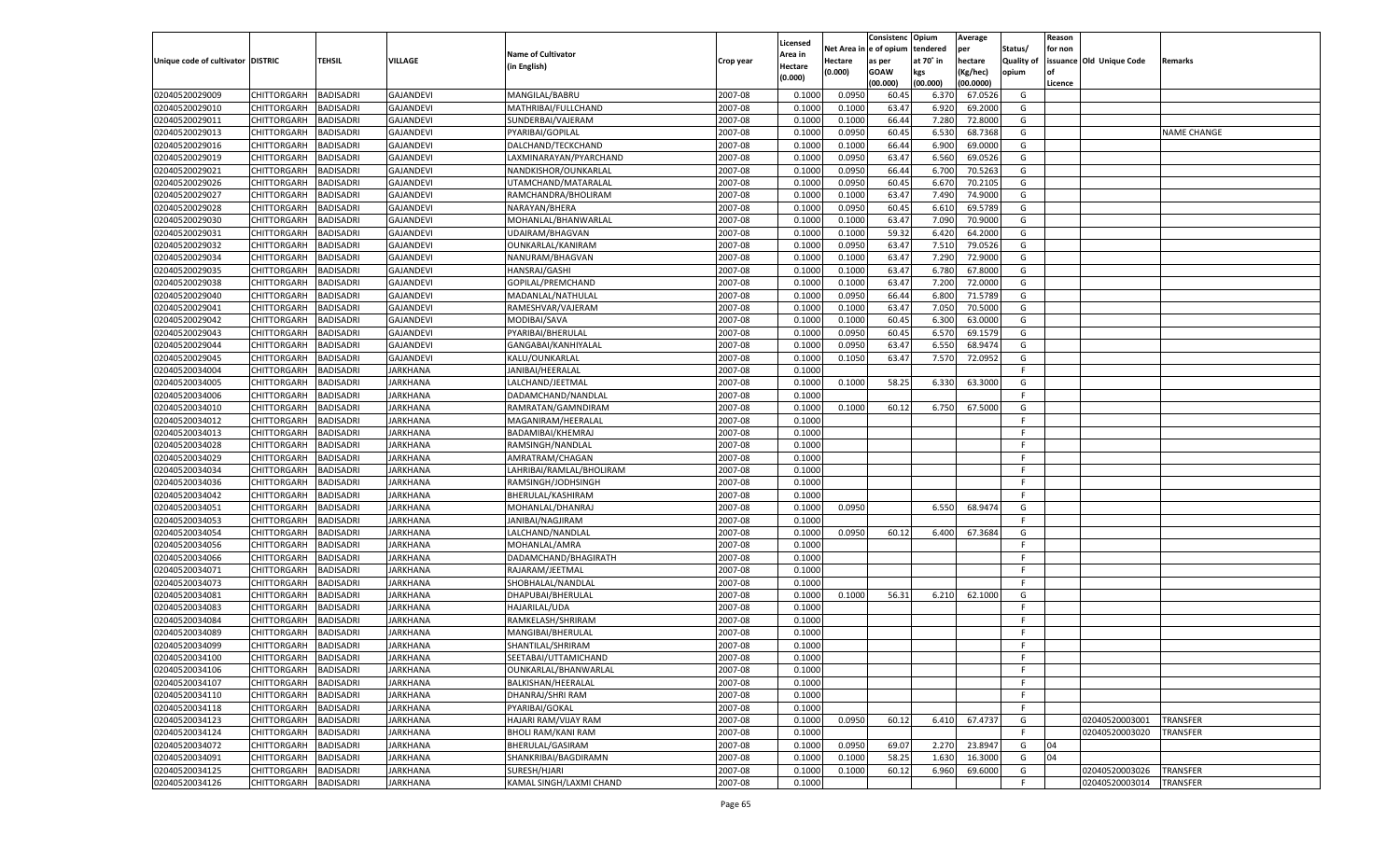|                                   |                       |                                      |                             |                           |                    |                           |          | Consistenc  | Opium     | Average   |                   | Reason  |                          |                    |
|-----------------------------------|-----------------------|--------------------------------------|-----------------------------|---------------------------|--------------------|---------------------------|----------|-------------|-----------|-----------|-------------------|---------|--------------------------|--------------------|
|                                   |                       |                                      |                             | <b>Name of Cultivator</b> |                    | Licensed                  | Net Area | le of opium | tendered  | per       | Status/           | for non |                          |                    |
| Unique code of cultivator DISTRIC |                       | <b>TEHSIL</b>                        | VILLAGE                     | (in English)              | Crop year          | <b>Area in</b><br>Hectare | Hectare  | as per      | at 70° in | hectare   | <b>Quality of</b> |         | issuance Old Unique Code | Remarks            |
|                                   |                       |                                      |                             |                           |                    | (0.000)                   | (0.000)  | <b>GOAW</b> | kgs       | (Kg/hec)  | opium             |         |                          |                    |
|                                   |                       |                                      |                             |                           |                    |                           |          | (00.000)    | (00.000)  | (00.0000) |                   | Licence |                          |                    |
| 02040520029009                    | CHITTORGARH           | <b>BADISADRI</b>                     | <b>GAJANDEVI</b>            | MANGILAL/BABRU            | 2007-08            | 0.1000                    | 0.0950   | 60.4        | 6.37      | 67.0526   | G                 |         |                          |                    |
| 02040520029010                    | CHITTORGARH           | BADISADRI                            | <b>GAJANDEVI</b>            | MATHRIBAI/FULLCHAND       | 2007-08            | 0.1000                    | 0.1000   | 63.47       | 6.920     | 69.2000   | G                 |         |                          |                    |
| 02040520029011                    | CHITTORGARH           | BADISADRI                            | <b>GAJANDEVI</b>            | SUNDERBAI/VAJERAM         | 2007-08            | 0.1000                    | 0.1000   | 66.44       | 7.280     | 72.8000   | G                 |         |                          |                    |
| 02040520029013                    | CHITTORGARH           | BADISADRI                            | <b>GAJANDEVI</b>            | PYARIBAI/GOPILAL          | 2007-08            | 0.1000                    | 0.0950   | 60.45       | 6.530     | 68.7368   | G                 |         |                          | <b>NAME CHANGE</b> |
| 02040520029016                    | CHITTORGARH           | <b>BADISADRI</b>                     | GAJANDEVI                   | DALCHAND/TECKCHAND        | 2007-08            | 0.1000                    | 0.1000   | 66.44       | 6.900     | 69.0000   | G                 |         |                          |                    |
| 02040520029019                    | CHITTORGARH           | BADISADRI                            | <b>GAJANDEVI</b>            | LAXMINARAYAN/PYARCHAND    | 2007-08            | 0.1000                    | 0.0950   | 63.47       | 6.560     | 69.0526   | G                 |         |                          |                    |
| 02040520029021                    | CHITTORGARH           | BADISADRI                            | <b>GAJANDEVI</b>            | NANDKISHOR/OUNKARLAI      | 2007-08            | 0.1000                    | 0.0950   | 66.44       | 6.700     | 70.5263   | G                 |         |                          |                    |
| 02040520029026                    | CHITTORGARH           | BADISADRI                            | <b>GAJANDEVI</b>            | UTAMCHAND/MATARALAL       | 2007-08            | 0.1000                    | 0.0950   | 60.45       | 6.67      | 70.2105   | G                 |         |                          |                    |
| 02040520029027                    | CHITTORGARH           | <b>BADISADRI</b>                     | GAJANDEVI                   | RAMCHANDRA/BHOLIRAM       | 2007-08            | 0.1000                    | 0.1000   | 63.47       | 7.490     | 74.9000   | G                 |         |                          |                    |
| 02040520029028                    | CHITTORGARH           | BADISADRI                            | <b>GAJANDEVI</b>            | NARAYAN/BHERA             | 2007-08            | 0.1000                    | 0.0950   | 60.45       | 6.610     | 69.5789   | G                 |         |                          |                    |
| 02040520029030                    | CHITTORGARH           | BADISADRI                            | <b>GAJANDEVI</b>            | MOHANLAL/BHANWARLAL       | 2007-08            | 0.1000                    | 0.1000   | 63.47       | 7.090     | 70.9000   | G                 |         |                          |                    |
| 02040520029031                    | CHITTORGARH           | BADISADRI                            | <b>GAJANDEVI</b>            | UDAIRAM/BHAGVAN           | 2007-08            | 0.1000                    | 0.1000   | 59.32       | 6.420     | 64.2000   | G                 |         |                          |                    |
| 02040520029032                    | CHITTORGARH           | <b>BADISADRI</b>                     | GAJANDEVI                   | OUNKARLAL/KANIRAM         | 2007-08            | 0.1000                    | 0.0950   | 63.47       | 7.510     | 79.0526   | G                 |         |                          |                    |
| 02040520029034                    | CHITTORGARH           | BADISADRI                            | <b>GAJANDEVI</b>            | NANURAM/BHAGVAN           | 2007-08            | 0.1000                    | 0.1000   | 63.47       | 7.290     | 72.9000   | G                 |         |                          |                    |
| 02040520029035                    | CHITTORGARH           | <b>BADISADRI</b>                     | <b>GAJANDEVI</b>            | HANSRAJ/GASHI             | 2007-08            | 0.1000                    | 0.1000   | 63.47       | 6.780     | 67.8000   | G                 |         |                          |                    |
| 02040520029038                    | CHITTORGARH           | BADISADRI                            | <b>GAJANDEVI</b>            | GOPILAL/PREMCHAND         | 2007-08            | 0.1000                    | 0.1000   | 63.47       | 7.200     | 72.0000   | G                 |         |                          |                    |
| 02040520029040                    | CHITTORGARH           | <b>BADISADRI</b>                     | <b>GAJANDEVI</b>            | MADANLAL/NATHULAL         | 2007-08            | 0.1000                    | 0.0950   | 66.44       | 6.800     | 71.5789   | G                 |         |                          |                    |
| 02040520029041                    | CHITTORGARH           | BADISADRI                            | <b>GAJANDEVI</b>            | RAMESHVAR/VAJERAM         | 2007-08            | 0.1000                    | 0.1000   | 63.47       | 7.050     | 70.5000   | G                 |         |                          |                    |
| 02040520029042                    | CHITTORGARH           | <b>BADISADRI</b>                     | <b>GAJANDEVI</b>            | MODIBAI/SAVA              | 2007-08            | 0.1000                    | 0.1000   | 60.45       | 6.300     | 63.0000   | G                 |         |                          |                    |
| 02040520029043                    | CHITTORGARH           | BADISADRI                            | <b>GAJANDEVI</b>            | PYARIBAI/BHERULAL         | 2007-08            | 0.1000                    | 0.0950   | 60.45       | 6.570     | 69.1579   | G                 |         |                          |                    |
| 02040520029044                    | CHITTORGARH           | <b>BADISADRI</b>                     | <b>GAJANDEVI</b>            | GANGABAI/KANHIYALAL       | 2007-08            | 0.1000                    | 0.0950   | 63.47       | 6.550     | 68.9474   | G                 |         |                          |                    |
| 02040520029045                    | CHITTORGARH           | BADISADRI                            | <b>GAJANDEVI</b>            | KALU/OUNKARLAL            | 2007-08            | 0.1000                    | 0.1050   | 63.47       | 7.570     | 72.0952   | G                 |         |                          |                    |
| 02040520034004                    | CHITTORGARH           | <b>BADISADRI</b>                     | <b>JARKHANA</b>             | JANIBAI/HEERALAL          | 2007-08            | 0.1000                    |          |             |           |           | F                 |         |                          |                    |
| 02040520034005                    | CHITTORGARH           | BADISADRI                            | JARKHANA                    | LALCHAND/JEETMAL          | 2007-08            | 0.1000                    | 0.1000   | 58.25       | 6.330     | 63.3000   | G                 |         |                          |                    |
| 02040520034006                    | CHITTORGARH           | <b>BADISADRI</b>                     | <b>JARKHANA</b>             | DADAMCHAND/NANDLAI        | 2007-08            | 0.1000                    |          |             |           |           | F                 |         |                          |                    |
| 02040520034010                    | CHITTORGARH           | BADISADRI                            | JARKHANA                    | RAMRATAN/GAMNDIRAM        | 2007-08            | 0.1000                    | 0.1000   | 60.12       | 6.750     | 67.5000   | G                 |         |                          |                    |
| 02040520034012                    | CHITTORGARH           | <b>BADISADRI</b>                     | <b>JARKHANA</b>             | MAGANIRAM/HEERALAL        | 2007-08            | 0.1000                    |          |             |           |           | F.                |         |                          |                    |
| 02040520034013                    | CHITTORGARH           | BADISADRI                            | JARKHANA                    | BADAMIBAI/KHEMRAJ         | 2007-08            | 0.1000                    |          |             |           |           | F.                |         |                          |                    |
| 02040520034028                    | CHITTORGARH           | <b>BADISADRI</b>                     | <b>JARKHANA</b>             | RAMSINGH/NANDLAL          | 2007-08            | 0.1000                    |          |             |           |           | F.                |         |                          |                    |
| 02040520034029                    | CHITTORGARH           | <b>BADISADRI</b>                     | JARKHANA                    | AMRATRAM/CHAGAN           | 2007-08            | 0.1000                    |          |             |           |           | F                 |         |                          |                    |
| 02040520034034                    | CHITTORGARH           | <b>BADISADRI</b>                     | <b>JARKHANA</b>             | LAHRIBAI/RAMLAL/BHOLIRAM  | 2007-08            | 0.1000                    |          |             |           |           | F                 |         |                          |                    |
| 02040520034036                    | CHITTORGARH           | <b>BADISADRI</b>                     | JARKHANA                    | RAMSINGH/JODHSINGH        | 2007-08            | 0.1000                    |          |             |           |           | F                 |         |                          |                    |
| 02040520034042                    | CHITTORGARH           | <b>BADISADRI</b>                     | <b>JARKHANA</b>             | BHERULAL/KASHIRAM         | 2007-08            | 0.1000                    |          |             |           |           | F.                |         |                          |                    |
| 02040520034051                    | CHITTORGARH           | BADISADRI                            | JARKHANA                    | MOHANLAL/DHANRAJ          | 2007-08            | 0.1000                    | 0.0950   |             | 6.550     | 68.9474   | G                 |         |                          |                    |
| 02040520034053                    | CHITTORGARH           | <b>BADISADRI</b>                     | JARKHANA                    | JANIBAI/NAGJIRAM          | 2007-08            | 0.1000                    |          |             |           |           | F.                |         |                          |                    |
| 02040520034054                    | CHITTORGARH           | <b>BADISADRI</b>                     | JARKHANA                    | LALCHAND/NANDLAL          | 2007-08            | 0.1000                    | 0.0950   | 60.12       | 6.400     | 67.3684   | G                 |         |                          |                    |
| 02040520034056                    | CHITTORGARH           | <b>BADISADRI</b>                     | <b>JARKHANA</b>             | MOHANLAL/AMRA             | 2007-08            | 0.1000                    |          |             |           |           | F.                |         |                          |                    |
| 02040520034066                    | CHITTORGARH           | BADISADRI                            | JARKHANA                    | DADAMCHAND/BHAGIRATH      | 2007-08            | 0.1000                    |          |             |           |           | F                 |         |                          |                    |
| 02040520034071                    |                       | <b>BADISADRI</b>                     | JARKHANA                    |                           | 2007-08            | 0.1000                    |          |             |           |           | F.                |         |                          |                    |
|                                   | CHITTORGARH           |                                      |                             | RAJARAM/JEETMAL           |                    |                           |          |             |           |           | F.                |         |                          |                    |
| 02040520034073                    | CHITTORGARH           | <b>BADISADRI</b><br><b>BADISADRI</b> | JARKHANA<br><b>JARKHANA</b> | SHOBHALAL/NANDLAL         | 2007-08<br>2007-08 | 0.1000                    |          |             |           |           |                   |         |                          |                    |
| 02040520034081                    | CHITTORGARH           |                                      |                             | DHAPUBAI/BHERULAL         |                    | 0.1000                    | 0.1000   | 56.31       | 6.210     | 62.1000   | G<br>F.           |         |                          |                    |
| 02040520034083                    | CHITTORGARH           | BADISADRI                            | JARKHANA                    | HAJARILAL/UDA             | 2007-08            | 0.1000                    |          |             |           |           | F.                |         |                          |                    |
| 02040520034084                    | CHITTORGARH           | BADISADRI                            | JARKHANA                    | RAMKELASH/SHRIRAM         | 2007-08            | 0.1000                    |          |             |           |           |                   |         |                          |                    |
| 02040520034089                    | CHITTORGARH           | BADISADRI                            | JARKHANA                    | MANGIBAI/BHERULAL         | 2007-08            | 0.1000                    |          |             |           |           | F                 |         |                          |                    |
| 02040520034099                    | CHITTORGARH           | <b>BADISADRI</b>                     | JARKHANA                    | SHANTILAL/SHRIRAM         | 2007-08            | 0.1000                    |          |             |           |           | F                 |         |                          |                    |
| 02040520034100                    | CHITTORGARH BADISADRI |                                      | <b>JARKHANA</b>             | SEETABAI/UTTAMICHAND      | 2007-08            | 0.1000                    |          |             |           |           | F.                |         |                          |                    |
| 02040520034106                    | <b>CHITTORGARH</b>    | <b>BADISADRI</b>                     | <b>JARKHANA</b>             | OUNKARLAL/BHANWARLAL      | 2007-08            | 0.1000                    |          |             |           |           | F.                |         |                          |                    |
| 02040520034107                    | CHITTORGARH           | <b>BADISADRI</b>                     | <b>JARKHANA</b>             | BALKISHAN/HEERALAL        | 2007-08            | 0.1000                    |          |             |           |           | F.                |         |                          |                    |
| 02040520034110                    | <b>CHITTORGARH</b>    | <b>BADISADRI</b>                     | <b>JARKHANA</b>             | DHANRAJ/SHRI RAM          | 2007-08            | 0.1000                    |          |             |           |           | F.                |         |                          |                    |
| 02040520034118                    | <b>CHITTORGARH</b>    | <b>BADISADRI</b>                     | <b>JARKHANA</b>             | PYARIBAI/GOKAL            | 2007-08            | 0.1000                    |          |             |           |           | F                 |         |                          |                    |
| 02040520034123                    | <b>CHITTORGARH</b>    | <b>BADISADRI</b>                     | <b>JARKHANA</b>             | HAJARI RAM/VIJAY RAM      | 2007-08            | 0.1000                    | 0.0950   | 60.12       | 6.410     | 67.4737   | G                 |         | 02040520003001           | <b>TRANSFER</b>    |
| 02040520034124                    | <b>CHITTORGARH</b>    | <b>BADISADRI</b>                     | JARKHANA                    | <b>BHOLI RAM/KANI RAM</b> | 2007-08            | 0.1000                    |          |             |           |           | F.                |         | 02040520003020           | <b>TRANSFER</b>    |
| 02040520034072                    | <b>CHITTORGARH</b>    | <b>BADISADRI</b>                     | <b>JARKHANA</b>             | BHERULAL/GASIRAM          | 2007-08            | 0.1000                    | 0.0950   | 69.07       | 2.270     | 23.8947   | G                 | 04      |                          |                    |
| 02040520034091                    | <b>CHITTORGARH</b>    | <b>BADISADRI</b>                     | JARKHANA                    | SHANKRIBAI/BAGDIRAMN      | 2007-08            | 0.1000                    | 0.1000   | 58.25       | 1.630     | 16.3000   | G                 | 04      |                          |                    |
| 02040520034125                    | <b>CHITTORGARH</b>    | <b>BADISADRI</b>                     | <b>JARKHANA</b>             | SURESH/HJARI              | 2007-08            | 0.1000                    | 0.1000   | 60.12       | 6.960     | 69.6000   | G                 |         | 02040520003026           | <b>TRANSFER</b>    |
| 02040520034126                    | <b>CHITTORGARH</b>    | <b>BADISADRI</b>                     | <b>JARKHANA</b>             | KAMAL SINGH/LAXMI CHAND   | 2007-08            | 0.1000                    |          |             |           |           | F.                |         | 02040520003014           | <b>TRANSFER</b>    |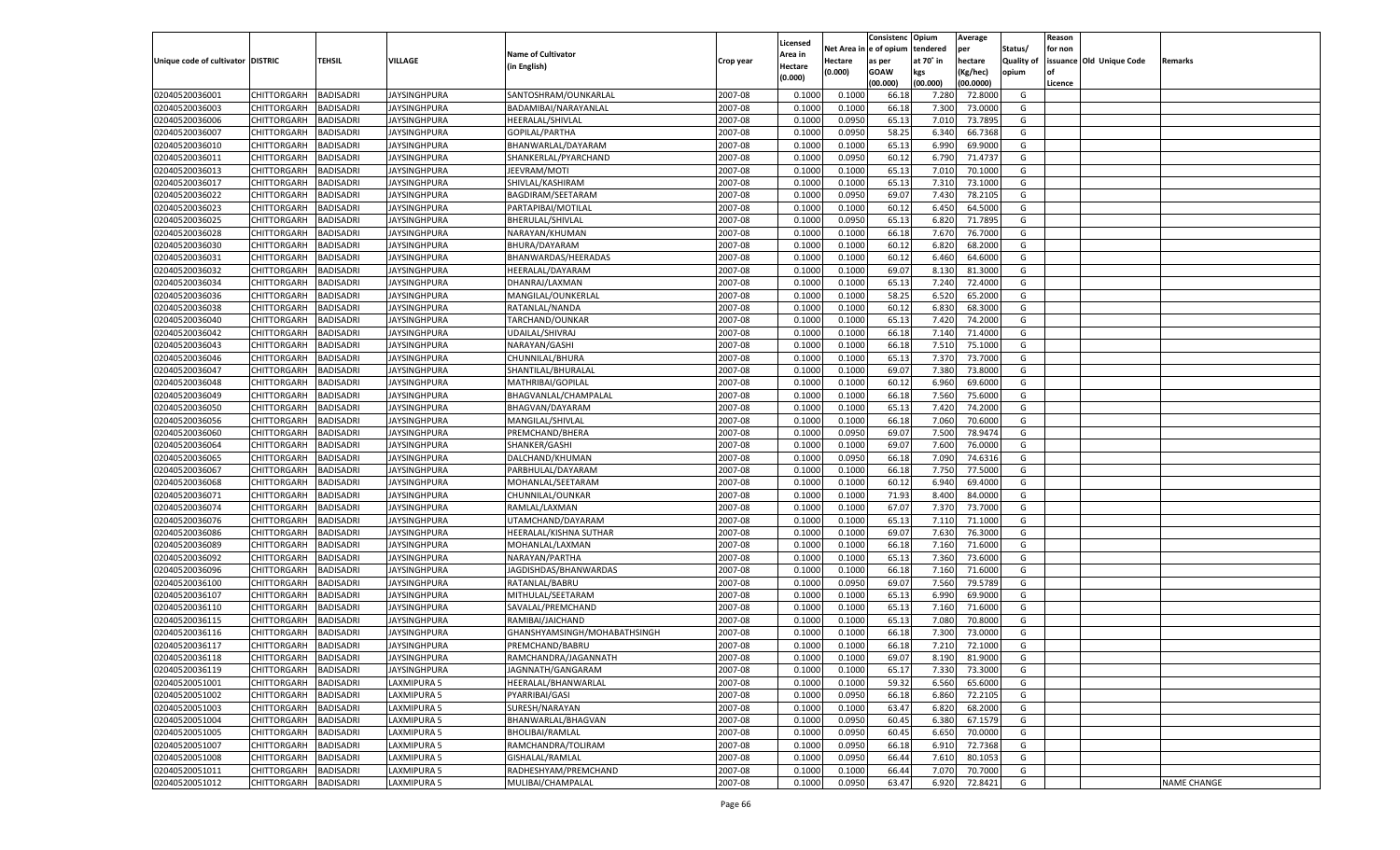|                                   |                                          |                  |                     |                                           |                    |                     |            | Consistenc    | Opium     | Average            |                   | Reason  |                          |                    |
|-----------------------------------|------------------------------------------|------------------|---------------------|-------------------------------------------|--------------------|---------------------|------------|---------------|-----------|--------------------|-------------------|---------|--------------------------|--------------------|
|                                   |                                          |                  |                     | <b>Name of Cultivator</b>                 |                    | Licensed<br>Area in | Net Area i | n  e of opium | tendered  | per                | Status/           | for non |                          |                    |
| Unique code of cultivator DISTRIC |                                          | TEHSIL           | VILLAGE             | (in English)                              | Crop year          | Hectare             | Hectare    | as per        | at 70° in | hectare            | <b>Quality of</b> |         | issuance Old Unique Code | Remarks            |
|                                   |                                          |                  |                     |                                           |                    | (0.000)             | (0.000)    | <b>GOAW</b>   | kgs       | (Kg/hec)           | opium             |         |                          |                    |
|                                   |                                          |                  |                     |                                           |                    |                     |            | (00.000)      | (00.000)  | (00.0000)          |                   | Licence |                          |                    |
| 02040520036001                    | CHITTORGARH                              | <b>BADISADRI</b> | <b>JAYSINGHPURA</b> | SANTOSHRAM/OUNKARLAL                      | 2007-08            | 0.100               | 0.1000     | 66.18         | 7.280     | 72.8000            | G                 |         |                          |                    |
| 02040520036003                    | CHITTORGARH                              | BADISADRI        | JAYSINGHPURA        | BADAMIBAI/NARAYANLAL                      | 2007-08            | 0.100               | 0.1000     | 66.18         | 7.300     | 73.0000            | G                 |         |                          |                    |
| 02040520036006                    | CHITTORGARH                              | BADISADRI        | JAYSINGHPURA        | HEERALAL/SHIVLAL                          | 2007-08            | 0.1000              | 0.0950     | 65.13         | 7.010     | 73.7895            | G                 |         |                          |                    |
| 02040520036007                    | CHITTORGARH                              | BADISADRI        | JAYSINGHPURA        | GOPILAL/PARTHA                            | 2007-08            | 0.1000              | 0.0950     | 58.25         | 6.340     | 66.7368            | G                 |         |                          |                    |
| 02040520036010                    | CHITTORGARH                              | BADISADRI        | JAYSINGHPURA        | BHANWARLAL/DAYARAM                        | 2007-08            | 0.1000              | 0.1000     | 65.13         | 6.990     | 69.9000            | G                 |         |                          |                    |
| 02040520036011                    | CHITTORGARH                              | BADISADRI        | JAYSINGHPURA        | SHANKERLAL/PYARCHAND                      | 2007-08            | 0.1000              | 0.0950     | 60.1          | 6.790     | 71.4737            | G                 |         |                          |                    |
| 02040520036013                    | CHITTORGARH                              | BADISADRI        | JAYSINGHPURA        | JEEVRAM/MOTI                              | 2007-08            | 0.1000              | 0.1000     | 65.13         | 7.010     | 70.1000            | G                 |         |                          |                    |
| 02040520036017                    | CHITTORGARH                              | BADISADRI        | JAYSINGHPURA        | SHIVLAL/KASHIRAM                          | 2007-08            | 0.1000              | 0.1000     | 65.13         | 7.31      | 73.1000            | G                 |         |                          |                    |
| 02040520036022                    | CHITTORGARH                              | BADISADRI        | JAYSINGHPURA        | BAGDIRAM/SEETARAM                         | 2007-08            | 0.1000              | 0.0950     | 69.07         | 7.430     | 78.2105            | G                 |         |                          |                    |
| 02040520036023                    | CHITTORGARH                              | BADISADRI        | JAYSINGHPURA        | PARTAPIBAI/MOTILAL                        | 2007-08            | 0.1000              | 0.1000     | 60.1          | 6.450     | 64.5000            | G                 |         |                          |                    |
| 02040520036025                    | CHITTORGARH                              | BADISADRI        | JAYSINGHPURA        | BHERULAL/SHIVLAL                          | 2007-08            | 0.1000              | 0.0950     | 65.13         | 6.820     | 71.7895            | G                 |         |                          |                    |
| 02040520036028                    | CHITTORGARH                              | BADISADRI        | JAYSINGHPURA        | NARAYAN/KHUMAN                            | 2007-08            | 0.1000              | 0.1000     | 66.18         | 7.670     | 76.7000            | G                 |         |                          |                    |
| 02040520036030                    | CHITTORGARH                              | BADISADRI        | JAYSINGHPURA        | BHURA/DAYARAM                             | 2007-08            | 0.1000              | 0.1000     | 60.12         | 6.820     | 68.2000            | G                 |         |                          |                    |
| 02040520036031                    | CHITTORGARH                              | BADISADRI        | JAYSINGHPURA        | BHANWARDAS/HEERADAS                       | 2007-08            | 0.1000              | 0.1000     | 60.12         | 6.460     | 64.6000            | G                 |         |                          |                    |
| 02040520036032                    | CHITTORGARH                              | BADISADRI        | JAYSINGHPURA        | HEERALAL/DAYARAM                          | 2007-08            | 0.1000              | 0.1000     | 69.07         | 8.130     | 81.3000            | G                 |         |                          |                    |
| 02040520036034                    | CHITTORGARH                              | BADISADRI        | JAYSINGHPURA        | DHANRAJ/LAXMAN                            | 2007-08            | 0.1000              | 0.1000     | 65.13         | 7.240     | 72.4000            | G                 |         |                          |                    |
| 02040520036036                    | CHITTORGARH                              | <b>BADISADRI</b> | IAYSINGHPURA        | MANGILAL/OUNKERLAL                        | 2007-08            | 0.1000              | 0.1000     | 58.25         | 6.520     | 65.2000            | G                 |         |                          |                    |
| 02040520036038                    | CHITTORGARH                              | BADISADRI        | JAYSINGHPURA        | RATANLAL/NANDA                            | 2007-08            | 0.1000              | 0.1000     | 60.12         | 6.830     | 68.3000            | G                 |         |                          |                    |
| 02040520036040                    | CHITTORGARH                              | BADISADRI        | JAYSINGHPURA        | TARCHAND/OUNKAR                           | 2007-08            | 0.1000              | 0.1000     | 65.13         | 7.420     | 74.2000            | G                 |         |                          |                    |
| 02040520036042                    | CHITTORGARH                              | BADISADRI        | IAYSINGHPURA        | UDAILAL/SHIVRAJ                           | 2007-08            | 0.1000              | 0.1000     | 66.18         | 7.140     | 71.4000            | G                 |         |                          |                    |
| 02040520036043                    | CHITTORGARH                              | <b>BADISADRI</b> | IAYSINGHPURA        | NARAYAN/GASHI                             | 2007-08            | 0.1000              | 0.1000     | 66.18         | 7.510     | 75.1000            | G                 |         |                          |                    |
| 02040520036046                    | CHITTORGARH                              | BADISADRI        | JAYSINGHPURA        | CHUNNILAL/BHURA                           | 2007-08            | 0.1000              | 0.1000     | 65.13         | 7.370     | 73.7000            | G                 |         |                          |                    |
| 02040520036047                    | CHITTORGARH                              | BADISADRI        | JAYSINGHPURA        | SHANTILAL/BHURALAL                        | 2007-08            | 0.1000              | 0.1000     | 69.07         | 7.380     | 73.8000            | G                 |         |                          |                    |
| 02040520036048                    | CHITTORGARH                              | BADISADRI        | JAYSINGHPURA        | MATHRIBAI/GOPILAL                         | 2007-08            | 0.1000              | 0.1000     | 60.12         | 6.960     | 69.6000            | G                 |         |                          |                    |
| 02040520036049                    | CHITTORGARH                              | <b>BADISADRI</b> | IAYSINGHPURA        | BHAGVANLAL/CHAMPALAL                      | 2007-08            | 0.1000              | 0.1000     | 66.18         | 7.560     | 75.6000            | G                 |         |                          |                    |
| 02040520036050                    | CHITTORGARH                              | BADISADRI        | JAYSINGHPURA        | BHAGVAN/DAYARAM                           | 2007-08            | 0.1000              | 0.1000     | 65.13         | 7.420     | 74.2000            | G                 |         |                          |                    |
| 02040520036056                    | CHITTORGARH                              | <b>BADISADRI</b> | JAYSINGHPURA        | MANGILAL/SHIVLAL                          | 2007-08            | 0.1000              | 0.1000     | 66.18         | 7.060     | 70.6000            | G                 |         |                          |                    |
| 02040520036060                    | CHITTORGARH                              | BADISADRI        | JAYSINGHPURA        | PREMCHAND/BHERA                           | 2007-08            | 0.1000              | 0.0950     | 69.07         | 7.500     | 78.9474            | G                 |         |                          |                    |
| 02040520036064                    | CHITTORGARH                              | <b>BADISADRI</b> | IAYSINGHPURA        | SHANKER/GASHI                             | 2007-08            | 0.1000              | 0.1000     | 69.07         | 7.600     | 76.0000            | G                 |         |                          |                    |
| 02040520036065                    | CHITTORGARH                              | BADISADRI        | JAYSINGHPURA        | DALCHAND/KHUMAN                           | 2007-08            | 0.1000              | 0.0950     | 66.18         | 7.090     | 74.6316            | G                 |         |                          |                    |
| 02040520036067                    | CHITTORGARH                              | <b>BADISADRI</b> | JAYSINGHPURA        | PARBHULAL/DAYARAM                         | 2007-08            | 0.1000              | 0.1000     | 66.18         | 7.750     | 77.5000            | G                 |         |                          |                    |
| 02040520036068                    | CHITTORGARH                              | <b>BADISADRI</b> | JAYSINGHPURA        | MOHANLAL/SEETARAM                         | 2007-08            | 0.1000              | 0.1000     | 60.12         | 6.940     | 69.4000            | G                 |         |                          |                    |
| 02040520036071                    | CHITTORGARH                              | <b>BADISADRI</b> | JAYSINGHPURA        | CHUNNILAL/OUNKAR                          | 2007-08            | 0.1000              | 0.1000     | 71.93         | 8.400     | 84.0000            | G                 |         |                          |                    |
| 02040520036074                    | CHITTORGARH                              | BADISADRI        | JAYSINGHPURA        | RAMLAL/LAXMAN                             | 2007-08            | 0.1000              | 0.1000     | 67.07         | 7.370     | 73.7000            | G                 |         |                          |                    |
| 02040520036076                    | CHITTORGARH                              | BADISADRI        | JAYSINGHPURA        | UTAMCHAND/DAYARAM                         | 2007-08            | 0.1000              | 0.1000     | 65.13         | 7.110     | 71.1000            | G                 |         |                          |                    |
| 02040520036086                    | CHITTORGARH                              | <b>BADISADRI</b> | JAYSINGHPURA        | HEERALAL/KISHNA SUTHAR                    | 2007-08            | 0.1000              | 0.1000     | 69.07         | 7.630     | 76.3000            | G                 |         |                          |                    |
| 02040520036089                    | CHITTORGARH                              | <b>BADISADRI</b> | JAYSINGHPURA        | MOHANLAL/LAXMAN                           | 2007-08            | 0.1000              | 0.1000     | 66.18         | 7.160     | 71.6000            | G                 |         |                          |                    |
| 02040520036092                    | CHITTORGARH                              | BADISADRI        | JAYSINGHPURA        | NARAYAN/PARTHA                            | 2007-08            | 0.1000              | 0.1000     | 65.13         | 7.360     | 73.6000            | G                 |         |                          |                    |
| 02040520036096                    | CHITTORGARH                              | BADISADRI        | JAYSINGHPURA        | JAGDISHDAS/BHANWARDAS                     | 2007-08            | 0.1000              | 0.1000     | 66.18         | 7.160     | 71.6000            | G                 |         |                          |                    |
| 02040520036100                    | CHITTORGARH                              | <b>BADISADRI</b> | JAYSINGHPURA        | RATANLAL/BABRU                            | 2007-08            | 0.1000              | 0.0950     | 69.07         | 7.560     | 79.5789            | G                 |         |                          |                    |
| 02040520036107                    | CHITTORGARH                              | <b>BADISADRI</b> | JAYSINGHPURA        | MITHULAL/SEETARAM                         | 2007-08            | 0.1000              | 0.1000     | 65.13         | 6.990     | 69.9000            | G                 |         |                          |                    |
| 02040520036110                    | CHITTORGARH                              | BADISADRI        | <b>JAYSINGHPURA</b> | SAVALAL/PREMCHAND                         | 2007-08            | 0.1000              | 0.1000     | 65.13         | 7.160     | 71.6000            | G                 |         |                          |                    |
| 02040520036115                    | CHITTORGARH                              | BADISADRI        | JAYSINGHPURA        | RAMIBAI/JAICHAND                          | 2007-08            | 0.1000              | 0.1000     | 65.13         | 7.080     | 70.8000            | G                 |         |                          |                    |
| 02040520036116                    | CHITTORGARH                              | BADISADRI        | <b>JAYSINGHPURA</b> | GHANSHYAMSINGH/MOHABATHSINGH              | 2007-08            | 0.1000              | 0.1000     | 66.18         | 7.300     | 73.0000            | G                 |         |                          |                    |
| 02040520036117                    | CHITTORGARH                              | <b>BADISADRI</b> | JAYSINGHPURA        | PREMCHAND/BABRU                           | 2007-08            | 0.1000              | 0.1000     | 66.18         | 7.210     | 72.1000            | G                 |         |                          |                    |
|                                   | CHITTORGARH BADISADRI                    |                  | <b>JAYSINGHPURA</b> |                                           | 2007-08            | 0.1000              | 0.1000     | 69.07         | 8.190     | 81.9000            | G                 |         |                          |                    |
| 02040520036118<br>02040520036119  |                                          | <b>BADISADRI</b> | <b>JAYSINGHPURA</b> | RAMCHANDRA/JAGANNATH<br>JAGNNATH/GANGARAM | 2007-08            | 0.1000              | 0.1000     | 65.17         | 7.330     | 73.3000            | G                 |         |                          |                    |
|                                   | <b>CHITTORGARH</b><br><b>CHITTORGARH</b> |                  |                     |                                           |                    |                     |            |               | 6.560     |                    |                   |         |                          |                    |
| 02040520051001<br>02040520051002  | <b>CHITTORGARH</b>                       | <b>BADISADRI</b> | LAXMIPURA 5         | HEERALAL/BHANWARLAL                       | 2007-08<br>2007-08 | 0.1000              | 0.1000     | 59.32         |           | 65.6000<br>72.2105 | G<br>G            |         |                          |                    |
|                                   |                                          | <b>BADISADRI</b> | LAXMIPURA 5         | PYARRIBAI/GASI                            |                    | 0.1000              | 0.0950     | 66.18         | 6.860     |                    |                   |         |                          |                    |
| 02040520051003                    | CHITTORGARH                              | <b>BADISADRI</b> | LAXMIPURA 5         | SURESH/NARAYAN                            | 2007-08            | 0.1000              | 0.1000     | 63.47         | 6.820     | 68.2000            | G                 |         |                          |                    |
| 02040520051004                    | CHITTORGARH                              | <b>BADISADRI</b> | LAXMIPURA 5         | BHANWARLAL/BHAGVAN                        | 2007-08            | 0.1000              | 0.0950     | 60.45         | 6.380     | 67.1579            | G                 |         |                          |                    |
| 02040520051005                    | CHITTORGARH                              | <b>BADISADRI</b> | LAXMIPURA 5         | BHOLIBAI/RAMLAL                           | 2007-08            | 0.1000              | 0.0950     | 60.45         | 6.650     | 70.0000            | G                 |         |                          |                    |
| 02040520051007                    | CHITTORGARH                              | <b>BADISADRI</b> | LAXMIPURA 5         | RAMCHANDRA/TOLIRAM                        | 2007-08            | 0.1000              | 0.0950     | 66.18         | 6.910     | 72.7368            | G                 |         |                          |                    |
| 02040520051008                    | CHITTORGARH                              | <b>BADISADRI</b> | LAXMIPURA 5         | <b>GISHALAL/RAMLAL</b>                    | 2007-08            | 0.1000              | 0.0950     | 66.44         | 7.610     | 80.1053            | G                 |         |                          |                    |
| 02040520051011                    | <b>CHITTORGARH</b>                       | <b>BADISADRI</b> | LAXMIPURA 5         | RADHESHYAM/PREMCHAND                      | 2007-08            | 0.1000              | 0.1000     | 66.44         | 7.070     | 70.7000            | G                 |         |                          |                    |
| 02040520051012                    | <b>CHITTORGARH</b>                       | <b>BADISADRI</b> | <b>LAXMIPURA 5</b>  | MULIBAI/CHAMPALAL                         | 2007-08            | 0.1000              | 0.0950     | 63.47         | 6.920     | 72.8421            | G                 |         |                          | <b>NAME CHANGE</b> |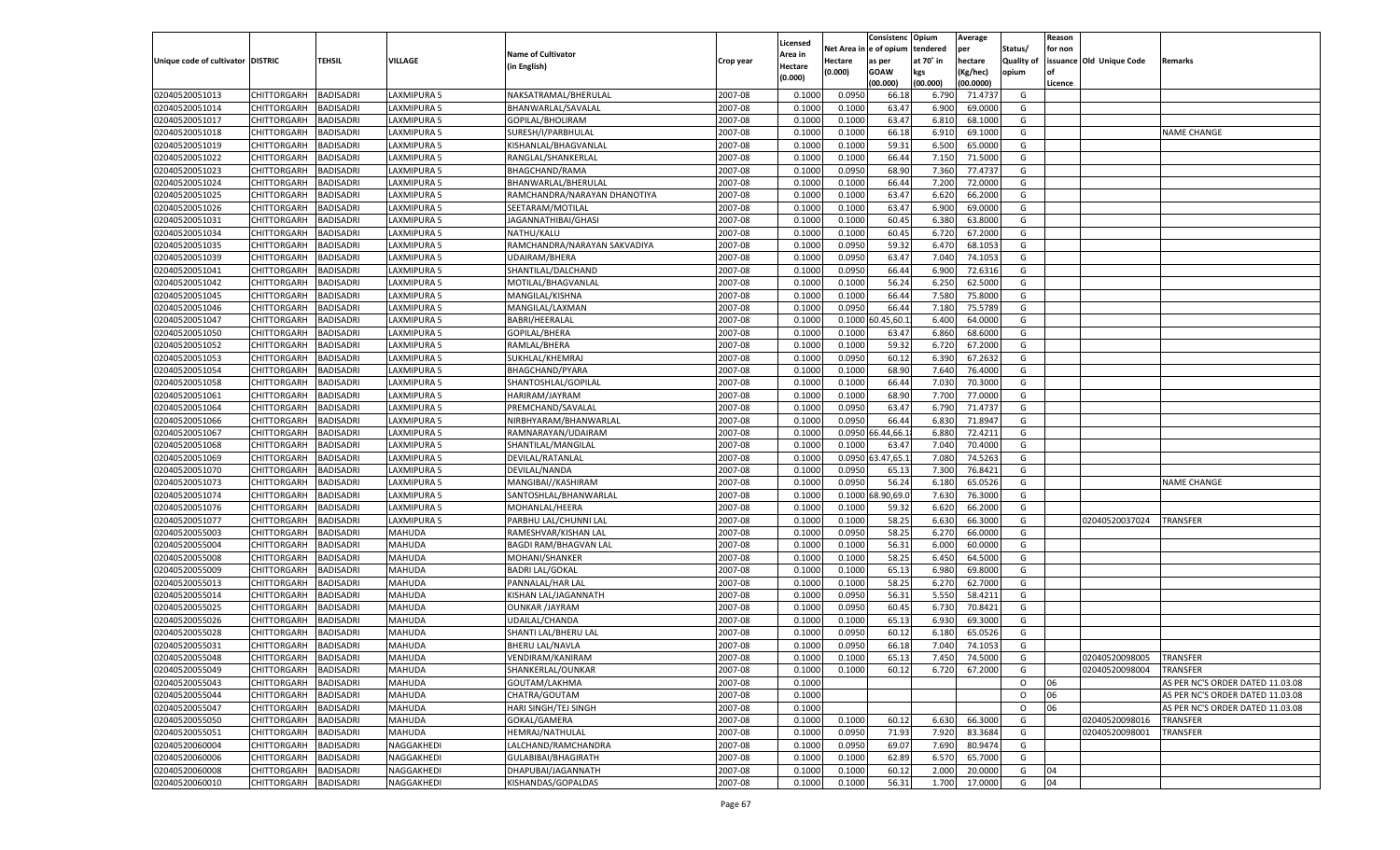|                                   |                    |                  |                    |                              |           |          |            | Consistenc Opium  |           | Average   |                   | Reason    |                          |                                  |
|-----------------------------------|--------------------|------------------|--------------------|------------------------------|-----------|----------|------------|-------------------|-----------|-----------|-------------------|-----------|--------------------------|----------------------------------|
|                                   |                    |                  |                    |                              |           | Licensed | Net Area i | l e of opium      | tendered  | per       | Status/           | for non   |                          |                                  |
| Unique code of cultivator DISTRIC |                    | TEHSIL           | VILLAGE            | <b>Name of Cultivator</b>    | Crop year | Area in  | Hectare    | as per            | at 70° in | hectare   | <b>Quality of</b> |           | issuance Old Unique Code | Remarks                          |
|                                   |                    |                  |                    | (in English)                 |           | Hectare  | (0.000)    | <b>GOAW</b>       | kgs       | (Kg/hec)  | opium             | <b>of</b> |                          |                                  |
|                                   |                    |                  |                    |                              |           | (0.000)  |            | (00.000)          | (00.000)  | (00.0000) |                   | Licence   |                          |                                  |
| 02040520051013                    | CHITTORGARH        | <b>BADISADRI</b> | LAXMIPURA 5        | NAKSATRAMAL/BHERULAL         | 2007-08   | 0.1000   | 0.0950     | 66.18             | 6.790     | 71.4737   | G                 |           |                          |                                  |
| 02040520051014                    | CHITTORGARH        | <b>BADISADRI</b> | LAXMIPURA 5        | BHANWARLAL/SAVALAL           | 2007-08   | 0.1000   | 0.1000     | 63.47             | 6.900     | 69.0000   | G                 |           |                          |                                  |
| 02040520051017                    | CHITTORGARH        | <b>BADISADRI</b> | LAXMIPURA 5        | GOPILAL/BHOLIRAM             | 2007-08   | 0.1000   | 0.1000     | 63.47             | 6.810     | 68.1000   | G                 |           |                          |                                  |
| 02040520051018                    | CHITTORGARH        | <b>BADISADRI</b> | LAXMIPURA 5        | SURESH/I/PARBHULAL           | 2007-08   | 0.1000   | 0.1000     | 66.18             | 6.910     | 69.1000   | G                 |           |                          | <b>NAME CHANGE</b>               |
| 02040520051019                    | CHITTORGARH        | <b>BADISADRI</b> | LAXMIPURA 5        | KISHANLAL/BHAGVANLAL         | 2007-08   | 0.1000   | 0.1000     | 59.31             | 6.500     | 65.0000   | G                 |           |                          |                                  |
| 02040520051022                    | CHITTORGARH        | BADISADRI        | LAXMIPURA 5        | RANGLAL/SHANKERLAL           | 2007-08   | 0.1000   | 0.1000     | 66.44             | 7.150     | 71.5000   | G                 |           |                          |                                  |
| 02040520051023                    | CHITTORGARH        | <b>BADISADRI</b> | LAXMIPURA 5        | BHAGCHAND/RAMA               | 2007-08   | 0.1000   | 0.0950     | 68.90             | 7.360     | 77.4737   | G                 |           |                          |                                  |
| 02040520051024                    | CHITTORGARH        | <b>BADISADRI</b> | LAXMIPURA 5        | BHANWARLAL/BHERULAL          | 2007-08   | 0.1000   | 0.1000     | 66.44             | 7.200     | 72.0000   | G                 |           |                          |                                  |
| 02040520051025                    | CHITTORGARH        | <b>BADISADRI</b> | LAXMIPURA 5        | RAMCHANDRA/NARAYAN DHANOTIYA | 2007-08   | 0.1000   | 0.1000     | 63.47             | 6.620     | 66.2000   | G                 |           |                          |                                  |
| 02040520051026                    | CHITTORGARH        | BADISADRI        | LAXMIPURA 5        | SEETARAM/MOTILAL             | 2007-08   | 0.1000   | 0.1000     | 63.47             | 6.900     | 69.0000   | G                 |           |                          |                                  |
| 02040520051031                    | CHITTORGARH        | <b>BADISADRI</b> | LAXMIPURA 5        | JAGANNATHIBAI/GHASI          | 2007-08   | 0.1000   | 0.1000     | 60.45             | 6.380     | 63.8000   | G                 |           |                          |                                  |
| 02040520051034                    | CHITTORGARH        | <b>BADISADRI</b> | LAXMIPURA 5        | NATHU/KALU                   | 2007-08   | 0.1000   | 0.1000     | 60.45             | 6.720     | 67.2000   | G                 |           |                          |                                  |
| 02040520051035                    | CHITTORGARH        | <b>BADISADRI</b> | LAXMIPURA 5        | RAMCHANDRA/NARAYAN SAKVADIYA | 2007-08   | 0.1000   | 0.0950     | 59.32             | 6.470     | 68.105    | G                 |           |                          |                                  |
| 02040520051039                    | CHITTORGARH        | <b>BADISADRI</b> | LAXMIPURA 5        | <b>UDAIRAM/BHERA</b>         | 2007-08   | 0.1000   | 0.0950     | 63.47             | 7.040     | 74.1053   | G                 |           |                          |                                  |
|                                   | CHITTORGARH        | <b>BADISADRI</b> | LAXMIPURA 5        |                              | 2007-08   |          | 0.0950     | 66.44             | 6.900     | 72.6316   | G                 |           |                          |                                  |
| 02040520051041                    |                    |                  |                    | SHANTILAL/DALCHAND           |           | 0.1000   |            |                   |           |           |                   |           |                          |                                  |
| 02040520051042                    | CHITTORGARH        | <b>BADISADRI</b> | LAXMIPURA 5        | MOTILAL/BHAGVANLAL           | 2007-08   | 0.1000   | 0.1000     | 56.24             | 6.250     | 62.5000   | G                 |           |                          |                                  |
| 02040520051045                    | CHITTORGARH        | <b>BADISADRI</b> | LAXMIPURA 5        | MANGILAL/KISHNA              | 2007-08   | 0.1000   | 0.1000     | 66.44             | 7.580     | 75.8000   | G                 |           |                          |                                  |
| 02040520051046                    | CHITTORGARH        | <b>BADISADRI</b> | LAXMIPURA 5        | MANGILAL/LAXMAN              | 2007-08   | 0.1000   | 0.0950     | 66.44             | 7.180     | 75.5789   | G                 |           |                          |                                  |
| 02040520051047                    | CHITTORGARH        | <b>BADISADRI</b> | LAXMIPURA 5        | <b>BABRI/HEERALAL</b>        | 2007-08   | 0.1000   | 0.1000     | 0.45,60.1         | 6.400     | 64.0000   | G                 |           |                          |                                  |
| 02040520051050                    | CHITTORGARH        | <b>BADISADRI</b> | LAXMIPURA 5        | <b>GOPILAL/BHERA</b>         | 2007-08   | 0.1000   | 0.1000     | 63.47             | 6.860     | 68.6000   | G                 |           |                          |                                  |
| 02040520051052                    | CHITTORGARH        | <b>BADISADRI</b> | <b>LAXMIPURA 5</b> | RAMLAL/BHERA                 | 2007-08   | 0.1000   | 0.1000     | 59.32             | 6.720     | 67.2000   | G                 |           |                          |                                  |
| 02040520051053                    | CHITTORGARH        | <b>BADISADRI</b> | LAXMIPURA 5        | SUKHLAL/KHEMRAJ              | 2007-08   | 0.1000   | 0.0950     | 60.12             | 6.390     | 67.2632   | G                 |           |                          |                                  |
| 02040520051054                    | CHITTORGARH        | <b>BADISADRI</b> | LAXMIPURA 5        | BHAGCHAND/PYARA              | 2007-08   | 0.1000   | 0.1000     | 68.90             | 7.640     | 76.4000   | G                 |           |                          |                                  |
| 02040520051058                    | CHITTORGARH        | <b>BADISADRI</b> | LAXMIPURA 5        | SHANTOSHLAL/GOPILAL          | 2007-08   | 0.1000   | 0.1000     | 66.44             | 7.030     | 70.3000   | G                 |           |                          |                                  |
| 02040520051061                    | CHITTORGARH        | <b>BADISADRI</b> | <b>LAXMIPURA 5</b> | HARIRAM/JAYRAM               | 2007-08   | 0.1000   | 0.1000     | 68.90             | 7.700     | 77.0000   | G                 |           |                          |                                  |
| 02040520051064                    | CHITTORGARH        | <b>BADISADRI</b> | LAXMIPURA 5        | PREMCHAND/SAVALAL            | 2007-08   | 0.1000   | 0.0950     | 63.47             | 6.790     | 71.4737   | G                 |           |                          |                                  |
| 02040520051066                    | CHITTORGARH        | <b>BADISADRI</b> | LAXMIPURA 5        | NIRBHYARAM/BHANWARLAI        | 2007-08   | 0.1000   | 0.0950     | 66.44             | 6.830     | 71.8947   | G                 |           |                          |                                  |
| 02040520051067                    | CHITTORGARH        | <b>BADISADRI</b> | LAXMIPURA 5        | RAMNARAYAN/UDAIRAM           | 2007-08   | 0.1000   |            | 0.0950 66.44.66.1 | 6.880     | 72.4211   | G                 |           |                          |                                  |
| 02040520051068                    | CHITTORGARH        | <b>BADISADRI</b> | LAXMIPURA 5        | SHANTILAL/MANGILAL           | 2007-08   | 0.1000   | 0.1000     | 63.47             | 7.040     | 70.4000   | G                 |           |                          |                                  |
| 02040520051069                    | CHITTORGARH        | <b>BADISADRI</b> | LAXMIPURA 5        | DEVILAL/RATANLAL             | 2007-08   | 0.1000   | 0.0950     | 3.47,65.          | 7.080     | 74.5263   | G                 |           |                          |                                  |
| 02040520051070                    | CHITTORGARH        | BADISADRI        | LAXMIPURA 5        | DEVILAL/NANDA                | 2007-08   | 0.1000   | 0.0950     | 65.13             | 7.300     | 76.8421   | G                 |           |                          |                                  |
| 02040520051073                    | CHITTORGARH        | <b>BADISADRI</b> | LAXMIPURA 5        | MANGIBAI//KASHIRAM           | 2007-08   | 0.1000   | 0.0950     | 56.24             | 6.180     | 65.0526   | G                 |           |                          | NAME CHANGE                      |
| 02040520051074                    | CHITTORGARH        | <b>BADISADRI</b> | LAXMIPURA 5        | SANTOSHLAL/BHANWARLAL        | 2007-08   | 0.1000   | 0.1000     | 3.90,69.0         | 7.630     | 76.3000   | G                 |           |                          |                                  |
| 02040520051076                    | CHITTORGARH        | <b>BADISADRI</b> | LAXMIPURA 5        | MOHANLAL/HEERA               | 2007-08   | 0.1000   | 0.1000     | 59.32             | 6.620     | 66.2000   | G                 |           |                          |                                  |
| 02040520051077                    | CHITTORGARH        | BADISADRI        | LAXMIPURA 5        | PARBHU LAL/CHUNNI LAL        | 2007-08   | 0.1000   | 0.1000     | 58.25             | 6.630     | 66.3000   | G                 |           | 02040520037024           | <b>TRANSFER</b>                  |
| 02040520055003                    | CHITTORGARH        | <b>BADISADRI</b> | MAHUDA             | RAMESHVAR/KISHAN LAL         | 2007-08   | 0.1000   | 0.0950     | 58.25             | 6.27      | 66.0000   | G                 |           |                          |                                  |
| 02040520055004                    | CHITTORGARH        | <b>BADISADRI</b> | MAHUDA             | <b>BAGDI RAM/BHAGVAN LAL</b> | 2007-08   | 0.1000   | 0.1000     | 56.31             | 6.000     | 60.0000   | G                 |           |                          |                                  |
| 02040520055008                    | CHITTORGARH        | <b>BADISADRI</b> | MAHUDA             | MOHANI/SHANKER               | 2007-08   | 0.1000   | 0.1000     | 58.25             | 6.450     | 64.5000   | G                 |           |                          |                                  |
| 02040520055009                    | CHITTORGARH        | <b>BADISADRI</b> | MAHUDA             | <b>BADRI LAL/GOKAL</b>       | 2007-08   | 0.1000   | 0.1000     | 65.13             | 6.980     | 69.8000   | G                 |           |                          |                                  |
|                                   | CHITTORGARH        | <b>BADISADRI</b> |                    |                              | 2007-08   |          |            |                   |           | 62.7000   | G                 |           |                          |                                  |
| 02040520055013                    | CHITTORGARH        |                  | MAHUDA             | PANNALAL/HAR LAL             |           | 0.1000   | 0.1000     | 58.25             | 6.27      |           |                   |           |                          |                                  |
| 02040520055014                    |                    | <b>BADISADRI</b> | MAHUDA             | KISHAN LAL/JAGANNATH         | 2007-08   | 0.1000   | 0.0950     | 56.31             | 5.550     | 58.4211   | G                 |           |                          |                                  |
| 02040520055025                    | CHITTORGARH        | <b>BADISADRI</b> | MAHUDA             | <b>OUNKAR /JAYRAM</b>        | 2007-08   | 0.1000   | 0.0950     | 60.45             | 6.730     | 70.8421   | G                 |           |                          |                                  |
| 02040520055026                    | CHITTORGARH        | <b>BADISADRI</b> | MAHUDA             | UDAILAL/CHANDA               | 2007-08   | 0.1000   | 0.1000     | 65.13             | 6.930     | 69.3000   | G                 |           |                          |                                  |
| 02040520055028                    | CHITTORGARH        | BADISADRI        | MAHUDA             | SHANTI LAL/BHERU LAL         | 2007-08   | 0.1000   | 0.0950     | 60.12             | 6.180     | 65.0526   | G                 |           |                          |                                  |
| 02040520055031                    | CHITTORGARH        | <b>BADISADRI</b> | <b>MAHUDA</b>      | <b>BHERU LAL/NAVLA</b>       | 2007-08   | 0.1000   | 0.0950     | 66.18             | 7.040     | 74.1053   | G                 |           |                          |                                  |
| 02040520055048                    | CHITTORGARH        | <b>BADISADRI</b> | <b>MAHUDA</b>      | VENDIRAM/KANIRAM             | 2007-08   | 0.1000   | 0.1000     | 65.13             | 7.450     | 74.5000   | G                 |           | 02040520098005           | TRANSFER                         |
| 02040520055049                    | <b>CHITTORGARH</b> | <b>BADISADRI</b> | <b>MAHUDA</b>      | SHANKERLAL/OUNKAR            | 2007-08   | 0.1000   | 0.1000     | 60.12             | 6.720     | 67.2000   | G                 |           | 02040520098004           | TRANSFER                         |
| 02040520055043                    | CHITTORGARH        | <b>BADISADRI</b> | MAHUDA             | GOUTAM/LAKHMA                | 2007-08   | 0.1000   |            |                   |           |           | $\circ$           | 06        |                          | AS PER NC'S ORDER DATED 11.03.08 |
| 02040520055044                    | <b>CHITTORGARH</b> | <b>BADISADRI</b> | <b>MAHUDA</b>      | CHATRA/GOUTAM                | 2007-08   | 0.1000   |            |                   |           |           | $\circ$           | 06        |                          | AS PER NC'S ORDER DATED 11.03.08 |
| 02040520055047                    | CHITTORGARH        | <b>BADISADRI</b> | <b>MAHUDA</b>      | HARI SINGH/TEJ SINGH         | 2007-08   | 0.1000   |            |                   |           |           | $\circ$           | 06        |                          | AS PER NC'S ORDER DATED 11.03.08 |
| 02040520055050                    | CHITTORGARH        | <b>BADISADRI</b> | MAHUDA             | GOKAL/GAMERA                 | 2007-08   | 0.1000   | 0.1000     | 60.12             | 6.630     | 66.3000   | G                 |           | 02040520098016           | <b>TRANSFER</b>                  |
| 02040520055051                    | CHITTORGARH        | <b>BADISADRI</b> | <b>MAHUDA</b>      | <b>HEMRAJ/NATHULAL</b>       | 2007-08   | 0.1000   | 0.0950     | 71.93             | 7.920     | 83.3684   | G                 |           | 02040520098001           | TRANSFER                         |
| 02040520060004                    | CHITTORGARH        | <b>BADISADRI</b> | NAGGAKHEDI         | LALCHAND/RAMCHANDRA          | 2007-08   | 0.1000   | 0.0950     | 69.07             | 7.690     | 80.9474   | G                 |           |                          |                                  |
| 02040520060006                    | CHITTORGARH        | <b>BADISADRI</b> | NAGGAKHEDI         | GULABIBAI/BHAGIRATH          | 2007-08   | 0.1000   | 0.1000     | 62.89             | 6.570     | 65.7000   | G                 |           |                          |                                  |
| 02040520060008                    | CHITTORGARH        | <b>BADISADRI</b> | NAGGAKHEDI         | DHAPUBAI/JAGANNATH           | 2007-08   | 0.1000   | 0.1000     | 60.12             | 2.000     | 20.0000   | G                 | 04        |                          |                                  |
| 02040520060010                    | CHITTORGARH        | <b>BADISADRI</b> | NAGGAKHEDI         | KISHANDAS/GOPALDAS           | 2007-08   | 0.1000   | 0.1000     | 56.31             | 1.700     | 17.0000   | G                 | 04        |                          |                                  |
|                                   |                    |                  |                    |                              |           |          |            |                   |           |           |                   |           |                          |                                  |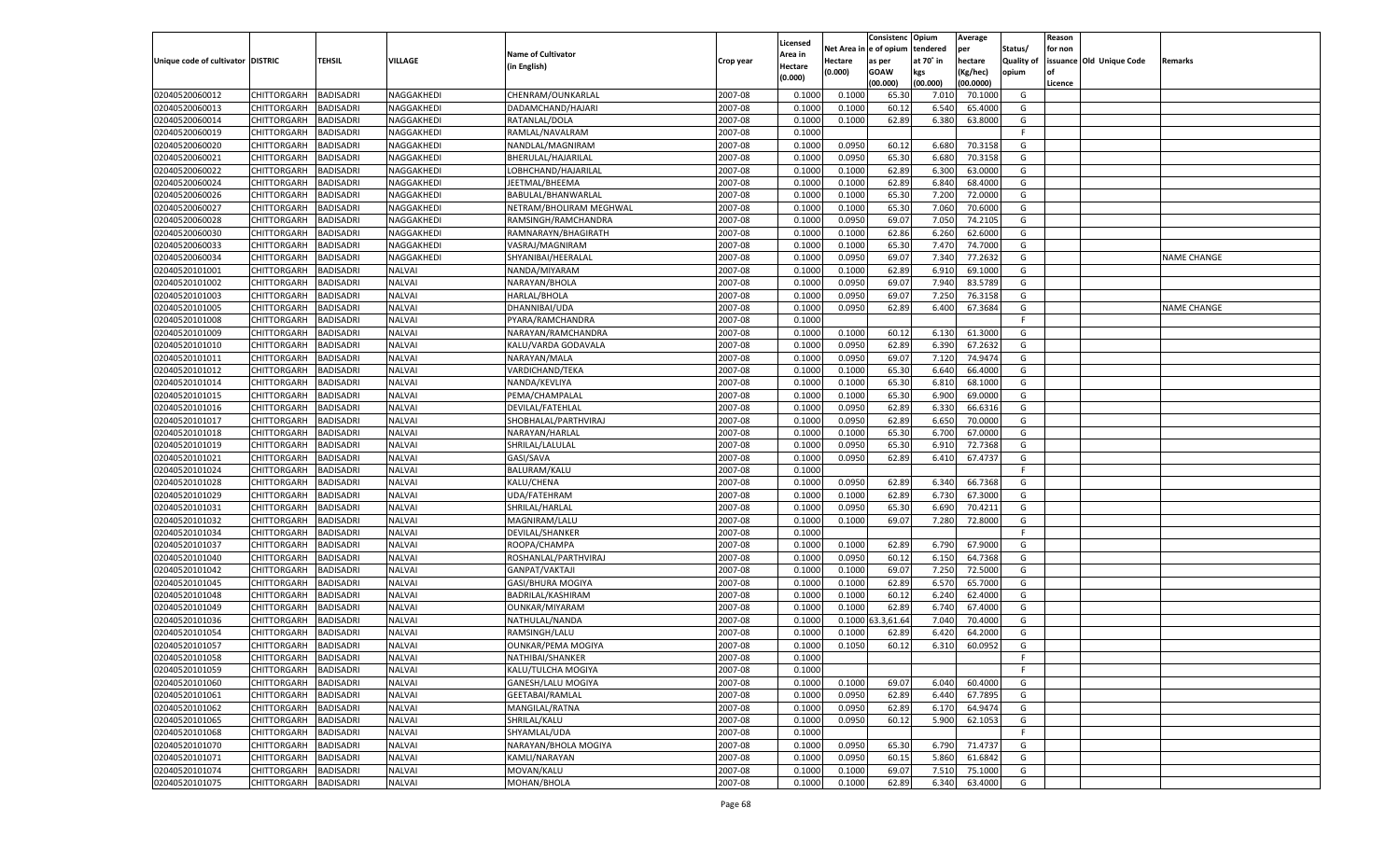|                                   |                                          |                  |               |                           |           |                     |            | Consistenc   | Opium     | Average   |            | Reason  |                          |                    |
|-----------------------------------|------------------------------------------|------------------|---------------|---------------------------|-----------|---------------------|------------|--------------|-----------|-----------|------------|---------|--------------------------|--------------------|
|                                   |                                          |                  |               | <b>Name of Cultivator</b> |           | Licensed<br>Area in | Net Area i | n e of opium | tendered  | per       | Status/    | for non |                          |                    |
| Unique code of cultivator DISTRIC |                                          | TEHSIL           | VILLAGE       | (in English)              | Crop year | Hectare             | Hectare    | as per       | at 70° in | hectare   | Quality of |         | issuance Old Unique Code | Remarks            |
|                                   |                                          |                  |               |                           |           | (0.000)             | (0.000)    | <b>GOAW</b>  | kgs       | (Kg/hec)  | opium      |         |                          |                    |
|                                   |                                          |                  |               |                           |           |                     |            | (00.000)     | (00.000)  | (00.0000) |            | Licence |                          |                    |
| 02040520060012                    | CHITTORGARH                              | BADISADRI        | NAGGAKHEDI    | CHENRAM/OUNKARLAL         | 2007-08   | 0.100               | 0.1000     | 65.30        | 7.010     | 70.1000   | G          |         |                          |                    |
| 02040520060013                    | CHITTORGARH                              | BADISADRI        | NAGGAKHEDI    | DADAMCHAND/HAJARI         | 2007-08   | 0.100               | 0.1000     | 60.1         | 6.540     | 65.4000   | G          |         |                          |                    |
| 02040520060014                    | CHITTORGARH                              | BADISADRI        | NAGGAKHEDI    | RATANLAL/DOLA             | 2007-08   | 0.1000              | 0.1000     | 62.89        | 6.380     | 63.8000   | G          |         |                          |                    |
| 02040520060019                    | CHITTORGARH                              | BADISADRI        | NAGGAKHEDI    | RAMLAL/NAVALRAM           | 2007-08   | 0.1000              |            |              |           |           | E          |         |                          |                    |
| 02040520060020                    | CHITTORGARH                              | BADISADRI        | NAGGAKHEDI    | NANDLAL/MAGNIRAM          | 2007-08   | 0.1000              | 0.0950     | 60.12        | 6.680     | 70.3158   | G          |         |                          |                    |
| 02040520060021                    | CHITTORGARH                              | BADISADRI        | NAGGAKHEDI    | BHERULAL/HAJARILAL        | 2007-08   | 0.1000              | 0.0950     | 65.30        | 6.680     | 70.3158   | G          |         |                          |                    |
| 02040520060022                    | CHITTORGARH                              | BADISADRI        | NAGGAKHEDI    | LOBHCHAND/HAJARILAL       | 2007-08   | 0.1000              | 0.1000     | 62.89        | 6.300     | 63.0000   | G          |         |                          |                    |
| 02040520060024                    | CHITTORGARH                              | BADISADRI        | NAGGAKHEDI    | JEETMAL/BHEEMA            | 2007-08   | 0.1000              | 0.1000     | 62.89        | 6.840     | 68.4000   | G          |         |                          |                    |
| 02040520060026                    | CHITTORGARH                              | BADISADRI        | NAGGAKHEDI    | BABULAL/BHANWARLAL        | 2007-08   | 0.1000              | 0.1000     | 65.30        | 7.200     | 72.0000   | G          |         |                          |                    |
| 02040520060027                    | CHITTORGARH                              | BADISADRI        | NAGGAKHEDI    | NETRAM/BHOLIRAM MEGHWAL   | 2007-08   | 0.1000              | 0.1000     | 65.30        | 7.060     | 70.6000   | G          |         |                          |                    |
| 02040520060028                    | CHITTORGARH                              | BADISADRI        | NAGGAKHEDI    | RAMSINGH/RAMCHANDRA       | 2007-08   | 0.1000              | 0.0950     | 69.07        | 7.050     | 74.2105   | G          |         |                          |                    |
| 02040520060030                    | CHITTORGARH                              | BADISADRI        | NAGGAKHEDI    | RAMNARAYN/BHAGIRATH       | 2007-08   | 0.1000              | 0.1000     | 62.86        | 6.260     | 62.6000   | G          |         |                          |                    |
| 02040520060033                    | CHITTORGARH                              | BADISADRI        | NAGGAKHEDI    | VASRAJ/MAGNIRAM           | 2007-08   | 0.1000              | 0.1000     | 65.30        | 7.470     | 74.7000   | G          |         |                          |                    |
| 02040520060034                    | CHITTORGARH                              | BADISADRI        | NAGGAKHEDI    | SHYANIBAI/HEERALAI        | 2007-08   | 0.1000              | 0.0950     | 69.07        | 7.340     | 77.2632   | G          |         |                          | NAME CHANGE        |
| 02040520101001                    | CHITTORGARH                              | <b>BADISADRI</b> | NALVAI        | NANDA/MIYARAM             | 2007-08   | 0.1000              | 0.1000     | 62.89        | 6.910     | 69.1000   | G          |         |                          |                    |
| 02040520101002                    | CHITTORGARH                              | BADISADRI        | NALVAI        | NARAYAN/BHOLA             | 2007-08   | 0.1000              | 0.0950     | 69.07        | 7.940     | 83.5789   | G          |         |                          |                    |
| 02040520101003                    | CHITTORGARH                              | <b>BADISADRI</b> | NALVAI        | HARLAL/BHOLA              | 2007-08   | 0.1000              | 0.0950     | 69.07        | 7.250     | 76.3158   | G          |         |                          |                    |
| 02040520101005                    | CHITTORGARH                              | BADISADRI        | NALVAI        | DHANNIBAI/UDA             | 2007-08   | 0.1000              | 0.0950     | 62.89        | 6.400     | 67.3684   | G          |         |                          | <b>NAME CHANGE</b> |
| 02040520101008                    | CHITTORGARH                              | BADISADRI        | NALVAI        | PYARA/RAMCHANDRA          | 2007-08   | 0.1000              |            |              |           |           | F.         |         |                          |                    |
| 02040520101009                    | CHITTORGARH                              | BADISADRI        | NALVAI        | NARAYAN/RAMCHANDRA        | 2007-08   | 0.1000              | 0.1000     | 60.12        | 6.130     | 61.3000   | G          |         |                          |                    |
| 02040520101010                    | CHITTORGARH                              | <b>BADISADRI</b> | NALVAI        | KALU/VARDA GODAVALA       | 2007-08   | 0.1000              | 0.0950     | 62.89        | 6.390     | 67.2632   | G          |         |                          |                    |
| 02040520101011                    | CHITTORGARH                              | BADISADRI        | NALVAI        | NARAYAN/MALA              | 2007-08   | 0.1000              | 0.0950     | 69.07        | 7.120     | 74.9474   | G          |         |                          |                    |
| 02040520101012                    | CHITTORGARH                              | BADISADRI        | <b>NALVAI</b> | VARDICHAND/TEKA           | 2007-08   | 0.1000              | 0.1000     | 65.30        | 6.640     | 66.4000   | G          |         |                          |                    |
| 02040520101014                    | CHITTORGARH                              | BADISADRI        | NALVAI        | NANDA/KEVLIYA             | 2007-08   | 0.1000              | 0.1000     | 65.30        | 6.810     | 68.1000   | G          |         |                          |                    |
| 02040520101015                    | CHITTORGARH                              | <b>BADISADRI</b> | NALVAI        | PEMA/CHAMPALAL            | 2007-08   | 0.1000              | 0.1000     | 65.30        | 6.900     | 69.0000   | G          |         |                          |                    |
| 02040520101016                    | CHITTORGARH                              | BADISADRI        | NALVAI        | DEVILAL/FATEHLAL          | 2007-08   | 0.1000              | 0.0950     | 62.89        | 6.330     | 66.6316   | G          |         |                          |                    |
| 02040520101017                    | CHITTORGARH                              | <b>BADISADRI</b> | NALVAI        | SHOBHALAL/PARTHVIRAJ      | 2007-08   | 0.1000              | 0.0950     | 62.89        | 6.650     | 70.0000   | G          |         |                          |                    |
| 02040520101018                    | CHITTORGARH                              | BADISADRI        | NALVAI        | NARAYAN/HARLAI            | 2007-08   | 0.1000              | 0.1000     | 65.30        | 6.700     | 67.0000   | G          |         |                          |                    |
| 02040520101019                    | CHITTORGARH                              | <b>BADISADRI</b> | NALVAI        | SHRILAL/LALULAL           | 2007-08   | 0.1000              | 0.0950     | 65.30        | 6.910     | 72.7368   | G          |         |                          |                    |
| 02040520101021                    | CHITTORGARH                              | BADISADRI        | <b>NALVAI</b> | GASI/SAVA                 | 2007-08   | 0.1000              | 0.0950     | 62.89        | 6.410     | 67.4737   | G          |         |                          |                    |
| 02040520101024                    | CHITTORGARH                              | BADISADRI        | <b>NALVAI</b> | BALURAM/KALU              | 2007-08   | 0.1000              |            |              |           |           | F.         |         |                          |                    |
| 02040520101028                    | CHITTORGARH                              | <b>BADISADRI</b> | <b>NALVAI</b> | KALU/CHENA                | 2007-08   | 0.1000              | 0.0950     | 62.89        | 6.340     | 66.7368   | G          |         |                          |                    |
| 02040520101029                    | CHITTORGARH                              | <b>BADISADRI</b> | <b>NALVAI</b> | UDA/FATEHRAM              | 2007-08   | 0.1000              | 0.1000     | 62.89        | 6.730     | 67.3000   | G          |         |                          |                    |
| 02040520101031                    | CHITTORGARH                              | BADISADRI        | <b>NALVAI</b> | SHRILAL/HARLAL            | 2007-08   | 0.1000              | 0.0950     | 65.30        | 6.690     | 70.4211   | G          |         |                          |                    |
| 02040520101032                    | CHITTORGARH                              | BADISADRI        | <b>NALVAI</b> | MAGNIRAM/LALU             | 2007-08   | 0.1000              | 0.1000     | 69.07        | 7.280     | 72.8000   | G          |         |                          |                    |
| 02040520101034                    | CHITTORGARH                              | <b>BADISADRI</b> | <b>NALVAI</b> | DEVILAL/SHANKER           | 2007-08   | 0.1000              |            |              |           |           | F          |         |                          |                    |
| 02040520101037                    | CHITTORGARH                              | <b>BADISADRI</b> | <b>NALVAI</b> | ROOPA/CHAMPA              | 2007-08   | 0.1000              | 0.1000     | 62.89        | 6.790     | 67.9000   | G          |         |                          |                    |
| 02040520101040                    | CHITTORGARH                              | BADISADRI        | <b>NALVAI</b> | ROSHANLAL/PARTHVIRAJ      | 2007-08   | 0.1000              | 0.0950     | 60.12        | 6.150     | 64.7368   | G          |         |                          |                    |
| 02040520101042                    | CHITTORGARH                              | BADISADRI        | <b>NALVAI</b> | GANPAT/VAKTAJI            | 2007-08   | 0.1000              | 0.1000     | 69.07        | 7.250     | 72.5000   | G          |         |                          |                    |
| 02040520101045                    | CHITTORGARH                              | BADISADRI        | <b>NALVAI</b> | GASI/BHURA MOGIYA         | 2007-08   | 0.1000              | 0.1000     | 62.89        | 6.570     | 65.7000   | G          |         |                          |                    |
| 02040520101048                    | CHITTORGARH                              | <b>BADISADRI</b> | <b>NALVAI</b> | BADRILAL/KASHIRAM         | 2007-08   | 0.1000              | 0.1000     | 60.12        | 6.240     | 62.4000   | G          |         |                          |                    |
| 02040520101049                    | CHITTORGARH                              | BADISADRI        | <b>NALVAI</b> | OUNKAR/MIYARAM            | 2007-08   | 0.1000              | 0.1000     | 62.89        | 6.740     | 67.4000   | G          |         |                          |                    |
| 02040520101036                    | CHITTORGARH                              | BADISADRI        | <b>NALVAI</b> | NATHULAL/NANDA            | 2007-08   | 0.1000              | 0.1000     | 3,61.64      | 7.040     | 70.4000   | G          |         |                          |                    |
| 02040520101054                    | CHITTORGARH                              | BADISADRI        | <b>NALVAI</b> | RAMSINGH/LALU             | 2007-08   | 0.1000              | 0.1000     | 62.89        | 6.420     | 64.2000   | G          |         |                          |                    |
| 02040520101057                    | CHITTORGARH                              | <b>BADISADRI</b> | <b>NALVAI</b> | <b>OUNKAR/PEMA MOGIYA</b> | 2007-08   | 0.1000              | 0.1050     | 60.12        | 6.310     | 60.0952   | G          |         |                          |                    |
|                                   | CHITTORGARH BADISADRI                    |                  | <b>NALVAI</b> | NATHIBAI/SHANKER          | 2007-08   | 0.1000              |            |              |           |           | F          |         |                          |                    |
| 02040520101058<br>02040520101059  |                                          | <b>BADISADRI</b> | <b>NALVAI</b> | KALU/TULCHA MOGIYA        | 2007-08   | 0.1000              |            |              |           |           | F.         |         |                          |                    |
|                                   | <b>CHITTORGARH</b><br><b>CHITTORGARH</b> | <b>BADISADRI</b> |               | <b>GANESH/LALU MOGIYA</b> |           |                     |            |              | 6.040     | 60.4000   |            |         |                          |                    |
| 02040520101060                    |                                          |                  | <b>NALVAI</b> | <b>GEETABAI/RAMLAL</b>    | 2007-08   | 0.1000              | 0.1000     | 69.07        |           |           | G          |         |                          |                    |
| 02040520101061                    | CHITTORGARH                              | <b>BADISADRI</b> | <b>NALVAI</b> |                           | 2007-08   | 0.1000              | 0.0950     | 62.89        | 6.440     | 67.7895   | G          |         |                          |                    |
| 02040520101062                    | <b>CHITTORGARH</b>                       | <b>BADISADRI</b> | <b>NALVAI</b> | MANGILAL/RATNA            | 2007-08   | 0.1000              | 0.0950     | 62.89        | 6.170     | 64.9474   | G          |         |                          |                    |
| 02040520101065                    | CHITTORGARH                              | <b>BADISADRI</b> | <b>NALVAI</b> | SHRILAL/KALU              | 2007-08   | 0.1000              | 0.0950     | 60.12        | 5.900     | 62.1053   | G          |         |                          |                    |
| 02040520101068                    | CHITTORGARH                              | <b>BADISADRI</b> | <b>NALVAI</b> | SHYAMLAL/UDA              | 2007-08   | 0.1000              |            |              |           |           | F.         |         |                          |                    |
| 02040520101070                    | CHITTORGARH                              | <b>BADISADRI</b> | <b>NALVAI</b> | NARAYAN/BHOLA MOGIYA      | 2007-08   | 0.1000              | 0.0950     | 65.30        | 6.790     | 71.4737   | G          |         |                          |                    |
| 02040520101071                    | CHITTORGARH                              | <b>BADISADRI</b> | <b>NALVAI</b> | KAMLI/NARAYAN             | 2007-08   | 0.1000              | 0.0950     | 60.15        | 5.860     | 61.6842   | G          |         |                          |                    |
| 02040520101074                    | CHITTORGARH                              | <b>BADISADRI</b> | <b>NALVAI</b> | MOVAN/KALU                | 2007-08   | 0.1000              | 0.1000     | 69.07        | 7.510     | 75.1000   | G          |         |                          |                    |
| 02040520101075                    | CHITTORGARH                              | <b>BADISADRI</b> | <b>NALVAI</b> | MOHAN/BHOLA               | 2007-08   | 0.1000              | 0.1000     | 62.89        | 6.340     | 63.4000   | G          |         |                          |                    |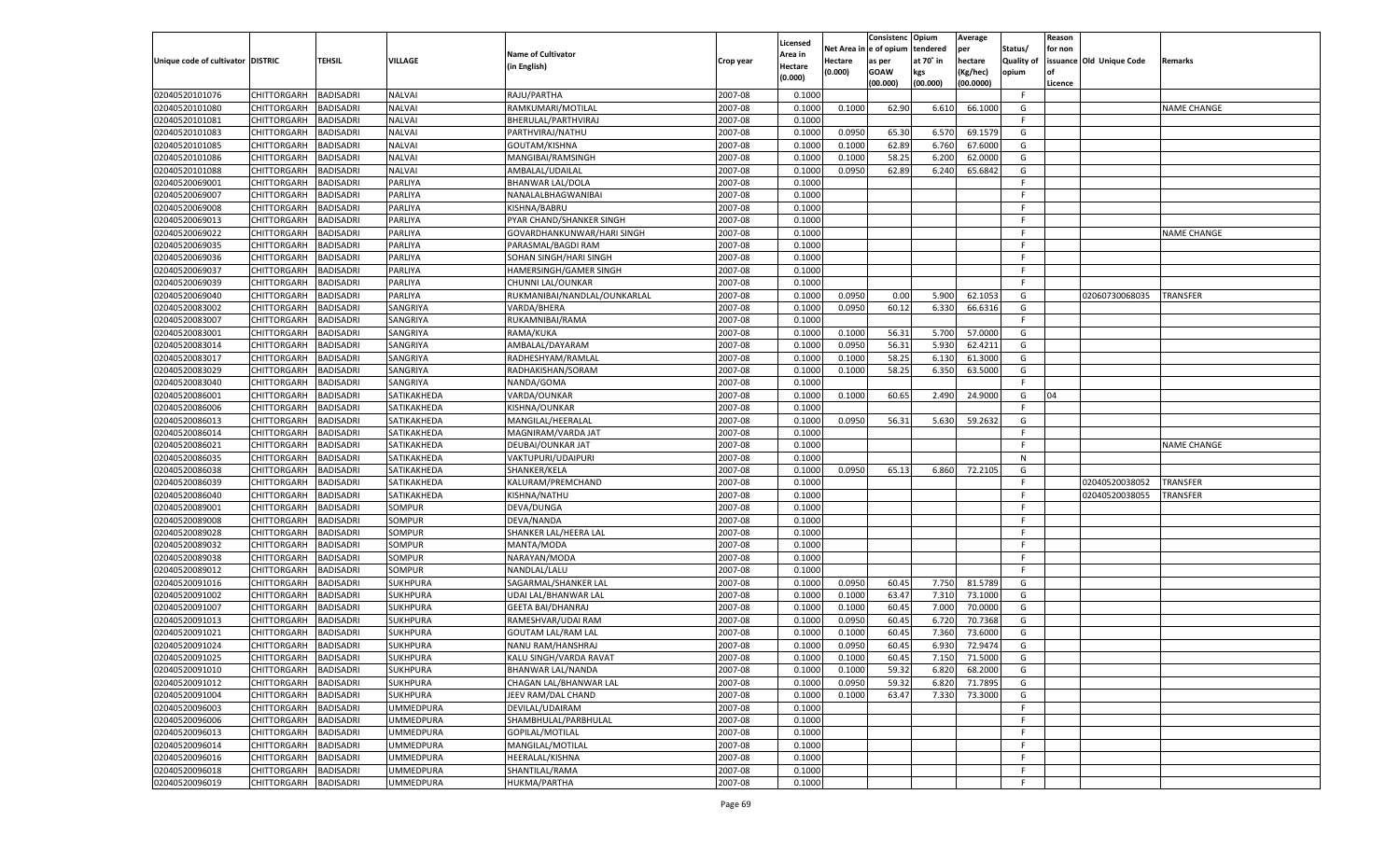|                                   |                                   |                  |                  |                              |           |                     |            | Consistenc   | Opium     | Average       |            | Reason  |                          |                    |
|-----------------------------------|-----------------------------------|------------------|------------------|------------------------------|-----------|---------------------|------------|--------------|-----------|---------------|------------|---------|--------------------------|--------------------|
|                                   |                                   |                  |                  | <b>Name of Cultivator</b>    |           | Licensed<br>Area in | Net Area i | n e of opium | tendered  | per           | Status/    | for non |                          |                    |
| Unique code of cultivator DISTRIC |                                   | TEHSIL           | <b>VILLAGE</b>   | (in English)                 | Crop year | Hectare             | Hectare    | as per       | at 70° in | hectare       | Quality of |         | issuance Old Unique Code | Remarks            |
|                                   |                                   |                  |                  |                              |           | (0.000)             | (0.000)    | <b>GOAW</b>  | kgs       | (Kg/hec)      | opium      |         |                          |                    |
|                                   |                                   |                  |                  |                              |           |                     |            | (00.000)     | (00.000)  | (00.0000)     |            | Licence |                          |                    |
| 02040520101076                    | CHITTORGARH                       | <b>BADISADRI</b> | <b>NALVAI</b>    | RAJU/PARTHA                  | 2007-08   | 0.1000              |            |              |           |               | F.         |         |                          |                    |
| 02040520101080                    | CHITTORGARH                       | BADISADRI        | <b>NALVAI</b>    | RAMKUMARI/MOTILAL            | 2007-08   | 0.1000              | 0.1000     | 62.90        | 6.610     | 66.1000       | G          |         |                          | NAME CHANGE        |
| 02040520101081                    | CHITTORGARH                       | BADISADRI        | <b>NALVAI</b>    | BHERULAL/PARTHVIRAJ          | 2007-08   | 0.1000              |            |              |           |               | F.         |         |                          |                    |
| 02040520101083                    | CHITTORGARH                       | BADISADRI        | <b>NALVAI</b>    | PARTHVIRAJ/NATHU             | 2007-08   | 0.1000              | 0.0950     | 65.30        | 6.570     | 69.1579       | G          |         |                          |                    |
| 02040520101085                    | CHITTORGARH                       | BADISADRI        | <b>NALVAI</b>    | GOUTAM/KISHNA                | 2007-08   | 0.1000              | 0.1000     | 62.89        | 6.760     | 67.6000       | G          |         |                          |                    |
| 02040520101086                    | CHITTORGARH                       | BADISADRI        | <b>NALVAI</b>    | MANGIBAI/RAMSINGH            | 2007-08   | 0.100               | 0.1000     | 58.25        | 6.200     | 62.0000       | G          |         |                          |                    |
| 02040520101088                    | CHITTORGARH                       | BADISADRI        | <b>NALVAI</b>    | AMBALAL/UDAILAL              | 2007-08   | 0.1000              | 0.0950     | 62.89        | 6.240     | 65.6842       | G          |         |                          |                    |
| 02040520069001                    | CHITTORGARH                       | BADISADRI        | PARLIYA          | <b>BHANWAR LAL/DOLA</b>      | 2007-08   | 0.1000              |            |              |           |               | E          |         |                          |                    |
| 02040520069007                    | CHITTORGARH                       | BADISADRI        | PARLIYA          | NANALALBHAGWANIBAI           | 2007-08   | 0.1000              |            |              |           |               | F.         |         |                          |                    |
| 02040520069008                    | CHITTORGARH                       | BADISADRI        | PARLIYA          | KISHNA/BABRU                 | 2007-08   | 0.1000              |            |              |           |               | -F         |         |                          |                    |
| 02040520069013                    | CHITTORGARH                       | BADISADRI        | PARLIYA          | PYAR CHAND/SHANKER SINGH     | 2007-08   | 0.1000              |            |              |           |               | E          |         |                          |                    |
| 02040520069022                    | CHITTORGARH                       | BADISADRI        | PARLIYA          | GOVARDHANKUNWAR/HARI SINGH   | 2007-08   | 0.1000              |            |              |           |               | E          |         |                          | NAME CHANGE        |
| 02040520069035                    | CHITTORGARH                       | BADISADRI        | PARLIYA          | PARASMAL/BAGDI RAM           | 2007-08   | 0.1000              |            |              |           |               | F.         |         |                          |                    |
| 02040520069036                    | CHITTORGARH                       | BADISADRI        | PARLIYA          | SOHAN SINGH/HARI SINGH       | 2007-08   | 0.1000              |            |              |           |               | E          |         |                          |                    |
| 02040520069037                    | CHITTORGARH                       | <b>BADISADRI</b> | PARLIYA          | HAMERSINGH/GAMER SINGH       | 2007-08   | 0.1000              |            |              |           |               | F.         |         |                          |                    |
| 02040520069039                    | CHITTORGARH                       | BADISADRI        | PARLIYA          | CHUNNI LAL/OUNKAR            | 2007-08   | 0.1000              |            |              |           |               | F.         |         |                          |                    |
| 02040520069040                    | CHITTORGARH                       | <b>BADISADRI</b> | PARLIYA          | RUKMANIBAI/NANDLAL/OUNKARLAL | 2007-08   | 0.1000              | 0.0950     | 0.00         | 5.900     | 62.1053       | G          |         | 02060730068035           | <b>TRANSFER</b>    |
| 02040520083002                    | CHITTORGARH                       | BADISADRI        | SANGRIYA         | VARDA/BHERA                  | 2007-08   | 0.1000              | 0.0950     | 60.12        | 6.330     | 66.6316       | G          |         |                          |                    |
| 02040520083007                    | CHITTORGARH                       | <b>BADISADRI</b> | SANGRIYA         | RUKAMNIBAI/RAMA              | 2007-08   | 0.1000              |            |              |           |               | F.         |         |                          |                    |
| 02040520083001                    | CHITTORGARH                       | BADISADRI        | SANGRIYA         | RAMA/KUKA                    | 2007-08   | 0.1000              | 0.1000     | 56.31        | 5.700     | 57.0000       | G          |         |                          |                    |
| 02040520083014                    | CHITTORGARH                       | <b>BADISADRI</b> | SANGRIYA         | AMBALAL/DAYARAM              | 2007-08   | 0.1000              | 0.0950     | 56.31        | 5.930     | 62.4211       | G          |         |                          |                    |
| 02040520083017                    | CHITTORGARH                       | BADISADRI        | SANGRIYA         | RADHESHYAM/RAMLAL            | 2007-08   | 0.1000              | 0.1000     | 58.25        | 6.130     | 61.3000       | G          |         |                          |                    |
| 02040520083029                    | CHITTORGARH                       | <b>BADISADRI</b> | SANGRIYA         | RADHAKISHAN/SORAM            | 2007-08   | 0.1000              | 0.1000     | 58.25        | 6.350     | 63.5000       | G          |         |                          |                    |
| 02040520083040                    | CHITTORGARH                       | BADISADRI        | SANGRIYA         | NANDA/GOMA                   | 2007-08   | 0.1000              |            |              |           |               | F.         |         |                          |                    |
| 02040520086001                    | CHITTORGARH                       | <b>BADISADRI</b> | SATIKAKHEDA      | VARDA/OUNKAR                 | 2007-08   | 0.1000              | 0.1000     | 60.65        | 2.490     | 24.9000       | G          | 04      |                          |                    |
| 02040520086006                    | CHITTORGARH                       | BADISADRI        | SATIKAKHEDA      | KISHNA/OUNKAR                | 2007-08   | 0.1000              |            |              |           |               | F.         |         |                          |                    |
| 02040520086013                    | CHITTORGARH                       | <b>BADISADRI</b> | SATIKAKHEDA      | MANGILAL/HEERALAL            | 2007-08   | 0.1000              | 0.0950     | 56.31        | 5.630     | 59.2632       | G          |         |                          |                    |
| 02040520086014                    | CHITTORGARH                       | BADISADRI        | SATIKAKHEDA      | MAGNIRAM/VARDA JAT           | 2007-08   | 0.1000              |            |              |           |               | F.         |         |                          |                    |
| 02040520086021                    | CHITTORGARH                       | <b>BADISADRI</b> | SATIKAKHEDA      | DEUBAI/OUNKAR JAT            | 2007-08   | 0.1000              |            |              |           |               | F.         |         |                          | <b>NAME CHANGE</b> |
| 02040520086035                    | CHITTORGARH                       | BADISADRI        | SATIKAKHEDA      | VAKTUPURI/UDAIPURI           | 2007-08   | 0.1000              |            |              |           |               | N          |         |                          |                    |
| 02040520086038                    | CHITTORGARH                       | <b>BADISADRI</b> | SATIKAKHEDA      | SHANKER/KELA                 | 2007-08   | 0.1000              | 0.0950     | 65.13        | 6.860     | 72.2105       | G          |         |                          |                    |
| 02040520086039                    | CHITTORGARH                       | <b>BADISADRI</b> | SATIKAKHEDA      | KALURAM/PREMCHAND            | 2007-08   | 0.1000              |            |              |           |               | F          |         | 02040520038052           | TRANSFER           |
| 02040520086040                    | CHITTORGARH                       | <b>BADISADRI</b> | SATIKAKHEDA      | KISHNA/NATHU                 | 2007-08   | 0.1000              |            |              |           |               | E          |         | 02040520038055           | TRANSFER           |
| 02040520089001                    | CHITTORGARH                       | BADISADRI        | SOMPUR           | DEVA/DUNGA                   | 2007-08   | 0.1000              |            |              |           |               | F          |         |                          |                    |
| 02040520089008                    | CHITTORGARH                       | <b>BADISADRI</b> | <b>SOMPUR</b>    | DEVA/NANDA                   | 2007-08   | 0.1000              |            |              |           |               | E          |         |                          |                    |
| 02040520089028                    | CHITTORGARH                       | <b>BADISADRI</b> | SOMPUR           | SHANKER LAL/HEERA LAL        | 2007-08   | 0.1000              |            |              |           |               | F          |         |                          |                    |
| 02040520089032                    | CHITTORGARH                       | <b>BADISADRI</b> | SOMPUR           | MANTA/MODA                   | 2007-08   | 0.1000              |            |              |           |               | F          |         |                          |                    |
| 02040520089038                    | CHITTORGARH                       | BADISADRI        | SOMPUR           | NARAYAN/MODA                 | 2007-08   | 0.1000              |            |              |           |               | F          |         |                          |                    |
| 02040520089012                    | CHITTORGARH                       | <b>BADISADRI</b> | SOMPUR           | NANDLAL/LALU                 | 2007-08   | 0.1000              |            |              |           |               | E          |         |                          |                    |
| 02040520091016                    | CHITTORGARH                       | <b>BADISADRI</b> | <b>SUKHPURA</b>  | SAGARMAL/SHANKER LAL         | 2007-08   | 0.1000              | 0.0950     | 60.45        | 7.750     | 81.5789       | G          |         |                          |                    |
| 02040520091002                    | CHITTORGARH                       | <b>BADISADRI</b> | <b>SUKHPURA</b>  | UDAI LAL/BHANWAR LAI         | 2007-08   | 0.1000              | 0.1000     | 63.47        | 7.310     | 73.1000       | G          |         |                          |                    |
| 02040520091007                    | CHITTORGARH                       | BADISADRI        | <b>SUKHPURA</b>  | <b>GEETA BAI/DHANRAJ</b>     | 2007-08   | 0.1000              | 0.1000     | 60.45        | 7.000     | 70.0000       | G          |         |                          |                    |
| 02040520091013                    | CHITTORGARH                       | BADISADRI        | <b>SUKHPURA</b>  | RAMESHVAR/UDAI RAM           | 2007-08   | 0.1000              | 0.0950     | 60.4         | 6.720     | 70.7368       | G          |         |                          |                    |
| 02040520091021                    | CHITTORGARH                       | BADISADRI        | <b>SUKHPURA</b>  | <b>GOUTAM LAL/RAM LAL</b>    | 2007-08   | 0.1000              | 0.1000     | 60.4         | 7.360     | 73.6000       | G          |         |                          |                    |
| 02040520091024                    | CHITTORGARH                       | <b>BADISADRI</b> | <b>SUKHPURA</b>  | NANU RAM/HANSHRAJ            | 2007-08   | 0.1000              | 0.0950     | 60.45        | 6.930     | 72.9474       | G          |         |                          |                    |
| 02040520091025                    | CHITTORGARH BADISADRI             |                  | <b>SUKHPURA</b>  | KALU SINGH/VARDA RAVAT       | 2007-08   | 0.1000              | 0.1000     | 60.45        |           | 7.150 71.5000 | G          |         |                          |                    |
| 02040520091010                    | <b>CHITTORGARH</b>                | <b>BADISADRI</b> | <b>SUKHPURA</b>  | BHANWAR LAL/NANDA            | 2007-08   | 0.1000              | 0.1000     | 59.32        | 6.820     | 68.2000       | G          |         |                          |                    |
| 02040520091012                    | CHITTORGARH                       | <b>BADISADRI</b> | <b>SUKHPURA</b>  | CHAGAN LAL/BHANWAR LAL       | 2007-08   | 0.1000              | 0.0950     | 59.32        | 6.820     | 71.7895       | G          |         |                          |                    |
| 02040520091004                    | CHITTORGARH                       | <b>BADISADRI</b> | <b>SUKHPURA</b>  | JEEV RAM/DAL CHAND           | 2007-08   | 0.1000              | 0.1000     | 63.47        | 7.330     | 73.3000       | G          |         |                          |                    |
| 02040520096003                    | CHITTORGARH                       | <b>BADISADRI</b> | <b>UMMEDPURA</b> | DEVILAL/UDAIRAM              | 2007-08   | 0.1000              |            |              |           |               | F.         |         |                          |                    |
| 02040520096006                    | CHITTORGARH                       | <b>BADISADRI</b> | <b>UMMEDPURA</b> | SHAMBHULAL/PARBHULAL         | 2007-08   | 0.1000              |            |              |           |               | F          |         |                          |                    |
| 02040520096013                    | CHITTORGARH                       | <b>BADISADRI</b> | <b>UMMEDPURA</b> | GOPILAL/MOTILAL              | 2007-08   | 0.1000              |            |              |           |               | F.         |         |                          |                    |
|                                   |                                   | <b>BADISADRI</b> | <b>UMMEDPURA</b> |                              | 2007-08   | 0.1000              |            |              |           |               | F.         |         |                          |                    |
| 02040520096014                    | CHITTORGARH<br><b>CHITTORGARH</b> |                  |                  | MANGILAL/MOTILAL             |           |                     |            |              |           |               |            |         |                          |                    |
| 02040520096016                    |                                   | <b>BADISADRI</b> | <b>UMMEDPURA</b> | HEERALAL/KISHNA              | 2007-08   | 0.1000              |            |              |           |               | F.         |         |                          |                    |
| 02040520096018                    | CHITTORGARH                       | <b>BADISADRI</b> | <b>UMMEDPURA</b> | SHANTILAL/RAMA               | 2007-08   | 0.1000              |            |              |           |               | F.         |         |                          |                    |
| 02040520096019                    | CHITTORGARH                       | <b>BADISADRI</b> | <b>UMMEDPURA</b> | HUKMA/PARTHA                 | 2007-08   | 0.1000              |            |              |           |               | F.         |         |                          |                    |